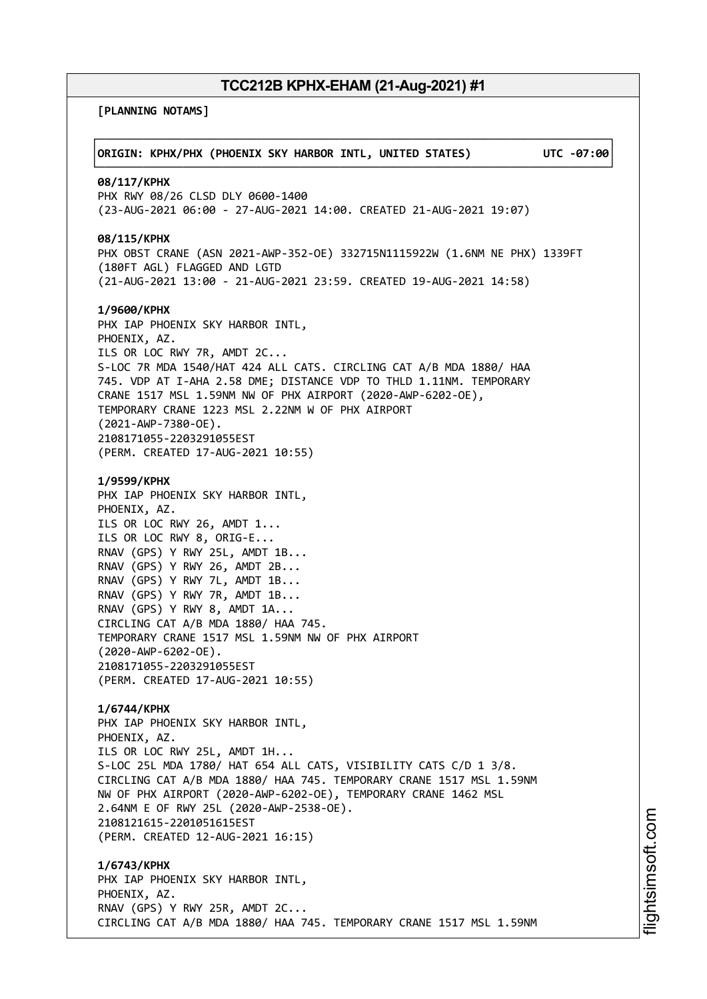**[PLANNING NOTAMS]**

| ORIGIN: KPHX/PHX (PHOENIX SKY HARBOR INTL, UNITED STATES)                                                                                                                                                                                                                                                                                                                                                                                                                             | UTC -07:00 |
|---------------------------------------------------------------------------------------------------------------------------------------------------------------------------------------------------------------------------------------------------------------------------------------------------------------------------------------------------------------------------------------------------------------------------------------------------------------------------------------|------------|
| 08/117/KPHX<br>PHX RWY 08/26 CLSD DLY 0600-1400<br>(23-AUG-2021 06:00 - 27-AUG-2021 14:00. CREATED 21-AUG-2021 19:07)                                                                                                                                                                                                                                                                                                                                                                 |            |
| 08/115/KPHX<br>PHX OBST CRANE (ASN 2021-AWP-352-OE) 332715N1115922W (1.6NM NE PHX) 1339FT<br>(180FT AGL) FLAGGED AND LGTD<br>(21-AUG-2021 13:00 - 21-AUG-2021 23:59. CREATED 19-AUG-2021 14:58)                                                                                                                                                                                                                                                                                       |            |
| 1/9600/KPHX<br>PHX IAP PHOENIX SKY HARBOR INTL,<br>PHOENIX, AZ.<br>ILS OR LOC RWY 7R, AMDT 2C<br>S-LOC 7R MDA 1540/HAT 424 ALL CATS. CIRCLING CAT A/B MDA 1880/ HAA<br>745. VDP AT I-AHA 2.58 DME; DISTANCE VDP TO THLD 1.11NM. TEMPORARY<br>CRANE 1517 MSL 1.59NM NW OF PHX AIRPORT (2020-AWP-6202-OE),<br>TEMPORARY CRANE 1223 MSL 2.22NM W OF PHX AIRPORT<br>$(2021 - AWP - 7380 - OE)$ .<br>2108171055-2203291055EST<br>(PERM. CREATED 17-AUG-2021 10:55)                         |            |
| 1/9599/KPHX<br>PHX IAP PHOENIX SKY HARBOR INTL,<br>PHOENIX, AZ.<br>ILS OR LOC RWY 26, AMDT 1<br>ILS OR LOC RWY 8, ORIG-E<br>RNAV (GPS) Y RWY 25L, AMDT 1B<br>RNAV (GPS) Y RWY 26, AMDT 2B<br>RNAV (GPS) Y RWY 7L, AMDT 1B<br>RNAV (GPS) Y RWY 7R, AMDT 1B<br>RNAV (GPS) Y RWY 8, AMDT 1A<br>CIRCLING CAT A/B MDA 1880/ HAA 745.<br>TEMPORARY CRANE 1517 MSL 1.59NM NW OF PHX AIRPORT<br>$(2020 - AWP - 6202 - OE)$ .<br>2108171055-2203291055EST<br>(PERM. CREATED 17-AUG-2021 10:55) |            |
| 1/6744/KPHX<br>PHX IAP PHOENIX SKY HARBOR INTL,<br>PHOENIX, AZ.<br>ILS OR LOC RWY 25L, AMDT 1H<br>S-LOC 25L MDA 1780/ HAT 654 ALL CATS, VISIBILITY CATS C/D 1 3/8.<br>CIRCLING CAT A/B MDA 1880/ HAA 745. TEMPORARY CRANE 1517 MSL 1.59NM<br>NW OF PHX AIRPORT (2020-AWP-6202-OE), TEMPORARY CRANE 1462 MSL<br>2.64NM E OF RWY 25L (2020-AWP-2538-OE).<br>2108121615-2201051615EST<br>(PERM. CREATED 12-AUG-2021 16:15)                                                               |            |
| 1/6743/KPHX<br>PHX IAP PHOENIX SKY HARBOR INTL,<br>PHOENIX, AZ.<br>RNAV (GPS) Y RWY 25R, AMDT 2C<br>CIRCLING CAT A/B MDA 1880/ HAA 745. TEMPORARY CRANE 1517 MSL 1.59NM                                                                                                                                                                                                                                                                                                               |            |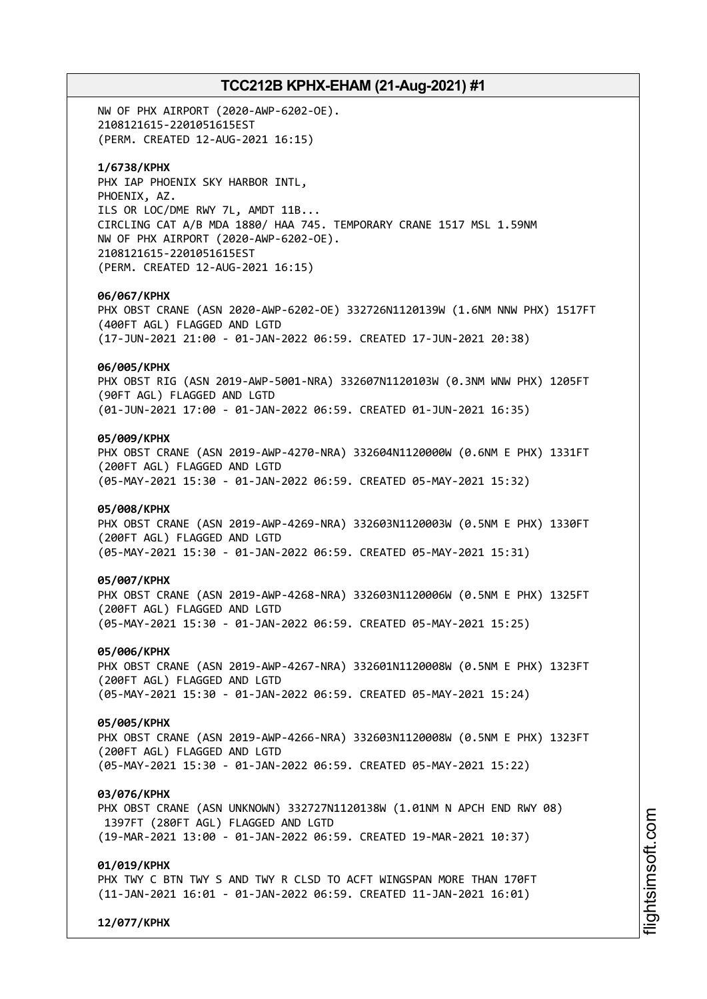NW OF PHX AIRPORT (2020-AWP-6202-OE). 2108121615-2201051615EST (PERM. CREATED 12-AUG-2021 16:15)

### **1/6738/KPHX**

PHX IAP PHOENIX SKY HARBOR INTL, PHOENIX, AZ. ILS OR LOC/DME RWY 7L, AMDT 11B... CIRCLING CAT A/B MDA 1880/ HAA 745. TEMPORARY CRANE 1517 MSL 1.59NM NW OF PHX AIRPORT (2020-AWP-6202-OE). 2108121615-2201051615EST (PERM. CREATED 12-AUG-2021 16:15)

#### **06/067/KPHX**

PHX OBST CRANE (ASN 2020-AWP-6202-OE) 332726N1120139W (1.6NM NNW PHX) 1517FT (400FT AGL) FLAGGED AND LGTD (17-JUN-2021 21:00 - 01-JAN-2022 06:59. CREATED 17-JUN-2021 20:38)

### **06/005/KPHX**

PHX OBST RIG (ASN 2019-AWP-5001-NRA) 332607N1120103W (0.3NM WNW PHX) 1205FT (90FT AGL) FLAGGED AND LGTD (01-JUN-2021 17:00 - 01-JAN-2022 06:59. CREATED 01-JUN-2021 16:35)

### **05/009/KPHX**

PHX OBST CRANE (ASN 2019-AWP-4270-NRA) 332604N1120000W (0.6NM E PHX) 1331FT (200FT AGL) FLAGGED AND LGTD (05-MAY-2021 15:30 - 01-JAN-2022 06:59. CREATED 05-MAY-2021 15:32)

### **05/008/KPHX**

PHX OBST CRANE (ASN 2019-AWP-4269-NRA) 332603N1120003W (0.5NM E PHX) 1330FT (200FT AGL) FLAGGED AND LGTD (05-MAY-2021 15:30 - 01-JAN-2022 06:59. CREATED 05-MAY-2021 15:31)

#### **05/007/KPHX**

PHX OBST CRANE (ASN 2019-AWP-4268-NRA) 332603N1120006W (0.5NM E PHX) 1325FT (200FT AGL) FLAGGED AND LGTD (05-MAY-2021 15:30 - 01-JAN-2022 06:59. CREATED 05-MAY-2021 15:25)

#### **05/006/KPHX**

PHX OBST CRANE (ASN 2019-AWP-4267-NRA) 332601N1120008W (0.5NM E PHX) 1323FT (200FT AGL) FLAGGED AND LGTD (05-MAY-2021 15:30 - 01-JAN-2022 06:59. CREATED 05-MAY-2021 15:24)

### **05/005/KPHX**

PHX OBST CRANE (ASN 2019-AWP-4266-NRA) 332603N1120008W (0.5NM E PHX) 1323FT (200FT AGL) FLAGGED AND LGTD (05-MAY-2021 15:30 - 01-JAN-2022 06:59. CREATED 05-MAY-2021 15:22)

#### **03/076/KPHX**

PHX OBST CRANE (ASN UNKNOWN) 332727N1120138W (1.01NM N APCH END RWY 08) 1397FT (280FT AGL) FLAGGED AND LGTD (19-MAR-2021 13:00 - 01-JAN-2022 06:59. CREATED 19-MAR-2021 10:37)

### **01/019/KPHX**

PHX TWY C BTN TWY S AND TWY R CLSD TO ACFT WINGSPAN MORE THAN 170FT (11-JAN-2021 16:01 - 01-JAN-2022 06:59. CREATED 11-JAN-2021 16:01)

**12/077/KPHX**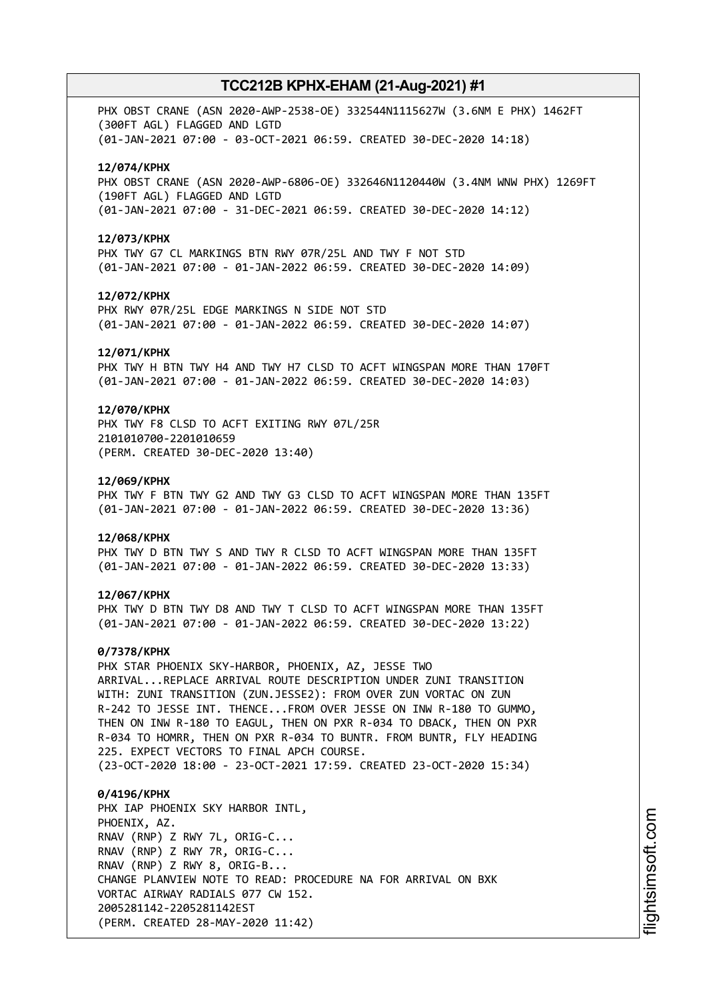PHX OBST CRANE (ASN 2020-AWP-2538-OE) 332544N1115627W (3.6NM E PHX) 1462FT (300FT AGL) FLAGGED AND LGTD (01-JAN-2021 07:00 - 03-OCT-2021 06:59. CREATED 30-DEC-2020 14:18)

### **12/074/KPHX**

PHX OBST CRANE (ASN 2020-AWP-6806-OE) 332646N1120440W (3.4NM WNW PHX) 1269FT (190FT AGL) FLAGGED AND LGTD (01-JAN-2021 07:00 - 31-DEC-2021 06:59. CREATED 30-DEC-2020 14:12)

#### **12/073/KPHX**

PHX TWY G7 CL MARKINGS BTN RWY 07R/25L AND TWY F NOT STD (01-JAN-2021 07:00 - 01-JAN-2022 06:59. CREATED 30-DEC-2020 14:09)

#### **12/072/KPHX**

PHX RWY 07R/25L EDGE MARKINGS N SIDE NOT STD (01-JAN-2021 07:00 - 01-JAN-2022 06:59. CREATED 30-DEC-2020 14:07)

#### **12/071/KPHX**

PHX TWY H BTN TWY H4 AND TWY H7 CLSD TO ACFT WINGSPAN MORE THAN 170FT (01-JAN-2021 07:00 - 01-JAN-2022 06:59. CREATED 30-DEC-2020 14:03)

### **12/070/KPHX**

PHX TWY F8 CLSD TO ACFT EXITING RWY 07L/25R 2101010700-2201010659 (PERM. CREATED 30-DEC-2020 13:40)

#### **12/069/KPHX**

PHX TWY F BTN TWY G2 AND TWY G3 CLSD TO ACFT WINGSPAN MORE THAN 135FT (01-JAN-2021 07:00 - 01-JAN-2022 06:59. CREATED 30-DEC-2020 13:36)

#### **12/068/KPHX**

PHX TWY D BTN TWY S AND TWY R CLSD TO ACFT WINGSPAN MORE THAN 135FT (01-JAN-2021 07:00 - 01-JAN-2022 06:59. CREATED 30-DEC-2020 13:33)

#### **12/067/KPHX**

PHX TWY D BTN TWY D8 AND TWY T CLSD TO ACFT WINGSPAN MORE THAN 135FT (01-JAN-2021 07:00 - 01-JAN-2022 06:59. CREATED 30-DEC-2020 13:22)

#### **0/7378/KPHX**

PHX STAR PHOENIX SKY-HARBOR, PHOENIX, AZ, JESSE TWO ARRIVAL...REPLACE ARRIVAL ROUTE DESCRIPTION UNDER ZUNI TRANSITION WITH: ZUNI TRANSITION (ZUN.JESSE2): FROM OVER ZUN VORTAC ON ZUN R-242 TO JESSE INT. THENCE...FROM OVER JESSE ON INW R-180 TO GUMMO, THEN ON INW R-180 TO EAGUL, THEN ON PXR R-034 TO DBACK, THEN ON PXR R-034 TO HOMRR, THEN ON PXR R-034 TO BUNTR. FROM BUNTR, FLY HEADING 225. EXPECT VECTORS TO FINAL APCH COURSE.

(23-OCT-2020 18:00 - 23-OCT-2021 17:59. CREATED 23-OCT-2020 15:34)

# **0/4196/KPHX** PHX IAP PHOENIX SKY HARBOR INTL, PHOENIX, AZ. RNAV (RNP) Z RWY 7L, ORIG-C... RNAV (RNP) Z RWY 7R, ORIG-C... RNAV (RNP) Z RWY 8, ORIG-B... CHANGE PLANVIEW NOTE TO READ: PROCEDURE NA FOR ARRIVAL ON BXK VORTAC AIRWAY RADIALS 077 CW 152. 2005281142-2205281142EST (PERM. CREATED 28-MAY-2020 11:42)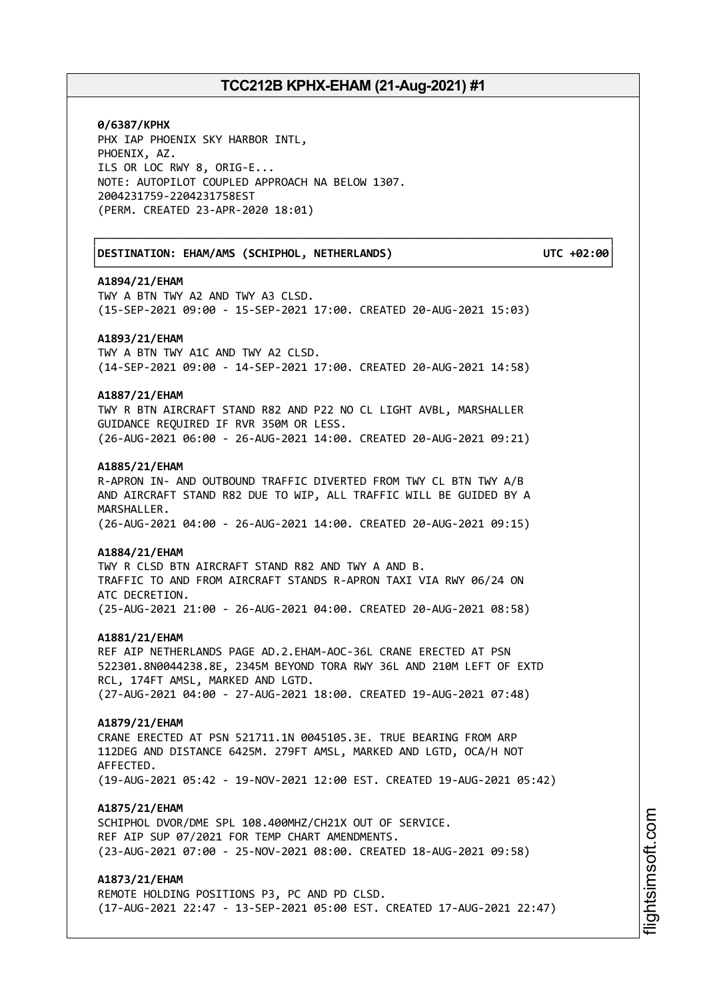┌──────────────────────────────────────────────────────────────────────────────┐

└──────────────────────────────────────────────────────────────────────────────┘

**0/6387/KPHX** PHX IAP PHOENIX SKY HARBOR INTL, PHOENIX, AZ. ILS OR LOC RWY 8, ORIG-E... NOTE: AUTOPILOT COUPLED APPROACH NA BELOW 1307. 2004231759-2204231758EST (PERM. CREATED 23-APR-2020 18:01)

│**DESTINATION: EHAM/AMS (SCHIPHOL, NETHERLANDS) UTC +02:00**│

#### **A1894/21/EHAM**

TWY A BTN TWY A2 AND TWY A3 CLSD. (15-SEP-2021 09:00 - 15-SEP-2021 17:00. CREATED 20-AUG-2021 15:03)

#### **A1893/21/EHAM**

TWY A BTN TWY A1C AND TWY A2 CLSD. (14-SEP-2021 09:00 - 14-SEP-2021 17:00. CREATED 20-AUG-2021 14:58)

### **A1887/21/EHAM**

TWY R BTN AIRCRAFT STAND R82 AND P22 NO CL LIGHT AVBL, MARSHALLER GUIDANCE REQUIRED IF RVR 350M OR LESS. (26-AUG-2021 06:00 - 26-AUG-2021 14:00. CREATED 20-AUG-2021 09:21)

### **A1885/21/EHAM**

R-APRON IN- AND OUTBOUND TRAFFIC DIVERTED FROM TWY CL BTN TWY A/B AND AIRCRAFT STAND R82 DUE TO WIP, ALL TRAFFIC WILL BE GUIDED BY A MARSHALLER. (26-AUG-2021 04:00 - 26-AUG-2021 14:00. CREATED 20-AUG-2021 09:15)

#### **A1884/21/EHAM**

TWY R CLSD BTN AIRCRAFT STAND R82 AND TWY A AND B. TRAFFIC TO AND FROM AIRCRAFT STANDS R-APRON TAXI VIA RWY 06/24 ON ATC DECRETION. (25-AUG-2021 21:00 - 26-AUG-2021 04:00. CREATED 20-AUG-2021 08:58)

#### **A1881/21/EHAM**

REF AIP NETHERLANDS PAGE AD.2.EHAM-AOC-36L CRANE ERECTED AT PSN 522301.8N0044238.8E, 2345M BEYOND TORA RWY 36L AND 210M LEFT OF EXTD RCL, 174FT AMSL, MARKED AND LGTD. (27-AUG-2021 04:00 - 27-AUG-2021 18:00. CREATED 19-AUG-2021 07:48)

#### **A1879/21/EHAM**

CRANE ERECTED AT PSN 521711.1N 0045105.3E. TRUE BEARING FROM ARP 112DEG AND DISTANCE 6425M. 279FT AMSL, MARKED AND LGTD, OCA/H NOT AFFECTED. (19-AUG-2021 05:42 - 19-NOV-2021 12:00 EST. CREATED 19-AUG-2021 05:42)

### **A1875/21/EHAM**

SCHIPHOL DVOR/DME SPL 108.400MHZ/CH21X OUT OF SERVICE. REF AIP SUP 07/2021 FOR TEMP CHART AMENDMENTS. (23-AUG-2021 07:00 - 25-NOV-2021 08:00. CREATED 18-AUG-2021 09:58)

## **A1873/21/EHAM**

REMOTE HOLDING POSITIONS P3, PC AND PD CLSD. (17-AUG-2021 22:47 - 13-SEP-2021 05:00 EST. CREATED 17-AUG-2021 22:47)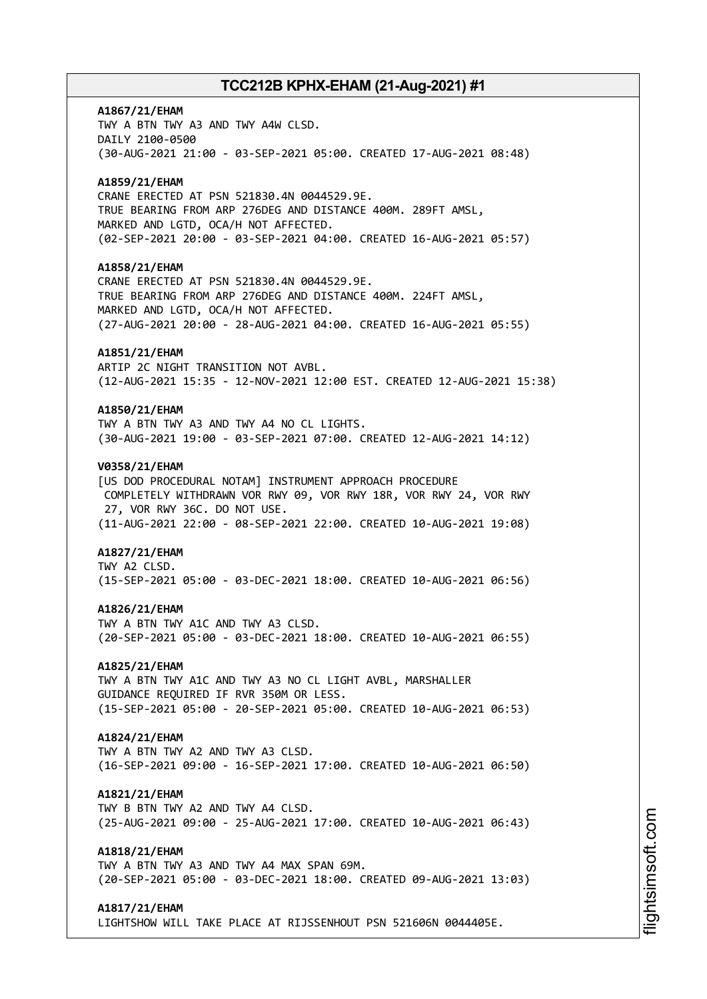# **A1867/21/EHAM** TWY A BTN TWY A3 AND TWY A4W CLSD. DAILY 2100-0500 (30-AUG-2021 21:00 - 03-SEP-2021 05:00. CREATED 17-AUG-2021 08:48) **A1859/21/EHAM** CRANE ERECTED AT PSN 521830.4N 0044529.9E. TRUE BEARING FROM ARP 276DEG AND DISTANCE 400M. 289FT AMSL, MARKED AND LGTD, OCA/H NOT AFFECTED. (02-SEP-2021 20:00 - 03-SEP-2021 04:00. CREATED 16-AUG-2021 05:57) **A1858/21/EHAM** CRANE ERECTED AT PSN 521830.4N 0044529.9E. TRUE BEARING FROM ARP 276DEG AND DISTANCE 400M. 224FT AMSL, MARKED AND LGTD, OCA/H NOT AFFECTED. (27-AUG-2021 20:00 - 28-AUG-2021 04:00. CREATED 16-AUG-2021 05:55) **A1851/21/EHAM** ARTIP 2C NIGHT TRANSITION NOT AVBL. (12-AUG-2021 15:35 - 12-NOV-2021 12:00 EST. CREATED 12-AUG-2021 15:38) **A1850/21/EHAM** TWY A BTN TWY A3 AND TWY A4 NO CL LIGHTS. (30-AUG-2021 19:00 - 03-SEP-2021 07:00. CREATED 12-AUG-2021 14:12) **V0358/21/EHAM** [US DOD PROCEDURAL NOTAM] INSTRUMENT APPROACH PROCEDURE COMPLETELY WITHDRAWN VOR RWY 09, VOR RWY 18R, VOR RWY 24, VOR RWY 27, VOR RWY 36C. DO NOT USE. (11-AUG-2021 22:00 - 08-SEP-2021 22:00. CREATED 10-AUG-2021 19:08) **A1827/21/EHAM** TWY A2 CLSD. (15-SEP-2021 05:00 - 03-DEC-2021 18:00. CREATED 10-AUG-2021 06:56) **A1826/21/EHAM** TWY A BTN TWY A1C AND TWY A3 CLSD. (20-SEP-2021 05:00 - 03-DEC-2021 18:00. CREATED 10-AUG-2021 06:55) **A1825/21/EHAM** TWY A BTN TWY A1C AND TWY A3 NO CL LIGHT AVBL, MARSHALLER GUIDANCE REQUIRED IF RVR 350M OR LESS. (15-SEP-2021 05:00 - 20-SEP-2021 05:00. CREATED 10-AUG-2021 06:53) **A1824/21/EHAM** TWY A BTN TWY A2 AND TWY A3 CLSD. (16-SEP-2021 09:00 - 16-SEP-2021 17:00. CREATED 10-AUG-2021 06:50) **A1821/21/EHAM** TWY B BTN TWY A2 AND TWY A4 CLSD. (25-AUG-2021 09:00 - 25-AUG-2021 17:00. CREATED 10-AUG-2021 06:43) **A1818/21/EHAM** TWY A BTN TWY A3 AND TWY A4 MAX SPAN 69M. (20-SEP-2021 05:00 - 03-DEC-2021 18:00. CREATED 09-AUG-2021 13:03) **A1817/21/EHAM**

LIGHTSHOW WILL TAKE PLACE AT RIJSSENHOUT PSN 521606N 0044405E.

i⊒<br>⊫ htsim soft.c o

m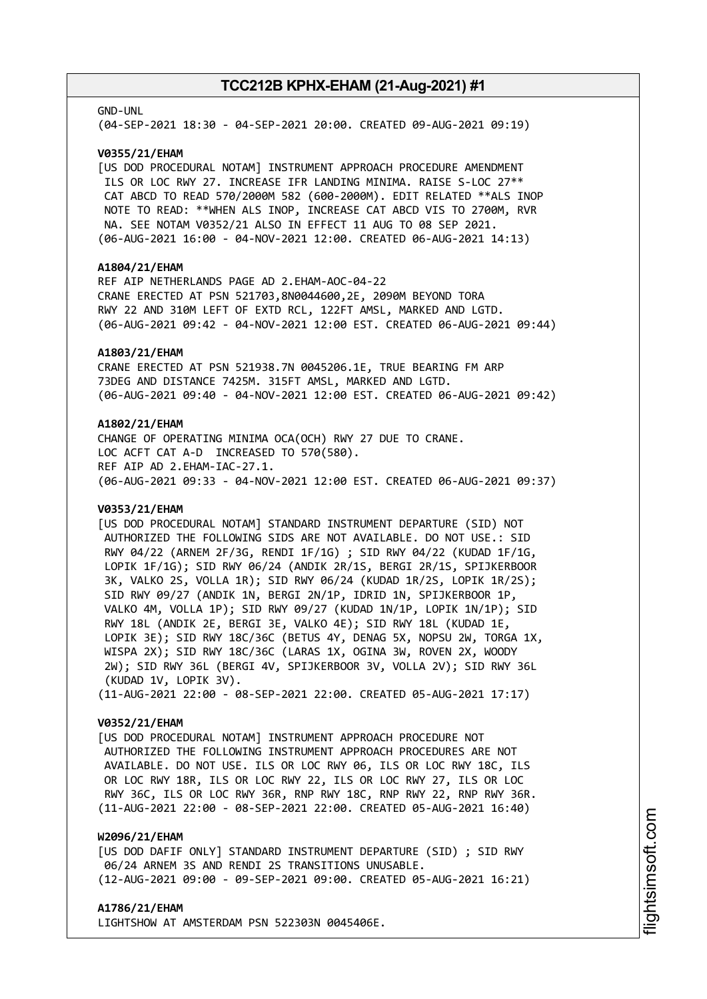#### GND-UNL

(04-SEP-2021 18:30 - 04-SEP-2021 20:00. CREATED 09-AUG-2021 09:19)

### **V0355/21/EHAM**

[US DOD PROCEDURAL NOTAM] INSTRUMENT APPROACH PROCEDURE AMENDMENT ILS OR LOC RWY 27. INCREASE IFR LANDING MINIMA. RAISE S-LOC 27\*\* CAT ABCD TO READ 570/2000M 582 (600-2000M). EDIT RELATED \*\*ALS INOP NOTE TO READ: \*\*WHEN ALS INOP, INCREASE CAT ABCD VIS TO 2700M, RVR NA. SEE NOTAM V0352/21 ALSO IN EFFECT 11 AUG TO 08 SEP 2021. (06-AUG-2021 16:00 - 04-NOV-2021 12:00. CREATED 06-AUG-2021 14:13)

### **A1804/21/EHAM**

REF AIP NETHERLANDS PAGE AD 2.EHAM-AOC-04-22 CRANE ERECTED AT PSN 521703,8N0044600,2E, 2090M BEYOND TORA RWY 22 AND 310M LEFT OF EXTD RCL, 122FT AMSL, MARKED AND LGTD. (06-AUG-2021 09:42 - 04-NOV-2021 12:00 EST. CREATED 06-AUG-2021 09:44)

### **A1803/21/EHAM**

CRANE ERECTED AT PSN 521938.7N 0045206.1E, TRUE BEARING FM ARP 73DEG AND DISTANCE 7425M. 315FT AMSL, MARKED AND LGTD. (06-AUG-2021 09:40 - 04-NOV-2021 12:00 EST. CREATED 06-AUG-2021 09:42)

### **A1802/21/EHAM**

CHANGE OF OPERATING MINIMA OCA(OCH) RWY 27 DUE TO CRANE. LOC ACFT CAT A-D INCREASED TO 570(580). REF AIP AD 2.EHAM-IAC-27.1. (06-AUG-2021 09:33 - 04-NOV-2021 12:00 EST. CREATED 06-AUG-2021 09:37)

### **V0353/21/EHAM**

[US DOD PROCEDURAL NOTAM] STANDARD INSTRUMENT DEPARTURE (SID) NOT AUTHORIZED THE FOLLOWING SIDS ARE NOT AVAILABLE. DO NOT USE.: SID RWY 04/22 (ARNEM 2F/3G, RENDI 1F/1G) ; SID RWY 04/22 (KUDAD 1F/1G, LOPIK 1F/1G); SID RWY 06/24 (ANDIK 2R/1S, BERGI 2R/1S, SPIJKERBOOR 3K, VALKO 2S, VOLLA 1R); SID RWY 06/24 (KUDAD 1R/2S, LOPIK 1R/2S); SID RWY 09/27 (ANDIK 1N, BERGI 2N/1P, IDRID 1N, SPIJKERBOOR 1P, VALKO 4M, VOLLA 1P); SID RWY 09/27 (KUDAD 1N/1P, LOPIK 1N/1P); SID RWY 18L (ANDIK 2E, BERGI 3E, VALKO 4E); SID RWY 18L (KUDAD 1E, LOPIK 3E); SID RWY 18C/36C (BETUS 4Y, DENAG 5X, NOPSU 2W, TORGA 1X, WISPA 2X); SID RWY 18C/36C (LARAS 1X, OGINA 3W, ROVEN 2X, WOODY 2W); SID RWY 36L (BERGI 4V, SPIJKERBOOR 3V, VOLLA 2V); SID RWY 36L (KUDAD 1V, LOPIK 3V). (11-AUG-2021 22:00 - 08-SEP-2021 22:00. CREATED 05-AUG-2021 17:17)

### **V0352/21/EHAM**

[US DOD PROCEDURAL NOTAM] INSTRUMENT APPROACH PROCEDURE NOT AUTHORIZED THE FOLLOWING INSTRUMENT APPROACH PROCEDURES ARE NOT AVAILABLE. DO NOT USE. ILS OR LOC RWY 06, ILS OR LOC RWY 18C, ILS OR LOC RWY 18R, ILS OR LOC RWY 22, ILS OR LOC RWY 27, ILS OR LOC RWY 36C, ILS OR LOC RWY 36R, RNP RWY 18C, RNP RWY 22, RNP RWY 36R. (11-AUG-2021 22:00 - 08-SEP-2021 22:00. CREATED 05-AUG-2021 16:40)

### **W2096/21/EHAM**

[US DOD DAFIF ONLY] STANDARD INSTRUMENT DEPARTURE (SID) ; SID RWY 06/24 ARNEM 3S AND RENDI 2S TRANSITIONS UNUSABLE. (12-AUG-2021 09:00 - 09-SEP-2021 09:00. CREATED 05-AUG-2021 16:21)

#### **A1786/21/EHAM**

LIGHTSHOW AT AMSTERDAM PSN 522303N 0045406E.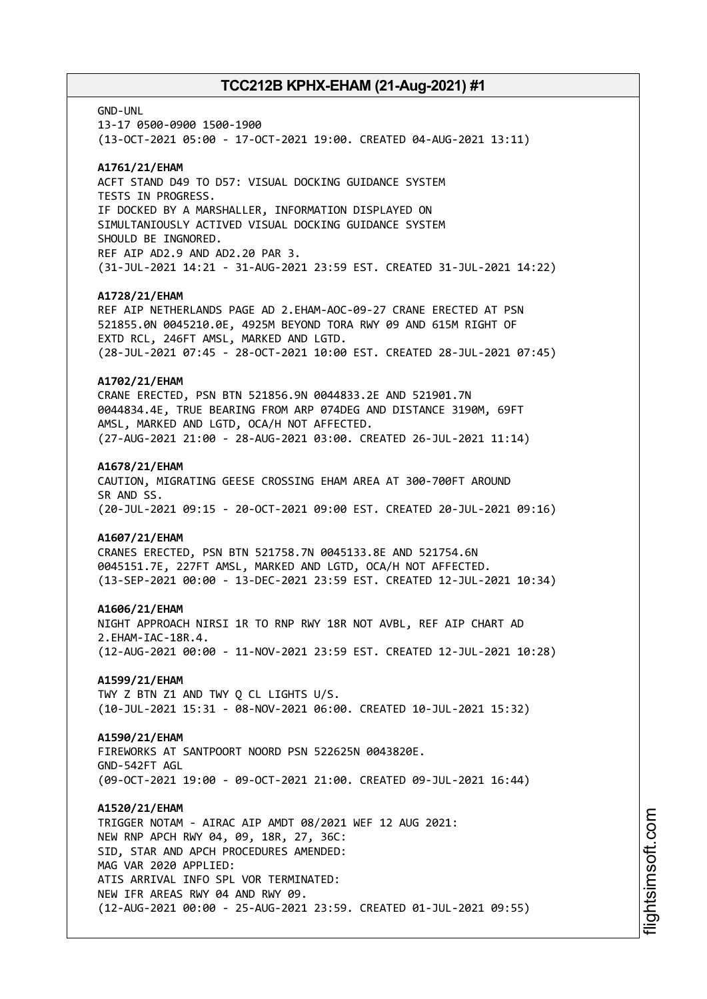GND-UNL

13-17 0500-0900 1500-1900 (13-OCT-2021 05:00 - 17-OCT-2021 19:00. CREATED 04-AUG-2021 13:11)

### **A1761/21/EHAM**

ACFT STAND D49 TO D57: VISUAL DOCKING GUIDANCE SYSTEM TESTS IN PROGRESS. IF DOCKED BY A MARSHALLER, INFORMATION DISPLAYED ON SIMULTANIOUSLY ACTIVED VISUAL DOCKING GUIDANCE SYSTEM SHOULD BE INGNORED. REF AIP AD2.9 AND AD2.20 PAR 3. (31-JUL-2021 14:21 - 31-AUG-2021 23:59 EST. CREATED 31-JUL-2021 14:22)

### **A1728/21/EHAM**

REF AIP NETHERLANDS PAGE AD 2.EHAM-AOC-09-27 CRANE ERECTED AT PSN 521855.0N 0045210.0E, 4925M BEYOND TORA RWY 09 AND 615M RIGHT OF EXTD RCL, 246FT AMSL, MARKED AND LGTD. (28-JUL-2021 07:45 - 28-OCT-2021 10:00 EST. CREATED 28-JUL-2021 07:45)

### **A1702/21/EHAM**

CRANE ERECTED, PSN BTN 521856.9N 0044833.2E AND 521901.7N 0044834.4E, TRUE BEARING FROM ARP 074DEG AND DISTANCE 3190M, 69FT AMSL, MARKED AND LGTD, OCA/H NOT AFFECTED. (27-AUG-2021 21:00 - 28-AUG-2021 03:00. CREATED 26-JUL-2021 11:14)

#### **A1678/21/EHAM**

CAUTION, MIGRATING GEESE CROSSING EHAM AREA AT 300-700FT AROUND SR AND SS. (20-JUL-2021 09:15 - 20-OCT-2021 09:00 EST. CREATED 20-JUL-2021 09:16)

### **A1607/21/EHAM**

CRANES ERECTED, PSN BTN 521758.7N 0045133.8E AND 521754.6N 0045151.7E, 227FT AMSL, MARKED AND LGTD, OCA/H NOT AFFECTED. (13-SEP-2021 00:00 - 13-DEC-2021 23:59 EST. CREATED 12-JUL-2021 10:34)

### **A1606/21/EHAM**

NIGHT APPROACH NIRSI 1R TO RNP RWY 18R NOT AVBL, REF AIP CHART AD 2.EHAM-IAC-18R.4. (12-AUG-2021 00:00 - 11-NOV-2021 23:59 EST. CREATED 12-JUL-2021 10:28)

# **A1599/21/EHAM**

TWY Z BTN Z1 AND TWY Q CL LIGHTS U/S. (10-JUL-2021 15:31 - 08-NOV-2021 06:00. CREATED 10-JUL-2021 15:32)

### **A1590/21/EHAM**

FIREWORKS AT SANTPOORT NOORD PSN 522625N 0043820E. GND-542FT AGL (09-OCT-2021 19:00 - 09-OCT-2021 21:00. CREATED 09-JUL-2021 16:44)

### **A1520/21/EHAM**

TRIGGER NOTAM - AIRAC AIP AMDT 08/2021 WEF 12 AUG 2021: NEW RNP APCH RWY 04, 09, 18R, 27, 36C: SID, STAR AND APCH PROCEDURES AMENDED: MAG VAR 2020 APPLIED: ATIS ARRIVAL INFO SPL VOR TERMINATED: NEW IFR AREAS RWY 04 AND RWY 09. (12-AUG-2021 00:00 - 25-AUG-2021 23:59. CREATED 01-JUL-2021 09:55)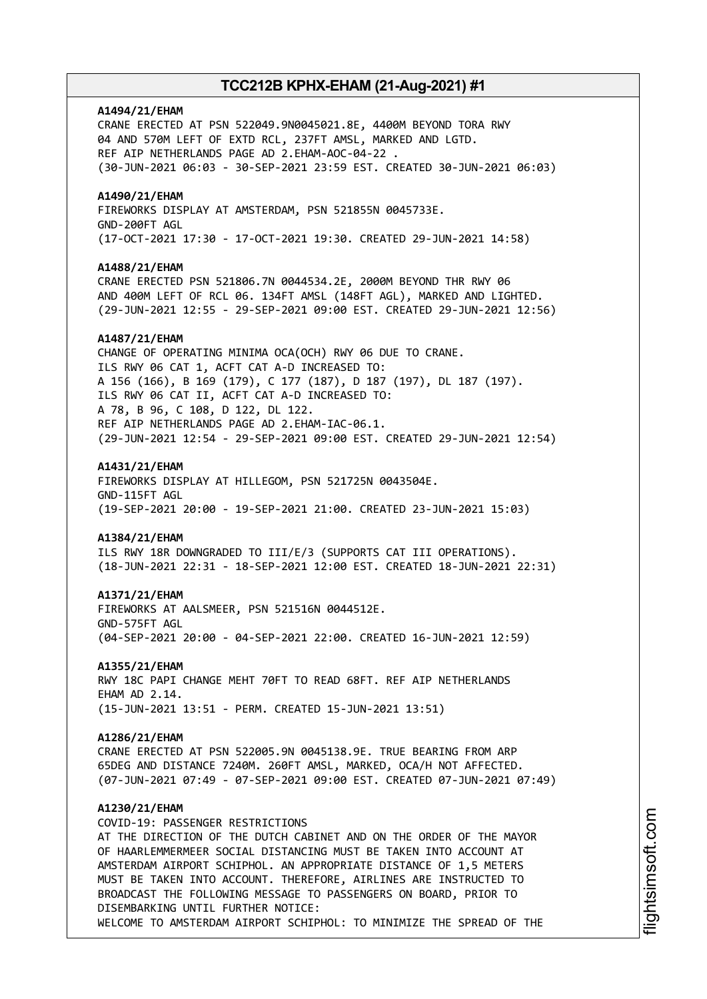### **A1494/21/EHAM**

CRANE ERECTED AT PSN 522049.9N0045021.8E, 4400M BEYOND TORA RWY 04 AND 570M LEFT OF EXTD RCL, 237FT AMSL, MARKED AND LGTD. REF AIP NETHERLANDS PAGE AD 2.EHAM-AOC-04-22 . (30-JUN-2021 06:03 - 30-SEP-2021 23:59 EST. CREATED 30-JUN-2021 06:03)

### **A1490/21/EHAM**

FIREWORKS DISPLAY AT AMSTERDAM, PSN 521855N 0045733E. GND-200FT AGL (17-OCT-2021 17:30 - 17-OCT-2021 19:30. CREATED 29-JUN-2021 14:58)

#### **A1488/21/EHAM**

CRANE ERECTED PSN 521806.7N 0044534.2E, 2000M BEYOND THR RWY 06 AND 400M LEFT OF RCL 06. 134FT AMSL (148FT AGL), MARKED AND LIGHTED. (29-JUN-2021 12:55 - 29-SEP-2021 09:00 EST. CREATED 29-JUN-2021 12:56)

### **A1487/21/EHAM**

CHANGE OF OPERATING MINIMA OCA(OCH) RWY 06 DUE TO CRANE. ILS RWY 06 CAT 1, ACFT CAT A-D INCREASED TO: A 156 (166), B 169 (179), C 177 (187), D 187 (197), DL 187 (197). ILS RWY 06 CAT II, ACFT CAT A-D INCREASED TO: A 78, B 96, C 108, D 122, DL 122. REF AIP NETHERLANDS PAGE AD 2.EHAM-IAC-06.1. (29-JUN-2021 12:54 - 29-SEP-2021 09:00 EST. CREATED 29-JUN-2021 12:54)

#### **A1431/21/EHAM**

FIREWORKS DISPLAY AT HILLEGOM, PSN 521725N 0043504E. GND-115FT AGL (19-SEP-2021 20:00 - 19-SEP-2021 21:00. CREATED 23-JUN-2021 15:03)

#### **A1384/21/EHAM**

ILS RWY 18R DOWNGRADED TO III/E/3 (SUPPORTS CAT III OPERATIONS). (18-JUN-2021 22:31 - 18-SEP-2021 12:00 EST. CREATED 18-JUN-2021 22:31)

#### **A1371/21/EHAM**

FIREWORKS AT AALSMEER, PSN 521516N 0044512E. GND-575FT AGL (04-SEP-2021 20:00 - 04-SEP-2021 22:00. CREATED 16-JUN-2021 12:59)

#### **A1355/21/EHAM**

RWY 18C PAPI CHANGE MEHT 70FT TO READ 68FT. REF AIP NETHERLANDS EHAM AD 2.14. (15-JUN-2021 13:51 - PERM. CREATED 15-JUN-2021 13:51)

#### **A1286/21/EHAM**

CRANE ERECTED AT PSN 522005.9N 0045138.9E. TRUE BEARING FROM ARP 65DEG AND DISTANCE 7240M. 260FT AMSL, MARKED, OCA/H NOT AFFECTED. (07-JUN-2021 07:49 - 07-SEP-2021 09:00 EST. CREATED 07-JUN-2021 07:49)

### **A1230/21/EHAM**

COVID-19: PASSENGER RESTRICTIONS AT THE DIRECTION OF THE DUTCH CABINET AND ON THE ORDER OF THE MAYOR OF HAARLEMMERMEER SOCIAL DISTANCING MUST BE TAKEN INTO ACCOUNT AT AMSTERDAM AIRPORT SCHIPHOL. AN APPROPRIATE DISTANCE OF 1,5 METERS MUST BE TAKEN INTO ACCOUNT. THEREFORE, AIRLINES ARE INSTRUCTED TO BROADCAST THE FOLLOWING MESSAGE TO PASSENGERS ON BOARD, PRIOR TO DISEMBARKING UNTIL FURTHER NOTICE: WELCOME TO AMSTERDAM AIRPORT SCHIPHOL: TO MINIMIZE THE SPREAD OF THE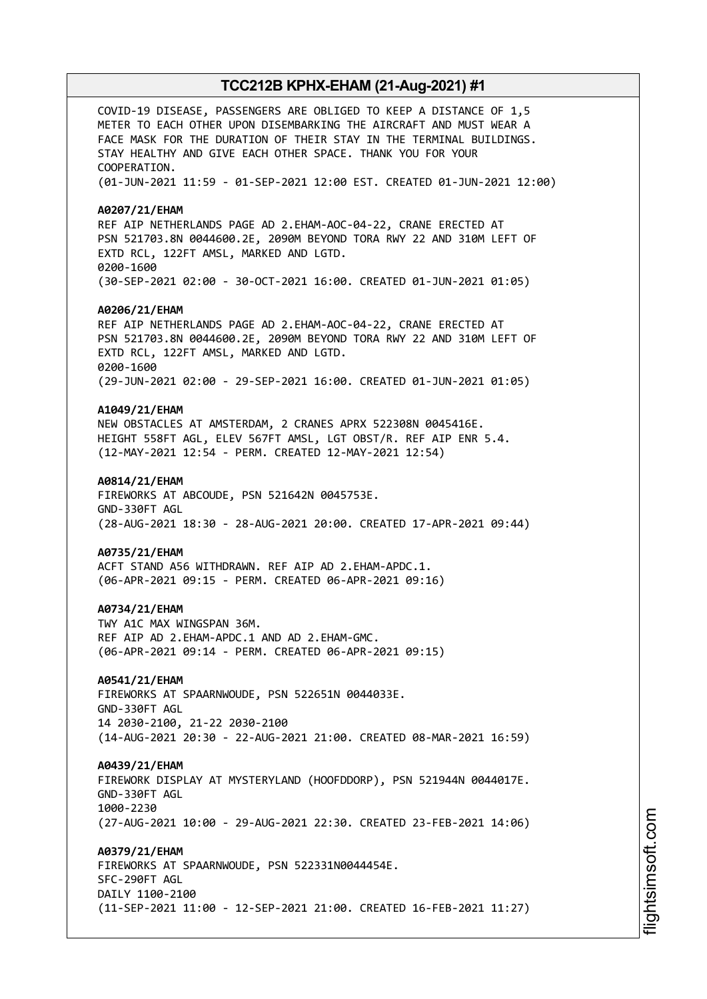COVID-19 DISEASE, PASSENGERS ARE OBLIGED TO KEEP A DISTANCE OF 1,5 METER TO EACH OTHER UPON DISEMBARKING THE AIRCRAFT AND MUST WEAR A FACE MASK FOR THE DURATION OF THEIR STAY IN THE TERMINAL BUILDINGS. STAY HEALTHY AND GIVE EACH OTHER SPACE. THANK YOU FOR YOUR COOPERATION. (01-JUN-2021 11:59 - 01-SEP-2021 12:00 EST. CREATED 01-JUN-2021 12:00) **A0207/21/EHAM** REF AIP NETHERLANDS PAGE AD 2.EHAM-AOC-04-22, CRANE ERECTED AT PSN 521703.8N 0044600.2E, 2090M BEYOND TORA RWY 22 AND 310M LEFT OF EXTD RCL, 122FT AMSL, MARKED AND LGTD. 0200-1600 (30-SEP-2021 02:00 - 30-OCT-2021 16:00. CREATED 01-JUN-2021 01:05) **A0206/21/EHAM** REF AIP NETHERLANDS PAGE AD 2.EHAM-AOC-04-22, CRANE ERECTED AT PSN 521703.8N 0044600.2E, 2090M BEYOND TORA RWY 22 AND 310M LEFT OF EXTD RCL, 122FT AMSL, MARKED AND LGTD. 0200-1600 (29-JUN-2021 02:00 - 29-SEP-2021 16:00. CREATED 01-JUN-2021 01:05) **A1049/21/EHAM** NEW OBSTACLES AT AMSTERDAM, 2 CRANES APRX 522308N 0045416E. HEIGHT 558FT AGL, ELEV 567FT AMSL, LGT OBST/R. REF AIP ENR 5.4. (12-MAY-2021 12:54 - PERM. CREATED 12-MAY-2021 12:54) **A0814/21/EHAM** FIREWORKS AT ABCOUDE, PSN 521642N 0045753E. GND-330FT AGL (28-AUG-2021 18:30 - 28-AUG-2021 20:00. CREATED 17-APR-2021 09:44) **A0735/21/EHAM** ACFT STAND A56 WITHDRAWN. REF AIP AD 2.EHAM-APDC.1. (06-APR-2021 09:15 - PERM. CREATED 06-APR-2021 09:16) **A0734/21/EHAM** TWY A1C MAX WINGSPAN 36M. REF AIP AD 2.EHAM-APDC.1 AND AD 2.EHAM-GMC. (06-APR-2021 09:14 - PERM. CREATED 06-APR-2021 09:15) **A0541/21/EHAM** FIREWORKS AT SPAARNWOUDE, PSN 522651N 0044033E. GND-330FT AGL 14 2030-2100, 21-22 2030-2100 (14-AUG-2021 20:30 - 22-AUG-2021 21:00. CREATED 08-MAR-2021 16:59) **A0439/21/EHAM** FIREWORK DISPLAY AT MYSTERYLAND (HOOFDDORP), PSN 521944N 0044017E. GND-330FT AGL 1000-2230 (27-AUG-2021 10:00 - 29-AUG-2021 22:30. CREATED 23-FEB-2021 14:06) **A0379/21/EHAM** FIREWORKS AT SPAARNWOUDE, PSN 522331N0044454E. SFC-290FT AGL DAILY 1100-2100 (11-SEP-2021 11:00 - 12-SEP-2021 21:00. CREATED 16-FEB-2021 11:27)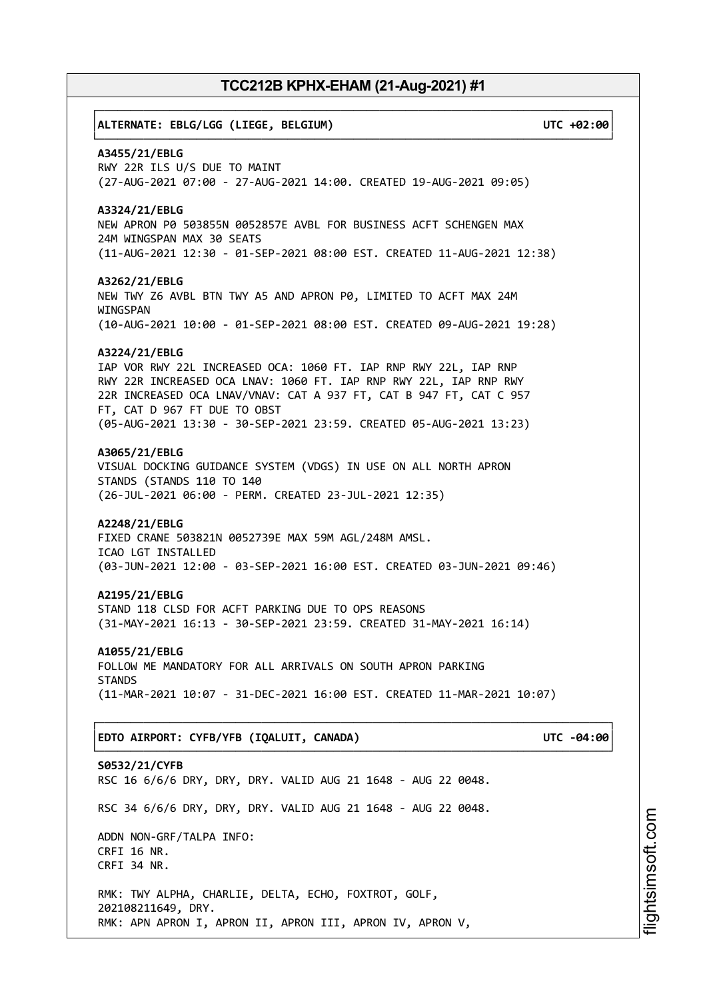# ┌──────────────────────────────────────────────────────────────────────────────┐ │**ALTERNATE: EBLG/LGG (LIEGE, BELGIUM) UTC +02:00**│ └──────────────────────────────────────────────────────────────────────────────┘ **A3455/21/EBLG** RWY 22R ILS U/S DUE TO MAINT (27-AUG-2021 07:00 - 27-AUG-2021 14:00. CREATED 19-AUG-2021 09:05) **A3324/21/EBLG** NEW APRON P0 503855N 0052857E AVBL FOR BUSINESS ACFT SCHENGEN MAX 24M WINGSPAN MAX 30 SEATS (11-AUG-2021 12:30 - 01-SEP-2021 08:00 EST. CREATED 11-AUG-2021 12:38) **A3262/21/EBLG** NEW TWY Z6 AVBL BTN TWY A5 AND APRON P0, LIMITED TO ACFT MAX 24M WINGSPAN (10-AUG-2021 10:00 - 01-SEP-2021 08:00 EST. CREATED 09-AUG-2021 19:28) **A3224/21/EBLG** IAP VOR RWY 22L INCREASED OCA: 1060 FT. IAP RNP RWY 22L, IAP RNP RWY 22R INCREASED OCA LNAV: 1060 FT. IAP RNP RWY 22L, IAP RNP RWY 22R INCREASED OCA LNAV/VNAV: CAT A 937 FT, CAT B 947 FT, CAT C 957 FT, CAT D 967 FT DUE TO OBST (05-AUG-2021 13:30 - 30-SEP-2021 23:59. CREATED 05-AUG-2021 13:23) **A3065/21/EBLG** VISUAL DOCKING GUIDANCE SYSTEM (VDGS) IN USE ON ALL NORTH APRON STANDS (STANDS 110 TO 140 (26-JUL-2021 06:00 - PERM. CREATED 23-JUL-2021 12:35) **A2248/21/EBLG** FIXED CRANE 503821N 0052739E MAX 59M AGL/248M AMSL. ICAO LGT INSTALLED (03-JUN-2021 12:00 - 03-SEP-2021 16:00 EST. CREATED 03-JUN-2021 09:46) **A2195/21/EBLG** STAND 118 CLSD FOR ACFT PARKING DUE TO OPS REASONS (31-MAY-2021 16:13 - 30-SEP-2021 23:59. CREATED 31-MAY-2021 16:14) **A1055/21/EBLG** FOLLOW ME MANDATORY FOR ALL ARRIVALS ON SOUTH APRON PARKING **STANDS** (11-MAR-2021 10:07 - 31-DEC-2021 16:00 EST. CREATED 11-MAR-2021 10:07) ┌──────────────────────────────────────────────────────────────────────────────┐ │**EDTO AIRPORT: CYFB/YFB (IQALUIT, CANADA) UTC -04:00**│ └──────────────────────────────────────────────────────────────────────────────┘ **S0532/21/CYFB** RSC 16 6/6/6 DRY, DRY, DRY. VALID AUG 21 1648 - AUG 22 0048. RSC 34 6/6/6 DRY, DRY, DRY. VALID AUG 21 1648 - AUG 22 0048. ADDN NON-GRF/TALPA INFO: CRFI 16 NR. CRFI 34 NR. RMK: TWY ALPHA, CHARLIE, DELTA, ECHO, FOXTROT, GOLF, 202108211649, DRY. RMK: APN APRON I, APRON II, APRON III, APRON IV, APRON V,

i⊒<br>⊫ htsim soft.c om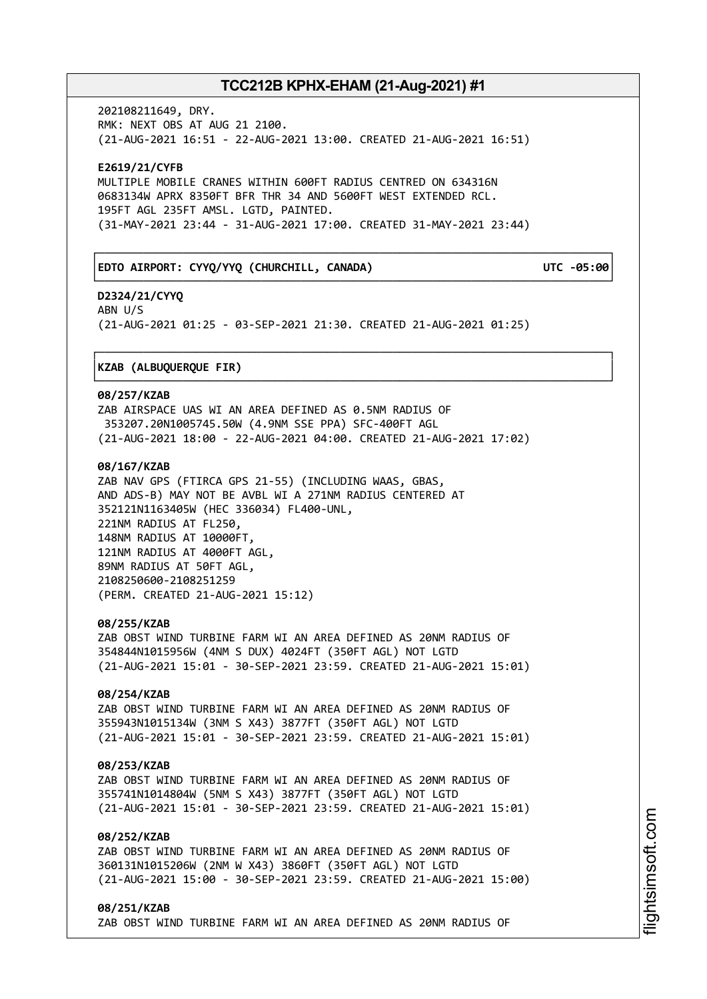┌──────────────────────────────────────────────────────────────────────────────┐

└──────────────────────────────────────────────────────────────────────────────┘

└──────────────────────────────────────────────────────────────────────────────┘

202108211649, DRY. RMK: NEXT OBS AT AUG 21 2100. (21-AUG-2021 16:51 - 22-AUG-2021 13:00. CREATED 21-AUG-2021 16:51)

**E2619/21/CYFB** MULTIPLE MOBILE CRANES WITHIN 600FT RADIUS CENTRED ON 634316N 0683134W APRX 8350FT BFR THR 34 AND 5600FT WEST EXTENDED RCL. 195FT AGL 235FT AMSL. LGTD, PAINTED. (31-MAY-2021 23:44 - 31-AUG-2021 17:00. CREATED 31-MAY-2021 23:44)

### │**EDTO AIRPORT: CYYQ/YYQ (CHURCHILL, CANADA) UTC -05:00**│

**D2324/21/CYYQ** ABN U/S (21-AUG-2021 01:25 - 03-SEP-2021 21:30. CREATED 21-AUG-2021 01:25)

### ┌──────────────────────────────────────────────────────────────────────────────┐ │**KZAB (ALBUQUERQUE FIR)** │

### **08/257/KZAB**

ZAB AIRSPACE UAS WI AN AREA DEFINED AS 0.5NM RADIUS OF 353207.20N1005745.50W (4.9NM SSE PPA) SFC-400FT AGL (21-AUG-2021 18:00 - 22-AUG-2021 04:00. CREATED 21-AUG-2021 17:02)

### **08/167/KZAB**

ZAB NAV GPS (FTIRCA GPS 21-55) (INCLUDING WAAS, GBAS, AND ADS-B) MAY NOT BE AVBL WI A 271NM RADIUS CENTERED AT 352121N1163405W (HEC 336034) FL400-UNL, 221NM RADIUS AT FL250, 148NM RADIUS AT 10000FT, 121NM RADIUS AT 4000FT AGL, 89NM RADIUS AT 50FT AGL, 2108250600-2108251259 (PERM. CREATED 21-AUG-2021 15:12)

### **08/255/KZAB**

ZAB OBST WIND TURBINE FARM WI AN AREA DEFINED AS 20NM RADIUS OF 354844N1015956W (4NM S DUX) 4024FT (350FT AGL) NOT LGTD (21-AUG-2021 15:01 - 30-SEP-2021 23:59. CREATED 21-AUG-2021 15:01)

### **08/254/KZAB**

ZAB OBST WIND TURBINE FARM WI AN AREA DEFINED AS 20NM RADIUS OF 355943N1015134W (3NM S X43) 3877FT (350FT AGL) NOT LGTD (21-AUG-2021 15:01 - 30-SEP-2021 23:59. CREATED 21-AUG-2021 15:01)

### **08/253/KZAB**

ZAB OBST WIND TURBINE FARM WI AN AREA DEFINED AS 20NM RADIUS OF 355741N1014804W (5NM S X43) 3877FT (350FT AGL) NOT LGTD (21-AUG-2021 15:01 - 30-SEP-2021 23:59. CREATED 21-AUG-2021 15:01)

### **08/252/KZAB**

ZAB OBST WIND TURBINE FARM WI AN AREA DEFINED AS 20NM RADIUS OF 360131N1015206W (2NM W X43) 3860FT (350FT AGL) NOT LGTD (21-AUG-2021 15:00 - 30-SEP-2021 23:59. CREATED 21-AUG-2021 15:00)

**08/251/KZAB** ZAB OBST WIND TURBINE FARM WI AN AREA DEFINED AS 20NM RADIUS OF i⊒<br>⊫ htsim soft.c om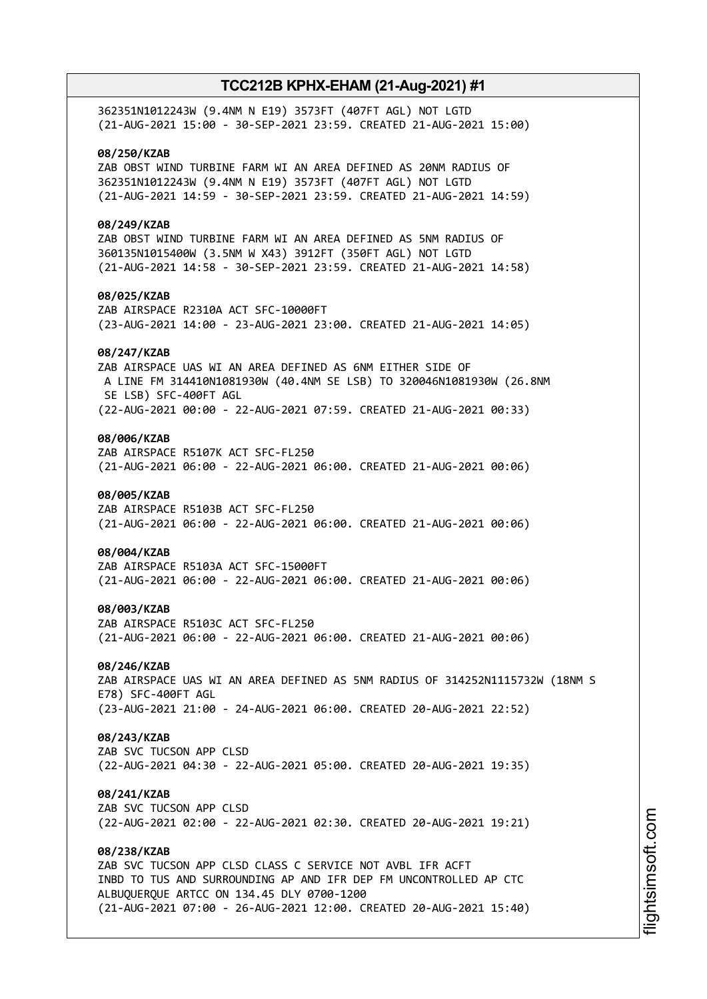| 362351N1012243W (9.4NM N E19) 3573FT (407FT AGL) NOT LGTD<br>(21-AUG-2021 15:00 - 30-SEP-2021 23:59. CREATED 21-AUG-2021 15:00)                                                                                                                                  |
|------------------------------------------------------------------------------------------------------------------------------------------------------------------------------------------------------------------------------------------------------------------|
| 08/250/KZAB<br>ZAB OBST WIND TURBINE FARM WI AN AREA DEFINED AS 20NM RADIUS OF<br>362351N1012243W (9.4NM N E19) 3573FT (407FT AGL) NOT LGTD<br>(21-AUG-2021 14:59 - 30-SEP-2021 23:59. CREATED 21-AUG-2021 14:59)                                                |
| 08/249/KZAB<br>ZAB OBST WIND TURBINE FARM WI AN AREA DEFINED AS 5NM RADIUS OF<br>360135N1015400W (3.5NM W X43) 3912FT (350FT AGL) NOT LGTD<br>(21-AUG-2021 14:58 - 30-SEP-2021 23:59. CREATED 21-AUG-2021 14:58)                                                 |
| 08/025/KZAB<br>ZAB AIRSPACE R2310A ACT SFC-10000FT<br>(23-AUG-2021 14:00 - 23-AUG-2021 23:00. CREATED 21-AUG-2021 14:05)                                                                                                                                         |
| 08/247/KZAB<br>ZAB AIRSPACE UAS WI AN AREA DEFINED AS 6NM EITHER SIDE OF<br>A LINE FM 314410N1081930W (40.4NM SE LSB) TO 320046N1081930W (26.8NM<br>SE LSB) SFC-400FT AGL                                                                                        |
| (22-AUG-2021 00:00 - 22-AUG-2021 07:59. CREATED 21-AUG-2021 00:33)<br>08/006/KZAB                                                                                                                                                                                |
| ZAB AIRSPACE R5107K ACT SFC-FL250<br>(21-AUG-2021 06:00 - 22-AUG-2021 06:00. CREATED 21-AUG-2021 00:06)                                                                                                                                                          |
| 08/005/KZAB<br>ZAB AIRSPACE R5103B ACT SFC-FL250<br>(21-AUG-2021 06:00 - 22-AUG-2021 06:00. CREATED 21-AUG-2021 00:06)                                                                                                                                           |
| 08/004/KZAB<br>ZAB AIRSPACE R5103A ACT SFC-15000FT<br>(21-AUG-2021 06:00 - 22-AUG-2021 06:00. CREATED 21-AUG-2021 00:06)                                                                                                                                         |
| 08/003/KZAB<br>ZAB AIRSPACE R5103C ACT SFC-FL250<br>(21-AUG-2021 06:00 - 22-AUG-2021 06:00. CREATED 21-AUG-2021 00:06)                                                                                                                                           |
| 08/246/KZAB<br>ZAB AIRSPACE UAS WI AN AREA DEFINED AS 5NM RADIUS OF 314252N1115732W (18NM S<br>E78) SFC-400FT AGL                                                                                                                                                |
| (23-AUG-2021 21:00 - 24-AUG-2021 06:00. CREATED 20-AUG-2021 22:52)                                                                                                                                                                                               |
| 08/243/KZAB<br>ZAB SVC TUCSON APP CLSD<br>(22-AUG-2021 04:30 - 22-AUG-2021 05:00. CREATED 20-AUG-2021 19:35)                                                                                                                                                     |
| 08/241/KZAB<br>ZAB SVC TUCSON APP CLSD<br>(22-AUG-2021 02:00 - 22-AUG-2021 02:30. CREATED 20-AUG-2021 19:21)                                                                                                                                                     |
| 08/238/KZAB<br>ZAB SVC TUCSON APP CLSD CLASS C SERVICE NOT AVBL IFR ACFT<br>INBD TO TUS AND SURROUNDING AP AND IFR DEP FM UNCONTROLLED AP CTC<br>ALBUQUERQUE ARTCC ON 134.45 DLY 0700-1200<br>(21-AUG-2021 07:00 - 26-AUG-2021 12:00. CREATED 20-AUG-2021 15:40) |
|                                                                                                                                                                                                                                                                  |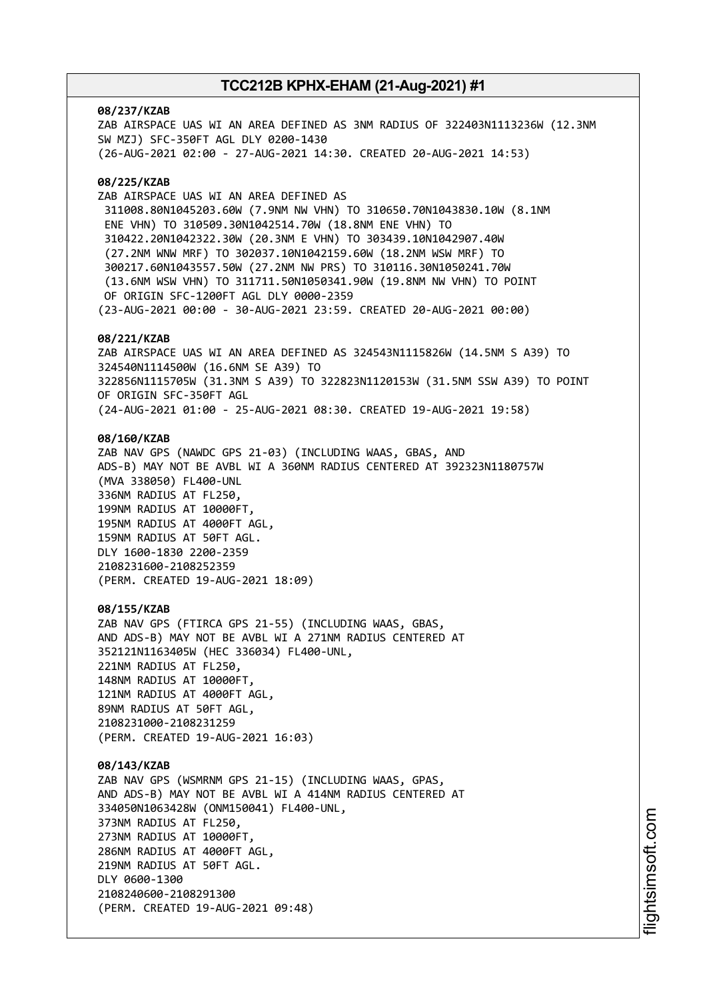### **08/237/KZAB**

ZAB AIRSPACE UAS WI AN AREA DEFINED AS 3NM RADIUS OF 322403N1113236W (12.3NM SW MZJ) SFC-350FT AGL DLY 0200-1430 (26-AUG-2021 02:00 - 27-AUG-2021 14:30. CREATED 20-AUG-2021 14:53)

### **08/225/KZAB**

ZAB AIRSPACE UAS WI AN AREA DEFINED AS 311008.80N1045203.60W (7.9NM NW VHN) TO 310650.70N1043830.10W (8.1NM ENE VHN) TO 310509.30N1042514.70W (18.8NM ENE VHN) TO 310422.20N1042322.30W (20.3NM E VHN) TO 303439.10N1042907.40W (27.2NM WNW MRF) TO 302037.10N1042159.60W (18.2NM WSW MRF) TO 300217.60N1043557.50W (27.2NM NW PRS) TO 310116.30N1050241.70W (13.6NM WSW VHN) TO 311711.50N1050341.90W (19.8NM NW VHN) TO POINT OF ORIGIN SFC-1200FT AGL DLY 0000-2359 (23-AUG-2021 00:00 - 30-AUG-2021 23:59. CREATED 20-AUG-2021 00:00)

### **08/221/KZAB**

ZAB AIRSPACE UAS WI AN AREA DEFINED AS 324543N1115826W (14.5NM S A39) TO 324540N1114500W (16.6NM SE A39) TO 322856N1115705W (31.3NM S A39) TO 322823N1120153W (31.5NM SSW A39) TO POINT OF ORIGIN SFC-350FT AGL (24-AUG-2021 01:00 - 25-AUG-2021 08:30. CREATED 19-AUG-2021 19:58)

### **08/160/KZAB**

ZAB NAV GPS (NAWDC GPS 21-03) (INCLUDING WAAS, GBAS, AND ADS-B) MAY NOT BE AVBL WI A 360NM RADIUS CENTERED AT 392323N1180757W (MVA 338050) FL400-UNL 336NM RADIUS AT FL250, 199NM RADIUS AT 10000FT, 195NM RADIUS AT 4000FT AGL, 159NM RADIUS AT 50FT AGL. DLY 1600-1830 2200-2359 2108231600-2108252359 (PERM. CREATED 19-AUG-2021 18:09)

#### **08/155/KZAB**

ZAB NAV GPS (FTIRCA GPS 21-55) (INCLUDING WAAS, GBAS, AND ADS-B) MAY NOT BE AVBL WI A 271NM RADIUS CENTERED AT 352121N1163405W (HEC 336034) FL400-UNL, 221NM RADIUS AT FL250, 148NM RADIUS AT 10000FT, 121NM RADIUS AT 4000FT AGL, 89NM RADIUS AT 50FT AGL, 2108231000-2108231259 (PERM. CREATED 19-AUG-2021 16:03)

### **08/143/KZAB**

ZAB NAV GPS (WSMRNM GPS 21-15) (INCLUDING WAAS, GPAS, AND ADS-B) MAY NOT BE AVBL WI A 414NM RADIUS CENTERED AT 334050N1063428W (ONM150041) FL400-UNL, 373NM RADIUS AT FL250, 273NM RADIUS AT 10000FT, 286NM RADIUS AT 4000FT AGL, 219NM RADIUS AT 50FT AGL. DLY 0600-1300 2108240600-2108291300 (PERM. CREATED 19-AUG-2021 09:48)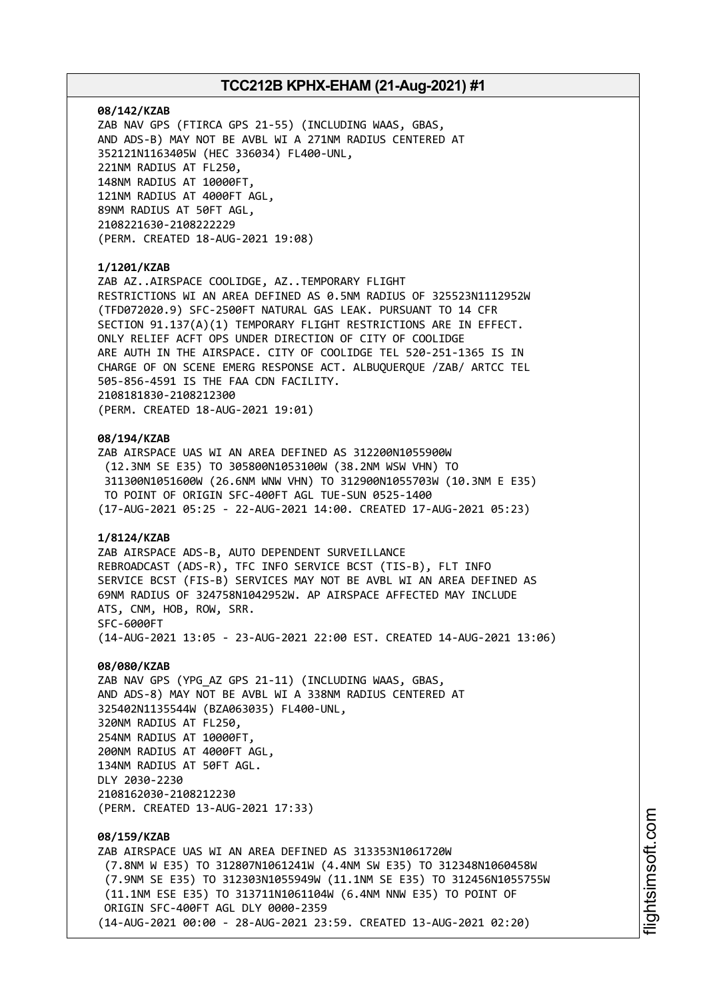### **08/142/KZAB**

ZAB NAV GPS (FTIRCA GPS 21-55) (INCLUDING WAAS, GBAS, AND ADS-B) MAY NOT BE AVBL WI A 271NM RADIUS CENTERED AT 352121N1163405W (HEC 336034) FL400-UNL, 221NM RADIUS AT FL250, 148NM RADIUS AT 10000FT, 121NM RADIUS AT 4000FT AGL, 89NM RADIUS AT 50FT AGL, 2108221630-2108222229 (PERM. CREATED 18-AUG-2021 19:08)

### **1/1201/KZAB**

ZAB AZ..AIRSPACE COOLIDGE, AZ..TEMPORARY FLIGHT RESTRICTIONS WI AN AREA DEFINED AS 0.5NM RADIUS OF 325523N1112952W (TFD072020.9) SFC-2500FT NATURAL GAS LEAK. PURSUANT TO 14 CFR SECTION 91.137(A)(1) TEMPORARY FLIGHT RESTRICTIONS ARE IN EFFECT. ONLY RELIEF ACFT OPS UNDER DIRECTION OF CITY OF COOLIDGE ARE AUTH IN THE AIRSPACE. CITY OF COOLIDGE TEL 520-251-1365 IS IN CHARGE OF ON SCENE EMERG RESPONSE ACT. ALBUQUERQUE /ZAB/ ARTCC TEL 505-856-4591 IS THE FAA CDN FACILITY. 2108181830-2108212300 (PERM. CREATED 18-AUG-2021 19:01)

#### **08/194/KZAB**

ZAB AIRSPACE UAS WI AN AREA DEFINED AS 312200N1055900W (12.3NM SE E35) TO 305800N1053100W (38.2NM WSW VHN) TO 311300N1051600W (26.6NM WNW VHN) TO 312900N1055703W (10.3NM E E35) TO POINT OF ORIGIN SFC-400FT AGL TUE-SUN 0525-1400 (17-AUG-2021 05:25 - 22-AUG-2021 14:00. CREATED 17-AUG-2021 05:23)

# **1/8124/KZAB**

ZAB AIRSPACE ADS-B, AUTO DEPENDENT SURVEILLANCE REBROADCAST (ADS-R), TFC INFO SERVICE BCST (TIS-B), FLT INFO SERVICE BCST (FIS-B) SERVICES MAY NOT BE AVBL WI AN AREA DEFINED AS 69NM RADIUS OF 324758N1042952W. AP AIRSPACE AFFECTED MAY INCLUDE ATS, CNM, HOB, ROW, SRR. SFC-6000FT (14-AUG-2021 13:05 - 23-AUG-2021 22:00 EST. CREATED 14-AUG-2021 13:06)

#### **08/080/KZAB**

ZAB NAV GPS (YPG\_AZ GPS 21-11) (INCLUDING WAAS, GBAS, AND ADS-8) MAY NOT BE AVBL WI A 338NM RADIUS CENTERED AT 325402N1135544W (BZA063035) FL400-UNL, 320NM RADIUS AT FL250, 254NM RADIUS AT 10000FT, 200NM RADIUS AT 4000FT AGL, 134NM RADIUS AT 50FT AGL. DLY 2030-2230 2108162030-2108212230 (PERM. CREATED 13-AUG-2021 17:33)

# **08/159/KZAB**

ZAB AIRSPACE UAS WI AN AREA DEFINED AS 313353N1061720W (7.8NM W E35) TO 312807N1061241W (4.4NM SW E35) TO 312348N1060458W (7.9NM SE E35) TO 312303N1055949W (11.1NM SE E35) TO 312456N1055755W (11.1NM ESE E35) TO 313711N1061104W (6.4NM NNW E35) TO POINT OF ORIGIN SFC-400FT AGL DLY 0000-2359 (14-AUG-2021 00:00 - 28-AUG-2021 23:59. CREATED 13-AUG-2021 02:20)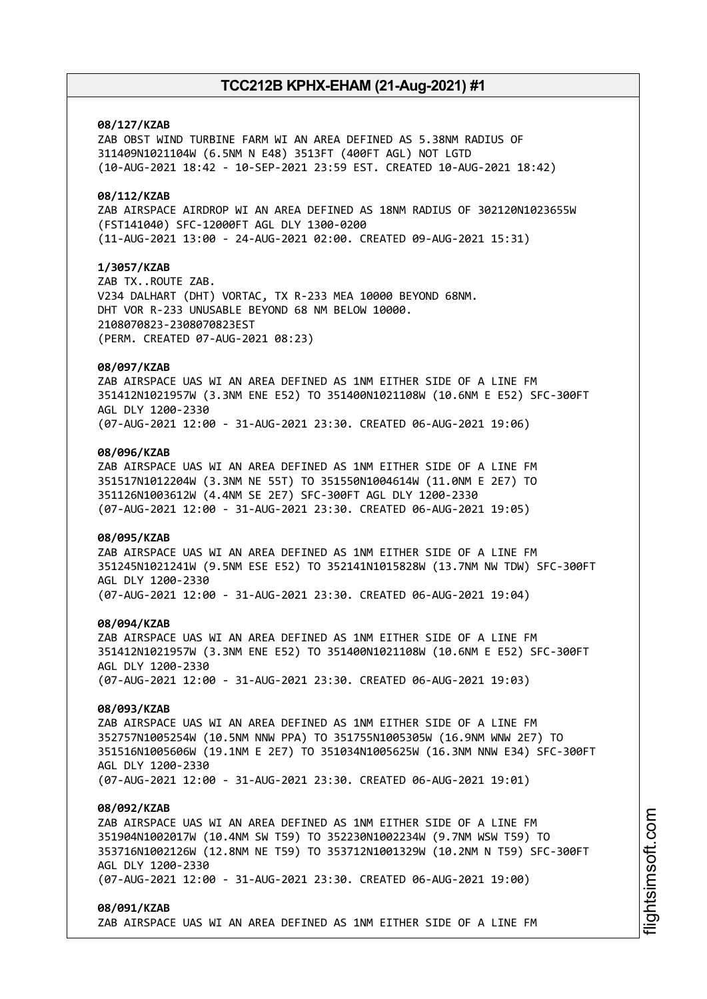### **08/127/KZAB**

ZAB OBST WIND TURBINE FARM WI AN AREA DEFINED AS 5.38NM RADIUS OF 311409N1021104W (6.5NM N E48) 3513FT (400FT AGL) NOT LGTD (10-AUG-2021 18:42 - 10-SEP-2021 23:59 EST. CREATED 10-AUG-2021 18:42)

### **08/112/KZAB**

ZAB AIRSPACE AIRDROP WI AN AREA DEFINED AS 18NM RADIUS OF 302120N1023655W (FST141040) SFC-12000FT AGL DLY 1300-0200 (11-AUG-2021 13:00 - 24-AUG-2021 02:00. CREATED 09-AUG-2021 15:31)

### **1/3057/KZAB**

ZAB TX..ROUTE ZAB. V234 DALHART (DHT) VORTAC, TX R-233 MEA 10000 BEYOND 68NM. DHT VOR R-233 UNUSABLE BEYOND 68 NM BELOW 10000. 2108070823-2308070823EST (PERM. CREATED 07-AUG-2021 08:23)

### **08/097/KZAB**

ZAB AIRSPACE UAS WI AN AREA DEFINED AS 1NM EITHER SIDE OF A LINE FM 351412N1021957W (3.3NM ENE E52) TO 351400N1021108W (10.6NM E E52) SFC-300FT AGL DLY 1200-2330 (07-AUG-2021 12:00 - 31-AUG-2021 23:30. CREATED 06-AUG-2021 19:06)

### **08/096/KZAB**

ZAB AIRSPACE UAS WI AN AREA DEFINED AS 1NM EITHER SIDE OF A LINE FM 351517N1012204W (3.3NM NE 55T) TO 351550N1004614W (11.0NM E 2E7) TO 351126N1003612W (4.4NM SE 2E7) SFC-300FT AGL DLY 1200-2330 (07-AUG-2021 12:00 - 31-AUG-2021 23:30. CREATED 06-AUG-2021 19:05)

### **08/095/KZAB**

ZAB AIRSPACE UAS WI AN AREA DEFINED AS 1NM EITHER SIDE OF A LINE FM 351245N1021241W (9.5NM ESE E52) TO 352141N1015828W (13.7NM NW TDW) SFC-300FT AGL DLY 1200-2330 (07-AUG-2021 12:00 - 31-AUG-2021 23:30. CREATED 06-AUG-2021 19:04)

#### **08/094/KZAB**

ZAB AIRSPACE UAS WI AN AREA DEFINED AS 1NM EITHER SIDE OF A LINE FM 351412N1021957W (3.3NM ENE E52) TO 351400N1021108W (10.6NM E E52) SFC-300FT AGL DLY 1200-2330 (07-AUG-2021 12:00 - 31-AUG-2021 23:30. CREATED 06-AUG-2021 19:03)

#### **08/093/KZAB**

ZAB AIRSPACE UAS WI AN AREA DEFINED AS 1NM EITHER SIDE OF A LINE FM 352757N1005254W (10.5NM NNW PPA) TO 351755N1005305W (16.9NM WNW 2E7) TO 351516N1005606W (19.1NM E 2E7) TO 351034N1005625W (16.3NM NNW E34) SFC-300FT AGL DLY 1200-2330 (07-AUG-2021 12:00 - 31-AUG-2021 23:30. CREATED 06-AUG-2021 19:01)

#### **08/092/KZAB**

ZAB AIRSPACE UAS WI AN AREA DEFINED AS 1NM EITHER SIDE OF A LINE FM 351904N1002017W (10.4NM SW T59) TO 352230N1002234W (9.7NM WSW T59) TO 353716N1002126W (12.8NM NE T59) TO 353712N1001329W (10.2NM N T59) SFC-300FT AGL DLY 1200-2330 (07-AUG-2021 12:00 - 31-AUG-2021 23:30. CREATED 06-AUG-2021 19:00)

### **08/091/KZAB**

ZAB AIRSPACE UAS WI AN AREA DEFINED AS 1NM EITHER SIDE OF A LINE FM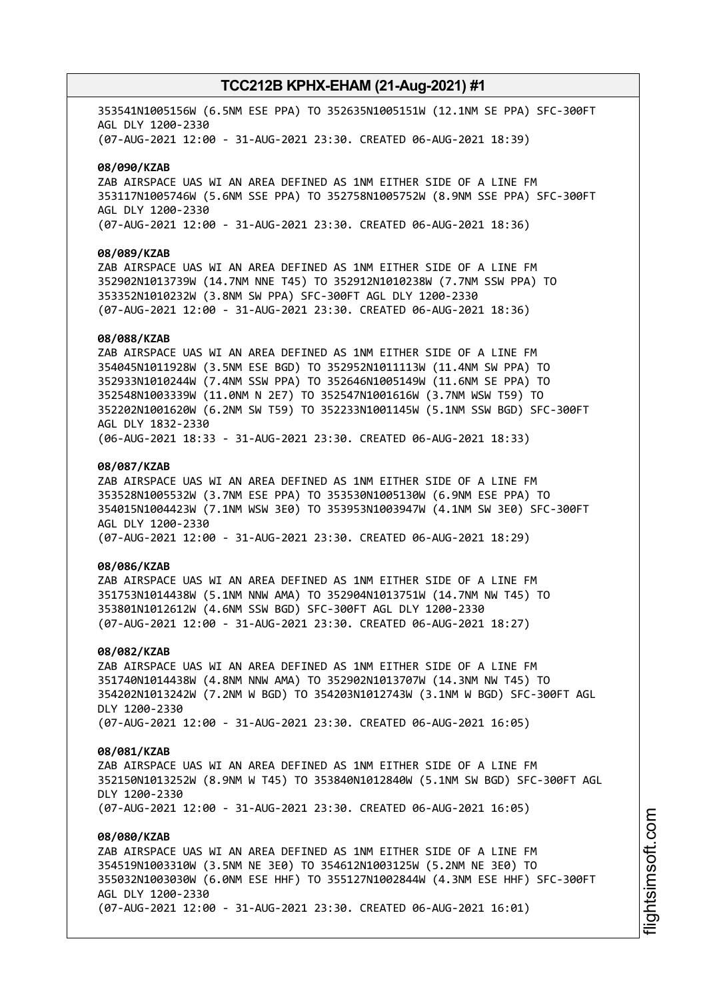353541N1005156W (6.5NM ESE PPA) TO 352635N1005151W (12.1NM SE PPA) SFC-300FT AGL DLY 1200-2330 (07-AUG-2021 12:00 - 31-AUG-2021 23:30. CREATED 06-AUG-2021 18:39)

### **08/090/KZAB**

ZAB AIRSPACE UAS WI AN AREA DEFINED AS 1NM EITHER SIDE OF A LINE FM 353117N1005746W (5.6NM SSE PPA) TO 352758N1005752W (8.9NM SSE PPA) SFC-300FT AGL DLY 1200-2330 (07-AUG-2021 12:00 - 31-AUG-2021 23:30. CREATED 06-AUG-2021 18:36)

### **08/089/KZAB**

ZAB AIRSPACE UAS WI AN AREA DEFINED AS 1NM EITHER SIDE OF A LINE FM 352902N1013739W (14.7NM NNE T45) TO 352912N1010238W (7.7NM SSW PPA) TO 353352N1010232W (3.8NM SW PPA) SFC-300FT AGL DLY 1200-2330 (07-AUG-2021 12:00 - 31-AUG-2021 23:30. CREATED 06-AUG-2021 18:36)

### **08/088/KZAB**

ZAB AIRSPACE UAS WI AN AREA DEFINED AS 1NM EITHER SIDE OF A LINE FM 354045N1011928W (3.5NM ESE BGD) TO 352952N1011113W (11.4NM SW PPA) TO 352933N1010244W (7.4NM SSW PPA) TO 352646N1005149W (11.6NM SE PPA) TO 352548N1003339W (11.0NM N 2E7) TO 352547N1001616W (3.7NM WSW T59) TO 352202N1001620W (6.2NM SW T59) TO 352233N1001145W (5.1NM SSW BGD) SFC-300FT AGL DLY 1832-2330 (06-AUG-2021 18:33 - 31-AUG-2021 23:30. CREATED 06-AUG-2021 18:33)

### **08/087/KZAB**

ZAB AIRSPACE UAS WI AN AREA DEFINED AS 1NM EITHER SIDE OF A LINE FM 353528N1005532W (3.7NM ESE PPA) TO 353530N1005130W (6.9NM ESE PPA) TO 354015N1004423W (7.1NM WSW 3E0) TO 353953N1003947W (4.1NM SW 3E0) SFC-300FT AGL DLY 1200-2330 (07-AUG-2021 12:00 - 31-AUG-2021 23:30. CREATED 06-AUG-2021 18:29)

### **08/086/KZAB**

ZAB AIRSPACE UAS WI AN AREA DEFINED AS 1NM EITHER SIDE OF A LINE FM 351753N1014438W (5.1NM NNW AMA) TO 352904N1013751W (14.7NM NW T45) TO 353801N1012612W (4.6NM SSW BGD) SFC-300FT AGL DLY 1200-2330 (07-AUG-2021 12:00 - 31-AUG-2021 23:30. CREATED 06-AUG-2021 18:27)

#### **08/082/KZAB**

ZAB AIRSPACE UAS WI AN AREA DEFINED AS 1NM EITHER SIDE OF A LINE FM 351740N1014438W (4.8NM NNW AMA) TO 352902N1013707W (14.3NM NW T45) TO 354202N1013242W (7.2NM W BGD) TO 354203N1012743W (3.1NM W BGD) SFC-300FT AGL DLY 1200-2330 (07-AUG-2021 12:00 - 31-AUG-2021 23:30. CREATED 06-AUG-2021 16:05)

#### **08/081/KZAB**

ZAB AIRSPACE UAS WI AN AREA DEFINED AS 1NM EITHER SIDE OF A LINE FM 352150N1013252W (8.9NM W T45) TO 353840N1012840W (5.1NM SW BGD) SFC-300FT AGL DLY 1200-2330 (07-AUG-2021 12:00 - 31-AUG-2021 23:30. CREATED 06-AUG-2021 16:05)

### **08/080/KZAB**

ZAB AIRSPACE UAS WI AN AREA DEFINED AS 1NM EITHER SIDE OF A LINE FM 354519N1003310W (3.5NM NE 3E0) TO 354612N1003125W (5.2NM NE 3E0) TO 355032N1003030W (6.0NM ESE HHF) TO 355127N1002844W (4.3NM ESE HHF) SFC-300FT AGL DLY 1200-2330 (07-AUG-2021 12:00 - 31-AUG-2021 23:30. CREATED 06-AUG-2021 16:01)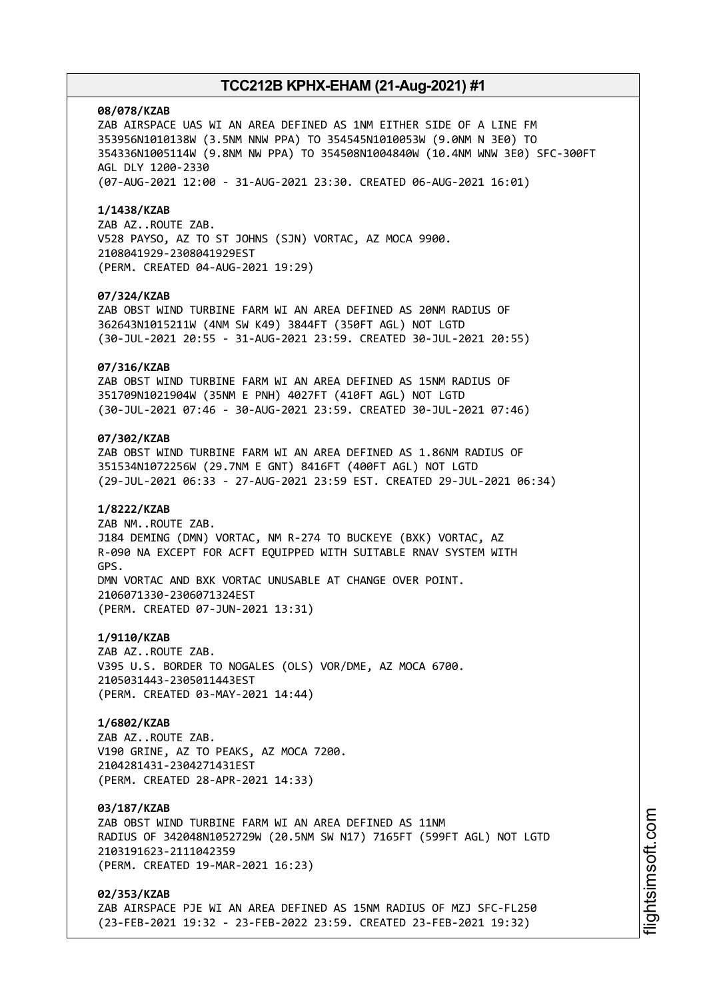#### **08/078/KZAB**

ZAB AIRSPACE UAS WI AN AREA DEFINED AS 1NM EITHER SIDE OF A LINE FM 353956N1010138W (3.5NM NNW PPA) TO 354545N1010053W (9.0NM N 3E0) TO 354336N1005114W (9.8NM NW PPA) TO 354508N1004840W (10.4NM WNW 3E0) SFC-300FT AGL DLY 1200-2330 (07-AUG-2021 12:00 - 31-AUG-2021 23:30. CREATED 06-AUG-2021 16:01)

#### **1/1438/KZAB**

ZAB AZ..ROUTE ZAB. V528 PAYSO, AZ TO ST JOHNS (SJN) VORTAC, AZ MOCA 9900. 2108041929-2308041929EST (PERM. CREATED 04-AUG-2021 19:29)

### **07/324/KZAB**

ZAB OBST WIND TURBINE FARM WI AN AREA DEFINED AS 20NM RADIUS OF 362643N1015211W (4NM SW K49) 3844FT (350FT AGL) NOT LGTD (30-JUL-2021 20:55 - 31-AUG-2021 23:59. CREATED 30-JUL-2021 20:55)

### **07/316/KZAB**

ZAB OBST WIND TURBINE FARM WI AN AREA DEFINED AS 15NM RADIUS OF 351709N1021904W (35NM E PNH) 4027FT (410FT AGL) NOT LGTD (30-JUL-2021 07:46 - 30-AUG-2021 23:59. CREATED 30-JUL-2021 07:46)

### **07/302/KZAB**

ZAB OBST WIND TURBINE FARM WI AN AREA DEFINED AS 1.86NM RADIUS OF 351534N1072256W (29.7NM E GNT) 8416FT (400FT AGL) NOT LGTD (29-JUL-2021 06:33 - 27-AUG-2021 23:59 EST. CREATED 29-JUL-2021 06:34)

### **1/8222/KZAB**

ZAB NM..ROUTE ZAB. J184 DEMING (DMN) VORTAC, NM R-274 TO BUCKEYE (BXK) VORTAC, AZ R-090 NA EXCEPT FOR ACFT EQUIPPED WITH SUITABLE RNAV SYSTEM WITH GPS. DMN VORTAC AND BXK VORTAC UNUSABLE AT CHANGE OVER POINT. 2106071330-2306071324EST (PERM. CREATED 07-JUN-2021 13:31)

### **1/9110/KZAB**

ZAB AZ..ROUTE ZAB. V395 U.S. BORDER TO NOGALES (OLS) VOR/DME, AZ MOCA 6700. 2105031443-2305011443EST (PERM. CREATED 03-MAY-2021 14:44)

### **1/6802/KZAB**

ZAB AZ..ROUTE ZAB. V190 GRINE, AZ TO PEAKS, AZ MOCA 7200. 2104281431-2304271431EST (PERM. CREATED 28-APR-2021 14:33)

#### **03/187/KZAB**

ZAB OBST WIND TURBINE FARM WI AN AREA DEFINED AS 11NM RADIUS OF 342048N1052729W (20.5NM SW N17) 7165FT (599FT AGL) NOT LGTD 2103191623-2111042359 (PERM. CREATED 19-MAR-2021 16:23)

### **02/353/KZAB**

ZAB AIRSPACE PJE WI AN AREA DEFINED AS 15NM RADIUS OF MZJ SFC-FL250 (23-FEB-2021 19:32 - 23-FEB-2022 23:59. CREATED 23-FEB-2021 19:32)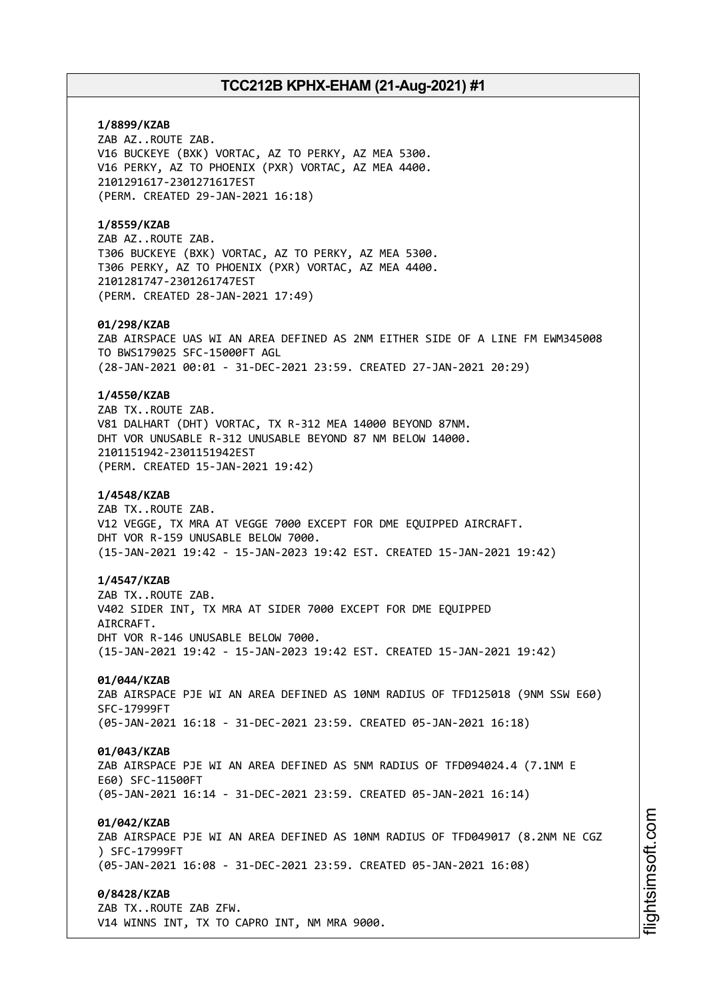**1/8899/KZAB** ZAB AZ..ROUTE ZAB. V16 BUCKEYE (BXK) VORTAC, AZ TO PERKY, AZ MEA 5300. V16 PERKY, AZ TO PHOENIX (PXR) VORTAC, AZ MEA 4400. 2101291617-2301271617EST (PERM. CREATED 29-JAN-2021 16:18) **1/8559/KZAB** ZAB AZ..ROUTE ZAB. T306 BUCKEYE (BXK) VORTAC, AZ TO PERKY, AZ MEA 5300. T306 PERKY, AZ TO PHOENIX (PXR) VORTAC, AZ MEA 4400. 2101281747-2301261747EST (PERM. CREATED 28-JAN-2021 17:49) **01/298/KZAB** ZAB AIRSPACE UAS WI AN AREA DEFINED AS 2NM EITHER SIDE OF A LINE FM EWM345008 TO BWS179025 SFC-15000FT AGL (28-JAN-2021 00:01 - 31-DEC-2021 23:59. CREATED 27-JAN-2021 20:29) **1/4550/KZAB** ZAB TX..ROUTE ZAB. V81 DALHART (DHT) VORTAC, TX R-312 MEA 14000 BEYOND 87NM. DHT VOR UNUSABLE R-312 UNUSABLE BEYOND 87 NM BELOW 14000. 2101151942-2301151942EST (PERM. CREATED 15-JAN-2021 19:42) **1/4548/KZAB** ZAB TX..ROUTE ZAB. V12 VEGGE, TX MRA AT VEGGE 7000 EXCEPT FOR DME EQUIPPED AIRCRAFT. DHT VOR R-159 UNUSABLE BELOW 7000. (15-JAN-2021 19:42 - 15-JAN-2023 19:42 EST. CREATED 15-JAN-2021 19:42) **1/4547/KZAB** ZAB TX..ROUTE ZAB. V402 SIDER INT, TX MRA AT SIDER 7000 EXCEPT FOR DME EQUIPPED AIRCRAFT. DHT VOR R-146 UNUSABLE BELOW 7000. (15-JAN-2021 19:42 - 15-JAN-2023 19:42 EST. CREATED 15-JAN-2021 19:42) **01/044/KZAB** ZAB AIRSPACE PJE WI AN AREA DEFINED AS 10NM RADIUS OF TFD125018 (9NM SSW E60) SFC-17999FT (05-JAN-2021 16:18 - 31-DEC-2021 23:59. CREATED 05-JAN-2021 16:18) **01/043/KZAB** ZAB AIRSPACE PJE WI AN AREA DEFINED AS 5NM RADIUS OF TFD094024.4 (7.1NM E E60) SFC-11500FT (05-JAN-2021 16:14 - 31-DEC-2021 23:59. CREATED 05-JAN-2021 16:14) **01/042/KZAB** ZAB AIRSPACE PJE WI AN AREA DEFINED AS 10NM RADIUS OF TFD049017 (8.2NM NE CGZ ) SFC-17999FT (05-JAN-2021 16:08 - 31-DEC-2021 23:59. CREATED 05-JAN-2021 16:08) **0/8428/KZAB** ZAB TX..ROUTE ZAB ZFW. V14 WINNS INT, TX TO CAPRO INT, NM MRA 9000.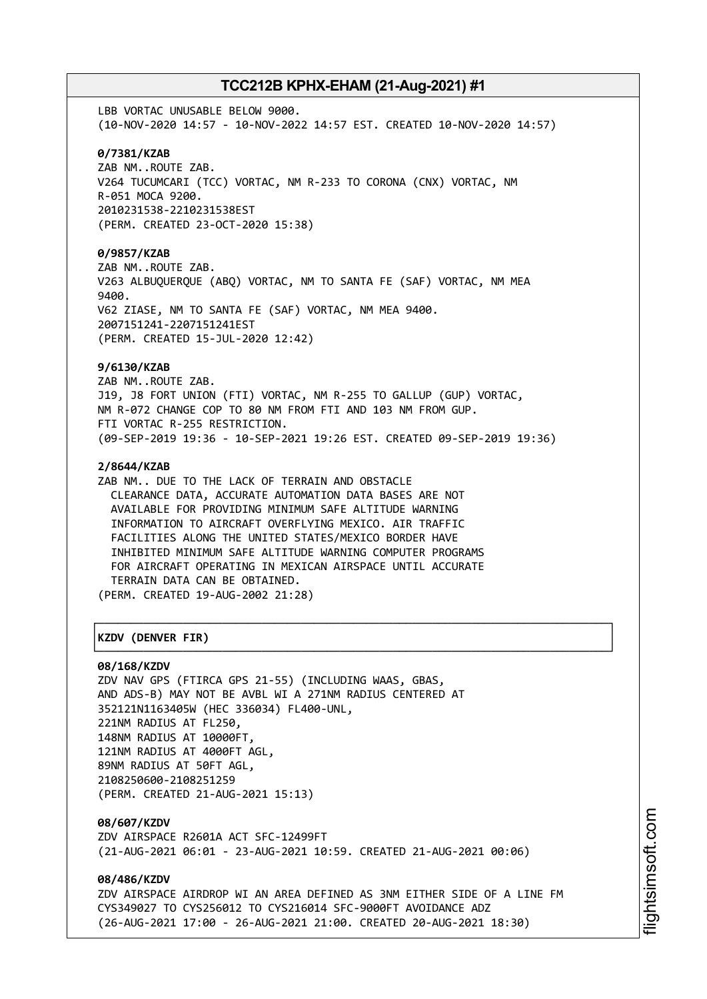LBB VORTAC UNUSABLE BELOW 9000. (10-NOV-2020 14:57 - 10-NOV-2022 14:57 EST. CREATED 10-NOV-2020 14:57) **0/7381/KZAB** ZAB NM..ROUTE ZAB. V264 TUCUMCARI (TCC) VORTAC, NM R-233 TO CORONA (CNX) VORTAC, NM R-051 MOCA 9200. 2010231538-2210231538EST (PERM. CREATED 23-OCT-2020 15:38) **0/9857/KZAB** ZAB NM..ROUTE ZAB. V263 ALBUQUERQUE (ABQ) VORTAC, NM TO SANTA FE (SAF) VORTAC, NM MEA 9400. V62 ZIASE, NM TO SANTA FE (SAF) VORTAC, NM MEA 9400. 2007151241-2207151241EST (PERM. CREATED 15-JUL-2020 12:42) **9/6130/KZAB** ZAB NM..ROUTE ZAB. J19, J8 FORT UNION (FTI) VORTAC, NM R-255 TO GALLUP (GUP) VORTAC, NM R-072 CHANGE COP TO 80 NM FROM FTI AND 103 NM FROM GUP. FTI VORTAC R-255 RESTRICTION. (09-SEP-2019 19:36 - 10-SEP-2021 19:26 EST. CREATED 09-SEP-2019 19:36) **2/8644/KZAB** ZAB NM.. DUE TO THE LACK OF TERRAIN AND OBSTACLE CLEARANCE DATA, ACCURATE AUTOMATION DATA BASES ARE NOT AVAILABLE FOR PROVIDING MINIMUM SAFE ALTITUDE WARNING INFORMATION TO AIRCRAFT OVERFLYING MEXICO. AIR TRAFFIC FACILITIES ALONG THE UNITED STATES/MEXICO BORDER HAVE INHIBITED MINIMUM SAFE ALTITUDE WARNING COMPUTER PROGRAMS FOR AIRCRAFT OPERATING IN MEXICAN AIRSPACE UNTIL ACCURATE TERRAIN DATA CAN BE OBTAINED. (PERM. CREATED 19-AUG-2002 21:28) ┌──────────────────────────────────────────────────────────────────────────────┐ │**KZDV (DENVER FIR)** │

### └──────────────────────────────────────────────────────────────────────────────┘ **08/168/KZDV**

ZDV NAV GPS (FTIRCA GPS 21-55) (INCLUDING WAAS, GBAS, AND ADS-B) MAY NOT BE AVBL WI A 271NM RADIUS CENTERED AT 352121N1163405W (HEC 336034) FL400-UNL, 221NM RADIUS AT FL250, 148NM RADIUS AT 10000FT, 121NM RADIUS AT 4000FT AGL, 89NM RADIUS AT 50FT AGL, 2108250600-2108251259 (PERM. CREATED 21-AUG-2021 15:13)

**08/607/KZDV** ZDV AIRSPACE R2601A ACT SFC-12499FT (21-AUG-2021 06:01 - 23-AUG-2021 10:59. CREATED 21-AUG-2021 00:06)

**08/486/KZDV** ZDV AIRSPACE AIRDROP WI AN AREA DEFINED AS 3NM EITHER SIDE OF A LINE FM CYS349027 TO CYS256012 TO CYS216014 SFC-9000FT AVOIDANCE ADZ (26-AUG-2021 17:00 - 26-AUG-2021 21:00. CREATED 20-AUG-2021 18:30)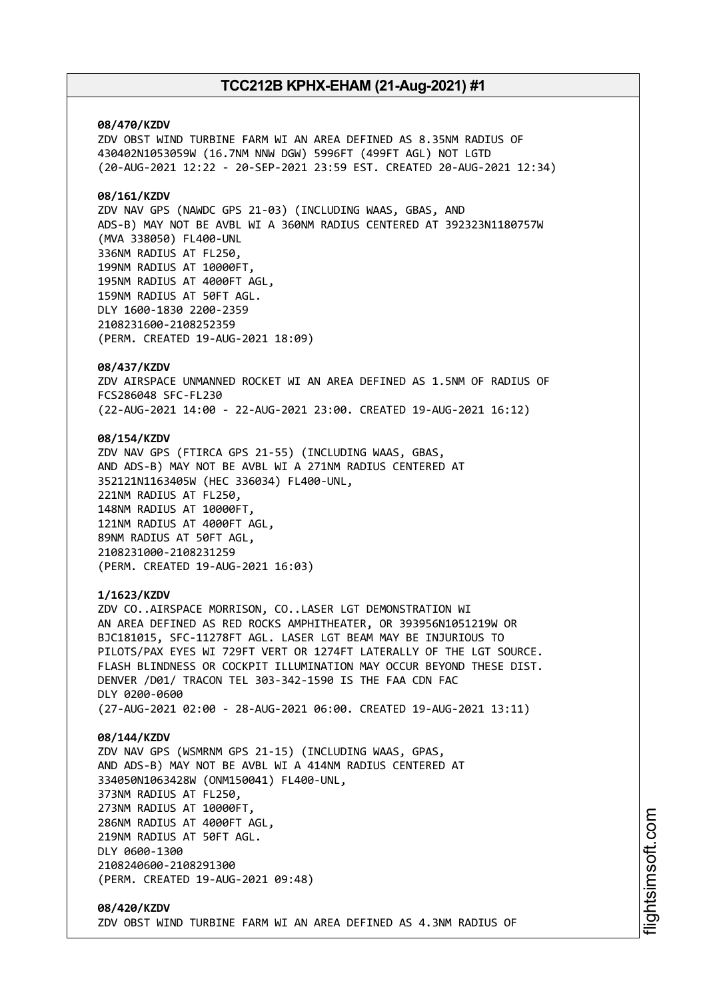### **08/470/KZDV**

ZDV OBST WIND TURBINE FARM WI AN AREA DEFINED AS 8.35NM RADIUS OF 430402N1053059W (16.7NM NNW DGW) 5996FT (499FT AGL) NOT LGTD (20-AUG-2021 12:22 - 20-SEP-2021 23:59 EST. CREATED 20-AUG-2021 12:34)

### **08/161/KZDV**

ZDV NAV GPS (NAWDC GPS 21-03) (INCLUDING WAAS, GBAS, AND ADS-B) MAY NOT BE AVBL WI A 360NM RADIUS CENTERED AT 392323N1180757W (MVA 338050) FL400-UNL 336NM RADIUS AT FL250, 199NM RADIUS AT 10000FT, 195NM RADIUS AT 4000FT AGL, 159NM RADIUS AT 50FT AGL. DLY 1600-1830 2200-2359 2108231600-2108252359 (PERM. CREATED 19-AUG-2021 18:09)

#### **08/437/KZDV**

ZDV AIRSPACE UNMANNED ROCKET WI AN AREA DEFINED AS 1.5NM OF RADIUS OF FCS286048 SFC-FL230 (22-AUG-2021 14:00 - 22-AUG-2021 23:00. CREATED 19-AUG-2021 16:12)

### **08/154/KZDV**

ZDV NAV GPS (FTIRCA GPS 21-55) (INCLUDING WAAS, GBAS, AND ADS-B) MAY NOT BE AVBL WI A 271NM RADIUS CENTERED AT 352121N1163405W (HEC 336034) FL400-UNL, 221NM RADIUS AT FL250, 148NM RADIUS AT 10000FT, 121NM RADIUS AT 4000FT AGL, 89NM RADIUS AT 50FT AGL, 2108231000-2108231259 (PERM. CREATED 19-AUG-2021 16:03)

### **1/1623/KZDV**

ZDV CO..AIRSPACE MORRISON, CO..LASER LGT DEMONSTRATION WI AN AREA DEFINED AS RED ROCKS AMPHITHEATER, OR 393956N1051219W OR BJC181015, SFC-11278FT AGL. LASER LGT BEAM MAY BE INJURIOUS TO PILOTS/PAX EYES WI 729FT VERT OR 1274FT LATERALLY OF THE LGT SOURCE. FLASH BLINDNESS OR COCKPIT ILLUMINATION MAY OCCUR BEYOND THESE DIST. DENVER /D01/ TRACON TEL 303-342-1590 IS THE FAA CDN FAC DLY 0200-0600 (27-AUG-2021 02:00 - 28-AUG-2021 06:00. CREATED 19-AUG-2021 13:11)

#### **08/144/KZDV**

ZDV NAV GPS (WSMRNM GPS 21-15) (INCLUDING WAAS, GPAS, AND ADS-B) MAY NOT BE AVBL WI A 414NM RADIUS CENTERED AT 334050N1063428W (ONM150041) FL400-UNL, 373NM RADIUS AT FL250, 273NM RADIUS AT 10000FT, 286NM RADIUS AT 4000FT AGL, 219NM RADIUS AT 50FT AGL. DLY 0600-1300 2108240600-2108291300 (PERM. CREATED 19-AUG-2021 09:48)

### **08/420/KZDV** ZDV OBST WIND TURBINE FARM WI AN AREA DEFINED AS 4.3NM RADIUS OF

i⊒<br>⊫ htsim soft.c om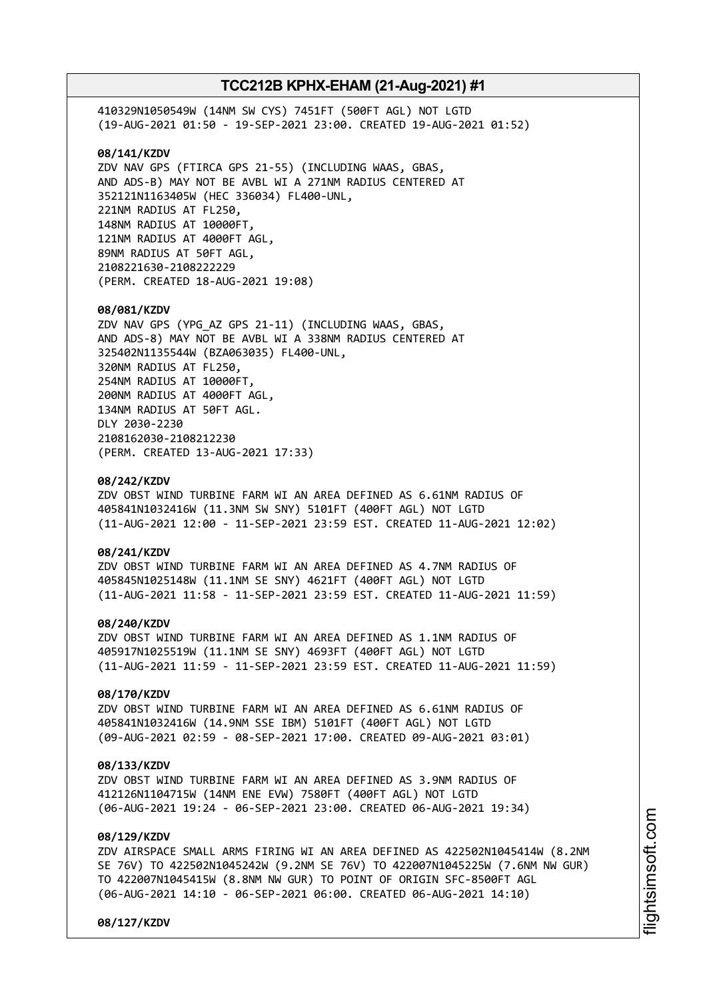410329N1050549W (14NM SW CYS) 7451FT (500FT AGL) NOT LGTD (19-AUG-2021 01:50 - 19-SEP-2021 23:00. CREATED 19-AUG-2021 01:52) **08/141/KZDV** ZDV NAV GPS (FTIRCA GPS 21-55) (INCLUDING WAAS, GBAS, AND ADS-B) MAY NOT BE AVBL WI A 271NM RADIUS CENTERED AT 352121N1163405W (HEC 336034) FL400-UNL, 221NM RADIUS AT FL250, 148NM RADIUS AT 10000FT, 121NM RADIUS AT 4000FT AGL, 89NM RADIUS AT 50FT AGL, 2108221630-2108222229 (PERM. CREATED 18-AUG-2021 19:08) **08/081/KZDV** ZDV NAV GPS (YPG\_AZ GPS 21-11) (INCLUDING WAAS, GBAS, AND ADS-8) MAY NOT BE AVBL WI A 338NM RADIUS CENTERED AT 325402N1135544W (BZA063035) FL400-UNL, 320NM RADIUS AT FL250, 254NM RADIUS AT 10000FT, 200NM RADIUS AT 4000FT AGL, 134NM RADIUS AT 50FT AGL. DLY 2030-2230 2108162030-2108212230 (PERM. CREATED 13-AUG-2021 17:33) **08/242/KZDV** ZDV OBST WIND TURBINE FARM WI AN AREA DEFINED AS 6.61NM RADIUS OF 405841N1032416W (11.3NM SW SNY) 5101FT (400FT AGL) NOT LGTD (11-AUG-2021 12:00 - 11-SEP-2021 23:59 EST. CREATED 11-AUG-2021 12:02) **08/241/KZDV** ZDV OBST WIND TURBINE FARM WI AN AREA DEFINED AS 4.7NM RADIUS OF 405845N1025148W (11.1NM SE SNY) 4621FT (400FT AGL) NOT LGTD (11-AUG-2021 11:58 - 11-SEP-2021 23:59 EST. CREATED 11-AUG-2021 11:59) **08/240/KZDV**

ZDV OBST WIND TURBINE FARM WI AN AREA DEFINED AS 1.1NM RADIUS OF 405917N1025519W (11.1NM SE SNY) 4693FT (400FT AGL) NOT LGTD (11-AUG-2021 11:59 - 11-SEP-2021 23:59 EST. CREATED 11-AUG-2021 11:59)

### **08/170/KZDV**

ZDV OBST WIND TURBINE FARM WI AN AREA DEFINED AS 6.61NM RADIUS OF 405841N1032416W (14.9NM SSE IBM) 5101FT (400FT AGL) NOT LGTD (09-AUG-2021 02:59 - 08-SEP-2021 17:00. CREATED 09-AUG-2021 03:01)

### **08/133/KZDV**

ZDV OBST WIND TURBINE FARM WI AN AREA DEFINED AS 3.9NM RADIUS OF 412126N1104715W (14NM ENE EVW) 7580FT (400FT AGL) NOT LGTD (06-AUG-2021 19:24 - 06-SEP-2021 23:00. CREATED 06-AUG-2021 19:34)

### **08/129/KZDV**

ZDV AIRSPACE SMALL ARMS FIRING WI AN AREA DEFINED AS 422502N1045414W (8.2NM SE 76V) TO 422502N1045242W (9.2NM SE 76V) TO 422007N1045225W (7.6NM NW GUR) TO 422007N1045415W (8.8NM NW GUR) TO POINT OF ORIGIN SFC-8500FT AGL (06-AUG-2021 14:10 - 06-SEP-2021 06:00. CREATED 06-AUG-2021 14:10)

**08/127/KZDV**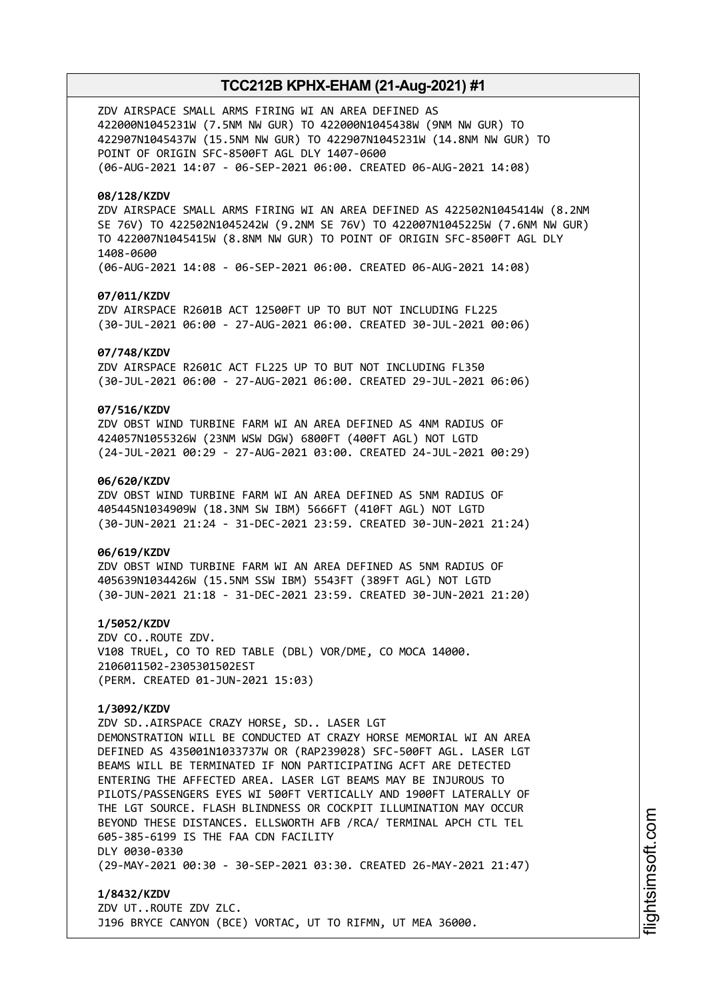ZDV AIRSPACE SMALL ARMS FIRING WI AN AREA DEFINED AS 422000N1045231W (7.5NM NW GUR) TO 422000N1045438W (9NM NW GUR) TO 422907N1045437W (15.5NM NW GUR) TO 422907N1045231W (14.8NM NW GUR) TO POINT OF ORIGIN SFC-8500FT AGL DLY 1407-0600 (06-AUG-2021 14:07 - 06-SEP-2021 06:00. CREATED 06-AUG-2021 14:08)

### **08/128/KZDV**

ZDV AIRSPACE SMALL ARMS FIRING WI AN AREA DEFINED AS 422502N1045414W (8.2NM SE 76V) TO 422502N1045242W (9.2NM SE 76V) TO 422007N1045225W (7.6NM NW GUR) TO 422007N1045415W (8.8NM NW GUR) TO POINT OF ORIGIN SFC-8500FT AGL DLY 1408-0600 (06-AUG-2021 14:08 - 06-SEP-2021 06:00. CREATED 06-AUG-2021 14:08)

### **07/011/KZDV**

ZDV AIRSPACE R2601B ACT 12500FT UP TO BUT NOT INCLUDING FL225 (30-JUL-2021 06:00 - 27-AUG-2021 06:00. CREATED 30-JUL-2021 00:06)

#### **07/748/KZDV**

ZDV AIRSPACE R2601C ACT FL225 UP TO BUT NOT INCLUDING FL350 (30-JUL-2021 06:00 - 27-AUG-2021 06:00. CREATED 29-JUL-2021 06:06)

### **07/516/KZDV**

ZDV OBST WIND TURBINE FARM WI AN AREA DEFINED AS 4NM RADIUS OF 424057N1055326W (23NM WSW DGW) 6800FT (400FT AGL) NOT LGTD (24-JUL-2021 00:29 - 27-AUG-2021 03:00. CREATED 24-JUL-2021 00:29)

### **06/620/KZDV**

ZDV OBST WIND TURBINE FARM WI AN AREA DEFINED AS 5NM RADIUS OF 405445N1034909W (18.3NM SW IBM) 5666FT (410FT AGL) NOT LGTD (30-JUN-2021 21:24 - 31-DEC-2021 23:59. CREATED 30-JUN-2021 21:24)

### **06/619/KZDV**

ZDV OBST WIND TURBINE FARM WI AN AREA DEFINED AS 5NM RADIUS OF 405639N1034426W (15.5NM SSW IBM) 5543FT (389FT AGL) NOT LGTD (30-JUN-2021 21:18 - 31-DEC-2021 23:59. CREATED 30-JUN-2021 21:20)

**1/5052/KZDV** ZDV CO..ROUTE ZDV. V108 TRUEL, CO TO RED TABLE (DBL) VOR/DME, CO MOCA 14000. 2106011502-2305301502EST (PERM. CREATED 01-JUN-2021 15:03)

### **1/3092/KZDV**

ZDV SD..AIRSPACE CRAZY HORSE, SD.. LASER LGT DEMONSTRATION WILL BE CONDUCTED AT CRAZY HORSE MEMORIAL WI AN AREA DEFINED AS 435001N1033737W OR (RAP239028) SFC-500FT AGL. LASER LGT BEAMS WILL BE TERMINATED IF NON PARTICIPATING ACFT ARE DETECTED ENTERING THE AFFECTED AREA. LASER LGT BEAMS MAY BE INJUROUS TO PILOTS/PASSENGERS EYES WI 500FT VERTICALLY AND 1900FT LATERALLY OF THE LGT SOURCE. FLASH BLINDNESS OR COCKPIT ILLUMINATION MAY OCCUR BEYOND THESE DISTANCES. ELLSWORTH AFB /RCA/ TERMINAL APCH CTL TEL 605-385-6199 IS THE FAA CDN FACILITY DLY 0030-0330 (29-MAY-2021 00:30 - 30-SEP-2021 03:30. CREATED 26-MAY-2021 21:47)

**1/8432/KZDV** ZDV UT..ROUTE ZDV ZLC. J196 BRYCE CANYON (BCE) VORTAC, UT TO RIFMN, UT MEA 36000.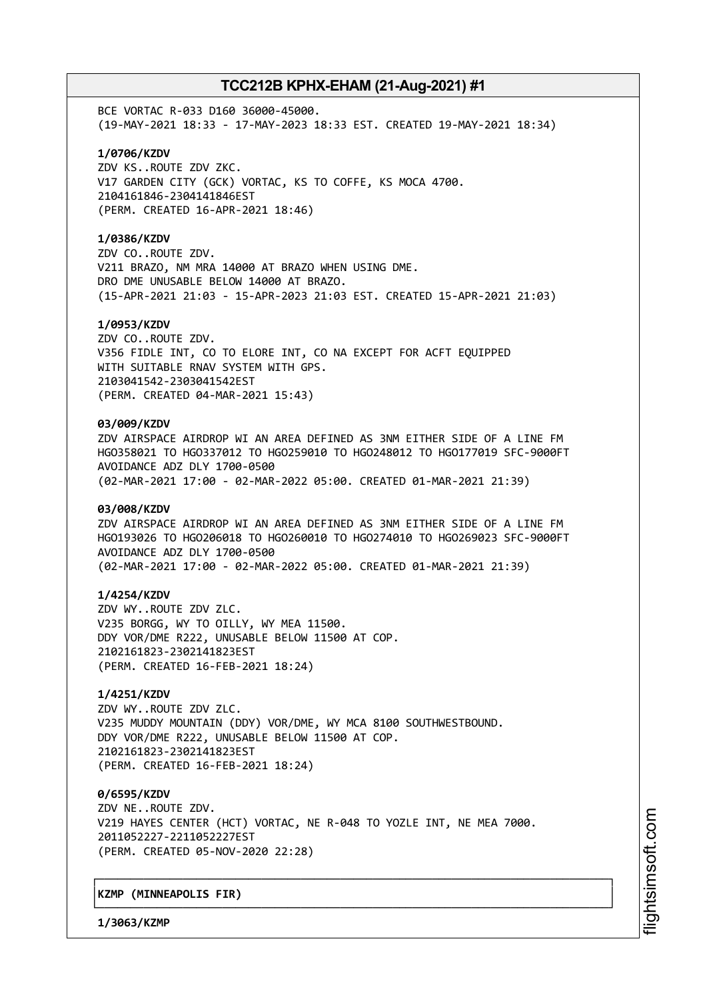BCE VORTAC R-033 D160 36000-45000. (19-MAY-2021 18:33 - 17-MAY-2023 18:33 EST. CREATED 19-MAY-2021 18:34)

**1/0706/KZDV** ZDV KS..ROUTE ZDV ZKC.

V17 GARDEN CITY (GCK) VORTAC, KS TO COFFE, KS MOCA 4700. 2104161846-2304141846EST (PERM. CREATED 16-APR-2021 18:46)

### **1/0386/KZDV**

ZDV CO..ROUTE ZDV. V211 BRAZO, NM MRA 14000 AT BRAZO WHEN USING DME. DRO DME UNUSABLE BELOW 14000 AT BRAZO. (15-APR-2021 21:03 - 15-APR-2023 21:03 EST. CREATED 15-APR-2021 21:03)

### **1/0953/KZDV**

ZDV CO..ROUTE ZDV. V356 FIDLE INT, CO TO ELORE INT, CO NA EXCEPT FOR ACFT EQUIPPED WITH SUITABLE RNAV SYSTEM WITH GPS. 2103041542-2303041542EST (PERM. CREATED 04-MAR-2021 15:43)

### **03/009/KZDV**

ZDV AIRSPACE AIRDROP WI AN AREA DEFINED AS 3NM EITHER SIDE OF A LINE FM HGO358021 TO HGO337012 TO HGO259010 TO HGO248012 TO HGO177019 SFC-9000FT AVOIDANCE ADZ DLY 1700-0500 (02-MAR-2021 17:00 - 02-MAR-2022 05:00. CREATED 01-MAR-2021 21:39)

### **03/008/KZDV**

ZDV AIRSPACE AIRDROP WI AN AREA DEFINED AS 3NM EITHER SIDE OF A LINE FM HGO193026 TO HGO206018 TO HGO260010 TO HGO274010 TO HGO269023 SFC-9000FT AVOIDANCE ADZ DLY 1700-0500 (02-MAR-2021 17:00 - 02-MAR-2022 05:00. CREATED 01-MAR-2021 21:39)

#### **1/4254/KZDV**

ZDV WY..ROUTE ZDV ZLC. V235 BORGG, WY TO OILLY, WY MEA 11500. DDY VOR/DME R222, UNUSABLE BELOW 11500 AT COP. 2102161823-2302141823EST (PERM. CREATED 16-FEB-2021 18:24)

### **1/4251/KZDV**

ZDV WY..ROUTE ZDV ZLC. V235 MUDDY MOUNTAIN (DDY) VOR/DME, WY MCA 8100 SOUTHWESTBOUND. DDY VOR/DME R222, UNUSABLE BELOW 11500 AT COP. 2102161823-2302141823EST (PERM. CREATED 16-FEB-2021 18:24)

**0/6595/KZDV** ZDV NE..ROUTE ZDV. V219 HAYES CENTER (HCT) VORTAC, NE R-048 TO YOZLE INT, NE MEA 7000. 2011052227-2211052227EST (PERM. CREATED 05-NOV-2020 22:28)

┌──────────────────────────────────────────────────────────────────────────────┐

└──────────────────────────────────────────────────────────────────────────────┘

### │**KZMP (MINNEAPOLIS FIR)** │

**1/3063/KZMP**

m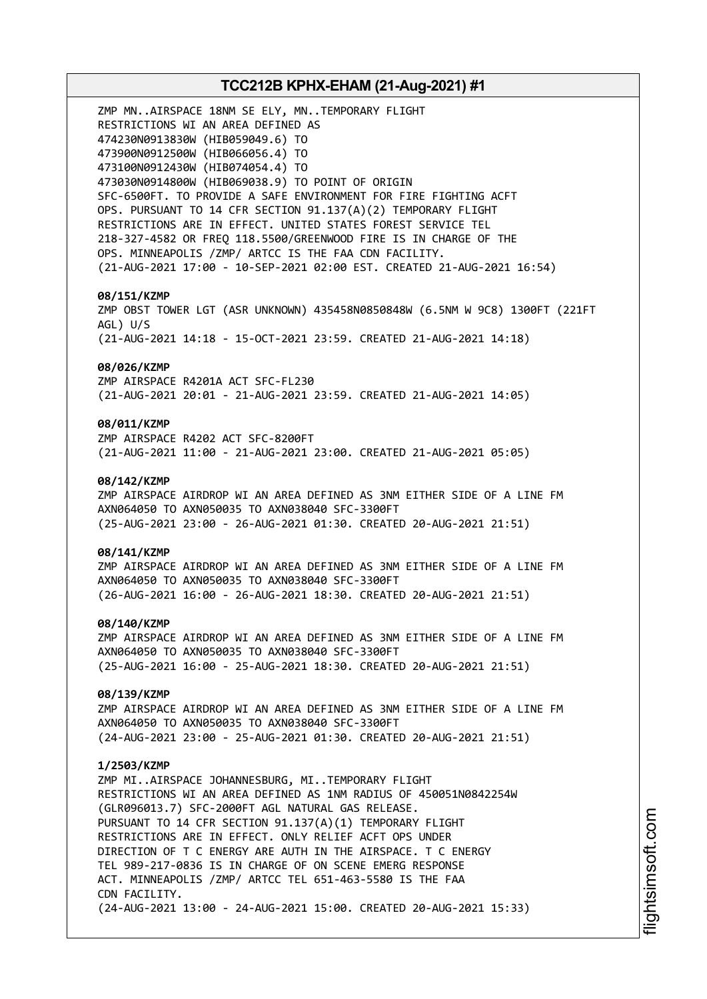# **TCC212B KPHX-EHAM (21-Aug-2021) #1** ZMP MN..AIRSPACE 18NM SE ELY, MN..TEMPORARY FLIGHT RESTRICTIONS WI AN AREA DEFINED AS 474230N0913830W (HIB059049.6) TO 473900N0912500W (HIB066056.4) TO 473100N0912430W (HIB074054.4) TO 473030N0914800W (HIB069038.9) TO POINT OF ORIGIN SFC-6500FT. TO PROVIDE A SAFE ENVIRONMENT FOR FIRE FIGHTING ACFT OPS. PURSUANT TO 14 CFR SECTION 91.137(A)(2) TEMPORARY FLIGHT RESTRICTIONS ARE IN EFFECT. UNITED STATES FOREST SERVICE TEL 218-327-4582 OR FREQ 118.5500/GREENWOOD FIRE IS IN CHARGE OF THE OPS. MINNEAPOLIS /ZMP/ ARTCC IS THE FAA CDN FACILITY. (21-AUG-2021 17:00 - 10-SEP-2021 02:00 EST. CREATED 21-AUG-2021 16:54) **08/151/KZMP** ZMP OBST TOWER LGT (ASR UNKNOWN) 435458N0850848W (6.5NM W 9C8) 1300FT (221FT AGL) U/S (21-AUG-2021 14:18 - 15-OCT-2021 23:59. CREATED 21-AUG-2021 14:18) **08/026/KZMP** ZMP AIRSPACE R4201A ACT SFC-FL230 (21-AUG-2021 20:01 - 21-AUG-2021 23:59. CREATED 21-AUG-2021 14:05) **08/011/KZMP** ZMP AIRSPACE R4202 ACT SFC-8200FT (21-AUG-2021 11:00 - 21-AUG-2021 23:00. CREATED 21-AUG-2021 05:05) **08/142/KZMP** ZMP AIRSPACE AIRDROP WI AN AREA DEFINED AS 3NM EITHER SIDE OF A LINE FM AXN064050 TO AXN050035 TO AXN038040 SFC-3300FT (25-AUG-2021 23:00 - 26-AUG-2021 01:30. CREATED 20-AUG-2021 21:51) **08/141/KZMP** ZMP AIRSPACE AIRDROP WI AN AREA DEFINED AS 3NM EITHER SIDE OF A LINE FM AXN064050 TO AXN050035 TO AXN038040 SFC-3300FT (26-AUG-2021 16:00 - 26-AUG-2021 18:30. CREATED 20-AUG-2021 21:51) **08/140/KZMP** ZMP AIRSPACE AIRDROP WI AN AREA DEFINED AS 3NM EITHER SIDE OF A LINE FM AXN064050 TO AXN050035 TO AXN038040 SFC-3300FT (25-AUG-2021 16:00 - 25-AUG-2021 18:30. CREATED 20-AUG-2021 21:51) **08/139/KZMP** ZMP AIRSPACE AIRDROP WI AN AREA DEFINED AS 3NM EITHER SIDE OF A LINE FM AXN064050 TO AXN050035 TO AXN038040 SFC-3300FT (24-AUG-2021 23:00 - 25-AUG-2021 01:30. CREATED 20-AUG-2021 21:51) **1/2503/KZMP** ZMP MI..AIRSPACE JOHANNESBURG, MI..TEMPORARY FLIGHT RESTRICTIONS WI AN AREA DEFINED AS 1NM RADIUS OF 450051N0842254W (GLR096013.7) SFC-2000FT AGL NATURAL GAS RELEASE. PURSUANT TO 14 CFR SECTION 91.137(A)(1) TEMPORARY FLIGHT RESTRICTIONS ARE IN EFFECT. ONLY RELIEF ACFT OPS UNDER DIRECTION OF T C ENERGY ARE AUTH IN THE AIRSPACE. T C ENERGY TEL 989-217-0836 IS IN CHARGE OF ON SCENE EMERG RESPONSE ACT. MINNEAPOLIS /ZMP/ ARTCC TEL 651-463-5580 IS THE FAA CDN FACILITY. (24-AUG-2021 13:00 - 24-AUG-2021 15:00. CREATED 20-AUG-2021 15:33)

i⊒<br>⊫ htsim soft.c o

m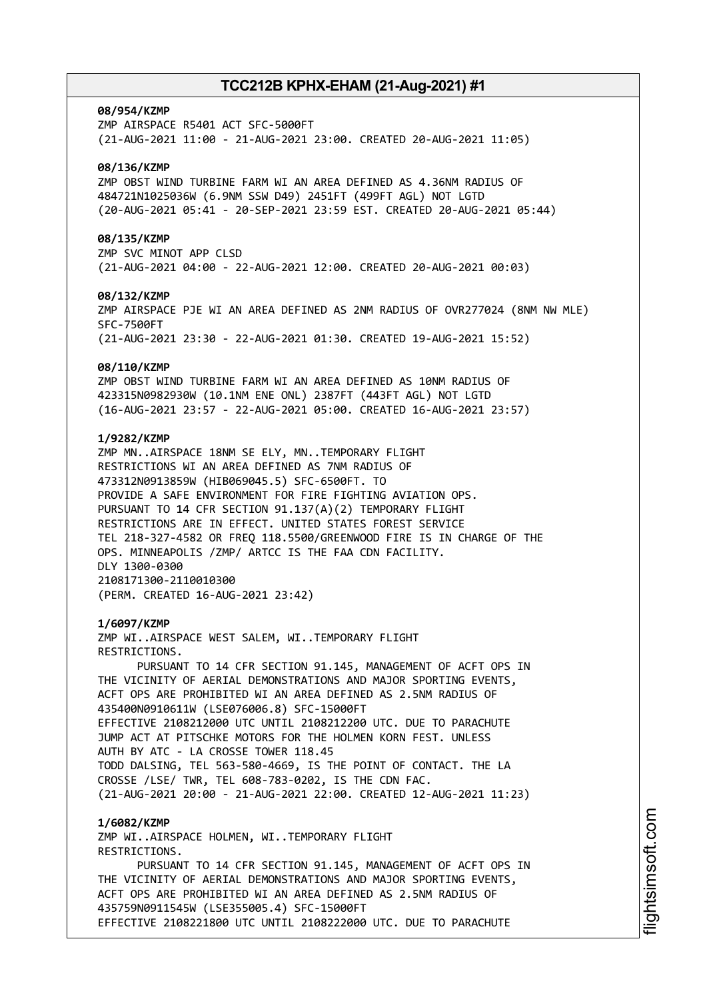### **08/954/KZMP**

ZMP AIRSPACE R5401 ACT SFC-5000FT (21-AUG-2021 11:00 - 21-AUG-2021 23:00. CREATED 20-AUG-2021 11:05)

### **08/136/KZMP**

ZMP OBST WIND TURBINE FARM WI AN AREA DEFINED AS 4.36NM RADIUS OF 484721N1025036W (6.9NM SSW D49) 2451FT (499FT AGL) NOT LGTD (20-AUG-2021 05:41 - 20-SEP-2021 23:59 EST. CREATED 20-AUG-2021 05:44)

### **08/135/KZMP**

ZMP SVC MINOT APP CLSD (21-AUG-2021 04:00 - 22-AUG-2021 12:00. CREATED 20-AUG-2021 00:03)

#### **08/132/KZMP**

ZMP AIRSPACE PJE WI AN AREA DEFINED AS 2NM RADIUS OF OVR277024 (8NM NW MLE) SFC-7500FT (21-AUG-2021 23:30 - 22-AUG-2021 01:30. CREATED 19-AUG-2021 15:52)

#### **08/110/KZMP**

ZMP OBST WIND TURBINE FARM WI AN AREA DEFINED AS 10NM RADIUS OF 423315N0982930W (10.1NM ENE ONL) 2387FT (443FT AGL) NOT LGTD (16-AUG-2021 23:57 - 22-AUG-2021 05:00. CREATED 16-AUG-2021 23:57)

### **1/9282/KZMP**

ZMP MN..AIRSPACE 18NM SE ELY, MN..TEMPORARY FLIGHT RESTRICTIONS WI AN AREA DEFINED AS 7NM RADIUS OF 473312N0913859W (HIB069045.5) SFC-6500FT. TO PROVIDE A SAFE ENVIRONMENT FOR FIRE FIGHTING AVIATION OPS. PURSUANT TO 14 CFR SECTION 91.137(A)(2) TEMPORARY FLIGHT RESTRICTIONS ARE IN EFFECT. UNITED STATES FOREST SERVICE TEL 218-327-4582 OR FREQ 118.5500/GREENWOOD FIRE IS IN CHARGE OF THE OPS. MINNEAPOLIS /ZMP/ ARTCC IS THE FAA CDN FACILITY. DLY 1300-0300 2108171300-2110010300 (PERM. CREATED 16-AUG-2021 23:42)

#### **1/6097/KZMP**

ZMP WI..AIRSPACE WEST SALEM, WI..TEMPORARY FLIGHT RESTRICTIONS.

PURSUANT TO 14 CFR SECTION 91.145, MANAGEMENT OF ACFT OPS IN THE VICINITY OF AERIAL DEMONSTRATIONS AND MAJOR SPORTING EVENTS, ACFT OPS ARE PROHIBITED WI AN AREA DEFINED AS 2.5NM RADIUS OF 435400N0910611W (LSE076006.8) SFC-15000FT EFFECTIVE 2108212000 UTC UNTIL 2108212200 UTC. DUE TO PARACHUTE JUMP ACT AT PITSCHKE MOTORS FOR THE HOLMEN KORN FEST. UNLESS AUTH BY ATC - LA CROSSE TOWER 118.45 TODD DALSING, TEL 563-580-4669, IS THE POINT OF CONTACT. THE LA CROSSE /LSE/ TWR, TEL 608-783-0202, IS THE CDN FAC. (21-AUG-2021 20:00 - 21-AUG-2021 22:00. CREATED 12-AUG-2021 11:23)

### **1/6082/KZMP**

ZMP WI..AIRSPACE HOLMEN, WI..TEMPORARY FLIGHT RESTRICTIONS. PURSUANT TO 14 CFR SECTION 91.145, MANAGEMENT OF ACFT OPS IN THE VICINITY OF AERIAL DEMONSTRATIONS AND MAJOR SPORTING EVENTS, ACFT OPS ARE PROHIBITED WI AN AREA DEFINED AS 2.5NM RADIUS OF 435759N0911545W (LSE355005.4) SFC-15000FT EFFECTIVE 2108221800 UTC UNTIL 2108222000 UTC. DUE TO PARACHUTE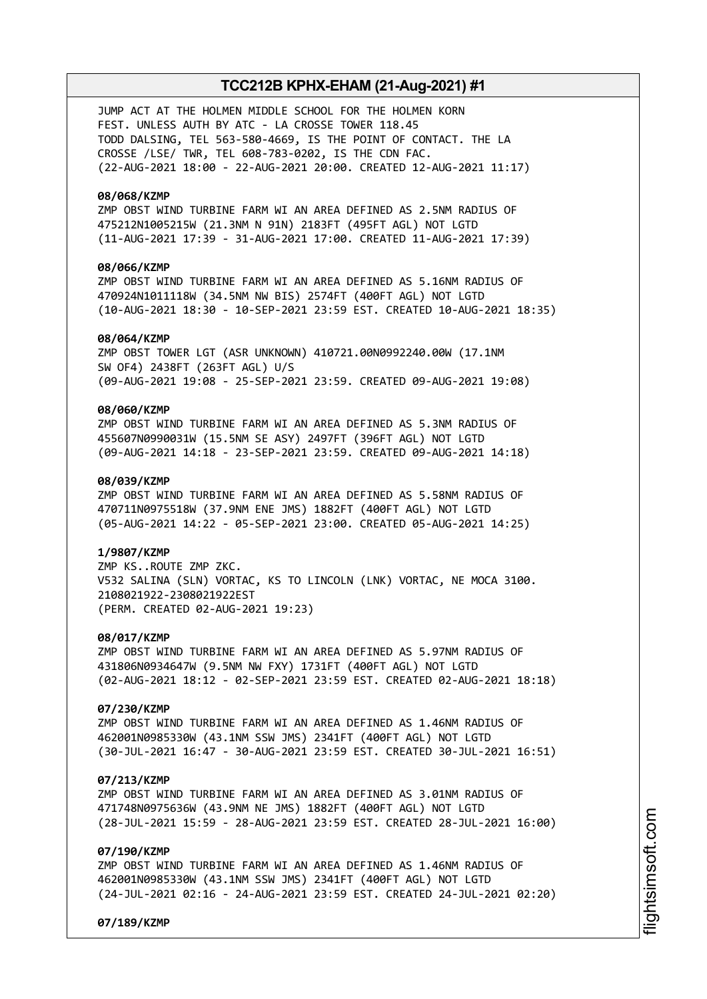JUMP ACT AT THE HOLMEN MIDDLE SCHOOL FOR THE HOLMEN KORN FEST. UNLESS AUTH BY ATC - LA CROSSE TOWER 118.45 TODD DALSING, TEL 563-580-4669, IS THE POINT OF CONTACT. THE LA CROSSE /LSE/ TWR, TEL 608-783-0202, IS THE CDN FAC. (22-AUG-2021 18:00 - 22-AUG-2021 20:00. CREATED 12-AUG-2021 11:17)

### **08/068/KZMP**

ZMP OBST WIND TURBINE FARM WI AN AREA DEFINED AS 2.5NM RADIUS OF 475212N1005215W (21.3NM N 91N) 2183FT (495FT AGL) NOT LGTD (11-AUG-2021 17:39 - 31-AUG-2021 17:00. CREATED 11-AUG-2021 17:39)

### **08/066/KZMP**

ZMP OBST WIND TURBINE FARM WI AN AREA DEFINED AS 5.16NM RADIUS OF 470924N1011118W (34.5NM NW BIS) 2574FT (400FT AGL) NOT LGTD (10-AUG-2021 18:30 - 10-SEP-2021 23:59 EST. CREATED 10-AUG-2021 18:35)

### **08/064/KZMP**

ZMP OBST TOWER LGT (ASR UNKNOWN) 410721.00N0992240.00W (17.1NM SW OF4) 2438FT (263FT AGL) U/S (09-AUG-2021 19:08 - 25-SEP-2021 23:59. CREATED 09-AUG-2021 19:08)

### **08/060/KZMP**

ZMP OBST WIND TURBINE FARM WI AN AREA DEFINED AS 5.3NM RADIUS OF 455607N0990031W (15.5NM SE ASY) 2497FT (396FT AGL) NOT LGTD (09-AUG-2021 14:18 - 23-SEP-2021 23:59. CREATED 09-AUG-2021 14:18)

### **08/039/KZMP**

ZMP OBST WIND TURBINE FARM WI AN AREA DEFINED AS 5.58NM RADIUS OF 470711N0975518W (37.9NM ENE JMS) 1882FT (400FT AGL) NOT LGTD (05-AUG-2021 14:22 - 05-SEP-2021 23:00. CREATED 05-AUG-2021 14:25)

#### **1/9807/KZMP**

ZMP KS..ROUTE ZMP ZKC. V532 SALINA (SLN) VORTAC, KS TO LINCOLN (LNK) VORTAC, NE MOCA 3100. 2108021922-2308021922EST (PERM. CREATED 02-AUG-2021 19:23)

### **08/017/KZMP**

ZMP OBST WIND TURBINE FARM WI AN AREA DEFINED AS 5.97NM RADIUS OF 431806N0934647W (9.5NM NW FXY) 1731FT (400FT AGL) NOT LGTD (02-AUG-2021 18:12 - 02-SEP-2021 23:59 EST. CREATED 02-AUG-2021 18:18)

#### **07/230/KZMP**

ZMP OBST WIND TURBINE FARM WI AN AREA DEFINED AS 1.46NM RADIUS OF 462001N0985330W (43.1NM SSW JMS) 2341FT (400FT AGL) NOT LGTD (30-JUL-2021 16:47 - 30-AUG-2021 23:59 EST. CREATED 30-JUL-2021 16:51)

### **07/213/KZMP**

ZMP OBST WIND TURBINE FARM WI AN AREA DEFINED AS 3.01NM RADIUS OF 471748N0975636W (43.9NM NE JMS) 1882FT (400FT AGL) NOT LGTD (28-JUL-2021 15:59 - 28-AUG-2021 23:59 EST. CREATED 28-JUL-2021 16:00)

### **07/190/KZMP**

ZMP OBST WIND TURBINE FARM WI AN AREA DEFINED AS 1.46NM RADIUS OF 462001N0985330W (43.1NM SSW JMS) 2341FT (400FT AGL) NOT LGTD (24-JUL-2021 02:16 - 24-AUG-2021 23:59 EST. CREATED 24-JUL-2021 02:20)

**07/189/KZMP**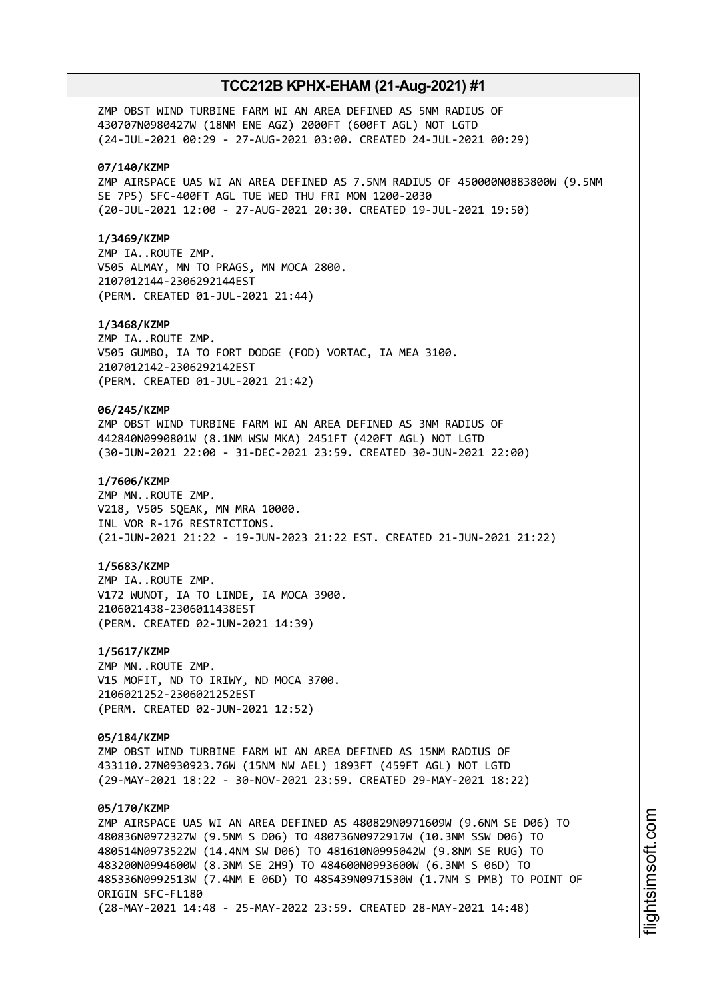ZMP OBST WIND TURBINE FARM WI AN AREA DEFINED AS 5NM RADIUS OF 430707N0980427W (18NM ENE AGZ) 2000FT (600FT AGL) NOT LGTD (24-JUL-2021 00:29 - 27-AUG-2021 03:00. CREATED 24-JUL-2021 00:29)

### **07/140/KZMP**

ZMP AIRSPACE UAS WI AN AREA DEFINED AS 7.5NM RADIUS OF 450000N0883800W (9.5NM SE 7P5) SFC-400FT AGL TUE WED THU FRI MON 1200-2030 (20-JUL-2021 12:00 - 27-AUG-2021 20:30. CREATED 19-JUL-2021 19:50)

### **1/3469/KZMP**

ZMP IA..ROUTE ZMP. V505 ALMAY, MN TO PRAGS, MN MOCA 2800. 2107012144-2306292144EST (PERM. CREATED 01-JUL-2021 21:44)

### **1/3468/KZMP**

ZMP IA..ROUTE ZMP. V505 GUMBO, IA TO FORT DODGE (FOD) VORTAC, IA MEA 3100. 2107012142-2306292142EST (PERM. CREATED 01-JUL-2021 21:42)

### **06/245/KZMP**

ZMP OBST WIND TURBINE FARM WI AN AREA DEFINED AS 3NM RADIUS OF 442840N0990801W (8.1NM WSW MKA) 2451FT (420FT AGL) NOT LGTD (30-JUN-2021 22:00 - 31-DEC-2021 23:59. CREATED 30-JUN-2021 22:00)

### **1/7606/KZMP**

ZMP MN..ROUTE ZMP. V218, V505 SQEAK, MN MRA 10000. INL VOR R-176 RESTRICTIONS. (21-JUN-2021 21:22 - 19-JUN-2023 21:22 EST. CREATED 21-JUN-2021 21:22)

### **1/5683/KZMP**

ZMP IA..ROUTE ZMP. V172 WUNOT, IA TO LINDE, IA MOCA 3900. 2106021438-2306011438EST (PERM. CREATED 02-JUN-2021 14:39)

#### **1/5617/KZMP**

ZMP MN..ROUTE ZMP. V15 MOFIT, ND TO IRIWY, ND MOCA 3700. 2106021252-2306021252EST (PERM. CREATED 02-JUN-2021 12:52)

### **05/184/KZMP**

ZMP OBST WIND TURBINE FARM WI AN AREA DEFINED AS 15NM RADIUS OF 433110.27N0930923.76W (15NM NW AEL) 1893FT (459FT AGL) NOT LGTD (29-MAY-2021 18:22 - 30-NOV-2021 23:59. CREATED 29-MAY-2021 18:22)

### **05/170/KZMP**

ZMP AIRSPACE UAS WI AN AREA DEFINED AS 480829N0971609W (9.6NM SE D06) TO 480836N0972327W (9.5NM S D06) TO 480736N0972917W (10.3NM SSW D06) TO 480514N0973522W (14.4NM SW D06) TO 481610N0995042W (9.8NM SE RUG) TO 483200N0994600W (8.3NM SE 2H9) TO 484600N0993600W (6.3NM S 06D) TO 485336N0992513W (7.4NM E 06D) TO 485439N0971530W (1.7NM S PMB) TO POINT OF ORIGIN SFC-FL180 (28-MAY-2021 14:48 - 25-MAY-2022 23:59. CREATED 28-MAY-2021 14:48)

i⊒<br>⊫ htsim soft.c om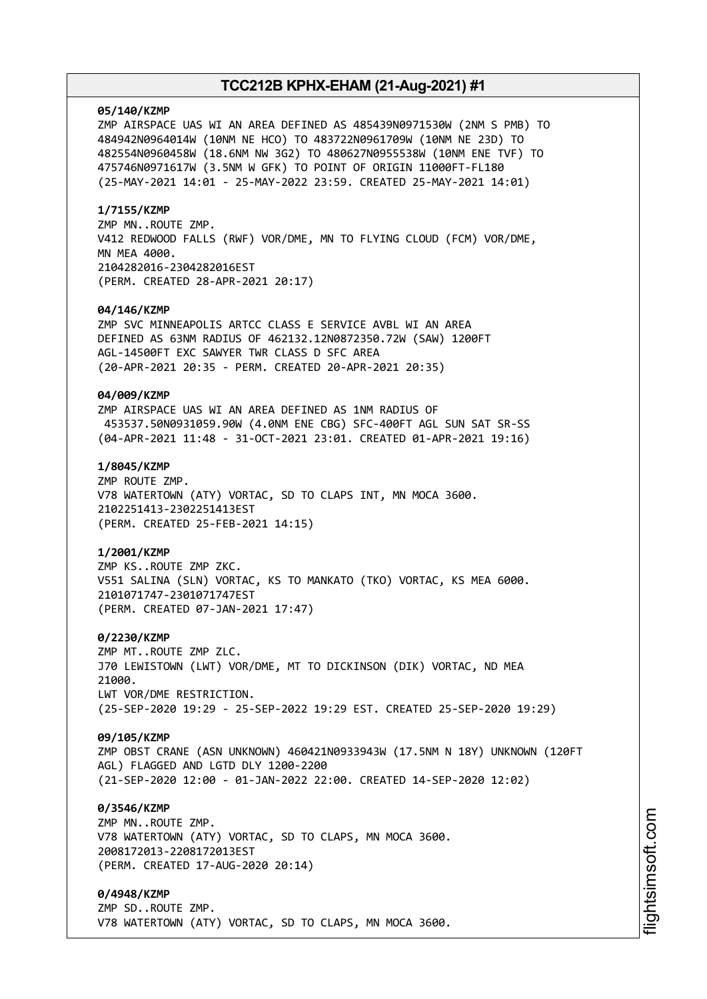#### **05/140/KZMP**

ZMP AIRSPACE UAS WI AN AREA DEFINED AS 485439N0971530W (2NM S PMB) TO 484942N0964014W (10NM NE HCO) TO 483722N0961709W (10NM NE 23D) TO 482554N0960458W (18.6NM NW 3G2) TO 480627N0955538W (10NM ENE TVF) TO 475746N0971617W (3.5NM W GFK) TO POINT OF ORIGIN 11000FT-FL180 (25-MAY-2021 14:01 - 25-MAY-2022 23:59. CREATED 25-MAY-2021 14:01)

### **1/7155/KZMP**

ZMP MN..ROUTE ZMP. V412 REDWOOD FALLS (RWF) VOR/DME, MN TO FLYING CLOUD (FCM) VOR/DME, MN MEA 4000. 2104282016-2304282016EST (PERM. CREATED 28-APR-2021 20:17)

### **04/146/KZMP**

ZMP SVC MINNEAPOLIS ARTCC CLASS E SERVICE AVBL WI AN AREA DEFINED AS 63NM RADIUS OF 462132.12N0872350.72W (SAW) 1200FT AGL-14500FT EXC SAWYER TWR CLASS D SFC AREA (20-APR-2021 20:35 - PERM. CREATED 20-APR-2021 20:35)

### **04/009/KZMP**

ZMP AIRSPACE UAS WI AN AREA DEFINED AS 1NM RADIUS OF 453537.50N0931059.90W (4.0NM ENE CBG) SFC-400FT AGL SUN SAT SR-SS (04-APR-2021 11:48 - 31-OCT-2021 23:01. CREATED 01-APR-2021 19:16)

### **1/8045/KZMP**

ZMP ROUTE ZMP. V78 WATERTOWN (ATY) VORTAC, SD TO CLAPS INT, MN MOCA 3600. 2102251413-2302251413EST (PERM. CREATED 25-FEB-2021 14:15)

### **1/2001/KZMP**

ZMP KS..ROUTE ZMP ZKC. V551 SALINA (SLN) VORTAC, KS TO MANKATO (TKO) VORTAC, KS MEA 6000. 2101071747-2301071747EST (PERM. CREATED 07-JAN-2021 17:47)

#### **0/2230/KZMP**

ZMP MT..ROUTE ZMP ZLC. J70 LEWISTOWN (LWT) VOR/DME, MT TO DICKINSON (DIK) VORTAC, ND MEA 21000. LWT VOR/DME RESTRICTION. (25-SEP-2020 19:29 - 25-SEP-2022 19:29 EST. CREATED 25-SEP-2020 19:29)

#### **09/105/KZMP**

ZMP OBST CRANE (ASN UNKNOWN) 460421N0933943W (17.5NM N 18Y) UNKNOWN (120FT AGL) FLAGGED AND LGTD DLY 1200-2200 (21-SEP-2020 12:00 - 01-JAN-2022 22:00. CREATED 14-SEP-2020 12:02)

### **0/3546/KZMP**

ZMP MN..ROUTE ZMP. V78 WATERTOWN (ATY) VORTAC, SD TO CLAPS, MN MOCA 3600. 2008172013-2208172013EST (PERM. CREATED 17-AUG-2020 20:14)

### **0/4948/KZMP**

ZMP SD..ROUTE ZMP. V78 WATERTOWN (ATY) VORTAC, SD TO CLAPS, MN MOCA 3600.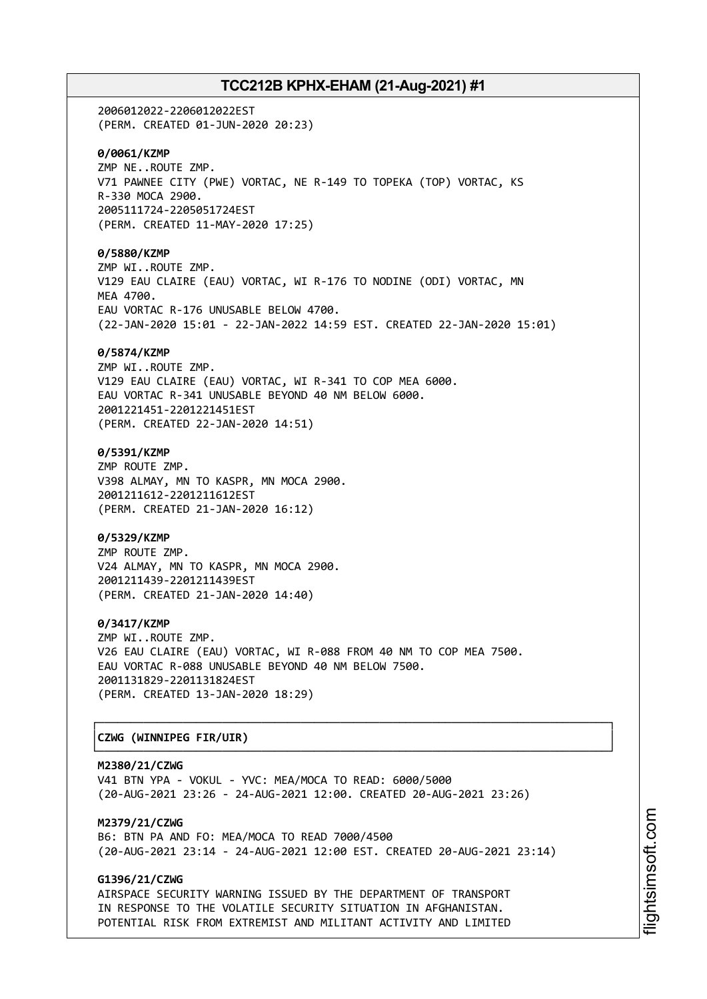2006012022-2206012022EST (PERM. CREATED 01-JUN-2020 20:23) **0/0061/KZMP** ZMP NE..ROUTE ZMP. V71 PAWNEE CITY (PWE) VORTAC, NE R-149 TO TOPEKA (TOP) VORTAC, KS R-330 MOCA 2900. 2005111724-2205051724EST (PERM. CREATED 11-MAY-2020 17:25) **0/5880/KZMP** ZMP WI..ROUTE ZMP. V129 EAU CLAIRE (EAU) VORTAC, WI R-176 TO NODINE (ODI) VORTAC, MN MEA 4700. EAU VORTAC R-176 UNUSABLE BELOW 4700. (22-JAN-2020 15:01 - 22-JAN-2022 14:59 EST. CREATED 22-JAN-2020 15:01) **0/5874/KZMP** ZMP WI..ROUTE ZMP. V129 EAU CLAIRE (EAU) VORTAC, WI R-341 TO COP MEA 6000. EAU VORTAC R-341 UNUSABLE BEYOND 40 NM BELOW 6000. 2001221451-2201221451EST (PERM. CREATED 22-JAN-2020 14:51) **0/5391/KZMP** ZMP ROUTE ZMP. V398 ALMAY, MN TO KASPR, MN MOCA 2900. 2001211612-2201211612EST (PERM. CREATED 21-JAN-2020 16:12) **0/5329/KZMP** ZMP ROUTE ZMP. V24 ALMAY, MN TO KASPR, MN MOCA 2900. 2001211439-2201211439EST (PERM. CREATED 21-JAN-2020 14:40) **0/3417/KZMP** ZMP WI..ROUTE ZMP. V26 EAU CLAIRE (EAU) VORTAC, WI R-088 FROM 40 NM TO COP MEA 7500. EAU VORTAC R-088 UNUSABLE BEYOND 40 NM BELOW 7500. 2001131829-2201131824EST (PERM. CREATED 13-JAN-2020 18:29) ┌──────────────────────────────────────────────────────────────────────────────┐

# │**CZWG (WINNIPEG FIR/UIR)** │

**M2380/21/CZWG** V41 BTN YPA - VOKUL - YVC: MEA/MOCA TO READ: 6000/5000 (20-AUG-2021 23:26 - 24-AUG-2021 12:00. CREATED 20-AUG-2021 23:26)

└──────────────────────────────────────────────────────────────────────────────┘

**M2379/21/CZWG** B6: BTN PA AND FO: MEA/MOCA TO READ 7000/4500 (20-AUG-2021 23:14 - 24-AUG-2021 12:00 EST. CREATED 20-AUG-2021 23:14)

## **G1396/21/CZWG**

AIRSPACE SECURITY WARNING ISSUED BY THE DEPARTMENT OF TRANSPORT IN RESPONSE TO THE VOLATILE SECURITY SITUATION IN AFGHANISTAN. POTENTIAL RISK FROM EXTREMIST AND MILITANT ACTIVITY AND LIMITED i⊒<br>⊫ htsim soft.c om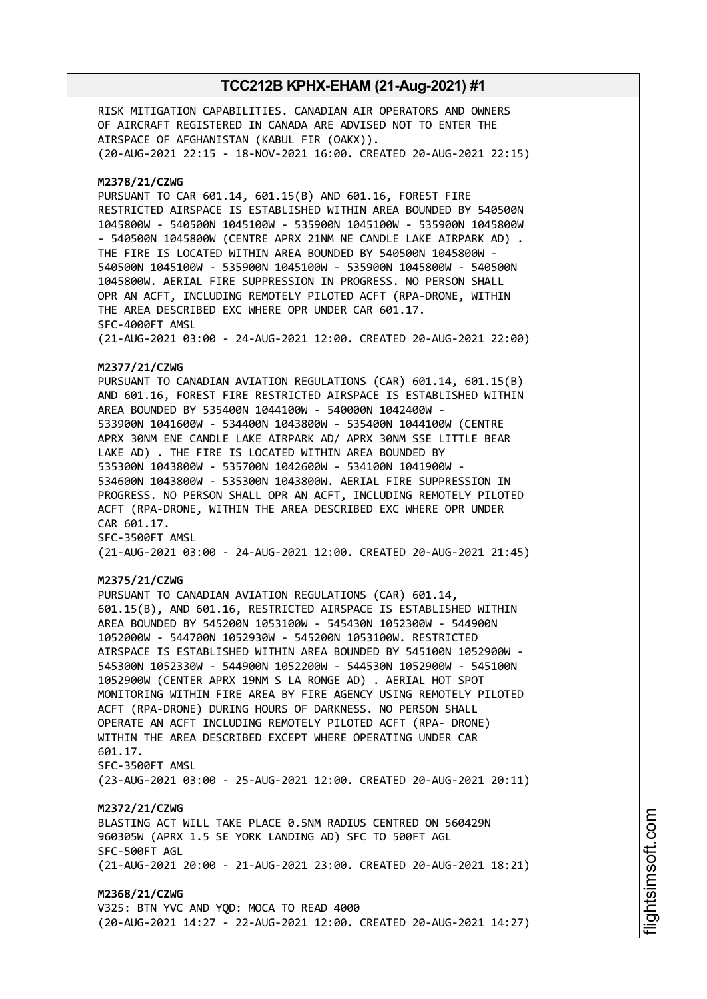RISK MITIGATION CAPABILITIES. CANADIAN AIR OPERATORS AND OWNERS OF AIRCRAFT REGISTERED IN CANADA ARE ADVISED NOT TO ENTER THE AIRSPACE OF AFGHANISTAN (KABUL FIR (OAKX)). (20-AUG-2021 22:15 - 18-NOV-2021 16:00. CREATED 20-AUG-2021 22:15) **M2378/21/CZWG** PURSUANT TO CAR 601.14, 601.15(B) AND 601.16, FOREST FIRE RESTRICTED AIRSPACE IS ESTABLISHED WITHIN AREA BOUNDED BY 540500N 1045800W - 540500N 1045100W - 535900N 1045100W - 535900N 1045800W - 540500N 1045800W (CENTRE APRX 21NM NE CANDLE LAKE AIRPARK AD) . THE FIRE IS LOCATED WITHIN AREA BOUNDED BY 540500N 1045800W - 540500N 1045100W - 535900N 1045100W - 535900N 1045800W - 540500N 1045800W. AERIAL FIRE SUPPRESSION IN PROGRESS. NO PERSON SHALL OPR AN ACFT, INCLUDING REMOTELY PILOTED ACFT (RPA-DRONE, WITHIN THE AREA DESCRIBED EXC WHERE OPR UNDER CAR 601.17. SFC-4000FT AMSL (21-AUG-2021 03:00 - 24-AUG-2021 12:00. CREATED 20-AUG-2021 22:00) **M2377/21/CZWG** PURSUANT TO CANADIAN AVIATION REGULATIONS (CAR) 601.14, 601.15(B) AND 601.16, FOREST FIRE RESTRICTED AIRSPACE IS ESTABLISHED WITHIN AREA BOUNDED BY 535400N 1044100W - 540000N 1042400W - 533900N 1041600W - 534400N 1043800W - 535400N 1044100W (CENTRE APRX 30NM ENE CANDLE LAKE AIRPARK AD/ APRX 30NM SSE LITTLE BEAR LAKE AD) . THE FIRE IS LOCATED WITHIN AREA BOUNDED BY 535300N 1043800W - 535700N 1042600W - 534100N 1041900W - 534600N 1043800W - 535300N 1043800W. AERIAL FIRE SUPPRESSION IN PROGRESS. NO PERSON SHALL OPR AN ACFT, INCLUDING REMOTELY PILOTED ACFT (RPA-DRONE, WITHIN THE AREA DESCRIBED EXC WHERE OPR UNDER CAR 601.17. SFC-3500FT AMSL (21-AUG-2021 03:00 - 24-AUG-2021 12:00. CREATED 20-AUG-2021 21:45) **M2375/21/CZWG** PURSUANT TO CANADIAN AVIATION REGULATIONS (CAR) 601.14, 601.15(B), AND 601.16, RESTRICTED AIRSPACE IS ESTABLISHED WITHIN AREA BOUNDED BY 545200N 1053100W - 545430N 1052300W - 544900N 1052000W - 544700N 1052930W - 545200N 1053100W. RESTRICTED AIRSPACE IS ESTABLISHED WITHIN AREA BOUNDED BY 545100N 1052900W - 545300N 1052330W - 544900N 1052200W - 544530N 1052900W - 545100N 1052900W (CENTER APRX 19NM S LA RONGE AD) . AERIAL HOT SPOT MONITORING WITHIN FIRE AREA BY FIRE AGENCY USING REMOTELY PILOTED ACFT (RPA-DRONE) DURING HOURS OF DARKNESS. NO PERSON SHALL OPERATE AN ACFT INCLUDING REMOTELY PILOTED ACFT (RPA- DRONE) WITHIN THE AREA DESCRIBED EXCEPT WHERE OPERATING UNDER CAR 601.17. SFC-3500FT AMSL (23-AUG-2021 03:00 - 25-AUG-2021 12:00. CREATED 20-AUG-2021 20:11) **M2372/21/CZWG** BLASTING ACT WILL TAKE PLACE 0.5NM RADIUS CENTRED ON 560429N 960305W (APRX 1.5 SE YORK LANDING AD) SFC TO 500FT AGL SFC-500FT AGL (21-AUG-2021 20:00 - 21-AUG-2021 23:00. CREATED 20-AUG-2021 18:21) **M2368/21/CZWG** V325: BTN YVC AND YQD: MOCA TO READ 4000 (20-AUG-2021 14:27 - 22-AUG-2021 12:00. CREATED 20-AUG-2021 14:27)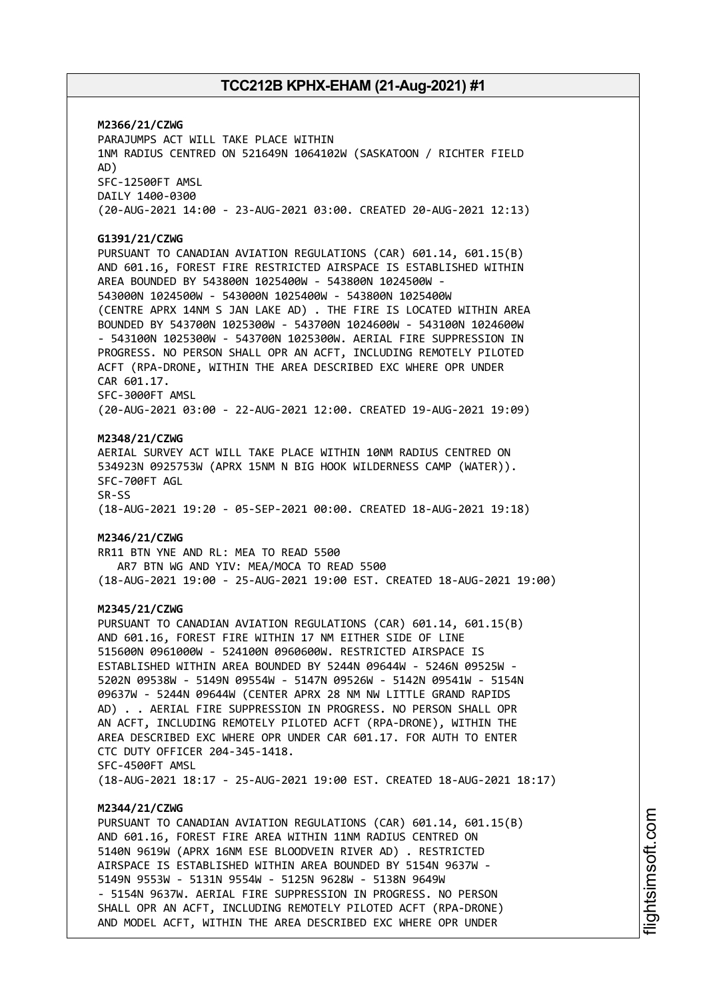**M2366/21/CZWG** PARAJUMPS ACT WILL TAKE PLACE WITHIN 1NM RADIUS CENTRED ON 521649N 1064102W (SASKATOON / RICHTER FIELD AD) SFC-12500FT AMSL DAILY 1400-0300 (20-AUG-2021 14:00 - 23-AUG-2021 03:00. CREATED 20-AUG-2021 12:13) **G1391/21/CZWG** PURSUANT TO CANADIAN AVIATION REGULATIONS (CAR) 601.14, 601.15(B) AND 601.16, FOREST FIRE RESTRICTED AIRSPACE IS ESTABLISHED WITHIN AREA BOUNDED BY 543800N 1025400W - 543800N 1024500W - 543000N 1024500W - 543000N 1025400W - 543800N 1025400W (CENTRE APRX 14NM S JAN LAKE AD) . THE FIRE IS LOCATED WITHIN AREA BOUNDED BY 543700N 1025300W - 543700N 1024600W - 543100N 1024600W - 543100N 1025300W - 543700N 1025300W. AERIAL FIRE SUPPRESSION IN PROGRESS. NO PERSON SHALL OPR AN ACFT, INCLUDING REMOTELY PILOTED ACFT (RPA-DRONE, WITHIN THE AREA DESCRIBED EXC WHERE OPR UNDER CAR 601.17. SFC-3000FT AMSL (20-AUG-2021 03:00 - 22-AUG-2021 12:00. CREATED 19-AUG-2021 19:09) **M2348/21/CZWG** AERIAL SURVEY ACT WILL TAKE PLACE WITHIN 10NM RADIUS CENTRED ON 534923N 0925753W (APRX 15NM N BIG HOOK WILDERNESS CAMP (WATER)). SFC-700FT AGL SR-SS (18-AUG-2021 19:20 - 05-SEP-2021 00:00. CREATED 18-AUG-2021 19:18) **M2346/21/CZWG** RR11 BTN YNE AND RL: MEA TO READ 5500 AR7 BTN WG AND YIV: MEA/MOCA TO READ 5500 (18-AUG-2021 19:00 - 25-AUG-2021 19:00 EST. CREATED 18-AUG-2021 19:00) **M2345/21/CZWG** PURSUANT TO CANADIAN AVIATION REGULATIONS (CAR) 601.14, 601.15(B) AND 601.16, FOREST FIRE WITHIN 17 NM EITHER SIDE OF LINE 515600N 0961000W - 524100N 0960600W. RESTRICTED AIRSPACE IS ESTABLISHED WITHIN AREA BOUNDED BY 5244N 09644W - 5246N 09525W - 5202N 09538W - 5149N 09554W - 5147N 09526W - 5142N 09541W - 5154N 09637W - 5244N 09644W (CENTER APRX 28 NM NW LITTLE GRAND RAPIDS AD) . . AERIAL FIRE SUPPRESSION IN PROGRESS. NO PERSON SHALL OPR AN ACFT, INCLUDING REMOTELY PILOTED ACFT (RPA-DRONE), WITHIN THE AREA DESCRIBED EXC WHERE OPR UNDER CAR 601.17. FOR AUTH TO ENTER CTC DUTY OFFICER 204-345-1418. SFC-4500FT AMSL (18-AUG-2021 18:17 - 25-AUG-2021 19:00 EST. CREATED 18-AUG-2021 18:17) **M2344/21/CZWG** PURSUANT TO CANADIAN AVIATION REGULATIONS (CAR) 601.14, 601.15(B) AND 601.16, FOREST FIRE AREA WITHIN 11NM RADIUS CENTRED ON 5140N 9619W (APRX 16NM ESE BLOODVEIN RIVER AD) . RESTRICTED AIRSPACE IS ESTABLISHED WITHIN AREA BOUNDED BY 5154N 9637W - 5149N 9553W - 5131N 9554W - 5125N 9628W - 5138N 9649W - 5154N 9637W. AERIAL FIRE SUPPRESSION IN PROGRESS. NO PERSON SHALL OPR AN ACFT, INCLUDING REMOTELY PILOTED ACFT (RPA-DRONE)

AND MODEL ACFT, WITHIN THE AREA DESCRIBED EXC WHERE OPR UNDER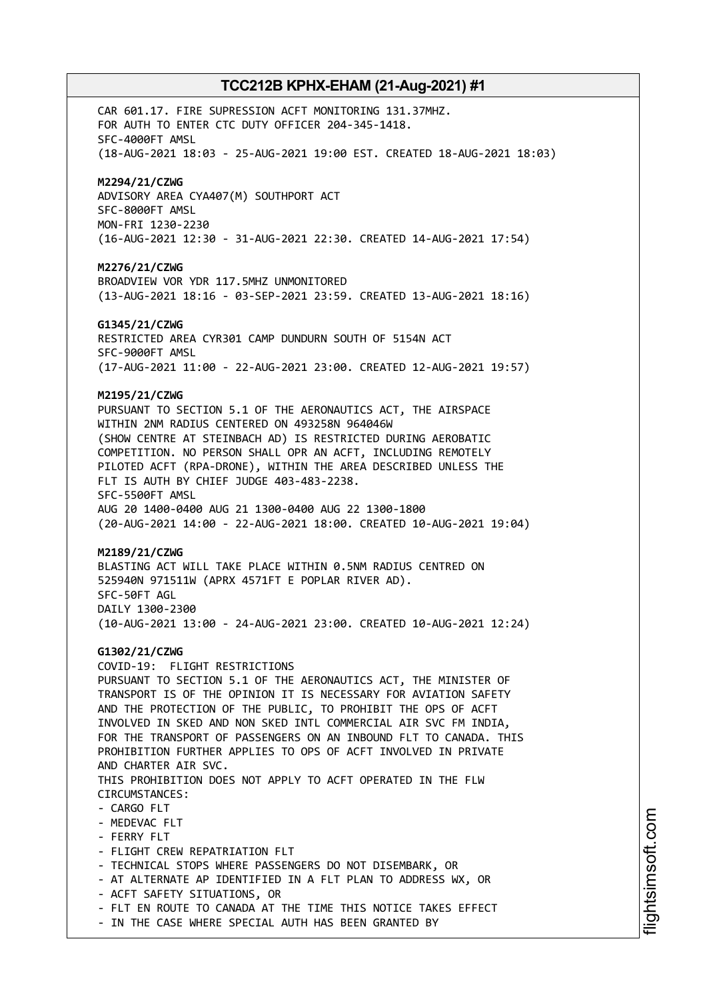CAR 601.17. FIRE SUPRESSION ACFT MONITORING 131.37MHZ. FOR AUTH TO ENTER CTC DUTY OFFICER 204-345-1418. SFC-4000FT AMSL (18-AUG-2021 18:03 - 25-AUG-2021 19:00 EST. CREATED 18-AUG-2021 18:03) **M2294/21/CZWG** ADVISORY AREA CYA407(M) SOUTHPORT ACT SFC-8000FT AMSL MON-FRI 1230-2230 (16-AUG-2021 12:30 - 31-AUG-2021 22:30. CREATED 14-AUG-2021 17:54) **M2276/21/CZWG** BROADVIEW VOR YDR 117.5MHZ UNMONITORED (13-AUG-2021 18:16 - 03-SEP-2021 23:59. CREATED 13-AUG-2021 18:16) **G1345/21/CZWG** RESTRICTED AREA CYR301 CAMP DUNDURN SOUTH OF 5154N ACT SFC-9000FT AMSL (17-AUG-2021 11:00 - 22-AUG-2021 23:00. CREATED 12-AUG-2021 19:57) **M2195/21/CZWG** PURSUANT TO SECTION 5.1 OF THE AERONAUTICS ACT, THE AIRSPACE WITHIN 2NM RADIUS CENTERED ON 493258N 964046W (SHOW CENTRE AT STEINBACH AD) IS RESTRICTED DURING AEROBATIC COMPETITION. NO PERSON SHALL OPR AN ACFT, INCLUDING REMOTELY PILOTED ACFT (RPA-DRONE), WITHIN THE AREA DESCRIBED UNLESS THE FLT IS AUTH BY CHIEF JUDGE 403-483-2238. SFC-5500FT AMSL AUG 20 1400-0400 AUG 21 1300-0400 AUG 22 1300-1800 (20-AUG-2021 14:00 - 22-AUG-2021 18:00. CREATED 10-AUG-2021 19:04) **M2189/21/CZWG** BLASTING ACT WILL TAKE PLACE WITHIN 0.5NM RADIUS CENTRED ON 525940N 971511W (APRX 4571FT E POPLAR RIVER AD). SFC-50FT AGL DAILY 1300-2300 (10-AUG-2021 13:00 - 24-AUG-2021 23:00. CREATED 10-AUG-2021 12:24) **G1302/21/CZWG** COVID-19: FLIGHT RESTRICTIONS PURSUANT TO SECTION 5.1 OF THE AERONAUTICS ACT, THE MINISTER OF TRANSPORT IS OF THE OPINION IT IS NECESSARY FOR AVIATION SAFETY AND THE PROTECTION OF THE PUBLIC, TO PROHIBIT THE OPS OF ACFT INVOLVED IN SKED AND NON SKED INTL COMMERCIAL AIR SVC FM INDIA, FOR THE TRANSPORT OF PASSENGERS ON AN INBOUND FLT TO CANADA. THIS PROHIBITION FURTHER APPLIES TO OPS OF ACFT INVOLVED IN PRIVATE AND CHARTER AIR SVC. THIS PROHIBITION DOES NOT APPLY TO ACFT OPERATED IN THE FLW CIRCUMSTANCES: - CARGO FLT - MEDEVAC FLT - FERRY FLT - FLIGHT CREW REPATRIATION FLT - TECHNICAL STOPS WHERE PASSENGERS DO NOT DISEMBARK, OR - AT ALTERNATE AP IDENTIFIED IN A FLT PLAN TO ADDRESS WX, OR - ACFT SAFETY SITUATIONS, OR - FLT EN ROUTE TO CANADA AT THE TIME THIS NOTICE TAKES EFFECT - IN THE CASE WHERE SPECIAL AUTH HAS BEEN GRANTED BY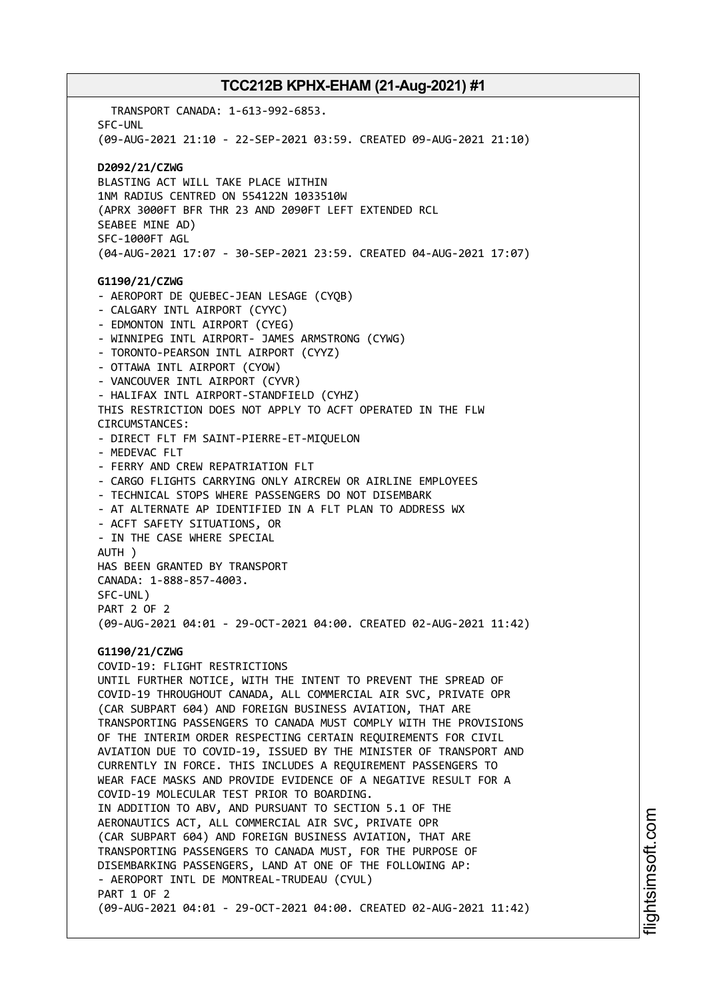TRANSPORT CANADA: 1-613-992-6853. SFC-UNL (09-AUG-2021 21:10 - 22-SEP-2021 03:59. CREATED 09-AUG-2021 21:10) **D2092/21/CZWG** BLASTING ACT WILL TAKE PLACE WITHIN 1NM RADIUS CENTRED ON 554122N 1033510W (APRX 3000FT BFR THR 23 AND 2090FT LEFT EXTENDED RCL SEABEE MINE AD) SFC-1000FT AGL (04-AUG-2021 17:07 - 30-SEP-2021 23:59. CREATED 04-AUG-2021 17:07) **G1190/21/CZWG** - AEROPORT DE QUEBEC-JEAN LESAGE (CYQB) - CALGARY INTL AIRPORT (CYYC) - EDMONTON INTL AIRPORT (CYEG) - WINNIPEG INTL AIRPORT- JAMES ARMSTRONG (CYWG) - TORONTO-PEARSON INTL AIRPORT (CYYZ) - OTTAWA INTL AIRPORT (CYOW) - VANCOUVER INTL AIRPORT (CYVR) - HALIFAX INTL AIRPORT-STANDFIELD (CYHZ) THIS RESTRICTION DOES NOT APPLY TO ACFT OPERATED IN THE FLW CIRCUMSTANCES: - DIRECT FLT FM SAINT-PIERRE-ET-MIQUELON - MEDEVAC FLT - FERRY AND CREW REPATRIATION FLT - CARGO FLIGHTS CARRYING ONLY AIRCREW OR AIRLINE EMPLOYEES - TECHNICAL STOPS WHERE PASSENGERS DO NOT DISEMBARK - AT ALTERNATE AP IDENTIFIED IN A FLT PLAN TO ADDRESS WX - ACFT SAFETY SITUATIONS, OR - IN THE CASE WHERE SPECIAL AUTH ) HAS BEEN GRANTED BY TRANSPORT CANADA: 1-888-857-4003. SFC-UNL) PART 2 OF 2 (09-AUG-2021 04:01 - 29-OCT-2021 04:00. CREATED 02-AUG-2021 11:42) **G1190/21/CZWG** COVID-19: FLIGHT RESTRICTIONS UNTIL FURTHER NOTICE, WITH THE INTENT TO PREVENT THE SPREAD OF COVID-19 THROUGHOUT CANADA, ALL COMMERCIAL AIR SVC, PRIVATE OPR (CAR SUBPART 604) AND FOREIGN BUSINESS AVIATION, THAT ARE TRANSPORTING PASSENGERS TO CANADA MUST COMPLY WITH THE PROVISIONS OF THE INTERIM ORDER RESPECTING CERTAIN REQUIREMENTS FOR CIVIL AVIATION DUE TO COVID-19, ISSUED BY THE MINISTER OF TRANSPORT AND CURRENTLY IN FORCE. THIS INCLUDES A REQUIREMENT PASSENGERS TO WEAR FACE MASKS AND PROVIDE EVIDENCE OF A NEGATIVE RESULT FOR A COVID-19 MOLECULAR TEST PRIOR TO BOARDING. IN ADDITION TO ABV, AND PURSUANT TO SECTION 5.1 OF THE AERONAUTICS ACT, ALL COMMERCIAL AIR SVC, PRIVATE OPR (CAR SUBPART 604) AND FOREIGN BUSINESS AVIATION, THAT ARE TRANSPORTING PASSENGERS TO CANADA MUST, FOR THE PURPOSE OF DISEMBARKING PASSENGERS, LAND AT ONE OF THE FOLLOWING AP: - AEROPORT INTL DE MONTREAL-TRUDEAU (CYUL) PART 1 OF 2 (09-AUG-2021 04:01 - 29-OCT-2021 04:00. CREATED 02-AUG-2021 11:42)

i⊒<br>⊫ htsim soft.c om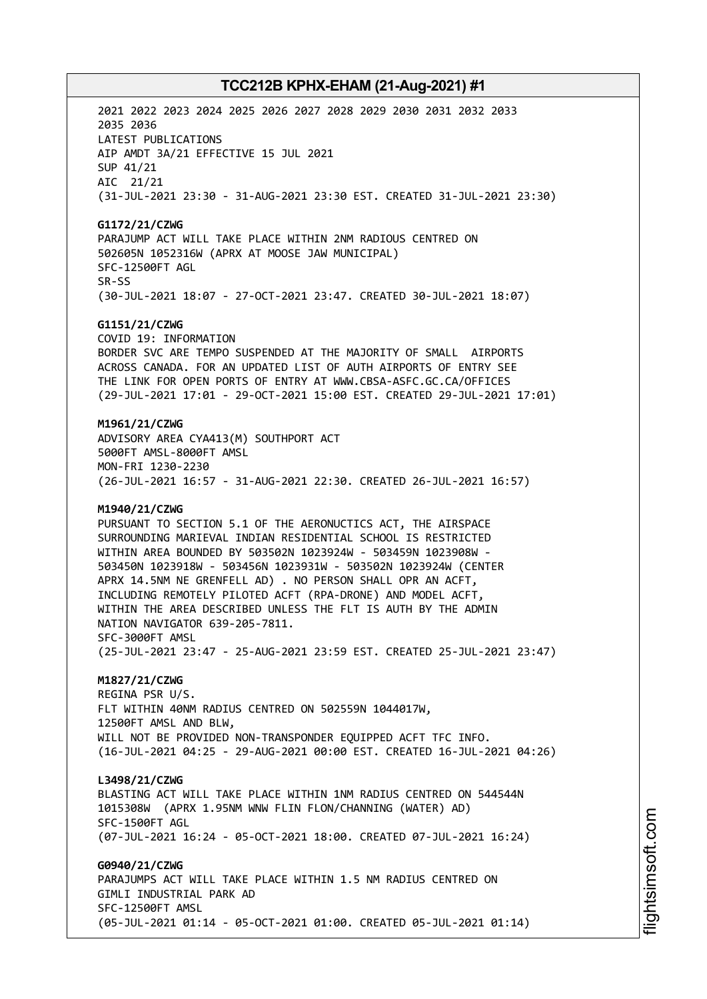2021 2022 2023 2024 2025 2026 2027 2028 2029 2030 2031 2032 2033 2035 2036 LATEST PUBLICATIONS AIP AMDT 3A/21 EFFECTIVE 15 JUL 2021 SUP 41/21 AIC 21/21 (31-JUL-2021 23:30 - 31-AUG-2021 23:30 EST. CREATED 31-JUL-2021 23:30) **G1172/21/CZWG** PARAJUMP ACT WILL TAKE PLACE WITHIN 2NM RADIOUS CENTRED ON 502605N 1052316W (APRX AT MOOSE JAW MUNICIPAL) SFC-12500FT AGL SR-SS (30-JUL-2021 18:07 - 27-OCT-2021 23:47. CREATED 30-JUL-2021 18:07) **G1151/21/CZWG** COVID 19: INFORMATION BORDER SVC ARE TEMPO SUSPENDED AT THE MAJORITY OF SMALL AIRPORTS ACROSS CANADA. FOR AN UPDATED LIST OF AUTH AIRPORTS OF ENTRY SEE THE LINK FOR OPEN PORTS OF ENTRY AT WWW.CBSA-ASFC.GC.CA/OFFICES (29-JUL-2021 17:01 - 29-OCT-2021 15:00 EST. CREATED 29-JUL-2021 17:01) **M1961/21/CZWG** ADVISORY AREA CYA413(M) SOUTHPORT ACT 5000FT AMSL-8000FT AMSL MON-FRI 1230-2230 (26-JUL-2021 16:57 - 31-AUG-2021 22:30. CREATED 26-JUL-2021 16:57) **M1940/21/CZWG** PURSUANT TO SECTION 5.1 OF THE AERONUCTICS ACT, THE AIRSPACE SURROUNDING MARIEVAL INDIAN RESIDENTIAL SCHOOL IS RESTRICTED WITHIN AREA BOUNDED BY 503502N 1023924W - 503459N 1023908W - 503450N 1023918W - 503456N 1023931W - 503502N 1023924W (CENTER APRX 14.5NM NE GRENFELL AD) . NO PERSON SHALL OPR AN ACFT, INCLUDING REMOTELY PILOTED ACFT (RPA-DRONE) AND MODEL ACFT, WITHIN THE AREA DESCRIBED UNLESS THE FLT IS AUTH BY THE ADMIN NATION NAVIGATOR 639-205-7811. SFC-3000FT AMSL (25-JUL-2021 23:47 - 25-AUG-2021 23:59 EST. CREATED 25-JUL-2021 23:47) **M1827/21/CZWG** REGINA PSR U/S. FLT WITHIN 40NM RADIUS CENTRED ON 502559N 1044017W, 12500FT AMSL AND BLW, WILL NOT BE PROVIDED NON-TRANSPONDER EQUIPPED ACFT TFC INFO. (16-JUL-2021 04:25 - 29-AUG-2021 00:00 EST. CREATED 16-JUL-2021 04:26) **L3498/21/CZWG** BLASTING ACT WILL TAKE PLACE WITHIN 1NM RADIUS CENTRED ON 544544N 1015308W (APRX 1.95NM WNW FLIN FLON/CHANNING (WATER) AD) SFC-1500FT AGL (07-JUL-2021 16:24 - 05-OCT-2021 18:00. CREATED 07-JUL-2021 16:24) **G0940/21/CZWG** PARAJUMPS ACT WILL TAKE PLACE WITHIN 1.5 NM RADIUS CENTRED ON GIMLI INDUSTRIAL PARK AD SFC-12500FT AMSL (05-JUL-2021 01:14 - 05-OCT-2021 01:00. CREATED 05-JUL-2021 01:14)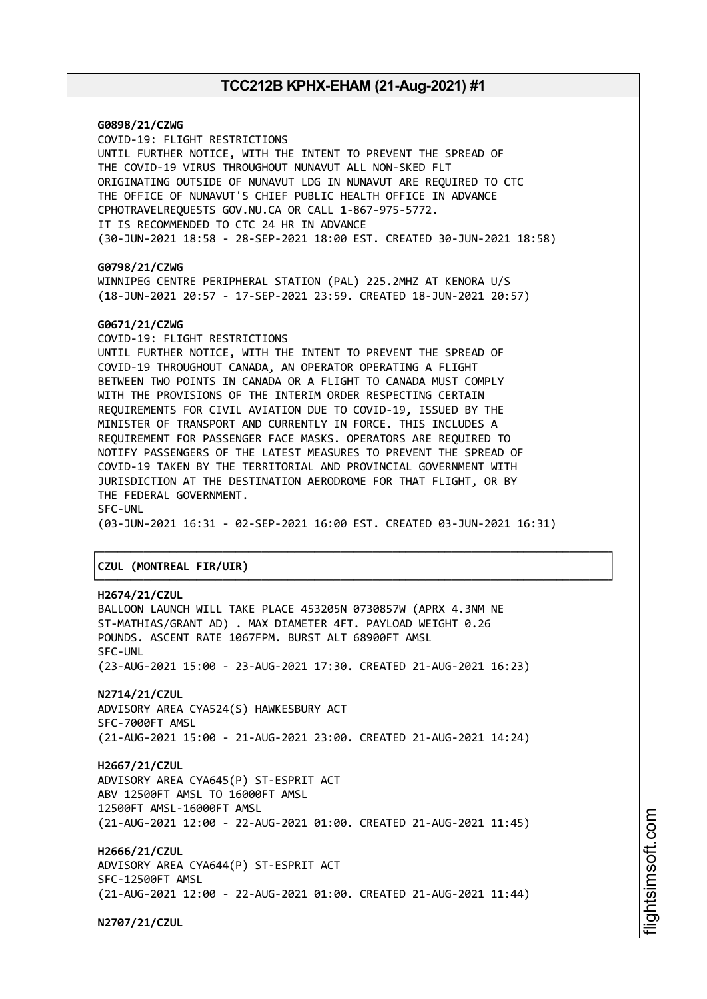**G0898/21/CZWG** COVID-19: FLIGHT RESTRICTIONS UNTIL FURTHER NOTICE, WITH THE INTENT TO PREVENT THE SPREAD OF THE COVID-19 VIRUS THROUGHOUT NUNAVUT ALL NON-SKED FLT ORIGINATING OUTSIDE OF NUNAVUT LDG IN NUNAVUT ARE REQUIRED TO CTC THE OFFICE OF NUNAVUT'S CHIEF PUBLIC HEALTH OFFICE IN ADVANCE CPHOTRAVELREQUESTS GOV.NU.CA OR CALL 1-867-975-5772. IT IS RECOMMENDED TO CTC 24 HR IN ADVANCE (30-JUN-2021 18:58 - 28-SEP-2021 18:00 EST. CREATED 30-JUN-2021 18:58) **G0798/21/CZWG** WINNIPEG CENTRE PERIPHERAL STATION (PAL) 225.2MHZ AT KENORA U/S (18-JUN-2021 20:57 - 17-SEP-2021 23:59. CREATED 18-JUN-2021 20:57) **G0671/21/CZWG** COVID-19: FLIGHT RESTRICTIONS UNTIL FURTHER NOTICE, WITH THE INTENT TO PREVENT THE SPREAD OF COVID-19 THROUGHOUT CANADA, AN OPERATOR OPERATING A FLIGHT BETWEEN TWO POINTS IN CANADA OR A FLIGHT TO CANADA MUST COMPLY WITH THE PROVISIONS OF THE INTERIM ORDER RESPECTING CERTAIN REQUIREMENTS FOR CIVIL AVIATION DUE TO COVID-19, ISSUED BY THE MINISTER OF TRANSPORT AND CURRENTLY IN FORCE. THIS INCLUDES A REQUIREMENT FOR PASSENGER FACE MASKS. OPERATORS ARE REQUIRED TO NOTIFY PASSENGERS OF THE LATEST MEASURES TO PREVENT THE SPREAD OF COVID-19 TAKEN BY THE TERRITORIAL AND PROVINCIAL GOVERNMENT WITH JURISDICTION AT THE DESTINATION AERODROME FOR THAT FLIGHT, OR BY THE FEDERAL GOVERNMENT. SFC-UNL (03-JUN-2021 16:31 - 02-SEP-2021 16:00 EST. CREATED 03-JUN-2021 16:31) ┌──────────────────────────────────────────────────────────────────────────────┐ │**CZUL (MONTREAL FIR/UIR)** │ └──────────────────────────────────────────────────────────────────────────────┘ **H2674/21/CZUL** BALLOON LAUNCH WILL TAKE PLACE 453205N 0730857W (APRX 4.3NM NE ST-MATHIAS/GRANT AD) . MAX DIAMETER 4FT. PAYLOAD WEIGHT 0.26 POUNDS. ASCENT RATE 1067FPM. BURST ALT 68900FT AMSL SFC-UNL (23-AUG-2021 15:00 - 23-AUG-2021 17:30. CREATED 21-AUG-2021 16:23)

**N2714/21/CZUL** ADVISORY AREA CYA524(S) HAWKESBURY ACT SFC-7000FT AMSL (21-AUG-2021 15:00 - 21-AUG-2021 23:00. CREATED 21-AUG-2021 14:24)

**H2667/21/CZUL** ADVISORY AREA CYA645(P) ST-ESPRIT ACT ABV 12500FT AMSL TO 16000FT AMSL 12500FT AMSL-16000FT AMSL (21-AUG-2021 12:00 - 22-AUG-2021 01:00. CREATED 21-AUG-2021 11:45)

**H2666/21/CZUL** ADVISORY AREA CYA644(P) ST-ESPRIT ACT SFC-12500FT AMSL (21-AUG-2021 12:00 - 22-AUG-2021 01:00. CREATED 21-AUG-2021 11:44)

**N2707/21/CZUL**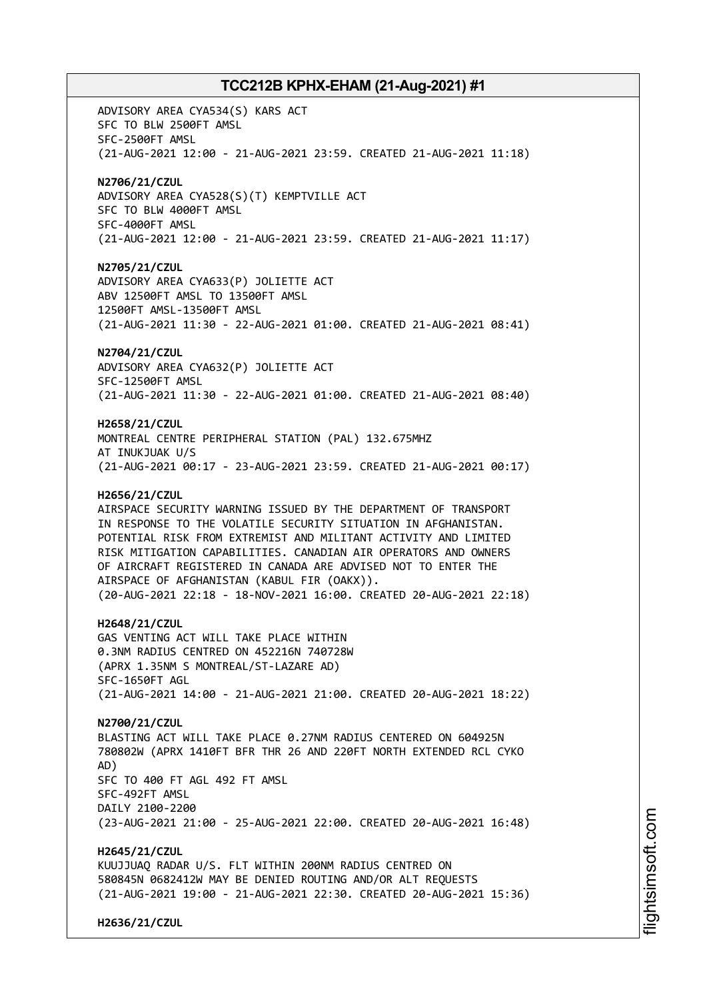ADVISORY AREA CYA534(S) KARS ACT SFC TO BLW 2500FT AMSL SFC-2500FT AMSL (21-AUG-2021 12:00 - 21-AUG-2021 23:59. CREATED 21-AUG-2021 11:18) **N2706/21/CZUL** ADVISORY AREA CYA528(S)(T) KEMPTVILLE ACT SFC TO BLW 4000FT AMSL SFC-4000FT AMSL (21-AUG-2021 12:00 - 21-AUG-2021 23:59. CREATED 21-AUG-2021 11:17) **N2705/21/CZUL** ADVISORY AREA CYA633(P) JOLIETTE ACT ABV 12500FT AMSL TO 13500FT AMSL 12500FT AMSL-13500FT AMSL (21-AUG-2021 11:30 - 22-AUG-2021 01:00. CREATED 21-AUG-2021 08:41) **N2704/21/CZUL** ADVISORY AREA CYA632(P) JOLIETTE ACT SFC-12500FT AMSL (21-AUG-2021 11:30 - 22-AUG-2021 01:00. CREATED 21-AUG-2021 08:40) **H2658/21/CZUL** MONTREAL CENTRE PERIPHERAL STATION (PAL) 132.675MHZ AT INUKJUAK U/S (21-AUG-2021 00:17 - 23-AUG-2021 23:59. CREATED 21-AUG-2021 00:17) **H2656/21/CZUL** AIRSPACE SECURITY WARNING ISSUED BY THE DEPARTMENT OF TRANSPORT IN RESPONSE TO THE VOLATILE SECURITY SITUATION IN AFGHANISTAN. POTENTIAL RISK FROM EXTREMIST AND MILITANT ACTIVITY AND LIMITED RISK MITIGATION CAPABILITIES. CANADIAN AIR OPERATORS AND OWNERS OF AIRCRAFT REGISTERED IN CANADA ARE ADVISED NOT TO ENTER THE AIRSPACE OF AFGHANISTAN (KABUL FIR (OAKX)). (20-AUG-2021 22:18 - 18-NOV-2021 16:00. CREATED 20-AUG-2021 22:18) **H2648/21/CZUL** GAS VENTING ACT WILL TAKE PLACE WITHIN 0.3NM RADIUS CENTRED ON 452216N 740728W (APRX 1.35NM S MONTREAL/ST-LAZARE AD) SFC-1650FT AGL (21-AUG-2021 14:00 - 21-AUG-2021 21:00. CREATED 20-AUG-2021 18:22) **N2700/21/CZUL** BLASTING ACT WILL TAKE PLACE 0.27NM RADIUS CENTERED ON 604925N 780802W (APRX 1410FT BFR THR 26 AND 220FT NORTH EXTENDED RCL CYKO AD) SFC TO 400 FT AGL 492 FT AMSL SFC-492FT AMSL DAILY 2100-2200 (23-AUG-2021 21:00 - 25-AUG-2021 22:00. CREATED 20-AUG-2021 16:48) **H2645/21/CZUL** KUUJJUAQ RADAR U/S. FLT WITHIN 200NM RADIUS CENTRED ON 580845N 0682412W MAY BE DENIED ROUTING AND/OR ALT REQUESTS (21-AUG-2021 19:00 - 21-AUG-2021 22:30. CREATED 20-AUG-2021 15:36)

**H2636/21/CZUL**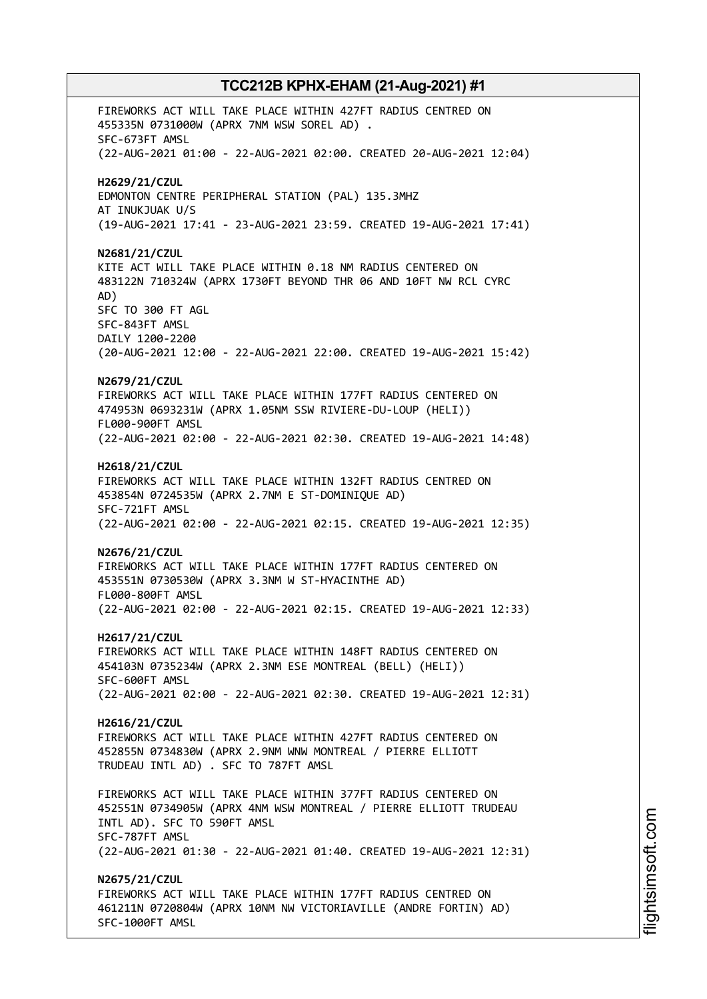FIREWORKS ACT WILL TAKE PLACE WITHIN 427FT RADIUS CENTRED ON 455335N 0731000W (APRX 7NM WSW SOREL AD) . SFC-673FT AMSL (22-AUG-2021 01:00 - 22-AUG-2021 02:00. CREATED 20-AUG-2021 12:04) **H2629/21/CZUL** EDMONTON CENTRE PERIPHERAL STATION (PAL) 135.3MHZ AT INUKJUAK U/S (19-AUG-2021 17:41 - 23-AUG-2021 23:59. CREATED 19-AUG-2021 17:41) **N2681/21/CZUL** KITE ACT WILL TAKE PLACE WITHIN 0.18 NM RADIUS CENTERED ON 483122N 710324W (APRX 1730FT BEYOND THR 06 AND 10FT NW RCL CYRC AD) SFC TO 300 FT AGL SFC-843FT AMSL DAILY 1200-2200 (20-AUG-2021 12:00 - 22-AUG-2021 22:00. CREATED 19-AUG-2021 15:42) **N2679/21/CZUL** FIREWORKS ACT WILL TAKE PLACE WITHIN 177FT RADIUS CENTERED ON 474953N 0693231W (APRX 1.05NM SSW RIVIERE-DU-LOUP (HELI)) FL000-900FT AMSL (22-AUG-2021 02:00 - 22-AUG-2021 02:30. CREATED 19-AUG-2021 14:48) **H2618/21/CZUL** FIREWORKS ACT WILL TAKE PLACE WITHIN 132FT RADIUS CENTRED ON 453854N 0724535W (APRX 2.7NM E ST-DOMINIQUE AD) SFC-721FT AMSL (22-AUG-2021 02:00 - 22-AUG-2021 02:15. CREATED 19-AUG-2021 12:35) **N2676/21/CZUL** FIREWORKS ACT WILL TAKE PLACE WITHIN 177FT RADIUS CENTERED ON 453551N 0730530W (APRX 3.3NM W ST-HYACINTHE AD) FL000-800FT AMSL (22-AUG-2021 02:00 - 22-AUG-2021 02:15. CREATED 19-AUG-2021 12:33) **H2617/21/CZUL** FIREWORKS ACT WILL TAKE PLACE WITHIN 148FT RADIUS CENTERED ON 454103N 0735234W (APRX 2.3NM ESE MONTREAL (BELL) (HELI)) SFC-600FT AMSL (22-AUG-2021 02:00 - 22-AUG-2021 02:30. CREATED 19-AUG-2021 12:31) **H2616/21/CZUL** FIREWORKS ACT WILL TAKE PLACE WITHIN 427FT RADIUS CENTERED ON 452855N 0734830W (APRX 2.9NM WNW MONTREAL / PIERRE ELLIOTT TRUDEAU INTL AD) . SFC TO 787FT AMSL FIREWORKS ACT WILL TAKE PLACE WITHIN 377FT RADIUS CENTERED ON 452551N 0734905W (APRX 4NM WSW MONTREAL / PIERRE ELLIOTT TRUDEAU INTL AD). SFC TO 590FT AMSL SFC-787FT AMSL (22-AUG-2021 01:30 - 22-AUG-2021 01:40. CREATED 19-AUG-2021 12:31) **N2675/21/CZUL** FIREWORKS ACT WILL TAKE PLACE WITHIN 177FT RADIUS CENTRED ON 461211N 0720804W (APRX 10NM NW VICTORIAVILLE (ANDRE FORTIN) AD) SFC-1000FT AMSL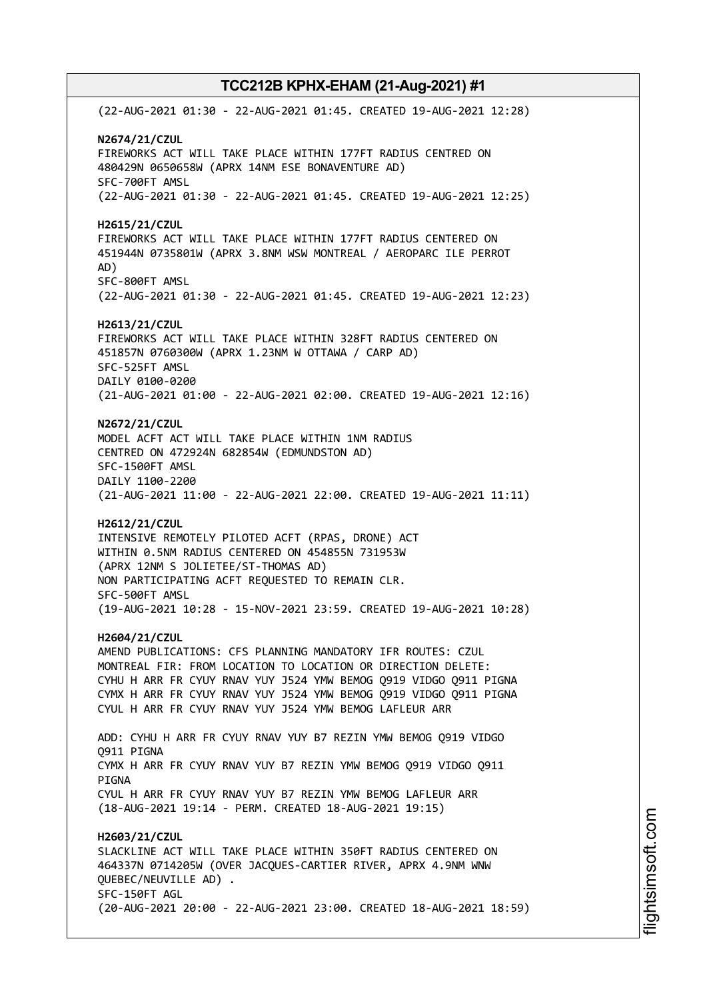(22-AUG-2021 01:30 - 22-AUG-2021 01:45. CREATED 19-AUG-2021 12:28) **N2674/21/CZUL** FIREWORKS ACT WILL TAKE PLACE WITHIN 177FT RADIUS CENTRED ON 480429N 0650658W (APRX 14NM ESE BONAVENTURE AD) SFC-700FT AMSL (22-AUG-2021 01:30 - 22-AUG-2021 01:45. CREATED 19-AUG-2021 12:25) **H2615/21/CZUL** FIREWORKS ACT WILL TAKE PLACE WITHIN 177FT RADIUS CENTERED ON 451944N 0735801W (APRX 3.8NM WSW MONTREAL / AEROPARC ILE PERROT AD) SFC-800FT AMSL (22-AUG-2021 01:30 - 22-AUG-2021 01:45. CREATED 19-AUG-2021 12:23) **H2613/21/CZUL** FIREWORKS ACT WILL TAKE PLACE WITHIN 328FT RADIUS CENTERED ON 451857N 0760300W (APRX 1.23NM W OTTAWA / CARP AD) SFC-525FT AMSL DAILY 0100-0200 (21-AUG-2021 01:00 - 22-AUG-2021 02:00. CREATED 19-AUG-2021 12:16) **N2672/21/CZUL** MODEL ACFT ACT WILL TAKE PLACE WITHIN 1NM RADIUS CENTRED ON 472924N 682854W (EDMUNDSTON AD) SFC-1500FT AMSL DAILY 1100-2200 (21-AUG-2021 11:00 - 22-AUG-2021 22:00. CREATED 19-AUG-2021 11:11) **H2612/21/CZUL** INTENSIVE REMOTELY PILOTED ACFT (RPAS, DRONE) ACT WITHIN 0.5NM RADIUS CENTERED ON 454855N 731953W (APRX 12NM S JOLIETEE/ST-THOMAS AD) NON PARTICIPATING ACFT REQUESTED TO REMAIN CLR. SFC-500FT AMSL (19-AUG-2021 10:28 - 15-NOV-2021 23:59. CREATED 19-AUG-2021 10:28) **H2604/21/CZUL** AMEND PUBLICATIONS: CFS PLANNING MANDATORY IFR ROUTES: CZUL MONTREAL FIR: FROM LOCATION TO LOCATION OR DIRECTION DELETE: CYHU H ARR FR CYUY RNAV YUY J524 YMW BEMOG Q919 VIDGO Q911 PIGNA CYMX H ARR FR CYUY RNAV YUY J524 YMW BEMOG Q919 VIDGO Q911 PIGNA CYUL H ARR FR CYUY RNAV YUY J524 YMW BEMOG LAFLEUR ARR ADD: CYHU H ARR FR CYUY RNAV YUY B7 REZIN YMW BEMOG Q919 VIDGO Q911 PIGNA CYMX H ARR FR CYUY RNAV YUY B7 REZIN YMW BEMOG Q919 VIDGO Q911 PIGNA CYUL H ARR FR CYUY RNAV YUY B7 REZIN YMW BEMOG LAFLEUR ARR (18-AUG-2021 19:14 - PERM. CREATED 18-AUG-2021 19:15) **H2603/21/CZUL** SLACKLINE ACT WILL TAKE PLACE WITHIN 350FT RADIUS CENTERED ON 464337N 0714205W (OVER JACQUES-CARTIER RIVER, APRX 4.9NM WNW QUEBEC/NEUVILLE AD) . SFC-150FT AGL (20-AUG-2021 20:00 - 22-AUG-2021 23:00. CREATED 18-AUG-2021 18:59)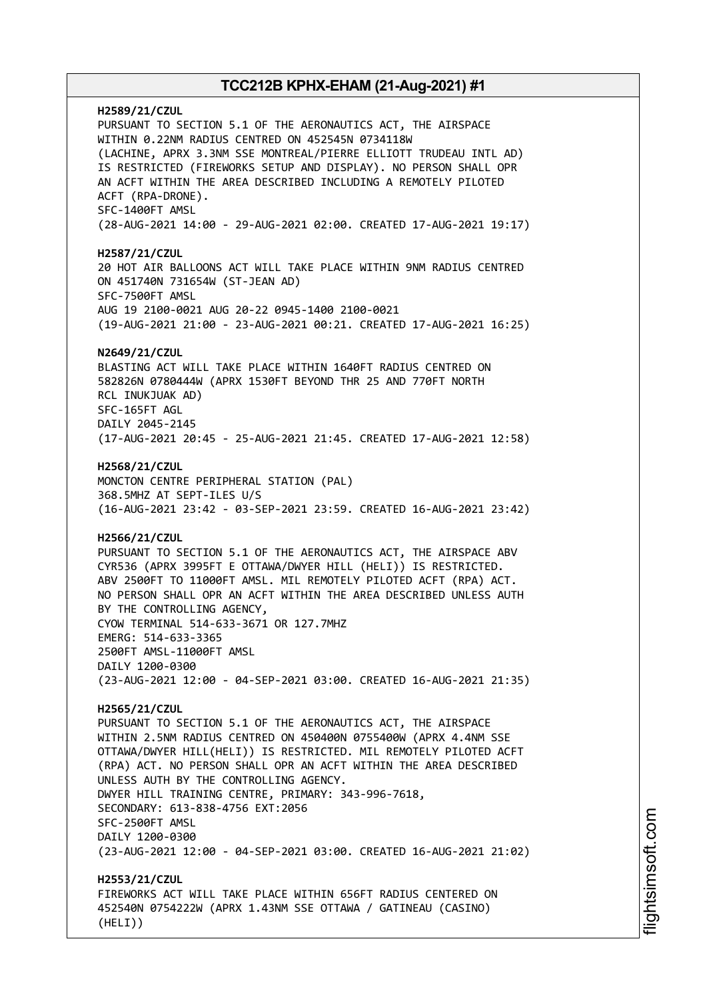**H2589/21/CZUL** PURSUANT TO SECTION 5.1 OF THE AERONAUTICS ACT, THE AIRSPACE WITHIN 0.22NM RADIUS CENTRED ON 452545N 0734118W (LACHINE, APRX 3.3NM SSE MONTREAL/PIERRE ELLIOTT TRUDEAU INTL AD) IS RESTRICTED (FIREWORKS SETUP AND DISPLAY). NO PERSON SHALL OPR AN ACFT WITHIN THE AREA DESCRIBED INCLUDING A REMOTELY PILOTED ACFT (RPA-DRONE). SFC-1400FT AMSL (28-AUG-2021 14:00 - 29-AUG-2021 02:00. CREATED 17-AUG-2021 19:17) **H2587/21/CZUL** 20 HOT AIR BALLOONS ACT WILL TAKE PLACE WITHIN 9NM RADIUS CENTRED ON 451740N 731654W (ST-JEAN AD) SFC-7500FT AMSL AUG 19 2100-0021 AUG 20-22 0945-1400 2100-0021 (19-AUG-2021 21:00 - 23-AUG-2021 00:21. CREATED 17-AUG-2021 16:25) **N2649/21/CZUL** BLASTING ACT WILL TAKE PLACE WITHIN 1640FT RADIUS CENTRED ON 582826N 0780444W (APRX 1530FT BEYOND THR 25 AND 770FT NORTH RCL INUKJUAK AD) SFC-165FT AGL DAILY 2045-2145 (17-AUG-2021 20:45 - 25-AUG-2021 21:45. CREATED 17-AUG-2021 12:58) **H2568/21/CZUL** MONCTON CENTRE PERIPHERAL STATION (PAL) 368.5MHZ AT SEPT-ILES U/S (16-AUG-2021 23:42 - 03-SEP-2021 23:59. CREATED 16-AUG-2021 23:42) **H2566/21/CZUL** PURSUANT TO SECTION 5.1 OF THE AERONAUTICS ACT, THE AIRSPACE ABV CYR536 (APRX 3995FT E OTTAWA/DWYER HILL (HELI)) IS RESTRICTED. ABV 2500FT TO 11000FT AMSL. MIL REMOTELY PILOTED ACFT (RPA) ACT. NO PERSON SHALL OPR AN ACFT WITHIN THE AREA DESCRIBED UNLESS AUTH BY THE CONTROLLING AGENCY, CYOW TERMINAL 514-633-3671 OR 127.7MHZ EMERG: 514-633-3365 2500FT AMSL-11000FT AMSL DAILY 1200-0300 (23-AUG-2021 12:00 - 04-SEP-2021 03:00. CREATED 16-AUG-2021 21:35) **H2565/21/CZUL** PURSUANT TO SECTION 5.1 OF THE AERONAUTICS ACT, THE AIRSPACE WITHIN 2.5NM RADIUS CENTRED ON 450400N 0755400W (APRX 4.4NM SSE OTTAWA/DWYER HILL(HELI)) IS RESTRICTED. MIL REMOTELY PILOTED ACFT (RPA) ACT. NO PERSON SHALL OPR AN ACFT WITHIN THE AREA DESCRIBED UNLESS AUTH BY THE CONTROLLING AGENCY. DWYER HILL TRAINING CENTRE, PRIMARY: 343-996-7618, SECONDARY: 613-838-4756 EXT:2056 SFC-2500FT AMSL DAILY 1200-0300 (23-AUG-2021 12:00 - 04-SEP-2021 03:00. CREATED 16-AUG-2021 21:02) **H2553/21/CZUL** FIREWORKS ACT WILL TAKE PLACE WITHIN 656FT RADIUS CENTERED ON 452540N 0754222W (APRX 1.43NM SSE OTTAWA / GATINEAU (CASINO) (HELI))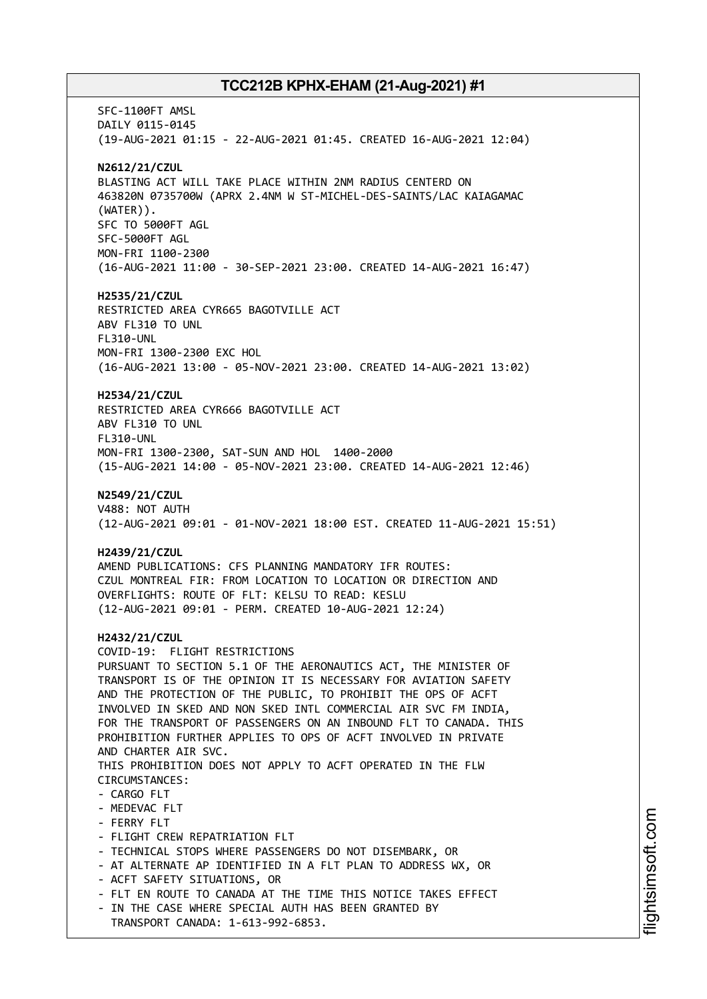SFC-1100FT AMSL DAILY 0115-0145 (19-AUG-2021 01:15 - 22-AUG-2021 01:45. CREATED 16-AUG-2021 12:04) **N2612/21/CZUL** BLASTING ACT WILL TAKE PLACE WITHIN 2NM RADIUS CENTERD ON 463820N 0735700W (APRX 2.4NM W ST-MICHEL-DES-SAINTS/LAC KAIAGAMAC (WATER)). SFC TO 5000FT AGL SFC-5000FT AGL MON-FRI 1100-2300 (16-AUG-2021 11:00 - 30-SEP-2021 23:00. CREATED 14-AUG-2021 16:47) **H2535/21/CZUL** RESTRICTED AREA CYR665 BAGOTVILLE ACT ABV FL310 TO UNL FL310-UNL MON-FRI 1300-2300 EXC HOL (16-AUG-2021 13:00 - 05-NOV-2021 23:00. CREATED 14-AUG-2021 13:02) **H2534/21/CZUL** RESTRICTED AREA CYR666 BAGOTVILLE ACT ABV FL310 TO UNL FL310-UNL MON-FRI 1300-2300, SAT-SUN AND HOL 1400-2000 (15-AUG-2021 14:00 - 05-NOV-2021 23:00. CREATED 14-AUG-2021 12:46) **N2549/21/CZUL** V488: NOT AUTH (12-AUG-2021 09:01 - 01-NOV-2021 18:00 EST. CREATED 11-AUG-2021 15:51) **H2439/21/CZUL** AMEND PUBLICATIONS: CFS PLANNING MANDATORY IFR ROUTES: CZUL MONTREAL FIR: FROM LOCATION TO LOCATION OR DIRECTION AND OVERFLIGHTS: ROUTE OF FLT: KELSU TO READ: KESLU (12-AUG-2021 09:01 - PERM. CREATED 10-AUG-2021 12:24) **H2432/21/CZUL** COVID-19: FLIGHT RESTRICTIONS PURSUANT TO SECTION 5.1 OF THE AERONAUTICS ACT, THE MINISTER OF TRANSPORT IS OF THE OPINION IT IS NECESSARY FOR AVIATION SAFETY AND THE PROTECTION OF THE PUBLIC, TO PROHIBIT THE OPS OF ACFT INVOLVED IN SKED AND NON SKED INTL COMMERCIAL AIR SVC FM INDIA, FOR THE TRANSPORT OF PASSENGERS ON AN INBOUND FLT TO CANADA. THIS PROHIBITION FURTHER APPLIES TO OPS OF ACFT INVOLVED IN PRIVATE AND CHARTER AIR SVC. THIS PROHIBITION DOES NOT APPLY TO ACFT OPERATED IN THE FLW CIRCUMSTANCES: - CARGO FLT - MEDEVAC FLT - FERRY FLT - FLIGHT CREW REPATRIATION FLT - TECHNICAL STOPS WHERE PASSENGERS DO NOT DISEMBARK, OR - AT ALTERNATE AP IDENTIFIED IN A FLT PLAN TO ADDRESS WX, OR - ACFT SAFETY SITUATIONS, OR - FLT EN ROUTE TO CANADA AT THE TIME THIS NOTICE TAKES EFFECT - IN THE CASE WHERE SPECIAL AUTH HAS BEEN GRANTED BY TRANSPORT CANADA: 1-613-992-6853.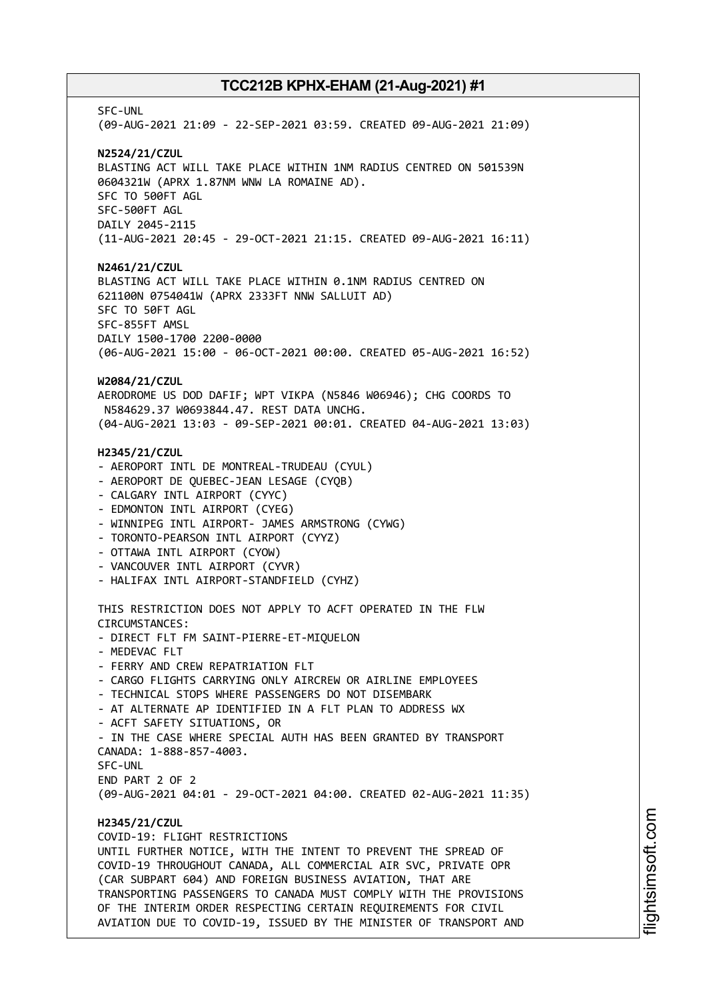SFC-UNL (09-AUG-2021 21:09 - 22-SEP-2021 03:59. CREATED 09-AUG-2021 21:09) **N2524/21/CZUL** BLASTING ACT WILL TAKE PLACE WITHIN 1NM RADIUS CENTRED ON 501539N 0604321W (APRX 1.87NM WNW LA ROMAINE AD). SFC TO 500FT AGL SFC-500FT AGL DAILY 2045-2115 (11-AUG-2021 20:45 - 29-OCT-2021 21:15. CREATED 09-AUG-2021 16:11) **N2461/21/CZUL** BLASTING ACT WILL TAKE PLACE WITHIN 0.1NM RADIUS CENTRED ON 621100N 0754041W (APRX 2333FT NNW SALLUIT AD) SFC TO 50FT AGL SFC-855FT AMSL DAILY 1500-1700 2200-0000 (06-AUG-2021 15:00 - 06-OCT-2021 00:00. CREATED 05-AUG-2021 16:52) **W2084/21/CZUL** AERODROME US DOD DAFIF; WPT VIKPA (N5846 W06946); CHG COORDS TO N584629.37 W0693844.47. REST DATA UNCHG. (04-AUG-2021 13:03 - 09-SEP-2021 00:01. CREATED 04-AUG-2021 13:03) **H2345/21/CZUL** - AEROPORT INTL DE MONTREAL-TRUDEAU (CYUL) - AEROPORT DE QUEBEC-JEAN LESAGE (CYQB) - CALGARY INTL AIRPORT (CYYC) - EDMONTON INTL AIRPORT (CYEG) - WINNIPEG INTL AIRPORT- JAMES ARMSTRONG (CYWG) - TORONTO-PEARSON INTL AIRPORT (CYYZ) - OTTAWA INTL AIRPORT (CYOW) - VANCOUVER INTL AIRPORT (CYVR) - HALIFAX INTL AIRPORT-STANDFIELD (CYHZ) THIS RESTRICTION DOES NOT APPLY TO ACFT OPERATED IN THE FLW CIRCUMSTANCES: - DIRECT FLT FM SAINT-PIERRE-ET-MIQUELON - MEDEVAC FLT - FERRY AND CREW REPATRIATION FLT - CARGO FLIGHTS CARRYING ONLY AIRCREW OR AIRLINE EMPLOYEES - TECHNICAL STOPS WHERE PASSENGERS DO NOT DISEMBARK - AT ALTERNATE AP IDENTIFIED IN A FLT PLAN TO ADDRESS WX - ACFT SAFETY SITUATIONS, OR - IN THE CASE WHERE SPECIAL AUTH HAS BEEN GRANTED BY TRANSPORT CANADA: 1-888-857-4003. SFC-UNL END PART 2 OF 2 (09-AUG-2021 04:01 - 29-OCT-2021 04:00. CREATED 02-AUG-2021 11:35) **H2345/21/CZUL** COVID-19: FLIGHT RESTRICTIONS UNTIL FURTHER NOTICE, WITH THE INTENT TO PREVENT THE SPREAD OF COVID-19 THROUGHOUT CANADA, ALL COMMERCIAL AIR SVC, PRIVATE OPR (CAR SUBPART 604) AND FOREIGN BUSINESS AVIATION, THAT ARE TRANSPORTING PASSENGERS TO CANADA MUST COMPLY WITH THE PROVISIONS OF THE INTERIM ORDER RESPECTING CERTAIN REQUIREMENTS FOR CIVIL AVIATION DUE TO COVID-19, ISSUED BY THE MINISTER OF TRANSPORT AND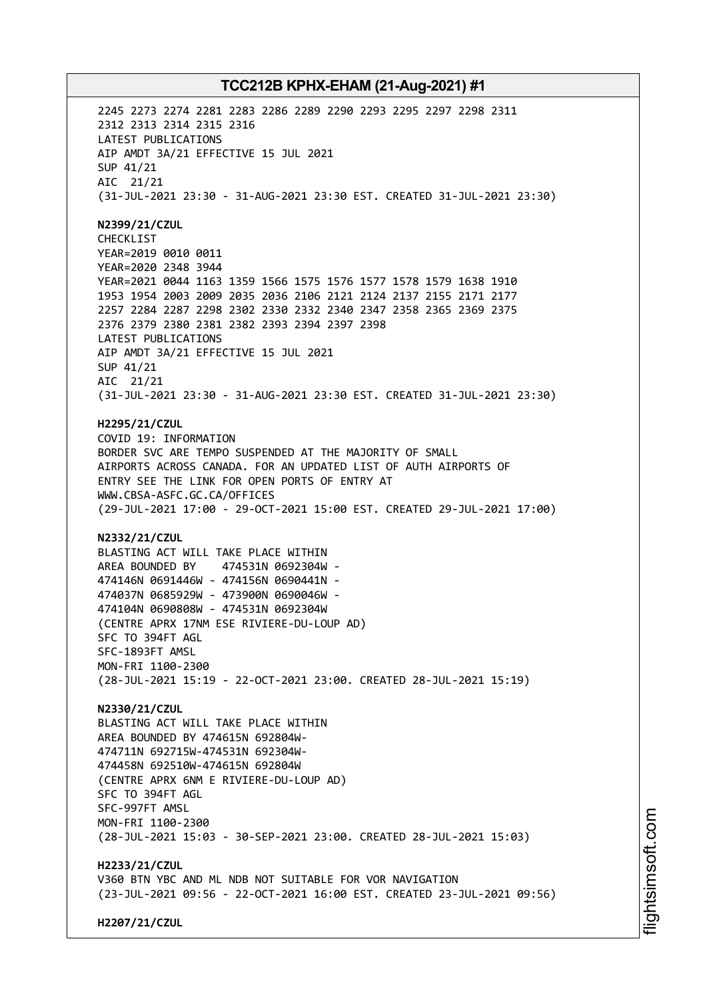2245 2273 2274 2281 2283 2286 2289 2290 2293 2295 2297 2298 2311 2312 2313 2314 2315 2316 LATEST PUBLICATIONS AIP AMDT 3A/21 EFFECTIVE 15 JUL 2021 SUP 41/21 AIC 21/21 (31-JUL-2021 23:30 - 31-AUG-2021 23:30 EST. CREATED 31-JUL-2021 23:30) **N2399/21/CZUL** CHECKLIST YEAR=2019 0010 0011 YEAR=2020 2348 3944 YEAR=2021 0044 1163 1359 1566 1575 1576 1577 1578 1579 1638 1910 1953 1954 2003 2009 2035 2036 2106 2121 2124 2137 2155 2171 2177 2257 2284 2287 2298 2302 2330 2332 2340 2347 2358 2365 2369 2375 2376 2379 2380 2381 2382 2393 2394 2397 2398 LATEST PUBLICATIONS AIP AMDT 3A/21 EFFECTIVE 15 JUL 2021 SUP 41/21 AIC 21/21 (31-JUL-2021 23:30 - 31-AUG-2021 23:30 EST. CREATED 31-JUL-2021 23:30) **H2295/21/CZUL** COVID 19: INFORMATION BORDER SVC ARE TEMPO SUSPENDED AT THE MAJORITY OF SMALL AIRPORTS ACROSS CANADA. FOR AN UPDATED LIST OF AUTH AIRPORTS OF ENTRY SEE THE LINK FOR OPEN PORTS OF ENTRY AT WWW.CBSA-ASFC.GC.CA/OFFICES (29-JUL-2021 17:00 - 29-OCT-2021 15:00 EST. CREATED 29-JUL-2021 17:00) **N2332/21/CZUL** BLASTING ACT WILL TAKE PLACE WITHIN AREA BOUNDED BY 474531N 0692304W - 474146N 0691446W - 474156N 0690441N - 474037N 0685929W - 473900N 0690046W - 474104N 0690808W - 474531N 0692304W (CENTRE APRX 17NM ESE RIVIERE-DU-LOUP AD) SFC TO 394FT AGL SFC-1893FT AMSL MON-FRI 1100-2300 (28-JUL-2021 15:19 - 22-OCT-2021 23:00. CREATED 28-JUL-2021 15:19) **N2330/21/CZUL** BLASTING ACT WILL TAKE PLACE WITHIN AREA BOUNDED BY 474615N 692804W-474711N 692715W-474531N 692304W-474458N 692510W-474615N 692804W (CENTRE APRX 6NM E RIVIERE-DU-LOUP AD) SFC TO 394FT AGL SFC-997FT AMSL MON-FRI 1100-2300 (28-JUL-2021 15:03 - 30-SEP-2021 23:00. CREATED 28-JUL-2021 15:03) **H2233/21/CZUL** V360 BTN YBC AND ML NDB NOT SUITABLE FOR VOR NAVIGATION (23-JUL-2021 09:56 - 22-OCT-2021 16:00 EST. CREATED 23-JUL-2021 09:56)

**H2207/21/CZUL**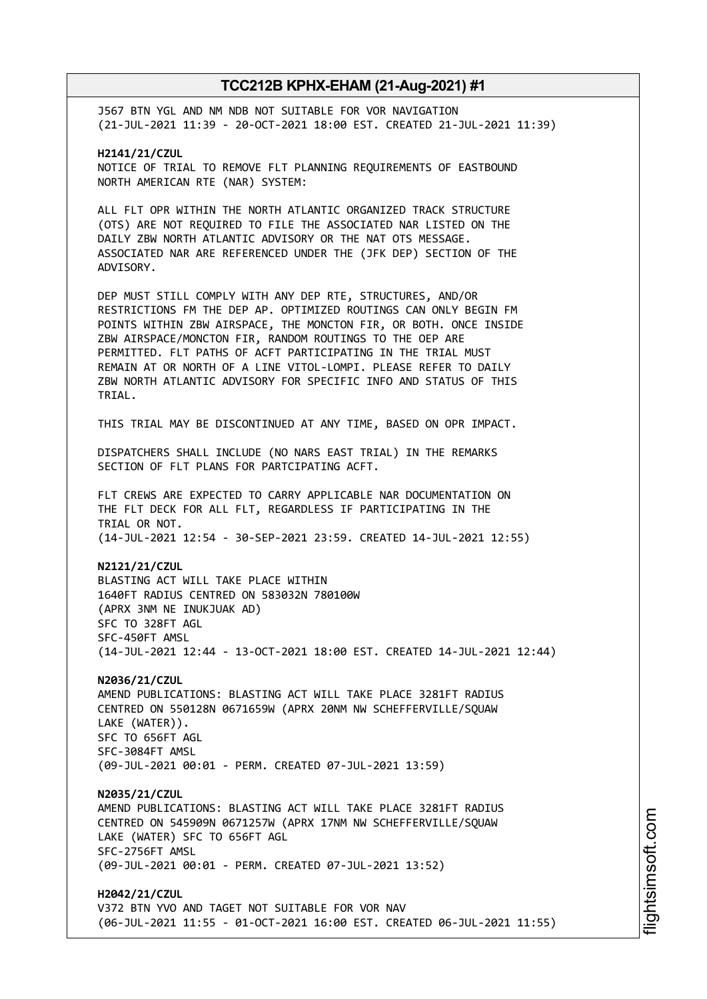J567 BTN YGL AND NM NDB NOT SUITABLE FOR VOR NAVIGATION (21-JUL-2021 11:39 - 20-OCT-2021 18:00 EST. CREATED 21-JUL-2021 11:39)

**H2141/21/CZUL** NOTICE OF TRIAL TO REMOVE FLT PLANNING REQUIREMENTS OF EASTBOUND NORTH AMERICAN RTE (NAR) SYSTEM:

ALL FLT OPR WITHIN THE NORTH ATLANTIC ORGANIZED TRACK STRUCTURE (OTS) ARE NOT REQUIRED TO FILE THE ASSOCIATED NAR LISTED ON THE DAILY ZBW NORTH ATLANTIC ADVISORY OR THE NAT OTS MESSAGE. ASSOCIATED NAR ARE REFERENCED UNDER THE (JFK DEP) SECTION OF THE ADVISORY.

DEP MUST STILL COMPLY WITH ANY DEP RTE, STRUCTURES, AND/OR RESTRICTIONS FM THE DEP AP. OPTIMIZED ROUTINGS CAN ONLY BEGIN FM POINTS WITHIN ZBW AIRSPACE, THE MONCTON FIR, OR BOTH. ONCE INSIDE ZBW AIRSPACE/MONCTON FIR, RANDOM ROUTINGS TO THE OEP ARE PERMITTED. FLT PATHS OF ACFT PARTICIPATING IN THE TRIAL MUST REMAIN AT OR NORTH OF A LINE VITOL-LOMPI. PLEASE REFER TO DAILY ZBW NORTH ATLANTIC ADVISORY FOR SPECIFIC INFO AND STATUS OF THIS TRIAL.

THIS TRIAL MAY BE DISCONTINUED AT ANY TIME, BASED ON OPR IMPACT.

DISPATCHERS SHALL INCLUDE (NO NARS EAST TRIAL) IN THE REMARKS SECTION OF FLT PLANS FOR PARTCIPATING ACFT.

FLT CREWS ARE EXPECTED TO CARRY APPLICABLE NAR DOCUMENTATION ON THE FLT DECK FOR ALL FLT, REGARDLESS IF PARTICIPATING IN THE TRIAL OR NOT. (14-JUL-2021 12:54 - 30-SEP-2021 23:59. CREATED 14-JUL-2021 12:55)

**N2121/21/CZUL** BLASTING ACT WILL TAKE PLACE WITHIN 1640FT RADIUS CENTRED ON 583032N 780100W (APRX 3NM NE INUKJUAK AD) SFC TO 328FT AGL SFC-450FT AMSL (14-JUL-2021 12:44 - 13-OCT-2021 18:00 EST. CREATED 14-JUL-2021 12:44)

**N2036/21/CZUL** AMEND PUBLICATIONS: BLASTING ACT WILL TAKE PLACE 3281FT RADIUS CENTRED ON 550128N 0671659W (APRX 20NM NW SCHEFFERVILLE/SQUAW LAKE (WATER)). SFC TO 656FT AGL SFC-3084FT AMSL (09-JUL-2021 00:01 - PERM. CREATED 07-JUL-2021 13:59)

**N2035/21/CZUL** AMEND PUBLICATIONS: BLASTING ACT WILL TAKE PLACE 3281FT RADIUS CENTRED ON 545909N 0671257W (APRX 17NM NW SCHEFFERVILLE/SQUAW LAKE (WATER) SFC TO 656FT AGL SFC-2756FT AMSL (09-JUL-2021 00:01 - PERM. CREATED 07-JUL-2021 13:52)

**H2042/21/CZUL** V372 BTN YVO AND TAGET NOT SUITABLE FOR VOR NAV (06-JUL-2021 11:55 - 01-OCT-2021 16:00 EST. CREATED 06-JUL-2021 11:55)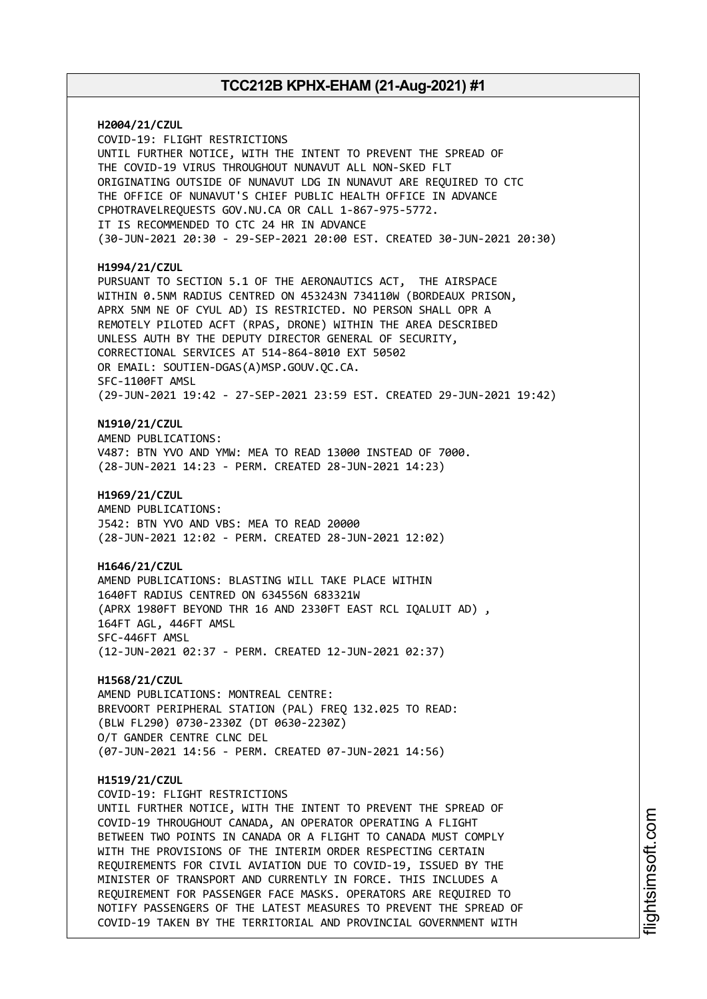**H2004/21/CZUL** COVID-19: FLIGHT RESTRICTIONS UNTIL FURTHER NOTICE, WITH THE INTENT TO PREVENT THE SPREAD OF THE COVID-19 VIRUS THROUGHOUT NUNAVUT ALL NON-SKED FLT ORIGINATING OUTSIDE OF NUNAVUT LDG IN NUNAVUT ARE REQUIRED TO CTC THE OFFICE OF NUNAVUT'S CHIEF PUBLIC HEALTH OFFICE IN ADVANCE CPHOTRAVELREQUESTS GOV.NU.CA OR CALL 1-867-975-5772. IT IS RECOMMENDED TO CTC 24 HR IN ADVANCE (30-JUN-2021 20:30 - 29-SEP-2021 20:00 EST. CREATED 30-JUN-2021 20:30) **H1994/21/CZUL** PURSUANT TO SECTION 5.1 OF THE AERONAUTICS ACT, THE AIRSPACE WITHIN 0.5NM RADIUS CENTRED ON 453243N 734110W (BORDEAUX PRISON, APRX 5NM NE OF CYUL AD) IS RESTRICTED. NO PERSON SHALL OPR A REMOTELY PILOTED ACFT (RPAS, DRONE) WITHIN THE AREA DESCRIBED UNLESS AUTH BY THE DEPUTY DIRECTOR GENERAL OF SECURITY, CORRECTIONAL SERVICES AT 514-864-8010 EXT 50502 OR EMAIL: SOUTIEN-DGAS(A)MSP.GOUV.QC.CA. SFC-1100FT AMSL (29-JUN-2021 19:42 - 27-SEP-2021 23:59 EST. CREATED 29-JUN-2021 19:42) **N1910/21/CZUL** AMEND PUBLICATIONS: V487: BTN YVO AND YMW: MEA TO READ 13000 INSTEAD OF 7000. (28-JUN-2021 14:23 - PERM. CREATED 28-JUN-2021 14:23) **H1969/21/CZUL** AMEND PUBLICATIONS: J542: BTN YVO AND VBS: MEA TO READ 20000 (28-JUN-2021 12:02 - PERM. CREATED 28-JUN-2021 12:02) **H1646/21/CZUL** AMEND PUBLICATIONS: BLASTING WILL TAKE PLACE WITHIN 1640FT RADIUS CENTRED ON 634556N 683321W (APRX 1980FT BEYOND THR 16 AND 2330FT EAST RCL IQALUIT AD) , 164FT AGL, 446FT AMSL SFC-446FT AMSL (12-JUN-2021 02:37 - PERM. CREATED 12-JUN-2021 02:37) **H1568/21/CZUL** AMEND PUBLICATIONS: MONTREAL CENTRE: BREVOORT PERIPHERAL STATION (PAL) FREQ 132.025 TO READ: (BLW FL290) 0730-2330Z (DT 0630-2230Z) O/T GANDER CENTRE CLNC DEL (07-JUN-2021 14:56 - PERM. CREATED 07-JUN-2021 14:56) **H1519/21/CZUL** COVID-19: FLIGHT RESTRICTIONS UNTIL FURTHER NOTICE, WITH THE INTENT TO PREVENT THE SPREAD OF COVID-19 THROUGHOUT CANADA, AN OPERATOR OPERATING A FLIGHT BETWEEN TWO POINTS IN CANADA OR A FLIGHT TO CANADA MUST COMPLY WITH THE PROVISIONS OF THE INTERIM ORDER RESPECTING CERTAIN REQUIREMENTS FOR CIVIL AVIATION DUE TO COVID-19, ISSUED BY THE MINISTER OF TRANSPORT AND CURRENTLY IN FORCE. THIS INCLUDES A REQUIREMENT FOR PASSENGER FACE MASKS. OPERATORS ARE REQUIRED TO NOTIFY PASSENGERS OF THE LATEST MEASURES TO PREVENT THE SPREAD OF COVID-19 TAKEN BY THE TERRITORIAL AND PROVINCIAL GOVERNMENT WITH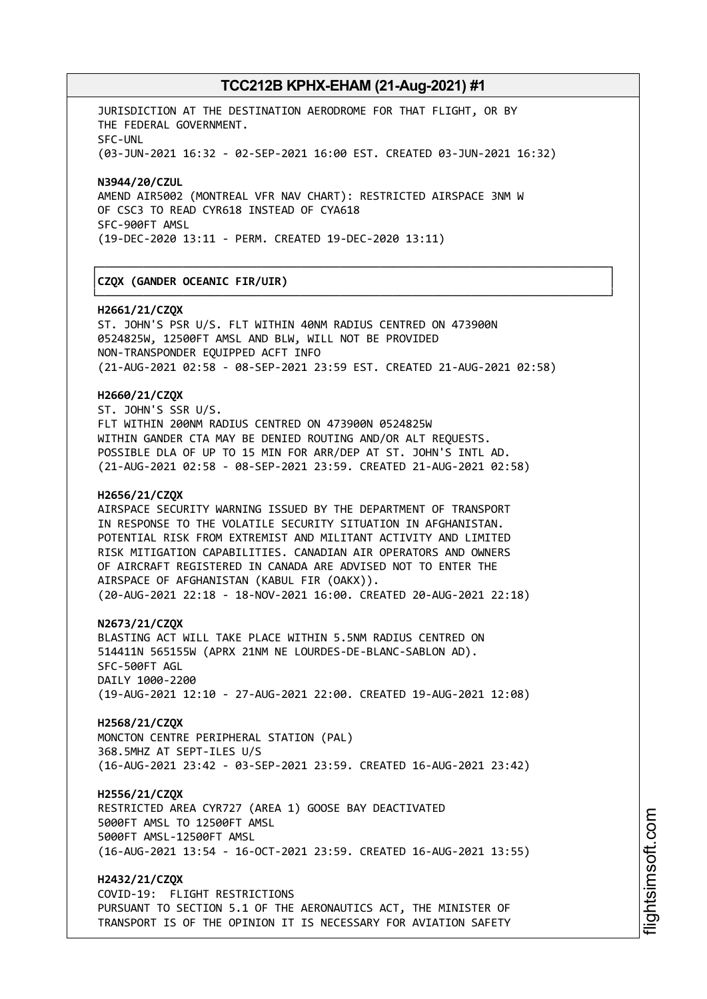┌──────────────────────────────────────────────────────────────────────────────┐

└──────────────────────────────────────────────────────────────────────────────┘

JURISDICTION AT THE DESTINATION AERODROME FOR THAT FLIGHT, OR BY THE FEDERAL GOVERNMENT. SFC-UNL (03-JUN-2021 16:32 - 02-SEP-2021 16:00 EST. CREATED 03-JUN-2021 16:32)

**N3944/20/CZUL** AMEND AIR5002 (MONTREAL VFR NAV CHART): RESTRICTED AIRSPACE 3NM W OF CSC3 TO READ CYR618 INSTEAD OF CYA618 SFC-900FT AMSL (19-DEC-2020 13:11 - PERM. CREATED 19-DEC-2020 13:11)

### │**CZQX (GANDER OCEANIC FIR/UIR)** │

#### **H2661/21/CZQX**

ST. JOHN'S PSR U/S. FLT WITHIN 40NM RADIUS CENTRED ON 473900N 0524825W, 12500FT AMSL AND BLW, WILL NOT BE PROVIDED NON-TRANSPONDER EQUIPPED ACFT INFO (21-AUG-2021 02:58 - 08-SEP-2021 23:59 EST. CREATED 21-AUG-2021 02:58)

#### **H2660/21/CZQX**

ST. JOHN'S SSR U/S. FLT WITHIN 200NM RADIUS CENTRED ON 473900N 0524825W WITHIN GANDER CTA MAY BE DENIED ROUTING AND/OR ALT REQUESTS. POSSIBLE DLA OF UP TO 15 MIN FOR ARR/DEP AT ST. JOHN'S INTL AD. (21-AUG-2021 02:58 - 08-SEP-2021 23:59. CREATED 21-AUG-2021 02:58)

#### **H2656/21/CZQX**

AIRSPACE SECURITY WARNING ISSUED BY THE DEPARTMENT OF TRANSPORT IN RESPONSE TO THE VOLATILE SECURITY SITUATION IN AFGHANISTAN. POTENTIAL RISK FROM EXTREMIST AND MILITANT ACTIVITY AND LIMITED RISK MITIGATION CAPABILITIES. CANADIAN AIR OPERATORS AND OWNERS OF AIRCRAFT REGISTERED IN CANADA ARE ADVISED NOT TO ENTER THE AIRSPACE OF AFGHANISTAN (KABUL FIR (OAKX)). (20-AUG-2021 22:18 - 18-NOV-2021 16:00. CREATED 20-AUG-2021 22:18)

**N2673/21/CZQX**

BLASTING ACT WILL TAKE PLACE WITHIN 5.5NM RADIUS CENTRED ON 514411N 565155W (APRX 21NM NE LOURDES-DE-BLANC-SABLON AD). SFC-500FT AGL DAILY 1000-2200 (19-AUG-2021 12:10 - 27-AUG-2021 22:00. CREATED 19-AUG-2021 12:08)

**H2568/21/CZQX**

MONCTON CENTRE PERIPHERAL STATION (PAL) 368.5MHZ AT SEPT-ILES U/S (16-AUG-2021 23:42 - 03-SEP-2021 23:59. CREATED 16-AUG-2021 23:42)

#### **H2556/21/CZQX**

RESTRICTED AREA CYR727 (AREA 1) GOOSE BAY DEACTIVATED 5000FT AMSL TO 12500FT AMSL 5000FT AMSL-12500FT AMSL (16-AUG-2021 13:54 - 16-OCT-2021 23:59. CREATED 16-AUG-2021 13:55)

**H2432/21/CZQX** COVID-19: FLIGHT RESTRICTIONS PURSUANT TO SECTION 5.1 OF THE AERONAUTICS ACT, THE MINISTER OF TRANSPORT IS OF THE OPINION IT IS NECESSARY FOR AVIATION SAFETY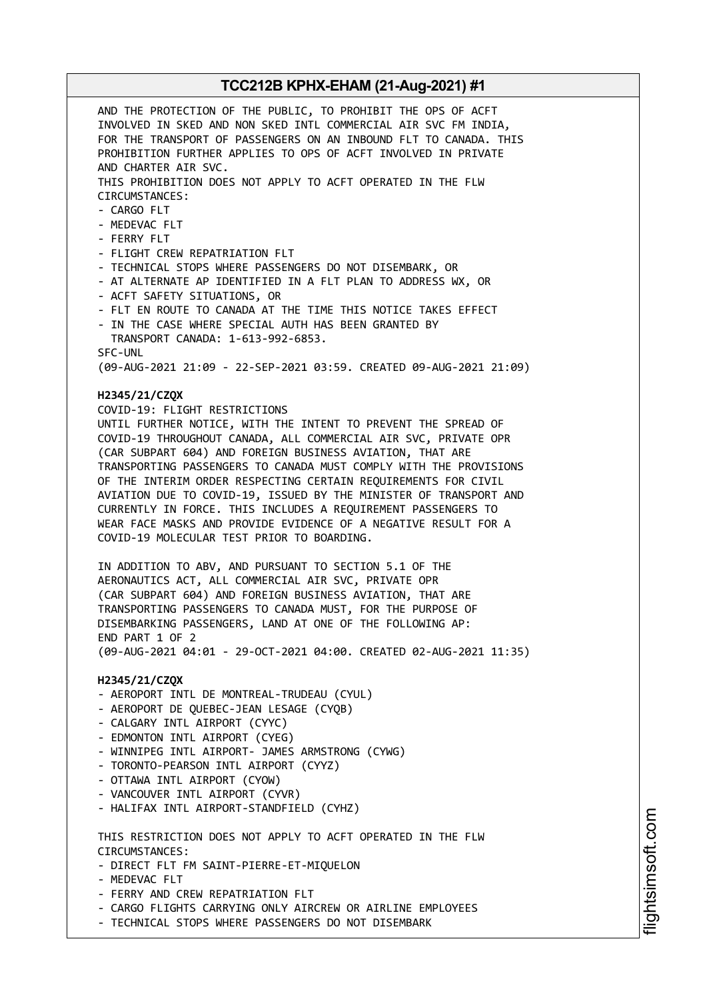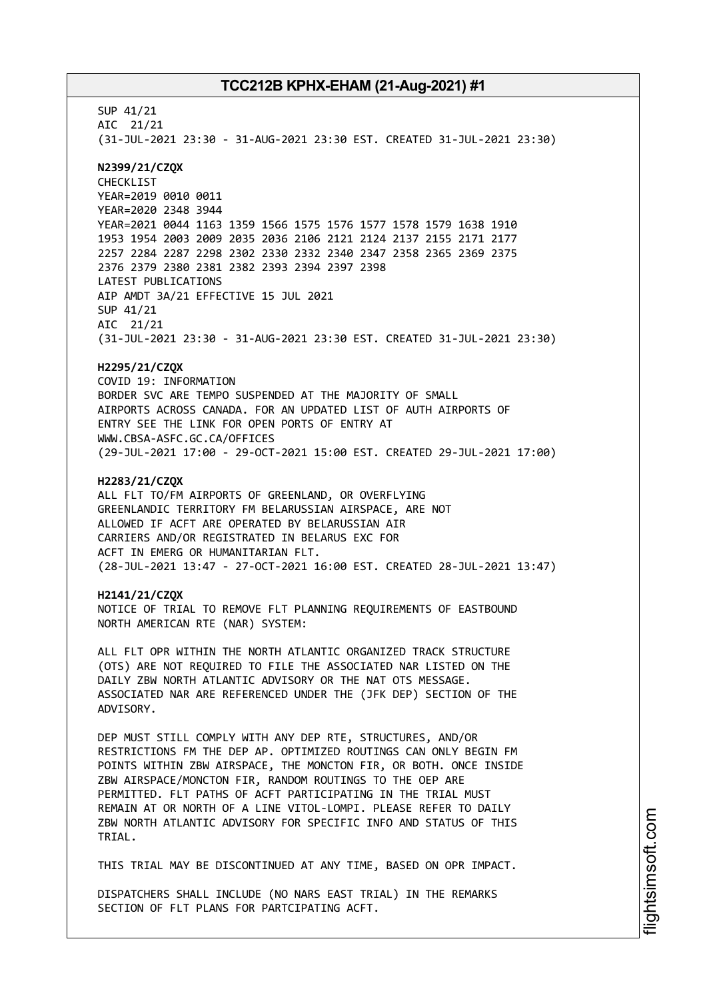SUP 41/21 AIC 21/21 (31-JUL-2021 23:30 - 31-AUG-2021 23:30 EST. CREATED 31-JUL-2021 23:30) **N2399/21/CZQX** CHECKLIST YEAR=2019 0010 0011 YEAR=2020 2348 3944 YEAR=2021 0044 1163 1359 1566 1575 1576 1577 1578 1579 1638 1910 1953 1954 2003 2009 2035 2036 2106 2121 2124 2137 2155 2171 2177 2257 2284 2287 2298 2302 2330 2332 2340 2347 2358 2365 2369 2375 2376 2379 2380 2381 2382 2393 2394 2397 2398 LATEST PUBLICATIONS AIP AMDT 3A/21 EFFECTIVE 15 JUL 2021 SUP 41/21 AIC 21/21 (31-JUL-2021 23:30 - 31-AUG-2021 23:30 EST. CREATED 31-JUL-2021 23:30) **H2295/21/CZQX** COVID 19: INFORMATION BORDER SVC ARE TEMPO SUSPENDED AT THE MAJORITY OF SMALL AIRPORTS ACROSS CANADA. FOR AN UPDATED LIST OF AUTH AIRPORTS OF ENTRY SEE THE LINK FOR OPEN PORTS OF ENTRY AT WWW.CBSA-ASFC.GC.CA/OFFICES (29-JUL-2021 17:00 - 29-OCT-2021 15:00 EST. CREATED 29-JUL-2021 17:00) **H2283/21/CZQX** ALL FLT TO/FM AIRPORTS OF GREENLAND, OR OVERFLYING GREENLANDIC TERRITORY FM BELARUSSIAN AIRSPACE, ARE NOT ALLOWED IF ACFT ARE OPERATED BY BELARUSSIAN AIR CARRIERS AND/OR REGISTRATED IN BELARUS EXC FOR ACFT IN EMERG OR HUMANITARIAN FLT. (28-JUL-2021 13:47 - 27-OCT-2021 16:00 EST. CREATED 28-JUL-2021 13:47) **H2141/21/CZQX** NOTICE OF TRIAL TO REMOVE FLT PLANNING REQUIREMENTS OF EASTBOUND NORTH AMERICAN RTE (NAR) SYSTEM: ALL FLT OPR WITHIN THE NORTH ATLANTIC ORGANIZED TRACK STRUCTURE (OTS) ARE NOT REQUIRED TO FILE THE ASSOCIATED NAR LISTED ON THE DAILY ZBW NORTH ATLANTIC ADVISORY OR THE NAT OTS MESSAGE. ASSOCIATED NAR ARE REFERENCED UNDER THE (JFK DEP) SECTION OF THE ADVISORY. DEP MUST STILL COMPLY WITH ANY DEP RTE, STRUCTURES, AND/OR RESTRICTIONS FM THE DEP AP. OPTIMIZED ROUTINGS CAN ONLY BEGIN FM POINTS WITHIN ZBW AIRSPACE, THE MONCTON FIR, OR BOTH. ONCE INSIDE ZBW AIRSPACE/MONCTON FIR, RANDOM ROUTINGS TO THE OEP ARE PERMITTED. FLT PATHS OF ACFT PARTICIPATING IN THE TRIAL MUST REMAIN AT OR NORTH OF A LINE VITOL-LOMPI. PLEASE REFER TO DAILY ZBW NORTH ATLANTIC ADVISORY FOR SPECIFIC INFO AND STATUS OF THIS TRIAL. THIS TRIAL MAY BE DISCONTINUED AT ANY TIME, BASED ON OPR IMPACT. DISPATCHERS SHALL INCLUDE (NO NARS EAST TRIAL) IN THE REMARKS

SECTION OF FLT PLANS FOR PARTCIPATING ACFT.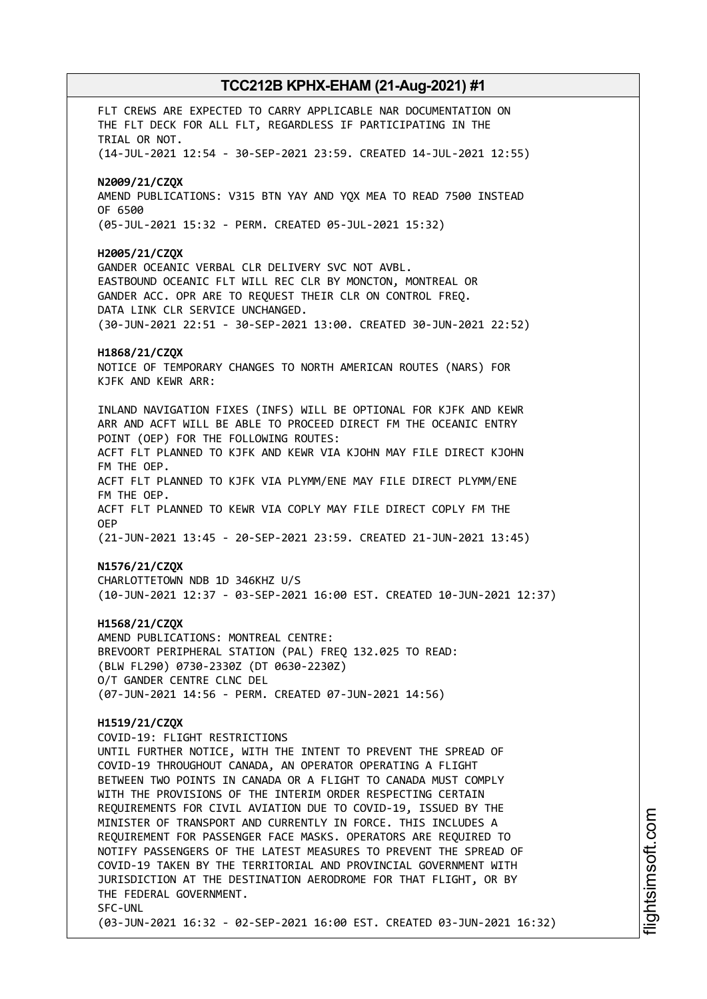FLT CREWS ARE EXPECTED TO CARRY APPLICABLE NAR DOCUMENTATION ON THE FLT DECK FOR ALL FLT, REGARDLESS IF PARTICIPATING IN THE TRIAL OR NOT. (14-JUL-2021 12:54 - 30-SEP-2021 23:59. CREATED 14-JUL-2021 12:55) **N2009/21/CZQX** AMEND PUBLICATIONS: V315 BTN YAY AND YQX MEA TO READ 7500 INSTEAD OF 6500 (05-JUL-2021 15:32 - PERM. CREATED 05-JUL-2021 15:32) **H2005/21/CZQX** GANDER OCEANIC VERBAL CLR DELIVERY SVC NOT AVBL. EASTBOUND OCEANIC FLT WILL REC CLR BY MONCTON, MONTREAL OR GANDER ACC. OPR ARE TO REQUEST THEIR CLR ON CONTROL FREQ. DATA LINK CLR SERVICE UNCHANGED. (30-JUN-2021 22:51 - 30-SEP-2021 13:00. CREATED 30-JUN-2021 22:52) **H1868/21/CZQX** NOTICE OF TEMPORARY CHANGES TO NORTH AMERICAN ROUTES (NARS) FOR KJFK AND KEWR ARR: INLAND NAVIGATION FIXES (INFS) WILL BE OPTIONAL FOR KJFK AND KEWR ARR AND ACFT WILL BE ABLE TO PROCEED DIRECT FM THE OCEANIC ENTRY POINT (OEP) FOR THE FOLLOWING ROUTES: ACFT FLT PLANNED TO KJFK AND KEWR VIA KJOHN MAY FILE DIRECT KJOHN FM THE OEP. ACFT FLT PLANNED TO KJFK VIA PLYMM/ENE MAY FILE DIRECT PLYMM/ENE FM THE OEP. ACFT FLT PLANNED TO KEWR VIA COPLY MAY FILE DIRECT COPLY FM THE OEP (21-JUN-2021 13:45 - 20-SEP-2021 23:59. CREATED 21-JUN-2021 13:45) **N1576/21/CZQX** CHARLOTTETOWN NDB 1D 346KHZ U/S (10-JUN-2021 12:37 - 03-SEP-2021 16:00 EST. CREATED 10-JUN-2021 12:37) **H1568/21/CZQX** AMEND PUBLICATIONS: MONTREAL CENTRE: BREVOORT PERIPHERAL STATION (PAL) FREQ 132.025 TO READ: (BLW FL290) 0730-2330Z (DT 0630-2230Z) O/T GANDER CENTRE CLNC DEL (07-JUN-2021 14:56 - PERM. CREATED 07-JUN-2021 14:56) **H1519/21/CZQX** COVID-19: FLIGHT RESTRICTIONS UNTIL FURTHER NOTICE, WITH THE INTENT TO PREVENT THE SPREAD OF COVID-19 THROUGHOUT CANADA, AN OPERATOR OPERATING A FLIGHT BETWEEN TWO POINTS IN CANADA OR A FLIGHT TO CANADA MUST COMPLY WITH THE PROVISIONS OF THE INTERIM ORDER RESPECTING CERTAIN REQUIREMENTS FOR CIVIL AVIATION DUE TO COVID-19, ISSUED BY THE MINISTER OF TRANSPORT AND CURRENTLY IN FORCE. THIS INCLUDES A REQUIREMENT FOR PASSENGER FACE MASKS. OPERATORS ARE REQUIRED TO NOTIFY PASSENGERS OF THE LATEST MEASURES TO PREVENT THE SPREAD OF COVID-19 TAKEN BY THE TERRITORIAL AND PROVINCIAL GOVERNMENT WITH JURISDICTION AT THE DESTINATION AERODROME FOR THAT FLIGHT, OR BY THE FEDERAL GOVERNMENT. SFC-UNL (03-JUN-2021 16:32 - 02-SEP-2021 16:00 EST. CREATED 03-JUN-2021 16:32)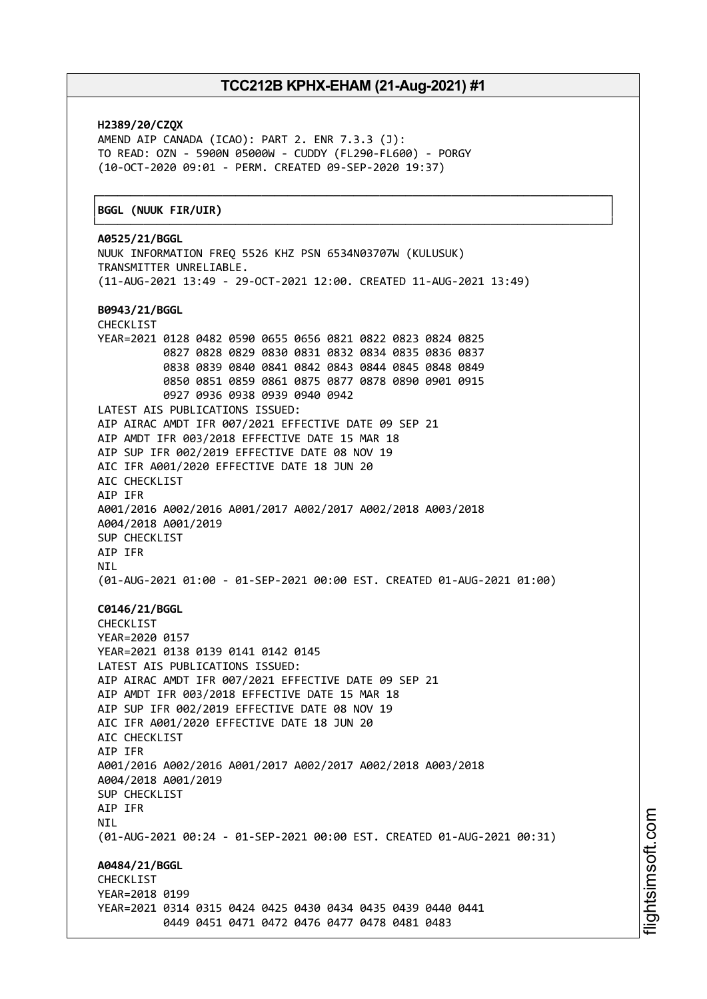┌──────────────────────────────────────────────────────────────────────────────┐

**H2389/20/CZQX** AMEND AIP CANADA (ICAO): PART 2. ENR 7.3.3 (J): TO READ: OZN - 5900N 05000W - CUDDY (FL290-FL600) - PORGY (10-OCT-2020 09:01 - PERM. CREATED 09-SEP-2020 19:37)

#### │**BGGL (NUUK FIR/UIR)** │

└──────────────────────────────────────────────────────────────────────────────┘ **A0525/21/BGGL** NUUK INFORMATION FREQ 5526 KHZ PSN 6534N03707W (KULUSUK) TRANSMITTER UNRELIABLE. (11-AUG-2021 13:49 - 29-OCT-2021 12:00. CREATED 11-AUG-2021 13:49) **B0943/21/BGGL** CHECKLIST YEAR=2021 0128 0482 0590 0655 0656 0821 0822 0823 0824 0825 0827 0828 0829 0830 0831 0832 0834 0835 0836 0837 0838 0839 0840 0841 0842 0843 0844 0845 0848 0849 0850 0851 0859 0861 0875 0877 0878 0890 0901 0915 0927 0936 0938 0939 0940 0942 LATEST AIS PUBLICATIONS ISSUED: AIP AIRAC AMDT IFR 007/2021 EFFECTIVE DATE 09 SEP 21 AIP AMDT IFR 003/2018 EFFECTIVE DATE 15 MAR 18 AIP SUP IFR 002/2019 EFFECTIVE DATE 08 NOV 19 AIC IFR A001/2020 EFFECTIVE DATE 18 JUN 20 AIC CHECKLIST AIP IFR A001/2016 A002/2016 A001/2017 A002/2017 A002/2018 A003/2018 A004/2018 A001/2019 SUP CHECKLIST AIP IFR NIL (01-AUG-2021 01:00 - 01-SEP-2021 00:00 EST. CREATED 01-AUG-2021 01:00) **C0146/21/BGGL** CHECKLIST YEAR=2020 0157 YEAR=2021 0138 0139 0141 0142 0145 LATEST AIS PUBLICATIONS ISSUED: AIP AIRAC AMDT IFR 007/2021 EFFECTIVE DATE 09 SEP 21 AIP AMDT IFR 003/2018 EFFECTIVE DATE 15 MAR 18 AIP SUP IFR 002/2019 EFFECTIVE DATE 08 NOV 19 AIC IFR A001/2020 EFFECTIVE DATE 18 JUN 20 ATC CHECKLIST AIP IFR A001/2016 A002/2016 A001/2017 A002/2017 A002/2018 A003/2018 A004/2018 A001/2019 SUP CHECKLIST AIP IFR **NTI** (01-AUG-2021 00:24 - 01-SEP-2021 00:00 EST. CREATED 01-AUG-2021 00:31) **A0484/21/BGGL CHECKLIST** YEAR=2018 0199 YEAR=2021 0314 0315 0424 0425 0430 0434 0435 0439 0440 0441 0449 0451 0471 0472 0476 0477 0478 0481 0483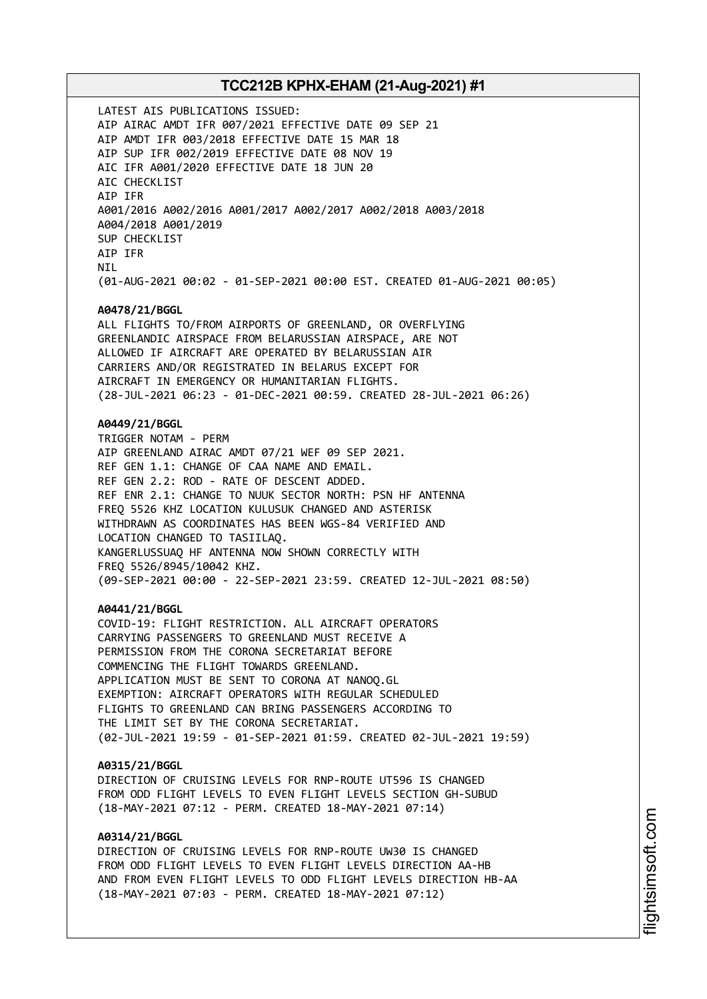LATEST AIS PUBLICATIONS ISSUED: AIP AIRAC AMDT IFR 007/2021 EFFECTIVE DATE 09 SEP 21 AIP AMDT IFR 003/2018 EFFECTIVE DATE 15 MAR 18 AIP SUP IFR 002/2019 EFFECTIVE DATE 08 NOV 19 AIC IFR A001/2020 EFFECTIVE DATE 18 JUN 20 AIC CHECKLIST AIP IFR A001/2016 A002/2016 A001/2017 A002/2017 A002/2018 A003/2018 A004/2018 A001/2019 SUP CHECKLIST AIP IFR **NTI** (01-AUG-2021 00:02 - 01-SEP-2021 00:00 EST. CREATED 01-AUG-2021 00:05) **A0478/21/BGGL** ALL FLIGHTS TO/FROM AIRPORTS OF GREENLAND, OR OVERFLYING GREENLANDIC AIRSPACE FROM BELARUSSIAN AIRSPACE, ARE NOT ALLOWED IF AIRCRAFT ARE OPERATED BY BELARUSSIAN AIR CARRIERS AND/OR REGISTRATED IN BELARUS EXCEPT FOR AIRCRAFT IN EMERGENCY OR HUMANITARIAN FLIGHTS. (28-JUL-2021 06:23 - 01-DEC-2021 00:59. CREATED 28-JUL-2021 06:26) **A0449/21/BGGL** TRIGGER NOTAM - PERM AIP GREENLAND AIRAC AMDT 07/21 WEF 09 SEP 2021. REF GEN 1.1: CHANGE OF CAA NAME AND EMAIL. REF GEN 2.2: ROD - RATE OF DESCENT ADDED. REF ENR 2.1: CHANGE TO NUUK SECTOR NORTH: PSN HF ANTENNA FREQ 5526 KHZ LOCATION KULUSUK CHANGED AND ASTERISK WITHDRAWN AS COORDINATES HAS BEEN WGS-84 VERIFIED AND LOCATION CHANGED TO TASIILAQ. KANGERLUSSUAQ HF ANTENNA NOW SHOWN CORRECTLY WITH FREQ 5526/8945/10042 KHZ. (09-SEP-2021 00:00 - 22-SEP-2021 23:59. CREATED 12-JUL-2021 08:50) **A0441/21/BGGL** COVID-19: FLIGHT RESTRICTION. ALL AIRCRAFT OPERATORS CARRYING PASSENGERS TO GREENLAND MUST RECEIVE A PERMISSION FROM THE CORONA SECRETARIAT BEFORE COMMENCING THE FLIGHT TOWARDS GREENLAND. APPLICATION MUST BE SENT TO CORONA AT NANOQ.GL EXEMPTION: AIRCRAFT OPERATORS WITH REGULAR SCHEDULED FLIGHTS TO GREENLAND CAN BRING PASSENGERS ACCORDING TO THE LIMIT SET BY THE CORONA SECRETARIAT. (02-JUL-2021 19:59 - 01-SEP-2021 01:59. CREATED 02-JUL-2021 19:59) **A0315/21/BGGL** DIRECTION OF CRUISING LEVELS FOR RNP-ROUTE UT596 IS CHANGED FROM ODD FLIGHT LEVELS TO EVEN FLIGHT LEVELS SECTION GH-SUBUD (18-MAY-2021 07:12 - PERM. CREATED 18-MAY-2021 07:14) **A0314/21/BGGL** DIRECTION OF CRUISING LEVELS FOR RNP-ROUTE UW30 IS CHANGED FROM ODD FLIGHT LEVELS TO EVEN FLIGHT LEVELS DIRECTION AA-HB

AND FROM EVEN FLIGHT LEVELS TO ODD FLIGHT LEVELS DIRECTION HB-AA

(18-MAY-2021 07:03 - PERM. CREATED 18-MAY-2021 07:12)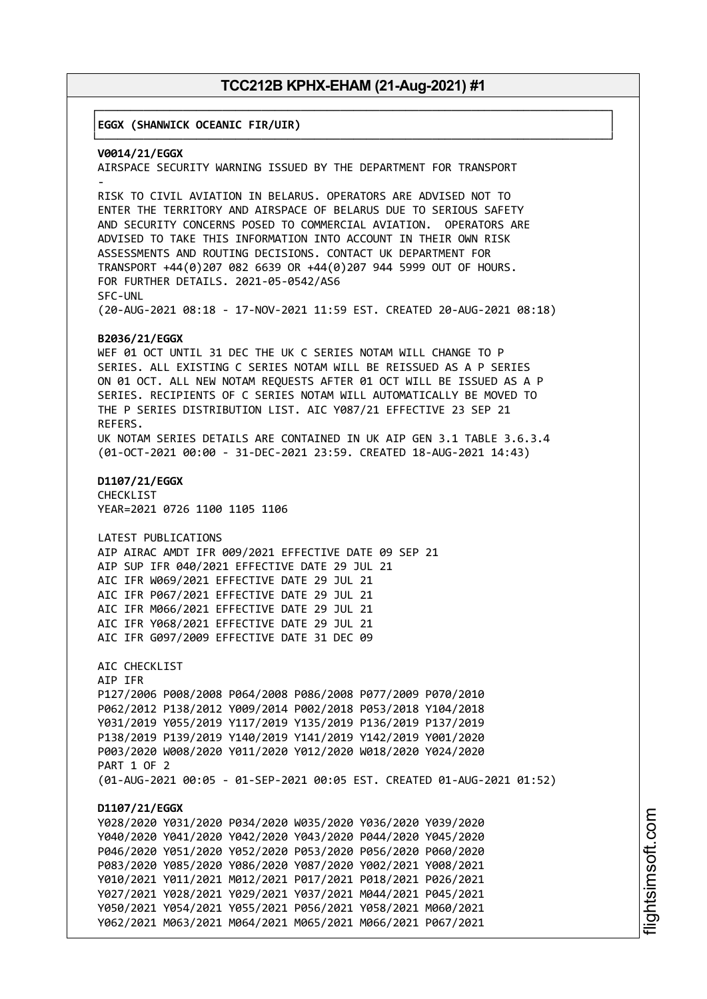┌──────────────────────────────────────────────────────────────────────────────┐

│**EGGX (SHANWICK OCEANIC FIR/UIR)** │

└──────────────────────────────────────────────────────────────────────────────┘ **V0014/21/EGGX** AIRSPACE SECURITY WARNING ISSUED BY THE DEPARTMENT FOR TRANSPORT - RISK TO CIVIL AVIATION IN BELARUS. OPERATORS ARE ADVISED NOT TO ENTER THE TERRITORY AND AIRSPACE OF BELARUS DUE TO SERIOUS SAFETY AND SECURITY CONCERNS POSED TO COMMERCIAL AVIATION. OPERATORS ARE ADVISED TO TAKE THIS INFORMATION INTO ACCOUNT IN THEIR OWN RISK ASSESSMENTS AND ROUTING DECISIONS. CONTACT UK DEPARTMENT FOR TRANSPORT +44(0)207 082 6639 OR +44(0)207 944 5999 OUT OF HOURS. FOR FURTHER DETAILS. 2021-05-0542/AS6 SFC-UNL (20-AUG-2021 08:18 - 17-NOV-2021 11:59 EST. CREATED 20-AUG-2021 08:18) **B2036/21/EGGX** WEF 01 OCT UNTIL 31 DEC THE UK C SERIES NOTAM WILL CHANGE TO P SERIES. ALL EXISTING C SERIES NOTAM WILL BE REISSUED AS A P SERIES ON 01 OCT. ALL NEW NOTAM REQUESTS AFTER 01 OCT WILL BE ISSUED AS A P SERIES. RECIPIENTS OF C SERIES NOTAM WILL AUTOMATICALLY BE MOVED TO THE P SERIES DISTRIBUTION LIST. AIC Y087/21 EFFECTIVE 23 SEP 21 REFERS. UK NOTAM SERIES DETAILS ARE CONTAINED IN UK AIP GEN 3.1 TABLE 3.6.3.4 (01-OCT-2021 00:00 - 31-DEC-2021 23:59. CREATED 18-AUG-2021 14:43) **D1107/21/EGGX** CHECKLIST YEAR=2021 0726 1100 1105 1106 LATEST PUBLICATIONS AIP AIRAC AMDT IFR 009/2021 EFFECTIVE DATE 09 SEP 21 AIP SUP IFR 040/2021 EFFECTIVE DATE 29 JUL 21 AIC IFR W069/2021 EFFECTIVE DATE 29 JUL 21 AIC IFR P067/2021 EFFECTIVE DATE 29 JUL 21 AIC IFR M066/2021 EFFECTIVE DATE 29 JUL 21 AIC IFR Y068/2021 EFFECTIVE DATE 29 JUL 21 AIC IFR G097/2009 EFFECTIVE DATE 31 DEC 09 AIC CHECKLIST AIP IFR P127/2006 P008/2008 P064/2008 P086/2008 P077/2009 P070/2010 P062/2012 P138/2012 Y009/2014 P002/2018 P053/2018 Y104/2018 Y031/2019 Y055/2019 Y117/2019 Y135/2019 P136/2019 P137/2019 P138/2019 P139/2019 Y140/2019 Y141/2019 Y142/2019 Y001/2020 P003/2020 W008/2020 Y011/2020 Y012/2020 W018/2020 Y024/2020 PART 1 OF 2 (01-AUG-2021 00:05 - 01-SEP-2021 00:05 EST. CREATED 01-AUG-2021 01:52) **D1107/21/EGGX** Y028/2020 Y031/2020 P034/2020 W035/2020 Y036/2020 Y039/2020 Y040/2020 Y041/2020 Y042/2020 Y043/2020 P044/2020 Y045/2020 P046/2020 Y051/2020 Y052/2020 P053/2020 P056/2020 P060/2020 P083/2020 Y085/2020 Y086/2020 Y087/2020 Y002/2021 Y008/2021 Y010/2021 Y011/2021 M012/2021 P017/2021 P018/2021 P026/2021 Y027/2021 Y028/2021 Y029/2021 Y037/2021 M044/2021 P045/2021 Y050/2021 Y054/2021 Y055/2021 P056/2021 Y058/2021 M060/2021 Y062/2021 M063/2021 M064/2021 M065/2021 M066/2021 P067/2021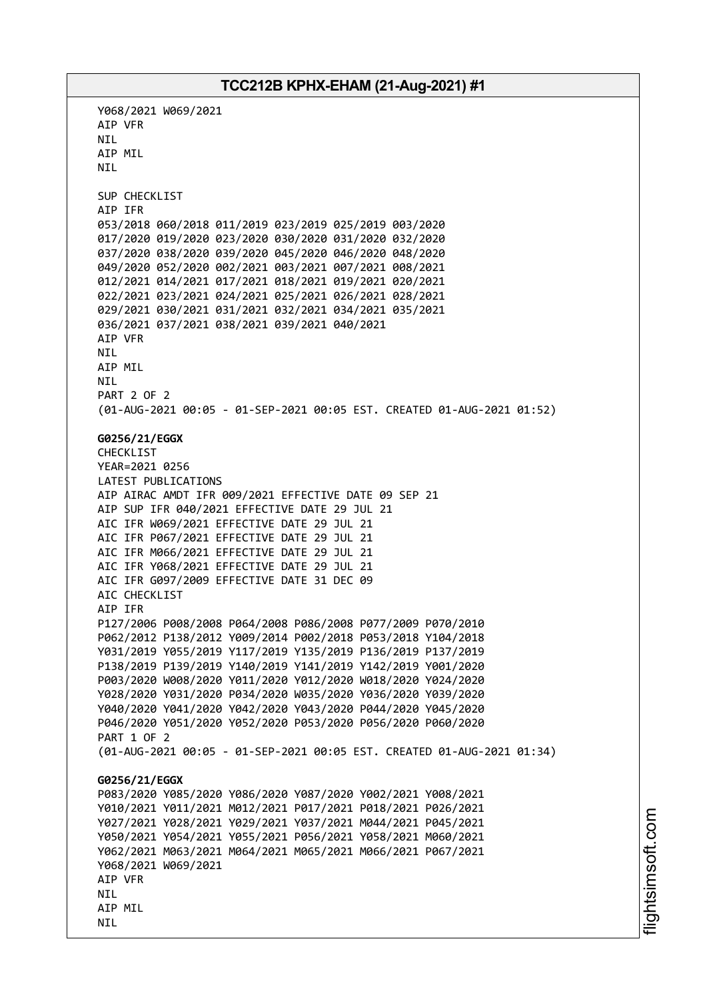Y068/2021 W069/2021 AIP VFR NIL AIP MIL NIL SUP CHECKLIST AIP IFR 053/2018 060/2018 011/2019 023/2019 025/2019 003/2020 017/2020 019/2020 023/2020 030/2020 031/2020 032/2020 037/2020 038/2020 039/2020 045/2020 046/2020 048/2020 049/2020 052/2020 002/2021 003/2021 007/2021 008/2021 012/2021 014/2021 017/2021 018/2021 019/2021 020/2021 022/2021 023/2021 024/2021 025/2021 026/2021 028/2021 029/2021 030/2021 031/2021 032/2021 034/2021 035/2021 036/2021 037/2021 038/2021 039/2021 040/2021 AIP VFR NIL AIP MIL NIL PART 2 OF 2 (01-AUG-2021 00:05 - 01-SEP-2021 00:05 EST. CREATED 01-AUG-2021 01:52) **G0256/21/EGGX** CHECKLIST YEAR=2021 0256 LATEST PUBLICATIONS AIP AIRAC AMDT IFR 009/2021 EFFECTIVE DATE 09 SEP 21 AIP SUP IFR 040/2021 EFFECTIVE DATE 29 JUL 21 AIC IFR W069/2021 EFFECTIVE DATE 29 JUL 21 AIC IFR P067/2021 EFFECTIVE DATE 29 JUL 21 AIC IFR M066/2021 EFFECTIVE DATE 29 JUL 21 AIC IFR Y068/2021 EFFECTIVE DATE 29 JUL 21 AIC IFR G097/2009 EFFECTIVE DATE 31 DEC 09 AIC CHECKLIST AIP IFR P127/2006 P008/2008 P064/2008 P086/2008 P077/2009 P070/2010 P062/2012 P138/2012 Y009/2014 P002/2018 P053/2018 Y104/2018 Y031/2019 Y055/2019 Y117/2019 Y135/2019 P136/2019 P137/2019 P138/2019 P139/2019 Y140/2019 Y141/2019 Y142/2019 Y001/2020 P003/2020 W008/2020 Y011/2020 Y012/2020 W018/2020 Y024/2020 Y028/2020 Y031/2020 P034/2020 W035/2020 Y036/2020 Y039/2020 Y040/2020 Y041/2020 Y042/2020 Y043/2020 P044/2020 Y045/2020 P046/2020 Y051/2020 Y052/2020 P053/2020 P056/2020 P060/2020 PART 1 OF 2 (01-AUG-2021 00:05 - 01-SEP-2021 00:05 EST. CREATED 01-AUG-2021 01:34) **G0256/21/EGGX** P083/2020 Y085/2020 Y086/2020 Y087/2020 Y002/2021 Y008/2021 Y010/2021 Y011/2021 M012/2021 P017/2021 P018/2021 P026/2021 Y027/2021 Y028/2021 Y029/2021 Y037/2021 M044/2021 P045/2021 Y050/2021 Y054/2021 Y055/2021 P056/2021 Y058/2021 M060/2021 Y062/2021 M063/2021 M064/2021 M065/2021 M066/2021 P067/2021 Y068/2021 W069/2021 AIP VFR **NTI** AIP MIL NIL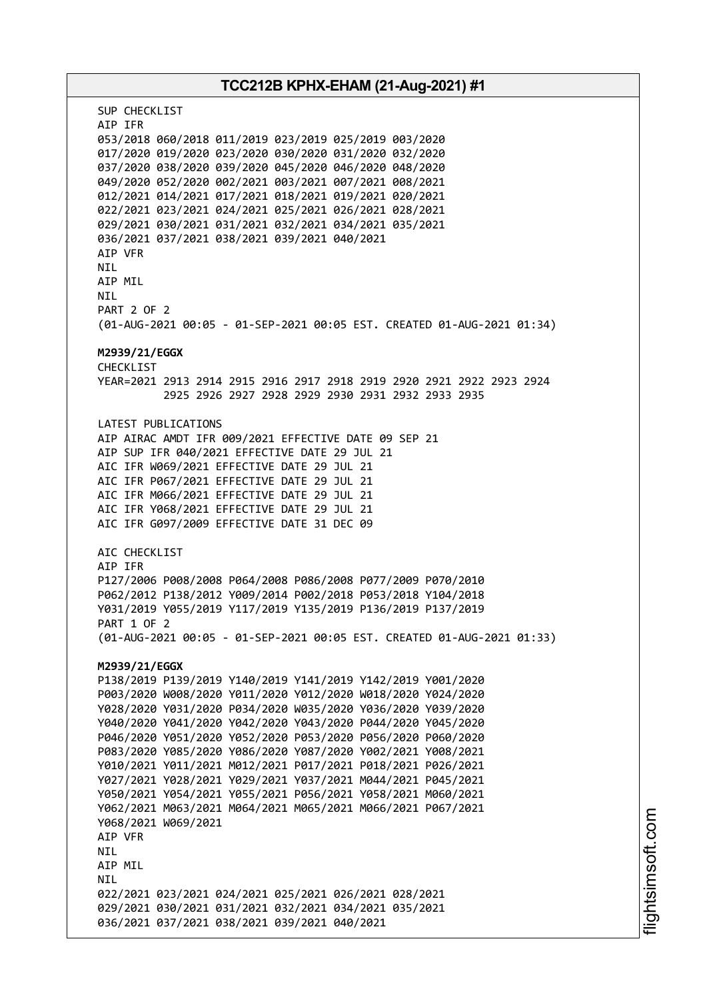# **TCC212B KPHX-EHAM (21-Aug-2021) #1** SUP CHECKLIST AIP IFR 053/2018 060/2018 011/2019 023/2019 025/2019 003/2020 017/2020 019/2020 023/2020 030/2020 031/2020 032/2020 037/2020 038/2020 039/2020 045/2020 046/2020 048/2020 049/2020 052/2020 002/2021 003/2021 007/2021 008/2021 012/2021 014/2021 017/2021 018/2021 019/2021 020/2021 022/2021 023/2021 024/2021 025/2021 026/2021 028/2021 029/2021 030/2021 031/2021 032/2021 034/2021 035/2021 036/2021 037/2021 038/2021 039/2021 040/2021 AIP VFR **NTI** AIP MIL NIL PART 2 OF 2 (01-AUG-2021 00:05 - 01-SEP-2021 00:05 EST. CREATED 01-AUG-2021 01:34) **M2939/21/EGGX** CHECKL<sub>TST</sub> YEAR=2021 2913 2914 2915 2916 2917 2918 2919 2920 2921 2922 2923 2924 2925 2926 2927 2928 2929 2930 2931 2932 2933 2935 LATEST PUBLICATIONS AIP AIRAC AMDT IFR 009/2021 EFFECTIVE DATE 09 SEP 21 AIP SUP IFR 040/2021 EFFECTIVE DATE 29 JUL 21 AIC IFR W069/2021 EFFECTIVE DATE 29 JUL 21 AIC IFR P067/2021 EFFECTIVE DATE 29 JUL 21 AIC IFR M066/2021 EFFECTIVE DATE 29 JUL 21 AIC IFR Y068/2021 EFFECTIVE DATE 29 JUL 21 AIC IFR G097/2009 EFFECTIVE DATE 31 DEC 09 AIC CHECKLIST AIP IFR P127/2006 P008/2008 P064/2008 P086/2008 P077/2009 P070/2010 P062/2012 P138/2012 Y009/2014 P002/2018 P053/2018 Y104/2018 Y031/2019 Y055/2019 Y117/2019 Y135/2019 P136/2019 P137/2019 PART 1 OF 2 (01-AUG-2021 00:05 - 01-SEP-2021 00:05 EST. CREATED 01-AUG-2021 01:33) **M2939/21/EGGX** P138/2019 P139/2019 Y140/2019 Y141/2019 Y142/2019 Y001/2020 P003/2020 W008/2020 Y011/2020 Y012/2020 W018/2020 Y024/2020 Y028/2020 Y031/2020 P034/2020 W035/2020 Y036/2020 Y039/2020 Y040/2020 Y041/2020 Y042/2020 Y043/2020 P044/2020 Y045/2020 P046/2020 Y051/2020 Y052/2020 P053/2020 P056/2020 P060/2020 P083/2020 Y085/2020 Y086/2020 Y087/2020 Y002/2021 Y008/2021 Y010/2021 Y011/2021 M012/2021 P017/2021 P018/2021 P026/2021 Y027/2021 Y028/2021 Y029/2021 Y037/2021 M044/2021 P045/2021 Y050/2021 Y054/2021 Y055/2021 P056/2021 Y058/2021 M060/2021 Y062/2021 M063/2021 M064/2021 M065/2021 M066/2021 P067/2021 Y068/2021 W069/2021 AIP VFR NIL AIP MIL **NTI** 022/2021 023/2021 024/2021 025/2021 026/2021 028/2021 029/2021 030/2021 031/2021 032/2021 034/2021 035/2021 036/2021 037/2021 038/2021 039/2021 040/2021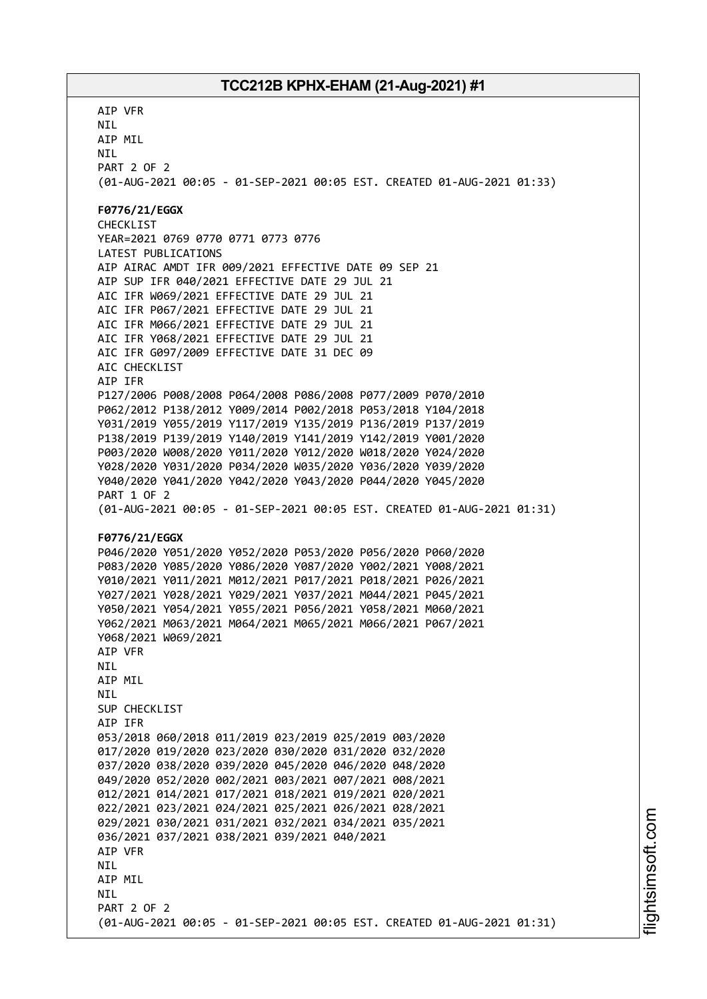AIP VFR NIL AIP MIL NIL PART 2 OF 2 (01-AUG-2021 00:05 - 01-SEP-2021 00:05 EST. CREATED 01-AUG-2021 01:33) **F0776/21/EGGX** CHECKLIST YEAR=2021 0769 0770 0771 0773 0776 LATEST PUBLICATIONS AIP AIRAC AMDT IFR 009/2021 EFFECTIVE DATE 09 SEP 21 AIP SUP IFR 040/2021 EFFECTIVE DATE 29 JUL 21 AIC IFR W069/2021 EFFECTIVE DATE 29 JUL 21 AIC IFR P067/2021 EFFECTIVE DATE 29 JUL 21 AIC IFR M066/2021 EFFECTIVE DATE 29 JUL 21 AIC IFR Y068/2021 EFFECTIVE DATE 29 JUL 21 AIC IFR G097/2009 EFFECTIVE DATE 31 DEC 09 AIC CHECKLIST AIP IFR P127/2006 P008/2008 P064/2008 P086/2008 P077/2009 P070/2010 P062/2012 P138/2012 Y009/2014 P002/2018 P053/2018 Y104/2018 Y031/2019 Y055/2019 Y117/2019 Y135/2019 P136/2019 P137/2019 P138/2019 P139/2019 Y140/2019 Y141/2019 Y142/2019 Y001/2020 P003/2020 W008/2020 Y011/2020 Y012/2020 W018/2020 Y024/2020 Y028/2020 Y031/2020 P034/2020 W035/2020 Y036/2020 Y039/2020 Y040/2020 Y041/2020 Y042/2020 Y043/2020 P044/2020 Y045/2020 PART 1 OF 2 (01-AUG-2021 00:05 - 01-SEP-2021 00:05 EST. CREATED 01-AUG-2021 01:31) **F0776/21/EGGX** P046/2020 Y051/2020 Y052/2020 P053/2020 P056/2020 P060/2020 P083/2020 Y085/2020 Y086/2020 Y087/2020 Y002/2021 Y008/2021 Y010/2021 Y011/2021 M012/2021 P017/2021 P018/2021 P026/2021 Y027/2021 Y028/2021 Y029/2021 Y037/2021 M044/2021 P045/2021 Y050/2021 Y054/2021 Y055/2021 P056/2021 Y058/2021 M060/2021 Y062/2021 M063/2021 M064/2021 M065/2021 M066/2021 P067/2021 Y068/2021 W069/2021 AIP VFR NIL AIP MIL **NTI** SUP CHECKLIST AIP IFR 053/2018 060/2018 011/2019 023/2019 025/2019 003/2020 017/2020 019/2020 023/2020 030/2020 031/2020 032/2020 037/2020 038/2020 039/2020 045/2020 046/2020 048/2020 049/2020 052/2020 002/2021 003/2021 007/2021 008/2021 012/2021 014/2021 017/2021 018/2021 019/2021 020/2021 022/2021 023/2021 024/2021 025/2021 026/2021 028/2021 029/2021 030/2021 031/2021 032/2021 034/2021 035/2021 036/2021 037/2021 038/2021 039/2021 040/2021 AIP VFR **NTL** AIP MIL **NTI** PART 2 OF 2 (01-AUG-2021 00:05 - 01-SEP-2021 00:05 EST. CREATED 01-AUG-2021 01:31)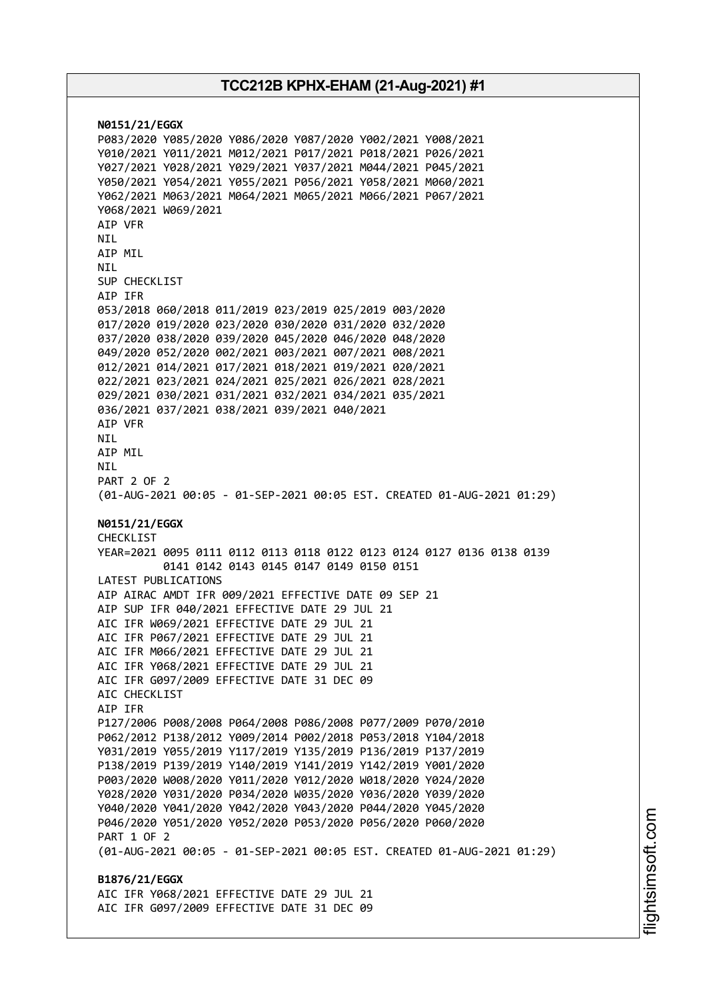**N0151/21/EGGX** P083/2020 Y085/2020 Y086/2020 Y087/2020 Y002/2021 Y008/2021 Y010/2021 Y011/2021 M012/2021 P017/2021 P018/2021 P026/2021 Y027/2021 Y028/2021 Y029/2021 Y037/2021 M044/2021 P045/2021 Y050/2021 Y054/2021 Y055/2021 P056/2021 Y058/2021 M060/2021 Y062/2021 M063/2021 M064/2021 M065/2021 M066/2021 P067/2021 Y068/2021 W069/2021 AIP VFR NIL AIP MIL **NTI** SUP CHECKLIST AIP IFR 053/2018 060/2018 011/2019 023/2019 025/2019 003/2020 017/2020 019/2020 023/2020 030/2020 031/2020 032/2020 037/2020 038/2020 039/2020 045/2020 046/2020 048/2020 049/2020 052/2020 002/2021 003/2021 007/2021 008/2021 012/2021 014/2021 017/2021 018/2021 019/2021 020/2021 022/2021 023/2021 024/2021 025/2021 026/2021 028/2021 029/2021 030/2021 031/2021 032/2021 034/2021 035/2021 036/2021 037/2021 038/2021 039/2021 040/2021 AIP VFR NIL AIP MIL NIL PART 2 OF 2 (01-AUG-2021 00:05 - 01-SEP-2021 00:05 EST. CREATED 01-AUG-2021 01:29) **N0151/21/EGGX** CHECKLIST YEAR=2021 0095 0111 0112 0113 0118 0122 0123 0124 0127 0136 0138 0139 0141 0142 0143 0145 0147 0149 0150 0151 LATEST PUBLICATIONS AIP AIRAC AMDT IFR 009/2021 EFFECTIVE DATE 09 SEP 21 AIP SUP IFR 040/2021 EFFECTIVE DATE 29 JUL 21 AIC IFR W069/2021 EFFECTIVE DATE 29 JUL 21 AIC IFR P067/2021 EFFECTIVE DATE 29 JUL 21 AIC IFR M066/2021 EFFECTIVE DATE 29 JUL 21 AIC IFR Y068/2021 EFFECTIVE DATE 29 JUL 21 AIC IFR G097/2009 EFFECTIVE DATE 31 DEC 09 AIC CHECKLIST AIP IFR P127/2006 P008/2008 P064/2008 P086/2008 P077/2009 P070/2010 P062/2012 P138/2012 Y009/2014 P002/2018 P053/2018 Y104/2018 Y031/2019 Y055/2019 Y117/2019 Y135/2019 P136/2019 P137/2019 P138/2019 P139/2019 Y140/2019 Y141/2019 Y142/2019 Y001/2020 P003/2020 W008/2020 Y011/2020 Y012/2020 W018/2020 Y024/2020 Y028/2020 Y031/2020 P034/2020 W035/2020 Y036/2020 Y039/2020 Y040/2020 Y041/2020 Y042/2020 Y043/2020 P044/2020 Y045/2020 P046/2020 Y051/2020 Y052/2020 P053/2020 P056/2020 P060/2020 PART 1 OF 2 (01-AUG-2021 00:05 - 01-SEP-2021 00:05 EST. CREATED 01-AUG-2021 01:29) **B1876/21/EGGX** AIC IFR Y068/2021 EFFECTIVE DATE 29 JUL 21 AIC IFR G097/2009 EFFECTIVE DATE 31 DEC 09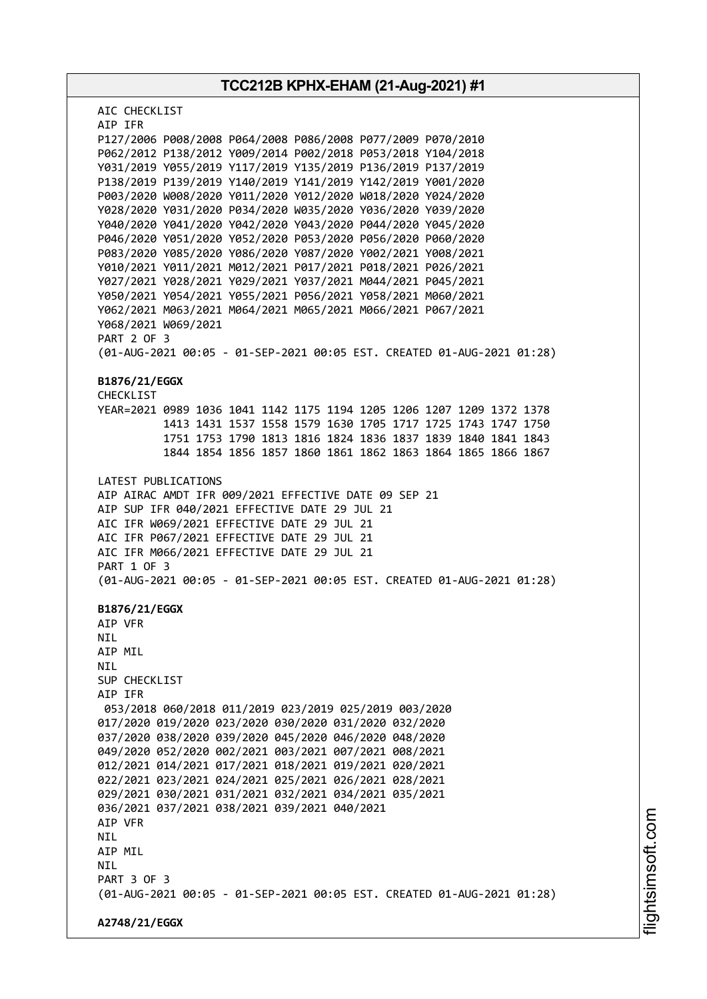**TCC212B KPHX-EHAM (21-Aug-2021) #1** AIC CHECKLIST AIP IFR P127/2006 P008/2008 P064/2008 P086/2008 P077/2009 P070/2010 P062/2012 P138/2012 Y009/2014 P002/2018 P053/2018 Y104/2018 Y031/2019 Y055/2019 Y117/2019 Y135/2019 P136/2019 P137/2019 P138/2019 P139/2019 Y140/2019 Y141/2019 Y142/2019 Y001/2020 P003/2020 W008/2020 Y011/2020 Y012/2020 W018/2020 Y024/2020 Y028/2020 Y031/2020 P034/2020 W035/2020 Y036/2020 Y039/2020 Y040/2020 Y041/2020 Y042/2020 Y043/2020 P044/2020 Y045/2020 P046/2020 Y051/2020 Y052/2020 P053/2020 P056/2020 P060/2020 P083/2020 Y085/2020 Y086/2020 Y087/2020 Y002/2021 Y008/2021 Y010/2021 Y011/2021 M012/2021 P017/2021 P018/2021 P026/2021 Y027/2021 Y028/2021 Y029/2021 Y037/2021 M044/2021 P045/2021 Y050/2021 Y054/2021 Y055/2021 P056/2021 Y058/2021 M060/2021 Y062/2021 M063/2021 M064/2021 M065/2021 M066/2021 P067/2021 Y068/2021 W069/2021 PART 2 OF 3 (01-AUG-2021 00:05 - 01-SEP-2021 00:05 EST. CREATED 01-AUG-2021 01:28) **B1876/21/EGGX** CHECKLIST YEAR=2021 0989 1036 1041 1142 1175 1194 1205 1206 1207 1209 1372 1378 1413 1431 1537 1558 1579 1630 1705 1717 1725 1743 1747 1750 1751 1753 1790 1813 1816 1824 1836 1837 1839 1840 1841 1843 1844 1854 1856 1857 1860 1861 1862 1863 1864 1865 1866 1867 LATEST PUBLICATIONS AIP AIRAC AMDT IFR 009/2021 EFFECTIVE DATE 09 SEP 21 AIP SUP IFR 040/2021 EFFECTIVE DATE 29 JUL 21 AIC IFR W069/2021 EFFECTIVE DATE 29 JUL 21 AIC IFR P067/2021 EFFECTIVE DATE 29 JUL 21 AIC IFR M066/2021 EFFECTIVE DATE 29 JUL 21 PART 1 OF 3 (01-AUG-2021 00:05 - 01-SEP-2021 00:05 EST. CREATED 01-AUG-2021 01:28) **B1876/21/EGGX** AIP VFR NIL AIP MIL NIL SUP CHECKLIST AIP IFR 053/2018 060/2018 011/2019 023/2019 025/2019 003/2020 017/2020 019/2020 023/2020 030/2020 031/2020 032/2020 037/2020 038/2020 039/2020 045/2020 046/2020 048/2020 049/2020 052/2020 002/2021 003/2021 007/2021 008/2021 012/2021 014/2021 017/2021 018/2021 019/2021 020/2021 022/2021 023/2021 024/2021 025/2021 026/2021 028/2021 029/2021 030/2021 031/2021 032/2021 034/2021 035/2021 036/2021 037/2021 038/2021 039/2021 040/2021 AIP VFR NIL AIP MIL **NTL** PART 3 OF 3 (01-AUG-2021 00:05 - 01-SEP-2021 00:05 EST. CREATED 01-AUG-2021 01:28) **A2748/21/EGGX**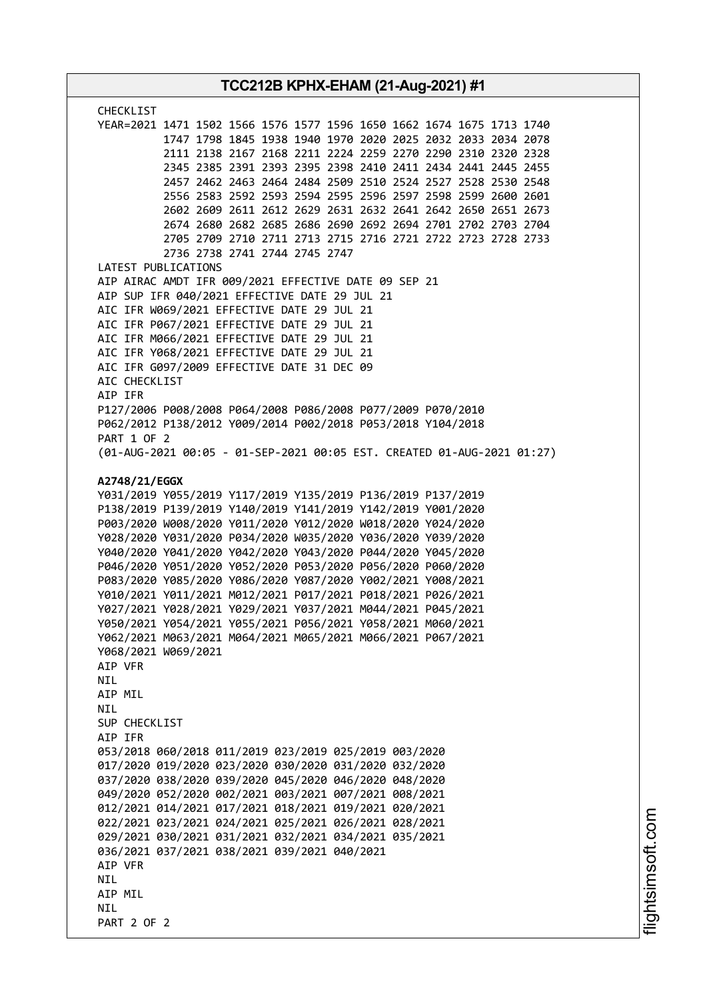| <b>CHECKLIST</b><br>YEAR=2021 1471 1502 1566 1576 1577 1596 1650 1662 1674 1675 1713 1740<br>1747 1798 1845 1938 1940 1970 2020 2025 2032 2033 2034 2078<br>2111 2138 2167 2168 2211 2224 2259 2270 2290 2310 2320 2328<br>2345 2385 2391 2393 2395 2398 2410 2411 2434 2441 2445 2455<br>2457 2462 2463 2464 2484 2509 2510 2524 2527 2528 2530 2548<br>2556 2583 2592 2593 2594 2595 2596 2597 2598 2599 2600 2601<br>2602 2609 2611 2612 2629 2631 2632 2641 2642 2650 2651 2673<br>2674 2680 2682 2685 2686 2690 2692 2694 2701 2702 2703 2704<br>2705 2709 2710 2711 2713 2715 2716 2721 2722 2723 2728 2733<br>2736 2738 2741 2744 2745 2747<br>LATEST PUBLICATIONS<br>AIP AIRAC AMDT IFR 009/2021 EFFECTIVE DATE 09 SEP 21<br>AIP SUP IFR 040/2021 EFFECTIVE DATE 29 JUL 21<br>AIC IFR W069/2021 EFFECTIVE DATE 29 JUL 21<br>AIC IFR P067/2021 EFFECTIVE DATE 29 JUL 21<br>AIC IFR M066/2021 EFFECTIVE DATE 29 JUL 21<br>AIC IFR Y068/2021 EFFECTIVE DATE 29 JUL 21<br>AIC IFR G097/2009 EFFECTIVE DATE 31 DEC 09<br>AIC CHECKLIST<br>AIP IFR<br>P127/2006 P008/2008 P064/2008 P086/2008 P077/2009 P070/2010<br>P062/2012 P138/2012 Y009/2014 P002/2018 P053/2018 Y104/2018<br>PART 1 OF 2<br>(01-AUG-2021 00:05 - 01-SEP-2021 00:05 EST. CREATED 01-AUG-2021 01:27)<br>A2748/21/EGGX<br>Y031/2019 Y055/2019 Y117/2019 Y135/2019 P136/2019 P137/2019<br>P138/2019 P139/2019 Y140/2019 Y141/2019 Y142/2019 Y001/2020<br>P003/2020 W008/2020 Y011/2020 Y012/2020 W018/2020 Y024/2020<br>Y028/2020 Y031/2020 P034/2020 W035/2020 Y036/2020 Y039/2020<br>Y040/2020 Y041/2020 Y042/2020 Y043/2020 P044/2020 Y045/2020<br>P046/2020 Y051/2020 Y052/2020 P053/2020 P056/2020 P060/2020<br>P083/2020 Y085/2020 Y086/2020 Y087/2020 Y002/2021 Y008/2021<br>Y010/2021 Y011/2021 M012/2021 P017/2021 P018/2021 P026/2021<br>Y027/2021 Y028/2021 Y029/2021 Y037/2021 M044/2021 P045/2021<br>Y050/2021 Y054/2021 Y055/2021 P056/2021 Y058/2021 M060/2021<br>Y062/2021 M063/2021 M064/2021 M065/2021 M066/2021 P067/2021<br>Y068/2021 W069/2021<br>AIP VFR<br>NIL<br>AIP MIL<br><b>NIL</b><br>SUP CHECKLIST<br>AIP IFR<br>053/2018 060/2018 011/2019 023/2019 025/2019 003/2020<br>017/2020 019/2020 023/2020 030/2020 031/2020 032/2020<br>037/2020 038/2020 039/2020 045/2020 046/2020 048/2020<br>049/2020 052/2020 002/2021 003/2021 007/2021 008/2021<br>012/2021 014/2021 017/2021 018/2021 019/2021 020/2021<br>022/2021 023/2021 024/2021 025/2021 026/2021 028/2021<br>029/2021 030/2021 031/2021 032/2021 034/2021 035/2021<br>036/2021 037/2021 038/2021 039/2021 040/2021<br>AIP VFR<br><b>NIL</b><br>AIP MIL<br><b>NIL</b> | TCC212B KPHX-EHAM (21-Aug-2021) #1 |  |
|----------------------------------------------------------------------------------------------------------------------------------------------------------------------------------------------------------------------------------------------------------------------------------------------------------------------------------------------------------------------------------------------------------------------------------------------------------------------------------------------------------------------------------------------------------------------------------------------------------------------------------------------------------------------------------------------------------------------------------------------------------------------------------------------------------------------------------------------------------------------------------------------------------------------------------------------------------------------------------------------------------------------------------------------------------------------------------------------------------------------------------------------------------------------------------------------------------------------------------------------------------------------------------------------------------------------------------------------------------------------------------------------------------------------------------------------------------------------------------------------------------------------------------------------------------------------------------------------------------------------------------------------------------------------------------------------------------------------------------------------------------------------------------------------------------------------------------------------------------------------------------------------------------------------------------------------------------------------------------------------------------------------------------------------------------------------------------------------------------------------------------------------------------------------------------------------------------------------------------------------------------------------------------------------------------------------------------------------------------------------------------------------------------------------------------------------------------------------------------------------------------------------------------------------------------------------------------------------------------------------------------|------------------------------------|--|
|                                                                                                                                                                                                                                                                                                                                                                                                                                                                                                                                                                                                                                                                                                                                                                                                                                                                                                                                                                                                                                                                                                                                                                                                                                                                                                                                                                                                                                                                                                                                                                                                                                                                                                                                                                                                                                                                                                                                                                                                                                                                                                                                                                                                                                                                                                                                                                                                                                                                                                                                                                                                                                  |                                    |  |
|                                                                                                                                                                                                                                                                                                                                                                                                                                                                                                                                                                                                                                                                                                                                                                                                                                                                                                                                                                                                                                                                                                                                                                                                                                                                                                                                                                                                                                                                                                                                                                                                                                                                                                                                                                                                                                                                                                                                                                                                                                                                                                                                                                                                                                                                                                                                                                                                                                                                                                                                                                                                                                  |                                    |  |
|                                                                                                                                                                                                                                                                                                                                                                                                                                                                                                                                                                                                                                                                                                                                                                                                                                                                                                                                                                                                                                                                                                                                                                                                                                                                                                                                                                                                                                                                                                                                                                                                                                                                                                                                                                                                                                                                                                                                                                                                                                                                                                                                                                                                                                                                                                                                                                                                                                                                                                                                                                                                                                  |                                    |  |
|                                                                                                                                                                                                                                                                                                                                                                                                                                                                                                                                                                                                                                                                                                                                                                                                                                                                                                                                                                                                                                                                                                                                                                                                                                                                                                                                                                                                                                                                                                                                                                                                                                                                                                                                                                                                                                                                                                                                                                                                                                                                                                                                                                                                                                                                                                                                                                                                                                                                                                                                                                                                                                  |                                    |  |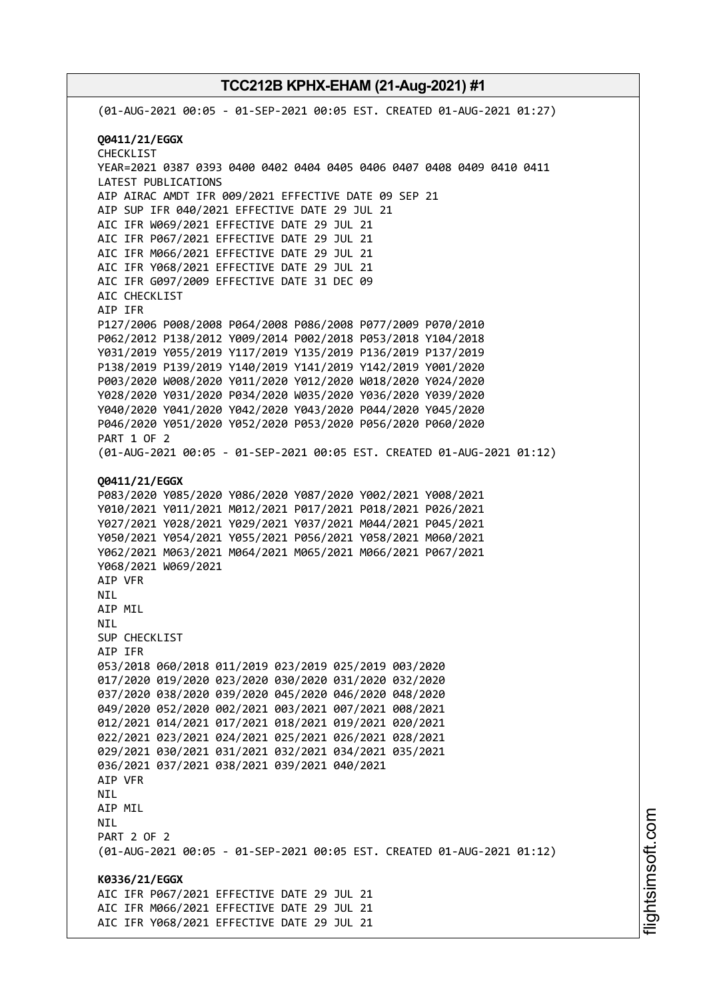(01-AUG-2021 00:05 - 01-SEP-2021 00:05 EST. CREATED 01-AUG-2021 01:27) **Q0411/21/EGGX** CHECKLIST YEAR=2021 0387 0393 0400 0402 0404 0405 0406 0407 0408 0409 0410 0411 LATEST PUBLICATIONS AIP AIRAC AMDT IFR 009/2021 EFFECTIVE DATE 09 SEP 21 AIP SUP IFR 040/2021 EFFECTIVE DATE 29 JUL 21 AIC IFR W069/2021 EFFECTIVE DATE 29 JUL 21 AIC IFR P067/2021 EFFECTIVE DATE 29 JUL 21 AIC IFR M066/2021 EFFECTIVE DATE 29 JUL 21 AIC IFR Y068/2021 EFFECTIVE DATE 29 JUL 21 AIC IFR G097/2009 EFFECTIVE DATE 31 DEC 09 AIC CHECKLIST AIP IFR P127/2006 P008/2008 P064/2008 P086/2008 P077/2009 P070/2010 P062/2012 P138/2012 Y009/2014 P002/2018 P053/2018 Y104/2018 Y031/2019 Y055/2019 Y117/2019 Y135/2019 P136/2019 P137/2019 P138/2019 P139/2019 Y140/2019 Y141/2019 Y142/2019 Y001/2020 P003/2020 W008/2020 Y011/2020 Y012/2020 W018/2020 Y024/2020 Y028/2020 Y031/2020 P034/2020 W035/2020 Y036/2020 Y039/2020 Y040/2020 Y041/2020 Y042/2020 Y043/2020 P044/2020 Y045/2020 P046/2020 Y051/2020 Y052/2020 P053/2020 P056/2020 P060/2020 PART 1 OF 2 (01-AUG-2021 00:05 - 01-SEP-2021 00:05 EST. CREATED 01-AUG-2021 01:12) **Q0411/21/EGGX** P083/2020 Y085/2020 Y086/2020 Y087/2020 Y002/2021 Y008/2021 Y010/2021 Y011/2021 M012/2021 P017/2021 P018/2021 P026/2021 Y027/2021 Y028/2021 Y029/2021 Y037/2021 M044/2021 P045/2021 Y050/2021 Y054/2021 Y055/2021 P056/2021 Y058/2021 M060/2021 Y062/2021 M063/2021 M064/2021 M065/2021 M066/2021 P067/2021 Y068/2021 W069/2021 AIP VFR NIL AIP MIL NIL SUP CHECKLIST AIP IFR 053/2018 060/2018 011/2019 023/2019 025/2019 003/2020 017/2020 019/2020 023/2020 030/2020 031/2020 032/2020 037/2020 038/2020 039/2020 045/2020 046/2020 048/2020 049/2020 052/2020 002/2021 003/2021 007/2021 008/2021 012/2021 014/2021 017/2021 018/2021 019/2021 020/2021 022/2021 023/2021 024/2021 025/2021 026/2021 028/2021 029/2021 030/2021 031/2021 032/2021 034/2021 035/2021 036/2021 037/2021 038/2021 039/2021 040/2021 AIP VFR NIL AIP MIL NIL PART 2 OF 2 (01-AUG-2021 00:05 - 01-SEP-2021 00:05 EST. CREATED 01-AUG-2021 01:12) **K0336/21/EGGX** AIC IFR P067/2021 EFFECTIVE DATE 29 JUL 21 AIC IFR M066/2021 EFFECTIVE DATE 29 JUL 21 AIC IFR Y068/2021 EFFECTIVE DATE 29 JUL 21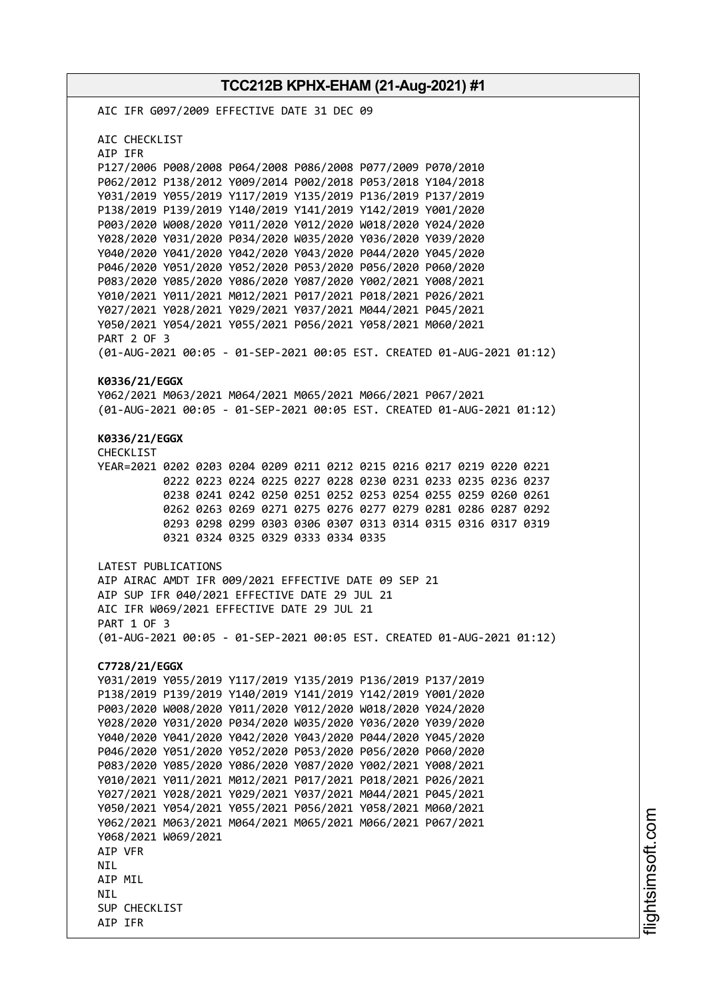**TCC212B KPHX-EHAM (21-Aug-2021) #1** AIC IFR G097/2009 EFFECTIVE DATE 31 DEC 09 AIC CHECKLIST AIP IFR P127/2006 P008/2008 P064/2008 P086/2008 P077/2009 P070/2010 P062/2012 P138/2012 Y009/2014 P002/2018 P053/2018 Y104/2018 Y031/2019 Y055/2019 Y117/2019 Y135/2019 P136/2019 P137/2019 P138/2019 P139/2019 Y140/2019 Y141/2019 Y142/2019 Y001/2020 P003/2020 W008/2020 Y011/2020 Y012/2020 W018/2020 Y024/2020 Y028/2020 Y031/2020 P034/2020 W035/2020 Y036/2020 Y039/2020 Y040/2020 Y041/2020 Y042/2020 Y043/2020 P044/2020 Y045/2020 P046/2020 Y051/2020 Y052/2020 P053/2020 P056/2020 P060/2020 P083/2020 Y085/2020 Y086/2020 Y087/2020 Y002/2021 Y008/2021 Y010/2021 Y011/2021 M012/2021 P017/2021 P018/2021 P026/2021 Y027/2021 Y028/2021 Y029/2021 Y037/2021 M044/2021 P045/2021 Y050/2021 Y054/2021 Y055/2021 P056/2021 Y058/2021 M060/2021 PART 2 OF 3 (01-AUG-2021 00:05 - 01-SEP-2021 00:05 EST. CREATED 01-AUG-2021 01:12) **K0336/21/EGGX** Y062/2021 M063/2021 M064/2021 M065/2021 M066/2021 P067/2021 (01-AUG-2021 00:05 - 01-SEP-2021 00:05 EST. CREATED 01-AUG-2021 01:12) **K0336/21/EGGX** CHECKLIST YEAR=2021 0202 0203 0204 0209 0211 0212 0215 0216 0217 0219 0220 0221 0222 0223 0224 0225 0227 0228 0230 0231 0233 0235 0236 0237 0238 0241 0242 0250 0251 0252 0253 0254 0255 0259 0260 0261 0262 0263 0269 0271 0275 0276 0277 0279 0281 0286 0287 0292 0293 0298 0299 0303 0306 0307 0313 0314 0315 0316 0317 0319 0321 0324 0325 0329 0333 0334 0335 LATEST PUBLICATIONS AIP AIRAC AMDT IFR 009/2021 EFFECTIVE DATE 09 SEP 21 AIP SUP IFR 040/2021 EFFECTIVE DATE 29 JUL 21 AIC IFR W069/2021 EFFECTIVE DATE 29 JUL 21 PART 1 OF 3 (01-AUG-2021 00:05 - 01-SEP-2021 00:05 EST. CREATED 01-AUG-2021 01:12) **C7728/21/EGGX** Y031/2019 Y055/2019 Y117/2019 Y135/2019 P136/2019 P137/2019 P138/2019 P139/2019 Y140/2019 Y141/2019 Y142/2019 Y001/2020 P003/2020 W008/2020 Y011/2020 Y012/2020 W018/2020 Y024/2020 Y028/2020 Y031/2020 P034/2020 W035/2020 Y036/2020 Y039/2020 Y040/2020 Y041/2020 Y042/2020 Y043/2020 P044/2020 Y045/2020 P046/2020 Y051/2020 Y052/2020 P053/2020 P056/2020 P060/2020 P083/2020 Y085/2020 Y086/2020 Y087/2020 Y002/2021 Y008/2021 Y010/2021 Y011/2021 M012/2021 P017/2021 P018/2021 P026/2021 Y027/2021 Y028/2021 Y029/2021 Y037/2021 M044/2021 P045/2021 Y050/2021 Y054/2021 Y055/2021 P056/2021 Y058/2021 M060/2021 Y062/2021 M063/2021 M064/2021 M065/2021 M066/2021 P067/2021 Y068/2021 W069/2021 AIP VFR **NTI** AIP MIL **NTI** SUP CHECKLIST AIP IFR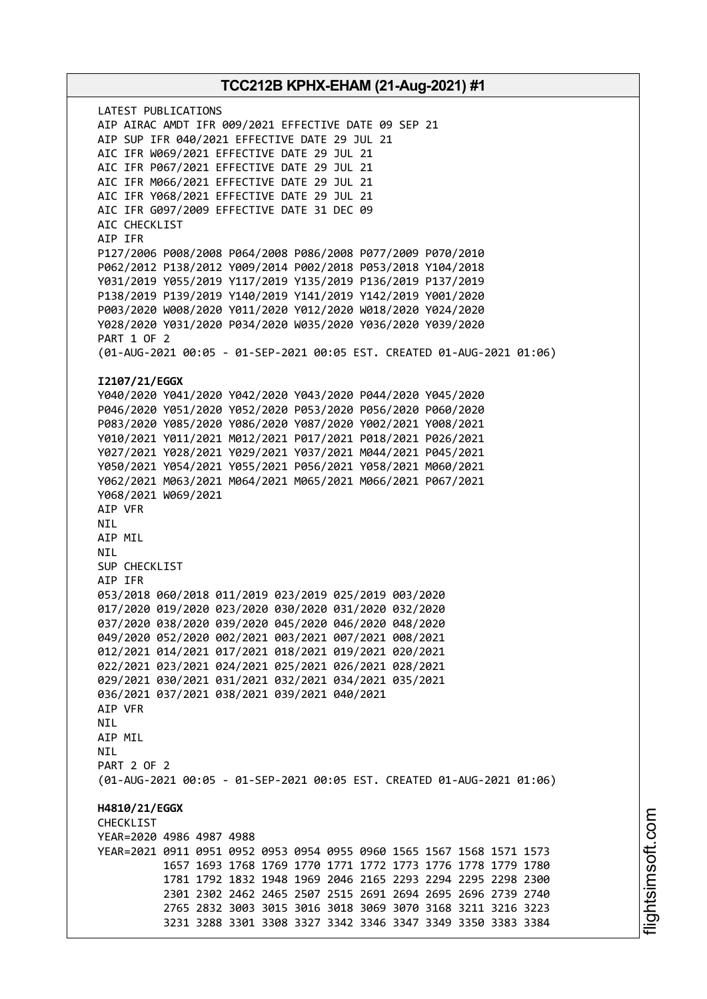LATEST PUBLICATIONS AIP AIRAC AMDT IFR 009/2021 EFFECTIVE DATE 09 SEP 21 AIP SUP IFR 040/2021 EFFECTIVE DATE 29 JUL 21 AIC IFR W069/2021 EFFECTIVE DATE 29 JUL 21 AIC IFR P067/2021 EFFECTIVE DATE 29 JUL 21 AIC IFR M066/2021 EFFECTIVE DATE 29 JUL 21 AIC IFR Y068/2021 EFFECTIVE DATE 29 JUL 21 AIC IFR G097/2009 EFFECTIVE DATE 31 DEC 09 AIC CHECKLIST AIP IFR P127/2006 P008/2008 P064/2008 P086/2008 P077/2009 P070/2010 P062/2012 P138/2012 Y009/2014 P002/2018 P053/2018 Y104/2018 Y031/2019 Y055/2019 Y117/2019 Y135/2019 P136/2019 P137/2019 P138/2019 P139/2019 Y140/2019 Y141/2019 Y142/2019 Y001/2020 P003/2020 W008/2020 Y011/2020 Y012/2020 W018/2020 Y024/2020 Y028/2020 Y031/2020 P034/2020 W035/2020 Y036/2020 Y039/2020 PART 1 OF 2 (01-AUG-2021 00:05 - 01-SEP-2021 00:05 EST. CREATED 01-AUG-2021 01:06) **I2107/21/EGGX** Y040/2020 Y041/2020 Y042/2020 Y043/2020 P044/2020 Y045/2020 P046/2020 Y051/2020 Y052/2020 P053/2020 P056/2020 P060/2020 P083/2020 Y085/2020 Y086/2020 Y087/2020 Y002/2021 Y008/2021 Y010/2021 Y011/2021 M012/2021 P017/2021 P018/2021 P026/2021 Y027/2021 Y028/2021 Y029/2021 Y037/2021 M044/2021 P045/2021 Y050/2021 Y054/2021 Y055/2021 P056/2021 Y058/2021 M060/2021 Y062/2021 M063/2021 M064/2021 M065/2021 M066/2021 P067/2021 Y068/2021 W069/2021 AIP VFR NIL AIP MIL NIL SUP CHECKLIST AIP IFR 053/2018 060/2018 011/2019 023/2019 025/2019 003/2020 017/2020 019/2020 023/2020 030/2020 031/2020 032/2020 037/2020 038/2020 039/2020 045/2020 046/2020 048/2020 049/2020 052/2020 002/2021 003/2021 007/2021 008/2021 012/2021 014/2021 017/2021 018/2021 019/2021 020/2021 022/2021 023/2021 024/2021 025/2021 026/2021 028/2021 029/2021 030/2021 031/2021 032/2021 034/2021 035/2021 036/2021 037/2021 038/2021 039/2021 040/2021 AIP VFR NIL AIP MIL **NTI** PART 2 OF 2 (01-AUG-2021 00:05 - 01-SEP-2021 00:05 EST. CREATED 01-AUG-2021 01:06) **H4810/21/EGGX** CHECKLIST YEAR=2020 4986 4987 4988 YEAR=2021 0911 0951 0952 0953 0954 0955 0960 1565 1567 1568 1571 1573 1657 1693 1768 1769 1770 1771 1772 1773 1776 1778 1779 1780 1781 1792 1832 1948 1969 2046 2165 2293 2294 2295 2298 2300 2301 2302 2462 2465 2507 2515 2691 2694 2695 2696 2739 2740 2765 2832 3003 3015 3016 3018 3069 3070 3168 3211 3216 3223 3231 3288 3301 3308 3327 3342 3346 3347 3349 3350 3383 3384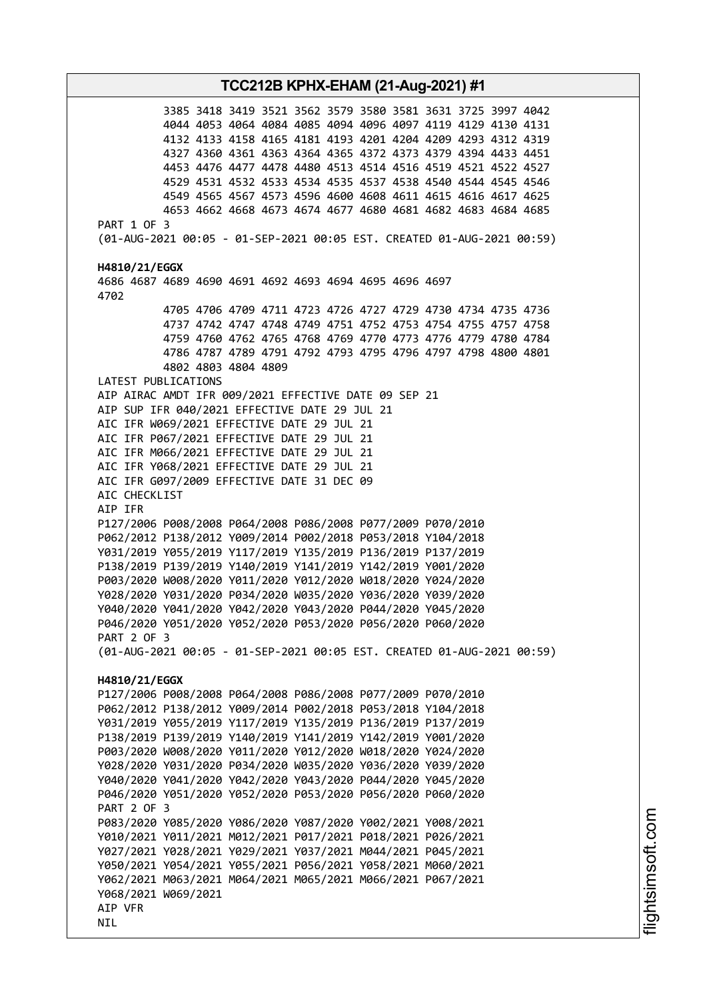3385 3418 3419 3521 3562 3579 3580 3581 3631 3725 3997 4042 4044 4053 4064 4084 4085 4094 4096 4097 4119 4129 4130 4131 4132 4133 4158 4165 4181 4193 4201 4204 4209 4293 4312 4319 4327 4360 4361 4363 4364 4365 4372 4373 4379 4394 4433 4451 4453 4476 4477 4478 4480 4513 4514 4516 4519 4521 4522 4527 4529 4531 4532 4533 4534 4535 4537 4538 4540 4544 4545 4546 4549 4565 4567 4573 4596 4600 4608 4611 4615 4616 4617 4625 4653 4662 4668 4673 4674 4677 4680 4681 4682 4683 4684 4685 PART 1 OF 3 (01-AUG-2021 00:05 - 01-SEP-2021 00:05 EST. CREATED 01-AUG-2021 00:59) **H4810/21/EGGX** 4686 4687 4689 4690 4691 4692 4693 4694 4695 4696 4697 4702 4705 4706 4709 4711 4723 4726 4727 4729 4730 4734 4735 4736 4737 4742 4747 4748 4749 4751 4752 4753 4754 4755 4757 4758 4759 4760 4762 4765 4768 4769 4770 4773 4776 4779 4780 4784 4786 4787 4789 4791 4792 4793 4795 4796 4797 4798 4800 4801 4802 4803 4804 4809 LATEST PUBLICATIONS AIP AIRAC AMDT IFR 009/2021 EFFECTIVE DATE 09 SEP 21 AIP SUP IFR 040/2021 EFFECTIVE DATE 29 JUL 21 AIC IFR W069/2021 EFFECTIVE DATE 29 JUL 21 AIC IFR P067/2021 EFFECTIVE DATE 29 JUL 21 AIC IFR M066/2021 EFFECTIVE DATE 29 JUL 21 AIC IFR Y068/2021 EFFECTIVE DATE 29 JUL 21 AIC IFR G097/2009 EFFECTIVE DATE 31 DEC 09 AIC CHECKLIST AIP IFR P127/2006 P008/2008 P064/2008 P086/2008 P077/2009 P070/2010 P062/2012 P138/2012 Y009/2014 P002/2018 P053/2018 Y104/2018 Y031/2019 Y055/2019 Y117/2019 Y135/2019 P136/2019 P137/2019 P138/2019 P139/2019 Y140/2019 Y141/2019 Y142/2019 Y001/2020 P003/2020 W008/2020 Y011/2020 Y012/2020 W018/2020 Y024/2020 Y028/2020 Y031/2020 P034/2020 W035/2020 Y036/2020 Y039/2020 Y040/2020 Y041/2020 Y042/2020 Y043/2020 P044/2020 Y045/2020 P046/2020 Y051/2020 Y052/2020 P053/2020 P056/2020 P060/2020 PART 2 OF 3 (01-AUG-2021 00:05 - 01-SEP-2021 00:05 EST. CREATED 01-AUG-2021 00:59) **H4810/21/EGGX** P127/2006 P008/2008 P064/2008 P086/2008 P077/2009 P070/2010 P062/2012 P138/2012 Y009/2014 P002/2018 P053/2018 Y104/2018 Y031/2019 Y055/2019 Y117/2019 Y135/2019 P136/2019 P137/2019 P138/2019 P139/2019 Y140/2019 Y141/2019 Y142/2019 Y001/2020 P003/2020 W008/2020 Y011/2020 Y012/2020 W018/2020 Y024/2020 Y028/2020 Y031/2020 P034/2020 W035/2020 Y036/2020 Y039/2020 Y040/2020 Y041/2020 Y042/2020 Y043/2020 P044/2020 Y045/2020 P046/2020 Y051/2020 Y052/2020 P053/2020 P056/2020 P060/2020 PART 2 OF 3 P083/2020 Y085/2020 Y086/2020 Y087/2020 Y002/2021 Y008/2021 Y010/2021 Y011/2021 M012/2021 P017/2021 P018/2021 P026/2021 Y027/2021 Y028/2021 Y029/2021 Y037/2021 M044/2021 P045/2021 Y050/2021 Y054/2021 Y055/2021 P056/2021 Y058/2021 M060/2021 Y062/2021 M063/2021 M064/2021 M065/2021 M066/2021 P067/2021 Y068/2021 W069/2021 AIP VFR NIL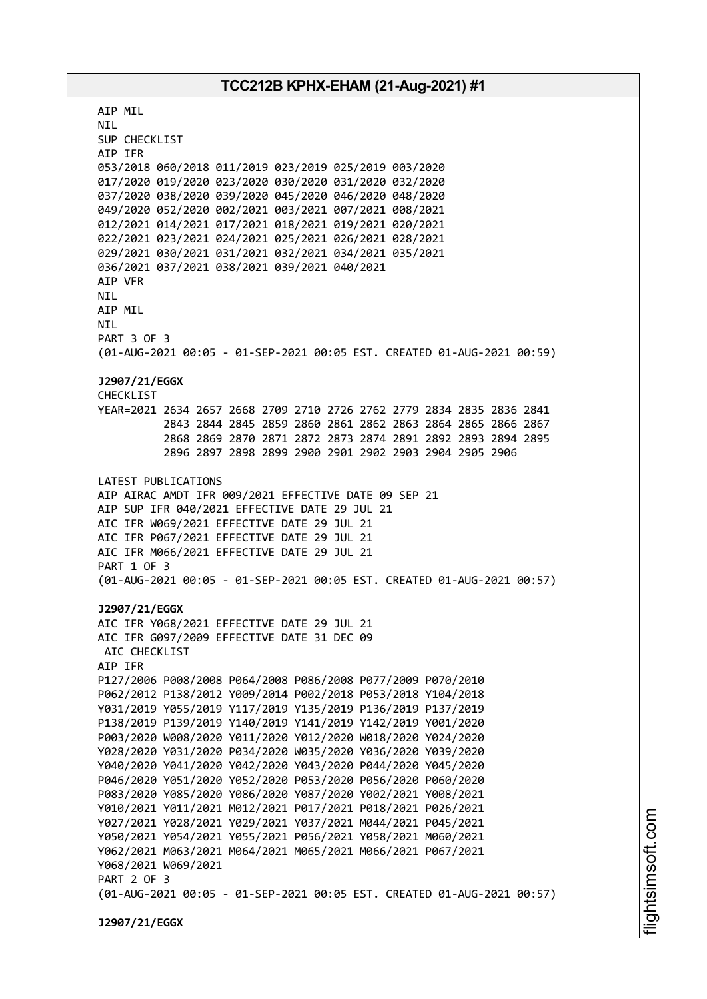AIP MIL NIL SUP CHECKLIST AIP IFR 053/2018 060/2018 011/2019 023/2019 025/2019 003/2020 017/2020 019/2020 023/2020 030/2020 031/2020 032/2020 037/2020 038/2020 039/2020 045/2020 046/2020 048/2020 049/2020 052/2020 002/2021 003/2021 007/2021 008/2021 012/2021 014/2021 017/2021 018/2021 019/2021 020/2021 022/2021 023/2021 024/2021 025/2021 026/2021 028/2021 029/2021 030/2021 031/2021 032/2021 034/2021 035/2021 036/2021 037/2021 038/2021 039/2021 040/2021 AIP VFR NIL AIP MIL NIL PART 3 OF 3 (01-AUG-2021 00:05 - 01-SEP-2021 00:05 EST. CREATED 01-AUG-2021 00:59) **J2907/21/EGGX** CHECKLIST YEAR=2021 2634 2657 2668 2709 2710 2726 2762 2779 2834 2835 2836 2841 2843 2844 2845 2859 2860 2861 2862 2863 2864 2865 2866 2867 2868 2869 2870 2871 2872 2873 2874 2891 2892 2893 2894 2895 2896 2897 2898 2899 2900 2901 2902 2903 2904 2905 2906 LATEST PUBLICATIONS AIP AIRAC AMDT IFR 009/2021 EFFECTIVE DATE 09 SEP 21 AIP SUP IFR 040/2021 EFFECTIVE DATE 29 JUL 21 AIC IFR W069/2021 EFFECTIVE DATE 29 JUL 21 AIC IFR P067/2021 EFFECTIVE DATE 29 JUL 21 AIC IFR M066/2021 EFFECTIVE DATE 29 JUL 21 PART 1 OF 3 (01-AUG-2021 00:05 - 01-SEP-2021 00:05 EST. CREATED 01-AUG-2021 00:57) **J2907/21/EGGX** AIC IFR Y068/2021 EFFECTIVE DATE 29 JUL 21 AIC IFR G097/2009 EFFECTIVE DATE 31 DEC 09 AIC CHECKLIST AIP IFR P127/2006 P008/2008 P064/2008 P086/2008 P077/2009 P070/2010 P062/2012 P138/2012 Y009/2014 P002/2018 P053/2018 Y104/2018 Y031/2019 Y055/2019 Y117/2019 Y135/2019 P136/2019 P137/2019 P138/2019 P139/2019 Y140/2019 Y141/2019 Y142/2019 Y001/2020 P003/2020 W008/2020 Y011/2020 Y012/2020 W018/2020 Y024/2020 Y028/2020 Y031/2020 P034/2020 W035/2020 Y036/2020 Y039/2020 Y040/2020 Y041/2020 Y042/2020 Y043/2020 P044/2020 Y045/2020 P046/2020 Y051/2020 Y052/2020 P053/2020 P056/2020 P060/2020 P083/2020 Y085/2020 Y086/2020 Y087/2020 Y002/2021 Y008/2021 Y010/2021 Y011/2021 M012/2021 P017/2021 P018/2021 P026/2021 Y027/2021 Y028/2021 Y029/2021 Y037/2021 M044/2021 P045/2021 Y050/2021 Y054/2021 Y055/2021 P056/2021 Y058/2021 M060/2021 Y062/2021 M063/2021 M064/2021 M065/2021 M066/2021 P067/2021 Y068/2021 W069/2021 PART 2 OF 3 (01-AUG-2021 00:05 - 01-SEP-2021 00:05 EST. CREATED 01-AUG-2021 00:57) **J2907/21/EGGX**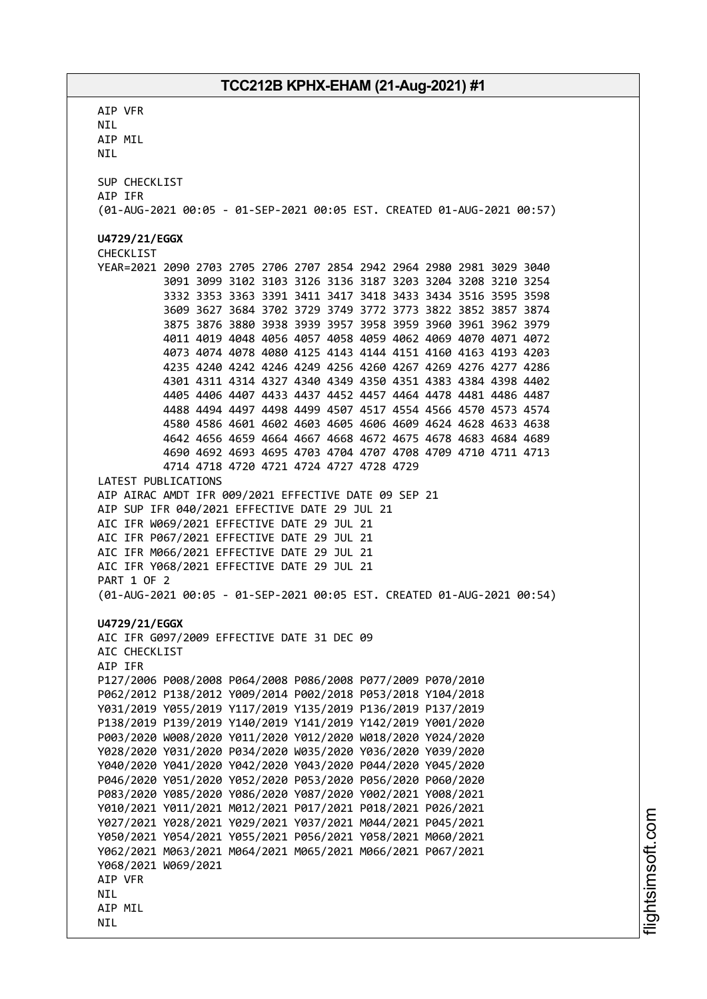AIP VFR NIL AIP MIL NIL SUP CHECKLIST AIP IFR (01-AUG-2021 00:05 - 01-SEP-2021 00:05 EST. CREATED 01-AUG-2021 00:57) **U4729/21/EGGX** CHECKLIST YEAR=2021 2090 2703 2705 2706 2707 2854 2942 2964 2980 2981 3029 3040 3091 3099 3102 3103 3126 3136 3187 3203 3204 3208 3210 3254 3332 3353 3363 3391 3411 3417 3418 3433 3434 3516 3595 3598 3609 3627 3684 3702 3729 3749 3772 3773 3822 3852 3857 3874 3875 3876 3880 3938 3939 3957 3958 3959 3960 3961 3962 3979 4011 4019 4048 4056 4057 4058 4059 4062 4069 4070 4071 4072 4073 4074 4078 4080 4125 4143 4144 4151 4160 4163 4193 4203 4235 4240 4242 4246 4249 4256 4260 4267 4269 4276 4277 4286 4301 4311 4314 4327 4340 4349 4350 4351 4383 4384 4398 4402 4405 4406 4407 4433 4437 4452 4457 4464 4478 4481 4486 4487 4488 4494 4497 4498 4499 4507 4517 4554 4566 4570 4573 4574 4580 4586 4601 4602 4603 4605 4606 4609 4624 4628 4633 4638 4642 4656 4659 4664 4667 4668 4672 4675 4678 4683 4684 4689 4690 4692 4693 4695 4703 4704 4707 4708 4709 4710 4711 4713 4714 4718 4720 4721 4724 4727 4728 4729 LATEST PUBLICATIONS AIP AIRAC AMDT IFR 009/2021 EFFECTIVE DATE 09 SEP 21 AIP SUP IFR 040/2021 EFFECTIVE DATE 29 JUL 21 AIC IFR W069/2021 EFFECTIVE DATE 29 JUL 21 AIC IFR P067/2021 EFFECTIVE DATE 29 JUL 21 AIC IFR M066/2021 EFFECTIVE DATE 29 JUL 21 AIC IFR Y068/2021 EFFECTIVE DATE 29 JUL 21 PART 1 OF 2 (01-AUG-2021 00:05 - 01-SEP-2021 00:05 EST. CREATED 01-AUG-2021 00:54) **U4729/21/EGGX** AIC IFR G097/2009 EFFECTIVE DATE 31 DEC 09 AIC CHECKLIST AIP IFR P127/2006 P008/2008 P064/2008 P086/2008 P077/2009 P070/2010 P062/2012 P138/2012 Y009/2014 P002/2018 P053/2018 Y104/2018 Y031/2019 Y055/2019 Y117/2019 Y135/2019 P136/2019 P137/2019 P138/2019 P139/2019 Y140/2019 Y141/2019 Y142/2019 Y001/2020 P003/2020 W008/2020 Y011/2020 Y012/2020 W018/2020 Y024/2020 Y028/2020 Y031/2020 P034/2020 W035/2020 Y036/2020 Y039/2020 Y040/2020 Y041/2020 Y042/2020 Y043/2020 P044/2020 Y045/2020 P046/2020 Y051/2020 Y052/2020 P053/2020 P056/2020 P060/2020 P083/2020 Y085/2020 Y086/2020 Y087/2020 Y002/2021 Y008/2021 Y010/2021 Y011/2021 M012/2021 P017/2021 P018/2021 P026/2021 Y027/2021 Y028/2021 Y029/2021 Y037/2021 M044/2021 P045/2021 Y050/2021 Y054/2021 Y055/2021 P056/2021 Y058/2021 M060/2021 Y062/2021 M063/2021 M064/2021 M065/2021 M066/2021 P067/2021 Y068/2021 W069/2021 AIP VFR **NTI** AIP MIL NIL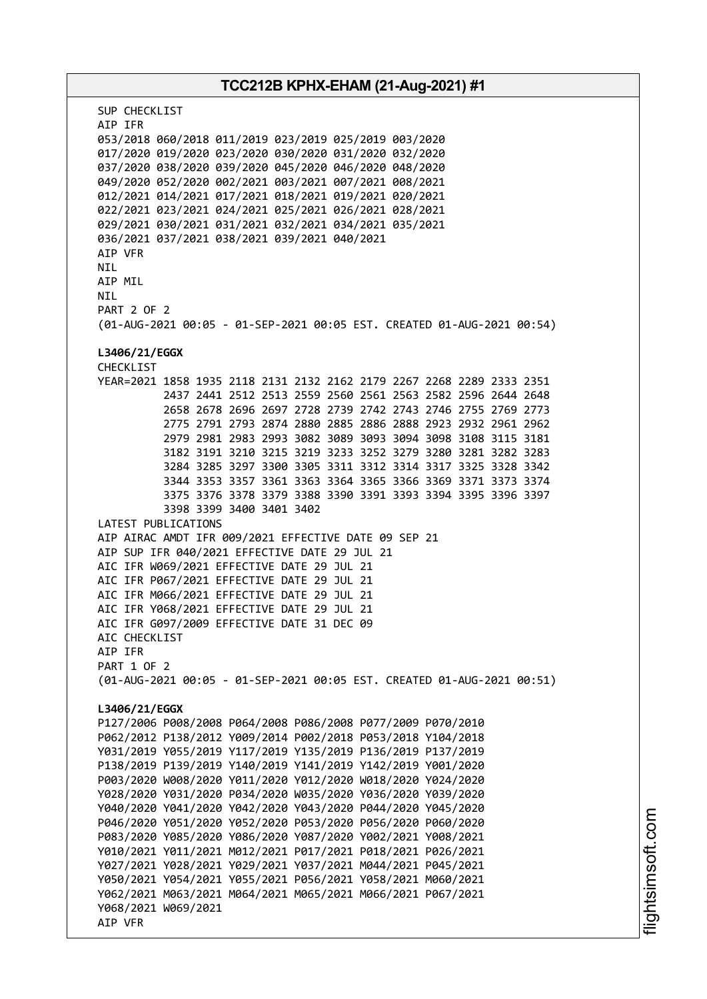## **TCC212B KPHX-EHAM (21-Aug-2021) #1** SUP CHECKLIST AIP IFR 053/2018 060/2018 011/2019 023/2019 025/2019 003/2020 017/2020 019/2020 023/2020 030/2020 031/2020 032/2020 037/2020 038/2020 039/2020 045/2020 046/2020 048/2020 049/2020 052/2020 002/2021 003/2021 007/2021 008/2021 012/2021 014/2021 017/2021 018/2021 019/2021 020/2021 022/2021 023/2021 024/2021 025/2021 026/2021 028/2021 029/2021 030/2021 031/2021 032/2021 034/2021 035/2021 036/2021 037/2021 038/2021 039/2021 040/2021 AIP VFR **NTI** AIP MIL NIL PART 2 OF 2 (01-AUG-2021 00:05 - 01-SEP-2021 00:05 EST. CREATED 01-AUG-2021 00:54) **L3406/21/EGGX** CHECKLIST YEAR=2021 1858 1935 2118 2131 2132 2162 2179 2267 2268 2289 2333 2351 2437 2441 2512 2513 2559 2560 2561 2563 2582 2596 2644 2648 2658 2678 2696 2697 2728 2739 2742 2743 2746 2755 2769 2773 2775 2791 2793 2874 2880 2885 2886 2888 2923 2932 2961 2962 2979 2981 2983 2993 3082 3089 3093 3094 3098 3108 3115 3181 3182 3191 3210 3215 3219 3233 3252 3279 3280 3281 3282 3283 3284 3285 3297 3300 3305 3311 3312 3314 3317 3325 3328 3342 3344 3353 3357 3361 3363 3364 3365 3366 3369 3371 3373 3374 3375 3376 3378 3379 3388 3390 3391 3393 3394 3395 3396 3397 3398 3399 3400 3401 3402 LATEST PUBLICATIONS AIP AIRAC AMDT IFR 009/2021 EFFECTIVE DATE 09 SEP 21 AIP SUP IFR 040/2021 EFFECTIVE DATE 29 JUL 21 AIC IFR W069/2021 EFFECTIVE DATE 29 JUL 21 AIC IFR P067/2021 EFFECTIVE DATE 29 JUL 21 AIC IFR M066/2021 EFFECTIVE DATE 29 JUL 21 AIC IFR Y068/2021 EFFECTIVE DATE 29 JUL 21 AIC IFR G097/2009 EFFECTIVE DATE 31 DEC 09 AIC CHECKLIST AIP IFR PART 1 OF 2 (01-AUG-2021 00:05 - 01-SEP-2021 00:05 EST. CREATED 01-AUG-2021 00:51) **L3406/21/EGGX** P127/2006 P008/2008 P064/2008 P086/2008 P077/2009 P070/2010 P062/2012 P138/2012 Y009/2014 P002/2018 P053/2018 Y104/2018 Y031/2019 Y055/2019 Y117/2019 Y135/2019 P136/2019 P137/2019 P138/2019 P139/2019 Y140/2019 Y141/2019 Y142/2019 Y001/2020 P003/2020 W008/2020 Y011/2020 Y012/2020 W018/2020 Y024/2020 Y028/2020 Y031/2020 P034/2020 W035/2020 Y036/2020 Y039/2020 Y040/2020 Y041/2020 Y042/2020 Y043/2020 P044/2020 Y045/2020 P046/2020 Y051/2020 Y052/2020 P053/2020 P056/2020 P060/2020 P083/2020 Y085/2020 Y086/2020 Y087/2020 Y002/2021 Y008/2021 Y010/2021 Y011/2021 M012/2021 P017/2021 P018/2021 P026/2021 Y027/2021 Y028/2021 Y029/2021 Y037/2021 M044/2021 P045/2021 Y050/2021 Y054/2021 Y055/2021 P056/2021 Y058/2021 M060/2021 Y062/2021 M063/2021 M064/2021 M065/2021 M066/2021 P067/2021 Y068/2021 W069/2021 AIP VFR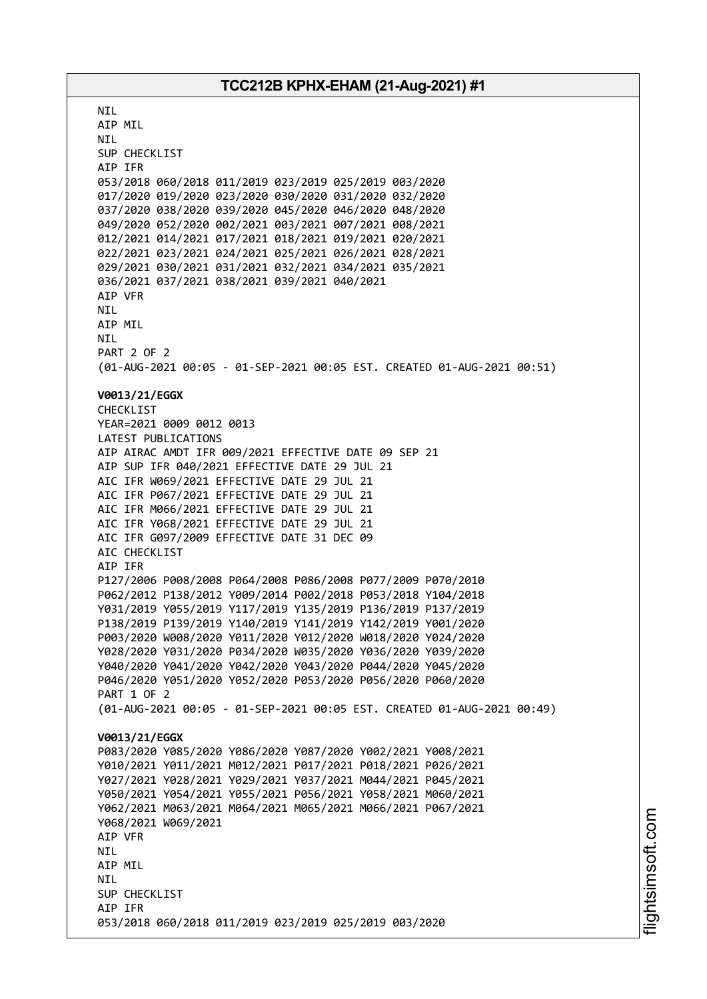**NTI** AIP MIL NIL SUP CHECKLIST AIP IFR 053/2018 060/2018 011/2019 023/2019 025/2019 003/2020 017/2020 019/2020 023/2020 030/2020 031/2020 032/2020 037/2020 038/2020 039/2020 045/2020 046/2020 048/2020 049/2020 052/2020 002/2021 003/2021 007/2021 008/2021 012/2021 014/2021 017/2021 018/2021 019/2021 020/2021 022/2021 023/2021 024/2021 025/2021 026/2021 028/2021 029/2021 030/2021 031/2021 032/2021 034/2021 035/2021 036/2021 037/2021 038/2021 039/2021 040/2021 AIP VFR NIL AIP MIL NIL PART 2 OF 2 (01-AUG-2021 00:05 - 01-SEP-2021 00:05 EST. CREATED 01-AUG-2021 00:51) **V0013/21/EGGX** CHECKLIST YEAR=2021 0009 0012 0013 LATEST PUBLICATIONS AIP AIRAC AMDT IFR 009/2021 EFFECTIVE DATE 09 SEP 21 AIP SUP IFR 040/2021 EFFECTIVE DATE 29 JUL 21 AIC IFR W069/2021 EFFECTIVE DATE 29 JUL 21 AIC IFR P067/2021 EFFECTIVE DATE 29 JUL 21 AIC IFR M066/2021 EFFECTIVE DATE 29 JUL 21 AIC IFR Y068/2021 EFFECTIVE DATE 29 JUL 21 AIC IFR G097/2009 EFFECTIVE DATE 31 DEC 09 AIC CHECKLIST AIP IFR P127/2006 P008/2008 P064/2008 P086/2008 P077/2009 P070/2010 P062/2012 P138/2012 Y009/2014 P002/2018 P053/2018 Y104/2018 Y031/2019 Y055/2019 Y117/2019 Y135/2019 P136/2019 P137/2019 P138/2019 P139/2019 Y140/2019 Y141/2019 Y142/2019 Y001/2020 P003/2020 W008/2020 Y011/2020 Y012/2020 W018/2020 Y024/2020 Y028/2020 Y031/2020 P034/2020 W035/2020 Y036/2020 Y039/2020 Y040/2020 Y041/2020 Y042/2020 Y043/2020 P044/2020 Y045/2020 P046/2020 Y051/2020 Y052/2020 P053/2020 P056/2020 P060/2020 PART 1 OF 2 (01-AUG-2021 00:05 - 01-SEP-2021 00:05 EST. CREATED 01-AUG-2021 00:49) **V0013/21/EGGX** P083/2020 Y085/2020 Y086/2020 Y087/2020 Y002/2021 Y008/2021 Y010/2021 Y011/2021 M012/2021 P017/2021 P018/2021 P026/2021 Y027/2021 Y028/2021 Y029/2021 Y037/2021 M044/2021 P045/2021 Y050/2021 Y054/2021 Y055/2021 P056/2021 Y058/2021 M060/2021 Y062/2021 M063/2021 M064/2021 M065/2021 M066/2021 P067/2021 Y068/2021 W069/2021 AIP VFR NIL AIP MIL **NTI** SUP CHECKLIST AIP IFR 053/2018 060/2018 011/2019 023/2019 025/2019 003/2020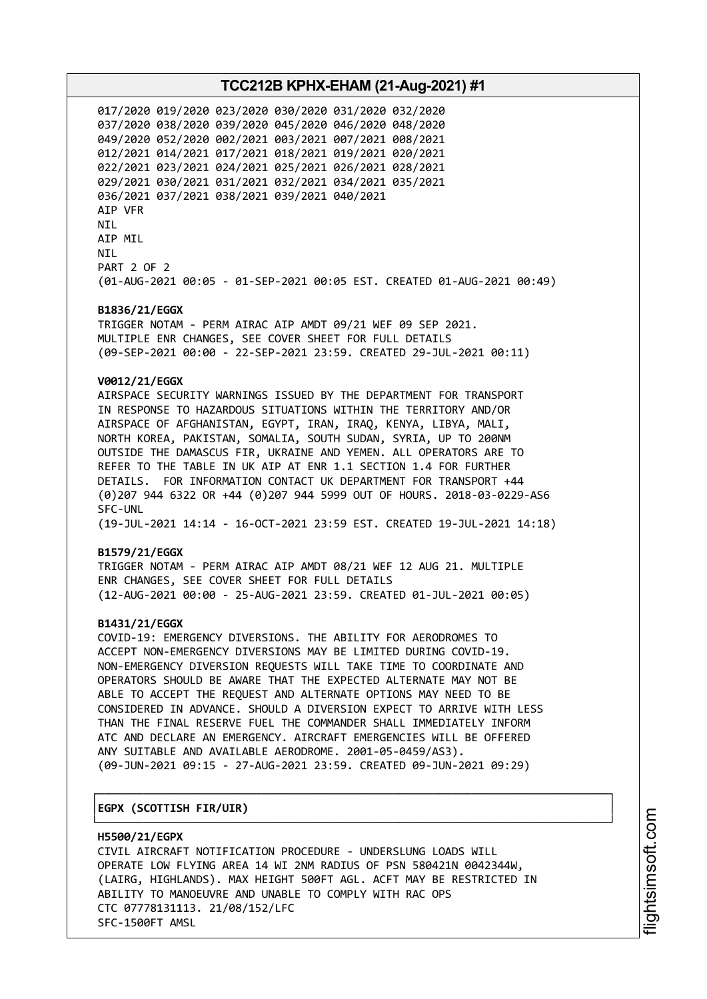017/2020 019/2020 023/2020 030/2020 031/2020 032/2020 037/2020 038/2020 039/2020 045/2020 046/2020 048/2020 049/2020 052/2020 002/2021 003/2021 007/2021 008/2021 012/2021 014/2021 017/2021 018/2021 019/2021 020/2021 022/2021 023/2021 024/2021 025/2021 026/2021 028/2021 029/2021 030/2021 031/2021 032/2021 034/2021 035/2021 036/2021 037/2021 038/2021 039/2021 040/2021 AIP VFR NIL AIP MIL NIL PART 2 OF 2 (01-AUG-2021 00:05 - 01-SEP-2021 00:05 EST. CREATED 01-AUG-2021 00:49)

#### **B1836/21/EGGX**

TRIGGER NOTAM - PERM AIRAC AIP AMDT 09/21 WEF 09 SEP 2021. MULTIPLE ENR CHANGES, SEE COVER SHEET FOR FULL DETAILS (09-SEP-2021 00:00 - 22-SEP-2021 23:59. CREATED 29-JUL-2021 00:11)

#### **V0012/21/EGGX**

AIRSPACE SECURITY WARNINGS ISSUED BY THE DEPARTMENT FOR TRANSPORT IN RESPONSE TO HAZARDOUS SITUATIONS WITHIN THE TERRITORY AND/OR AIRSPACE OF AFGHANISTAN, EGYPT, IRAN, IRAQ, KENYA, LIBYA, MALI, NORTH KOREA, PAKISTAN, SOMALIA, SOUTH SUDAN, SYRIA, UP TO 200NM OUTSIDE THE DAMASCUS FIR, UKRAINE AND YEMEN. ALL OPERATORS ARE TO REFER TO THE TABLE IN UK AIP AT ENR 1.1 SECTION 1.4 FOR FURTHER DETAILS. FOR INFORMATION CONTACT UK DEPARTMENT FOR TRANSPORT +44 (0)207 944 6322 OR +44 (0)207 944 5999 OUT OF HOURS. 2018-03-0229-AS6 SFC-UNL (19-JUL-2021 14:14 - 16-OCT-2021 23:59 EST. CREATED 19-JUL-2021 14:18)

#### **B1579/21/EGGX**

TRIGGER NOTAM - PERM AIRAC AIP AMDT 08/21 WEF 12 AUG 21. MULTIPLE ENR CHANGES, SEE COVER SHEET FOR FULL DETAILS (12-AUG-2021 00:00 - 25-AUG-2021 23:59. CREATED 01-JUL-2021 00:05)

#### **B1431/21/EGGX**

COVID-19: EMERGENCY DIVERSIONS. THE ABILITY FOR AERODROMES TO ACCEPT NON-EMERGENCY DIVERSIONS MAY BE LIMITED DURING COVID-19. NON-EMERGENCY DIVERSION REQUESTS WILL TAKE TIME TO COORDINATE AND OPERATORS SHOULD BE AWARE THAT THE EXPECTED ALTERNATE MAY NOT BE ABLE TO ACCEPT THE REQUEST AND ALTERNATE OPTIONS MAY NEED TO BE CONSIDERED IN ADVANCE. SHOULD A DIVERSION EXPECT TO ARRIVE WITH LESS THAN THE FINAL RESERVE FUEL THE COMMANDER SHALL IMMEDIATELY INFORM ATC AND DECLARE AN EMERGENCY. AIRCRAFT EMERGENCIES WILL BE OFFERED ANY SUITABLE AND AVAILABLE AERODROME. 2001-05-0459/AS3). (09-JUN-2021 09:15 - 27-AUG-2021 23:59. CREATED 09-JUN-2021 09:29)

┌──────────────────────────────────────────────────────────────────────────────┐

#### │**EGPX (SCOTTISH FIR/UIR)** │

└──────────────────────────────────────────────────────────────────────────────┘ **H5500/21/EGPX** CIVIL AIRCRAFT NOTIFICATION PROCEDURE - UNDERSLUNG LOADS WILL OPERATE LOW FLYING AREA 14 WI 2NM RADIUS OF PSN 580421N 0042344W, (LAIRG, HIGHLANDS). MAX HEIGHT 500FT AGL. ACFT MAY BE RESTRICTED IN ABILITY TO MANOEUVRE AND UNABLE TO COMPLY WITH RAC OPS CTC 07778131113. 21/08/152/LFC SFC-1500FT AMSL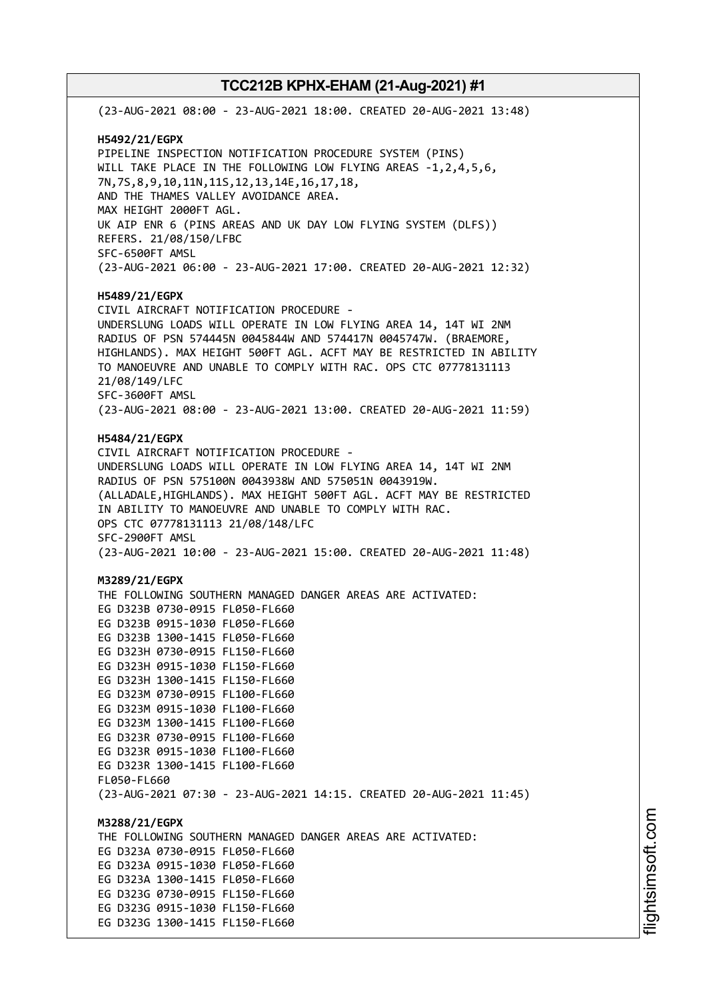(23-AUG-2021 08:00 - 23-AUG-2021 18:00. CREATED 20-AUG-2021 13:48) **H5492/21/EGPX** PIPELINE INSPECTION NOTIFICATION PROCEDURE SYSTEM (PINS) WILL TAKE PLACE IN THE FOLLOWING LOW FLYING AREAS -1,2,4,5,6, 7N,7S,8,9,10,11N,11S,12,13,14E,16,17,18, AND THE THAMES VALLEY AVOIDANCE AREA. MAX HEIGHT 2000FT AGL. UK AIP ENR 6 (PINS AREAS AND UK DAY LOW FLYING SYSTEM (DLFS)) REFERS. 21/08/150/LFBC SFC-6500FT AMSL (23-AUG-2021 06:00 - 23-AUG-2021 17:00. CREATED 20-AUG-2021 12:32) **H5489/21/EGPX** CIVIL AIRCRAFT NOTIFICATION PROCEDURE - UNDERSLUNG LOADS WILL OPERATE IN LOW FLYING AREA 14, 14T WI 2NM RADIUS OF PSN 574445N 0045844W AND 574417N 0045747W. (BRAEMORE, HIGHLANDS). MAX HEIGHT 500FT AGL. ACFT MAY BE RESTRICTED IN ABILITY TO MANOEUVRE AND UNABLE TO COMPLY WITH RAC. OPS CTC 07778131113 21/08/149/LFC SFC-3600FT AMSL (23-AUG-2021 08:00 - 23-AUG-2021 13:00. CREATED 20-AUG-2021 11:59) **H5484/21/EGPX** CIVIL AIRCRAFT NOTIFICATION PROCEDURE - UNDERSLUNG LOADS WILL OPERATE IN LOW FLYING AREA 14, 14T WI 2NM RADIUS OF PSN 575100N 0043938W AND 575051N 0043919W. (ALLADALE,HIGHLANDS). MAX HEIGHT 500FT AGL. ACFT MAY BE RESTRICTED IN ABILITY TO MANOEUVRE AND UNABLE TO COMPLY WITH RAC. OPS CTC 07778131113 21/08/148/LFC SFC-2900FT AMSL (23-AUG-2021 10:00 - 23-AUG-2021 15:00. CREATED 20-AUG-2021 11:48) **M3289/21/EGPX** THE FOLLOWING SOUTHERN MANAGED DANGER AREAS ARE ACTIVATED: EG D323B 0730-0915 FL050-FL660 EG D323B 0915-1030 FL050-FL660 EG D323B 1300-1415 FL050-FL660 EG D323H 0730-0915 FL150-FL660 EG D323H 0915-1030 FL150-FL660 EG D323H 1300-1415 FL150-FL660 EG D323M 0730-0915 FL100-FL660 EG D323M 0915-1030 FL100-FL660 EG D323M 1300-1415 FL100-FL660 EG D323R 0730-0915 FL100-FL660 EG D323R 0915-1030 FL100-FL660 EG D323R 1300-1415 FL100-FL660 FL050-FL660 (23-AUG-2021 07:30 - 23-AUG-2021 14:15. CREATED 20-AUG-2021 11:45) **M3288/21/EGPX** THE FOLLOWING SOUTHERN MANAGED DANGER AREAS ARE ACTIVATED: EG D323A 0730-0915 FL050-FL660 EG D323A 0915-1030 FL050-FL660 EG D323A 1300-1415 FL050-FL660 EG D323G 0730-0915 FL150-FL660 EG D323G 0915-1030 FL150-FL660 EG D323G 1300-1415 FL150-FL660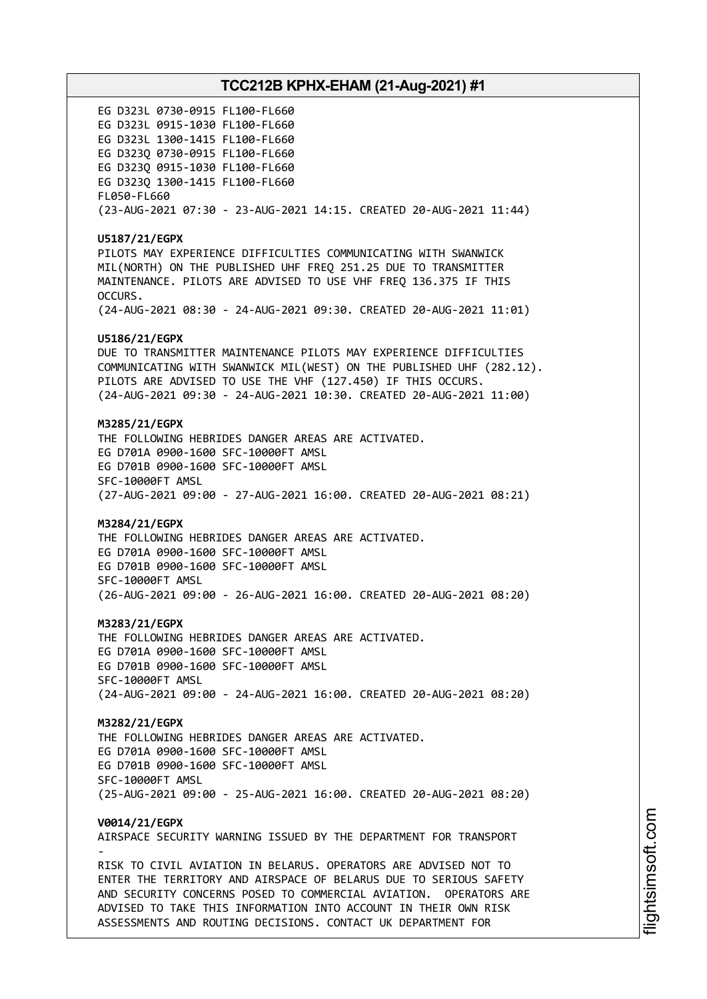EG D323L 0730-0915 FL100-FL660 EG D323L 0915-1030 FL100-FL660 EG D323L 1300-1415 FL100-FL660 EG D323Q 0730-0915 FL100-FL660 EG D323Q 0915-1030 FL100-FL660 EG D323Q 1300-1415 FL100-FL660 FL050-FL660 (23-AUG-2021 07:30 - 23-AUG-2021 14:15. CREATED 20-AUG-2021 11:44) **U5187/21/EGPX** PILOTS MAY EXPERIENCE DIFFICULTIES COMMUNICATING WITH SWANWICK MIL(NORTH) ON THE PUBLISHED UHF FREQ 251.25 DUE TO TRANSMITTER MAINTENANCE. PILOTS ARE ADVISED TO USE VHF FREQ 136.375 IF THIS OCCURS. (24-AUG-2021 08:30 - 24-AUG-2021 09:30. CREATED 20-AUG-2021 11:01) **U5186/21/EGPX** DUE TO TRANSMITTER MAINTENANCE PILOTS MAY EXPERIENCE DIFFICULTIES COMMUNICATING WITH SWANWICK MIL(WEST) ON THE PUBLISHED UHF (282.12). PILOTS ARE ADVISED TO USE THE VHF (127.450) IF THIS OCCURS. (24-AUG-2021 09:30 - 24-AUG-2021 10:30. CREATED 20-AUG-2021 11:00) **M3285/21/EGPX** THE FOLLOWING HEBRIDES DANGER AREAS ARE ACTIVATED. EG D701A 0900-1600 SFC-10000FT AMSL EG D701B 0900-1600 SFC-10000FT AMSL SFC-10000FT AMSL (27-AUG-2021 09:00 - 27-AUG-2021 16:00. CREATED 20-AUG-2021 08:21) **M3284/21/EGPX** THE FOLLOWING HEBRIDES DANGER AREAS ARE ACTIVATED. EG D701A 0900-1600 SFC-10000FT AMSL EG D701B 0900-1600 SFC-10000FT AMSL SFC-10000FT AMSL (26-AUG-2021 09:00 - 26-AUG-2021 16:00. CREATED 20-AUG-2021 08:20) **M3283/21/EGPX** THE FOLLOWING HEBRIDES DANGER AREAS ARE ACTIVATED. EG D701A 0900-1600 SFC-10000FT AMSL EG D701B 0900-1600 SFC-10000FT AMSL SFC-10000FT AMSL (24-AUG-2021 09:00 - 24-AUG-2021 16:00. CREATED 20-AUG-2021 08:20) **M3282/21/EGPX** THE FOLLOWING HEBRIDES DANGER AREAS ARE ACTIVATED. EG D701A 0900-1600 SFC-10000FT AMSL EG D701B 0900-1600 SFC-10000FT AMSL SFC-10000FT AMSL (25-AUG-2021 09:00 - 25-AUG-2021 16:00. CREATED 20-AUG-2021 08:20) **V0014/21/EGPX** AIRSPACE SECURITY WARNING ISSUED BY THE DEPARTMENT FOR TRANSPORT - RISK TO CIVIL AVIATION IN BELARUS. OPERATORS ARE ADVISED NOT TO ENTER THE TERRITORY AND AIRSPACE OF BELARUS DUE TO SERIOUS SAFETY AND SECURITY CONCERNS POSED TO COMMERCIAL AVIATION. OPERATORS ARE ADVISED TO TAKE THIS INFORMATION INTO ACCOUNT IN THEIR OWN RISK ASSESSMENTS AND ROUTING DECISIONS. CONTACT UK DEPARTMENT FOR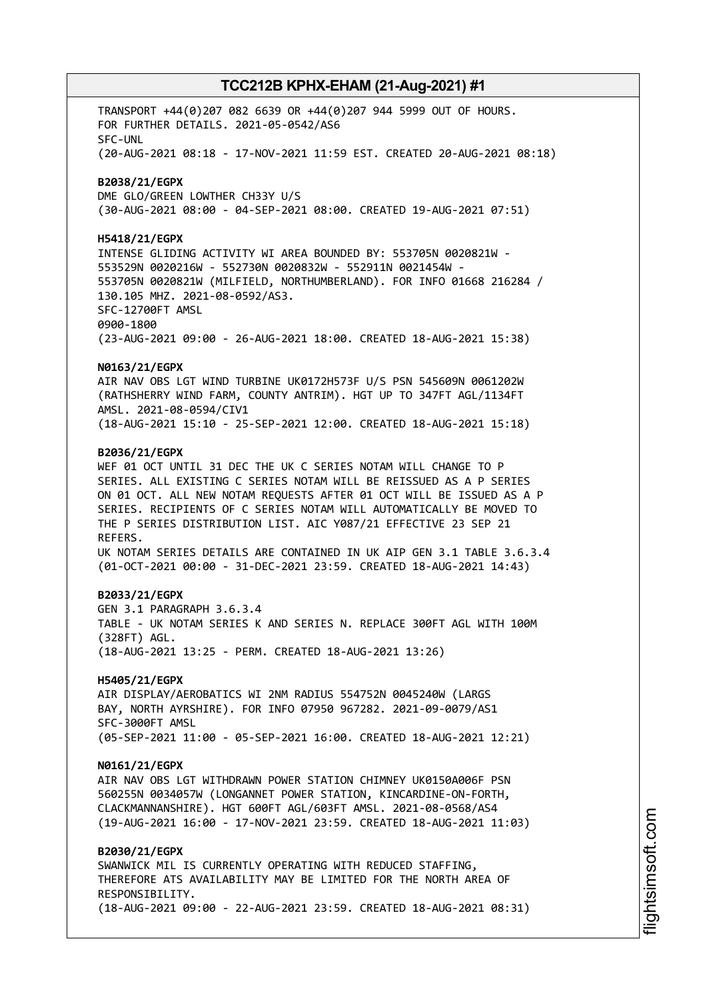TRANSPORT +44(0)207 082 6639 OR +44(0)207 944 5999 OUT OF HOURS. FOR FURTHER DETAILS. 2021-05-0542/AS6 SFC-UNL (20-AUG-2021 08:18 - 17-NOV-2021 11:59 EST. CREATED 20-AUG-2021 08:18) **B2038/21/EGPX** DME GLO/GREEN LOWTHER CH33Y U/S (30-AUG-2021 08:00 - 04-SEP-2021 08:00. CREATED 19-AUG-2021 07:51) **H5418/21/EGPX** INTENSE GLIDING ACTIVITY WI AREA BOUNDED BY: 553705N 0020821W - 553529N 0020216W - 552730N 0020832W - 552911N 0021454W - 553705N 0020821W (MILFIELD, NORTHUMBERLAND). FOR INFO 01668 216284 / 130.105 MHZ. 2021-08-0592/AS3. SFC-12700FT AMSL 0900-1800 (23-AUG-2021 09:00 - 26-AUG-2021 18:00. CREATED 18-AUG-2021 15:38) **N0163/21/EGPX** AIR NAV OBS LGT WIND TURBINE UK0172H573F U/S PSN 545609N 0061202W (RATHSHERRY WIND FARM, COUNTY ANTRIM). HGT UP TO 347FT AGL/1134FT AMSL. 2021-08-0594/CIV1 (18-AUG-2021 15:10 - 25-SEP-2021 12:00. CREATED 18-AUG-2021 15:18) **B2036/21/EGPX** WEF 01 OCT UNTIL 31 DEC THE UK C SERIES NOTAM WILL CHANGE TO P SERIES. ALL EXISTING C SERIES NOTAM WILL BE REISSUED AS A P SERIES ON 01 OCT. ALL NEW NOTAM REQUESTS AFTER 01 OCT WILL BE ISSUED AS A P SERIES. RECIPIENTS OF C SERIES NOTAM WILL AUTOMATICALLY BE MOVED TO THE P SERIES DISTRIBUTION LIST. AIC Y087/21 EFFECTIVE 23 SEP 21 REFERS. UK NOTAM SERIES DETAILS ARE CONTAINED IN UK AIP GEN 3.1 TABLE 3.6.3.4 (01-OCT-2021 00:00 - 31-DEC-2021 23:59. CREATED 18-AUG-2021 14:43) **B2033/21/EGPX** GEN 3.1 PARAGRAPH 3.6.3.4 TABLE - UK NOTAM SERIES K AND SERIES N. REPLACE 300FT AGL WITH 100M (328FT) AGL. (18-AUG-2021 13:25 - PERM. CREATED 18-AUG-2021 13:26) **H5405/21/EGPX** AIR DISPLAY/AEROBATICS WI 2NM RADIUS 554752N 0045240W (LARGS BAY, NORTH AYRSHIRE). FOR INFO 07950 967282. 2021-09-0079/AS1 SFC-3000FT AMSL (05-SEP-2021 11:00 - 05-SEP-2021 16:00. CREATED 18-AUG-2021 12:21) **N0161/21/EGPX** AIR NAV OBS LGT WITHDRAWN POWER STATION CHIMNEY UK0150A006F PSN 560255N 0034057W (LONGANNET POWER STATION, KINCARDINE-ON-FORTH, CLACKMANNANSHIRE). HGT 600FT AGL/603FT AMSL. 2021-08-0568/AS4 (19-AUG-2021 16:00 - 17-NOV-2021 23:59. CREATED 18-AUG-2021 11:03) **B2030/21/EGPX** SWANWICK MIL IS CURRENTLY OPERATING WITH REDUCED STAFFING, THEREFORE ATS AVAILABILITY MAY BE LIMITED FOR THE NORTH AREA OF RESPONSIBILITY. (18-AUG-2021 09:00 - 22-AUG-2021 23:59. CREATED 18-AUG-2021 08:31)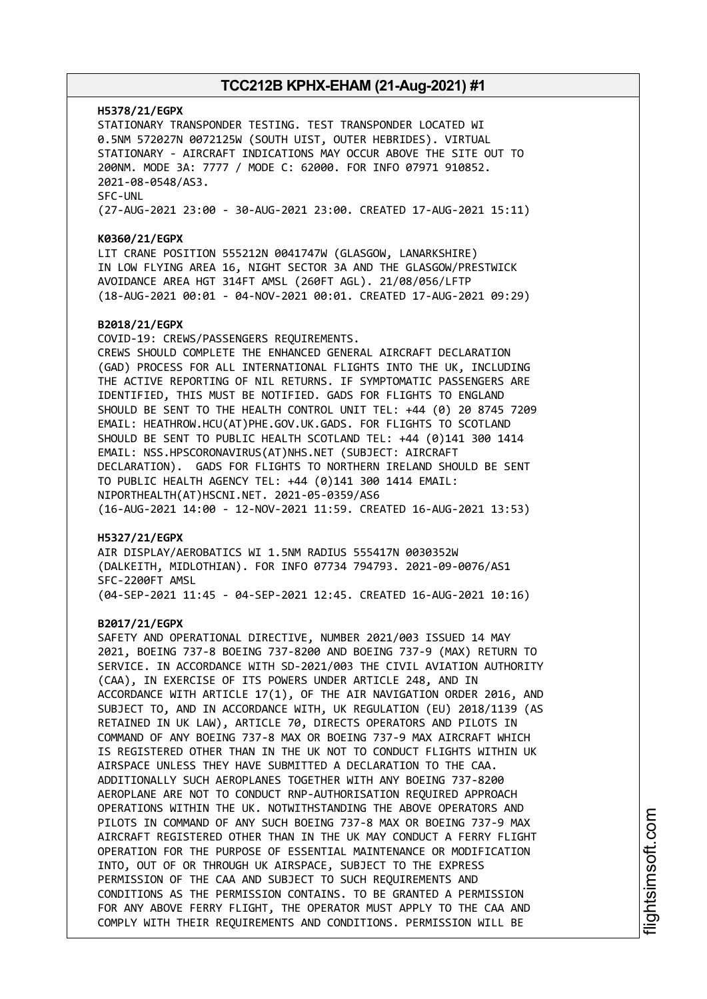#### **H5378/21/EGPX**

STATIONARY TRANSPONDER TESTING. TEST TRANSPONDER LOCATED WI 0.5NM 572027N 0072125W (SOUTH UIST, OUTER HEBRIDES). VIRTUAL STATIONARY - AIRCRAFT INDICATIONS MAY OCCUR ABOVE THE SITE OUT TO 200NM. MODE 3A: 7777 / MODE C: 62000. FOR INFO 07971 910852. 2021-08-0548/AS3. SFC-UNL (27-AUG-2021 23:00 - 30-AUG-2021 23:00. CREATED 17-AUG-2021 15:11)

#### **K0360/21/EGPX**

LIT CRANE POSITION 555212N 0041747W (GLASGOW, LANARKSHIRE) IN LOW FLYING AREA 16, NIGHT SECTOR 3A AND THE GLASGOW/PRESTWICK AVOIDANCE AREA HGT 314FT AMSL (260FT AGL). 21/08/056/LFTP (18-AUG-2021 00:01 - 04-NOV-2021 00:01. CREATED 17-AUG-2021 09:29)

#### **B2018/21/EGPX**

COVID-19: CREWS/PASSENGERS REQUIREMENTS. CREWS SHOULD COMPLETE THE ENHANCED GENERAL AIRCRAFT DECLARATION (GAD) PROCESS FOR ALL INTERNATIONAL FLIGHTS INTO THE UK, INCLUDING THE ACTIVE REPORTING OF NIL RETURNS. IF SYMPTOMATIC PASSENGERS ARE IDENTIFIED, THIS MUST BE NOTIFIED. GADS FOR FLIGHTS TO ENGLAND SHOULD BE SENT TO THE HEALTH CONTROL UNIT TEL: +44 (0) 20 8745 7209 EMAIL: HEATHROW.HCU(AT)PHE.GOV.UK.GADS. FOR FLIGHTS TO SCOTLAND SHOULD BE SENT TO PUBLIC HEALTH SCOTLAND TEL: +44 (0)141 300 1414 EMAIL: NSS.HPSCORONAVIRUS(AT)NHS.NET (SUBJECT: AIRCRAFT DECLARATION). GADS FOR FLIGHTS TO NORTHERN IRELAND SHOULD BE SENT TO PUBLIC HEALTH AGENCY TEL: +44 (0)141 300 1414 EMAIL: NIPORTHEALTH(AT)HSCNI.NET. 2021-05-0359/AS6 (16-AUG-2021 14:00 - 12-NOV-2021 11:59. CREATED 16-AUG-2021 13:53)

#### **H5327/21/EGPX**

AIR DISPLAY/AEROBATICS WI 1.5NM RADIUS 555417N 0030352W (DALKEITH, MIDLOTHIAN). FOR INFO 07734 794793. 2021-09-0076/AS1 SFC-2200FT AMSL (04-SEP-2021 11:45 - 04-SEP-2021 12:45. CREATED 16-AUG-2021 10:16)

#### **B2017/21/EGPX**

SAFETY AND OPERATIONAL DIRECTIVE, NUMBER 2021/003 ISSUED 14 MAY 2021, BOEING 737-8 BOEING 737-8200 AND BOEING 737-9 (MAX) RETURN TO SERVICE. IN ACCORDANCE WITH SD-2021/003 THE CIVIL AVIATION AUTHORITY (CAA), IN EXERCISE OF ITS POWERS UNDER ARTICLE 248, AND IN ACCORDANCE WITH ARTICLE 17(1), OF THE AIR NAVIGATION ORDER 2016, AND SUBJECT TO, AND IN ACCORDANCE WITH, UK REGULATION (EU) 2018/1139 (AS RETAINED IN UK LAW), ARTICLE 70, DIRECTS OPERATORS AND PILOTS IN COMMAND OF ANY BOEING 737-8 MAX OR BOEING 737-9 MAX AIRCRAFT WHICH IS REGISTERED OTHER THAN IN THE UK NOT TO CONDUCT FLIGHTS WITHIN UK AIRSPACE UNLESS THEY HAVE SUBMITTED A DECLARATION TO THE CAA. ADDITIONALLY SUCH AEROPLANES TOGETHER WITH ANY BOEING 737-8200 AEROPLANE ARE NOT TO CONDUCT RNP-AUTHORISATION REQUIRED APPROACH OPERATIONS WITHIN THE UK. NOTWITHSTANDING THE ABOVE OPERATORS AND PILOTS IN COMMAND OF ANY SUCH BOEING 737-8 MAX OR BOEING 737-9 MAX AIRCRAFT REGISTERED OTHER THAN IN THE UK MAY CONDUCT A FERRY FLIGHT OPERATION FOR THE PURPOSE OF ESSENTIAL MAINTENANCE OR MODIFICATION INTO, OUT OF OR THROUGH UK AIRSPACE, SUBJECT TO THE EXPRESS PERMISSION OF THE CAA AND SUBJECT TO SUCH REQUIREMENTS AND CONDITIONS AS THE PERMISSION CONTAINS. TO BE GRANTED A PERMISSION FOR ANY ABOVE FERRY FLIGHT, THE OPERATOR MUST APPLY TO THE CAA AND COMPLY WITH THEIR REQUIREMENTS AND CONDITIONS. PERMISSION WILL BE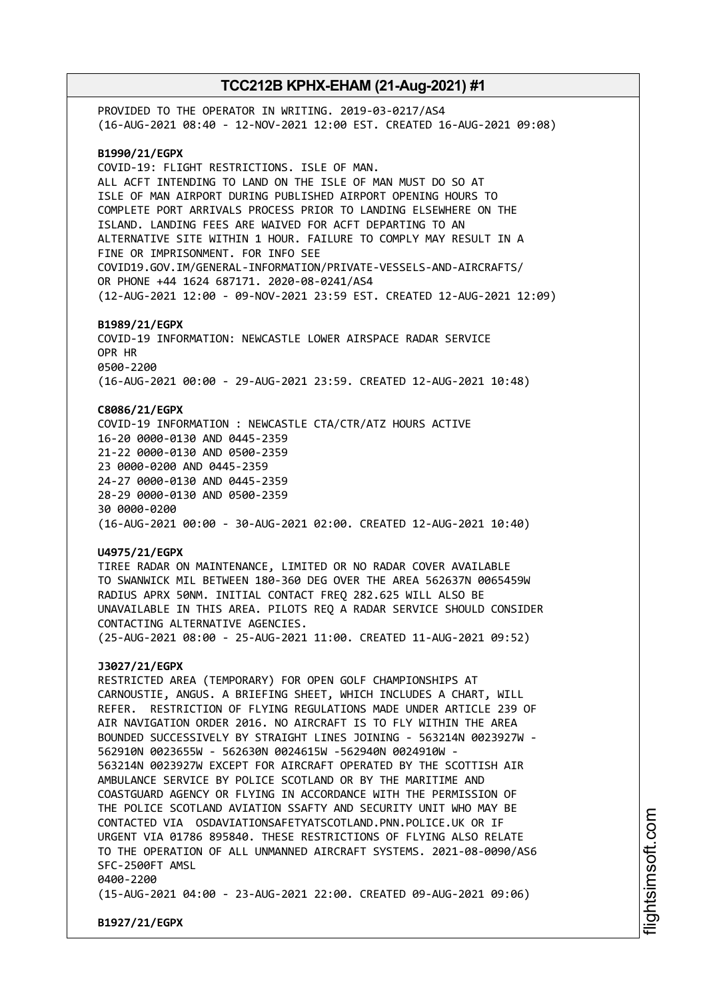PROVIDED TO THE OPERATOR IN WRITING. 2019-03-0217/AS4 (16-AUG-2021 08:40 - 12-NOV-2021 12:00 EST. CREATED 16-AUG-2021 09:08) **B1990/21/EGPX** COVID-19: FLIGHT RESTRICTIONS. ISLE OF MAN. ALL ACFT INTENDING TO LAND ON THE ISLE OF MAN MUST DO SO AT ISLE OF MAN AIRPORT DURING PUBLISHED AIRPORT OPENING HOURS TO COMPLETE PORT ARRIVALS PROCESS PRIOR TO LANDING ELSEWHERE ON THE ISLAND. LANDING FEES ARE WAIVED FOR ACFT DEPARTING TO AN ALTERNATIVE SITE WITHIN 1 HOUR. FAILURE TO COMPLY MAY RESULT IN A FINE OR IMPRISONMENT. FOR INFO SEE COVID19.GOV.IM/GENERAL-INFORMATION/PRIVATE-VESSELS-AND-AIRCRAFTS/ OR PHONE +44 1624 687171. 2020-08-0241/AS4 (12-AUG-2021 12:00 - 09-NOV-2021 23:59 EST. CREATED 12-AUG-2021 12:09) **B1989/21/EGPX** COVID-19 INFORMATION: NEWCASTLE LOWER AIRSPACE RADAR SERVICE OPR HR 0500-2200 (16-AUG-2021 00:00 - 29-AUG-2021 23:59. CREATED 12-AUG-2021 10:48) **C8086/21/EGPX** COVID-19 INFORMATION : NEWCASTLE CTA/CTR/ATZ HOURS ACTIVE 16-20 0000-0130 AND 0445-2359 21-22 0000-0130 AND 0500-2359 23 0000-0200 AND 0445-2359 24-27 0000-0130 AND 0445-2359 28-29 0000-0130 AND 0500-2359 30 0000-0200 (16-AUG-2021 00:00 - 30-AUG-2021 02:00. CREATED 12-AUG-2021 10:40) **U4975/21/EGPX** TIREE RADAR ON MAINTENANCE, LIMITED OR NO RADAR COVER AVAILABLE TO SWANWICK MIL BETWEEN 180-360 DEG OVER THE AREA 562637N 0065459W RADIUS APRX 50NM. INITIAL CONTACT FREQ 282.625 WILL ALSO BE UNAVAILABLE IN THIS AREA. PILOTS REQ A RADAR SERVICE SHOULD CONSIDER CONTACTING ALTERNATIVE AGENCIES. (25-AUG-2021 08:00 - 25-AUG-2021 11:00. CREATED 11-AUG-2021 09:52) **J3027/21/EGPX** RESTRICTED AREA (TEMPORARY) FOR OPEN GOLF CHAMPIONSHIPS AT CARNOUSTIE, ANGUS. A BRIEFING SHEET, WHICH INCLUDES A CHART, WILL REFER. RESTRICTION OF FLYING REGULATIONS MADE UNDER ARTICLE 239 OF AIR NAVIGATION ORDER 2016. NO AIRCRAFT IS TO FLY WITHIN THE AREA BOUNDED SUCCESSIVELY BY STRAIGHT LINES JOINING - 563214N 0023927W - 562910N 0023655W - 562630N 0024615W -562940N 0024910W - 563214N 0023927W EXCEPT FOR AIRCRAFT OPERATED BY THE SCOTTISH AIR AMBULANCE SERVICE BY POLICE SCOTLAND OR BY THE MARITIME AND COASTGUARD AGENCY OR FLYING IN ACCORDANCE WITH THE PERMISSION OF THE POLICE SCOTLAND AVIATION SSAFTY AND SECURITY UNIT WHO MAY BE CONTACTED VIA OSDAVIATIONSAFETYATSCOTLAND.PNN.POLICE.UK OR IF URGENT VIA 01786 895840. THESE RESTRICTIONS OF FLYING ALSO RELATE TO THE OPERATION OF ALL UNMANNED AIRCRAFT SYSTEMS. 2021-08-0090/AS6 SFC-2500FT AMSL 0400-2200 (15-AUG-2021 04:00 - 23-AUG-2021 22:00. CREATED 09-AUG-2021 09:06)

**B1927/21/EGPX**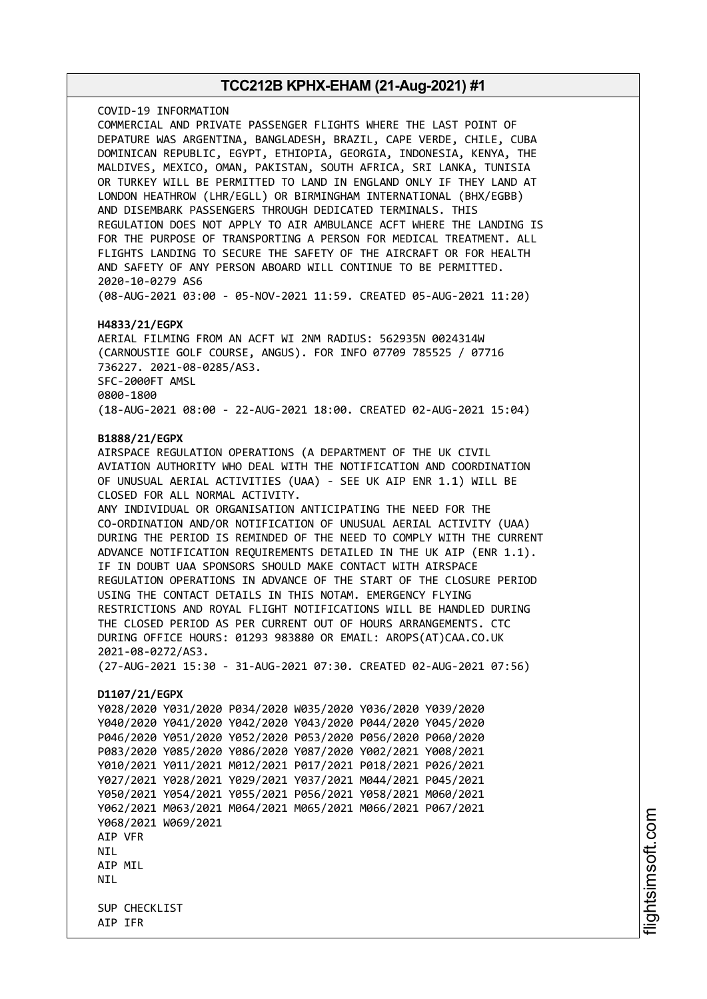COVID-19 INFORMATION COMMERCIAL AND PRIVATE PASSENGER FLIGHTS WHERE THE LAST POINT OF DEPATURE WAS ARGENTINA, BANGLADESH, BRAZIL, CAPE VERDE, CHILE, CUBA DOMINICAN REPUBLIC, EGYPT, ETHIOPIA, GEORGIA, INDONESIA, KENYA, THE MALDIVES, MEXICO, OMAN, PAKISTAN, SOUTH AFRICA, SRI LANKA, TUNISIA OR TURKEY WILL BE PERMITTED TO LAND IN ENGLAND ONLY IF THEY LAND AT LONDON HEATHROW (LHR/EGLL) OR BIRMINGHAM INTERNATIONAL (BHX/EGBB) AND DISEMBARK PASSENGERS THROUGH DEDICATED TERMINALS. THIS REGULATION DOES NOT APPLY TO AIR AMBULANCE ACFT WHERE THE LANDING IS FOR THE PURPOSE OF TRANSPORTING A PERSON FOR MEDICAL TREATMENT. ALL FLIGHTS LANDING TO SECURE THE SAFETY OF THE AIRCRAFT OR FOR HEALTH AND SAFETY OF ANY PERSON ABOARD WILL CONTINUE TO BE PERMITTED. 2020-10-0279 AS6 (08-AUG-2021 03:00 - 05-NOV-2021 11:59. CREATED 05-AUG-2021 11:20)

#### **H4833/21/EGPX**

AERIAL FILMING FROM AN ACFT WI 2NM RADIUS: 562935N 0024314W (CARNOUSTIE GOLF COURSE, ANGUS). FOR INFO 07709 785525 / 07716 736227. 2021-08-0285/AS3. SFC-2000FT AMSL 0800-1800 (18-AUG-2021 08:00 - 22-AUG-2021 18:00. CREATED 02-AUG-2021 15:04)

#### **B1888/21/EGPX**

AIRSPACE REGULATION OPERATIONS (A DEPARTMENT OF THE UK CIVIL AVIATION AUTHORITY WHO DEAL WITH THE NOTIFICATION AND COORDINATION OF UNUSUAL AERIAL ACTIVITIES (UAA) - SEE UK AIP ENR 1.1) WILL BE CLOSED FOR ALL NORMAL ACTIVITY. ANY INDIVIDUAL OR ORGANISATION ANTICIPATING THE NEED FOR THE CO-ORDINATION AND/OR NOTIFICATION OF UNUSUAL AERIAL ACTIVITY (UAA) DURING THE PERIOD IS REMINDED OF THE NEED TO COMPLY WITH THE CURRENT ADVANCE NOTIFICATION REQUIREMENTS DETAILED IN THE UK AIP (ENR 1.1). IF IN DOUBT UAA SPONSORS SHOULD MAKE CONTACT WITH AIRSPACE REGULATION OPERATIONS IN ADVANCE OF THE START OF THE CLOSURE PERIOD USING THE CONTACT DETAILS IN THIS NOTAM. EMERGENCY FLYING RESTRICTIONS AND ROYAL FLIGHT NOTIFICATIONS WILL BE HANDLED DURING THE CLOSED PERIOD AS PER CURRENT OUT OF HOURS ARRANGEMENTS. CTC DURING OFFICE HOURS: 01293 983880 OR EMAIL: AROPS(AT)CAA.CO.UK 2021-08-0272/AS3. (27-AUG-2021 15:30 - 31-AUG-2021 07:30. CREATED 02-AUG-2021 07:56) **D1107/21/EGPX** Y028/2020 Y031/2020 P034/2020 W035/2020 Y036/2020 Y039/2020 Y040/2020 Y041/2020 Y042/2020 Y043/2020 P044/2020 Y045/2020 P046/2020 Y051/2020 Y052/2020 P053/2020 P056/2020 P060/2020 P083/2020 Y085/2020 Y086/2020 Y087/2020 Y002/2021 Y008/2021 Y010/2021 Y011/2021 M012/2021 P017/2021 P018/2021 P026/2021 Y027/2021 Y028/2021 Y029/2021 Y037/2021 M044/2021 P045/2021 Y050/2021 Y054/2021 Y055/2021 P056/2021 Y058/2021 M060/2021 Y062/2021 M063/2021 M064/2021 M065/2021 M066/2021 P067/2021

Y068/2021 W069/2021 AIP VFR NIL

AIP MIL **NTI** 

SUP CHECKLIST AIP IFR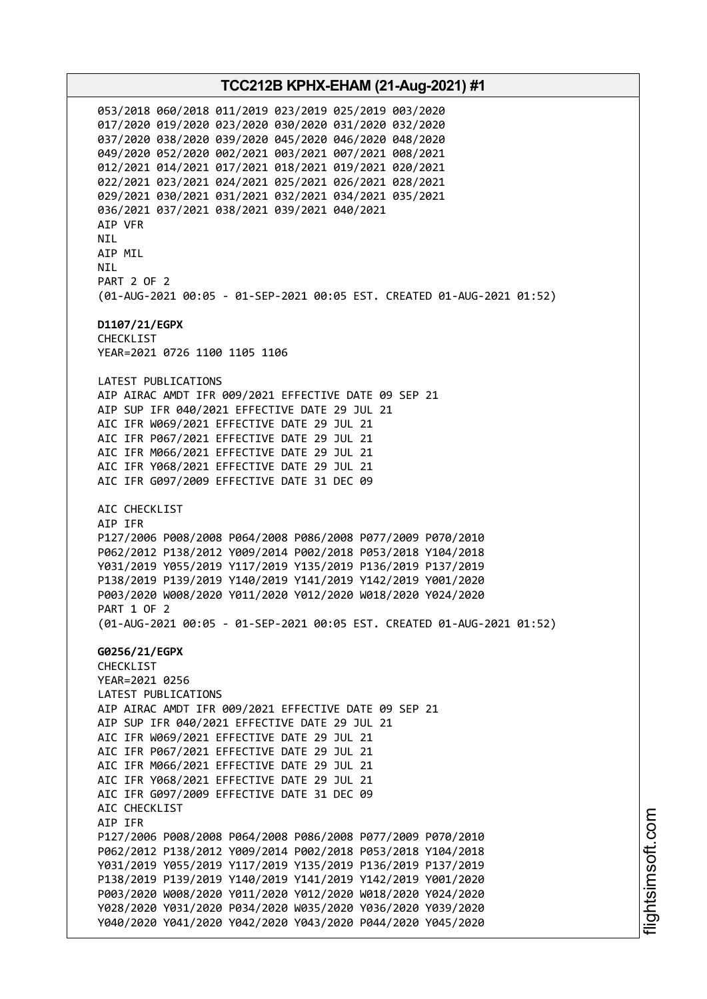053/2018 060/2018 011/2019 023/2019 025/2019 003/2020 017/2020 019/2020 023/2020 030/2020 031/2020 032/2020 037/2020 038/2020 039/2020 045/2020 046/2020 048/2020 049/2020 052/2020 002/2021 003/2021 007/2021 008/2021 012/2021 014/2021 017/2021 018/2021 019/2021 020/2021 022/2021 023/2021 024/2021 025/2021 026/2021 028/2021 029/2021 030/2021 031/2021 032/2021 034/2021 035/2021 036/2021 037/2021 038/2021 039/2021 040/2021 AIP VFR NIL AIP MIL **NTI** PART 2 OF 2 (01-AUG-2021 00:05 - 01-SEP-2021 00:05 EST. CREATED 01-AUG-2021 01:52) **D1107/21/EGPX** CHECKLIST YEAR=2021 0726 1100 1105 1106 LATEST PUBLICATIONS AIP AIRAC AMDT IFR 009/2021 EFFECTIVE DATE 09 SEP 21 AIP SUP IFR 040/2021 EFFECTIVE DATE 29 JUL 21 AIC IFR W069/2021 EFFECTIVE DATE 29 JUL 21 AIC IFR P067/2021 EFFECTIVE DATE 29 JUL 21 AIC IFR M066/2021 EFFECTIVE DATE 29 JUL 21 AIC IFR Y068/2021 EFFECTIVE DATE 29 JUL 21 AIC IFR G097/2009 EFFECTIVE DATE 31 DEC 09 AIC CHECKLIST AIP IFR P127/2006 P008/2008 P064/2008 P086/2008 P077/2009 P070/2010 P062/2012 P138/2012 Y009/2014 P002/2018 P053/2018 Y104/2018 Y031/2019 Y055/2019 Y117/2019 Y135/2019 P136/2019 P137/2019 P138/2019 P139/2019 Y140/2019 Y141/2019 Y142/2019 Y001/2020 P003/2020 W008/2020 Y011/2020 Y012/2020 W018/2020 Y024/2020 PART 1 OF 2 (01-AUG-2021 00:05 - 01-SEP-2021 00:05 EST. CREATED 01-AUG-2021 01:52) **G0256/21/EGPX** CHECKLIST YEAR=2021 0256 LATEST PUBLICATIONS AIP AIRAC AMDT IFR 009/2021 EFFECTIVE DATE 09 SEP 21 AIP SUP IFR 040/2021 EFFECTIVE DATE 29 JUL 21 AIC IFR W069/2021 EFFECTIVE DATE 29 JUL 21 AIC IFR P067/2021 EFFECTIVE DATE 29 JUL 21 AIC IFR M066/2021 EFFECTIVE DATE 29 JUL 21 AIC IFR Y068/2021 EFFECTIVE DATE 29 JUL 21 AIC IFR G097/2009 EFFECTIVE DATE 31 DEC 09 AIC CHECKLIST AIP IFR P127/2006 P008/2008 P064/2008 P086/2008 P077/2009 P070/2010 P062/2012 P138/2012 Y009/2014 P002/2018 P053/2018 Y104/2018 Y031/2019 Y055/2019 Y117/2019 Y135/2019 P136/2019 P137/2019 P138/2019 P139/2019 Y140/2019 Y141/2019 Y142/2019 Y001/2020 P003/2020 W008/2020 Y011/2020 Y012/2020 W018/2020 Y024/2020 Y028/2020 Y031/2020 P034/2020 W035/2020 Y036/2020 Y039/2020 Y040/2020 Y041/2020 Y042/2020 Y043/2020 P044/2020 Y045/2020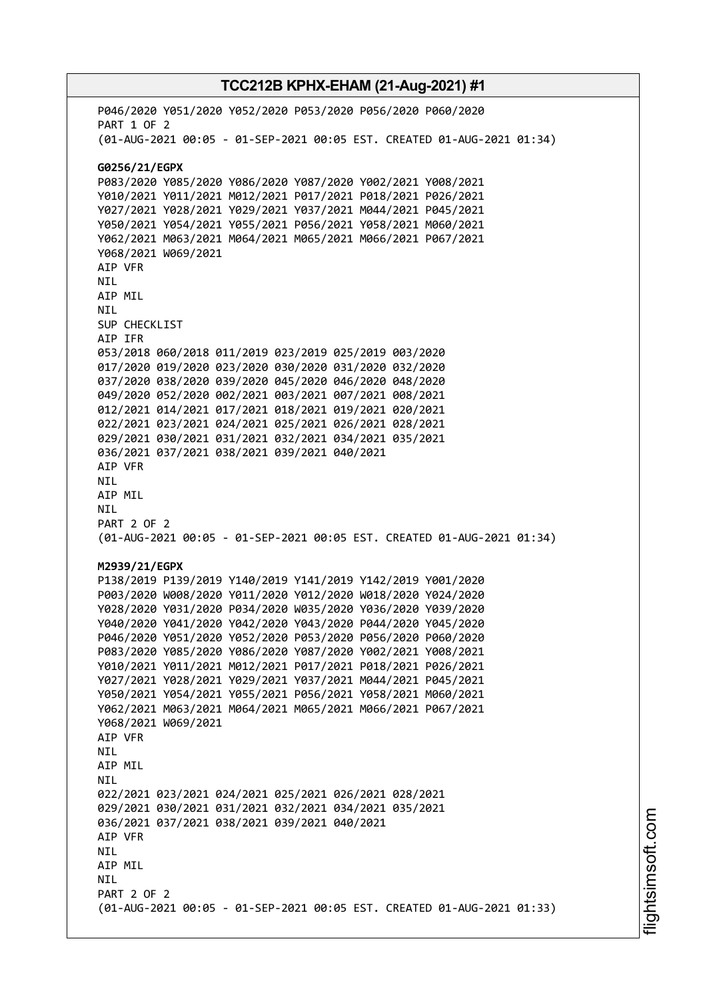P046/2020 Y051/2020 Y052/2020 P053/2020 P056/2020 P060/2020 PART 1 OF 2 (01-AUG-2021 00:05 - 01-SEP-2021 00:05 EST. CREATED 01-AUG-2021 01:34) **G0256/21/EGPX** P083/2020 Y085/2020 Y086/2020 Y087/2020 Y002/2021 Y008/2021 Y010/2021 Y011/2021 M012/2021 P017/2021 P018/2021 P026/2021 Y027/2021 Y028/2021 Y029/2021 Y037/2021 M044/2021 P045/2021 Y050/2021 Y054/2021 Y055/2021 P056/2021 Y058/2021 M060/2021 Y062/2021 M063/2021 M064/2021 M065/2021 M066/2021 P067/2021 Y068/2021 W069/2021 AIP VFR NIL AIP MIL NIL SUP CHECKLIST AIP IFR 053/2018 060/2018 011/2019 023/2019 025/2019 003/2020 017/2020 019/2020 023/2020 030/2020 031/2020 032/2020 037/2020 038/2020 039/2020 045/2020 046/2020 048/2020 049/2020 052/2020 002/2021 003/2021 007/2021 008/2021 012/2021 014/2021 017/2021 018/2021 019/2021 020/2021 022/2021 023/2021 024/2021 025/2021 026/2021 028/2021 029/2021 030/2021 031/2021 032/2021 034/2021 035/2021 036/2021 037/2021 038/2021 039/2021 040/2021 AIP VFR NIL AIP MIL NIL PART 2 OF 2 (01-AUG-2021 00:05 - 01-SEP-2021 00:05 EST. CREATED 01-AUG-2021 01:34) **M2939/21/EGPX** P138/2019 P139/2019 Y140/2019 Y141/2019 Y142/2019 Y001/2020 P003/2020 W008/2020 Y011/2020 Y012/2020 W018/2020 Y024/2020 Y028/2020 Y031/2020 P034/2020 W035/2020 Y036/2020 Y039/2020 Y040/2020 Y041/2020 Y042/2020 Y043/2020 P044/2020 Y045/2020 P046/2020 Y051/2020 Y052/2020 P053/2020 P056/2020 P060/2020 P083/2020 Y085/2020 Y086/2020 Y087/2020 Y002/2021 Y008/2021 Y010/2021 Y011/2021 M012/2021 P017/2021 P018/2021 P026/2021 Y027/2021 Y028/2021 Y029/2021 Y037/2021 M044/2021 P045/2021 Y050/2021 Y054/2021 Y055/2021 P056/2021 Y058/2021 M060/2021 Y062/2021 M063/2021 M064/2021 M065/2021 M066/2021 P067/2021 Y068/2021 W069/2021 AIP VFR NIL AIP MIL **NTI** 022/2021 023/2021 024/2021 025/2021 026/2021 028/2021 029/2021 030/2021 031/2021 032/2021 034/2021 035/2021 036/2021 037/2021 038/2021 039/2021 040/2021 AIP VFR NIL AIP MIL **NTI** PART 2 OF 2 (01-AUG-2021 00:05 - 01-SEP-2021 00:05 EST. CREATED 01-AUG-2021 01:33)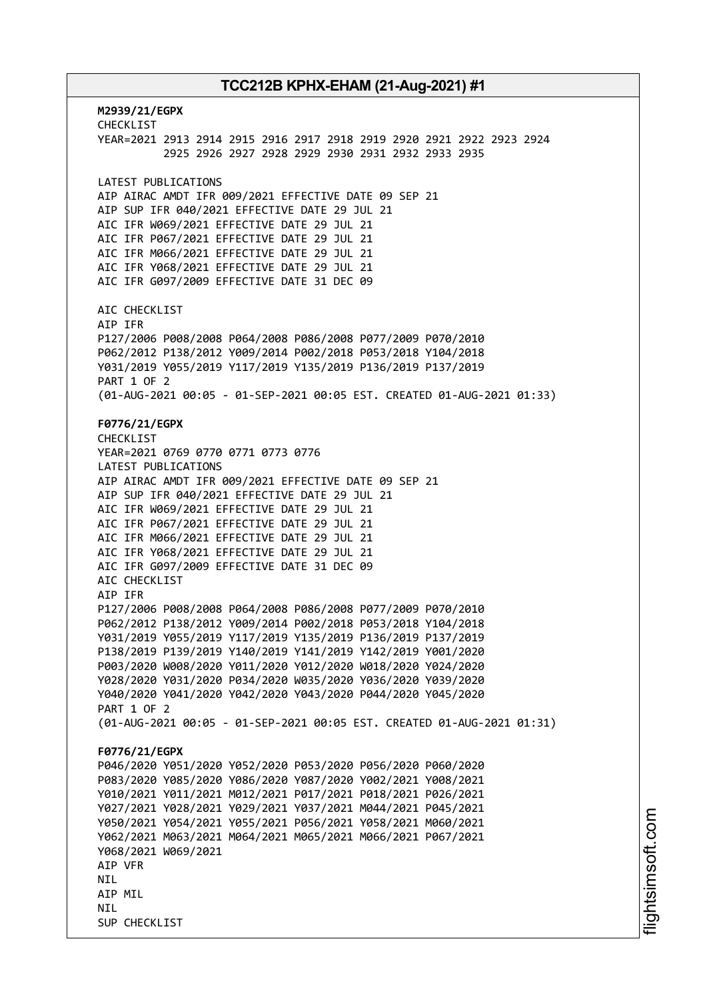**M2939/21/EGPX** CHECKLIST YEAR=2021 2913 2914 2915 2916 2917 2918 2919 2920 2921 2922 2923 2924 2925 2926 2927 2928 2929 2930 2931 2932 2933 2935 LATEST PUBLICATIONS AIP AIRAC AMDT IFR 009/2021 EFFECTIVE DATE 09 SEP 21 AIP SUP IFR 040/2021 EFFECTIVE DATE 29 JUL 21 AIC IFR W069/2021 EFFECTIVE DATE 29 JUL 21 AIC IFR P067/2021 EFFECTIVE DATE 29 JUL 21 AIC IFR M066/2021 EFFECTIVE DATE 29 JUL 21 AIC IFR Y068/2021 EFFECTIVE DATE 29 JUL 21 AIC IFR G097/2009 EFFECTIVE DATE 31 DEC 09 AIC CHECKLIST AIP IFR P127/2006 P008/2008 P064/2008 P086/2008 P077/2009 P070/2010 P062/2012 P138/2012 Y009/2014 P002/2018 P053/2018 Y104/2018 Y031/2019 Y055/2019 Y117/2019 Y135/2019 P136/2019 P137/2019 PART 1 OF 2 (01-AUG-2021 00:05 - 01-SEP-2021 00:05 EST. CREATED 01-AUG-2021 01:33) **F0776/21/EGPX** CHECKLIST YEAR=2021 0769 0770 0771 0773 0776 LATEST PUBLICATIONS AIP AIRAC AMDT IFR 009/2021 EFFECTIVE DATE 09 SEP 21 AIP SUP IFR 040/2021 EFFECTIVE DATE 29 JUL 21 AIC IFR W069/2021 EFFECTIVE DATE 29 JUL 21 AIC IFR P067/2021 EFFECTIVE DATE 29 JUL 21 AIC IFR M066/2021 EFFECTIVE DATE 29 JUL 21 AIC IFR Y068/2021 EFFECTIVE DATE 29 JUL 21 AIC IFR G097/2009 EFFECTIVE DATE 31 DEC 09 AIC CHECKLIST AIP IFR P127/2006 P008/2008 P064/2008 P086/2008 P077/2009 P070/2010 P062/2012 P138/2012 Y009/2014 P002/2018 P053/2018 Y104/2018 Y031/2019 Y055/2019 Y117/2019 Y135/2019 P136/2019 P137/2019 P138/2019 P139/2019 Y140/2019 Y141/2019 Y142/2019 Y001/2020 P003/2020 W008/2020 Y011/2020 Y012/2020 W018/2020 Y024/2020 Y028/2020 Y031/2020 P034/2020 W035/2020 Y036/2020 Y039/2020 Y040/2020 Y041/2020 Y042/2020 Y043/2020 P044/2020 Y045/2020 PART 1 OF 2 (01-AUG-2021 00:05 - 01-SEP-2021 00:05 EST. CREATED 01-AUG-2021 01:31) **F0776/21/EGPX** P046/2020 Y051/2020 Y052/2020 P053/2020 P056/2020 P060/2020 P083/2020 Y085/2020 Y086/2020 Y087/2020 Y002/2021 Y008/2021 Y010/2021 Y011/2021 M012/2021 P017/2021 P018/2021 P026/2021 Y027/2021 Y028/2021 Y029/2021 Y037/2021 M044/2021 P045/2021 Y050/2021 Y054/2021 Y055/2021 P056/2021 Y058/2021 M060/2021 Y062/2021 M063/2021 M064/2021 M065/2021 M066/2021 P067/2021 Y068/2021 W069/2021 AIP VFR NIL AIP MIL **NTI** SUP CHECKLIST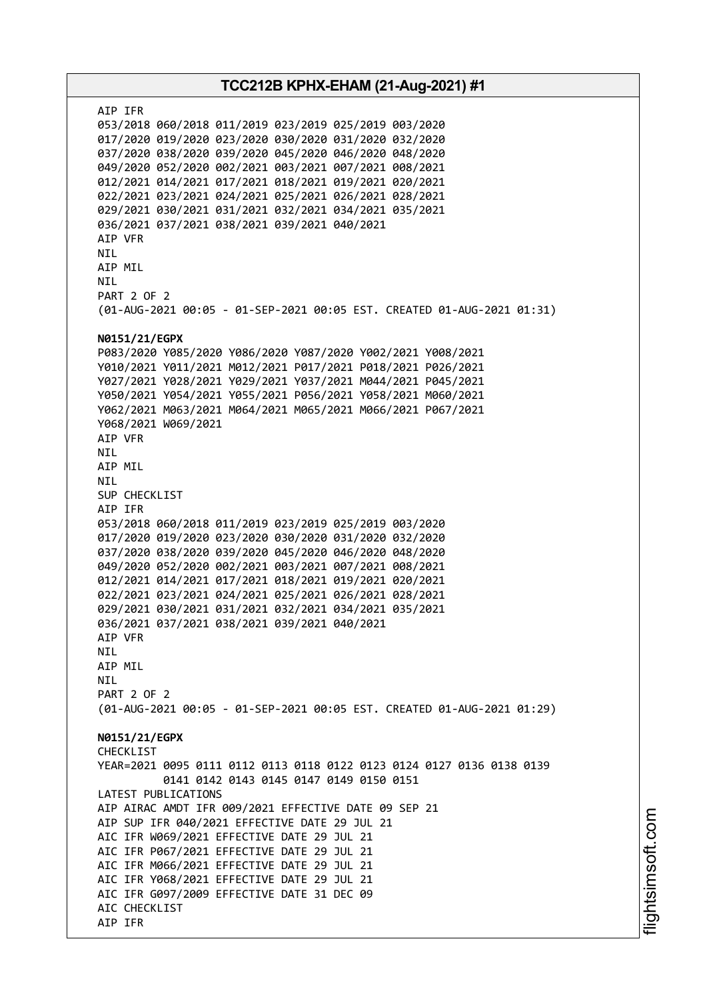AIP IFR 053/2018 060/2018 011/2019 023/2019 025/2019 003/2020 017/2020 019/2020 023/2020 030/2020 031/2020 032/2020 037/2020 038/2020 039/2020 045/2020 046/2020 048/2020 049/2020 052/2020 002/2021 003/2021 007/2021 008/2021 012/2021 014/2021 017/2021 018/2021 019/2021 020/2021 022/2021 023/2021 024/2021 025/2021 026/2021 028/2021 029/2021 030/2021 031/2021 032/2021 034/2021 035/2021 036/2021 037/2021 038/2021 039/2021 040/2021 AIP VFR NIL AIP MIL NIL PART 2 OF 2 (01-AUG-2021 00:05 - 01-SEP-2021 00:05 EST. CREATED 01-AUG-2021 01:31) **N0151/21/EGPX** P083/2020 Y085/2020 Y086/2020 Y087/2020 Y002/2021 Y008/2021 Y010/2021 Y011/2021 M012/2021 P017/2021 P018/2021 P026/2021 Y027/2021 Y028/2021 Y029/2021 Y037/2021 M044/2021 P045/2021 Y050/2021 Y054/2021 Y055/2021 P056/2021 Y058/2021 M060/2021 Y062/2021 M063/2021 M064/2021 M065/2021 M066/2021 P067/2021 Y068/2021 W069/2021 AIP VFR NIL AIP MIL NIL SUP CHECKLIST AIP IFR 053/2018 060/2018 011/2019 023/2019 025/2019 003/2020 017/2020 019/2020 023/2020 030/2020 031/2020 032/2020 037/2020 038/2020 039/2020 045/2020 046/2020 048/2020 049/2020 052/2020 002/2021 003/2021 007/2021 008/2021 012/2021 014/2021 017/2021 018/2021 019/2021 020/2021 022/2021 023/2021 024/2021 025/2021 026/2021 028/2021 029/2021 030/2021 031/2021 032/2021 034/2021 035/2021 036/2021 037/2021 038/2021 039/2021 040/2021 AIP VFR NIL AIP MIL **NTI** PART 2 OF 2 (01-AUG-2021 00:05 - 01-SEP-2021 00:05 EST. CREATED 01-AUG-2021 01:29) **N0151/21/EGPX** CHECKLIST YEAR=2021 0095 0111 0112 0113 0118 0122 0123 0124 0127 0136 0138 0139 0141 0142 0143 0145 0147 0149 0150 0151 LATEST PUBLICATIONS AIP AIRAC AMDT IFR 009/2021 EFFECTIVE DATE 09 SEP 21 AIP SUP IFR 040/2021 EFFECTIVE DATE 29 JUL 21 AIC IFR W069/2021 EFFECTIVE DATE 29 JUL 21 AIC IFR P067/2021 EFFECTIVE DATE 29 JUL 21 AIC IFR M066/2021 EFFECTIVE DATE 29 JUL 21 AIC IFR Y068/2021 EFFECTIVE DATE 29 JUL 21 AIC IFR G097/2009 EFFECTIVE DATE 31 DEC 09 AIC CHECKLIST AIP IFR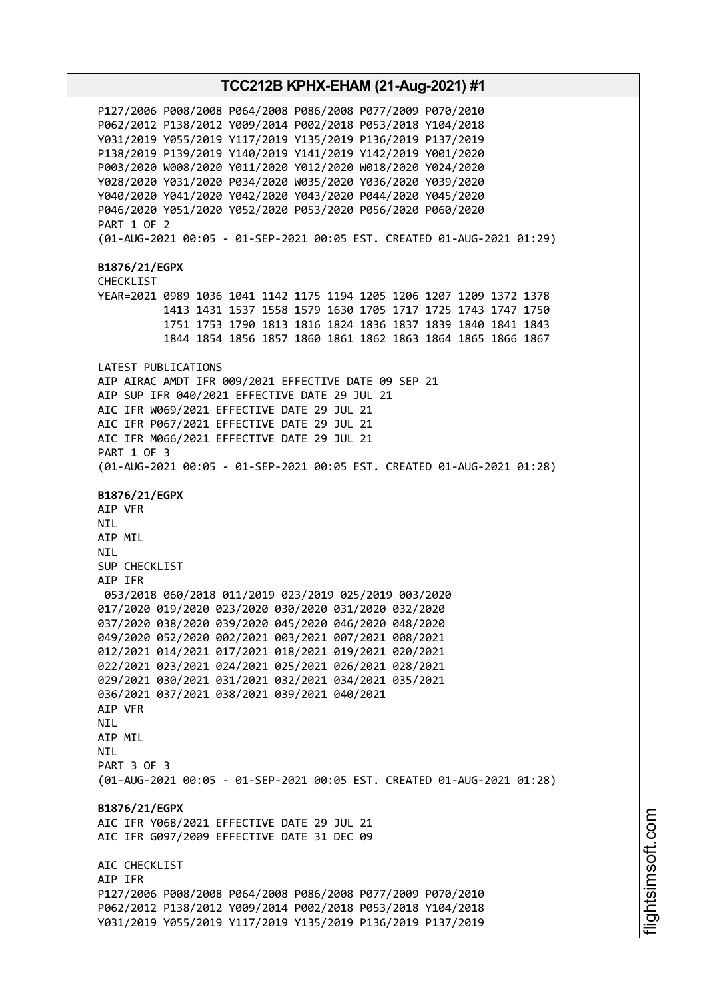P127/2006 P008/2008 P064/2008 P086/2008 P077/2009 P070/2010 P062/2012 P138/2012 Y009/2014 P002/2018 P053/2018 Y104/2018 Y031/2019 Y055/2019 Y117/2019 Y135/2019 P136/2019 P137/2019 P138/2019 P139/2019 Y140/2019 Y141/2019 Y142/2019 Y001/2020 P003/2020 W008/2020 Y011/2020 Y012/2020 W018/2020 Y024/2020 Y028/2020 Y031/2020 P034/2020 W035/2020 Y036/2020 Y039/2020 Y040/2020 Y041/2020 Y042/2020 Y043/2020 P044/2020 Y045/2020 P046/2020 Y051/2020 Y052/2020 P053/2020 P056/2020 P060/2020 PART 1 OF 2 (01-AUG-2021 00:05 - 01-SEP-2021 00:05 EST. CREATED 01-AUG-2021 01:29) **B1876/21/EGPX** CHECKLIST YEAR=2021 0989 1036 1041 1142 1175 1194 1205 1206 1207 1209 1372 1378 1413 1431 1537 1558 1579 1630 1705 1717 1725 1743 1747 1750 1751 1753 1790 1813 1816 1824 1836 1837 1839 1840 1841 1843 1844 1854 1856 1857 1860 1861 1862 1863 1864 1865 1866 1867 LATEST PUBLICATIONS AIP AIRAC AMDT IFR 009/2021 EFFECTIVE DATE 09 SEP 21 AIP SUP IFR 040/2021 EFFECTIVE DATE 29 JUL 21 AIC IFR W069/2021 EFFECTIVE DATE 29 JUL 21 AIC IFR P067/2021 EFFECTIVE DATE 29 JUL 21 AIC IFR M066/2021 EFFECTIVE DATE 29 JUL 21 PART 1 OF 3 (01-AUG-2021 00:05 - 01-SEP-2021 00:05 EST. CREATED 01-AUG-2021 01:28) **B1876/21/EGPX** AIP VFR NIL AIP MIL NIL SUP CHECKLIST AIP IFR 053/2018 060/2018 011/2019 023/2019 025/2019 003/2020 017/2020 019/2020 023/2020 030/2020 031/2020 032/2020 037/2020 038/2020 039/2020 045/2020 046/2020 048/2020 049/2020 052/2020 002/2021 003/2021 007/2021 008/2021 012/2021 014/2021 017/2021 018/2021 019/2021 020/2021 022/2021 023/2021 024/2021 025/2021 026/2021 028/2021 029/2021 030/2021 031/2021 032/2021 034/2021 035/2021 036/2021 037/2021 038/2021 039/2021 040/2021 AIP VFR NIL AIP MIL **NTI** PART 3 OF 3 (01-AUG-2021 00:05 - 01-SEP-2021 00:05 EST. CREATED 01-AUG-2021 01:28) **B1876/21/EGPX** AIC IFR Y068/2021 EFFECTIVE DATE 29 JUL 21 AIC IFR G097/2009 EFFECTIVE DATE 31 DEC 09 ATC CHECKLIST AIP IFR P127/2006 P008/2008 P064/2008 P086/2008 P077/2009 P070/2010 P062/2012 P138/2012 Y009/2014 P002/2018 P053/2018 Y104/2018 Y031/2019 Y055/2019 Y117/2019 Y135/2019 P136/2019 P137/2019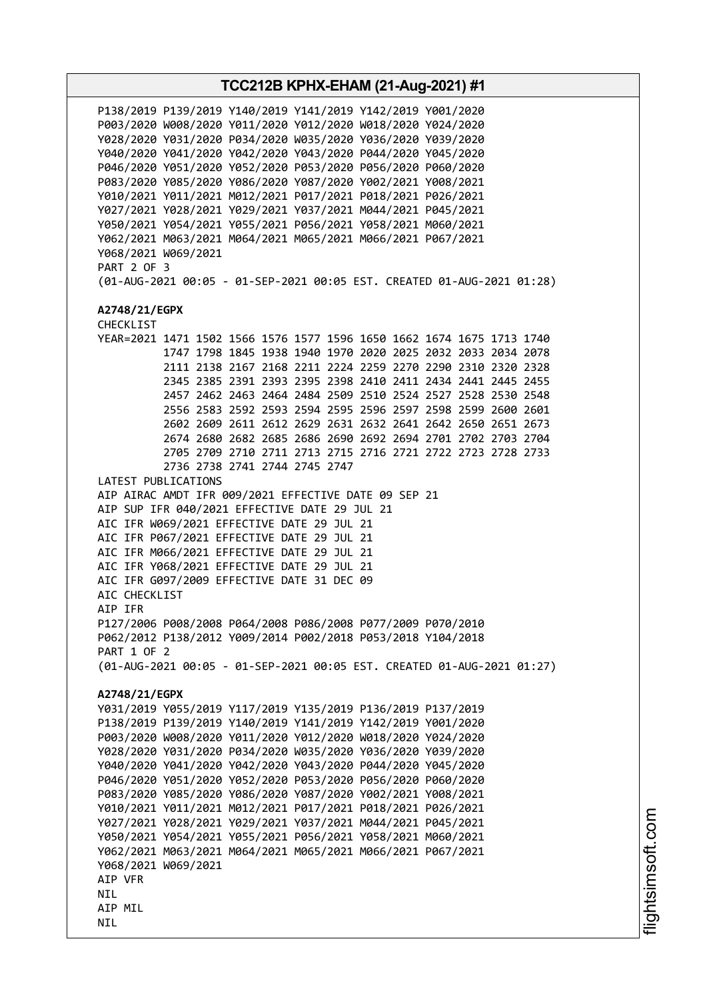**TCC212B KPHX-EHAM (21-Aug-2021) #1** P138/2019 P139/2019 Y140/2019 Y141/2019 Y142/2019 Y001/2020 P003/2020 W008/2020 Y011/2020 Y012/2020 W018/2020 Y024/2020 Y028/2020 Y031/2020 P034/2020 W035/2020 Y036/2020 Y039/2020 Y040/2020 Y041/2020 Y042/2020 Y043/2020 P044/2020 Y045/2020 P046/2020 Y051/2020 Y052/2020 P053/2020 P056/2020 P060/2020 P083/2020 Y085/2020 Y086/2020 Y087/2020 Y002/2021 Y008/2021 Y010/2021 Y011/2021 M012/2021 P017/2021 P018/2021 P026/2021 Y027/2021 Y028/2021 Y029/2021 Y037/2021 M044/2021 P045/2021 Y050/2021 Y054/2021 Y055/2021 P056/2021 Y058/2021 M060/2021 Y062/2021 M063/2021 M064/2021 M065/2021 M066/2021 P067/2021 Y068/2021 W069/2021 PART 2 OF 3 (01-AUG-2021 00:05 - 01-SEP-2021 00:05 EST. CREATED 01-AUG-2021 01:28) **A2748/21/EGPX** CHECKLIST YEAR=2021 1471 1502 1566 1576 1577 1596 1650 1662 1674 1675 1713 1740 1747 1798 1845 1938 1940 1970 2020 2025 2032 2033 2034 2078 2111 2138 2167 2168 2211 2224 2259 2270 2290 2310 2320 2328 2345 2385 2391 2393 2395 2398 2410 2411 2434 2441 2445 2455 2457 2462 2463 2464 2484 2509 2510 2524 2527 2528 2530 2548 2556 2583 2592 2593 2594 2595 2596 2597 2598 2599 2600 2601 2602 2609 2611 2612 2629 2631 2632 2641 2642 2650 2651 2673 2674 2680 2682 2685 2686 2690 2692 2694 2701 2702 2703 2704 2705 2709 2710 2711 2713 2715 2716 2721 2722 2723 2728 2733 2736 2738 2741 2744 2745 2747 LATEST PUBLICATIONS AIP AIRAC AMDT IFR 009/2021 EFFECTIVE DATE 09 SEP 21 AIP SUP IFR 040/2021 EFFECTIVE DATE 29 JUL 21 AIC IFR W069/2021 EFFECTIVE DATE 29 JUL 21 AIC IFR P067/2021 EFFECTIVE DATE 29 JUL 21 AIC IFR M066/2021 EFFECTIVE DATE 29 JUL 21 AIC IFR Y068/2021 EFFECTIVE DATE 29 JUL 21 AIC IFR G097/2009 EFFECTIVE DATE 31 DEC 09 AIC CHECKLIST AIP IFR P127/2006 P008/2008 P064/2008 P086/2008 P077/2009 P070/2010 P062/2012 P138/2012 Y009/2014 P002/2018 P053/2018 Y104/2018 PART 1 OF 2 (01-AUG-2021 00:05 - 01-SEP-2021 00:05 EST. CREATED 01-AUG-2021 01:27) **A2748/21/EGPX** Y031/2019 Y055/2019 Y117/2019 Y135/2019 P136/2019 P137/2019 P138/2019 P139/2019 Y140/2019 Y141/2019 Y142/2019 Y001/2020 P003/2020 W008/2020 Y011/2020 Y012/2020 W018/2020 Y024/2020 Y028/2020 Y031/2020 P034/2020 W035/2020 Y036/2020 Y039/2020 Y040/2020 Y041/2020 Y042/2020 Y043/2020 P044/2020 Y045/2020 P046/2020 Y051/2020 Y052/2020 P053/2020 P056/2020 P060/2020 P083/2020 Y085/2020 Y086/2020 Y087/2020 Y002/2021 Y008/2021 Y010/2021 Y011/2021 M012/2021 P017/2021 P018/2021 P026/2021 Y027/2021 Y028/2021 Y029/2021 Y037/2021 M044/2021 P045/2021 Y050/2021 Y054/2021 Y055/2021 P056/2021 Y058/2021 M060/2021 Y062/2021 M063/2021 M064/2021 M065/2021 M066/2021 P067/2021 Y068/2021 W069/2021 AIP VFR **NTI** AIP MIL NIL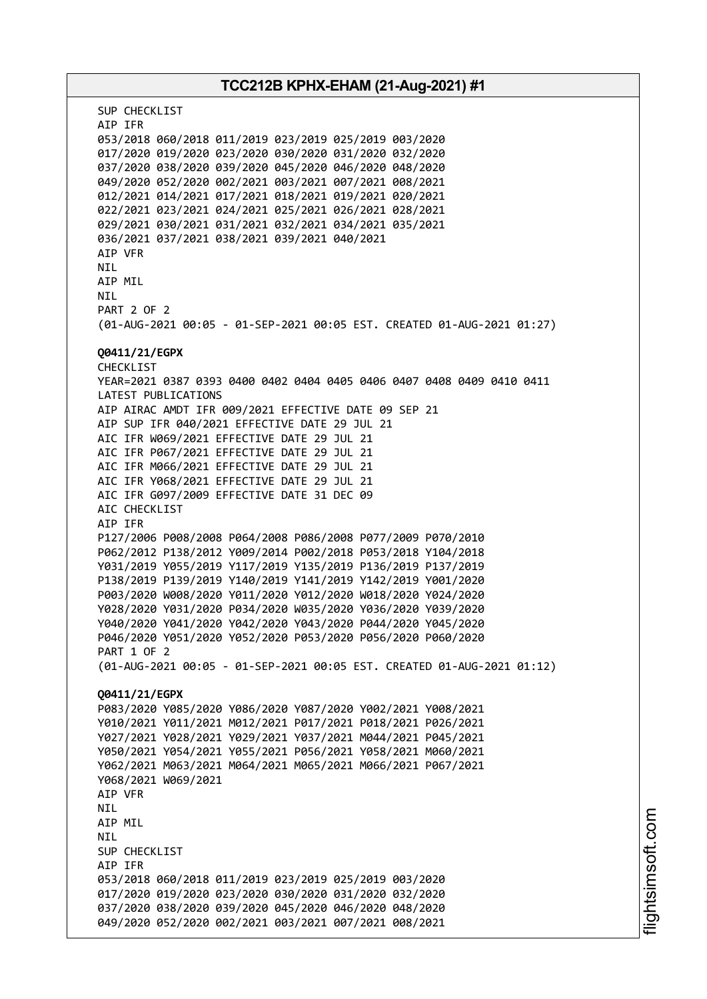## **TCC212B KPHX-EHAM (21-Aug-2021) #1** SUP CHECKLIST AIP IFR 053/2018 060/2018 011/2019 023/2019 025/2019 003/2020 017/2020 019/2020 023/2020 030/2020 031/2020 032/2020 037/2020 038/2020 039/2020 045/2020 046/2020 048/2020 049/2020 052/2020 002/2021 003/2021 007/2021 008/2021 012/2021 014/2021 017/2021 018/2021 019/2021 020/2021 022/2021 023/2021 024/2021 025/2021 026/2021 028/2021 029/2021 030/2021 031/2021 032/2021 034/2021 035/2021 036/2021 037/2021 038/2021 039/2021 040/2021 AIP VFR AIP MIL PART 2 OF 2 (01-AUG-2021 00:05 - 01-SEP-2021 00:05 EST. CREATED 01-AUG-2021 01:27) **Q0411/21/EGPX** CHECKLIST YEAR=2021 0387 0393 0400 0402 0404 0405 0406 0407 0408 0409 0410 0411 LATEST PUBLICATIONS AIP AIRAC AMDT IFR 009/2021 EFFECTIVE DATE 09 SEP 21 AIP SUP IFR 040/2021 EFFECTIVE DATE 29 JUL 21 AIC IFR W069/2021 EFFECTIVE DATE 29 JUL 21 AIC IFR P067/2021 EFFECTIVE DATE 29 JUL 21 AIC IFR M066/2021 EFFECTIVE DATE 29 JUL 21 AIC IFR Y068/2021 EFFECTIVE DATE 29 JUL 21 AIC IFR G097/2009 EFFECTIVE DATE 31 DEC 09 AIC CHECKLIST AIP IFR P127/2006 P008/2008 P064/2008 P086/2008 P077/2009 P070/2010 P062/2012 P138/2012 Y009/2014 P002/2018 P053/2018 Y104/2018 Y031/2019 Y055/2019 Y117/2019 Y135/2019 P136/2019 P137/2019 P138/2019 P139/2019 Y140/2019 Y141/2019 Y142/2019 Y001/2020 P003/2020 W008/2020 Y011/2020 Y012/2020 W018/2020 Y024/2020 Y028/2020 Y031/2020 P034/2020 W035/2020 Y036/2020 Y039/2020 Y040/2020 Y041/2020 Y042/2020 Y043/2020 P044/2020 Y045/2020

**NTI** 

NIL

PART 1 OF 2 (01-AUG-2021 00:05 - 01-SEP-2021 00:05 EST. CREATED 01-AUG-2021 01:12) **Q0411/21/EGPX** P083/2020 Y085/2020 Y086/2020 Y087/2020 Y002/2021 Y008/2021 Y010/2021 Y011/2021 M012/2021 P017/2021 P018/2021 P026/2021 Y027/2021 Y028/2021 Y029/2021 Y037/2021 M044/2021 P045/2021 Y050/2021 Y054/2021 Y055/2021 P056/2021 Y058/2021 M060/2021 Y062/2021 M063/2021 M064/2021 M065/2021 M066/2021 P067/2021 Y068/2021 W069/2021 AIP VFR NIL AIP MIL NIL SUP CHECKLIST AIP IFR 053/2018 060/2018 011/2019 023/2019 025/2019 003/2020 017/2020 019/2020 023/2020 030/2020 031/2020 032/2020 037/2020 038/2020 039/2020 045/2020 046/2020 048/2020 049/2020 052/2020 002/2021 003/2021 007/2021 008/2021

P046/2020 Y051/2020 Y052/2020 P053/2020 P056/2020 P060/2020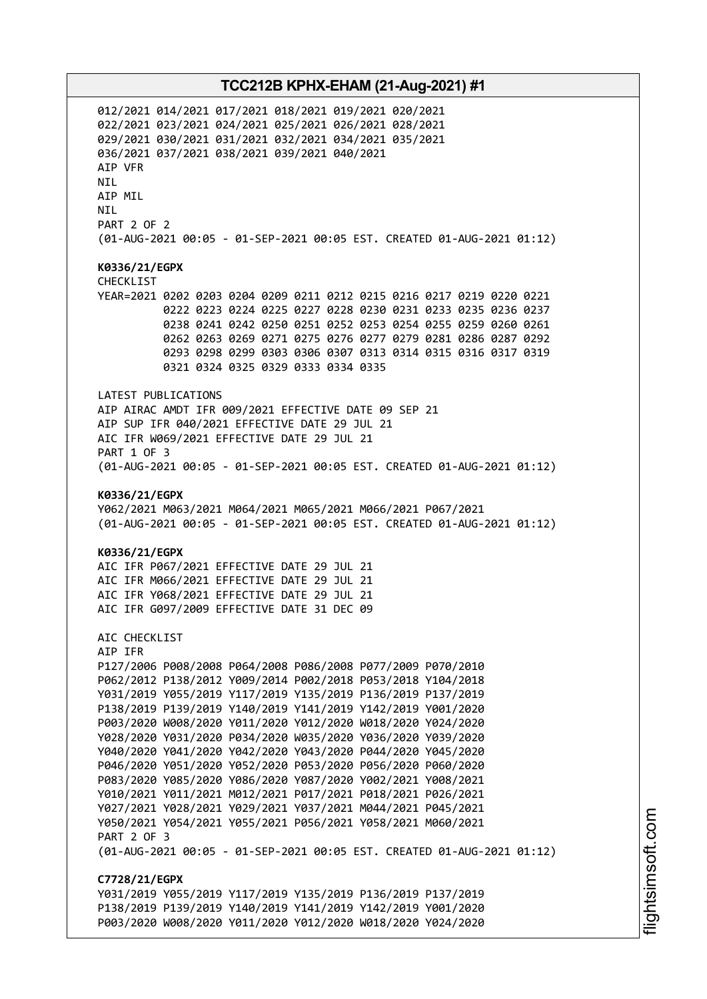012/2021 014/2021 017/2021 018/2021 019/2021 020/2021 022/2021 023/2021 024/2021 025/2021 026/2021 028/2021 029/2021 030/2021 031/2021 032/2021 034/2021 035/2021 036/2021 037/2021 038/2021 039/2021 040/2021 AIP VFR NIL AIP MIL NIL PART 2 OF 2 (01-AUG-2021 00:05 - 01-SEP-2021 00:05 EST. CREATED 01-AUG-2021 01:12) **K0336/21/EGPX** CHECKLIST YEAR=2021 0202 0203 0204 0209 0211 0212 0215 0216 0217 0219 0220 0221 0222 0223 0224 0225 0227 0228 0230 0231 0233 0235 0236 0237 0238 0241 0242 0250 0251 0252 0253 0254 0255 0259 0260 0261 0262 0263 0269 0271 0275 0276 0277 0279 0281 0286 0287 0292 0293 0298 0299 0303 0306 0307 0313 0314 0315 0316 0317 0319 0321 0324 0325 0329 0333 0334 0335 LATEST PUBLICATIONS AIP AIRAC AMDT IFR 009/2021 EFFECTIVE DATE 09 SEP 21 AIP SUP IFR 040/2021 EFFECTIVE DATE 29 JUL 21 AIC IFR W069/2021 EFFECTIVE DATE 29 JUL 21 PART 1 OF 3 (01-AUG-2021 00:05 - 01-SEP-2021 00:05 EST. CREATED 01-AUG-2021 01:12) **K0336/21/EGPX** Y062/2021 M063/2021 M064/2021 M065/2021 M066/2021 P067/2021 (01-AUG-2021 00:05 - 01-SEP-2021 00:05 EST. CREATED 01-AUG-2021 01:12) **K0336/21/EGPX** AIC IFR P067/2021 EFFECTIVE DATE 29 JUL 21 AIC IFR M066/2021 EFFECTIVE DATE 29 JUL 21 AIC IFR Y068/2021 EFFECTIVE DATE 29 JUL 21 AIC IFR G097/2009 EFFECTIVE DATE 31 DEC 09 AIC CHECKLIST AIP IFR P127/2006 P008/2008 P064/2008 P086/2008 P077/2009 P070/2010 P062/2012 P138/2012 Y009/2014 P002/2018 P053/2018 Y104/2018 Y031/2019 Y055/2019 Y117/2019 Y135/2019 P136/2019 P137/2019 P138/2019 P139/2019 Y140/2019 Y141/2019 Y142/2019 Y001/2020 P003/2020 W008/2020 Y011/2020 Y012/2020 W018/2020 Y024/2020 Y028/2020 Y031/2020 P034/2020 W035/2020 Y036/2020 Y039/2020 Y040/2020 Y041/2020 Y042/2020 Y043/2020 P044/2020 Y045/2020 P046/2020 Y051/2020 Y052/2020 P053/2020 P056/2020 P060/2020 P083/2020 Y085/2020 Y086/2020 Y087/2020 Y002/2021 Y008/2021 Y010/2021 Y011/2021 M012/2021 P017/2021 P018/2021 P026/2021 Y027/2021 Y028/2021 Y029/2021 Y037/2021 M044/2021 P045/2021 Y050/2021 Y054/2021 Y055/2021 P056/2021 Y058/2021 M060/2021 PART 2 OF 3 (01-AUG-2021 00:05 - 01-SEP-2021 00:05 EST. CREATED 01-AUG-2021 01:12) **C7728/21/EGPX** Y031/2019 Y055/2019 Y117/2019 Y135/2019 P136/2019 P137/2019 P138/2019 P139/2019 Y140/2019 Y141/2019 Y142/2019 Y001/2020 P003/2020 W008/2020 Y011/2020 Y012/2020 W018/2020 Y024/2020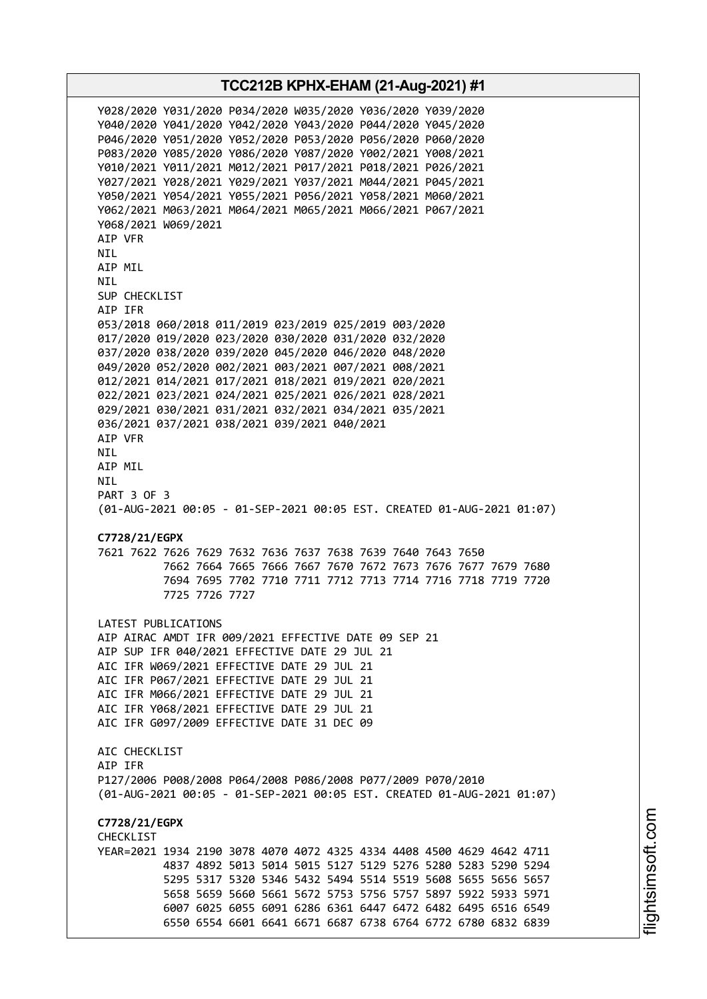Y028/2020 Y031/2020 P034/2020 W035/2020 Y036/2020 Y039/2020 Y040/2020 Y041/2020 Y042/2020 Y043/2020 P044/2020 Y045/2020 P046/2020 Y051/2020 Y052/2020 P053/2020 P056/2020 P060/2020 P083/2020 Y085/2020 Y086/2020 Y087/2020 Y002/2021 Y008/2021 Y010/2021 Y011/2021 M012/2021 P017/2021 P018/2021 P026/2021 Y027/2021 Y028/2021 Y029/2021 Y037/2021 M044/2021 P045/2021 Y050/2021 Y054/2021 Y055/2021 P056/2021 Y058/2021 M060/2021 Y062/2021 M063/2021 M064/2021 M065/2021 M066/2021 P067/2021 Y068/2021 W069/2021 AIP VFR NIL AIP MIL NIL SUP CHECKLIST AIP IFR 053/2018 060/2018 011/2019 023/2019 025/2019 003/2020 017/2020 019/2020 023/2020 030/2020 031/2020 032/2020 037/2020 038/2020 039/2020 045/2020 046/2020 048/2020 049/2020 052/2020 002/2021 003/2021 007/2021 008/2021 012/2021 014/2021 017/2021 018/2021 019/2021 020/2021 022/2021 023/2021 024/2021 025/2021 026/2021 028/2021 029/2021 030/2021 031/2021 032/2021 034/2021 035/2021 036/2021 037/2021 038/2021 039/2021 040/2021 AIP VFR NIL AIP MIL NIL PART 3 OF 3 (01-AUG-2021 00:05 - 01-SEP-2021 00:05 EST. CREATED 01-AUG-2021 01:07) **C7728/21/EGPX** 7621 7622 7626 7629 7632 7636 7637 7638 7639 7640 7643 7650 7662 7664 7665 7666 7667 7670 7672 7673 7676 7677 7679 7680 7694 7695 7702 7710 7711 7712 7713 7714 7716 7718 7719 7720 7725 7726 7727 LATEST PUBLICATIONS AIP AIRAC AMDT IFR 009/2021 EFFECTIVE DATE 09 SEP 21 AIP SUP IFR 040/2021 EFFECTIVE DATE 29 JUL 21 AIC IFR W069/2021 EFFECTIVE DATE 29 JUL 21 AIC IFR P067/2021 EFFECTIVE DATE 29 JUL 21 AIC IFR M066/2021 EFFECTIVE DATE 29 JUL 21 AIC IFR Y068/2021 EFFECTIVE DATE 29 JUL 21 AIC IFR G097/2009 EFFECTIVE DATE 31 DEC 09 AIC CHECKLIST AIP IFR P127/2006 P008/2008 P064/2008 P086/2008 P077/2009 P070/2010 (01-AUG-2021 00:05 - 01-SEP-2021 00:05 EST. CREATED 01-AUG-2021 01:07) **C7728/21/EGPX CHECKLIST** YEAR=2021 1934 2190 3078 4070 4072 4325 4334 4408 4500 4629 4642 4711 4837 4892 5013 5014 5015 5127 5129 5276 5280 5283 5290 5294 5295 5317 5320 5346 5432 5494 5514 5519 5608 5655 5656 5657 5658 5659 5660 5661 5672 5753 5756 5757 5897 5922 5933 5971 6007 6025 6055 6091 6286 6361 6447 6472 6482 6495 6516 6549 6550 6554 6601 6641 6671 6687 6738 6764 6772 6780 6832 6839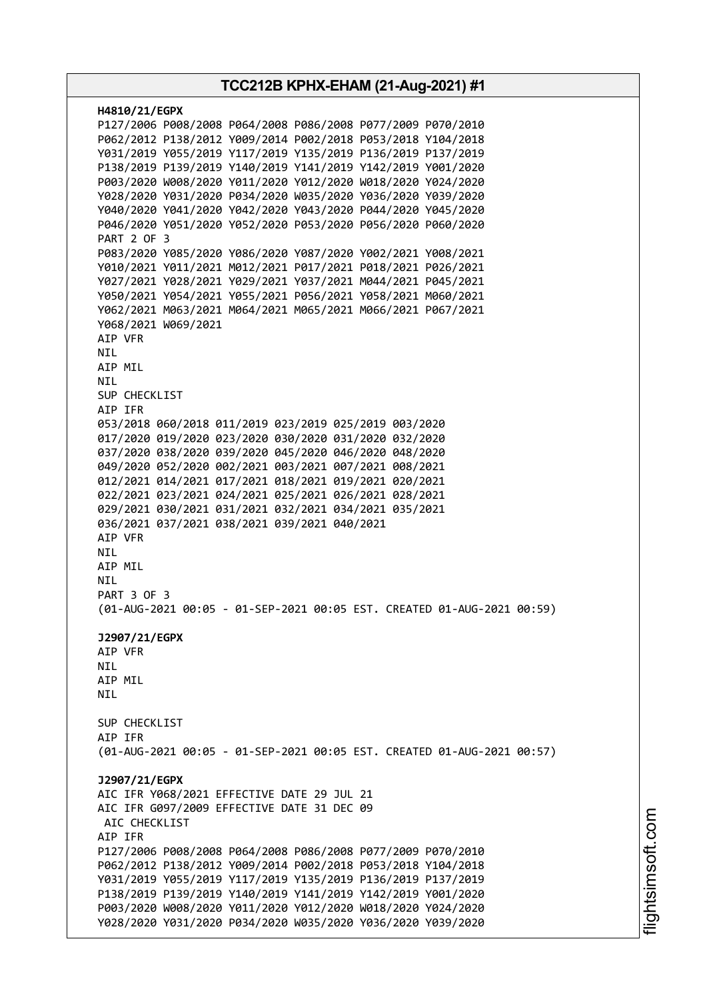| H4810/21/EGPX                                                                                                              |
|----------------------------------------------------------------------------------------------------------------------------|
| P127/2006 P008/2008 P064/2008 P086/2008 P077/2009 P070/2010                                                                |
| P062/2012 P138/2012 Y009/2014 P002/2018 P053/2018 Y104/2018                                                                |
| Y031/2019 Y055/2019 Y117/2019 Y135/2019 P136/2019 P137/2019                                                                |
| P138/2019 P139/2019 Y140/2019 Y141/2019 Y142/2019 Y001/2020                                                                |
| P003/2020 W008/2020 Y011/2020 Y012/2020 W018/2020 Y024/2020                                                                |
| Y028/2020 Y031/2020 P034/2020 W035/2020 Y036/2020 Y039/2020<br>Y040/2020 Y041/2020 Y042/2020 Y043/2020 P044/2020 Y045/2020 |
| P046/2020 Y051/2020 Y052/2020 P053/2020 P056/2020 P060/2020                                                                |
| <b>PART 2 OF 3</b>                                                                                                         |
| P083/2020 Y085/2020 Y086/2020 Y087/2020 Y002/2021 Y008/2021                                                                |
| Y010/2021 Y011/2021 M012/2021 P017/2021 P018/2021 P026/2021                                                                |
| Y027/2021 Y028/2021 Y029/2021 Y037/2021 M044/2021 P045/2021                                                                |
| Y050/2021 Y054/2021 Y055/2021 P056/2021 Y058/2021 M060/2021                                                                |
| Y062/2021 M063/2021 M064/2021 M065/2021 M066/2021 P067/2021                                                                |
| Y068/2021 W069/2021                                                                                                        |
| AIP VFR                                                                                                                    |
| NIL.                                                                                                                       |
| AIP MIL                                                                                                                    |
| NIL<br>SUP CHECKLIST                                                                                                       |
| AIP IFR                                                                                                                    |
| 053/2018 060/2018 011/2019 023/2019 025/2019 003/2020                                                                      |
| 017/2020 019/2020 023/2020 030/2020 031/2020 032/2020                                                                      |
| 037/2020 038/2020 039/2020 045/2020 046/2020 048/2020                                                                      |
| 049/2020 052/2020 002/2021 003/2021 007/2021 008/2021                                                                      |
| 012/2021 014/2021 017/2021 018/2021 019/2021 020/2021                                                                      |
| 022/2021 023/2021 024/2021 025/2021 026/2021 028/2021                                                                      |
| 029/2021 030/2021 031/2021 032/2021 034/2021 035/2021                                                                      |
| 036/2021 037/2021 038/2021 039/2021 040/2021                                                                               |
| AIP VFR<br>NIL.                                                                                                            |
| AIP MIL                                                                                                                    |
| NIL                                                                                                                        |
| PART 3 OF 3                                                                                                                |
| (01-AUG-2021 00:05 - 01-SEP-2021 00:05 EST. CREATED 01-AUG-2021 00:59)                                                     |
|                                                                                                                            |
| J2907/21/EGPX                                                                                                              |
| AIP VFR<br>NIL                                                                                                             |
| AIP MIL                                                                                                                    |
| NIL                                                                                                                        |
|                                                                                                                            |
| SUP CHECKLIST                                                                                                              |
| AIP IFR                                                                                                                    |
| (01-AUG-2021 00:05 - 01-SEP-2021 00:05 EST. CREATED 01-AUG-2021 00:57)                                                     |
| J2907/21/EGPX                                                                                                              |
| AIC IFR Y068/2021 EFFECTIVE DATE 29 JUL 21                                                                                 |
| AIC IFR G097/2009 EFFECTIVE DATE 31 DEC 09                                                                                 |
| AIC CHECKLIST                                                                                                              |
| AIP IFR                                                                                                                    |
| P127/2006 P008/2008 P064/2008 P086/2008 P077/2009 P070/2010                                                                |
| P062/2012 P138/2012 Y009/2014 P002/2018 P053/2018 Y104/2018                                                                |
| Y031/2019 Y055/2019 Y117/2019 Y135/2019 P136/2019 P137/2019                                                                |
| P138/2019 P139/2019 Y140/2019 Y141/2019 Y142/2019 Y001/2020                                                                |
| P003/2020 W008/2020 Y011/2020 Y012/2020 W018/2020 Y024/2020                                                                |
| Y028/2020 Y031/2020 P034/2020 W035/2020 Y036/2020 Y039/2020                                                                |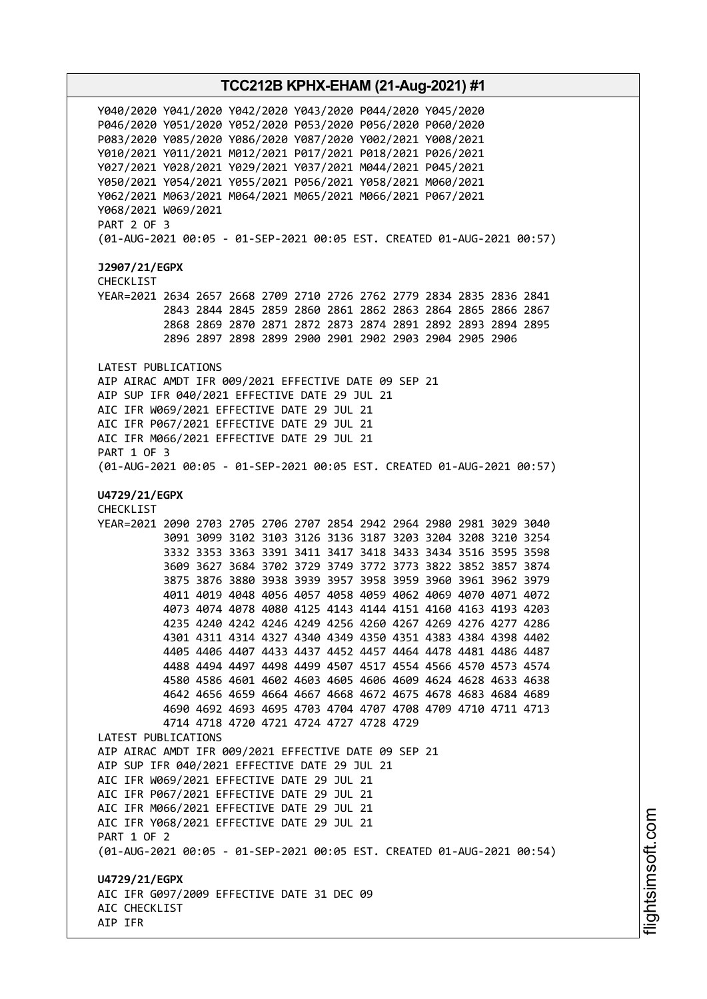Y040/2020 Y041/2020 Y042/2020 Y043/2020 P044/2020 Y045/2020 P046/2020 Y051/2020 Y052/2020 P053/2020 P056/2020 P060/2020 P083/2020 Y085/2020 Y086/2020 Y087/2020 Y002/2021 Y008/2021 Y010/2021 Y011/2021 M012/2021 P017/2021 P018/2021 P026/2021 Y027/2021 Y028/2021 Y029/2021 Y037/2021 M044/2021 P045/2021 Y050/2021 Y054/2021 Y055/2021 P056/2021 Y058/2021 M060/2021 Y062/2021 M063/2021 M064/2021 M065/2021 M066/2021 P067/2021 Y068/2021 W069/2021 PART 2 OF 3 (01-AUG-2021 00:05 - 01-SEP-2021 00:05 EST. CREATED 01-AUG-2021 00:57) **J2907/21/EGPX** CHECKLIST YEAR=2021 2634 2657 2668 2709 2710 2726 2762 2779 2834 2835 2836 2841 2843 2844 2845 2859 2860 2861 2862 2863 2864 2865 2866 2867 2868 2869 2870 2871 2872 2873 2874 2891 2892 2893 2894 2895 2896 2897 2898 2899 2900 2901 2902 2903 2904 2905 2906 LATEST PUBLICATIONS AIP AIRAC AMDT IFR 009/2021 EFFECTIVE DATE 09 SEP 21 AIP SUP IFR 040/2021 EFFECTIVE DATE 29 JUL 21 AIC IFR W069/2021 EFFECTIVE DATE 29 JUL 21 AIC IFR P067/2021 EFFECTIVE DATE 29 JUL 21 AIC IFR M066/2021 EFFECTIVE DATE 29 JUL 21 PART 1 OF 3 (01-AUG-2021 00:05 - 01-SEP-2021 00:05 EST. CREATED 01-AUG-2021 00:57) **U4729/21/EGPX** CHECKLIST YEAR=2021 2090 2703 2705 2706 2707 2854 2942 2964 2980 2981 3029 3040 3091 3099 3102 3103 3126 3136 3187 3203 3204 3208 3210 3254 3332 3353 3363 3391 3411 3417 3418 3433 3434 3516 3595 3598 3609 3627 3684 3702 3729 3749 3772 3773 3822 3852 3857 3874 3875 3876 3880 3938 3939 3957 3958 3959 3960 3961 3962 3979 4011 4019 4048 4056 4057 4058 4059 4062 4069 4070 4071 4072 4073 4074 4078 4080 4125 4143 4144 4151 4160 4163 4193 4203 4235 4240 4242 4246 4249 4256 4260 4267 4269 4276 4277 4286 4301 4311 4314 4327 4340 4349 4350 4351 4383 4384 4398 4402 4405 4406 4407 4433 4437 4452 4457 4464 4478 4481 4486 4487 4488 4494 4497 4498 4499 4507 4517 4554 4566 4570 4573 4574 4580 4586 4601 4602 4603 4605 4606 4609 4624 4628 4633 4638 4642 4656 4659 4664 4667 4668 4672 4675 4678 4683 4684 4689 4690 4692 4693 4695 4703 4704 4707 4708 4709 4710 4711 4713 4714 4718 4720 4721 4724 4727 4728 4729 LATEST PUBLICATIONS AIP AIRAC AMDT IFR 009/2021 EFFECTIVE DATE 09 SEP 21 AIP SUP IFR 040/2021 EFFECTIVE DATE 29 JUL 21 AIC IFR W069/2021 EFFECTIVE DATE 29 JUL 21 AIC IFR P067/2021 EFFECTIVE DATE 29 JUL 21 AIC IFR M066/2021 EFFECTIVE DATE 29 JUL 21 AIC IFR Y068/2021 EFFECTIVE DATE 29 JUL 21 PART 1 OF 2 (01-AUG-2021 00:05 - 01-SEP-2021 00:05 EST. CREATED 01-AUG-2021 00:54) **U4729/21/EGPX** AIC IFR G097/2009 EFFECTIVE DATE 31 DEC 09 AIC CHECKLIST AIP IFR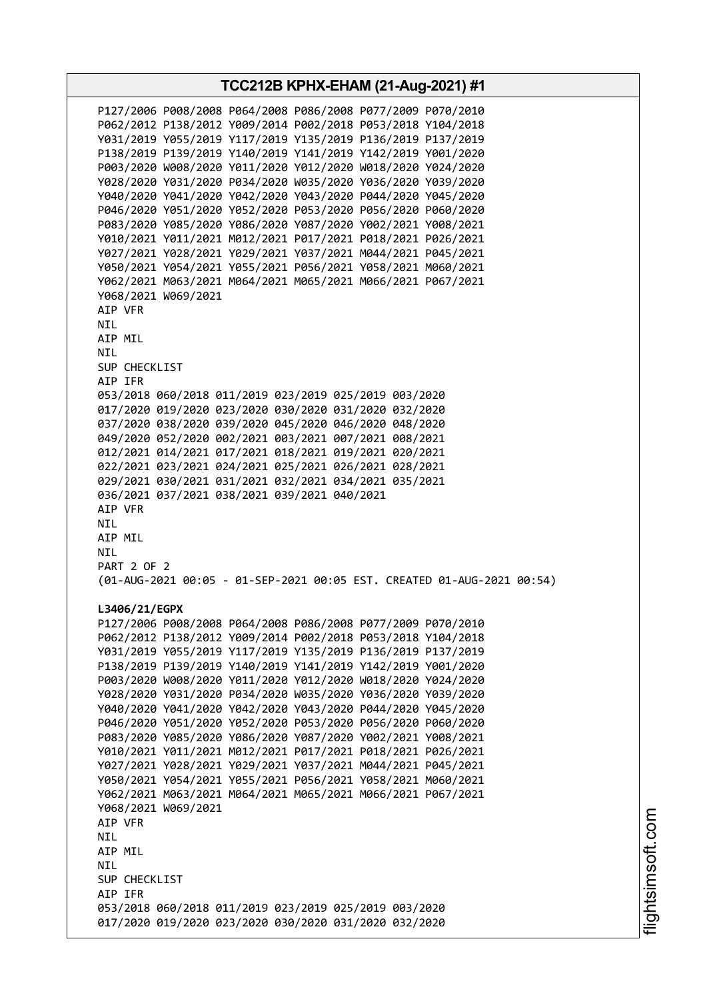**TCC212B KPHX-EHAM (21-Aug-2021) #1** P127/2006 P008/2008 P064/2008 P086/2008 P077/2009 P070/2010 P062/2012 P138/2012 Y009/2014 P002/2018 P053/2018 Y104/2018 Y031/2019 Y055/2019 Y117/2019 Y135/2019 P136/2019 P137/2019 P138/2019 P139/2019 Y140/2019 Y141/2019 Y142/2019 Y001/2020 P003/2020 W008/2020 Y011/2020 Y012/2020 W018/2020 Y024/2020 Y028/2020 Y031/2020 P034/2020 W035/2020 Y036/2020 Y039/2020 Y040/2020 Y041/2020 Y042/2020 Y043/2020 P044/2020 Y045/2020 P046/2020 Y051/2020 Y052/2020 P053/2020 P056/2020 P060/2020 P083/2020 Y085/2020 Y086/2020 Y087/2020 Y002/2021 Y008/2021 Y010/2021 Y011/2021 M012/2021 P017/2021 P018/2021 P026/2021 Y027/2021 Y028/2021 Y029/2021 Y037/2021 M044/2021 P045/2021 Y050/2021 Y054/2021 Y055/2021 P056/2021 Y058/2021 M060/2021 Y062/2021 M063/2021 M064/2021 M065/2021 M066/2021 P067/2021 Y068/2021 W069/2021 AIP VFR NIL AIP MIL NIL SUP CHECKLIST AIP IFR 053/2018 060/2018 011/2019 023/2019 025/2019 003/2020 017/2020 019/2020 023/2020 030/2020 031/2020 032/2020 037/2020 038/2020 039/2020 045/2020 046/2020 048/2020 049/2020 052/2020 002/2021 003/2021 007/2021 008/2021 012/2021 014/2021 017/2021 018/2021 019/2021 020/2021 022/2021 023/2021 024/2021 025/2021 026/2021 028/2021 029/2021 030/2021 031/2021 032/2021 034/2021 035/2021 036/2021 037/2021 038/2021 039/2021 040/2021 AIP VFR NIL AIP MIL NIL PART 2 OF 2 (01-AUG-2021 00:05 - 01-SEP-2021 00:05 EST. CREATED 01-AUG-2021 00:54) **L3406/21/EGPX** P127/2006 P008/2008 P064/2008 P086/2008 P077/2009 P070/2010 P062/2012 P138/2012 Y009/2014 P002/2018 P053/2018 Y104/2018 Y031/2019 Y055/2019 Y117/2019 Y135/2019 P136/2019 P137/2019 P138/2019 P139/2019 Y140/2019 Y141/2019 Y142/2019 Y001/2020 P003/2020 W008/2020 Y011/2020 Y012/2020 W018/2020 Y024/2020 Y028/2020 Y031/2020 P034/2020 W035/2020 Y036/2020 Y039/2020 Y040/2020 Y041/2020 Y042/2020 Y043/2020 P044/2020 Y045/2020 P046/2020 Y051/2020 Y052/2020 P053/2020 P056/2020 P060/2020 P083/2020 Y085/2020 Y086/2020 Y087/2020 Y002/2021 Y008/2021 Y010/2021 Y011/2021 M012/2021 P017/2021 P018/2021 P026/2021 Y027/2021 Y028/2021 Y029/2021 Y037/2021 M044/2021 P045/2021 Y050/2021 Y054/2021 Y055/2021 P056/2021 Y058/2021 M060/2021 Y062/2021 M063/2021 M064/2021 M065/2021 M066/2021 P067/2021 Y068/2021 W069/2021 AIP VFR NIL AIP MIL **NTL** SUP CHECKLIST AIP IFR 053/2018 060/2018 011/2019 023/2019 025/2019 003/2020 017/2020 019/2020 023/2020 030/2020 031/2020 032/2020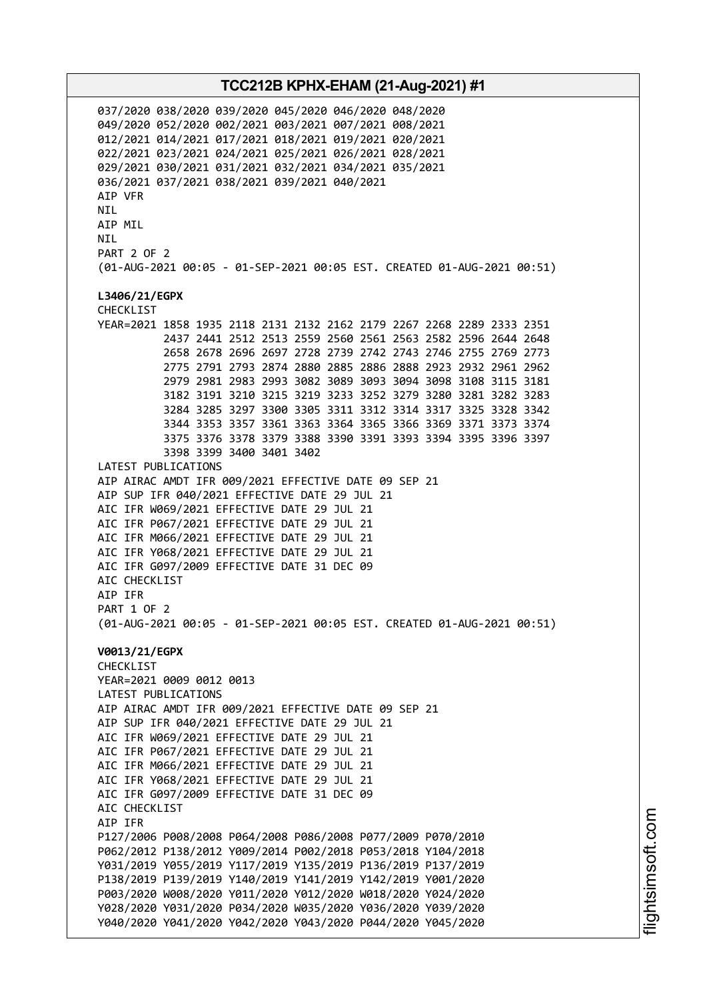037/2020 038/2020 039/2020 045/2020 046/2020 048/2020 049/2020 052/2020 002/2021 003/2021 007/2021 008/2021 012/2021 014/2021 017/2021 018/2021 019/2021 020/2021 022/2021 023/2021 024/2021 025/2021 026/2021 028/2021 029/2021 030/2021 031/2021 032/2021 034/2021 035/2021 036/2021 037/2021 038/2021 039/2021 040/2021 AIP VFR NIL AIP MIL NIL PART 2 OF 2 (01-AUG-2021 00:05 - 01-SEP-2021 00:05 EST. CREATED 01-AUG-2021 00:51) **L3406/21/EGPX** CHECKLIST YEAR=2021 1858 1935 2118 2131 2132 2162 2179 2267 2268 2289 2333 2351 2437 2441 2512 2513 2559 2560 2561 2563 2582 2596 2644 2648 2658 2678 2696 2697 2728 2739 2742 2743 2746 2755 2769 2773 2775 2791 2793 2874 2880 2885 2886 2888 2923 2932 2961 2962 2979 2981 2983 2993 3082 3089 3093 3094 3098 3108 3115 3181 3182 3191 3210 3215 3219 3233 3252 3279 3280 3281 3282 3283 3284 3285 3297 3300 3305 3311 3312 3314 3317 3325 3328 3342 3344 3353 3357 3361 3363 3364 3365 3366 3369 3371 3373 3374 3375 3376 3378 3379 3388 3390 3391 3393 3394 3395 3396 3397 3398 3399 3400 3401 3402 LATEST PUBLICATIONS AIP AIRAC AMDT IFR 009/2021 EFFECTIVE DATE 09 SEP 21 AIP SUP IFR 040/2021 EFFECTIVE DATE 29 JUL 21 AIC IFR W069/2021 EFFECTIVE DATE 29 JUL 21 AIC IFR P067/2021 EFFECTIVE DATE 29 JUL 21 AIC IFR M066/2021 EFFECTIVE DATE 29 JUL 21 AIC IFR Y068/2021 EFFECTIVE DATE 29 JUL 21 AIC IFR G097/2009 EFFECTIVE DATE 31 DEC 09 AIC CHECKLIST AIP IFR PART 1 OF 2 (01-AUG-2021 00:05 - 01-SEP-2021 00:05 EST. CREATED 01-AUG-2021 00:51) **V0013/21/EGPX** CHECKLIST YEAR=2021 0009 0012 0013 LATEST PUBLICATIONS AIP AIRAC AMDT IFR 009/2021 EFFECTIVE DATE 09 SEP 21 AIP SUP IFR 040/2021 EFFECTIVE DATE 29 JUL 21 AIC IFR W069/2021 EFFECTIVE DATE 29 JUL 21 AIC IFR P067/2021 EFFECTIVE DATE 29 JUL 21 AIC IFR M066/2021 EFFECTIVE DATE 29 JUL 21 AIC IFR Y068/2021 EFFECTIVE DATE 29 JUL 21 AIC IFR G097/2009 EFFECTIVE DATE 31 DEC 09 AIC CHECKLIST AIP IFR P127/2006 P008/2008 P064/2008 P086/2008 P077/2009 P070/2010 P062/2012 P138/2012 Y009/2014 P002/2018 P053/2018 Y104/2018 Y031/2019 Y055/2019 Y117/2019 Y135/2019 P136/2019 P137/2019 P138/2019 P139/2019 Y140/2019 Y141/2019 Y142/2019 Y001/2020 P003/2020 W008/2020 Y011/2020 Y012/2020 W018/2020 Y024/2020 Y028/2020 Y031/2020 P034/2020 W035/2020 Y036/2020 Y039/2020 Y040/2020 Y041/2020 Y042/2020 Y043/2020 P044/2020 Y045/2020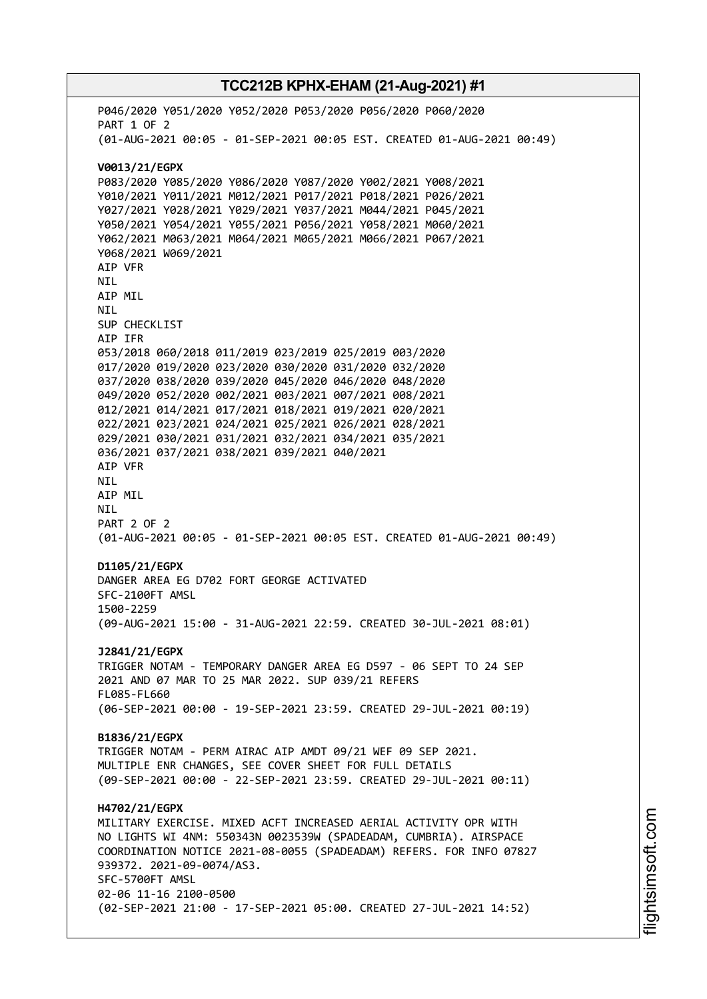## **TCC212B KPHX-EHAM (21-Aug-2021) #1** P046/2020 Y051/2020 Y052/2020 P053/2020 P056/2020 P060/2020 PART 1 OF 2 (01-AUG-2021 00:05 - 01-SEP-2021 00:05 EST. CREATED 01-AUG-2021 00:49) **V0013/21/EGPX** P083/2020 Y085/2020 Y086/2020 Y087/2020 Y002/2021 Y008/2021 Y010/2021 Y011/2021 M012/2021 P017/2021 P018/2021 P026/2021 Y027/2021 Y028/2021 Y029/2021 Y037/2021 M044/2021 P045/2021 Y050/2021 Y054/2021 Y055/2021 P056/2021 Y058/2021 M060/2021 Y062/2021 M063/2021 M064/2021 M065/2021 M066/2021 P067/2021 Y068/2021 W069/2021 AIP VFR NIL AIP MIL NIL SUP CHECKLIST AIP IFR 053/2018 060/2018 011/2019 023/2019 025/2019 003/2020 017/2020 019/2020 023/2020 030/2020 031/2020 032/2020 037/2020 038/2020 039/2020 045/2020 046/2020 048/2020 049/2020 052/2020 002/2021 003/2021 007/2021 008/2021 012/2021 014/2021 017/2021 018/2021 019/2021 020/2021 022/2021 023/2021 024/2021 025/2021 026/2021 028/2021 029/2021 030/2021 031/2021 032/2021 034/2021 035/2021 036/2021 037/2021 038/2021 039/2021 040/2021 AIP VFR NIL AIP MIL NIL PART 2 OF 2 (01-AUG-2021 00:05 - 01-SEP-2021 00:05 EST. CREATED 01-AUG-2021 00:49) **D1105/21/EGPX** DANGER AREA EG D702 FORT GEORGE ACTIVATED SFC-2100FT AMSL 1500-2259 (09-AUG-2021 15:00 - 31-AUG-2021 22:59. CREATED 30-JUL-2021 08:01) **J2841/21/EGPX** TRIGGER NOTAM - TEMPORARY DANGER AREA EG D597 - 06 SEPT TO 24 SEP 2021 AND 07 MAR TO 25 MAR 2022. SUP 039/21 REFERS FL085-FL660 (06-SEP-2021 00:00 - 19-SEP-2021 23:59. CREATED 29-JUL-2021 00:19) **B1836/21/EGPX** TRIGGER NOTAM - PERM AIRAC AIP AMDT 09/21 WEF 09 SEP 2021. MULTIPLE ENR CHANGES, SEE COVER SHEET FOR FULL DETAILS (09-SEP-2021 00:00 - 22-SEP-2021 23:59. CREATED 29-JUL-2021 00:11) **H4702/21/EGPX** MILITARY EXERCISE. MIXED ACFT INCREASED AERIAL ACTIVITY OPR WITH NO LIGHTS WI 4NM: 550343N 0023539W (SPADEADAM, CUMBRIA). AIRSPACE COORDINATION NOTICE 2021-08-0055 (SPADEADAM) REFERS. FOR INFO 07827 939372. 2021-09-0074/AS3. SFC-5700FT AMSL 02-06 11-16 2100-0500

(02-SEP-2021 21:00 - 17-SEP-2021 05:00. CREATED 27-JUL-2021 14:52)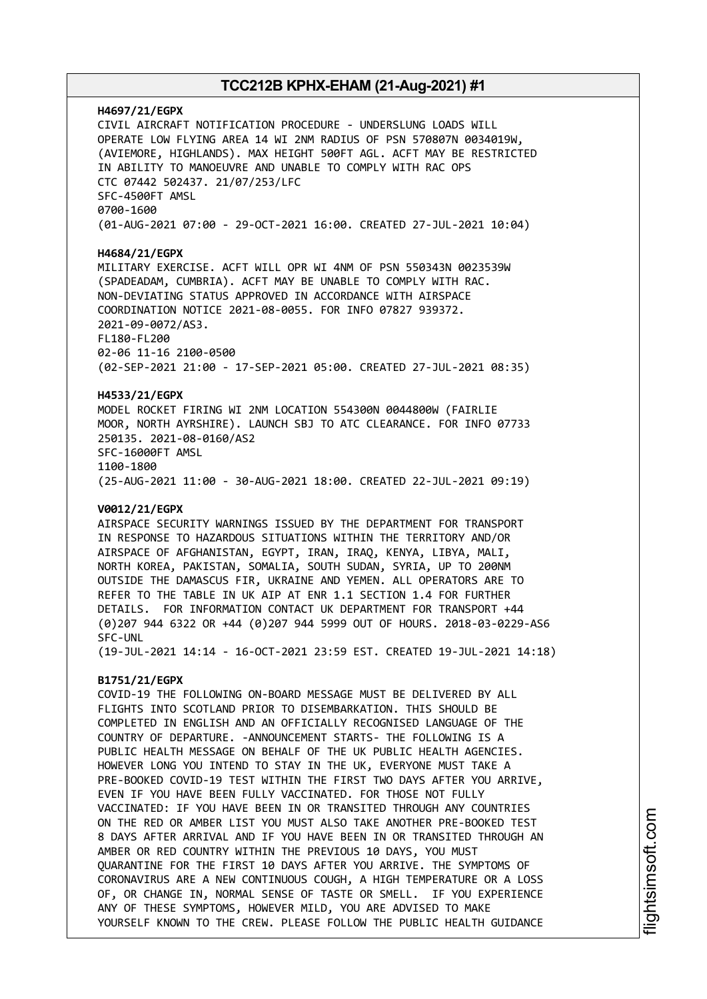## **H4697/21/EGPX** CIVIL AIRCRAFT NOTIFICATION PROCEDURE - UNDERSLUNG LOADS WILL OPERATE LOW FLYING AREA 14 WI 2NM RADIUS OF PSN 570807N 0034019W, (AVIEMORE, HIGHLANDS). MAX HEIGHT 500FT AGL. ACFT MAY BE RESTRICTED IN ABILITY TO MANOEUVRE AND UNABLE TO COMPLY WITH RAC OPS CTC 07442 502437. 21/07/253/LFC SFC-4500FT AMSL 0700-1600 (01-AUG-2021 07:00 - 29-OCT-2021 16:00. CREATED 27-JUL-2021 10:04)

#### **H4684/21/EGPX**

MILITARY EXERCISE. ACFT WILL OPR WI 4NM OF PSN 550343N 0023539W (SPADEADAM, CUMBRIA). ACFT MAY BE UNABLE TO COMPLY WITH RAC. NON-DEVIATING STATUS APPROVED IN ACCORDANCE WITH AIRSPACE COORDINATION NOTICE 2021-08-0055. FOR INFO 07827 939372. 2021-09-0072/AS3. FL180-FL200 02-06 11-16 2100-0500 (02-SEP-2021 21:00 - 17-SEP-2021 05:00. CREATED 27-JUL-2021 08:35)

#### **H4533/21/EGPX**

MODEL ROCKET FIRING WI 2NM LOCATION 554300N 0044800W (FAIRLIE MOOR, NORTH AYRSHIRE). LAUNCH SBJ TO ATC CLEARANCE. FOR INFO 07733 250135. 2021-08-0160/AS2 SFC-16000FT AMSL 1100-1800 (25-AUG-2021 11:00 - 30-AUG-2021 18:00. CREATED 22-JUL-2021 09:19)

#### **V0012/21/EGPX**

AIRSPACE SECURITY WARNINGS ISSUED BY THE DEPARTMENT FOR TRANSPORT IN RESPONSE TO HAZARDOUS SITUATIONS WITHIN THE TERRITORY AND/OR AIRSPACE OF AFGHANISTAN, EGYPT, IRAN, IRAQ, KENYA, LIBYA, MALI, NORTH KOREA, PAKISTAN, SOMALIA, SOUTH SUDAN, SYRIA, UP TO 200NM OUTSIDE THE DAMASCUS FIR, UKRAINE AND YEMEN. ALL OPERATORS ARE TO REFER TO THE TABLE IN UK AIP AT ENR 1.1 SECTION 1.4 FOR FURTHER DETAILS. FOR INFORMATION CONTACT UK DEPARTMENT FOR TRANSPORT +44 (0)207 944 6322 OR +44 (0)207 944 5999 OUT OF HOURS. 2018-03-0229-AS6 SFC-UNL

(19-JUL-2021 14:14 - 16-OCT-2021 23:59 EST. CREATED 19-JUL-2021 14:18)

## **B1751/21/EGPX**

COVID-19 THE FOLLOWING ON-BOARD MESSAGE MUST BE DELIVERED BY ALL FLIGHTS INTO SCOTLAND PRIOR TO DISEMBARKATION. THIS SHOULD BE COMPLETED IN ENGLISH AND AN OFFICIALLY RECOGNISED LANGUAGE OF THE COUNTRY OF DEPARTURE. -ANNOUNCEMENT STARTS- THE FOLLOWING IS A PUBLIC HEALTH MESSAGE ON BEHALF OF THE UK PUBLIC HEALTH AGENCIES. HOWEVER LONG YOU INTEND TO STAY IN THE UK, EVERYONE MUST TAKE A PRE-BOOKED COVID-19 TEST WITHIN THE FIRST TWO DAYS AFTER YOU ARRIVE, EVEN IF YOU HAVE BEEN FULLY VACCINATED. FOR THOSE NOT FULLY VACCINATED: IF YOU HAVE BEEN IN OR TRANSITED THROUGH ANY COUNTRIES ON THE RED OR AMBER LIST YOU MUST ALSO TAKE ANOTHER PRE-BOOKED TEST 8 DAYS AFTER ARRIVAL AND IF YOU HAVE BEEN IN OR TRANSITED THROUGH AN AMBER OR RED COUNTRY WITHIN THE PREVIOUS 10 DAYS, YOU MUST QUARANTINE FOR THE FIRST 10 DAYS AFTER YOU ARRIVE. THE SYMPTOMS OF CORONAVIRUS ARE A NEW CONTINUOUS COUGH, A HIGH TEMPERATURE OR A LOSS OF, OR CHANGE IN, NORMAL SENSE OF TASTE OR SMELL. IF YOU EXPERIENCE ANY OF THESE SYMPTOMS, HOWEVER MILD, YOU ARE ADVISED TO MAKE YOURSELF KNOWN TO THE CREW. PLEASE FOLLOW THE PUBLIC HEALTH GUIDANCE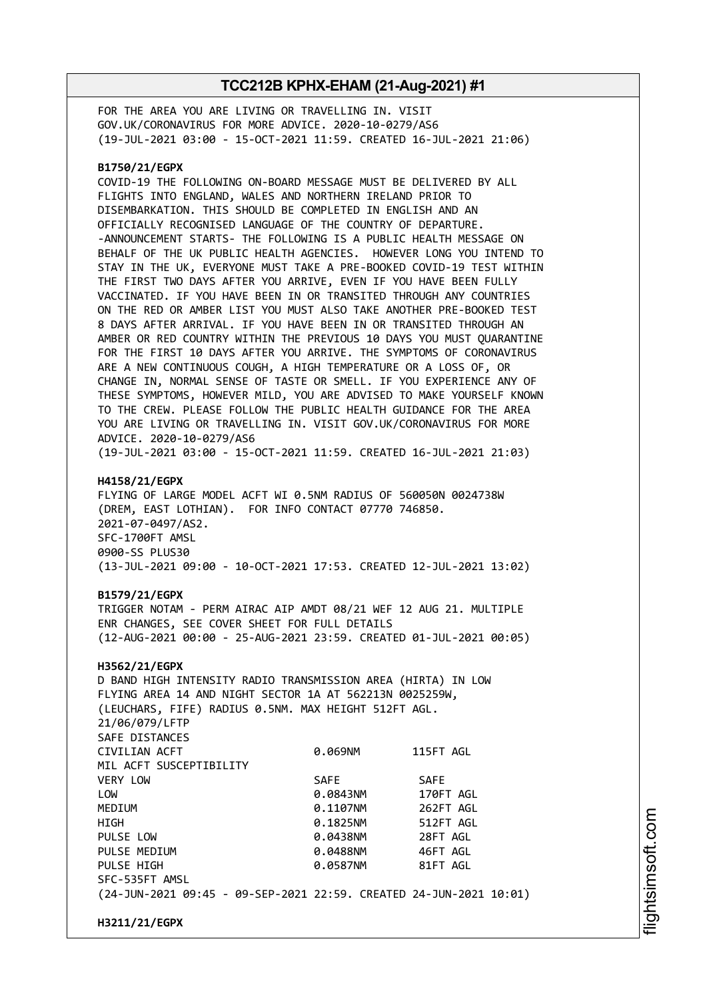FOR THE AREA YOU ARE LIVING OR TRAVELLING IN. VISIT GOV.UK/CORONAVIRUS FOR MORE ADVICE. 2020-10-0279/AS6 (19-JUL-2021 03:00 - 15-OCT-2021 11:59. CREATED 16-JUL-2021 21:06)

#### **B1750/21/EGPX**

COVID-19 THE FOLLOWING ON-BOARD MESSAGE MUST BE DELIVERED BY ALL FLIGHTS INTO ENGLAND, WALES AND NORTHERN IRELAND PRIOR TO DISEMBARKATION. THIS SHOULD BE COMPLETED IN ENGLISH AND AN OFFICIALLY RECOGNISED LANGUAGE OF THE COUNTRY OF DEPARTURE. -ANNOUNCEMENT STARTS- THE FOLLOWING IS A PUBLIC HEALTH MESSAGE ON BEHALF OF THE UK PUBLIC HEALTH AGENCIES. HOWEVER LONG YOU INTEND TO STAY IN THE UK, EVERYONE MUST TAKE A PRE-BOOKED COVID-19 TEST WITHIN THE FIRST TWO DAYS AFTER YOU ARRIVE, EVEN IF YOU HAVE BEEN FULLY VACCINATED. IF YOU HAVE BEEN IN OR TRANSITED THROUGH ANY COUNTRIES ON THE RED OR AMBER LIST YOU MUST ALSO TAKE ANOTHER PRE-BOOKED TEST 8 DAYS AFTER ARRIVAL. IF YOU HAVE BEEN IN OR TRANSITED THROUGH AN AMBER OR RED COUNTRY WITHIN THE PREVIOUS 10 DAYS YOU MUST QUARANTINE FOR THE FIRST 10 DAYS AFTER YOU ARRIVE. THE SYMPTOMS OF CORONAVIRUS ARE A NEW CONTINUOUS COUGH, A HIGH TEMPERATURE OR A LOSS OF, OR CHANGE IN, NORMAL SENSE OF TASTE OR SMELL. IF YOU EXPERIENCE ANY OF THESE SYMPTOMS, HOWEVER MILD, YOU ARE ADVISED TO MAKE YOURSELF KNOWN TO THE CREW. PLEASE FOLLOW THE PUBLIC HEALTH GUIDANCE FOR THE AREA YOU ARE LIVING OR TRAVELLING IN. VISIT GOV.UK/CORONAVIRUS FOR MORE ADVICE. 2020-10-0279/AS6 (19-JUL-2021 03:00 - 15-OCT-2021 11:59. CREATED 16-JUL-2021 21:03)

#### **H4158/21/EGPX**

FLYING OF LARGE MODEL ACFT WI 0.5NM RADIUS OF 560050N 0024738W (DREM, EAST LOTHIAN). FOR INFO CONTACT 07770 746850. 2021-07-0497/AS2. SFC-1700FT AMSL 0900-SS PLUS30 (13-JUL-2021 09:00 - 10-OCT-2021 17:53. CREATED 12-JUL-2021 13:02)

#### **B1579/21/EGPX**

TRIGGER NOTAM - PERM AIRAC AIP AMDT 08/21 WEF 12 AUG 21. MULTIPLE ENR CHANGES, SEE COVER SHEET FOR FULL DETAILS (12-AUG-2021 00:00 - 25-AUG-2021 23:59. CREATED 01-JUL-2021 00:05)

#### **H3562/21/EGPX**

D BAND HIGH INTENSITY RADIO TRANSMISSION AREA (HIRTA) IN LOW FLYING AREA 14 AND NIGHT SECTOR 1A AT 562213N 0025259W, (LEUCHARS, FIFE) RADIUS 0.5NM. MAX HEIGHT 512FT AGL. 21/06/079/LFTP SAFE DISTANCES CIVILIAN ACFT 0.069NM 115FT AGL MIL ACFT SUSCEPTIBILITY VERY LOW SAFE SAFE LOW 0.0843NM 170FT AGL MEDIUM 0.1107NM 262FT AGL HIGH 0.1825NM 512FT AGL PULSE LOW 0.0438NM 28FT AGL PULSE MEDIUM 0.0488NM 46FT AGL PULSE HIGH **DESIGNATION 81FT AGLACI 0.0587NM** 81FT AGL SFC-535FT AMSL (24-JUN-2021 09:45 - 09-SEP-2021 22:59. CREATED 24-JUN-2021 10:01)

**H3211/21/EGPX**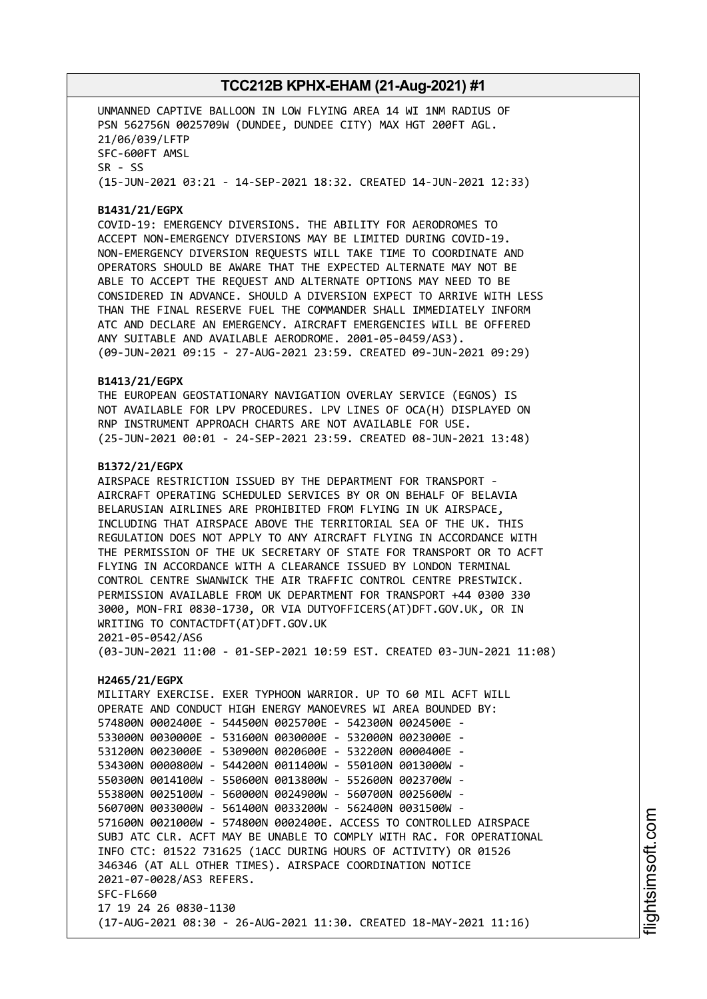UNMANNED CAPTIVE BALLOON IN LOW FLYING AREA 14 WI 1NM RADIUS OF PSN 562756N 0025709W (DUNDEE, DUNDEE CITY) MAX HGT 200FT AGL. 21/06/039/LFTP SFC-600FT AMSL SR - SS (15-JUN-2021 03:21 - 14-SEP-2021 18:32. CREATED 14-JUN-2021 12:33)

#### **B1431/21/EGPX**

COVID-19: EMERGENCY DIVERSIONS. THE ABILITY FOR AERODROMES TO ACCEPT NON-EMERGENCY DIVERSIONS MAY BE LIMITED DURING COVID-19. NON-EMERGENCY DIVERSION REQUESTS WILL TAKE TIME TO COORDINATE AND OPERATORS SHOULD BE AWARE THAT THE EXPECTED ALTERNATE MAY NOT BE ABLE TO ACCEPT THE REQUEST AND ALTERNATE OPTIONS MAY NEED TO BE CONSIDERED IN ADVANCE. SHOULD A DIVERSION EXPECT TO ARRIVE WITH LESS THAN THE FINAL RESERVE FUEL THE COMMANDER SHALL IMMEDIATELY INFORM ATC AND DECLARE AN EMERGENCY. AIRCRAFT EMERGENCIES WILL BE OFFERED ANY SUITABLE AND AVAILABLE AERODROME. 2001-05-0459/AS3). (09-JUN-2021 09:15 - 27-AUG-2021 23:59. CREATED 09-JUN-2021 09:29)

#### **B1413/21/EGPX**

THE EUROPEAN GEOSTATIONARY NAVIGATION OVERLAY SERVICE (EGNOS) IS NOT AVAILABLE FOR LPV PROCEDURES. LPV LINES OF OCA(H) DISPLAYED ON RNP INSTRUMENT APPROACH CHARTS ARE NOT AVAILABLE FOR USE. (25-JUN-2021 00:01 - 24-SEP-2021 23:59. CREATED 08-JUN-2021 13:48)

#### **B1372/21/EGPX**

AIRSPACE RESTRICTION ISSUED BY THE DEPARTMENT FOR TRANSPORT - AIRCRAFT OPERATING SCHEDULED SERVICES BY OR ON BEHALF OF BELAVIA BELARUSIAN AIRLINES ARE PROHIBITED FROM FLYING IN UK AIRSPACE, INCLUDING THAT AIRSPACE ABOVE THE TERRITORIAL SEA OF THE UK. THIS REGULATION DOES NOT APPLY TO ANY AIRCRAFT FLYING IN ACCORDANCE WITH THE PERMISSION OF THE UK SECRETARY OF STATE FOR TRANSPORT OR TO ACFT FLYING IN ACCORDANCE WITH A CLEARANCE ISSUED BY LONDON TERMINAL CONTROL CENTRE SWANWICK THE AIR TRAFFIC CONTROL CENTRE PRESTWICK. PERMISSION AVAILABLE FROM UK DEPARTMENT FOR TRANSPORT +44 0300 330 3000, MON-FRI 0830-1730, OR VIA DUTYOFFICERS(AT)DFT.GOV.UK, OR IN WRITING TO CONTACTDFT(AT)DFT.GOV.UK 2021-05-0542/AS6

(03-JUN-2021 11:00 - 01-SEP-2021 10:59 EST. CREATED 03-JUN-2021 11:08)

#### **H2465/21/EGPX**

MILITARY EXERCISE. EXER TYPHOON WARRIOR. UP TO 60 MIL ACFT WILL OPERATE AND CONDUCT HIGH ENERGY MANOEVRES WI AREA BOUNDED BY: 574800N 0002400E - 544500N 0025700E - 542300N 0024500E - 533000N 0030000E - 531600N 0030000E - 532000N 0023000E - 531200N 0023000E - 530900N 0020600E - 532200N 0000400E - 534300N 0000800W - 544200N 0011400W - 550100N 0013000W - 550300N 0014100W - 550600N 0013800W - 552600N 0023700W - 553800N 0025100W - 560000N 0024900W - 560700N 0025600W - 560700N 0033000W - 561400N 0033200W - 562400N 0031500W - 571600N 0021000W - 574800N 0002400E. ACCESS TO CONTROLLED AIRSPACE SUBJ ATC CLR. ACFT MAY BE UNABLE TO COMPLY WITH RAC. FOR OPERATIONAL INFO CTC: 01522 731625 (1ACC DURING HOURS OF ACTIVITY) OR 01526 346346 (AT ALL OTHER TIMES). AIRSPACE COORDINATION NOTICE 2021-07-0028/AS3 REFERS. SFC-FL660 17 19 24 26 0830-1130 (17-AUG-2021 08:30 - 26-AUG-2021 11:30. CREATED 18-MAY-2021 11:16)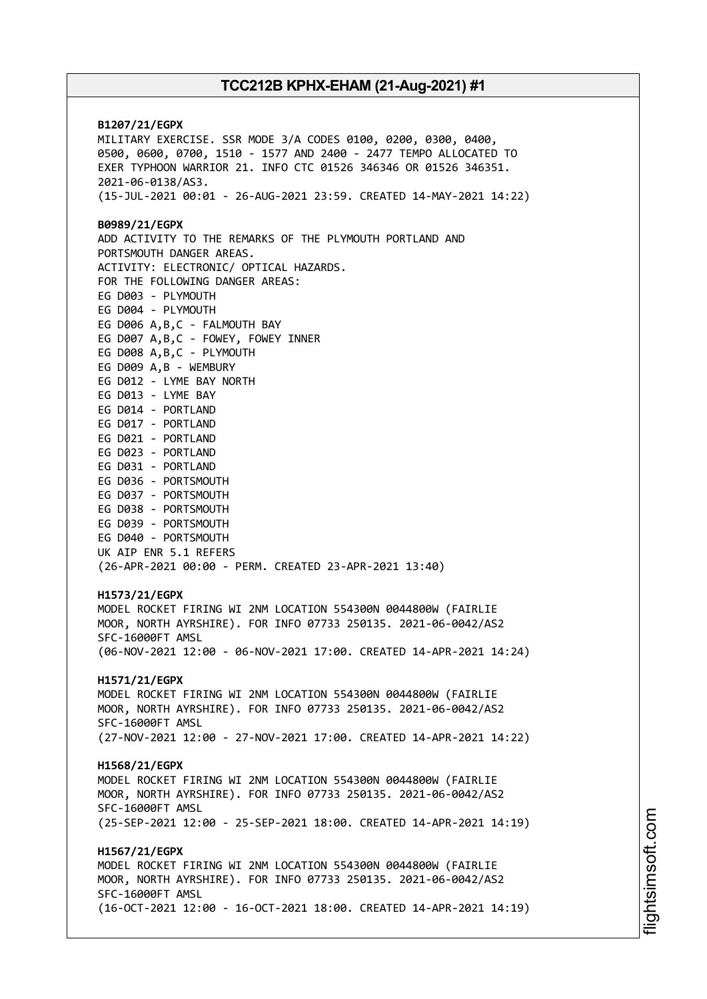**B1207/21/EGPX** MILITARY EXERCISE. SSR MODE 3/A CODES 0100, 0200, 0300, 0400, 0500, 0600, 0700, 1510 - 1577 AND 2400 - 2477 TEMPO ALLOCATED TO EXER TYPHOON WARRIOR 21. INFO CTC 01526 346346 OR 01526 346351. 2021-06-0138/AS3. (15-JUL-2021 00:01 - 26-AUG-2021 23:59. CREATED 14-MAY-2021 14:22) **B0989/21/EGPX** ADD ACTIVITY TO THE REMARKS OF THE PLYMOUTH PORTLAND AND PORTSMOUTH DANGER AREAS. ACTIVITY: ELECTRONIC/ OPTICAL HAZARDS. FOR THE FOLLOWING DANGER AREAS: EG D003 - PLYMOUTH EG D004 - PLYMOUTH EG D006 A,B,C - FALMOUTH BAY EG D007 A,B,C - FOWEY, FOWEY INNER EG D008 A,B,C - PLYMOUTH EG D009 A,B - WEMBURY EG D012 - LYME BAY NORTH EG D013 - LYME BAY EG D014 - PORTLAND EG D017 - PORTLAND EG D021 - PORTLAND EG D023 - PORTLAND EG D031 - PORTLAND EG D036 - PORTSMOUTH EG D037 - PORTSMOUTH EG D038 - PORTSMOUTH EG D039 - PORTSMOUTH EG D040 - PORTSMOUTH UK AIP ENR 5.1 REFERS (26-APR-2021 00:00 - PERM. CREATED 23-APR-2021 13:40) **H1573/21/EGPX** MODEL ROCKET FIRING WI 2NM LOCATION 554300N 0044800W (FAIRLIE MOOR, NORTH AYRSHIRE). FOR INFO 07733 250135. 2021-06-0042/AS2 SFC-16000FT AMSL (06-NOV-2021 12:00 - 06-NOV-2021 17:00. CREATED 14-APR-2021 14:24) **H1571/21/EGPX** MODEL ROCKET FIRING WI 2NM LOCATION 554300N 0044800W (FAIRLIE MOOR, NORTH AYRSHIRE). FOR INFO 07733 250135. 2021-06-0042/AS2 SFC-16000FT AMSL (27-NOV-2021 12:00 - 27-NOV-2021 17:00. CREATED 14-APR-2021 14:22) **H1568/21/EGPX** MODEL ROCKET FIRING WI 2NM LOCATION 554300N 0044800W (FAIRLIE MOOR, NORTH AYRSHIRE). FOR INFO 07733 250135. 2021-06-0042/AS2 SFC-16000FT AMSL (25-SEP-2021 12:00 - 25-SEP-2021 18:00. CREATED 14-APR-2021 14:19) **H1567/21/EGPX** MODEL ROCKET FIRING WI 2NM LOCATION 554300N 0044800W (FAIRLIE MOOR, NORTH AYRSHIRE). FOR INFO 07733 250135. 2021-06-0042/AS2 SFC-16000FT AMSL (16-OCT-2021 12:00 - 16-OCT-2021 18:00. CREATED 14-APR-2021 14:19)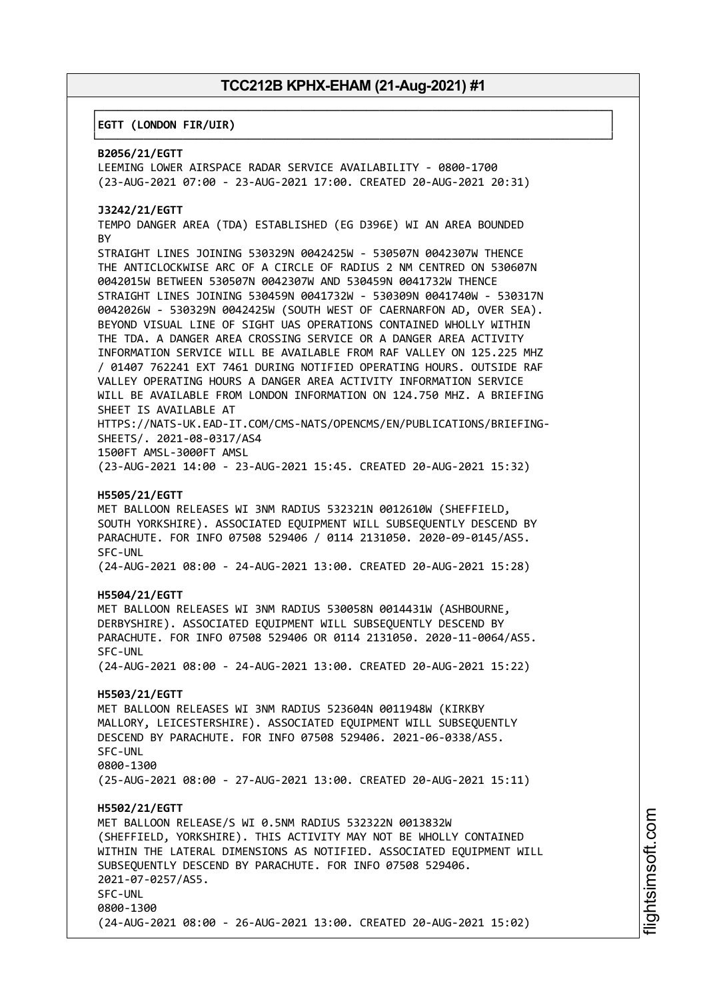┌──────────────────────────────────────────────────────────────────────────────┐

└──────────────────────────────────────────────────────────────────────────────┘

#### │**EGTT (LONDON FIR/UIR)** │

#### **B2056/21/EGTT**

LEEMING LOWER AIRSPACE RADAR SERVICE AVAILABILITY - 0800-1700 (23-AUG-2021 07:00 - 23-AUG-2021 17:00. CREATED 20-AUG-2021 20:31)

#### **J3242/21/EGTT**

TEMPO DANGER AREA (TDA) ESTABLISHED (EG D396E) WI AN AREA BOUNDED **BY** 

STRAIGHT LINES JOINING 530329N 0042425W - 530507N 0042307W THENCE THE ANTICLOCKWISE ARC OF A CIRCLE OF RADIUS 2 NM CENTRED ON 530607N 0042015W BETWEEN 530507N 0042307W AND 530459N 0041732W THENCE STRAIGHT LINES JOINING 530459N 0041732W - 530309N 0041740W - 530317N 0042026W - 530329N 0042425W (SOUTH WEST OF CAERNARFON AD, OVER SEA). BEYOND VISUAL LINE OF SIGHT UAS OPERATIONS CONTAINED WHOLLY WITHIN THE TDA. A DANGER AREA CROSSING SERVICE OR A DANGER AREA ACTIVITY INFORMATION SERVICE WILL BE AVAILABLE FROM RAF VALLEY ON 125.225 MHZ / 01407 762241 EXT 7461 DURING NOTIFIED OPERATING HOURS. OUTSIDE RAF VALLEY OPERATING HOURS A DANGER AREA ACTIVITY INFORMATION SERVICE WILL BE AVAILABLE FROM LONDON INFORMATION ON 124.750 MHZ. A BRIEFING SHEET IS AVAILABLE AT HTTPS://NATS-UK.EAD-IT.COM/CMS-NATS/OPENCMS/EN/PUBLICATIONS/BRIEFING-

SHEETS/. 2021-08-0317/AS4

1500FT AMSL-3000FT AMSL (23-AUG-2021 14:00 - 23-AUG-2021 15:45. CREATED 20-AUG-2021 15:32)

#### **H5505/21/EGTT**

MET BALLOON RELEASES WI 3NM RADIUS 532321N 0012610W (SHEFFIELD, SOUTH YORKSHIRE). ASSOCIATED EQUIPMENT WILL SUBSEQUENTLY DESCEND BY PARACHUTE. FOR INFO 07508 529406 / 0114 2131050. 2020-09-0145/AS5. SFC-UNL

(24-AUG-2021 08:00 - 24-AUG-2021 13:00. CREATED 20-AUG-2021 15:28)

#### **H5504/21/EGTT**

MET BALLOON RELEASES WI 3NM RADIUS 530058N 0014431W (ASHBOURNE, DERBYSHIRE). ASSOCIATED EQUIPMENT WILL SUBSEQUENTLY DESCEND BY PARACHUTE. FOR INFO 07508 529406 OR 0114 2131050. 2020-11-0064/AS5. SFC-UNL

(24-AUG-2021 08:00 - 24-AUG-2021 13:00. CREATED 20-AUG-2021 15:22)

#### **H5503/21/EGTT**

MET BALLOON RELEASES WI 3NM RADIUS 523604N 0011948W (KIRKBY MALLORY, LEICESTERSHIRE). ASSOCIATED EQUIPMENT WILL SUBSEQUENTLY DESCEND BY PARACHUTE. FOR INFO 07508 529406. 2021-06-0338/AS5. SFC-UNL 0800-1300 (25-AUG-2021 08:00 - 27-AUG-2021 13:00. CREATED 20-AUG-2021 15:11)

#### **H5502/21/EGTT**

MET BALLOON RELEASE/S WI 0.5NM RADIUS 532322N 0013832W (SHEFFIELD, YORKSHIRE). THIS ACTIVITY MAY NOT BE WHOLLY CONTAINED WITHIN THE LATERAL DIMENSIONS AS NOTIFIED. ASSOCIATED EQUIPMENT WILL SUBSEQUENTLY DESCEND BY PARACHUTE. FOR INFO 07508 529406. 2021-07-0257/AS5. SFC-UNL 0800-1300 (24-AUG-2021 08:00 - 26-AUG-2021 13:00. CREATED 20-AUG-2021 15:02)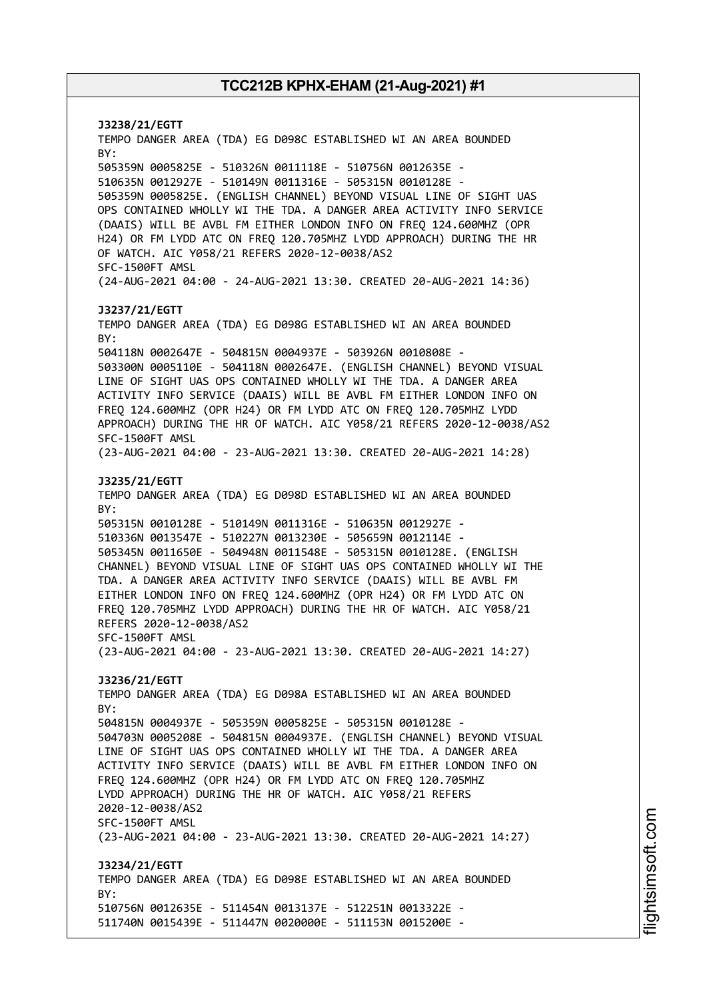**J3238/21/EGTT** TEMPO DANGER AREA (TDA) EG D098C ESTABLISHED WI AN AREA BOUNDED BY: 505359N 0005825E - 510326N 0011118E - 510756N 0012635E - 510635N 0012927E - 510149N 0011316E - 505315N 0010128E - 505359N 0005825E. (ENGLISH CHANNEL) BEYOND VISUAL LINE OF SIGHT UAS OPS CONTAINED WHOLLY WI THE TDA. A DANGER AREA ACTIVITY INFO SERVICE (DAAIS) WILL BE AVBL FM EITHER LONDON INFO ON FREQ 124.600MHZ (OPR H24) OR FM LYDD ATC ON FREQ 120.705MHZ LYDD APPROACH) DURING THE HR OF WATCH. AIC Y058/21 REFERS 2020-12-0038/AS2 SFC-1500FT AMSL (24-AUG-2021 04:00 - 24-AUG-2021 13:30. CREATED 20-AUG-2021 14:36) **J3237/21/EGTT** TEMPO DANGER AREA (TDA) EG D098G ESTABLISHED WI AN AREA BOUNDED BY: 504118N 0002647E - 504815N 0004937E - 503926N 0010808E - 503300N 0005110E - 504118N 0002647E. (ENGLISH CHANNEL) BEYOND VISUAL LINE OF SIGHT UAS OPS CONTAINED WHOLLY WI THE TDA. A DANGER AREA ACTIVITY INFO SERVICE (DAAIS) WILL BE AVBL FM EITHER LONDON INFO ON FREQ 124.600MHZ (OPR H24) OR FM LYDD ATC ON FREQ 120.705MHZ LYDD APPROACH) DURING THE HR OF WATCH. AIC Y058/21 REFERS 2020-12-0038/AS2 SFC-1500FT AMSL (23-AUG-2021 04:00 - 23-AUG-2021 13:30. CREATED 20-AUG-2021 14:28) **J3235/21/EGTT** TEMPO DANGER AREA (TDA) EG D098D ESTABLISHED WI AN AREA BOUNDED BY: 505315N 0010128E - 510149N 0011316E - 510635N 0012927E - 510336N 0013547E - 510227N 0013230E - 505659N 0012114E - 505345N 0011650E - 504948N 0011548E - 505315N 0010128E. (ENGLISH CHANNEL) BEYOND VISUAL LINE OF SIGHT UAS OPS CONTAINED WHOLLY WI THE TDA. A DANGER AREA ACTIVITY INFO SERVICE (DAAIS) WILL BE AVBL FM EITHER LONDON INFO ON FREQ 124.600MHZ (OPR H24) OR FM LYDD ATC ON FREQ 120.705MHZ LYDD APPROACH) DURING THE HR OF WATCH. AIC Y058/21 REFERS 2020-12-0038/AS2 SFC-1500FT AMSL (23-AUG-2021 04:00 - 23-AUG-2021 13:30. CREATED 20-AUG-2021 14:27) **J3236/21/EGTT** TEMPO DANGER AREA (TDA) EG D098A ESTABLISHED WI AN AREA BOUNDED BY: 504815N 0004937E - 505359N 0005825E - 505315N 0010128E - 504703N 0005208E - 504815N 0004937E. (ENGLISH CHANNEL) BEYOND VISUAL LINE OF SIGHT UAS OPS CONTAINED WHOLLY WI THE TDA. A DANGER AREA ACTIVITY INFO SERVICE (DAAIS) WILL BE AVBL FM EITHER LONDON INFO ON FREQ 124.600MHZ (OPR H24) OR FM LYDD ATC ON FREQ 120.705MHZ LYDD APPROACH) DURING THE HR OF WATCH. AIC Y058/21 REFERS 2020-12-0038/AS2 SFC-1500FT AMSL (23-AUG-2021 04:00 - 23-AUG-2021 13:30. CREATED 20-AUG-2021 14:27) **J3234/21/EGTT** TEMPO DANGER AREA (TDA) EG D098E ESTABLISHED WI AN AREA BOUNDED BY: 510756N 0012635E - 511454N 0013137E - 512251N 0013322E - 511740N 0015439E - 511447N 0020000E - 511153N 0015200E -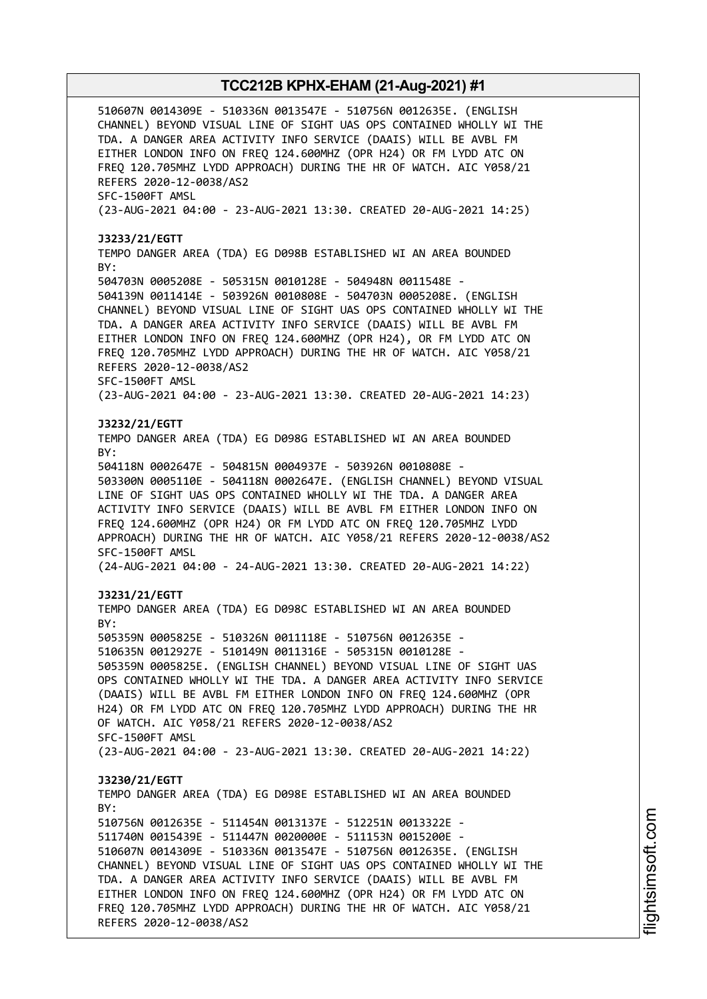510607N 0014309E - 510336N 0013547E - 510756N 0012635E. (ENGLISH CHANNEL) BEYOND VISUAL LINE OF SIGHT UAS OPS CONTAINED WHOLLY WI THE TDA. A DANGER AREA ACTIVITY INFO SERVICE (DAAIS) WILL BE AVBL FM EITHER LONDON INFO ON FREQ 124.600MHZ (OPR H24) OR FM LYDD ATC ON FREQ 120.705MHZ LYDD APPROACH) DURING THE HR OF WATCH. AIC Y058/21 REFERS 2020-12-0038/AS2 SFC-1500FT AMSL (23-AUG-2021 04:00 - 23-AUG-2021 13:30. CREATED 20-AUG-2021 14:25) **J3233/21/EGTT** TEMPO DANGER AREA (TDA) EG D098B ESTABLISHED WI AN AREA BOUNDED BY: 504703N 0005208E - 505315N 0010128E - 504948N 0011548E - 504139N 0011414E - 503926N 0010808E - 504703N 0005208E. (ENGLISH CHANNEL) BEYOND VISUAL LINE OF SIGHT UAS OPS CONTAINED WHOLLY WI THE TDA. A DANGER AREA ACTIVITY INFO SERVICE (DAAIS) WILL BE AVBL FM EITHER LONDON INFO ON FREQ 124.600MHZ (OPR H24), OR FM LYDD ATC ON FREQ 120.705MHZ LYDD APPROACH) DURING THE HR OF WATCH. AIC Y058/21 REFERS 2020-12-0038/AS2 SFC-1500FT AMSL (23-AUG-2021 04:00 - 23-AUG-2021 13:30. CREATED 20-AUG-2021 14:23) **J3232/21/EGTT** TEMPO DANGER AREA (TDA) EG D098G ESTABLISHED WI AN AREA BOUNDED BY: 504118N 0002647E - 504815N 0004937E - 503926N 0010808E - 503300N 0005110E - 504118N 0002647E. (ENGLISH CHANNEL) BEYOND VISUAL LINE OF SIGHT UAS OPS CONTAINED WHOLLY WI THE TDA. A DANGER AREA ACTIVITY INFO SERVICE (DAAIS) WILL BE AVBL FM EITHER LONDON INFO ON FREQ 124.600MHZ (OPR H24) OR FM LYDD ATC ON FREQ 120.705MHZ LYDD APPROACH) DURING THE HR OF WATCH. AIC Y058/21 REFERS 2020-12-0038/AS2 SFC-1500FT AMSL (24-AUG-2021 04:00 - 24-AUG-2021 13:30. CREATED 20-AUG-2021 14:22) **J3231/21/EGTT** TEMPO DANGER AREA (TDA) EG D098C ESTABLISHED WI AN AREA BOUNDED BY: 505359N 0005825E - 510326N 0011118E - 510756N 0012635E - 510635N 0012927E - 510149N 0011316E - 505315N 0010128E - 505359N 0005825E. (ENGLISH CHANNEL) BEYOND VISUAL LINE OF SIGHT UAS OPS CONTAINED WHOLLY WI THE TDA. A DANGER AREA ACTIVITY INFO SERVICE (DAAIS) WILL BE AVBL FM EITHER LONDON INFO ON FREQ 124.600MHZ (OPR H24) OR FM LYDD ATC ON FREQ 120.705MHZ LYDD APPROACH) DURING THE HR OF WATCH. AIC Y058/21 REFERS 2020-12-0038/AS2 SFC-1500FT AMSL (23-AUG-2021 04:00 - 23-AUG-2021 13:30. CREATED 20-AUG-2021 14:22) **J3230/21/EGTT** TEMPO DANGER AREA (TDA) EG D098E ESTABLISHED WI AN AREA BOUNDED BY: 510756N 0012635E - 511454N 0013137E - 512251N 0013322E - 511740N 0015439E - 511447N 0020000E - 511153N 0015200E - 510607N 0014309E - 510336N 0013547E - 510756N 0012635E. (ENGLISH CHANNEL) BEYOND VISUAL LINE OF SIGHT UAS OPS CONTAINED WHOLLY WI THE TDA. A DANGER AREA ACTIVITY INFO SERVICE (DAAIS) WILL BE AVBL FM EITHER LONDON INFO ON FREQ 124.600MHZ (OPR H24) OR FM LYDD ATC ON FREQ 120.705MHZ LYDD APPROACH) DURING THE HR OF WATCH. AIC Y058/21 REFERS 2020-12-0038/AS2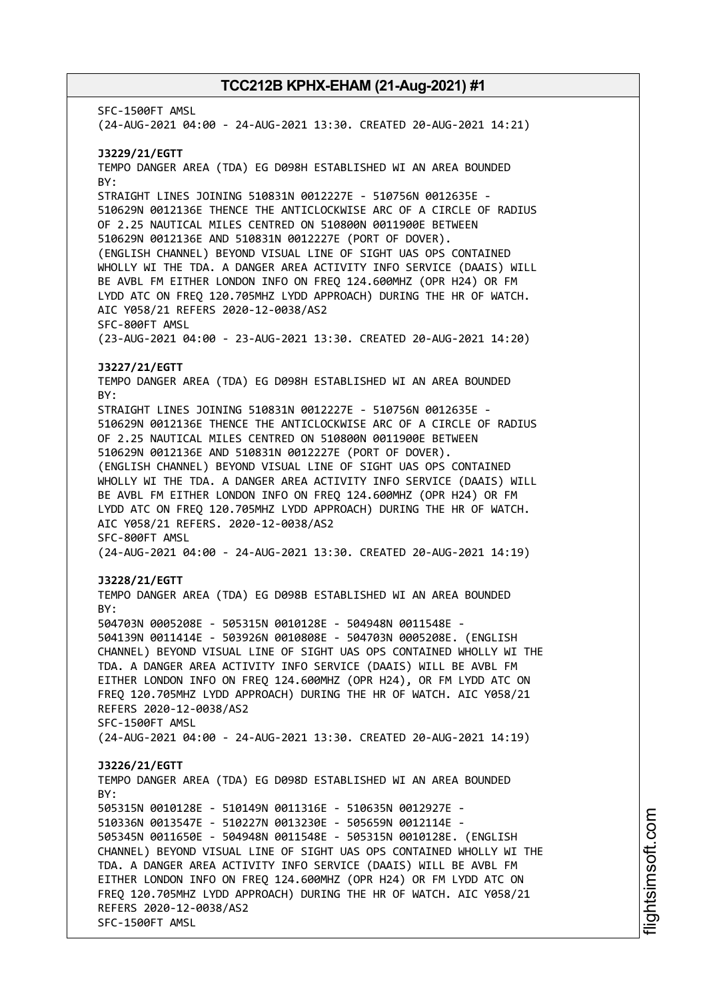SFC-1500FT AMSL (24-AUG-2021 04:00 - 24-AUG-2021 13:30. CREATED 20-AUG-2021 14:21) **J3229/21/EGTT** TEMPO DANGER AREA (TDA) EG D098H ESTABLISHED WI AN AREA BOUNDED BY: STRAIGHT LINES JOINING 510831N 0012227E - 510756N 0012635E - 510629N 0012136E THENCE THE ANTICLOCKWISE ARC OF A CIRCLE OF RADIUS OF 2.25 NAUTICAL MILES CENTRED ON 510800N 0011900E BETWEEN 510629N 0012136E AND 510831N 0012227E (PORT OF DOVER). (ENGLISH CHANNEL) BEYOND VISUAL LINE OF SIGHT UAS OPS CONTAINED WHOLLY WI THE TDA. A DANGER AREA ACTIVITY INFO SERVICE (DAAIS) WILL BE AVBL FM EITHER LONDON INFO ON FREQ 124.600MHZ (OPR H24) OR FM LYDD ATC ON FREQ 120.705MHZ LYDD APPROACH) DURING THE HR OF WATCH. AIC Y058/21 REFERS 2020-12-0038/AS2 SFC-800FT AMSL (23-AUG-2021 04:00 - 23-AUG-2021 13:30. CREATED 20-AUG-2021 14:20) **J3227/21/EGTT** TEMPO DANGER AREA (TDA) EG D098H ESTABLISHED WI AN AREA BOUNDED BY: STRAIGHT LINES JOINING 510831N 0012227E - 510756N 0012635E - 510629N 0012136E THENCE THE ANTICLOCKWISE ARC OF A CIRCLE OF RADIUS OF 2.25 NAUTICAL MILES CENTRED ON 510800N 0011900E BETWEEN 510629N 0012136E AND 510831N 0012227E (PORT OF DOVER). (ENGLISH CHANNEL) BEYOND VISUAL LINE OF SIGHT UAS OPS CONTAINED WHOLLY WI THE TDA. A DANGER AREA ACTIVITY INFO SERVICE (DAAIS) WILL BE AVBL FM EITHER LONDON INFO ON FREQ 124.600MHZ (OPR H24) OR FM LYDD ATC ON FREQ 120.705MHZ LYDD APPROACH) DURING THE HR OF WATCH. AIC Y058/21 REFERS. 2020-12-0038/AS2 SFC-800FT AMSL (24-AUG-2021 04:00 - 24-AUG-2021 13:30. CREATED 20-AUG-2021 14:19) **J3228/21/EGTT** TEMPO DANGER AREA (TDA) EG D098B ESTABLISHED WI AN AREA BOUNDED BY: 504703N 0005208E - 505315N 0010128E - 504948N 0011548E - 504139N 0011414E - 503926N 0010808E - 504703N 0005208E. (ENGLISH CHANNEL) BEYOND VISUAL LINE OF SIGHT UAS OPS CONTAINED WHOLLY WI THE TDA. A DANGER AREA ACTIVITY INFO SERVICE (DAAIS) WILL BE AVBL FM EITHER LONDON INFO ON FREQ 124.600MHZ (OPR H24), OR FM LYDD ATC ON FREQ 120.705MHZ LYDD APPROACH) DURING THE HR OF WATCH. AIC Y058/21 REFERS 2020-12-0038/AS2 SFC-1500FT AMSL (24-AUG-2021 04:00 - 24-AUG-2021 13:30. CREATED 20-AUG-2021 14:19) **J3226/21/EGTT** TEMPO DANGER AREA (TDA) EG D098D ESTABLISHED WI AN AREA BOUNDED  $RY$ 505315N 0010128E - 510149N 0011316E - 510635N 0012927E - 510336N 0013547E - 510227N 0013230E - 505659N 0012114E - 505345N 0011650E - 504948N 0011548E - 505315N 0010128E. (ENGLISH CHANNEL) BEYOND VISUAL LINE OF SIGHT UAS OPS CONTAINED WHOLLY WI THE TDA. A DANGER AREA ACTIVITY INFO SERVICE (DAAIS) WILL BE AVBL FM EITHER LONDON INFO ON FREQ 124.600MHZ (OPR H24) OR FM LYDD ATC ON FREQ 120.705MHZ LYDD APPROACH) DURING THE HR OF WATCH. AIC Y058/21 REFERS 2020-12-0038/AS2 SFC-1500FT AMSL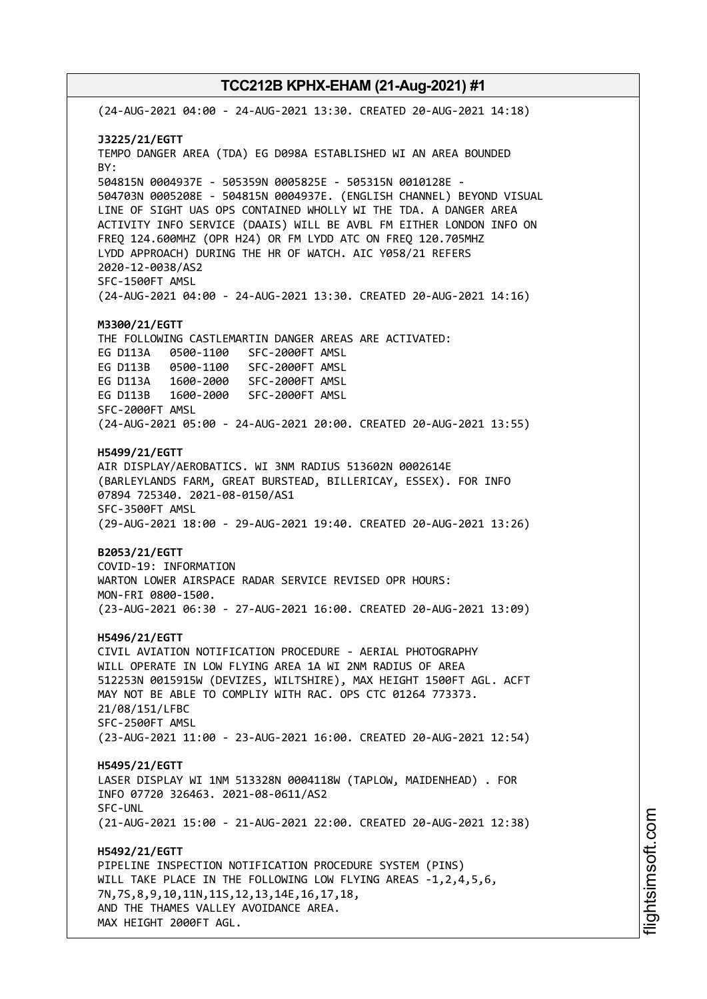(24-AUG-2021 04:00 - 24-AUG-2021 13:30. CREATED 20-AUG-2021 14:18) **J3225/21/EGTT** TEMPO DANGER AREA (TDA) EG D098A ESTABLISHED WI AN AREA BOUNDED BY: 504815N 0004937E - 505359N 0005825E - 505315N 0010128E - 504703N 0005208E - 504815N 0004937E. (ENGLISH CHANNEL) BEYOND VISUAL LINE OF SIGHT UAS OPS CONTAINED WHOLLY WI THE TDA. A DANGER AREA ACTIVITY INFO SERVICE (DAAIS) WILL BE AVBL FM EITHER LONDON INFO ON FREQ 124.600MHZ (OPR H24) OR FM LYDD ATC ON FREQ 120.705MHZ LYDD APPROACH) DURING THE HR OF WATCH. AIC Y058/21 REFERS 2020-12-0038/AS2 SFC-1500FT AMSL (24-AUG-2021 04:00 - 24-AUG-2021 13:30. CREATED 20-AUG-2021 14:16) **M3300/21/EGTT** THE FOLLOWING CASTLEMARTIN DANGER AREAS ARE ACTIVATED: EG D113A 0500-1100 SFC-2000FT AMSL EG D113B 0500-1100 SFC-2000FT AMSL EG D113A 1600-2000 SFC-2000FT AMSL EG D113B 1600-2000 SFC-2000FT AMSL SFC-2000FT AMSL (24-AUG-2021 05:00 - 24-AUG-2021 20:00. CREATED 20-AUG-2021 13:55) **H5499/21/EGTT** AIR DISPLAY/AEROBATICS. WI 3NM RADIUS 513602N 0002614E (BARLEYLANDS FARM, GREAT BURSTEAD, BILLERICAY, ESSEX). FOR INFO 07894 725340. 2021-08-0150/AS1 SFC-3500FT AMSL (29-AUG-2021 18:00 - 29-AUG-2021 19:40. CREATED 20-AUG-2021 13:26) **B2053/21/EGTT** COVID-19: INFORMATION WARTON LOWER AIRSPACE RADAR SERVICE REVISED OPR HOURS: MON-FRI 0800-1500. (23-AUG-2021 06:30 - 27-AUG-2021 16:00. CREATED 20-AUG-2021 13:09) **H5496/21/EGTT** CIVIL AVIATION NOTIFICATION PROCEDURE - AERIAL PHOTOGRAPHY WILL OPERATE IN LOW FLYING AREA 1A WI 2NM RADIUS OF AREA 512253N 0015915W (DEVIZES, WILTSHIRE), MAX HEIGHT 1500FT AGL. ACFT MAY NOT BE ABLE TO COMPLIY WITH RAC. OPS CTC 01264 773373. 21/08/151/LFBC SFC-2500FT AMSL (23-AUG-2021 11:00 - 23-AUG-2021 16:00. CREATED 20-AUG-2021 12:54) **H5495/21/EGTT** LASER DISPLAY WI 1NM 513328N 0004118W (TAPLOW, MAIDENHEAD) . FOR INFO 07720 326463. 2021-08-0611/AS2 SFC-UNL (21-AUG-2021 15:00 - 21-AUG-2021 22:00. CREATED 20-AUG-2021 12:38) **H5492/21/EGTT** PIPELINE INSPECTION NOTIFICATION PROCEDURE SYSTEM (PINS) WILL TAKE PLACE IN THE FOLLOWING LOW FLYING AREAS -1,2,4,5,6, 7N,7S,8,9,10,11N,11S,12,13,14E,16,17,18, AND THE THAMES VALLEY AVOIDANCE AREA. MAX HEIGHT 2000FT AGL.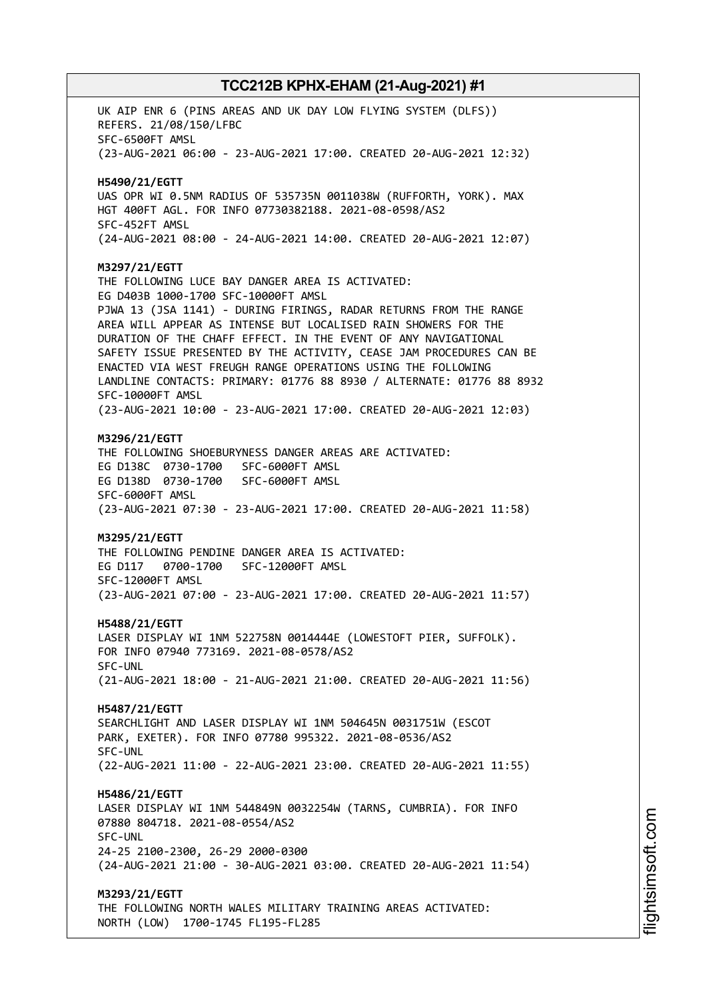UK AIP ENR 6 (PINS AREAS AND UK DAY LOW FLYING SYSTEM (DLFS)) REFERS. 21/08/150/LFBC SFC-6500FT AMSL (23-AUG-2021 06:00 - 23-AUG-2021 17:00. CREATED 20-AUG-2021 12:32) **H5490/21/EGTT** UAS OPR WI 0.5NM RADIUS OF 535735N 0011038W (RUFFORTH, YORK). MAX HGT 400FT AGL. FOR INFO 07730382188. 2021-08-0598/AS2 SFC-452FT AMSL (24-AUG-2021 08:00 - 24-AUG-2021 14:00. CREATED 20-AUG-2021 12:07) **M3297/21/EGTT** THE FOLLOWING LUCE BAY DANGER AREA IS ACTIVATED: EG D403B 1000-1700 SFC-10000FT AMSL PJWA 13 (JSA 1141) - DURING FIRINGS, RADAR RETURNS FROM THE RANGE AREA WILL APPEAR AS INTENSE BUT LOCALISED RAIN SHOWERS FOR THE DURATION OF THE CHAFF EFFECT. IN THE EVENT OF ANY NAVIGATIONAL SAFETY ISSUE PRESENTED BY THE ACTIVITY, CEASE JAM PROCEDURES CAN BE ENACTED VIA WEST FREUGH RANGE OPERATIONS USING THE FOLLOWING LANDLINE CONTACTS: PRIMARY: 01776 88 8930 / ALTERNATE: 01776 88 8932 SFC-10000FT AMSL (23-AUG-2021 10:00 - 23-AUG-2021 17:00. CREATED 20-AUG-2021 12:03) **M3296/21/EGTT** THE FOLLOWING SHOEBURYNESS DANGER AREAS ARE ACTIVATED: EG D138C 0730-1700 SFC-6000FT AMSL EG D138D 0730-1700 SFC-6000FT AMSL SFC-6000FT AMSL (23-AUG-2021 07:30 - 23-AUG-2021 17:00. CREATED 20-AUG-2021 11:58) **M3295/21/EGTT** THE FOLLOWING PENDINE DANGER AREA IS ACTIVATED: EG D117 0700-1700 SFC-12000FT AMSL SFC-12000FT AMSL (23-AUG-2021 07:00 - 23-AUG-2021 17:00. CREATED 20-AUG-2021 11:57) **H5488/21/EGTT** LASER DISPLAY WI 1NM 522758N 0014444E (LOWESTOFT PIER, SUFFOLK). FOR INFO 07940 773169. 2021-08-0578/AS2 SFC-UNL (21-AUG-2021 18:00 - 21-AUG-2021 21:00. CREATED 20-AUG-2021 11:56) **H5487/21/EGTT** SEARCHLIGHT AND LASER DISPLAY WI 1NM 504645N 0031751W (ESCOT PARK, EXETER). FOR INFO 07780 995322. 2021-08-0536/AS2 SFC-UNL (22-AUG-2021 11:00 - 22-AUG-2021 23:00. CREATED 20-AUG-2021 11:55) **H5486/21/EGTT** LASER DISPLAY WI 1NM 544849N 0032254W (TARNS, CUMBRIA). FOR INFO 07880 804718. 2021-08-0554/AS2 SFC-UNL 24-25 2100-2300, 26-29 2000-0300 (24-AUG-2021 21:00 - 30-AUG-2021 03:00. CREATED 20-AUG-2021 11:54) **M3293/21/EGTT** THE FOLLOWING NORTH WALES MILITARY TRAINING AREAS ACTIVATED: NORTH (LOW) 1700-1745 FL195-FL285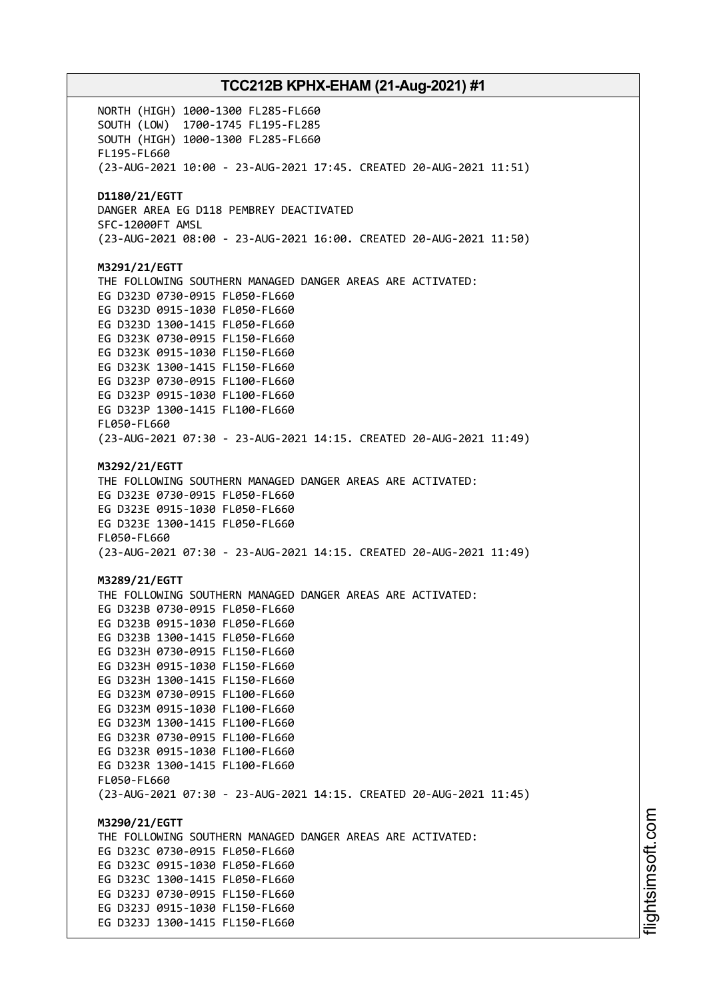NORTH (HIGH) 1000-1300 FL285-FL660 SOUTH (LOW) 1700-1745 FL195-FL285 SOUTH (HIGH) 1000-1300 FL285-FL660 FL195-FL660 (23-AUG-2021 10:00 - 23-AUG-2021 17:45. CREATED 20-AUG-2021 11:51) **D1180/21/EGTT** DANGER AREA EG D118 PEMBREY DEACTIVATED SFC-12000FT AMSL (23-AUG-2021 08:00 - 23-AUG-2021 16:00. CREATED 20-AUG-2021 11:50) **M3291/21/EGTT** THE FOLLOWING SOUTHERN MANAGED DANGER AREAS ARE ACTIVATED: EG D323D 0730-0915 FL050-FL660 EG D323D 0915-1030 FL050-FL660 EG D323D 1300-1415 FL050-FL660 EG D323K 0730-0915 FL150-FL660 EG D323K 0915-1030 FL150-FL660 EG D323K 1300-1415 FL150-FL660 EG D323P 0730-0915 FL100-FL660 EG D323P 0915-1030 FL100-FL660 EG D323P 1300-1415 FL100-FL660 FL050-FL660 (23-AUG-2021 07:30 - 23-AUG-2021 14:15. CREATED 20-AUG-2021 11:49) **M3292/21/EGTT** THE FOLLOWING SOUTHERN MANAGED DANGER AREAS ARE ACTIVATED: EG D323E 0730-0915 FL050-FL660 EG D323E 0915-1030 FL050-FL660 EG D323E 1300-1415 FL050-FL660 FL050-FL660 (23-AUG-2021 07:30 - 23-AUG-2021 14:15. CREATED 20-AUG-2021 11:49) **M3289/21/EGTT** THE FOLLOWING SOUTHERN MANAGED DANGER AREAS ARE ACTIVATED: EG D323B 0730-0915 FL050-FL660 EG D323B 0915-1030 FL050-FL660 EG D323B 1300-1415 FL050-FL660 EG D323H 0730-0915 FL150-FL660 EG D323H 0915-1030 FL150-FL660 EG D323H 1300-1415 FL150-FL660 EG D323M 0730-0915 FL100-FL660 EG D323M 0915-1030 FL100-FL660 EG D323M 1300-1415 FL100-FL660 EG D323R 0730-0915 FL100-FL660 EG D323R 0915-1030 FL100-FL660 EG D323R 1300-1415 FL100-FL660 FL050-FL660 (23-AUG-2021 07:30 - 23-AUG-2021 14:15. CREATED 20-AUG-2021 11:45) **M3290/21/EGTT** THE FOLLOWING SOUTHERN MANAGED DANGER AREAS ARE ACTIVATED: EG D323C 0730-0915 FL050-FL660 EG D323C 0915-1030 FL050-FL660 EG D323C 1300-1415 FL050-FL660 EG D323J 0730-0915 FL150-FL660 EG D323J 0915-1030 FL150-FL660 EG D323J 1300-1415 FL150-FL660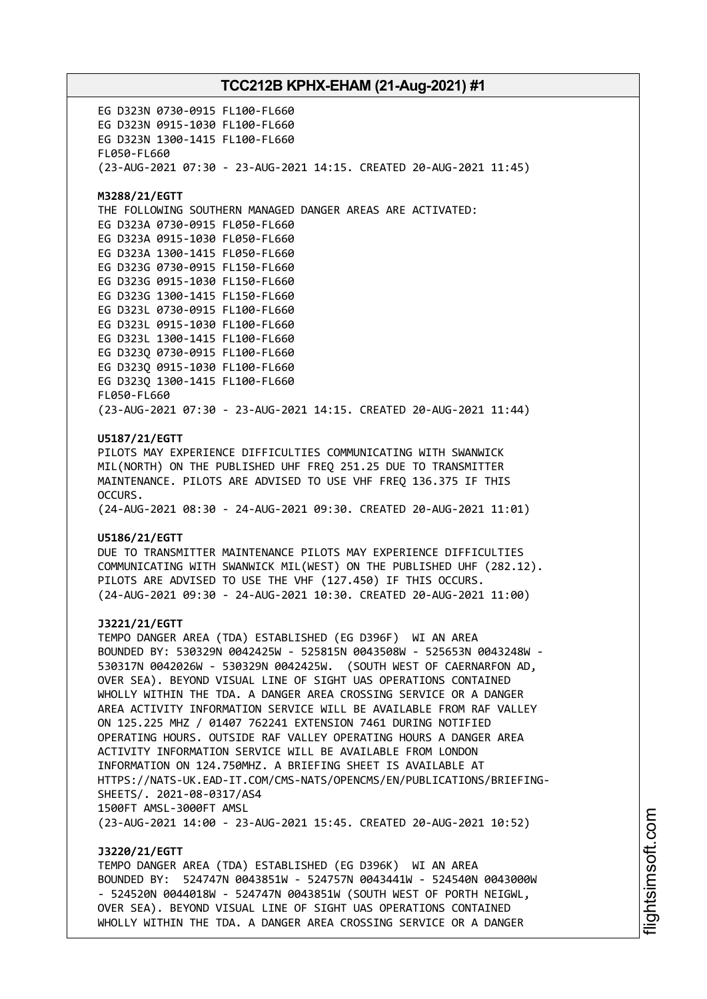EG D323N 0730-0915 FL100-FL660 EG D323N 0915-1030 FL100-FL660 EG D323N 1300-1415 FL100-FL660 FL050-FL660 (23-AUG-2021 07:30 - 23-AUG-2021 14:15. CREATED 20-AUG-2021 11:45) **M3288/21/EGTT** THE FOLLOWING SOUTHERN MANAGED DANGER AREAS ARE ACTIVATED: EG D323A 0730-0915 FL050-FL660 EG D323A 0915-1030 FL050-FL660 EG D323A 1300-1415 FL050-FL660 EG D323G 0730-0915 FL150-FL660 EG D323G 0915-1030 FL150-FL660 EG D323G 1300-1415 FL150-FL660 EG D323L 0730-0915 FL100-FL660 EG D323L 0915-1030 FL100-FL660 EG D323L 1300-1415 FL100-FL660 EG D323Q 0730-0915 FL100-FL660 EG D323Q 0915-1030 FL100-FL660 EG D323Q 1300-1415 FL100-FL660 FL050-FL660 (23-AUG-2021 07:30 - 23-AUG-2021 14:15. CREATED 20-AUG-2021 11:44) **U5187/21/EGTT** PILOTS MAY EXPERIENCE DIFFICULTIES COMMUNICATING WITH SWANWICK MIL(NORTH) ON THE PUBLISHED UHF FREQ 251.25 DUE TO TRANSMITTER MAINTENANCE. PILOTS ARE ADVISED TO USE VHF FREQ 136.375 IF THIS OCCURS. (24-AUG-2021 08:30 - 24-AUG-2021 09:30. CREATED 20-AUG-2021 11:01) **U5186/21/EGTT** DUE TO TRANSMITTER MAINTENANCE PILOTS MAY EXPERIENCE DIFFICULTIES COMMUNICATING WITH SWANWICK MIL(WEST) ON THE PUBLISHED UHF (282.12). PILOTS ARE ADVISED TO USE THE VHF (127.450) IF THIS OCCURS. (24-AUG-2021 09:30 - 24-AUG-2021 10:30. CREATED 20-AUG-2021 11:00) **J3221/21/EGTT** TEMPO DANGER AREA (TDA) ESTABLISHED (EG D396F) WI AN AREA BOUNDED BY: 530329N 0042425W - 525815N 0043508W - 525653N 0043248W - 530317N 0042026W - 530329N 0042425W. (SOUTH WEST OF CAERNARFON AD, OVER SEA). BEYOND VISUAL LINE OF SIGHT UAS OPERATIONS CONTAINED WHOLLY WITHIN THE TDA. A DANGER AREA CROSSING SERVICE OR A DANGER AREA ACTIVITY INFORMATION SERVICE WILL BE AVAILABLE FROM RAF VALLEY ON 125.225 MHZ / 01407 762241 EXTENSION 7461 DURING NOTIFIED OPERATING HOURS. OUTSIDE RAF VALLEY OPERATING HOURS A DANGER AREA ACTIVITY INFORMATION SERVICE WILL BE AVAILABLE FROM LONDON INFORMATION ON 124.750MHZ. A BRIEFING SHEET IS AVAILABLE AT HTTPS://NATS-UK.EAD-IT.COM/CMS-NATS/OPENCMS/EN/PUBLICATIONS/BRIEFING-SHEETS/. 2021-08-0317/AS4 1500FT AMSL-3000FT AMSL (23-AUG-2021 14:00 - 23-AUG-2021 15:45. CREATED 20-AUG-2021 10:52) **J3220/21/EGTT**

TEMPO DANGER AREA (TDA) ESTABLISHED (EG D396K) WI AN AREA BOUNDED BY: 524747N 0043851W - 524757N 0043441W - 524540N 0043000W - 524520N 0044018W - 524747N 0043851W (SOUTH WEST OF PORTH NEIGWL, OVER SEA). BEYOND VISUAL LINE OF SIGHT UAS OPERATIONS CONTAINED WHOLLY WITHIN THE TDA. A DANGER AREA CROSSING SERVICE OR A DANGER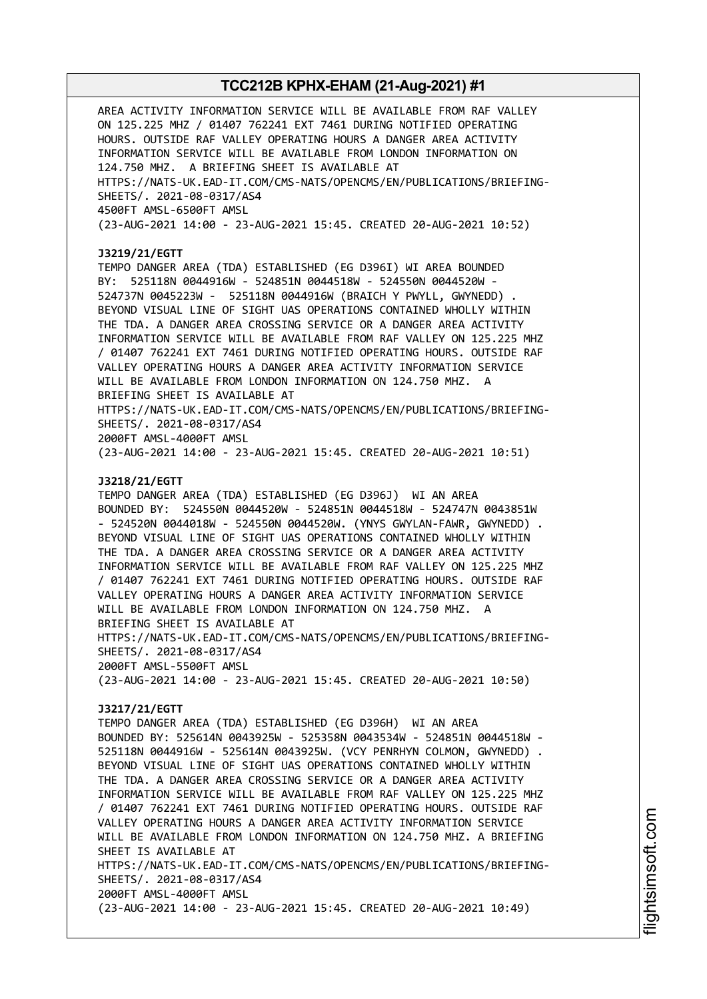AREA ACTIVITY INFORMATION SERVICE WILL BE AVAILABLE FROM RAF VALLEY ON 125.225 MHZ / 01407 762241 EXT 7461 DURING NOTIFIED OPERATING HOURS. OUTSIDE RAF VALLEY OPERATING HOURS A DANGER AREA ACTIVITY INFORMATION SERVICE WILL BE AVAILABLE FROM LONDON INFORMATION ON 124.750 MHZ. A BRIEFING SHEET IS AVAILABLE AT HTTPS://NATS-UK.EAD-IT.COM/CMS-NATS/OPENCMS/EN/PUBLICATIONS/BRIEFING-SHEETS/. 2021-08-0317/AS4 4500FT AMSL-6500FT AMSL (23-AUG-2021 14:00 - 23-AUG-2021 15:45. CREATED 20-AUG-2021 10:52) **J3219/21/EGTT** TEMPO DANGER AREA (TDA) ESTABLISHED (EG D396I) WI AREA BOUNDED BY: 525118N 0044916W - 524851N 0044518W - 524550N 0044520W - 524737N 0045223W - 525118N 0044916W (BRAICH Y PWYLL, GWYNEDD) . BEYOND VISUAL LINE OF SIGHT UAS OPERATIONS CONTAINED WHOLLY WITHIN THE TDA. A DANGER AREA CROSSING SERVICE OR A DANGER AREA ACTIVITY INFORMATION SERVICE WILL BE AVAILABLE FROM RAF VALLEY ON 125.225 MHZ / 01407 762241 EXT 7461 DURING NOTIFIED OPERATING HOURS. OUTSIDE RAF VALLEY OPERATING HOURS A DANGER AREA ACTIVITY INFORMATION SERVICE WILL BE AVAILABLE FROM LONDON INFORMATION ON 124.750 MHZ. A BRIEFING SHEET IS AVAILABLE AT HTTPS://NATS-UK.EAD-IT.COM/CMS-NATS/OPENCMS/EN/PUBLICATIONS/BRIEFING-SHEETS/. 2021-08-0317/AS4 2000FT AMSL-4000FT AMSL (23-AUG-2021 14:00 - 23-AUG-2021 15:45. CREATED 20-AUG-2021 10:51) **J3218/21/EGTT** TEMPO DANGER AREA (TDA) ESTABLISHED (EG D396J) WI AN AREA BOUNDED BY: 524550N 0044520W - 524851N 0044518W - 524747N 0043851W - 524520N 0044018W - 524550N 0044520W. (YNYS GWYLAN-FAWR, GWYNEDD) . BEYOND VISUAL LINE OF SIGHT UAS OPERATIONS CONTAINED WHOLLY WITHIN THE TDA. A DANGER AREA CROSSING SERVICE OR A DANGER AREA ACTIVITY INFORMATION SERVICE WILL BE AVAILABLE FROM RAF VALLEY ON 125.225 MHZ / 01407 762241 EXT 7461 DURING NOTIFIED OPERATING HOURS. OUTSIDE RAF VALLEY OPERATING HOURS A DANGER AREA ACTIVITY INFORMATION SERVICE WILL BE AVAILABLE FROM LONDON INFORMATION ON 124.750 MHZ. A BRIEFING SHEET IS AVAILABLE AT HTTPS://NATS-UK.EAD-IT.COM/CMS-NATS/OPENCMS/EN/PUBLICATIONS/BRIEFING-SHEETS/. 2021-08-0317/AS4 2000FT AMSL-5500FT AMSL (23-AUG-2021 14:00 - 23-AUG-2021 15:45. CREATED 20-AUG-2021 10:50) **J3217/21/EGTT** TEMPO DANGER AREA (TDA) ESTABLISHED (EG D396H) WI AN AREA BOUNDED BY: 525614N 0043925W - 525358N 0043534W - 524851N 0044518W - 525118N 0044916W - 525614N 0043925W. (VCY PENRHYN COLMON, GWYNEDD) . BEYOND VISUAL LINE OF SIGHT UAS OPERATIONS CONTAINED WHOLLY WITHIN THE TDA. A DANGER AREA CROSSING SERVICE OR A DANGER AREA ACTIVITY INFORMATION SERVICE WILL BE AVAILABLE FROM RAF VALLEY ON 125.225 MHZ / 01407 762241 EXT 7461 DURING NOTIFIED OPERATING HOURS. OUTSIDE RAF VALLEY OPERATING HOURS A DANGER AREA ACTIVITY INFORMATION SERVICE WILL BE AVAILABLE FROM LONDON INFORMATION ON 124.750 MHZ. A BRIEFING SHEET IS AVAILABLE AT HTTPS://NATS-UK.EAD-IT.COM/CMS-NATS/OPENCMS/EN/PUBLICATIONS/BRIEFING-SHEETS/. 2021-08-0317/AS4 2000FT AMSL-4000FT AMSL (23-AUG-2021 14:00 - 23-AUG-2021 15:45. CREATED 20-AUG-2021 10:49)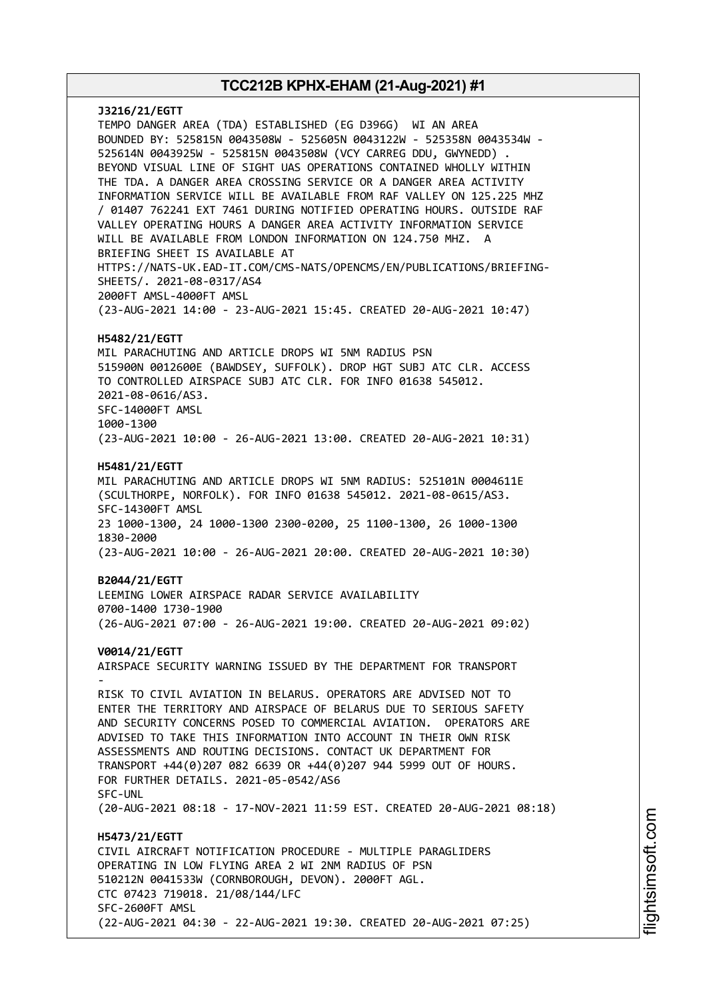**J3216/21/EGTT** TEMPO DANGER AREA (TDA) ESTABLISHED (EG D396G) WI AN AREA BOUNDED BY: 525815N 0043508W - 525605N 0043122W - 525358N 0043534W - 525614N 0043925W - 525815N 0043508W (VCY CARREG DDU, GWYNEDD) . BEYOND VISUAL LINE OF SIGHT UAS OPERATIONS CONTAINED WHOLLY WITHIN THE TDA. A DANGER AREA CROSSING SERVICE OR A DANGER AREA ACTIVITY INFORMATION SERVICE WILL BE AVAILABLE FROM RAF VALLEY ON 125.225 MHZ / 01407 762241 EXT 7461 DURING NOTIFIED OPERATING HOURS. OUTSIDE RAF VALLEY OPERATING HOURS A DANGER AREA ACTIVITY INFORMATION SERVICE WILL BE AVAILABLE FROM LONDON INFORMATION ON 124.750 MHZ. A BRIEFING SHEET IS AVAILABLE AT HTTPS://NATS-UK.EAD-IT.COM/CMS-NATS/OPENCMS/EN/PUBLICATIONS/BRIEFING-SHEETS/. 2021-08-0317/AS4 2000FT AMSL-4000FT AMSL (23-AUG-2021 14:00 - 23-AUG-2021 15:45. CREATED 20-AUG-2021 10:47) **H5482/21/EGTT** MIL PARACHUTING AND ARTICLE DROPS WI 5NM RADIUS PSN 515900N 0012600E (BAWDSEY, SUFFOLK). DROP HGT SUBJ ATC CLR. ACCESS TO CONTROLLED AIRSPACE SUBJ ATC CLR. FOR INFO 01638 545012. 2021-08-0616/AS3. SFC-14000FT AMSL 1000-1300 (23-AUG-2021 10:00 - 26-AUG-2021 13:00. CREATED 20-AUG-2021 10:31) **H5481/21/EGTT** MIL PARACHUTING AND ARTICLE DROPS WI 5NM RADIUS: 525101N 0004611E (SCULTHORPE, NORFOLK). FOR INFO 01638 545012. 2021-08-0615/AS3. SFC-14300FT AMSL 23 1000-1300, 24 1000-1300 2300-0200, 25 1100-1300, 26 1000-1300 1830-2000 (23-AUG-2021 10:00 - 26-AUG-2021 20:00. CREATED 20-AUG-2021 10:30) **B2044/21/EGTT** LEEMING LOWER AIRSPACE RADAR SERVICE AVAILABILITY 0700-1400 1730-1900 (26-AUG-2021 07:00 - 26-AUG-2021 19:00. CREATED 20-AUG-2021 09:02) **V0014/21/EGTT** AIRSPACE SECURITY WARNING ISSUED BY THE DEPARTMENT FOR TRANSPORT - RISK TO CIVIL AVIATION IN BELARUS. OPERATORS ARE ADVISED NOT TO ENTER THE TERRITORY AND AIRSPACE OF BELARUS DUE TO SERIOUS SAFETY AND SECURITY CONCERNS POSED TO COMMERCIAL AVIATION. OPERATORS ARE ADVISED TO TAKE THIS INFORMATION INTO ACCOUNT IN THEIR OWN RISK ASSESSMENTS AND ROUTING DECISIONS. CONTACT UK DEPARTMENT FOR TRANSPORT +44(0)207 082 6639 OR +44(0)207 944 5999 OUT OF HOURS. FOR FURTHER DETAILS. 2021-05-0542/AS6 SFC-UNL (20-AUG-2021 08:18 - 17-NOV-2021 11:59 EST. CREATED 20-AUG-2021 08:18) **H5473/21/EGTT** CIVIL AIRCRAFT NOTIFICATION PROCEDURE - MULTIPLE PARAGLIDERS OPERATING IN LOW FLYING AREA 2 WI 2NM RADIUS OF PSN 510212N 0041533W (CORNBOROUGH, DEVON). 2000FT AGL. CTC 07423 719018. 21/08/144/LFC SFC-2600FT AMSL (22-AUG-2021 04:30 - 22-AUG-2021 19:30. CREATED 20-AUG-2021 07:25)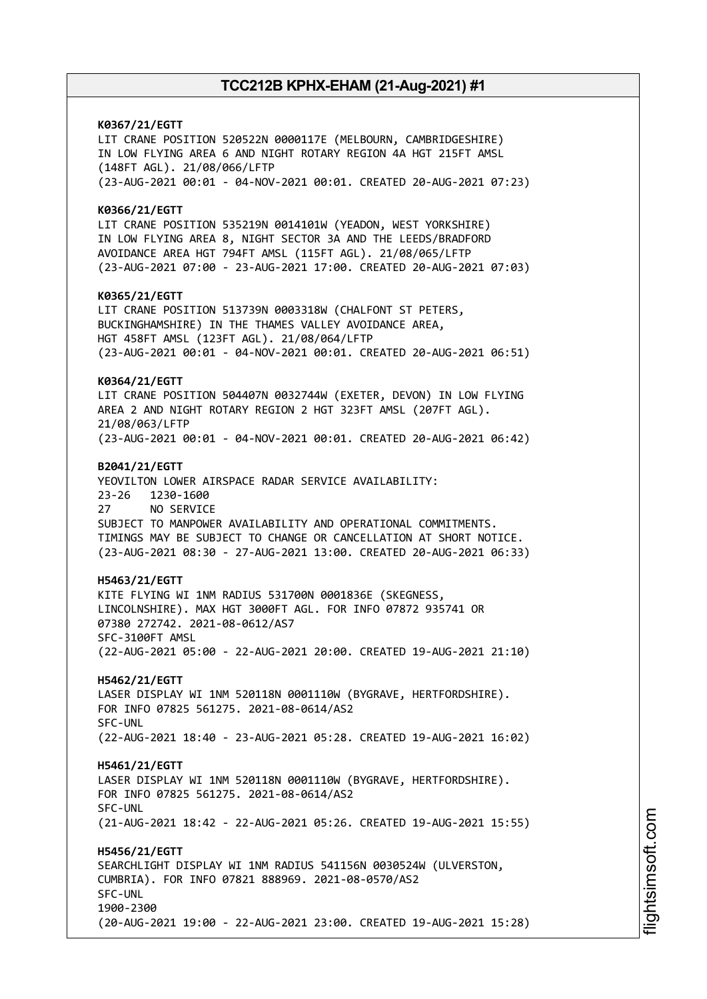**K0367/21/EGTT** LIT CRANE POSITION 520522N 0000117E (MELBOURN, CAMBRIDGESHIRE) IN LOW FLYING AREA 6 AND NIGHT ROTARY REGION 4A HGT 215FT AMSL (148FT AGL). 21/08/066/LFTP (23-AUG-2021 00:01 - 04-NOV-2021 00:01. CREATED 20-AUG-2021 07:23) **K0366/21/EGTT** LIT CRANE POSITION 535219N 0014101W (YEADON, WEST YORKSHIRE) IN LOW FLYING AREA 8, NIGHT SECTOR 3A AND THE LEEDS/BRADFORD AVOIDANCE AREA HGT 794FT AMSL (115FT AGL). 21/08/065/LFTP (23-AUG-2021 07:00 - 23-AUG-2021 17:00. CREATED 20-AUG-2021 07:03) **K0365/21/EGTT** LIT CRANE POSITION 513739N 0003318W (CHALFONT ST PETERS, BUCKINGHAMSHIRE) IN THE THAMES VALLEY AVOIDANCE AREA, HGT 458FT AMSL (123FT AGL). 21/08/064/LFTP (23-AUG-2021 00:01 - 04-NOV-2021 00:01. CREATED 20-AUG-2021 06:51) **K0364/21/EGTT** LIT CRANE POSITION 504407N 0032744W (EXETER, DEVON) IN LOW FLYING AREA 2 AND NIGHT ROTARY REGION 2 HGT 323FT AMSL (207FT AGL). 21/08/063/LFTP (23-AUG-2021 00:01 - 04-NOV-2021 00:01. CREATED 20-AUG-2021 06:42) **B2041/21/EGTT** YEOVILTON LOWER AIRSPACE RADAR SERVICE AVAILABILITY: 23-26 1230-1600 27 NO SERVICE SUBJECT TO MANPOWER AVAILABILITY AND OPERATIONAL COMMITMENTS. TIMINGS MAY BE SUBJECT TO CHANGE OR CANCELLATION AT SHORT NOTICE. (23-AUG-2021 08:30 - 27-AUG-2021 13:00. CREATED 20-AUG-2021 06:33) **H5463/21/EGTT** KITE FLYING WI 1NM RADIUS 531700N 0001836E (SKEGNESS, LINCOLNSHIRE). MAX HGT 3000FT AGL. FOR INFO 07872 935741 OR 07380 272742. 2021-08-0612/AS7 SFC-3100FT AMSL (22-AUG-2021 05:00 - 22-AUG-2021 20:00. CREATED 19-AUG-2021 21:10) **H5462/21/EGTT** LASER DISPLAY WI 1NM 520118N 0001110W (BYGRAVE, HERTFORDSHIRE). FOR INFO 07825 561275. 2021-08-0614/AS2 SFC-UNL (22-AUG-2021 18:40 - 23-AUG-2021 05:28. CREATED 19-AUG-2021 16:02) **H5461/21/EGTT** LASER DISPLAY WI 1NM 520118N 0001110W (BYGRAVE, HERTFORDSHIRE). FOR INFO 07825 561275. 2021-08-0614/AS2 SFC-UNL (21-AUG-2021 18:42 - 22-AUG-2021 05:26. CREATED 19-AUG-2021 15:55) **H5456/21/EGTT** SEARCHLIGHT DISPLAY WI 1NM RADIUS 541156N 0030524W (ULVERSTON, CUMBRIA). FOR INFO 07821 888969. 2021-08-0570/AS2 SFC-UNL 1900-2300 (20-AUG-2021 19:00 - 22-AUG-2021 23:00. CREATED 19-AUG-2021 15:28)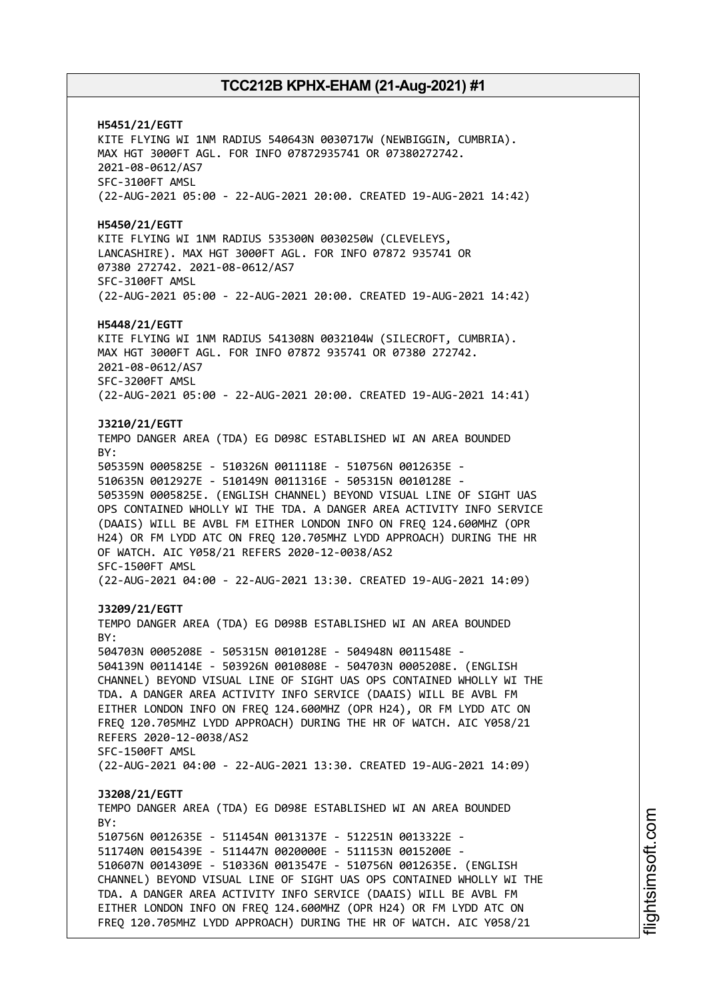**H5451/21/EGTT** KITE FLYING WI 1NM RADIUS 540643N 0030717W (NEWBIGGIN, CUMBRIA). MAX HGT 3000FT AGL. FOR INFO 07872935741 OR 07380272742. 2021-08-0612/AS7 SFC-3100FT AMSL (22-AUG-2021 05:00 - 22-AUG-2021 20:00. CREATED 19-AUG-2021 14:42) **H5450/21/EGTT** KITE FLYING WI 1NM RADIUS 535300N 0030250W (CLEVELEYS, LANCASHIRE). MAX HGT 3000FT AGL. FOR INFO 07872 935741 OR 07380 272742. 2021-08-0612/AS7 SFC-3100FT AMSL (22-AUG-2021 05:00 - 22-AUG-2021 20:00. CREATED 19-AUG-2021 14:42) **H5448/21/EGTT** KITE FLYING WI 1NM RADIUS 541308N 0032104W (SILECROFT, CUMBRIA). MAX HGT 3000FT AGL. FOR INFO 07872 935741 OR 07380 272742. 2021-08-0612/AS7 SFC-3200FT AMSL (22-AUG-2021 05:00 - 22-AUG-2021 20:00. CREATED 19-AUG-2021 14:41) **J3210/21/EGTT** TEMPO DANGER AREA (TDA) EG D098C ESTABLISHED WI AN AREA BOUNDED BY: 505359N 0005825E - 510326N 0011118E - 510756N 0012635E - 510635N 0012927E - 510149N 0011316E - 505315N 0010128E - 505359N 0005825E. (ENGLISH CHANNEL) BEYOND VISUAL LINE OF SIGHT UAS OPS CONTAINED WHOLLY WI THE TDA. A DANGER AREA ACTIVITY INFO SERVICE (DAAIS) WILL BE AVBL FM EITHER LONDON INFO ON FREQ 124.600MHZ (OPR H24) OR FM LYDD ATC ON FREQ 120.705MHZ LYDD APPROACH) DURING THE HR OF WATCH. AIC Y058/21 REFERS 2020-12-0038/AS2 SFC-1500FT AMSL (22-AUG-2021 04:00 - 22-AUG-2021 13:30. CREATED 19-AUG-2021 14:09) **J3209/21/EGTT** TEMPO DANGER AREA (TDA) EG D098B ESTABLISHED WI AN AREA BOUNDED BY: 504703N 0005208E - 505315N 0010128E - 504948N 0011548E - 504139N 0011414E - 503926N 0010808E - 504703N 0005208E. (ENGLISH CHANNEL) BEYOND VISUAL LINE OF SIGHT UAS OPS CONTAINED WHOLLY WI THE TDA. A DANGER AREA ACTIVITY INFO SERVICE (DAAIS) WILL BE AVBL FM EITHER LONDON INFO ON FREQ 124.600MHZ (OPR H24), OR FM LYDD ATC ON FREQ 120.705MHZ LYDD APPROACH) DURING THE HR OF WATCH. AIC Y058/21 REFERS 2020-12-0038/AS2 SFC-1500FT AMSL (22-AUG-2021 04:00 - 22-AUG-2021 13:30. CREATED 19-AUG-2021 14:09) **J3208/21/EGTT** TEMPO DANGER AREA (TDA) EG D098E ESTABLISHED WI AN AREA BOUNDED  $RY$ 510756N 0012635E - 511454N 0013137E - 512251N 0013322E - 511740N 0015439E - 511447N 0020000E - 511153N 0015200E - 510607N 0014309E - 510336N 0013547E - 510756N 0012635E. (ENGLISH CHANNEL) BEYOND VISUAL LINE OF SIGHT UAS OPS CONTAINED WHOLLY WI THE TDA. A DANGER AREA ACTIVITY INFO SERVICE (DAAIS) WILL BE AVBL FM EITHER LONDON INFO ON FREQ 124.600MHZ (OPR H24) OR FM LYDD ATC ON FREQ 120.705MHZ LYDD APPROACH) DURING THE HR OF WATCH. AIC Y058/21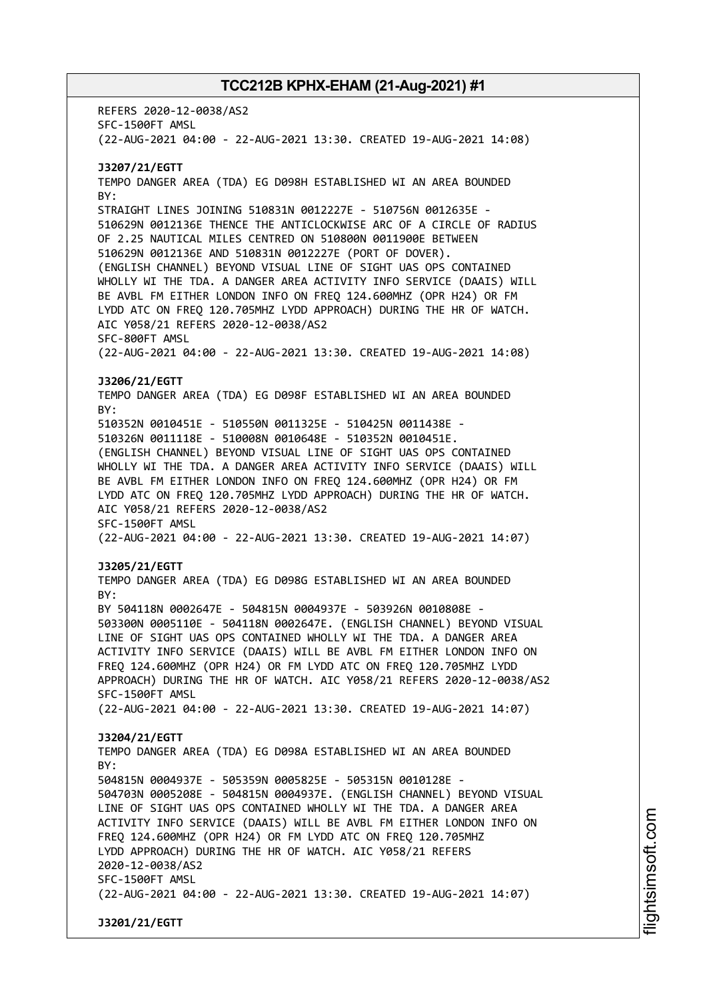REFERS 2020-12-0038/AS2 SFC-1500FT AMSL (22-AUG-2021 04:00 - 22-AUG-2021 13:30. CREATED 19-AUG-2021 14:08) **J3207/21/EGTT** TEMPO DANGER AREA (TDA) EG D098H ESTABLISHED WI AN AREA BOUNDED BY: STRAIGHT LINES JOINING 510831N 0012227E - 510756N 0012635E - 510629N 0012136E THENCE THE ANTICLOCKWISE ARC OF A CIRCLE OF RADIUS OF 2.25 NAUTICAL MILES CENTRED ON 510800N 0011900E BETWEEN 510629N 0012136E AND 510831N 0012227E (PORT OF DOVER). (ENGLISH CHANNEL) BEYOND VISUAL LINE OF SIGHT UAS OPS CONTAINED WHOLLY WI THE TDA. A DANGER AREA ACTIVITY INFO SERVICE (DAAIS) WILL BE AVBL FM EITHER LONDON INFO ON FREQ 124.600MHZ (OPR H24) OR FM LYDD ATC ON FREQ 120.705MHZ LYDD APPROACH) DURING THE HR OF WATCH. AIC Y058/21 REFERS 2020-12-0038/AS2 SFC-800FT AMSL (22-AUG-2021 04:00 - 22-AUG-2021 13:30. CREATED 19-AUG-2021 14:08) **J3206/21/EGTT** TEMPO DANGER AREA (TDA) EG D098F ESTABLISHED WI AN AREA BOUNDED BY: 510352N 0010451E - 510550N 0011325E - 510425N 0011438E - 510326N 0011118E - 510008N 0010648E - 510352N 0010451E. (ENGLISH CHANNEL) BEYOND VISUAL LINE OF SIGHT UAS OPS CONTAINED WHOLLY WI THE TDA. A DANGER AREA ACTIVITY INFO SERVICE (DAAIS) WILL BE AVBL FM EITHER LONDON INFO ON FREQ 124.600MHZ (OPR H24) OR FM LYDD ATC ON FREQ 120.705MHZ LYDD APPROACH) DURING THE HR OF WATCH. AIC Y058/21 REFERS 2020-12-0038/AS2 SFC-1500FT AMSL (22-AUG-2021 04:00 - 22-AUG-2021 13:30. CREATED 19-AUG-2021 14:07) **J3205/21/EGTT** TEMPO DANGER AREA (TDA) EG D098G ESTABLISHED WI AN AREA BOUNDED BY: BY 504118N 0002647E - 504815N 0004937E - 503926N 0010808E - 503300N 0005110E - 504118N 0002647E. (ENGLISH CHANNEL) BEYOND VISUAL LINE OF SIGHT UAS OPS CONTAINED WHOLLY WI THE TDA. A DANGER AREA ACTIVITY INFO SERVICE (DAAIS) WILL BE AVBL FM EITHER LONDON INFO ON FREQ 124.600MHZ (OPR H24) OR FM LYDD ATC ON FREQ 120.705MHZ LYDD APPROACH) DURING THE HR OF WATCH. AIC Y058/21 REFERS 2020-12-0038/AS2 SFC-1500FT AMSL (22-AUG-2021 04:00 - 22-AUG-2021 13:30. CREATED 19-AUG-2021 14:07) **J3204/21/EGTT** TEMPO DANGER AREA (TDA) EG D098A ESTABLISHED WI AN AREA BOUNDED  $RY$ 504815N 0004937E - 505359N 0005825E - 505315N 0010128E - 504703N 0005208E - 504815N 0004937E. (ENGLISH CHANNEL) BEYOND VISUAL LINE OF SIGHT UAS OPS CONTAINED WHOLLY WI THE TDA. A DANGER AREA ACTIVITY INFO SERVICE (DAAIS) WILL BE AVBL FM EITHER LONDON INFO ON FREQ 124.600MHZ (OPR H24) OR FM LYDD ATC ON FREQ 120.705MHZ LYDD APPROACH) DURING THE HR OF WATCH. AIC Y058/21 REFERS 2020-12-0038/AS2 SFC-1500FT AMSL (22-AUG-2021 04:00 - 22-AUG-2021 13:30. CREATED 19-AUG-2021 14:07) **J3201/21/EGTT**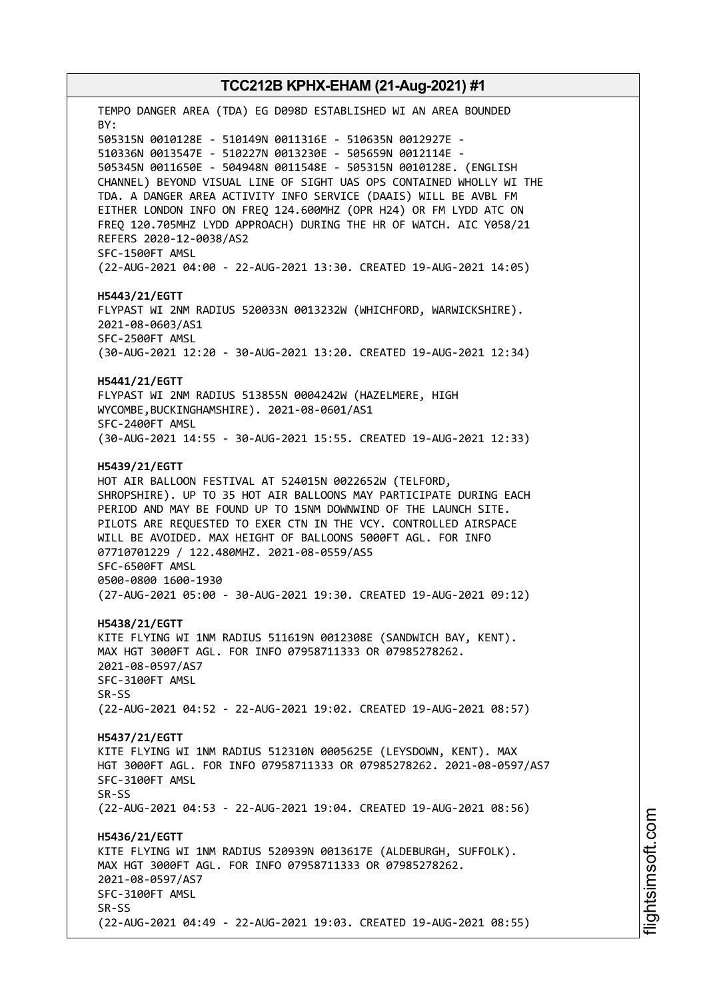TEMPO DANGER AREA (TDA) EG D098D ESTABLISHED WI AN AREA BOUNDED BY: 505315N 0010128E - 510149N 0011316E - 510635N 0012927E - 510336N 0013547E - 510227N 0013230E - 505659N 0012114E - 505345N 0011650E - 504948N 0011548E - 505315N 0010128E. (ENGLISH CHANNEL) BEYOND VISUAL LINE OF SIGHT UAS OPS CONTAINED WHOLLY WI THE TDA. A DANGER AREA ACTIVITY INFO SERVICE (DAAIS) WILL BE AVBL FM EITHER LONDON INFO ON FREQ 124.600MHZ (OPR H24) OR FM LYDD ATC ON FREQ 120.705MHZ LYDD APPROACH) DURING THE HR OF WATCH. AIC Y058/21 REFERS 2020-12-0038/AS2 SFC-1500FT AMSL (22-AUG-2021 04:00 - 22-AUG-2021 13:30. CREATED 19-AUG-2021 14:05) **H5443/21/EGTT** FLYPAST WI 2NM RADIUS 520033N 0013232W (WHICHFORD, WARWICKSHIRE). 2021-08-0603/AS1 SFC-2500FT AMSL (30-AUG-2021 12:20 - 30-AUG-2021 13:20. CREATED 19-AUG-2021 12:34) **H5441/21/EGTT** FLYPAST WI 2NM RADIUS 513855N 0004242W (HAZELMERE, HIGH WYCOMBE,BUCKINGHAMSHIRE). 2021-08-0601/AS1 SFC-2400FT AMSL (30-AUG-2021 14:55 - 30-AUG-2021 15:55. CREATED 19-AUG-2021 12:33) **H5439/21/EGTT** HOT AIR BALLOON FESTIVAL AT 524015N 0022652W (TELFORD, SHROPSHIRE). UP TO 35 HOT AIR BALLOONS MAY PARTICIPATE DURING EACH PERIOD AND MAY BE FOUND UP TO 15NM DOWNWIND OF THE LAUNCH SITE. PILOTS ARE REQUESTED TO EXER CTN IN THE VCY. CONTROLLED AIRSPACE WILL BE AVOIDED. MAX HEIGHT OF BALLOONS 5000FT AGL. FOR INFO 07710701229 / 122.480MHZ. 2021-08-0559/AS5 SFC-6500FT AMSL 0500-0800 1600-1930 (27-AUG-2021 05:00 - 30-AUG-2021 19:30. CREATED 19-AUG-2021 09:12) **H5438/21/EGTT** KITE FLYING WI 1NM RADIUS 511619N 0012308E (SANDWICH BAY, KENT). MAX HGT 3000FT AGL. FOR INFO 07958711333 OR 07985278262. 2021-08-0597/AS7 SFC-3100FT AMSL SR-SS (22-AUG-2021 04:52 - 22-AUG-2021 19:02. CREATED 19-AUG-2021 08:57) **H5437/21/EGTT** KITE FLYING WI 1NM RADIUS 512310N 0005625E (LEYSDOWN, KENT). MAX HGT 3000FT AGL. FOR INFO 07958711333 OR 07985278262. 2021-08-0597/AS7 SFC-3100FT AMSL SR-SS (22-AUG-2021 04:53 - 22-AUG-2021 19:04. CREATED 19-AUG-2021 08:56) **H5436/21/EGTT** KITE FLYING WI 1NM RADIUS 520939N 0013617E (ALDEBURGH, SUFFOLK). MAX HGT 3000FT AGL. FOR INFO 07958711333 OR 07985278262. 2021-08-0597/AS7 SFC-3100FT AMSL SR-SS (22-AUG-2021 04:49 - 22-AUG-2021 19:03. CREATED 19-AUG-2021 08:55)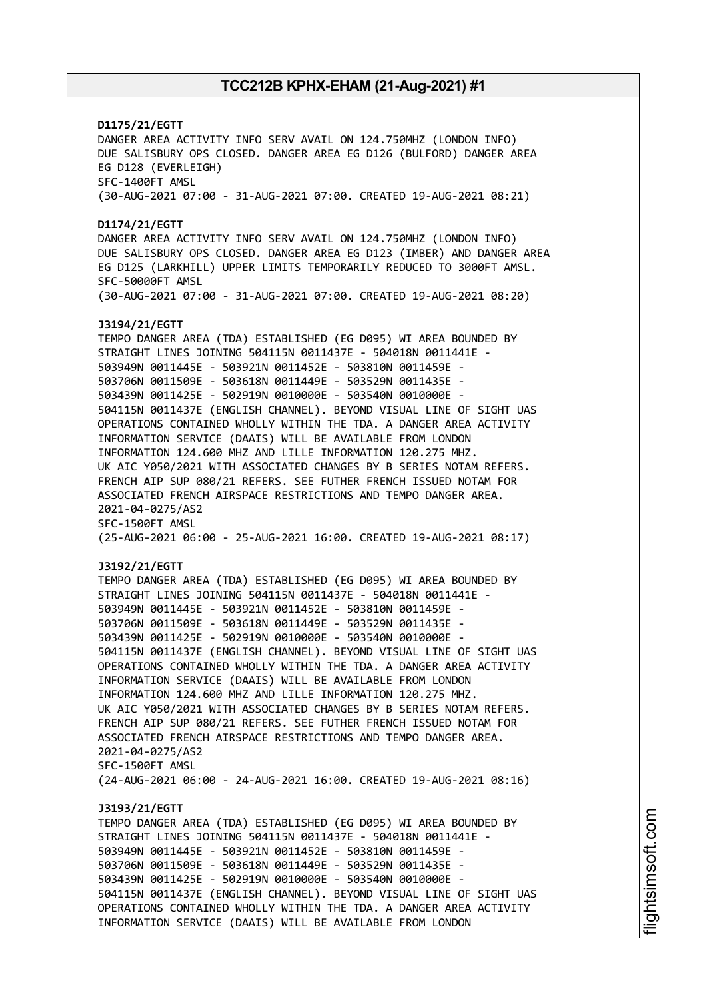# **D1175/21/EGTT** DANGER AREA ACTIVITY INFO SERV AVAIL ON 124.750MHZ (LONDON INFO) DUE SALISBURY OPS CLOSED. DANGER AREA EG D126 (BULFORD) DANGER AREA EG D128 (EVERLEIGH) SFC-1400FT AMSL (30-AUG-2021 07:00 - 31-AUG-2021 07:00. CREATED 19-AUG-2021 08:21) **D1174/21/EGTT** DANGER AREA ACTIVITY INFO SERV AVAIL ON 124.750MHZ (LONDON INFO) DUE SALISBURY OPS CLOSED. DANGER AREA EG D123 (IMBER) AND DANGER AREA EG D125 (LARKHILL) UPPER LIMITS TEMPORARILY REDUCED TO 3000FT AMSL. SFC-50000FT AMSL (30-AUG-2021 07:00 - 31-AUG-2021 07:00. CREATED 19-AUG-2021 08:20) **J3194/21/EGTT** TEMPO DANGER AREA (TDA) ESTABLISHED (EG D095) WI AREA BOUNDED BY STRAIGHT LINES JOINING 504115N 0011437E - 504018N 0011441E - 503949N 0011445E - 503921N 0011452E - 503810N 0011459E - 503706N 0011509E - 503618N 0011449E - 503529N 0011435E - 503439N 0011425E - 502919N 0010000E - 503540N 0010000E - 504115N 0011437E (ENGLISH CHANNEL). BEYOND VISUAL LINE OF SIGHT UAS OPERATIONS CONTAINED WHOLLY WITHIN THE TDA. A DANGER AREA ACTIVITY INFORMATION SERVICE (DAAIS) WILL BE AVAILABLE FROM LONDON INFORMATION 124.600 MHZ AND LILLE INFORMATION 120.275 MHZ. UK AIC Y050/2021 WITH ASSOCIATED CHANGES BY B SERIES NOTAM REFERS. FRENCH AIP SUP 080/21 REFERS. SEE FUTHER FRENCH ISSUED NOTAM FOR ASSOCIATED FRENCH AIRSPACE RESTRICTIONS AND TEMPO DANGER AREA. 2021-04-0275/AS2 SFC-1500FT AMSL (25-AUG-2021 06:00 - 25-AUG-2021 16:00. CREATED 19-AUG-2021 08:17) **J3192/21/EGTT** TEMPO DANGER AREA (TDA) ESTABLISHED (EG D095) WI AREA BOUNDED BY STRAIGHT LINES JOINING 504115N 0011437E - 504018N 0011441E - 503949N 0011445E - 503921N 0011452E - 503810N 0011459E - 503706N 0011509E - 503618N 0011449E - 503529N 0011435E - 503439N 0011425E - 502919N 0010000E - 503540N 0010000E - 504115N 0011437E (ENGLISH CHANNEL). BEYOND VISUAL LINE OF SIGHT UAS OPERATIONS CONTAINED WHOLLY WITHIN THE TDA. A DANGER AREA ACTIVITY INFORMATION SERVICE (DAAIS) WILL BE AVAILABLE FROM LONDON INFORMATION 124.600 MHZ AND LILLE INFORMATION 120.275 MHZ. UK AIC Y050/2021 WITH ASSOCIATED CHANGES BY B SERIES NOTAM REFERS. FRENCH AIP SUP 080/21 REFERS. SEE FUTHER FRENCH ISSUED NOTAM FOR ASSOCIATED FRENCH AIRSPACE RESTRICTIONS AND TEMPO DANGER AREA. 2021-04-0275/AS2 SFC-1500FT AMSL (24-AUG-2021 06:00 - 24-AUG-2021 16:00. CREATED 19-AUG-2021 08:16) **J3193/21/EGTT** TEMPO DANGER AREA (TDA) ESTABLISHED (EG D095) WI AREA BOUNDED BY STRAIGHT LINES JOINING 504115N 0011437E - 504018N 0011441E - 503949N 0011445E - 503921N 0011452E - 503810N 0011459E - 503706N 0011509E - 503618N 0011449E - 503529N 0011435E - 503439N 0011425E - 502919N 0010000E - 503540N 0010000E - 504115N 0011437E (ENGLISH CHANNEL). BEYOND VISUAL LINE OF SIGHT UAS OPERATIONS CONTAINED WHOLLY WITHIN THE TDA. A DANGER AREA ACTIVITY INFORMATION SERVICE (DAAIS) WILL BE AVAILABLE FROM LONDON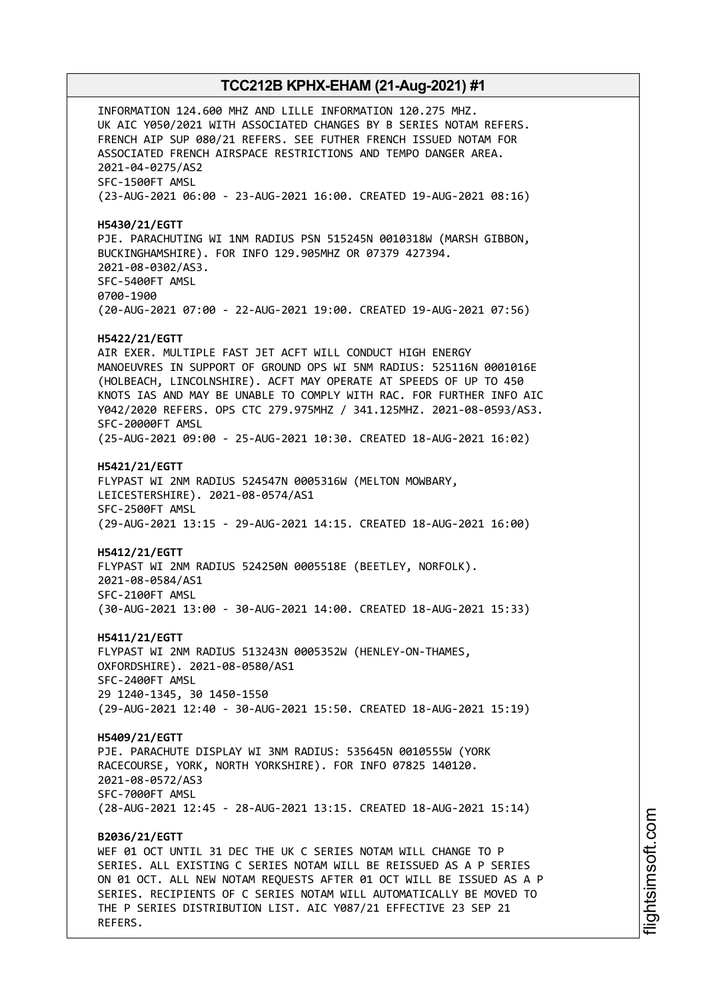INFORMATION 124.600 MHZ AND LILLE INFORMATION 120.275 MHZ. UK AIC Y050/2021 WITH ASSOCIATED CHANGES BY B SERIES NOTAM REFERS. FRENCH AIP SUP 080/21 REFERS. SEE FUTHER FRENCH ISSUED NOTAM FOR ASSOCIATED FRENCH AIRSPACE RESTRICTIONS AND TEMPO DANGER AREA. 2021-04-0275/AS2 SFC-1500FT AMSL (23-AUG-2021 06:00 - 23-AUG-2021 16:00. CREATED 19-AUG-2021 08:16) **H5430/21/EGTT** PJE. PARACHUTING WI 1NM RADIUS PSN 515245N 0010318W (MARSH GIBBON, BUCKINGHAMSHIRE). FOR INFO 129.905MHZ OR 07379 427394. 2021-08-0302/AS3. SFC-5400FT AMSL 0700-1900 (20-AUG-2021 07:00 - 22-AUG-2021 19:00. CREATED 19-AUG-2021 07:56) **H5422/21/EGTT** AIR EXER. MULTIPLE FAST JET ACFT WILL CONDUCT HIGH ENERGY MANOEUVRES IN SUPPORT OF GROUND OPS WI 5NM RADIUS: 525116N 0001016E (HOLBEACH, LINCOLNSHIRE). ACFT MAY OPERATE AT SPEEDS OF UP TO 450 KNOTS IAS AND MAY BE UNABLE TO COMPLY WITH RAC. FOR FURTHER INFO AIC Y042/2020 REFERS. OPS CTC 279.975MHZ / 341.125MHZ. 2021-08-0593/AS3. SFC-20000FT AMSL (25-AUG-2021 09:00 - 25-AUG-2021 10:30. CREATED 18-AUG-2021 16:02) **H5421/21/EGTT** FLYPAST WI 2NM RADIUS 524547N 0005316W (MELTON MOWBARY, LEICESTERSHIRE). 2021-08-0574/AS1 SFC-2500FT AMSL (29-AUG-2021 13:15 - 29-AUG-2021 14:15. CREATED 18-AUG-2021 16:00) **H5412/21/EGTT** FLYPAST WI 2NM RADIUS 524250N 0005518E (BEETLEY, NORFOLK). 2021-08-0584/AS1 SFC-2100FT AMSL (30-AUG-2021 13:00 - 30-AUG-2021 14:00. CREATED 18-AUG-2021 15:33) **H5411/21/EGTT** FLYPAST WI 2NM RADIUS 513243N 0005352W (HENLEY-ON-THAMES, OXFORDSHIRE). 2021-08-0580/AS1 SFC-2400FT AMSL 29 1240-1345, 30 1450-1550 (29-AUG-2021 12:40 - 30-AUG-2021 15:50. CREATED 18-AUG-2021 15:19) **H5409/21/EGTT** PJE. PARACHUTE DISPLAY WI 3NM RADIUS: 535645N 0010555W (YORK RACECOURSE, YORK, NORTH YORKSHIRE). FOR INFO 07825 140120. 2021-08-0572/AS3 SFC-7000FT AMSL (28-AUG-2021 12:45 - 28-AUG-2021 13:15. CREATED 18-AUG-2021 15:14) **B2036/21/EGTT** WEF 01 OCT UNTIL 31 DEC THE UK C SERIES NOTAM WILL CHANGE TO P SERIES. ALL EXISTING C SERIES NOTAM WILL BE REISSUED AS A P SERIES ON 01 OCT. ALL NEW NOTAM REQUESTS AFTER 01 OCT WILL BE ISSUED AS A P SERIES. RECIPIENTS OF C SERIES NOTAM WILL AUTOMATICALLY BE MOVED TO

THE P SERIES DISTRIBUTION LIST. AIC Y087/21 EFFECTIVE 23 SEP 21

REFERS.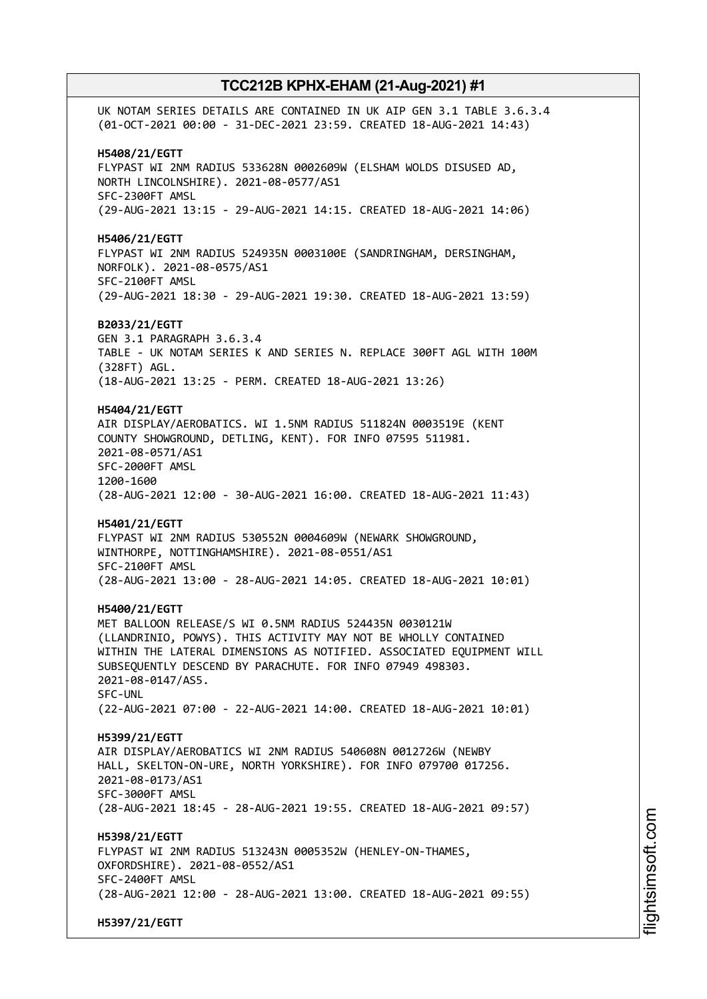UK NOTAM SERIES DETAILS ARE CONTAINED IN UK AIP GEN 3.1 TABLE 3.6.3.4 (01-OCT-2021 00:00 - 31-DEC-2021 23:59. CREATED 18-AUG-2021 14:43) **H5408/21/EGTT** FLYPAST WI 2NM RADIUS 533628N 0002609W (ELSHAM WOLDS DISUSED AD, NORTH LINCOLNSHIRE). 2021-08-0577/AS1 SFC-2300FT AMSL (29-AUG-2021 13:15 - 29-AUG-2021 14:15. CREATED 18-AUG-2021 14:06) **H5406/21/EGTT** FLYPAST WI 2NM RADIUS 524935N 0003100E (SANDRINGHAM, DERSINGHAM, NORFOLK). 2021-08-0575/AS1 SFC-2100FT AMSL (29-AUG-2021 18:30 - 29-AUG-2021 19:30. CREATED 18-AUG-2021 13:59) **B2033/21/EGTT** GEN 3.1 PARAGRAPH 3.6.3.4 TABLE - UK NOTAM SERIES K AND SERIES N. REPLACE 300FT AGL WITH 100M (328FT) AGL. (18-AUG-2021 13:25 - PERM. CREATED 18-AUG-2021 13:26) **H5404/21/EGTT** AIR DISPLAY/AEROBATICS. WI 1.5NM RADIUS 511824N 0003519E (KENT COUNTY SHOWGROUND, DETLING, KENT). FOR INFO 07595 511981. 2021-08-0571/AS1 SFC-2000FT AMSL 1200-1600 (28-AUG-2021 12:00 - 30-AUG-2021 16:00. CREATED 18-AUG-2021 11:43) **H5401/21/EGTT** FLYPAST WI 2NM RADIUS 530552N 0004609W (NEWARK SHOWGROUND, WINTHORPE, NOTTINGHAMSHIRE). 2021-08-0551/AS1 SFC-2100FT AMSL (28-AUG-2021 13:00 - 28-AUG-2021 14:05. CREATED 18-AUG-2021 10:01) **H5400/21/EGTT** MET BALLOON RELEASE/S WI 0.5NM RADIUS 524435N 0030121W (LLANDRINIO, POWYS). THIS ACTIVITY MAY NOT BE WHOLLY CONTAINED WITHIN THE LATERAL DIMENSIONS AS NOTIFIED. ASSOCIATED EQUIPMENT WILL SUBSEQUENTLY DESCEND BY PARACHUTE. FOR INFO 07949 498303. 2021-08-0147/AS5. SFC-UNL (22-AUG-2021 07:00 - 22-AUG-2021 14:00. CREATED 18-AUG-2021 10:01) **H5399/21/EGTT** AIR DISPLAY/AEROBATICS WI 2NM RADIUS 540608N 0012726W (NEWBY HALL, SKELTON-ON-URE, NORTH YORKSHIRE). FOR INFO 079700 017256. 2021-08-0173/AS1 SFC-3000FT AMSL (28-AUG-2021 18:45 - 28-AUG-2021 19:55. CREATED 18-AUG-2021 09:57) **H5398/21/EGTT** FLYPAST WI 2NM RADIUS 513243N 0005352W (HENLEY-ON-THAMES, OXFORDSHIRE). 2021-08-0552/AS1 SFC-2400FT AMSL (28-AUG-2021 12:00 - 28-AUG-2021 13:00. CREATED 18-AUG-2021 09:55) **H5397/21/EGTT**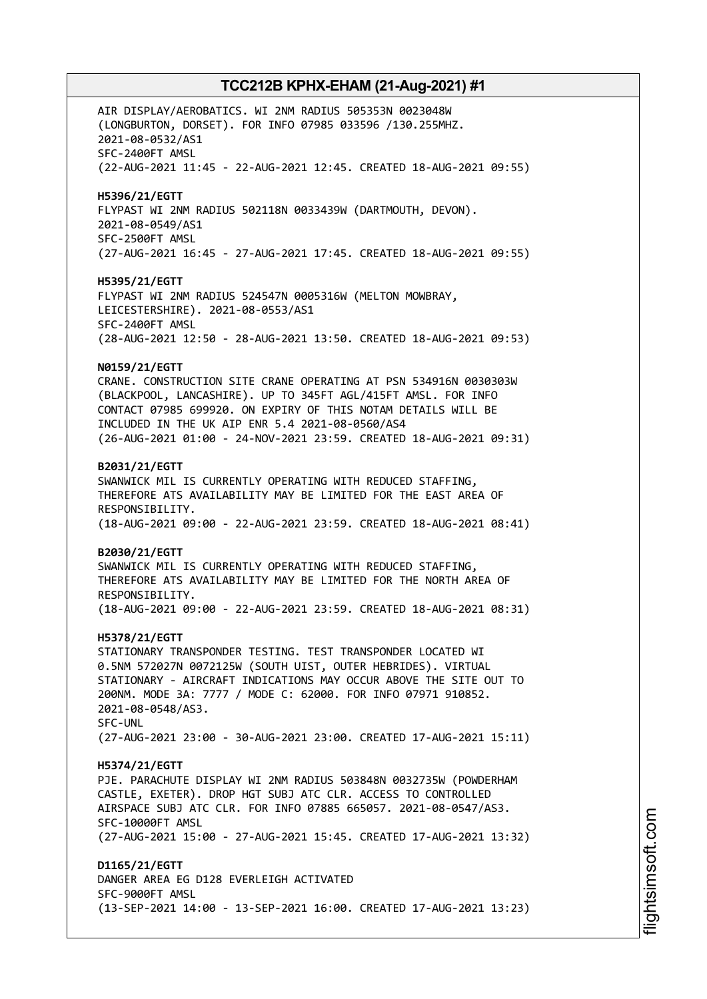AIR DISPLAY/AEROBATICS. WI 2NM RADIUS 505353N 0023048W (LONGBURTON, DORSET). FOR INFO 07985 033596 /130.255MHZ. 2021-08-0532/AS1 SFC-2400FT AMSL (22-AUG-2021 11:45 - 22-AUG-2021 12:45. CREATED 18-AUG-2021 09:55) **H5396/21/EGTT** FLYPAST WI 2NM RADIUS 502118N 0033439W (DARTMOUTH, DEVON). 2021-08-0549/AS1 SFC-2500FT AMSL (27-AUG-2021 16:45 - 27-AUG-2021 17:45. CREATED 18-AUG-2021 09:55) **H5395/21/EGTT** FLYPAST WI 2NM RADIUS 524547N 0005316W (MELTON MOWBRAY, LEICESTERSHIRE). 2021-08-0553/AS1 SFC-2400FT AMSL (28-AUG-2021 12:50 - 28-AUG-2021 13:50. CREATED 18-AUG-2021 09:53) **N0159/21/EGTT** CRANE. CONSTRUCTION SITE CRANE OPERATING AT PSN 534916N 0030303W (BLACKPOOL, LANCASHIRE). UP TO 345FT AGL/415FT AMSL. FOR INFO CONTACT 07985 699920. ON EXPIRY OF THIS NOTAM DETAILS WILL BE INCLUDED IN THE UK AIP ENR 5.4 2021-08-0560/AS4 (26-AUG-2021 01:00 - 24-NOV-2021 23:59. CREATED 18-AUG-2021 09:31) **B2031/21/EGTT** SWANWICK MIL IS CURRENTLY OPERATING WITH REDUCED STAFFING, THEREFORE ATS AVAILABILITY MAY BE LIMITED FOR THE EAST AREA OF RESPONSIBILITY. (18-AUG-2021 09:00 - 22-AUG-2021 23:59. CREATED 18-AUG-2021 08:41) **B2030/21/EGTT** SWANWICK MIL IS CURRENTLY OPERATING WITH REDUCED STAFFING, THEREFORE ATS AVAILABILITY MAY BE LIMITED FOR THE NORTH AREA OF RESPONSIBILITY. (18-AUG-2021 09:00 - 22-AUG-2021 23:59. CREATED 18-AUG-2021 08:31) **H5378/21/EGTT** STATIONARY TRANSPONDER TESTING. TEST TRANSPONDER LOCATED WI 0.5NM 572027N 0072125W (SOUTH UIST, OUTER HEBRIDES). VIRTUAL STATIONARY - AIRCRAFT INDICATIONS MAY OCCUR ABOVE THE SITE OUT TO 200NM. MODE 3A: 7777 / MODE C: 62000. FOR INFO 07971 910852. 2021-08-0548/AS3. SFC-UNL (27-AUG-2021 23:00 - 30-AUG-2021 23:00. CREATED 17-AUG-2021 15:11) **H5374/21/EGTT** PJE. PARACHUTE DISPLAY WI 2NM RADIUS 503848N 0032735W (POWDERHAM CASTLE, EXETER). DROP HGT SUBJ ATC CLR. ACCESS TO CONTROLLED AIRSPACE SUBJ ATC CLR. FOR INFO 07885 665057. 2021-08-0547/AS3. SFC-10000FT AMSL (27-AUG-2021 15:00 - 27-AUG-2021 15:45. CREATED 17-AUG-2021 13:32) **D1165/21/EGTT** DANGER AREA EG D128 EVERLEIGH ACTIVATED SFC-9000FT AMSL (13-SEP-2021 14:00 - 13-SEP-2021 16:00. CREATED 17-AUG-2021 13:23)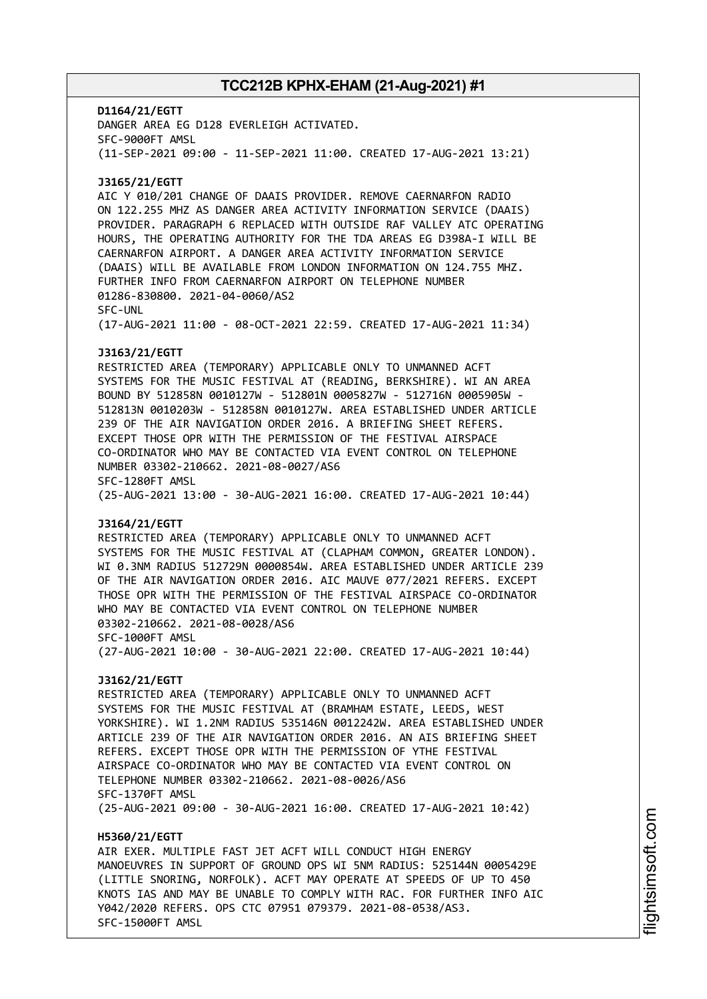**D1164/21/EGTT** DANGER AREA EG D128 EVERLEIGH ACTIVATED. SFC-9000FT AMSL (11-SEP-2021 09:00 - 11-SEP-2021 11:00. CREATED 17-AUG-2021 13:21) **J3165/21/EGTT** AIC Y 010/201 CHANGE OF DAAIS PROVIDER. REMOVE CAERNARFON RADIO ON 122.255 MHZ AS DANGER AREA ACTIVITY INFORMATION SERVICE (DAAIS) PROVIDER. PARAGRAPH 6 REPLACED WITH OUTSIDE RAF VALLEY ATC OPERATING HOURS, THE OPERATING AUTHORITY FOR THE TDA AREAS EG D398A-I WILL BE CAERNARFON AIRPORT. A DANGER AREA ACTIVITY INFORMATION SERVICE (DAAIS) WILL BE AVAILABLE FROM LONDON INFORMATION ON 124.755 MHZ. FURTHER INFO FROM CAERNARFON AIRPORT ON TELEPHONE NUMBER 01286-830800. 2021-04-0060/AS2 SFC-UNL (17-AUG-2021 11:00 - 08-OCT-2021 22:59. CREATED 17-AUG-2021 11:34) **J3163/21/EGTT** RESTRICTED AREA (TEMPORARY) APPLICABLE ONLY TO UNMANNED ACFT SYSTEMS FOR THE MUSIC FESTIVAL AT (READING, BERKSHIRE). WI AN AREA BOUND BY 512858N 0010127W - 512801N 0005827W - 512716N 0005905W - 512813N 0010203W - 512858N 0010127W. AREA ESTABLISHED UNDER ARTICLE 239 OF THE AIR NAVIGATION ORDER 2016. A BRIEFING SHEET REFERS. EXCEPT THOSE OPR WITH THE PERMISSION OF THE FESTIVAL AIRSPACE CO-ORDINATOR WHO MAY BE CONTACTED VIA EVENT CONTROL ON TELEPHONE NUMBER 03302-210662. 2021-08-0027/AS6 SFC-1280FT AMSL (25-AUG-2021 13:00 - 30-AUG-2021 16:00. CREATED 17-AUG-2021 10:44) **J3164/21/EGTT** RESTRICTED AREA (TEMPORARY) APPLICABLE ONLY TO UNMANNED ACFT SYSTEMS FOR THE MUSIC FESTIVAL AT (CLAPHAM COMMON, GREATER LONDON). WI 0.3NM RADIUS 512729N 0000854W. AREA ESTABLISHED UNDER ARTICLE 239 OF THE AIR NAVIGATION ORDER 2016. AIC MAUVE 077/2021 REFERS. EXCEPT THOSE OPR WITH THE PERMISSION OF THE FESTIVAL AIRSPACE CO-ORDINATOR WHO MAY BE CONTACTED VIA EVENT CONTROL ON TELEPHONE NUMBER 03302-210662. 2021-08-0028/AS6 SFC-1000FT AMSL (27-AUG-2021 10:00 - 30-AUG-2021 22:00. CREATED 17-AUG-2021 10:44) **J3162/21/EGTT** RESTRICTED AREA (TEMPORARY) APPLICABLE ONLY TO UNMANNED ACFT SYSTEMS FOR THE MUSIC FESTIVAL AT (BRAMHAM ESTATE, LEEDS, WEST YORKSHIRE). WI 1.2NM RADIUS 535146N 0012242W. AREA ESTABLISHED UNDER ARTICLE 239 OF THE AIR NAVIGATION ORDER 2016. AN AIS BRIEFING SHEET REFERS. EXCEPT THOSE OPR WITH THE PERMISSION OF YTHE FESTIVAL AIRSPACE CO-ORDINATOR WHO MAY BE CONTACTED VIA EVENT CONTROL ON TELEPHONE NUMBER 03302-210662. 2021-08-0026/AS6 SFC-1370FT AMSL (25-AUG-2021 09:00 - 30-AUG-2021 16:00. CREATED 17-AUG-2021 10:42) **H5360/21/EGTT** AIR EXER. MULTIPLE FAST JET ACFT WILL CONDUCT HIGH ENERGY MANOEUVRES IN SUPPORT OF GROUND OPS WI 5NM RADIUS: 525144N 0005429E (LITTLE SNORING, NORFOLK). ACFT MAY OPERATE AT SPEEDS OF UP TO 450 KNOTS IAS AND MAY BE UNABLE TO COMPLY WITH RAC. FOR FURTHER INFO AIC

Y042/2020 REFERS. OPS CTC 07951 079379. 2021-08-0538/AS3.

SFC-15000FT AMSL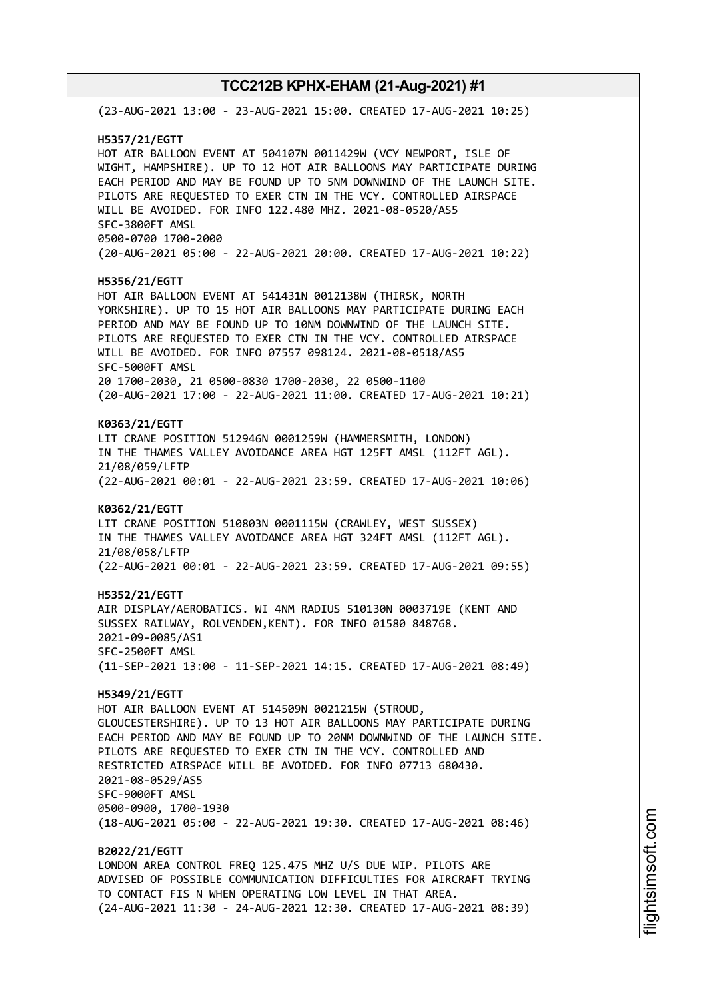(23-AUG-2021 13:00 - 23-AUG-2021 15:00. CREATED 17-AUG-2021 10:25) **H5357/21/EGTT** HOT AIR BALLOON EVENT AT 504107N 0011429W (VCY NEWPORT, ISLE OF WIGHT, HAMPSHIRE). UP TO 12 HOT AIR BALLOONS MAY PARTICIPATE DURING EACH PERIOD AND MAY BE FOUND UP TO 5NM DOWNWIND OF THE LAUNCH SITE. PILOTS ARE REQUESTED TO EXER CTN IN THE VCY. CONTROLLED AIRSPACE WILL BE AVOIDED. FOR INFO 122.480 MHZ. 2021-08-0520/AS5 SFC-3800FT AMSL 0500-0700 1700-2000 (20-AUG-2021 05:00 - 22-AUG-2021 20:00. CREATED 17-AUG-2021 10:22) **H5356/21/EGTT** HOT AIR BALLOON EVENT AT 541431N 0012138W (THIRSK, NORTH YORKSHIRE). UP TO 15 HOT AIR BALLOONS MAY PARTICIPATE DURING EACH PERIOD AND MAY BE FOUND UP TO 10NM DOWNWIND OF THE LAUNCH SITE. PILOTS ARE REQUESTED TO EXER CTN IN THE VCY. CONTROLLED AIRSPACE WILL BE AVOIDED. FOR INFO 07557 098124. 2021-08-0518/AS5 SFC-5000FT AMSL 20 1700-2030, 21 0500-0830 1700-2030, 22 0500-1100 (20-AUG-2021 17:00 - 22-AUG-2021 11:00. CREATED 17-AUG-2021 10:21) **K0363/21/EGTT** LIT CRANE POSITION 512946N 0001259W (HAMMERSMITH, LONDON) IN THE THAMES VALLEY AVOIDANCE AREA HGT 125FT AMSL (112FT AGL). 21/08/059/LFTP (22-AUG-2021 00:01 - 22-AUG-2021 23:59. CREATED 17-AUG-2021 10:06) **K0362/21/EGTT** LIT CRANE POSITION 510803N 0001115W (CRAWLEY, WEST SUSSEX) IN THE THAMES VALLEY AVOIDANCE AREA HGT 324FT AMSL (112FT AGL). 21/08/058/LFTP (22-AUG-2021 00:01 - 22-AUG-2021 23:59. CREATED 17-AUG-2021 09:55) **H5352/21/EGTT** AIR DISPLAY/AEROBATICS. WI 4NM RADIUS 510130N 0003719E (KENT AND SUSSEX RAILWAY, ROLVENDEN,KENT). FOR INFO 01580 848768. 2021-09-0085/AS1 SFC-2500FT AMSL (11-SEP-2021 13:00 - 11-SEP-2021 14:15. CREATED 17-AUG-2021 08:49) **H5349/21/EGTT** HOT AIR BALLOON EVENT AT 514509N 0021215W (STROUD, GLOUCESTERSHIRE). UP TO 13 HOT AIR BALLOONS MAY PARTICIPATE DURING EACH PERIOD AND MAY BE FOUND UP TO 20NM DOWNWIND OF THE LAUNCH SITE. PILOTS ARE REQUESTED TO EXER CTN IN THE VCY. CONTROLLED AND RESTRICTED AIRSPACE WILL BE AVOIDED. FOR INFO 07713 680430. 2021-08-0529/AS5 SFC-9000FT AMSL 0500-0900, 1700-1930 (18-AUG-2021 05:00 - 22-AUG-2021 19:30. CREATED 17-AUG-2021 08:46) **B2022/21/EGTT** LONDON AREA CONTROL FREQ 125.475 MHZ U/S DUE WIP. PILOTS ARE ADVISED OF POSSIBLE COMMUNICATION DIFFICULTIES FOR AIRCRAFT TRYING TO CONTACT FIS N WHEN OPERATING LOW LEVEL IN THAT AREA. (24-AUG-2021 11:30 - 24-AUG-2021 12:30. CREATED 17-AUG-2021 08:39)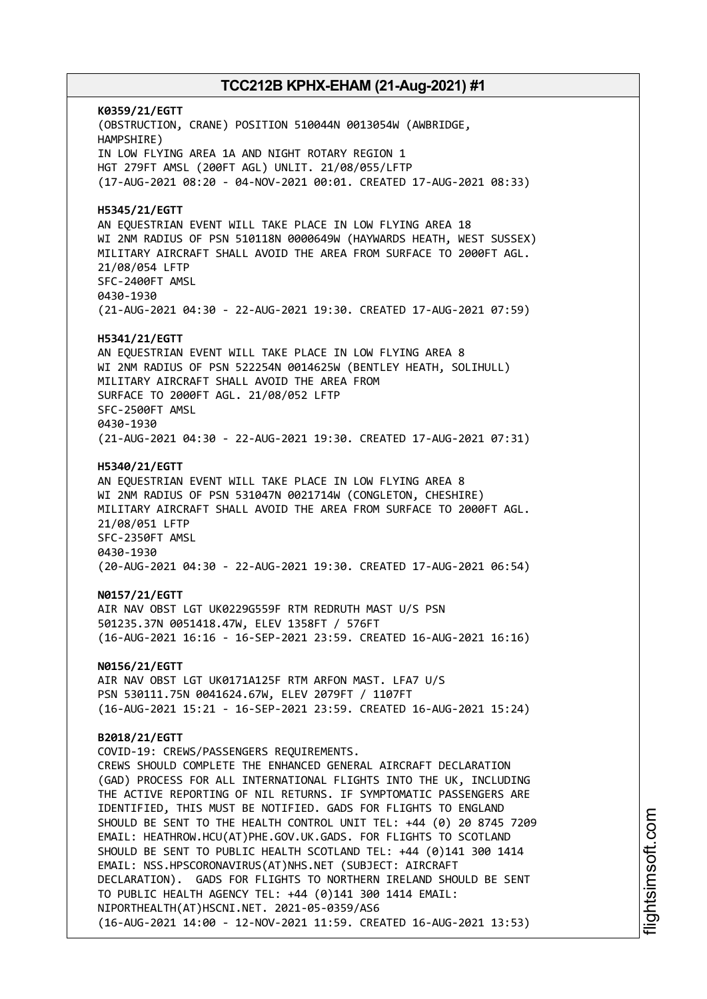**K0359/21/EGTT** (OBSTRUCTION, CRANE) POSITION 510044N 0013054W (AWBRIDGE, HAMPSHIRE) IN LOW FLYING AREA 1A AND NIGHT ROTARY REGION 1 HGT 279FT AMSL (200FT AGL) UNLIT. 21/08/055/LFTP (17-AUG-2021 08:20 - 04-NOV-2021 00:01. CREATED 17-AUG-2021 08:33) **H5345/21/EGTT** AN EQUESTRIAN EVENT WILL TAKE PLACE IN LOW FLYING AREA 18 WI 2NM RADIUS OF PSN 510118N 0000649W (HAYWARDS HEATH, WEST SUSSEX) MILITARY AIRCRAFT SHALL AVOID THE AREA FROM SURFACE TO 2000FT AGL. 21/08/054 LFTP SFC-2400FT AMSL 0430-1930 (21-AUG-2021 04:30 - 22-AUG-2021 19:30. CREATED 17-AUG-2021 07:59) **H5341/21/EGTT** AN EQUESTRIAN EVENT WILL TAKE PLACE IN LOW FLYING AREA 8 WI 2NM RADIUS OF PSN 522254N 0014625W (BENTLEY HEATH, SOLIHULL) MILITARY AIRCRAFT SHALL AVOID THE AREA FROM SURFACE TO 2000FT AGL. 21/08/052 LFTP SFC-2500FT AMSL 0430-1930 (21-AUG-2021 04:30 - 22-AUG-2021 19:30. CREATED 17-AUG-2021 07:31) **H5340/21/EGTT** AN EQUESTRIAN EVENT WILL TAKE PLACE IN LOW FLYING AREA 8 WI 2NM RADIUS OF PSN 531047N 0021714W (CONGLETON, CHESHIRE) MILITARY AIRCRAFT SHALL AVOID THE AREA FROM SURFACE TO 2000FT AGL. 21/08/051 LFTP SFC-2350FT AMSL 0430-1930 (20-AUG-2021 04:30 - 22-AUG-2021 19:30. CREATED 17-AUG-2021 06:54) **N0157/21/EGTT** AIR NAV OBST LGT UK0229G559F RTM REDRUTH MAST U/S PSN 501235.37N 0051418.47W, ELEV 1358FT / 576FT (16-AUG-2021 16:16 - 16-SEP-2021 23:59. CREATED 16-AUG-2021 16:16) **N0156/21/EGTT** AIR NAV OBST LGT UK0171A125F RTM ARFON MAST. LFA7 U/S PSN 530111.75N 0041624.67W, ELEV 2079FT / 1107FT (16-AUG-2021 15:21 - 16-SEP-2021 23:59. CREATED 16-AUG-2021 15:24) **B2018/21/EGTT** COVID-19: CREWS/PASSENGERS REQUIREMENTS. CREWS SHOULD COMPLETE THE ENHANCED GENERAL AIRCRAFT DECLARATION (GAD) PROCESS FOR ALL INTERNATIONAL FLIGHTS INTO THE UK, INCLUDING THE ACTIVE REPORTING OF NIL RETURNS. IF SYMPTOMATIC PASSENGERS ARE IDENTIFIED, THIS MUST BE NOTIFIED. GADS FOR FLIGHTS TO ENGLAND SHOULD BE SENT TO THE HEALTH CONTROL UNIT TEL: +44 (0) 20 8745 7209 EMAIL: HEATHROW.HCU(AT)PHE.GOV.UK.GADS. FOR FLIGHTS TO SCOTLAND SHOULD BE SENT TO PUBLIC HEALTH SCOTLAND TEL: +44 (0)141 300 1414 EMAIL: NSS.HPSCORONAVIRUS(AT)NHS.NET (SUBJECT: AIRCRAFT DECLARATION). GADS FOR FLIGHTS TO NORTHERN IRELAND SHOULD BE SENT TO PUBLIC HEALTH AGENCY TEL: +44 (0)141 300 1414 EMAIL: NIPORTHEALTH(AT)HSCNI.NET. 2021-05-0359/AS6 (16-AUG-2021 14:00 - 12-NOV-2021 11:59. CREATED 16-AUG-2021 13:53)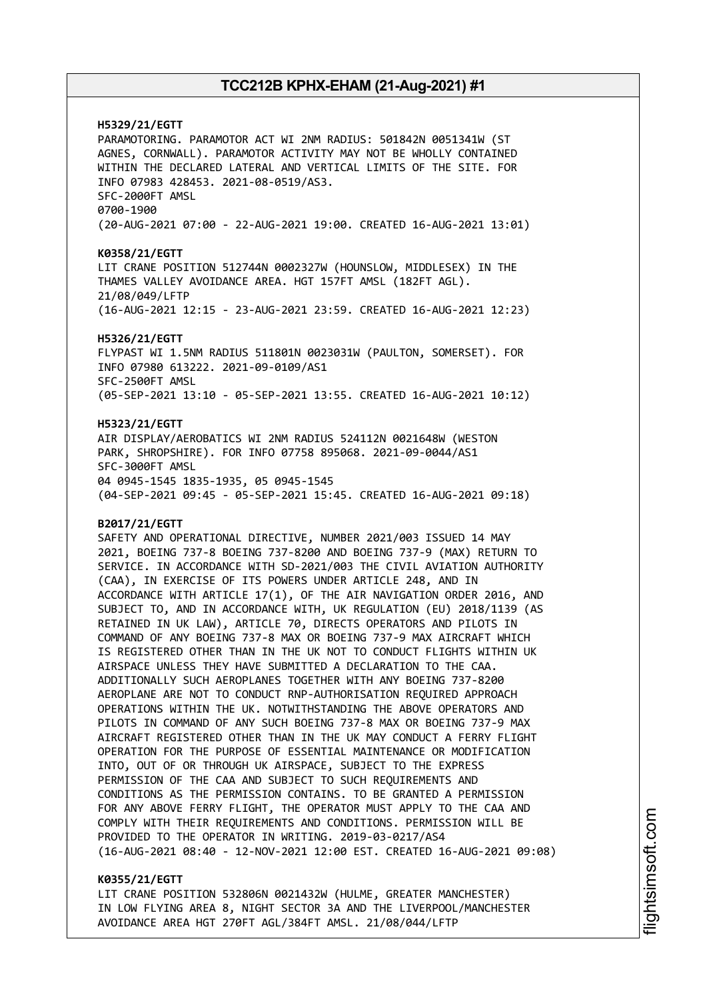**H5329/21/EGTT** PARAMOTORING. PARAMOTOR ACT WI 2NM RADIUS: 501842N 0051341W (ST AGNES, CORNWALL). PARAMOTOR ACTIVITY MAY NOT BE WHOLLY CONTAINED WITHIN THE DECLARED LATERAL AND VERTICAL LIMITS OF THE SITE. FOR INFO 07983 428453. 2021-08-0519/AS3. SFC-2000FT AMSL 0700-1900 (20-AUG-2021 07:00 - 22-AUG-2021 19:00. CREATED 16-AUG-2021 13:01) **K0358/21/EGTT** LIT CRANE POSITION 512744N 0002327W (HOUNSLOW, MIDDLESEX) IN THE THAMES VALLEY AVOIDANCE AREA. HGT 157FT AMSL (182FT AGL). 21/08/049/LFTP (16-AUG-2021 12:15 - 23-AUG-2021 23:59. CREATED 16-AUG-2021 12:23) **H5326/21/EGTT** FLYPAST WI 1.5NM RADIUS 511801N 0023031W (PAULTON, SOMERSET). FOR INFO 07980 613222. 2021-09-0109/AS1 SFC-2500FT AMSL (05-SEP-2021 13:10 - 05-SEP-2021 13:55. CREATED 16-AUG-2021 10:12) **H5323/21/EGTT** AIR DISPLAY/AEROBATICS WI 2NM RADIUS 524112N 0021648W (WESTON PARK, SHROPSHIRE). FOR INFO 07758 895068. 2021-09-0044/AS1 SFC-3000FT AMSL 04 0945-1545 1835-1935, 05 0945-1545 (04-SEP-2021 09:45 - 05-SEP-2021 15:45. CREATED 16-AUG-2021 09:18) **B2017/21/EGTT** SAFETY AND OPERATIONAL DIRECTIVE, NUMBER 2021/003 ISSUED 14 MAY 2021, BOEING 737-8 BOEING 737-8200 AND BOEING 737-9 (MAX) RETURN TO SERVICE. IN ACCORDANCE WITH SD-2021/003 THE CIVIL AVIATION AUTHORITY (CAA), IN EXERCISE OF ITS POWERS UNDER ARTICLE 248, AND IN ACCORDANCE WITH ARTICLE 17(1), OF THE AIR NAVIGATION ORDER 2016, AND SUBJECT TO, AND IN ACCORDANCE WITH, UK REGULATION (EU) 2018/1139 (AS RETAINED IN UK LAW), ARTICLE 70, DIRECTS OPERATORS AND PILOTS IN COMMAND OF ANY BOEING 737-8 MAX OR BOEING 737-9 MAX AIRCRAFT WHICH IS REGISTERED OTHER THAN IN THE UK NOT TO CONDUCT FLIGHTS WITHIN UK AIRSPACE UNLESS THEY HAVE SUBMITTED A DECLARATION TO THE CAA. ADDITIONALLY SUCH AEROPLANES TOGETHER WITH ANY BOEING 737-8200 AEROPLANE ARE NOT TO CONDUCT RNP-AUTHORISATION REQUIRED APPROACH OPERATIONS WITHIN THE UK. NOTWITHSTANDING THE ABOVE OPERATORS AND PILOTS IN COMMAND OF ANY SUCH BOEING 737-8 MAX OR BOEING 737-9 MAX AIRCRAFT REGISTERED OTHER THAN IN THE UK MAY CONDUCT A FERRY FLIGHT OPERATION FOR THE PURPOSE OF ESSENTIAL MAINTENANCE OR MODIFICATION INTO, OUT OF OR THROUGH UK AIRSPACE, SUBJECT TO THE EXPRESS PERMISSION OF THE CAA AND SUBJECT TO SUCH REQUIREMENTS AND CONDITIONS AS THE PERMISSION CONTAINS. TO BE GRANTED A PERMISSION FOR ANY ABOVE FERRY FLIGHT, THE OPERATOR MUST APPLY TO THE CAA AND COMPLY WITH THEIR REQUIREMENTS AND CONDITIONS. PERMISSION WILL BE PROVIDED TO THE OPERATOR IN WRITING. 2019-03-0217/AS4 (16-AUG-2021 08:40 - 12-NOV-2021 12:00 EST. CREATED 16-AUG-2021 09:08)

### **K0355/21/EGTT**

LIT CRANE POSITION 532806N 0021432W (HULME, GREATER MANCHESTER) IN LOW FLYING AREA 8, NIGHT SECTOR 3A AND THE LIVERPOOL/MANCHESTER AVOIDANCE AREA HGT 270FT AGL/384FT AMSL. 21/08/044/LFTP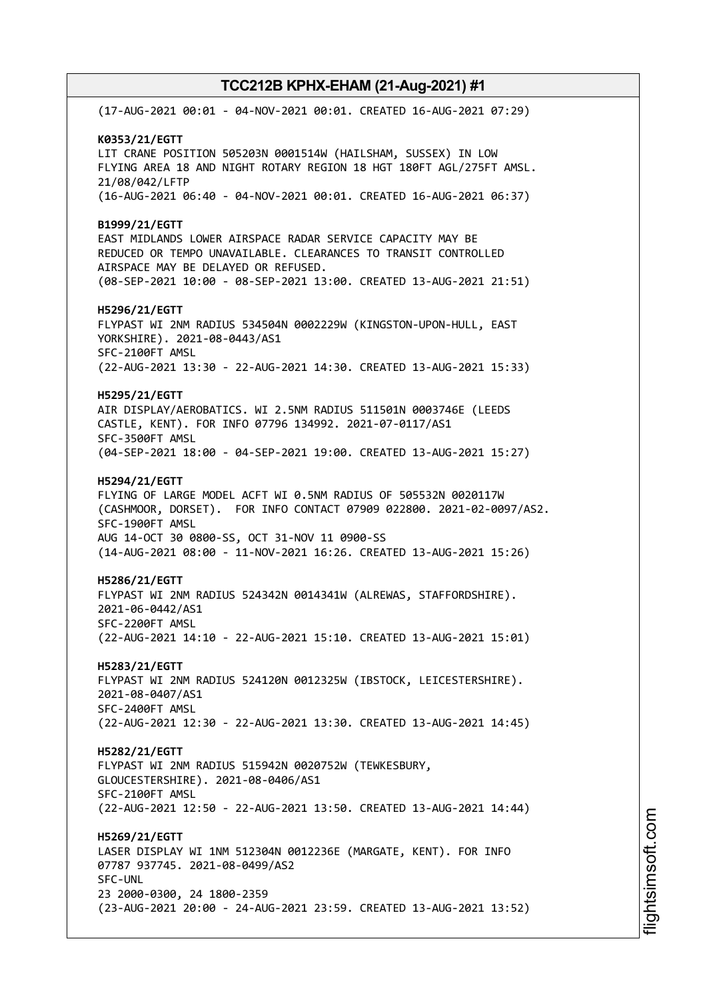(17-AUG-2021 00:01 - 04-NOV-2021 00:01. CREATED 16-AUG-2021 07:29) **K0353/21/EGTT** LIT CRANE POSITION 505203N 0001514W (HAILSHAM, SUSSEX) IN LOW FLYING AREA 18 AND NIGHT ROTARY REGION 18 HGT 180FT AGL/275FT AMSL. 21/08/042/LFTP (16-AUG-2021 06:40 - 04-NOV-2021 00:01. CREATED 16-AUG-2021 06:37) **B1999/21/EGTT** EAST MIDLANDS LOWER AIRSPACE RADAR SERVICE CAPACITY MAY BE REDUCED OR TEMPO UNAVAILABLE. CLEARANCES TO TRANSIT CONTROLLED AIRSPACE MAY BE DELAYED OR REFUSED. (08-SEP-2021 10:00 - 08-SEP-2021 13:00. CREATED 13-AUG-2021 21:51) **H5296/21/EGTT** FLYPAST WI 2NM RADIUS 534504N 0002229W (KINGSTON-UPON-HULL, EAST YORKSHIRE). 2021-08-0443/AS1 SFC-2100FT AMSL (22-AUG-2021 13:30 - 22-AUG-2021 14:30. CREATED 13-AUG-2021 15:33) **H5295/21/EGTT** AIR DISPLAY/AEROBATICS. WI 2.5NM RADIUS 511501N 0003746E (LEEDS CASTLE, KENT). FOR INFO 07796 134992. 2021-07-0117/AS1 SFC-3500FT AMSL (04-SEP-2021 18:00 - 04-SEP-2021 19:00. CREATED 13-AUG-2021 15:27) **H5294/21/EGTT** FLYING OF LARGE MODEL ACFT WI 0.5NM RADIUS OF 505532N 0020117W (CASHMOOR, DORSET). FOR INFO CONTACT 07909 022800. 2021-02-0097/AS2. SFC-1900FT AMSL AUG 14-OCT 30 0800-SS, OCT 31-NOV 11 0900-SS (14-AUG-2021 08:00 - 11-NOV-2021 16:26. CREATED 13-AUG-2021 15:26) **H5286/21/EGTT** FLYPAST WI 2NM RADIUS 524342N 0014341W (ALREWAS, STAFFORDSHIRE). 2021-06-0442/AS1 SFC-2200FT AMSL (22-AUG-2021 14:10 - 22-AUG-2021 15:10. CREATED 13-AUG-2021 15:01) **H5283/21/EGTT** FLYPAST WI 2NM RADIUS 524120N 0012325W (IBSTOCK, LEICESTERSHIRE). 2021-08-0407/AS1 SFC-2400FT AMSL (22-AUG-2021 12:30 - 22-AUG-2021 13:30. CREATED 13-AUG-2021 14:45) **H5282/21/EGTT** FLYPAST WI 2NM RADIUS 515942N 0020752W (TEWKESBURY, GLOUCESTERSHIRE). 2021-08-0406/AS1 SFC-2100FT AMSL (22-AUG-2021 12:50 - 22-AUG-2021 13:50. CREATED 13-AUG-2021 14:44) **H5269/21/EGTT** LASER DISPLAY WI 1NM 512304N 0012236E (MARGATE, KENT). FOR INFO 07787 937745. 2021-08-0499/AS2 SFC-UNL 23 2000-0300, 24 1800-2359 (23-AUG-2021 20:00 - 24-AUG-2021 23:59. CREATED 13-AUG-2021 13:52)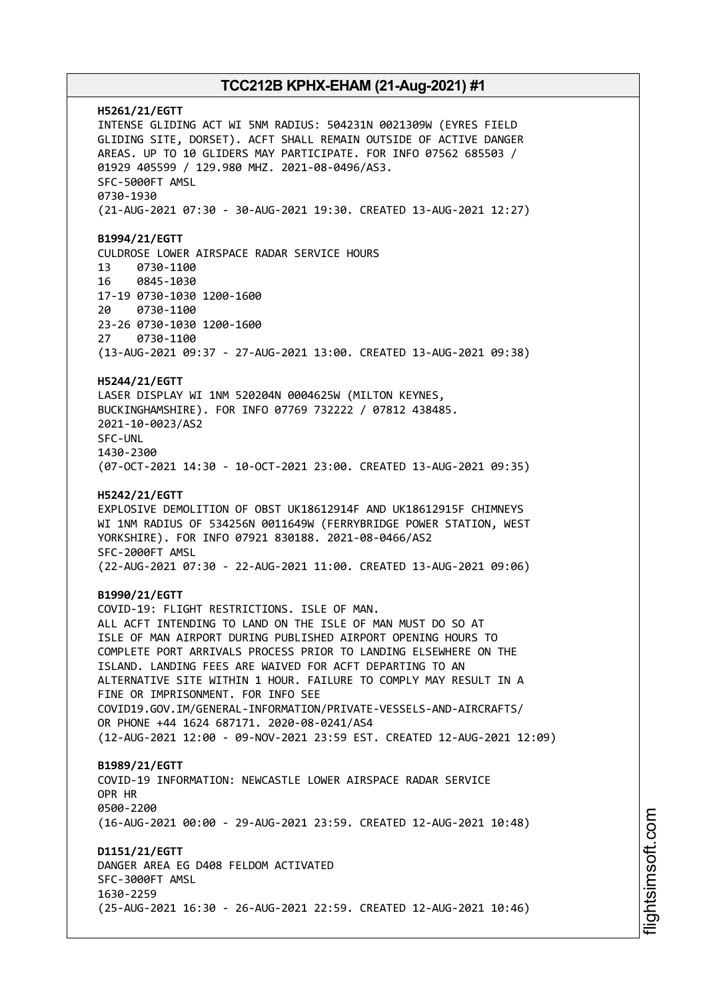**H5261/21/EGTT** INTENSE GLIDING ACT WI 5NM RADIUS: 504231N 0021309W (EYRES FIELD GLIDING SITE, DORSET). ACFT SHALL REMAIN OUTSIDE OF ACTIVE DANGER AREAS. UP TO 10 GLIDERS MAY PARTICIPATE. FOR INFO 07562 685503 / 01929 405599 / 129.980 MHZ. 2021-08-0496/AS3. SFC-5000FT AMSL 0730-1930 (21-AUG-2021 07:30 - 30-AUG-2021 19:30. CREATED 13-AUG-2021 12:27) **B1994/21/EGTT** CULDROSE LOWER AIRSPACE RADAR SERVICE HOURS 13 0730-1100 16 0845-1030 17-19 0730-1030 1200-1600 20 0730-1100 23-26 0730-1030 1200-1600 27 0730-1100 (13-AUG-2021 09:37 - 27-AUG-2021 13:00. CREATED 13-AUG-2021 09:38) **H5244/21/EGTT** LASER DISPLAY WI 1NM 520204N 0004625W (MILTON KEYNES, BUCKINGHAMSHIRE). FOR INFO 07769 732222 / 07812 438485. 2021-10-0023/AS2 SFC-UNL 1430-2300 (07-OCT-2021 14:30 - 10-OCT-2021 23:00. CREATED 13-AUG-2021 09:35) **H5242/21/EGTT** EXPLOSIVE DEMOLITION OF OBST UK18612914F AND UK18612915F CHIMNEYS WI 1NM RADIUS OF 534256N 0011649W (FERRYBRIDGE POWER STATION, WEST YORKSHIRE). FOR INFO 07921 830188. 2021-08-0466/AS2 SFC-2000FT AMSL (22-AUG-2021 07:30 - 22-AUG-2021 11:00. CREATED 13-AUG-2021 09:06) **B1990/21/EGTT** COVID-19: FLIGHT RESTRICTIONS. ISLE OF MAN. ALL ACFT INTENDING TO LAND ON THE ISLE OF MAN MUST DO SO AT ISLE OF MAN AIRPORT DURING PUBLISHED AIRPORT OPENING HOURS TO COMPLETE PORT ARRIVALS PROCESS PRIOR TO LANDING ELSEWHERE ON THE ISLAND. LANDING FEES ARE WAIVED FOR ACFT DEPARTING TO AN ALTERNATIVE SITE WITHIN 1 HOUR. FAILURE TO COMPLY MAY RESULT IN A FINE OR IMPRISONMENT. FOR INFO SEE COVID19.GOV.IM/GENERAL-INFORMATION/PRIVATE-VESSELS-AND-AIRCRAFTS/ OR PHONE +44 1624 687171. 2020-08-0241/AS4 (12-AUG-2021 12:00 - 09-NOV-2021 23:59 EST. CREATED 12-AUG-2021 12:09) **B1989/21/EGTT** COVID-19 INFORMATION: NEWCASTLE LOWER AIRSPACE RADAR SERVICE OPR HR 0500-2200 (16-AUG-2021 00:00 - 29-AUG-2021 23:59. CREATED 12-AUG-2021 10:48) **D1151/21/EGTT** DANGER AREA EG D408 FELDOM ACTIVATED SFC-3000FT AMSL 1630-2259 (25-AUG-2021 16:30 - 26-AUG-2021 22:59. CREATED 12-AUG-2021 10:46)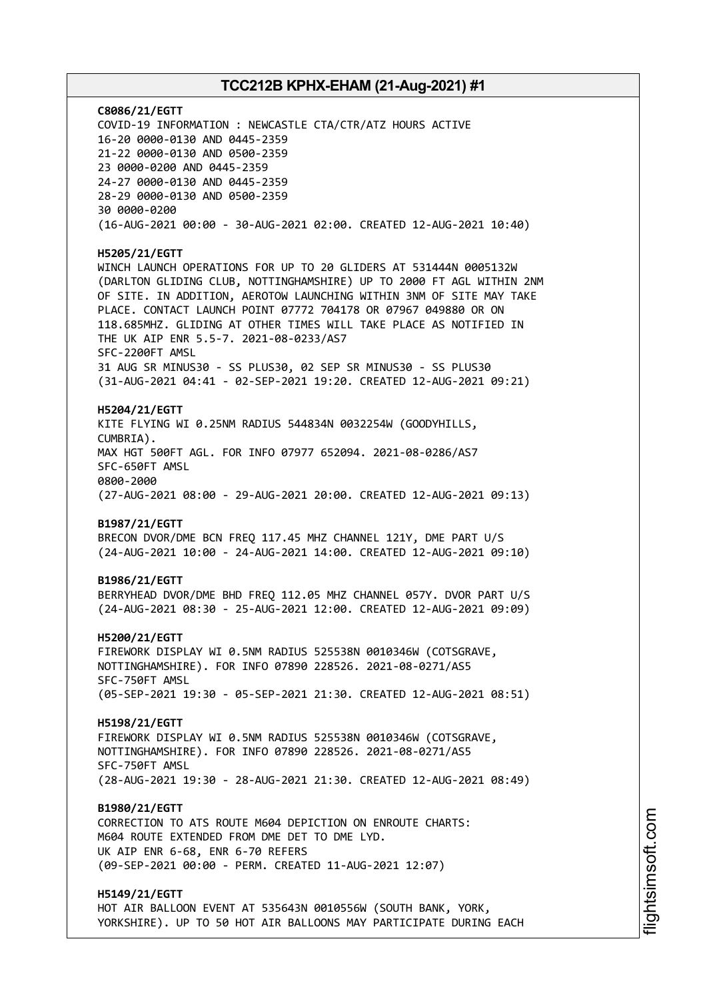**C8086/21/EGTT** COVID-19 INFORMATION : NEWCASTLE CTA/CTR/ATZ HOURS ACTIVE 16-20 0000-0130 AND 0445-2359 21-22 0000-0130 AND 0500-2359 23 0000-0200 AND 0445-2359 24-27 0000-0130 AND 0445-2359 28-29 0000-0130 AND 0500-2359 30 0000-0200 (16-AUG-2021 00:00 - 30-AUG-2021 02:00. CREATED 12-AUG-2021 10:40) **H5205/21/EGTT** WINCH LAUNCH OPERATIONS FOR UP TO 20 GLIDERS AT 531444N 0005132W (DARLTON GLIDING CLUB, NOTTINGHAMSHIRE) UP TO 2000 FT AGL WITHIN 2NM OF SITE. IN ADDITION, AEROTOW LAUNCHING WITHIN 3NM OF SITE MAY TAKE PLACE. CONTACT LAUNCH POINT 07772 704178 OR 07967 049880 OR ON 118.685MHZ. GLIDING AT OTHER TIMES WILL TAKE PLACE AS NOTIFIED IN THE UK AIP ENR 5.5-7. 2021-08-0233/AS7 SFC-2200FT AMSL 31 AUG SR MINUS30 - SS PLUS30, 02 SEP SR MINUS30 - SS PLUS30 (31-AUG-2021 04:41 - 02-SEP-2021 19:20. CREATED 12-AUG-2021 09:21) **H5204/21/EGTT** KITE FLYING WI 0.25NM RADIUS 544834N 0032254W (GOODYHILLS, CUMBRIA). MAX HGT 500FT AGL. FOR INFO 07977 652094. 2021-08-0286/AS7 SFC-650FT AMSL 0800-2000 (27-AUG-2021 08:00 - 29-AUG-2021 20:00. CREATED 12-AUG-2021 09:13) **B1987/21/EGTT** BRECON DVOR/DME BCN FREQ 117.45 MHZ CHANNEL 121Y, DME PART U/S (24-AUG-2021 10:00 - 24-AUG-2021 14:00. CREATED 12-AUG-2021 09:10) **B1986/21/EGTT** BERRYHEAD DVOR/DME BHD FREQ 112.05 MHZ CHANNEL 057Y. DVOR PART U/S (24-AUG-2021 08:30 - 25-AUG-2021 12:00. CREATED 12-AUG-2021 09:09) **H5200/21/EGTT** FIREWORK DISPLAY WI 0.5NM RADIUS 525538N 0010346W (COTSGRAVE, NOTTINGHAMSHIRE). FOR INFO 07890 228526. 2021-08-0271/AS5 SFC-750FT AMSL (05-SEP-2021 19:30 - 05-SEP-2021 21:30. CREATED 12-AUG-2021 08:51) **H5198/21/EGTT** FIREWORK DISPLAY WI 0.5NM RADIUS 525538N 0010346W (COTSGRAVE, NOTTINGHAMSHIRE). FOR INFO 07890 228526. 2021-08-0271/AS5 SFC-750FT AMSL (28-AUG-2021 19:30 - 28-AUG-2021 21:30. CREATED 12-AUG-2021 08:49) **B1980/21/EGTT** CORRECTION TO ATS ROUTE M604 DEPICTION ON ENROUTE CHARTS: M604 ROUTE EXTENDED FROM DME DET TO DME LYD. UK AIP ENR 6-68, ENR 6-70 REFERS (09-SEP-2021 00:00 - PERM. CREATED 11-AUG-2021 12:07) **H5149/21/EGTT** HOT AIR BALLOON EVENT AT 535643N 0010556W (SOUTH BANK, YORK,

YORKSHIRE). UP TO 50 HOT AIR BALLOONS MAY PARTICIPATE DURING EACH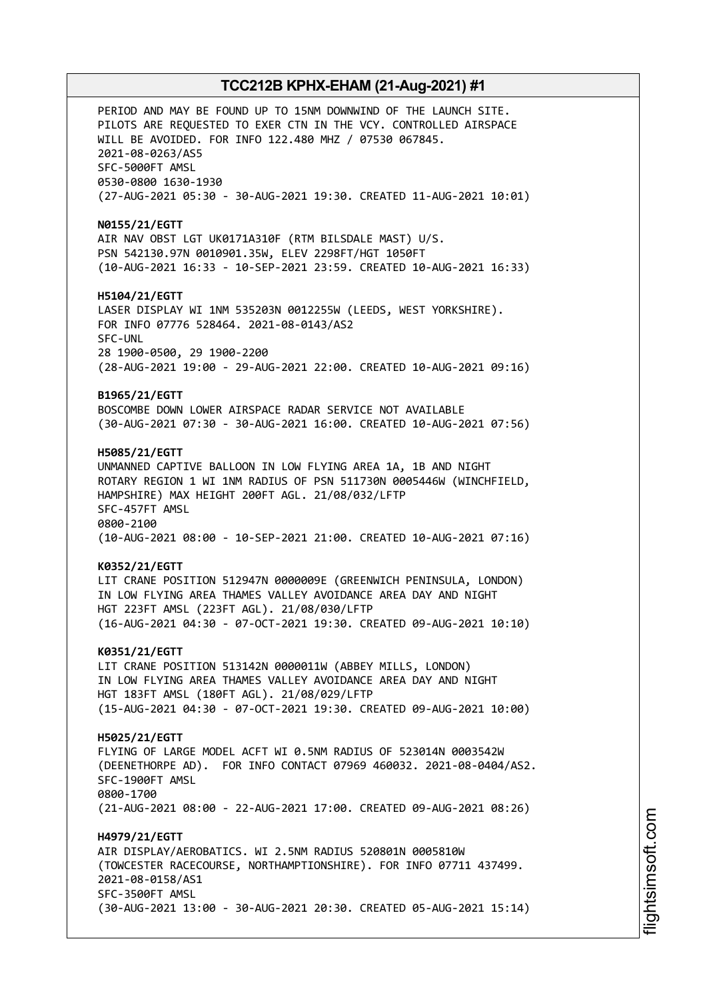PERIOD AND MAY BE FOUND UP TO 15NM DOWNWIND OF THE LAUNCH SITE. PILOTS ARE REQUESTED TO EXER CTN IN THE VCY. CONTROLLED AIRSPACE WILL BE AVOIDED. FOR INFO 122.480 MHZ / 07530 067845. 2021-08-0263/AS5 SFC-5000FT AMSL 0530-0800 1630-1930 (27-AUG-2021 05:30 - 30-AUG-2021 19:30. CREATED 11-AUG-2021 10:01) **N0155/21/EGTT** AIR NAV OBST LGT UK0171A310F (RTM BILSDALE MAST) U/S. PSN 542130.97N 0010901.35W, ELEV 2298FT/HGT 1050FT (10-AUG-2021 16:33 - 10-SEP-2021 23:59. CREATED 10-AUG-2021 16:33) **H5104/21/EGTT** LASER DISPLAY WI 1NM 535203N 0012255W (LEEDS, WEST YORKSHIRE). FOR INFO 07776 528464. 2021-08-0143/AS2 SFC-UNL 28 1900-0500, 29 1900-2200 (28-AUG-2021 19:00 - 29-AUG-2021 22:00. CREATED 10-AUG-2021 09:16) **B1965/21/EGTT** BOSCOMBE DOWN LOWER AIRSPACE RADAR SERVICE NOT AVAILABLE (30-AUG-2021 07:30 - 30-AUG-2021 16:00. CREATED 10-AUG-2021 07:56) **H5085/21/EGTT** UNMANNED CAPTIVE BALLOON IN LOW FLYING AREA 1A, 1B AND NIGHT ROTARY REGION 1 WI 1NM RADIUS OF PSN 511730N 0005446W (WINCHFIELD, HAMPSHIRE) MAX HEIGHT 200FT AGL. 21/08/032/LFTP SFC-457FT AMSL 0800-2100 (10-AUG-2021 08:00 - 10-SEP-2021 21:00. CREATED 10-AUG-2021 07:16) **K0352/21/EGTT** LIT CRANE POSITION 512947N 0000009E (GREENWICH PENINSULA, LONDON) IN LOW FLYING AREA THAMES VALLEY AVOIDANCE AREA DAY AND NIGHT HGT 223FT AMSL (223FT AGL). 21/08/030/LFTP (16-AUG-2021 04:30 - 07-OCT-2021 19:30. CREATED 09-AUG-2021 10:10) **K0351/21/EGTT** LIT CRANE POSITION 513142N 0000011W (ABBEY MILLS, LONDON) IN LOW FLYING AREA THAMES VALLEY AVOIDANCE AREA DAY AND NIGHT HGT 183FT AMSL (180FT AGL). 21/08/029/LFTP (15-AUG-2021 04:30 - 07-OCT-2021 19:30. CREATED 09-AUG-2021 10:00) **H5025/21/EGTT** FLYING OF LARGE MODEL ACFT WI 0.5NM RADIUS OF 523014N 0003542W (DEENETHORPE AD). FOR INFO CONTACT 07969 460032. 2021-08-0404/AS2. SFC-1900FT AMSL 0800-1700 (21-AUG-2021 08:00 - 22-AUG-2021 17:00. CREATED 09-AUG-2021 08:26) **H4979/21/EGTT** AIR DISPLAY/AEROBATICS. WI 2.5NM RADIUS 520801N 0005810W (TOWCESTER RACECOURSE, NORTHAMPTIONSHIRE). FOR INFO 07711 437499. 2021-08-0158/AS1 SFC-3500FT AMSL (30-AUG-2021 13:00 - 30-AUG-2021 20:30. CREATED 05-AUG-2021 15:14)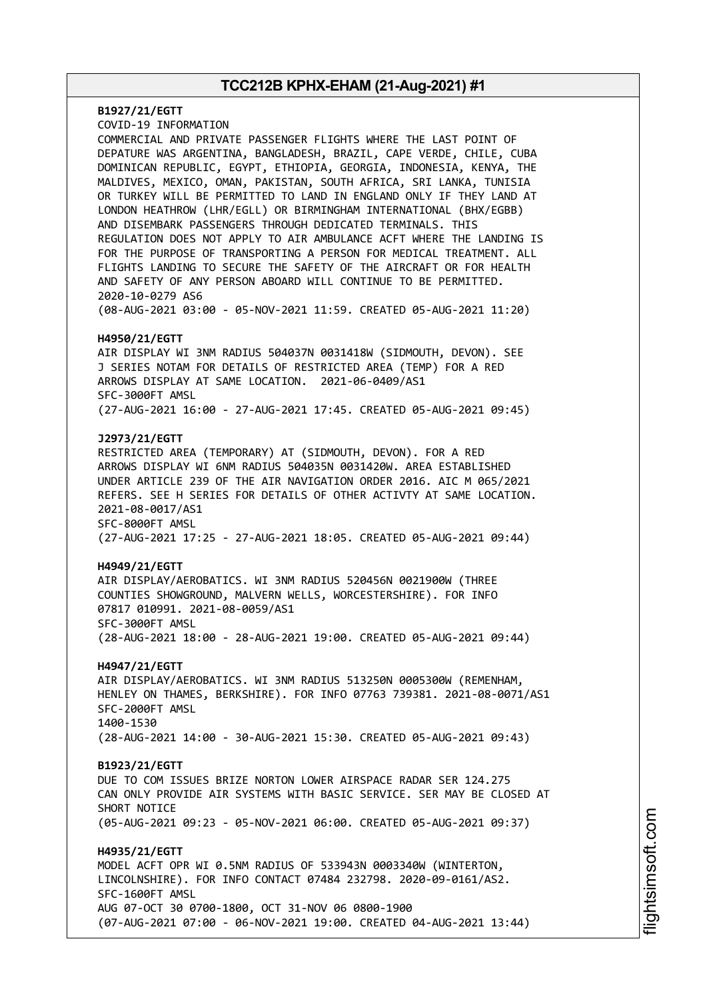**B1927/21/EGTT** COVID-19 INFORMATION COMMERCIAL AND PRIVATE PASSENGER FLIGHTS WHERE THE LAST POINT OF DEPATURE WAS ARGENTINA, BANGLADESH, BRAZIL, CAPE VERDE, CHILE, CUBA DOMINICAN REPUBLIC, EGYPT, ETHIOPIA, GEORGIA, INDONESIA, KENYA, THE MALDIVES, MEXICO, OMAN, PAKISTAN, SOUTH AFRICA, SRI LANKA, TUNISIA OR TURKEY WILL BE PERMITTED TO LAND IN ENGLAND ONLY IF THEY LAND AT LONDON HEATHROW (LHR/EGLL) OR BIRMINGHAM INTERNATIONAL (BHX/EGBB) AND DISEMBARK PASSENGERS THROUGH DEDICATED TERMINALS. THIS REGULATION DOES NOT APPLY TO AIR AMBULANCE ACFT WHERE THE LANDING IS FOR THE PURPOSE OF TRANSPORTING A PERSON FOR MEDICAL TREATMENT. ALL FLIGHTS LANDING TO SECURE THE SAFETY OF THE AIRCRAFT OR FOR HEALTH AND SAFETY OF ANY PERSON ABOARD WILL CONTINUE TO BE PERMITTED. 2020-10-0279 AS6 (08-AUG-2021 03:00 - 05-NOV-2021 11:59. CREATED 05-AUG-2021 11:20) **H4950/21/EGTT** AIR DISPLAY WI 3NM RADIUS 504037N 0031418W (SIDMOUTH, DEVON). SEE J SERIES NOTAM FOR DETAILS OF RESTRICTED AREA (TEMP) FOR A RED ARROWS DISPLAY AT SAME LOCATION. 2021-06-0409/AS1 SFC-3000FT AMSL (27-AUG-2021 16:00 - 27-AUG-2021 17:45. CREATED 05-AUG-2021 09:45) **J2973/21/EGTT** RESTRICTED AREA (TEMPORARY) AT (SIDMOUTH, DEVON). FOR A RED ARROWS DISPLAY WI 6NM RADIUS 504035N 0031420W. AREA ESTABLISHED UNDER ARTICLE 239 OF THE AIR NAVIGATION ORDER 2016. AIC M 065/2021 REFERS. SEE H SERIES FOR DETAILS OF OTHER ACTIVTY AT SAME LOCATION. 2021-08-0017/AS1 SFC-8000FT AMSL (27-AUG-2021 17:25 - 27-AUG-2021 18:05. CREATED 05-AUG-2021 09:44) **H4949/21/EGTT** AIR DISPLAY/AEROBATICS. WI 3NM RADIUS 520456N 0021900W (THREE COUNTIES SHOWGROUND, MALVERN WELLS, WORCESTERSHIRE). FOR INFO 07817 010991. 2021-08-0059/AS1 SFC-3000FT AMSL (28-AUG-2021 18:00 - 28-AUG-2021 19:00. CREATED 05-AUG-2021 09:44) **H4947/21/EGTT** AIR DISPLAY/AEROBATICS. WI 3NM RADIUS 513250N 0005300W (REMENHAM, HENLEY ON THAMES, BERKSHIRE). FOR INFO 07763 739381. 2021-08-0071/AS1 SFC-2000FT AMSL 1400-1530 (28-AUG-2021 14:00 - 30-AUG-2021 15:30. CREATED 05-AUG-2021 09:43) **B1923/21/EGTT** DUE TO COM ISSUES BRIZE NORTON LOWER AIRSPACE RADAR SER 124.275 CAN ONLY PROVIDE AIR SYSTEMS WITH BASIC SERVICE. SER MAY BE CLOSED AT SHORT NOTICE (05-AUG-2021 09:23 - 05-NOV-2021 06:00. CREATED 05-AUG-2021 09:37) **H4935/21/EGTT** MODEL ACFT OPR WI 0.5NM RADIUS OF 533943N 0003340W (WINTERTON, LINCOLNSHIRE). FOR INFO CONTACT 07484 232798. 2020-09-0161/AS2. SFC-1600FT AMSL AUG 07-OCT 30 0700-1800, OCT 31-NOV 06 0800-1900 (07-AUG-2021 07:00 - 06-NOV-2021 19:00. CREATED 04-AUG-2021 13:44)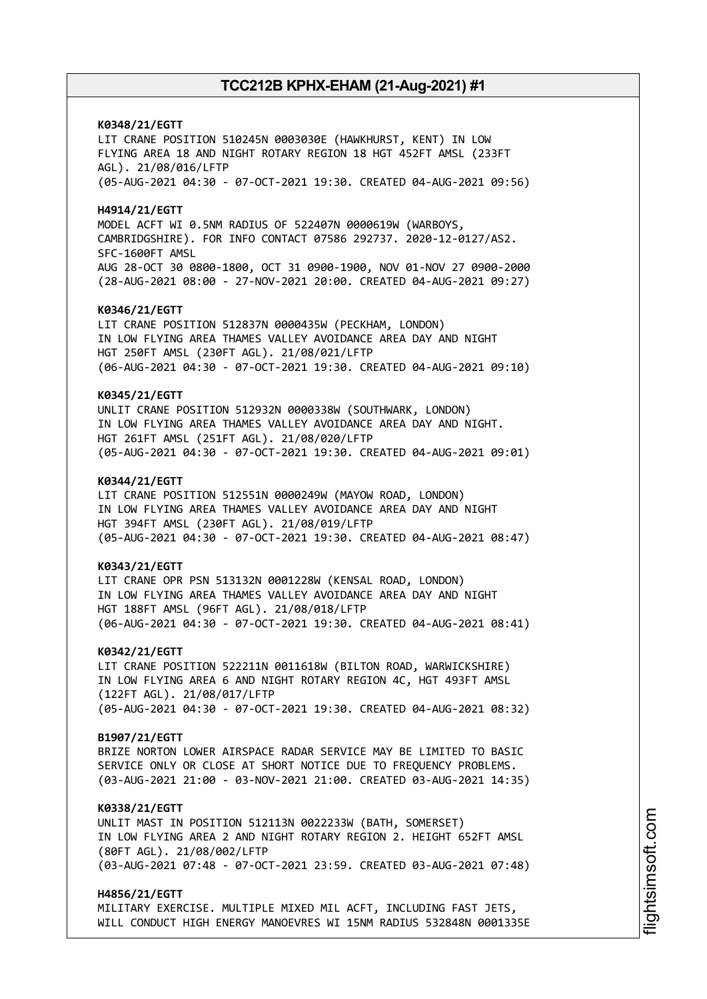**K0348/21/EGTT** LIT CRANE POSITION 510245N 0003030E (HAWKHURST, KENT) IN LOW FLYING AREA 18 AND NIGHT ROTARY REGION 18 HGT 452FT AMSL (233FT AGL). 21/08/016/LFTP (05-AUG-2021 04:30 - 07-OCT-2021 19:30. CREATED 04-AUG-2021 09:56) **H4914/21/EGTT** MODEL ACFT WI 0.5NM RADIUS OF 522407N 0000619W (WARBOYS, CAMBRIDGSHIRE). FOR INFO CONTACT 07586 292737. 2020-12-0127/AS2. SFC-1600FT AMSL AUG 28-OCT 30 0800-1800, OCT 31 0900-1900, NOV 01-NOV 27 0900-2000 (28-AUG-2021 08:00 - 27-NOV-2021 20:00. CREATED 04-AUG-2021 09:27) **K0346/21/EGTT** LIT CRANE POSITION 512837N 0000435W (PECKHAM, LONDON) IN LOW FLYING AREA THAMES VALLEY AVOIDANCE AREA DAY AND NIGHT HGT 250FT AMSL (230FT AGL). 21/08/021/LFTP (06-AUG-2021 04:30 - 07-OCT-2021 19:30. CREATED 04-AUG-2021 09:10) **K0345/21/EGTT** UNLIT CRANE POSITION 512932N 0000338W (SOUTHWARK, LONDON) IN LOW FLYING AREA THAMES VALLEY AVOIDANCE AREA DAY AND NIGHT. HGT 261FT AMSL (251FT AGL). 21/08/020/LFTP (05-AUG-2021 04:30 - 07-OCT-2021 19:30. CREATED 04-AUG-2021 09:01) **K0344/21/EGTT** LIT CRANE POSITION 512551N 0000249W (MAYOW ROAD, LONDON) IN LOW FLYING AREA THAMES VALLEY AVOIDANCE AREA DAY AND NIGHT HGT 394FT AMSL (230FT AGL). 21/08/019/LFTP (05-AUG-2021 04:30 - 07-OCT-2021 19:30. CREATED 04-AUG-2021 08:47) **K0343/21/EGTT** LIT CRANE OPR PSN 513132N 0001228W (KENSAL ROAD, LONDON) IN LOW FLYING AREA THAMES VALLEY AVOIDANCE AREA DAY AND NIGHT HGT 188FT AMSL (96FT AGL). 21/08/018/LFTP (06-AUG-2021 04:30 - 07-OCT-2021 19:30. CREATED 04-AUG-2021 08:41) **K0342/21/EGTT** LIT CRANE POSITION 522211N 0011618W (BILTON ROAD, WARWICKSHIRE) IN LOW FLYING AREA 6 AND NIGHT ROTARY REGION 4C, HGT 493FT AMSL (122FT AGL). 21/08/017/LFTP (05-AUG-2021 04:30 - 07-OCT-2021 19:30. CREATED 04-AUG-2021 08:32) **B1907/21/EGTT** BRIZE NORTON LOWER AIRSPACE RADAR SERVICE MAY BE LIMITED TO BASIC SERVICE ONLY OR CLOSE AT SHORT NOTICE DUE TO FREQUENCY PROBLEMS. (03-AUG-2021 21:00 - 03-NOV-2021 21:00. CREATED 03-AUG-2021 14:35) **K0338/21/EGTT** UNLIT MAST IN POSITION 512113N 0022233W (BATH, SOMERSET) IN LOW FLYING AREA 2 AND NIGHT ROTARY REGION 2. HEIGHT 652FT AMSL (80FT AGL). 21/08/002/LFTP (03-AUG-2021 07:48 - 07-OCT-2021 23:59. CREATED 03-AUG-2021 07:48) **H4856/21/EGTT**

MILITARY EXERCISE. MULTIPLE MIXED MIL ACFT, INCLUDING FAST JETS, WILL CONDUCT HIGH ENERGY MANOEVRES WI 15NM RADIUS 532848N 0001335E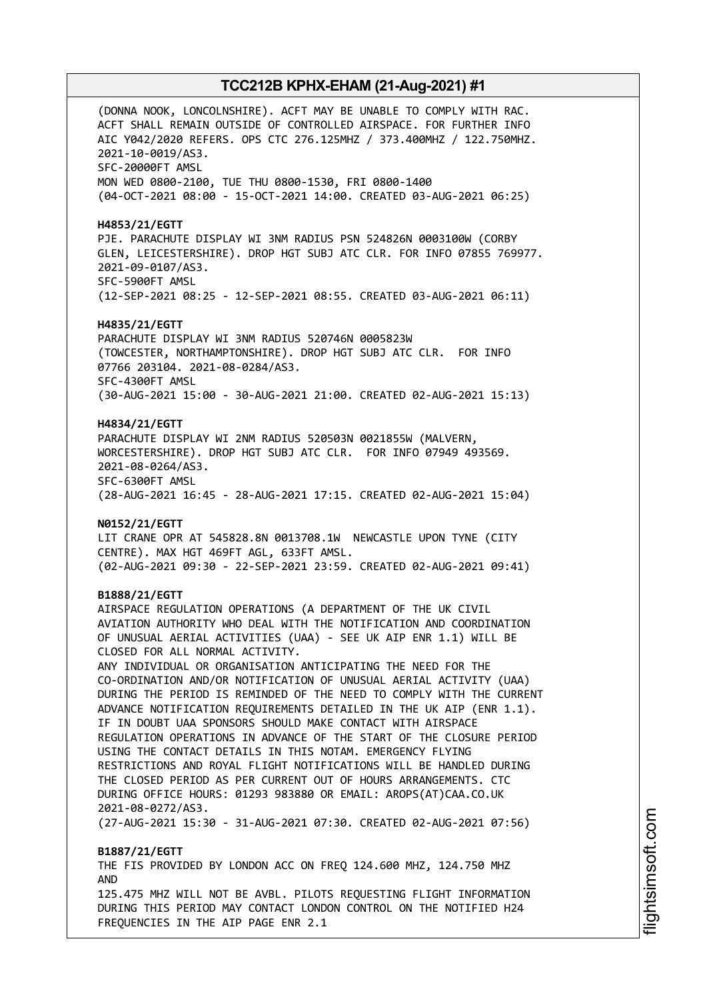(DONNA NOOK, LONCOLNSHIRE). ACFT MAY BE UNABLE TO COMPLY WITH RAC. ACFT SHALL REMAIN OUTSIDE OF CONTROLLED AIRSPACE. FOR FURTHER INFO AIC Y042/2020 REFERS. OPS CTC 276.125MHZ / 373.400MHZ / 122.750MHZ. 2021-10-0019/AS3. SFC-20000FT AMSL MON WED 0800-2100, TUE THU 0800-1530, FRI 0800-1400 (04-OCT-2021 08:00 - 15-OCT-2021 14:00. CREATED 03-AUG-2021 06:25) **H4853/21/EGTT** PJE. PARACHUTE DISPLAY WI 3NM RADIUS PSN 524826N 0003100W (CORBY GLEN, LEICESTERSHIRE). DROP HGT SUBJ ATC CLR. FOR INFO 07855 769977. 2021-09-0107/AS3. SFC-5900FT AMSL (12-SEP-2021 08:25 - 12-SEP-2021 08:55. CREATED 03-AUG-2021 06:11) **H4835/21/EGTT** PARACHUTE DISPLAY WI 3NM RADIUS 520746N 0005823W (TOWCESTER, NORTHAMPTONSHIRE). DROP HGT SUBJ ATC CLR. FOR INFO 07766 203104. 2021-08-0284/AS3. SFC-4300FT AMSL (30-AUG-2021 15:00 - 30-AUG-2021 21:00. CREATED 02-AUG-2021 15:13) **H4834/21/EGTT** PARACHUTE DISPLAY WI 2NM RADIUS 520503N 0021855W (MALVERN, WORCESTERSHIRE). DROP HGT SUBJ ATC CLR. FOR INFO 07949 493569. 2021-08-0264/AS3. SFC-6300FT AMSL (28-AUG-2021 16:45 - 28-AUG-2021 17:15. CREATED 02-AUG-2021 15:04) **N0152/21/EGTT** LIT CRANE OPR AT 545828.8N 0013708.1W NEWCASTLE UPON TYNE (CITY CENTRE). MAX HGT 469FT AGL, 633FT AMSL. (02-AUG-2021 09:30 - 22-SEP-2021 23:59. CREATED 02-AUG-2021 09:41) **B1888/21/EGTT** AIRSPACE REGULATION OPERATIONS (A DEPARTMENT OF THE UK CIVIL AVIATION AUTHORITY WHO DEAL WITH THE NOTIFICATION AND COORDINATION OF UNUSUAL AERIAL ACTIVITIES (UAA) - SEE UK AIP ENR 1.1) WILL BE CLOSED FOR ALL NORMAL ACTIVITY. ANY INDIVIDUAL OR ORGANISATION ANTICIPATING THE NEED FOR THE CO-ORDINATION AND/OR NOTIFICATION OF UNUSUAL AERIAL ACTIVITY (UAA) DURING THE PERIOD IS REMINDED OF THE NEED TO COMPLY WITH THE CURRENT ADVANCE NOTIFICATION REQUIREMENTS DETAILED IN THE UK AIP (ENR 1.1). IF IN DOUBT UAA SPONSORS SHOULD MAKE CONTACT WITH AIRSPACE REGULATION OPERATIONS IN ADVANCE OF THE START OF THE CLOSURE PERIOD USING THE CONTACT DETAILS IN THIS NOTAM. EMERGENCY FLYING RESTRICTIONS AND ROYAL FLIGHT NOTIFICATIONS WILL BE HANDLED DURING THE CLOSED PERIOD AS PER CURRENT OUT OF HOURS ARRANGEMENTS. CTC DURING OFFICE HOURS: 01293 983880 OR EMAIL: AROPS(AT)CAA.CO.UK 2021-08-0272/AS3. (27-AUG-2021 15:30 - 31-AUG-2021 07:30. CREATED 02-AUG-2021 07:56) **B1887/21/EGTT** THE FIS PROVIDED BY LONDON ACC ON FREQ 124.600 MHZ, 124.750 MHZ AND 125.475 MHZ WILL NOT BE AVBL. PILOTS REQUESTING FLIGHT INFORMATION DURING THIS PERIOD MAY CONTACT LONDON CONTROL ON THE NOTIFIED H24 FREQUENCIES IN THE AIP PAGE ENR 2.1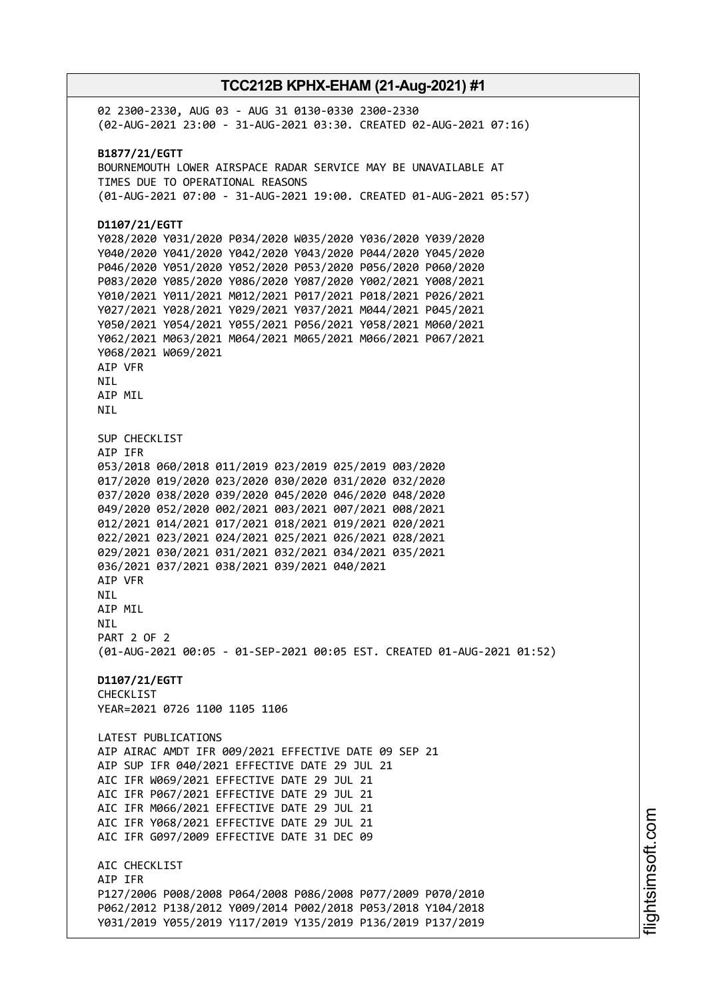02 2300-2330, AUG 03 - AUG 31 0130-0330 2300-2330 (02-AUG-2021 23:00 - 31-AUG-2021 03:30. CREATED 02-AUG-2021 07:16) **B1877/21/EGTT** BOURNEMOUTH LOWER AIRSPACE RADAR SERVICE MAY BE UNAVAILABLE AT TIMES DUE TO OPERATIONAL REASONS (01-AUG-2021 07:00 - 31-AUG-2021 19:00. CREATED 01-AUG-2021 05:57) **D1107/21/EGTT** Y028/2020 Y031/2020 P034/2020 W035/2020 Y036/2020 Y039/2020 Y040/2020 Y041/2020 Y042/2020 Y043/2020 P044/2020 Y045/2020 P046/2020 Y051/2020 Y052/2020 P053/2020 P056/2020 P060/2020 P083/2020 Y085/2020 Y086/2020 Y087/2020 Y002/2021 Y008/2021 Y010/2021 Y011/2021 M012/2021 P017/2021 P018/2021 P026/2021 Y027/2021 Y028/2021 Y029/2021 Y037/2021 M044/2021 P045/2021 Y050/2021 Y054/2021 Y055/2021 P056/2021 Y058/2021 M060/2021 Y062/2021 M063/2021 M064/2021 M065/2021 M066/2021 P067/2021 Y068/2021 W069/2021 AIP VFR **NTI** AIP MIL NIL SUP CHECKLIST AIP IFR 053/2018 060/2018 011/2019 023/2019 025/2019 003/2020 017/2020 019/2020 023/2020 030/2020 031/2020 032/2020 037/2020 038/2020 039/2020 045/2020 046/2020 048/2020 049/2020 052/2020 002/2021 003/2021 007/2021 008/2021 012/2021 014/2021 017/2021 018/2021 019/2021 020/2021 022/2021 023/2021 024/2021 025/2021 026/2021 028/2021 029/2021 030/2021 031/2021 032/2021 034/2021 035/2021 036/2021 037/2021 038/2021 039/2021 040/2021 AIP VFR NIL AIP MIL NIL PART 2 OF 2 (01-AUG-2021 00:05 - 01-SEP-2021 00:05 EST. CREATED 01-AUG-2021 01:52) **D1107/21/EGTT** CHECKLIST YEAR=2021 0726 1100 1105 1106 LATEST PUBLICATIONS AIP AIRAC AMDT IFR 009/2021 EFFECTIVE DATE 09 SEP 21 AIP SUP IFR 040/2021 EFFECTIVE DATE 29 JUL 21 AIC IFR W069/2021 EFFECTIVE DATE 29 JUL 21 AIC IFR P067/2021 EFFECTIVE DATE 29 JUL 21 AIC IFR M066/2021 EFFECTIVE DATE 29 JUL 21 AIC IFR Y068/2021 EFFECTIVE DATE 29 JUL 21 AIC IFR G097/2009 EFFECTIVE DATE 31 DEC 09 ATC CHECKLIST AIP IFR P127/2006 P008/2008 P064/2008 P086/2008 P077/2009 P070/2010 P062/2012 P138/2012 Y009/2014 P002/2018 P053/2018 Y104/2018 Y031/2019 Y055/2019 Y117/2019 Y135/2019 P136/2019 P137/2019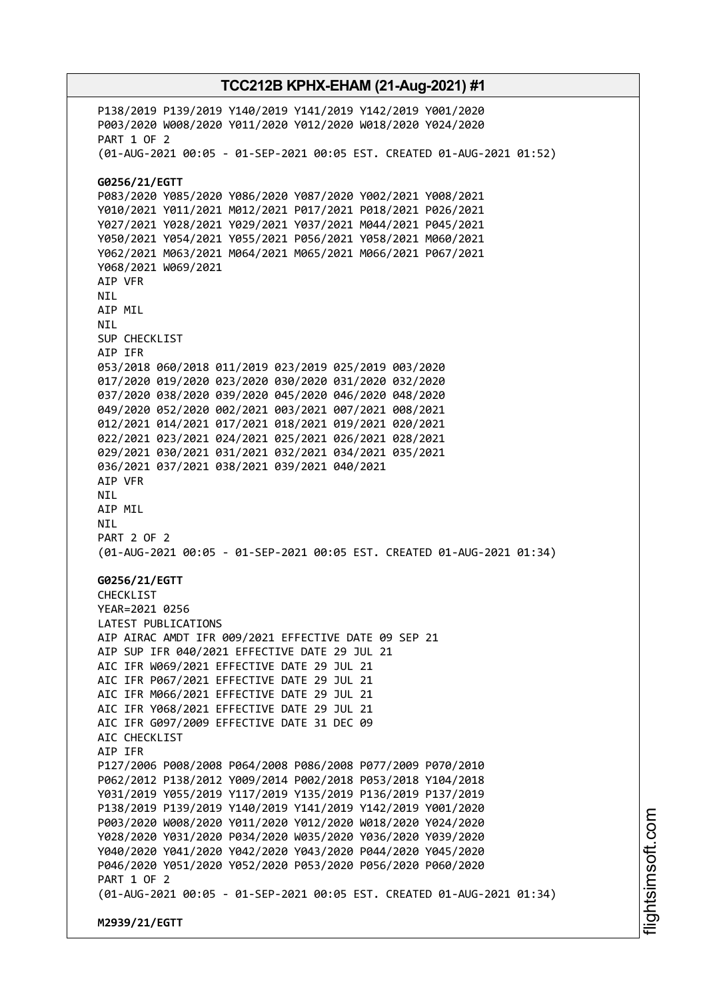P138/2019 P139/2019 Y140/2019 Y141/2019 Y142/2019 Y001/2020 P003/2020 W008/2020 Y011/2020 Y012/2020 W018/2020 Y024/2020 PART 1 OF 2 (01-AUG-2021 00:05 - 01-SEP-2021 00:05 EST. CREATED 01-AUG-2021 01:52) **G0256/21/EGTT** P083/2020 Y085/2020 Y086/2020 Y087/2020 Y002/2021 Y008/2021 Y010/2021 Y011/2021 M012/2021 P017/2021 P018/2021 P026/2021 Y027/2021 Y028/2021 Y029/2021 Y037/2021 M044/2021 P045/2021 Y050/2021 Y054/2021 Y055/2021 P056/2021 Y058/2021 M060/2021 Y062/2021 M063/2021 M064/2021 M065/2021 M066/2021 P067/2021 Y068/2021 W069/2021 AIP VFR NIL AIP MIL NIL SUP CHECKLIST AIP IFR 053/2018 060/2018 011/2019 023/2019 025/2019 003/2020 017/2020 019/2020 023/2020 030/2020 031/2020 032/2020 037/2020 038/2020 039/2020 045/2020 046/2020 048/2020 049/2020 052/2020 002/2021 003/2021 007/2021 008/2021 012/2021 014/2021 017/2021 018/2021 019/2021 020/2021 022/2021 023/2021 024/2021 025/2021 026/2021 028/2021 029/2021 030/2021 031/2021 032/2021 034/2021 035/2021 036/2021 037/2021 038/2021 039/2021 040/2021 AIP VFR NIL AIP MIL NIL PART 2 OF 2 (01-AUG-2021 00:05 - 01-SEP-2021 00:05 EST. CREATED 01-AUG-2021 01:34) **G0256/21/EGTT** CHECKLIST YEAR=2021 0256 LATEST PUBLICATIONS AIP AIRAC AMDT IFR 009/2021 EFFECTIVE DATE 09 SEP 21 AIP SUP IFR 040/2021 EFFECTIVE DATE 29 JUL 21 AIC IFR W069/2021 EFFECTIVE DATE 29 JUL 21 AIC IFR P067/2021 EFFECTIVE DATE 29 JUL 21 AIC IFR M066/2021 EFFECTIVE DATE 29 JUL 21 AIC IFR Y068/2021 EFFECTIVE DATE 29 JUL 21 AIC IFR G097/2009 EFFECTIVE DATE 31 DEC 09 ATC CHECKLIST AIP IFR P127/2006 P008/2008 P064/2008 P086/2008 P077/2009 P070/2010 P062/2012 P138/2012 Y009/2014 P002/2018 P053/2018 Y104/2018 Y031/2019 Y055/2019 Y117/2019 Y135/2019 P136/2019 P137/2019 P138/2019 P139/2019 Y140/2019 Y141/2019 Y142/2019 Y001/2020 P003/2020 W008/2020 Y011/2020 Y012/2020 W018/2020 Y024/2020 Y028/2020 Y031/2020 P034/2020 W035/2020 Y036/2020 Y039/2020 Y040/2020 Y041/2020 Y042/2020 Y043/2020 P044/2020 Y045/2020 P046/2020 Y051/2020 Y052/2020 P053/2020 P056/2020 P060/2020 PART 1 OF 2 (01-AUG-2021 00:05 - 01-SEP-2021 00:05 EST. CREATED 01-AUG-2021 01:34) **M2939/21/EGTT**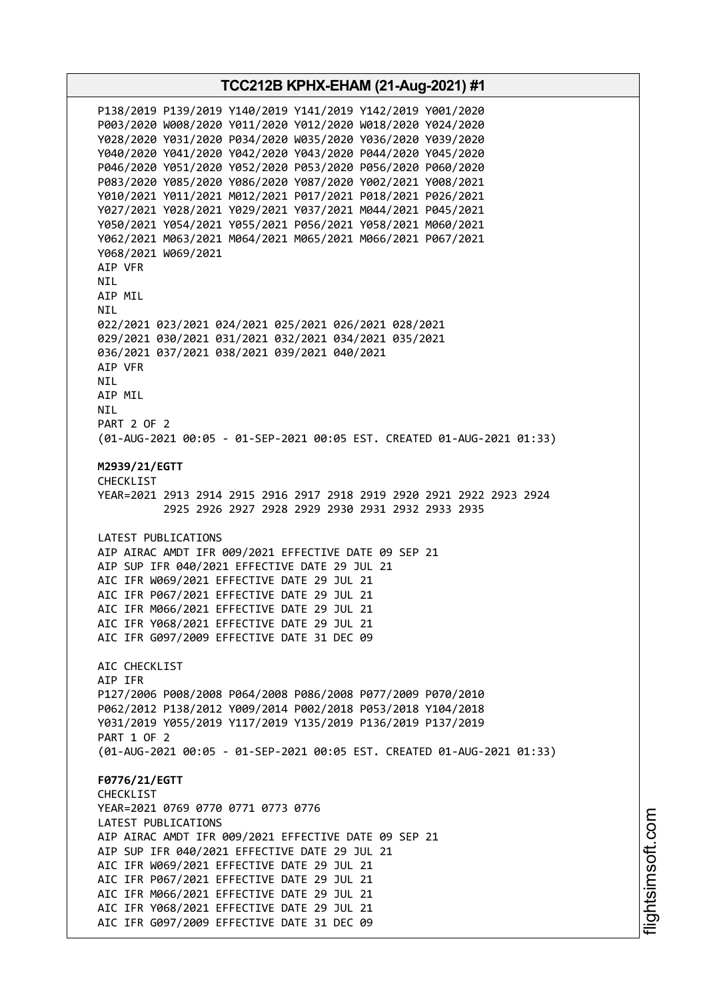**TCC212B KPHX-EHAM (21-Aug-2021) #1** P138/2019 P139/2019 Y140/2019 Y141/2019 Y142/2019 Y001/2020 P003/2020 W008/2020 Y011/2020 Y012/2020 W018/2020 Y024/2020 Y028/2020 Y031/2020 P034/2020 W035/2020 Y036/2020 Y039/2020 Y040/2020 Y041/2020 Y042/2020 Y043/2020 P044/2020 Y045/2020 P046/2020 Y051/2020 Y052/2020 P053/2020 P056/2020 P060/2020 P083/2020 Y085/2020 Y086/2020 Y087/2020 Y002/2021 Y008/2021 Y010/2021 Y011/2021 M012/2021 P017/2021 P018/2021 P026/2021 Y027/2021 Y028/2021 Y029/2021 Y037/2021 M044/2021 P045/2021 Y050/2021 Y054/2021 Y055/2021 P056/2021 Y058/2021 M060/2021 Y062/2021 M063/2021 M064/2021 M065/2021 M066/2021 P067/2021 Y068/2021 W069/2021 AIP VFR NIL AIP MIL NIL 022/2021 023/2021 024/2021 025/2021 026/2021 028/2021 029/2021 030/2021 031/2021 032/2021 034/2021 035/2021 036/2021 037/2021 038/2021 039/2021 040/2021 AIP VFR **NTI** AIP MIL NIL PART 2 OF 2 (01-AUG-2021 00:05 - 01-SEP-2021 00:05 EST. CREATED 01-AUG-2021 01:33) **M2939/21/EGTT** CHECKL<sub>TST</sub> YEAR=2021 2913 2914 2915 2916 2917 2918 2919 2920 2921 2922 2923 2924 2925 2926 2927 2928 2929 2930 2931 2932 2933 2935 LATEST PUBLICATIONS AIP AIRAC AMDT IFR 009/2021 EFFECTIVE DATE 09 SEP 21 AIP SUP IFR 040/2021 EFFECTIVE DATE 29 JUL 21 AIC IFR W069/2021 EFFECTIVE DATE 29 JUL 21 AIC IFR P067/2021 EFFECTIVE DATE 29 JUL 21 AIC IFR M066/2021 EFFECTIVE DATE 29 JUL 21 AIC IFR Y068/2021 EFFECTIVE DATE 29 JUL 21 AIC IFR G097/2009 EFFECTIVE DATE 31 DEC 09 AIC CHECKLIST AIP IFR P127/2006 P008/2008 P064/2008 P086/2008 P077/2009 P070/2010 P062/2012 P138/2012 Y009/2014 P002/2018 P053/2018 Y104/2018 Y031/2019 Y055/2019 Y117/2019 Y135/2019 P136/2019 P137/2019 PART 1 OF 2 (01-AUG-2021 00:05 - 01-SEP-2021 00:05 EST. CREATED 01-AUG-2021 01:33) **F0776/21/EGTT** CHECKLIST YEAR=2021 0769 0770 0771 0773 0776 LATEST PUBLICATIONS AIP AIRAC AMDT IFR 009/2021 EFFECTIVE DATE 09 SEP 21 AIP SUP IFR 040/2021 EFFECTIVE DATE 29 JUL 21 AIC IFR W069/2021 EFFECTIVE DATE 29 JUL 21 AIC IFR P067/2021 EFFECTIVE DATE 29 JUL 21 AIC IFR M066/2021 EFFECTIVE DATE 29 JUL 21 AIC IFR Y068/2021 EFFECTIVE DATE 29 JUL 21 AIC IFR G097/2009 EFFECTIVE DATE 31 DEC 09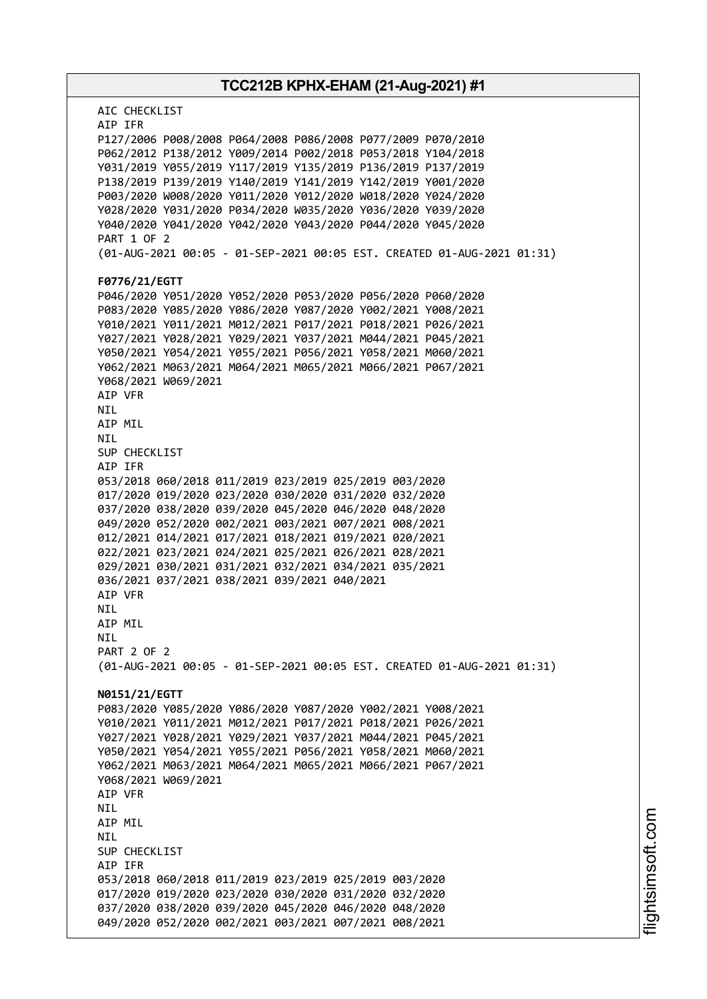# **TCC212B KPHX-EHAM (21-Aug-2021) #1** AIC CHECKLIST AIP IFR P127/2006 P008/2008 P064/2008 P086/2008 P077/2009 P070/2010 P062/2012 P138/2012 Y009/2014 P002/2018 P053/2018 Y104/2018 Y031/2019 Y055/2019 Y117/2019 Y135/2019 P136/2019 P137/2019 P138/2019 P139/2019 Y140/2019 Y141/2019 Y142/2019 Y001/2020 P003/2020 W008/2020 Y011/2020 Y012/2020 W018/2020 Y024/2020 Y028/2020 Y031/2020 P034/2020 W035/2020 Y036/2020 Y039/2020 Y040/2020 Y041/2020 Y042/2020 Y043/2020 P044/2020 Y045/2020 PART 1 OF 2 (01-AUG-2021 00:05 - 01-SEP-2021 00:05 EST. CREATED 01-AUG-2021 01:31) **F0776/21/EGTT** P046/2020 Y051/2020 Y052/2020 P053/2020 P056/2020 P060/2020 P083/2020 Y085/2020 Y086/2020 Y087/2020 Y002/2021 Y008/2021 Y010/2021 Y011/2021 M012/2021 P017/2021 P018/2021 P026/2021 Y027/2021 Y028/2021 Y029/2021 Y037/2021 M044/2021 P045/2021 Y050/2021 Y054/2021 Y055/2021 P056/2021 Y058/2021 M060/2021 Y062/2021 M063/2021 M064/2021 M065/2021 M066/2021 P067/2021 Y068/2021 W069/2021 AIP VFR NIL AIP MIL NIL SUP CHECKLIST AIP IFR 053/2018 060/2018 011/2019 023/2019 025/2019 003/2020 017/2020 019/2020 023/2020 030/2020 031/2020 032/2020 037/2020 038/2020 039/2020 045/2020 046/2020 048/2020 049/2020 052/2020 002/2021 003/2021 007/2021 008/2021 012/2021 014/2021 017/2021 018/2021 019/2021 020/2021 022/2021 023/2021 024/2021 025/2021 026/2021 028/2021 029/2021 030/2021 031/2021 032/2021 034/2021 035/2021 036/2021 037/2021 038/2021 039/2021 040/2021 AIP VFR **NTI** AIP MIL **NTI** PART 2 OF 2 (01-AUG-2021 00:05 - 01-SEP-2021 00:05 EST. CREATED 01-AUG-2021 01:31) **N0151/21/EGTT** P083/2020 Y085/2020 Y086/2020 Y087/2020 Y002/2021 Y008/2021 Y010/2021 Y011/2021 M012/2021 P017/2021 P018/2021 P026/2021 Y027/2021 Y028/2021 Y029/2021 Y037/2021 M044/2021 P045/2021 Y050/2021 Y054/2021 Y055/2021 P056/2021 Y058/2021 M060/2021 Y062/2021 M063/2021 M064/2021 M065/2021 M066/2021 P067/2021 Y068/2021 W069/2021 AIP VFR NIL AIP MIL NIL SUP CHECKLIST AIP IFR 053/2018 060/2018 011/2019 023/2019 025/2019 003/2020 017/2020 019/2020 023/2020 030/2020 031/2020 032/2020 037/2020 038/2020 039/2020 045/2020 046/2020 048/2020 049/2020 052/2020 002/2021 003/2021 007/2021 008/2021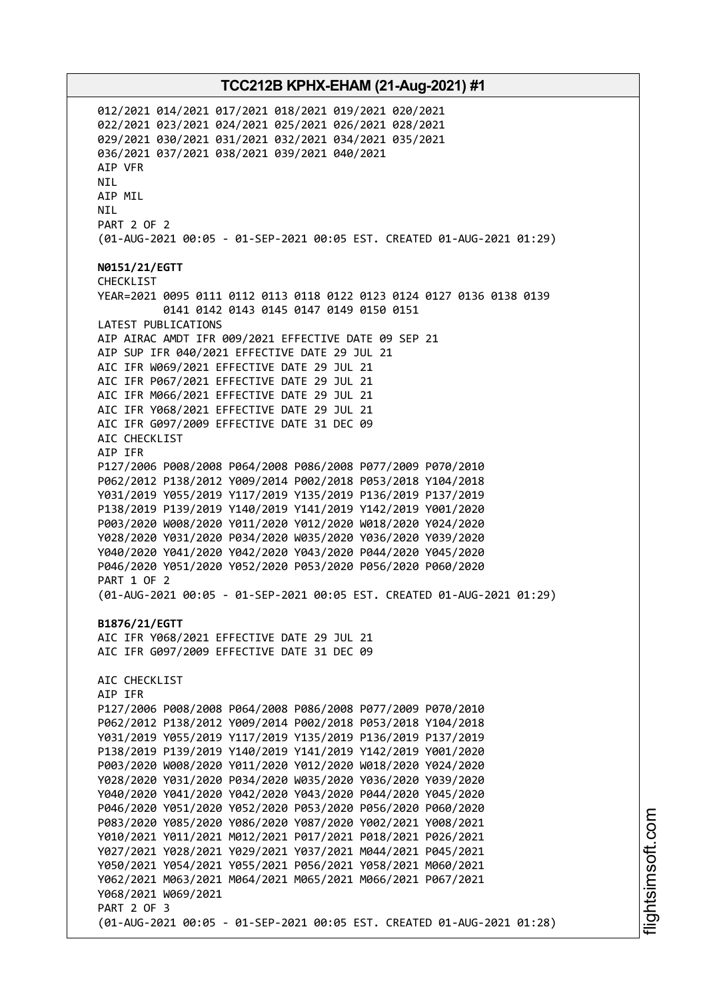012/2021 014/2021 017/2021 018/2021 019/2021 020/2021 022/2021 023/2021 024/2021 025/2021 026/2021 028/2021 029/2021 030/2021 031/2021 032/2021 034/2021 035/2021 036/2021 037/2021 038/2021 039/2021 040/2021 AIP VFR NIL AIP MIL NIL PART 2 OF 2 (01-AUG-2021 00:05 - 01-SEP-2021 00:05 EST. CREATED 01-AUG-2021 01:29) **N0151/21/EGTT** CHECKLIST YEAR=2021 0095 0111 0112 0113 0118 0122 0123 0124 0127 0136 0138 0139 0141 0142 0143 0145 0147 0149 0150 0151 LATEST PUBLICATIONS AIP AIRAC AMDT IFR 009/2021 EFFECTIVE DATE 09 SEP 21 AIP SUP IFR 040/2021 EFFECTIVE DATE 29 JUL 21 AIC IFR W069/2021 EFFECTIVE DATE 29 JUL 21 AIC IFR P067/2021 EFFECTIVE DATE 29 JUL 21 AIC IFR M066/2021 EFFECTIVE DATE 29 JUL 21 AIC IFR Y068/2021 EFFECTIVE DATE 29 JUL 21 AIC IFR G097/2009 EFFECTIVE DATE 31 DEC 09 AIC CHECKLIST AIP IFR P127/2006 P008/2008 P064/2008 P086/2008 P077/2009 P070/2010 P062/2012 P138/2012 Y009/2014 P002/2018 P053/2018 Y104/2018 Y031/2019 Y055/2019 Y117/2019 Y135/2019 P136/2019 P137/2019 P138/2019 P139/2019 Y140/2019 Y141/2019 Y142/2019 Y001/2020 P003/2020 W008/2020 Y011/2020 Y012/2020 W018/2020 Y024/2020 Y028/2020 Y031/2020 P034/2020 W035/2020 Y036/2020 Y039/2020 Y040/2020 Y041/2020 Y042/2020 Y043/2020 P044/2020 Y045/2020 P046/2020 Y051/2020 Y052/2020 P053/2020 P056/2020 P060/2020 PART 1 OF 2 (01-AUG-2021 00:05 - 01-SEP-2021 00:05 EST. CREATED 01-AUG-2021 01:29) **B1876/21/EGTT** AIC IFR Y068/2021 EFFECTIVE DATE 29 JUL 21 AIC IFR G097/2009 EFFECTIVE DATE 31 DEC 09 AIC CHECKLIST AIP IFR P127/2006 P008/2008 P064/2008 P086/2008 P077/2009 P070/2010 P062/2012 P138/2012 Y009/2014 P002/2018 P053/2018 Y104/2018 Y031/2019 Y055/2019 Y117/2019 Y135/2019 P136/2019 P137/2019 P138/2019 P139/2019 Y140/2019 Y141/2019 Y142/2019 Y001/2020 P003/2020 W008/2020 Y011/2020 Y012/2020 W018/2020 Y024/2020 Y028/2020 Y031/2020 P034/2020 W035/2020 Y036/2020 Y039/2020 Y040/2020 Y041/2020 Y042/2020 Y043/2020 P044/2020 Y045/2020 P046/2020 Y051/2020 Y052/2020 P053/2020 P056/2020 P060/2020 P083/2020 Y085/2020 Y086/2020 Y087/2020 Y002/2021 Y008/2021 Y010/2021 Y011/2021 M012/2021 P017/2021 P018/2021 P026/2021 Y027/2021 Y028/2021 Y029/2021 Y037/2021 M044/2021 P045/2021 Y050/2021 Y054/2021 Y055/2021 P056/2021 Y058/2021 M060/2021 Y062/2021 M063/2021 M064/2021 M065/2021 M066/2021 P067/2021 Y068/2021 W069/2021 PART 2 OF 3 (01-AUG-2021 00:05 - 01-SEP-2021 00:05 EST. CREATED 01-AUG-2021 01:28)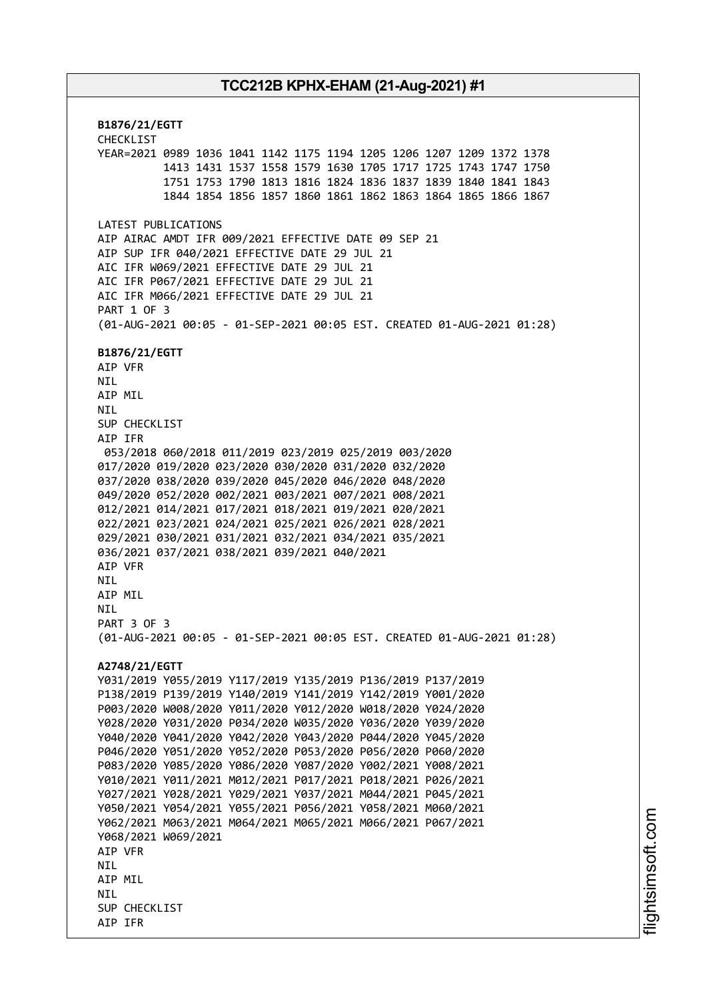**B1876/21/EGTT** CHECKLIST YEAR=2021 0989 1036 1041 1142 1175 1194 1205 1206 1207 1209 1372 1378 1413 1431 1537 1558 1579 1630 1705 1717 1725 1743 1747 1750 1751 1753 1790 1813 1816 1824 1836 1837 1839 1840 1841 1843 1844 1854 1856 1857 1860 1861 1862 1863 1864 1865 1866 1867 LATEST PUBLICATIONS AIP AIRAC AMDT IFR 009/2021 EFFECTIVE DATE 09 SEP 21 AIP SUP IFR 040/2021 EFFECTIVE DATE 29 JUL 21 AIC IFR W069/2021 EFFECTIVE DATE 29 JUL 21 AIC IFR P067/2021 EFFECTIVE DATE 29 JUL 21 AIC IFR M066/2021 EFFECTIVE DATE 29 JUL 21 PART 1 OF 3 (01-AUG-2021 00:05 - 01-SEP-2021 00:05 EST. CREATED 01-AUG-2021 01:28) **B1876/21/EGTT** AIP VFR NIL AIP MIL NIL SUP CHECKLIST AIP IFR 053/2018 060/2018 011/2019 023/2019 025/2019 003/2020 017/2020 019/2020 023/2020 030/2020 031/2020 032/2020 037/2020 038/2020 039/2020 045/2020 046/2020 048/2020 049/2020 052/2020 002/2021 003/2021 007/2021 008/2021 012/2021 014/2021 017/2021 018/2021 019/2021 020/2021 022/2021 023/2021 024/2021 025/2021 026/2021 028/2021 029/2021 030/2021 031/2021 032/2021 034/2021 035/2021 036/2021 037/2021 038/2021 039/2021 040/2021 AIP VFR **NTI** AIP MIL **NTL** PART 3 OF 3 (01-AUG-2021 00:05 - 01-SEP-2021 00:05 EST. CREATED 01-AUG-2021 01:28) **A2748/21/EGTT** Y031/2019 Y055/2019 Y117/2019 Y135/2019 P136/2019 P137/2019 P138/2019 P139/2019 Y140/2019 Y141/2019 Y142/2019 Y001/2020 P003/2020 W008/2020 Y011/2020 Y012/2020 W018/2020 Y024/2020 Y028/2020 Y031/2020 P034/2020 W035/2020 Y036/2020 Y039/2020 Y040/2020 Y041/2020 Y042/2020 Y043/2020 P044/2020 Y045/2020 P046/2020 Y051/2020 Y052/2020 P053/2020 P056/2020 P060/2020 P083/2020 Y085/2020 Y086/2020 Y087/2020 Y002/2021 Y008/2021 Y010/2021 Y011/2021 M012/2021 P017/2021 P018/2021 P026/2021 Y027/2021 Y028/2021 Y029/2021 Y037/2021 M044/2021 P045/2021 Y050/2021 Y054/2021 Y055/2021 P056/2021 Y058/2021 M060/2021 Y062/2021 M063/2021 M064/2021 M065/2021 M066/2021 P067/2021 Y068/2021 W069/2021 AIP VFR **NTI** AIP MIL **NTI** SUP CHECKLIST AIP IFR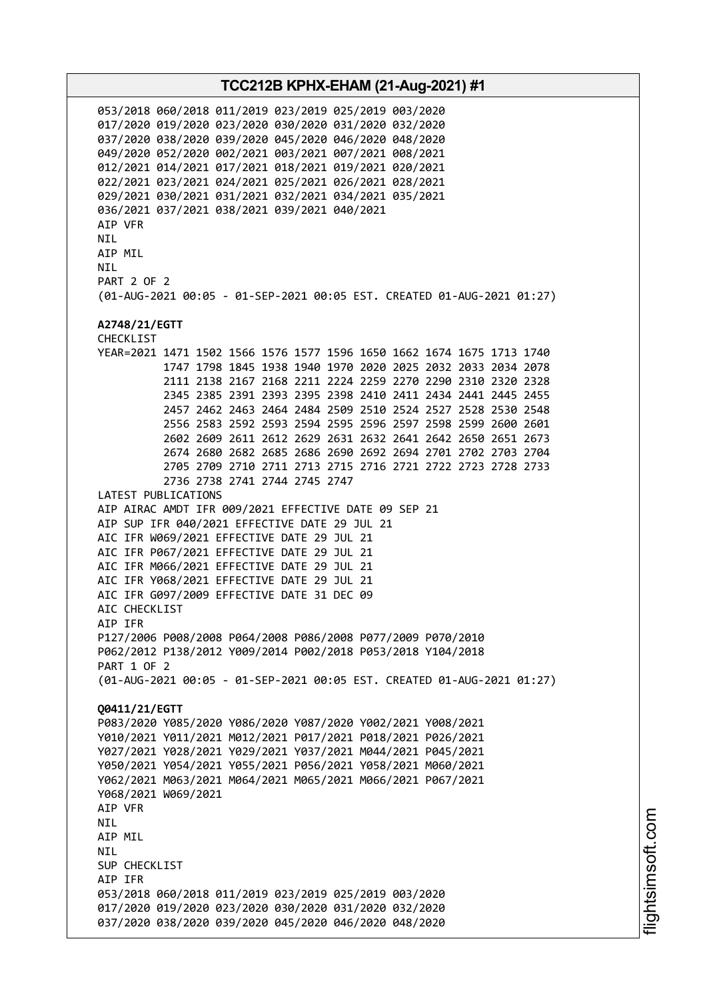053/2018 060/2018 011/2019 023/2019 025/2019 003/2020 017/2020 019/2020 023/2020 030/2020 031/2020 032/2020 037/2020 038/2020 039/2020 045/2020 046/2020 048/2020 049/2020 052/2020 002/2021 003/2021 007/2021 008/2021 012/2021 014/2021 017/2021 018/2021 019/2021 020/2021 022/2021 023/2021 024/2021 025/2021 026/2021 028/2021 029/2021 030/2021 031/2021 032/2021 034/2021 035/2021 036/2021 037/2021 038/2021 039/2021 040/2021 AIP VFR NIL AIP MIL **NTI** PART 2 OF 2 (01-AUG-2021 00:05 - 01-SEP-2021 00:05 EST. CREATED 01-AUG-2021 01:27) **A2748/21/EGTT** CHECKLIST YEAR=2021 1471 1502 1566 1576 1577 1596 1650 1662 1674 1675 1713 1740 1747 1798 1845 1938 1940 1970 2020 2025 2032 2033 2034 2078 2111 2138 2167 2168 2211 2224 2259 2270 2290 2310 2320 2328 2345 2385 2391 2393 2395 2398 2410 2411 2434 2441 2445 2455 2457 2462 2463 2464 2484 2509 2510 2524 2527 2528 2530 2548 2556 2583 2592 2593 2594 2595 2596 2597 2598 2599 2600 2601 2602 2609 2611 2612 2629 2631 2632 2641 2642 2650 2651 2673 2674 2680 2682 2685 2686 2690 2692 2694 2701 2702 2703 2704 2705 2709 2710 2711 2713 2715 2716 2721 2722 2723 2728 2733 2736 2738 2741 2744 2745 2747 LATEST PUBLICATIONS AIP AIRAC AMDT IFR 009/2021 EFFECTIVE DATE 09 SEP 21 AIP SUP IFR 040/2021 EFFECTIVE DATE 29 JUL 21 AIC IFR W069/2021 EFFECTIVE DATE 29 JUL 21 AIC IFR P067/2021 EFFECTIVE DATE 29 JUL 21 AIC IFR M066/2021 EFFECTIVE DATE 29 JUL 21 AIC IFR Y068/2021 EFFECTIVE DATE 29 JUL 21 AIC IFR G097/2009 EFFECTIVE DATE 31 DEC 09 ATC CHECKLIST AIP IFR P127/2006 P008/2008 P064/2008 P086/2008 P077/2009 P070/2010 P062/2012 P138/2012 Y009/2014 P002/2018 P053/2018 Y104/2018 PART 1 OF 2 (01-AUG-2021 00:05 - 01-SEP-2021 00:05 EST. CREATED 01-AUG-2021 01:27) **Q0411/21/EGTT** P083/2020 Y085/2020 Y086/2020 Y087/2020 Y002/2021 Y008/2021 Y010/2021 Y011/2021 M012/2021 P017/2021 P018/2021 P026/2021 Y027/2021 Y028/2021 Y029/2021 Y037/2021 M044/2021 P045/2021 Y050/2021 Y054/2021 Y055/2021 P056/2021 Y058/2021 M060/2021 Y062/2021 M063/2021 M064/2021 M065/2021 M066/2021 P067/2021 Y068/2021 W069/2021 AIP VFR NIL AIP MIL NIL SUP CHECKLIST AIP IFR 053/2018 060/2018 011/2019 023/2019 025/2019 003/2020 017/2020 019/2020 023/2020 030/2020 031/2020 032/2020 037/2020 038/2020 039/2020 045/2020 046/2020 048/2020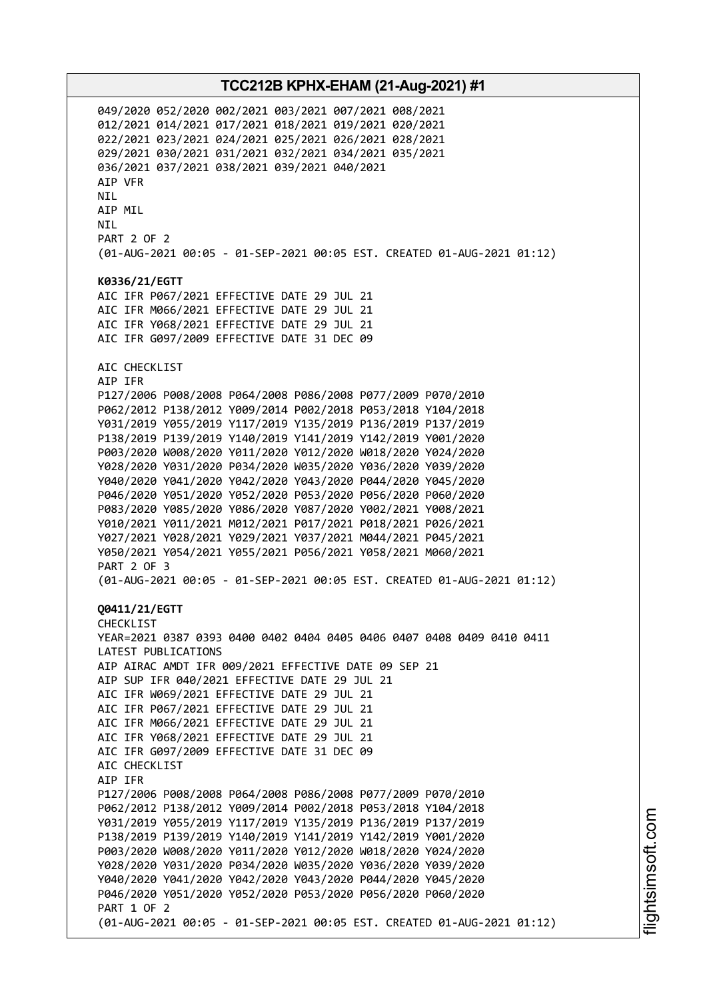049/2020 052/2020 002/2021 003/2021 007/2021 008/2021 012/2021 014/2021 017/2021 018/2021 019/2021 020/2021 022/2021 023/2021 024/2021 025/2021 026/2021 028/2021 029/2021 030/2021 031/2021 032/2021 034/2021 035/2021 036/2021 037/2021 038/2021 039/2021 040/2021 AIP VFR NIL AIP MIL NIL PART 2 OF 2 (01-AUG-2021 00:05 - 01-SEP-2021 00:05 EST. CREATED 01-AUG-2021 01:12) **K0336/21/EGTT** AIC IFR P067/2021 EFFECTIVE DATE 29 JUL 21 AIC IFR M066/2021 EFFECTIVE DATE 29 JUL 21 AIC IFR Y068/2021 EFFECTIVE DATE 29 JUL 21 AIC IFR G097/2009 EFFECTIVE DATE 31 DEC 09 AIC CHECKLIST AIP IFR P127/2006 P008/2008 P064/2008 P086/2008 P077/2009 P070/2010 P062/2012 P138/2012 Y009/2014 P002/2018 P053/2018 Y104/2018 Y031/2019 Y055/2019 Y117/2019 Y135/2019 P136/2019 P137/2019 P138/2019 P139/2019 Y140/2019 Y141/2019 Y142/2019 Y001/2020 P003/2020 W008/2020 Y011/2020 Y012/2020 W018/2020 Y024/2020 Y028/2020 Y031/2020 P034/2020 W035/2020 Y036/2020 Y039/2020 Y040/2020 Y041/2020 Y042/2020 Y043/2020 P044/2020 Y045/2020 P046/2020 Y051/2020 Y052/2020 P053/2020 P056/2020 P060/2020 P083/2020 Y085/2020 Y086/2020 Y087/2020 Y002/2021 Y008/2021 Y010/2021 Y011/2021 M012/2021 P017/2021 P018/2021 P026/2021 Y027/2021 Y028/2021 Y029/2021 Y037/2021 M044/2021 P045/2021 Y050/2021 Y054/2021 Y055/2021 P056/2021 Y058/2021 M060/2021 PART 2 OF 3 (01-AUG-2021 00:05 - 01-SEP-2021 00:05 EST. CREATED 01-AUG-2021 01:12) **Q0411/21/EGTT** CHECKLIST YEAR=2021 0387 0393 0400 0402 0404 0405 0406 0407 0408 0409 0410 0411 LATEST PUBLICATIONS AIP AIRAC AMDT IFR 009/2021 EFFECTIVE DATE 09 SEP 21 AIP SUP IFR 040/2021 EFFECTIVE DATE 29 JUL 21 AIC IFR W069/2021 EFFECTIVE DATE 29 JUL 21 AIC IFR P067/2021 EFFECTIVE DATE 29 JUL 21 AIC IFR M066/2021 EFFECTIVE DATE 29 JUL 21 AIC IFR Y068/2021 EFFECTIVE DATE 29 JUL 21 AIC IFR G097/2009 EFFECTIVE DATE 31 DEC 09 AIC CHECKLIST AIP IFR P127/2006 P008/2008 P064/2008 P086/2008 P077/2009 P070/2010 P062/2012 P138/2012 Y009/2014 P002/2018 P053/2018 Y104/2018 Y031/2019 Y055/2019 Y117/2019 Y135/2019 P136/2019 P137/2019 P138/2019 P139/2019 Y140/2019 Y141/2019 Y142/2019 Y001/2020 P003/2020 W008/2020 Y011/2020 Y012/2020 W018/2020 Y024/2020 Y028/2020 Y031/2020 P034/2020 W035/2020 Y036/2020 Y039/2020 Y040/2020 Y041/2020 Y042/2020 Y043/2020 P044/2020 Y045/2020 P046/2020 Y051/2020 Y052/2020 P053/2020 P056/2020 P060/2020 PART 1 OF 2 (01-AUG-2021 00:05 - 01-SEP-2021 00:05 EST. CREATED 01-AUG-2021 01:12)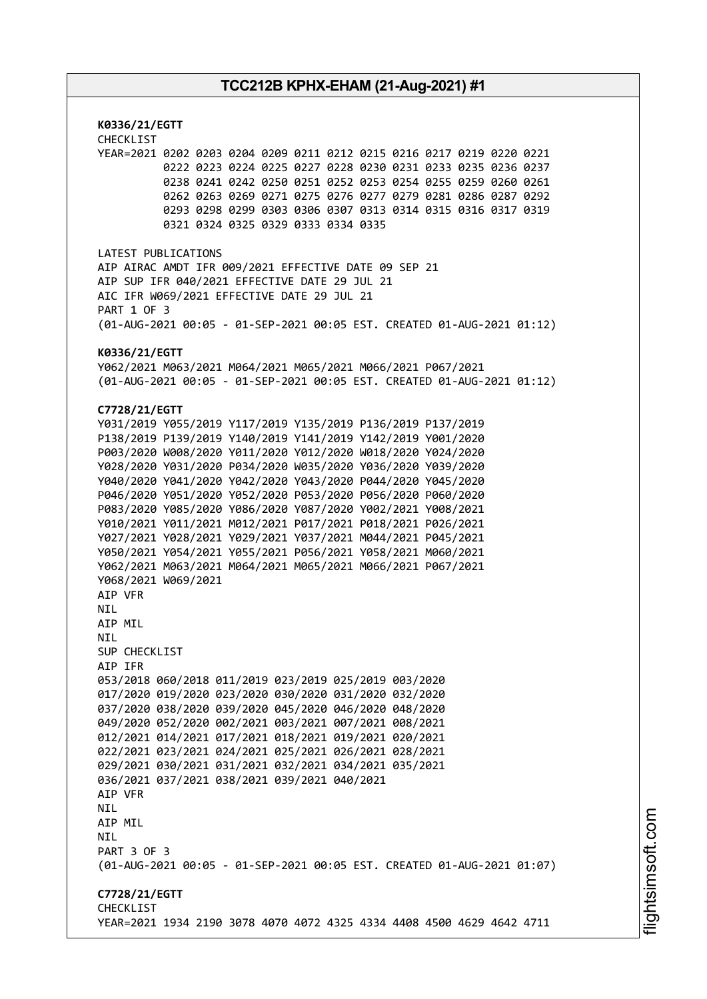**K0336/21/EGTT** CHECKLIST YEAR=2021 0202 0203 0204 0209 0211 0212 0215 0216 0217 0219 0220 0221 0222 0223 0224 0225 0227 0228 0230 0231 0233 0235 0236 0237 0238 0241 0242 0250 0251 0252 0253 0254 0255 0259 0260 0261 0262 0263 0269 0271 0275 0276 0277 0279 0281 0286 0287 0292 0293 0298 0299 0303 0306 0307 0313 0314 0315 0316 0317 0319 0321 0324 0325 0329 0333 0334 0335 LATEST PUBLICATIONS AIP AIRAC AMDT IFR 009/2021 EFFECTIVE DATE 09 SEP 21 AIP SUP IFR 040/2021 EFFECTIVE DATE 29 JUL 21 AIC IFR W069/2021 EFFECTIVE DATE 29 JUL 21 PART 1 OF 3 (01-AUG-2021 00:05 - 01-SEP-2021 00:05 EST. CREATED 01-AUG-2021 01:12) **K0336/21/EGTT** Y062/2021 M063/2021 M064/2021 M065/2021 M066/2021 P067/2021 (01-AUG-2021 00:05 - 01-SEP-2021 00:05 EST. CREATED 01-AUG-2021 01:12) **C7728/21/EGTT** Y031/2019 Y055/2019 Y117/2019 Y135/2019 P136/2019 P137/2019 P138/2019 P139/2019 Y140/2019 Y141/2019 Y142/2019 Y001/2020 P003/2020 W008/2020 Y011/2020 Y012/2020 W018/2020 Y024/2020 Y028/2020 Y031/2020 P034/2020 W035/2020 Y036/2020 Y039/2020 Y040/2020 Y041/2020 Y042/2020 Y043/2020 P044/2020 Y045/2020 P046/2020 Y051/2020 Y052/2020 P053/2020 P056/2020 P060/2020 P083/2020 Y085/2020 Y086/2020 Y087/2020 Y002/2021 Y008/2021 Y010/2021 Y011/2021 M012/2021 P017/2021 P018/2021 P026/2021 Y027/2021 Y028/2021 Y029/2021 Y037/2021 M044/2021 P045/2021 Y050/2021 Y054/2021 Y055/2021 P056/2021 Y058/2021 M060/2021 Y062/2021 M063/2021 M064/2021 M065/2021 M066/2021 P067/2021 Y068/2021 W069/2021 AIP VFR **NTI** AIP MIL **NTI** SUP CHECKLIST AIP IFR 053/2018 060/2018 011/2019 023/2019 025/2019 003/2020 017/2020 019/2020 023/2020 030/2020 031/2020 032/2020 037/2020 038/2020 039/2020 045/2020 046/2020 048/2020 049/2020 052/2020 002/2021 003/2021 007/2021 008/2021 012/2021 014/2021 017/2021 018/2021 019/2021 020/2021 022/2021 023/2021 024/2021 025/2021 026/2021 028/2021 029/2021 030/2021 031/2021 032/2021 034/2021 035/2021 036/2021 037/2021 038/2021 039/2021 040/2021 AIP VFR NIL AIP MIL **NTL** PART 3 OF 3 (01-AUG-2021 00:05 - 01-SEP-2021 00:05 EST. CREATED 01-AUG-2021 01:07) **C7728/21/EGTT** CHECKLIST YEAR=2021 1934 2190 3078 4070 4072 4325 4334 4408 4500 4629 4642 4711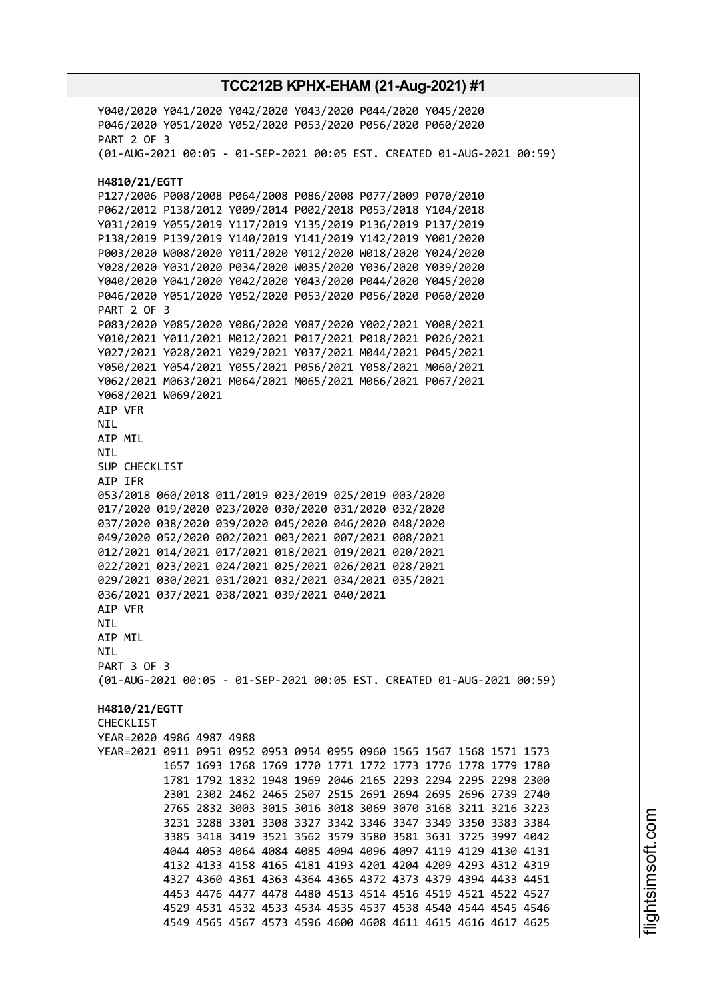Y040/2020 Y041/2020 Y042/2020 Y043/2020 P044/2020 Y045/2020 P046/2020 Y051/2020 Y052/2020 P053/2020 P056/2020 P060/2020 PART 2 OF 3 (01-AUG-2021 00:05 - 01-SEP-2021 00:05 EST. CREATED 01-AUG-2021 00:59) **H4810/21/EGTT** P127/2006 P008/2008 P064/2008 P086/2008 P077/2009 P070/2010 P062/2012 P138/2012 Y009/2014 P002/2018 P053/2018 Y104/2018 Y031/2019 Y055/2019 Y117/2019 Y135/2019 P136/2019 P137/2019 P138/2019 P139/2019 Y140/2019 Y141/2019 Y142/2019 Y001/2020 P003/2020 W008/2020 Y011/2020 Y012/2020 W018/2020 Y024/2020 Y028/2020 Y031/2020 P034/2020 W035/2020 Y036/2020 Y039/2020 Y040/2020 Y041/2020 Y042/2020 Y043/2020 P044/2020 Y045/2020 P046/2020 Y051/2020 Y052/2020 P053/2020 P056/2020 P060/2020 PART 2 OF 3 P083/2020 Y085/2020 Y086/2020 Y087/2020 Y002/2021 Y008/2021 Y010/2021 Y011/2021 M012/2021 P017/2021 P018/2021 P026/2021 Y027/2021 Y028/2021 Y029/2021 Y037/2021 M044/2021 P045/2021 Y050/2021 Y054/2021 Y055/2021 P056/2021 Y058/2021 M060/2021 Y062/2021 M063/2021 M064/2021 M065/2021 M066/2021 P067/2021 Y068/2021 W069/2021 AIP VFR NIL AIP MIL NIL SUP CHECKLIST AIP IFR 053/2018 060/2018 011/2019 023/2019 025/2019 003/2020 017/2020 019/2020 023/2020 030/2020 031/2020 032/2020 037/2020 038/2020 039/2020 045/2020 046/2020 048/2020 049/2020 052/2020 002/2021 003/2021 007/2021 008/2021 012/2021 014/2021 017/2021 018/2021 019/2021 020/2021 022/2021 023/2021 024/2021 025/2021 026/2021 028/2021 029/2021 030/2021 031/2021 032/2021 034/2021 035/2021 036/2021 037/2021 038/2021 039/2021 040/2021 AIP VFR NIL AIP MIL NIL PART 3 OF 3 (01-AUG-2021 00:05 - 01-SEP-2021 00:05 EST. CREATED 01-AUG-2021 00:59) **H4810/21/EGTT CHECKLIST** YEAR=2020 4986 4987 4988 YEAR=2021 0911 0951 0952 0953 0954 0955 0960 1565 1567 1568 1571 1573 1657 1693 1768 1769 1770 1771 1772 1773 1776 1778 1779 1780 1781 1792 1832 1948 1969 2046 2165 2293 2294 2295 2298 2300 2301 2302 2462 2465 2507 2515 2691 2694 2695 2696 2739 2740 2765 2832 3003 3015 3016 3018 3069 3070 3168 3211 3216 3223 3231 3288 3301 3308 3327 3342 3346 3347 3349 3350 3383 3384 3385 3418 3419 3521 3562 3579 3580 3581 3631 3725 3997 4042 4044 4053 4064 4084 4085 4094 4096 4097 4119 4129 4130 4131 4132 4133 4158 4165 4181 4193 4201 4204 4209 4293 4312 4319 4327 4360 4361 4363 4364 4365 4372 4373 4379 4394 4433 4451 4453 4476 4477 4478 4480 4513 4514 4516 4519 4521 4522 4527 4529 4531 4532 4533 4534 4535 4537 4538 4540 4544 4545 4546 4549 4565 4567 4573 4596 4600 4608 4611 4615 4616 4617 4625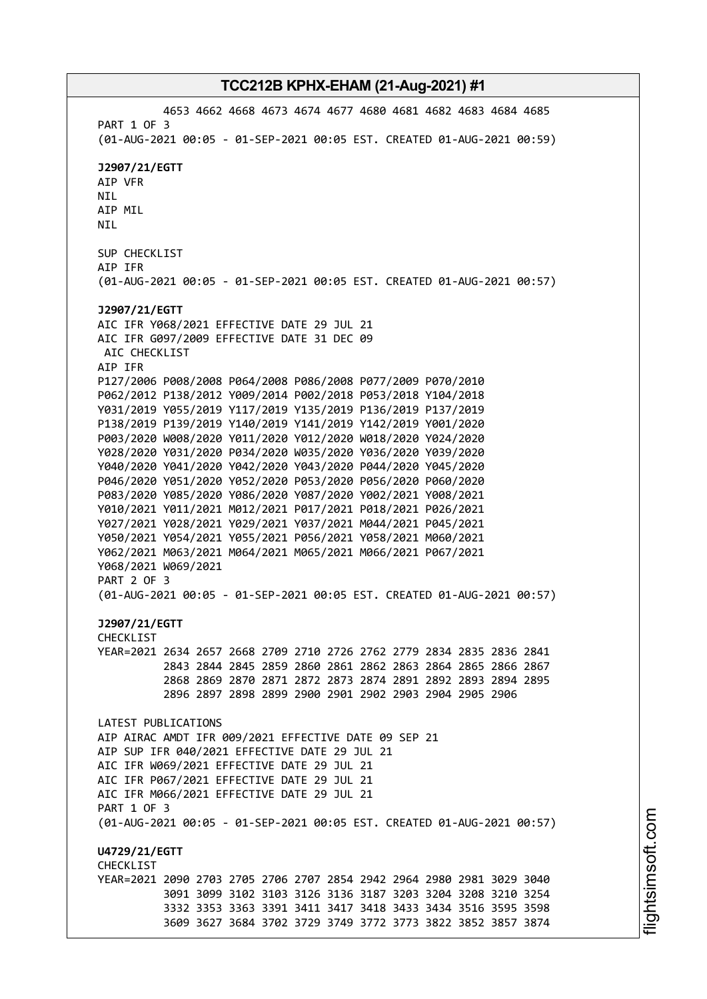4653 4662 4668 4673 4674 4677 4680 4681 4682 4683 4684 4685 PART 1 OF 3 (01-AUG-2021 00:05 - 01-SEP-2021 00:05 EST. CREATED 01-AUG-2021 00:59) **J2907/21/EGTT** AIP VFR NIL AIP MIL NIL SUP CHECKLIST AIP IFR (01-AUG-2021 00:05 - 01-SEP-2021 00:05 EST. CREATED 01-AUG-2021 00:57) **J2907/21/EGTT** AIC IFR Y068/2021 EFFECTIVE DATE 29 JUL 21 AIC IFR G097/2009 EFFECTIVE DATE 31 DEC 09 AIC CHECKLIST AIP IFR P127/2006 P008/2008 P064/2008 P086/2008 P077/2009 P070/2010 P062/2012 P138/2012 Y009/2014 P002/2018 P053/2018 Y104/2018 Y031/2019 Y055/2019 Y117/2019 Y135/2019 P136/2019 P137/2019 P138/2019 P139/2019 Y140/2019 Y141/2019 Y142/2019 Y001/2020 P003/2020 W008/2020 Y011/2020 Y012/2020 W018/2020 Y024/2020 Y028/2020 Y031/2020 P034/2020 W035/2020 Y036/2020 Y039/2020 Y040/2020 Y041/2020 Y042/2020 Y043/2020 P044/2020 Y045/2020 P046/2020 Y051/2020 Y052/2020 P053/2020 P056/2020 P060/2020 P083/2020 Y085/2020 Y086/2020 Y087/2020 Y002/2021 Y008/2021 Y010/2021 Y011/2021 M012/2021 P017/2021 P018/2021 P026/2021 Y027/2021 Y028/2021 Y029/2021 Y037/2021 M044/2021 P045/2021 Y050/2021 Y054/2021 Y055/2021 P056/2021 Y058/2021 M060/2021 Y062/2021 M063/2021 M064/2021 M065/2021 M066/2021 P067/2021 Y068/2021 W069/2021 PART 2 OF 3 (01-AUG-2021 00:05 - 01-SEP-2021 00:05 EST. CREATED 01-AUG-2021 00:57) **J2907/21/EGTT** CHECKLIST YEAR=2021 2634 2657 2668 2709 2710 2726 2762 2779 2834 2835 2836 2841 2843 2844 2845 2859 2860 2861 2862 2863 2864 2865 2866 2867 2868 2869 2870 2871 2872 2873 2874 2891 2892 2893 2894 2895 2896 2897 2898 2899 2900 2901 2902 2903 2904 2905 2906 LATEST PUBLICATIONS AIP AIRAC AMDT IFR 009/2021 EFFECTIVE DATE 09 SEP 21 AIP SUP IFR 040/2021 EFFECTIVE DATE 29 JUL 21 AIC IFR W069/2021 EFFECTIVE DATE 29 JUL 21 AIC IFR P067/2021 EFFECTIVE DATE 29 JUL 21 AIC IFR M066/2021 EFFECTIVE DATE 29 JUL 21 PART 1 OF 3 (01-AUG-2021 00:05 - 01-SEP-2021 00:05 EST. CREATED 01-AUG-2021 00:57) **U4729/21/EGTT CHECKLIST** YEAR=2021 2090 2703 2705 2706 2707 2854 2942 2964 2980 2981 3029 3040 3091 3099 3102 3103 3126 3136 3187 3203 3204 3208 3210 3254 3332 3353 3363 3391 3411 3417 3418 3433 3434 3516 3595 3598 3609 3627 3684 3702 3729 3749 3772 3773 3822 3852 3857 3874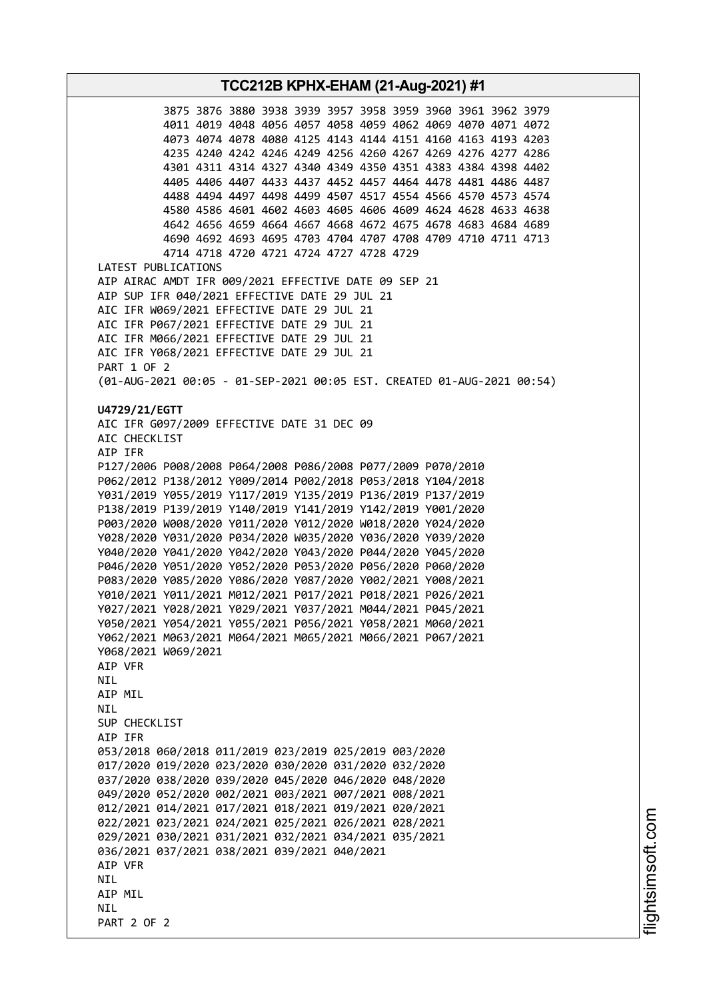**TCC212B KPHX-EHAM (21-Aug-2021) #1** 3875 3876 3880 3938 3939 3957 3958 3959 3960 3961 3962 3979 4011 4019 4048 4056 4057 4058 4059 4062 4069 4070 4071 4072 4073 4074 4078 4080 4125 4143 4144 4151 4160 4163 4193 4203 4235 4240 4242 4246 4249 4256 4260 4267 4269 4276 4277 4286 4301 4311 4314 4327 4340 4349 4350 4351 4383 4384 4398 4402 4405 4406 4407 4433 4437 4452 4457 4464 4478 4481 4486 4487 4488 4494 4497 4498 4499 4507 4517 4554 4566 4570 4573 4574 4580 4586 4601 4602 4603 4605 4606 4609 4624 4628 4633 4638 4642 4656 4659 4664 4667 4668 4672 4675 4678 4683 4684 4689 4690 4692 4693 4695 4703 4704 4707 4708 4709 4710 4711 4713 4714 4718 4720 4721 4724 4727 4728 4729 LATEST PUBLICATIONS AIP AIRAC AMDT IFR 009/2021 EFFECTIVE DATE 09 SEP 21 AIP SUP IFR 040/2021 EFFECTIVE DATE 29 JUL 21 AIC IFR W069/2021 EFFECTIVE DATE 29 JUL 21 AIC IFR P067/2021 EFFECTIVE DATE 29 JUL 21 AIC IFR M066/2021 EFFECTIVE DATE 29 JUL 21 AIC IFR Y068/2021 EFFECTIVE DATE 29 JUL 21 PART 1 OF 2 (01-AUG-2021 00:05 - 01-SEP-2021 00:05 EST. CREATED 01-AUG-2021 00:54) **U4729/21/EGTT** AIC IFR G097/2009 EFFECTIVE DATE 31 DEC 09 AIC CHECKLIST AIP IFR P127/2006 P008/2008 P064/2008 P086/2008 P077/2009 P070/2010 P062/2012 P138/2012 Y009/2014 P002/2018 P053/2018 Y104/2018 Y031/2019 Y055/2019 Y117/2019 Y135/2019 P136/2019 P137/2019 P138/2019 P139/2019 Y140/2019 Y141/2019 Y142/2019 Y001/2020 P003/2020 W008/2020 Y011/2020 Y012/2020 W018/2020 Y024/2020 Y028/2020 Y031/2020 P034/2020 W035/2020 Y036/2020 Y039/2020 Y040/2020 Y041/2020 Y042/2020 Y043/2020 P044/2020 Y045/2020 P046/2020 Y051/2020 Y052/2020 P053/2020 P056/2020 P060/2020 P083/2020 Y085/2020 Y086/2020 Y087/2020 Y002/2021 Y008/2021 Y010/2021 Y011/2021 M012/2021 P017/2021 P018/2021 P026/2021 Y027/2021 Y028/2021 Y029/2021 Y037/2021 M044/2021 P045/2021 Y050/2021 Y054/2021 Y055/2021 P056/2021 Y058/2021 M060/2021 Y062/2021 M063/2021 M064/2021 M065/2021 M066/2021 P067/2021 Y068/2021 W069/2021 AIP VFR **NTI** AIP MIL NIL SUP CHECKLIST AIP IFR 053/2018 060/2018 011/2019 023/2019 025/2019 003/2020 017/2020 019/2020 023/2020 030/2020 031/2020 032/2020 037/2020 038/2020 039/2020 045/2020 046/2020 048/2020 049/2020 052/2020 002/2021 003/2021 007/2021 008/2021 012/2021 014/2021 017/2021 018/2021 019/2021 020/2021 022/2021 023/2021 024/2021 025/2021 026/2021 028/2021 029/2021 030/2021 031/2021 032/2021 034/2021 035/2021 036/2021 037/2021 038/2021 039/2021 040/2021 AIP VFR **NTI** AIP MIL **NTI** PART 2 OF 2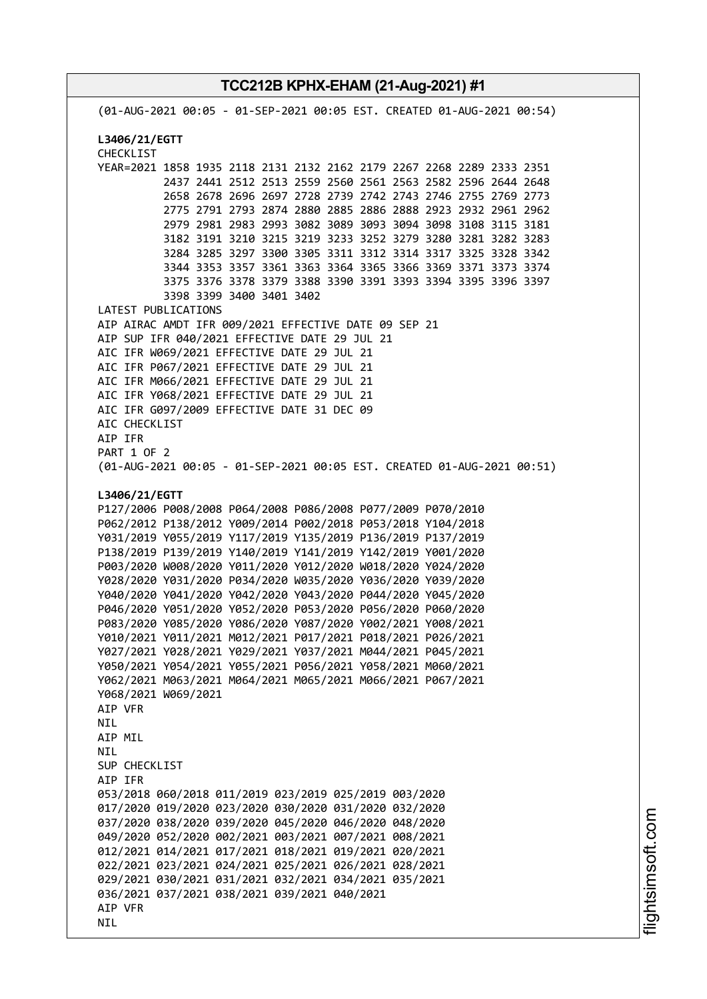(01-AUG-2021 00:05 - 01-SEP-2021 00:05 EST. CREATED 01-AUG-2021 00:54) **L3406/21/EGTT** CHECKLIST YEAR=2021 1858 1935 2118 2131 2132 2162 2179 2267 2268 2289 2333 2351 2437 2441 2512 2513 2559 2560 2561 2563 2582 2596 2644 2648 2658 2678 2696 2697 2728 2739 2742 2743 2746 2755 2769 2773 2775 2791 2793 2874 2880 2885 2886 2888 2923 2932 2961 2962 2979 2981 2983 2993 3082 3089 3093 3094 3098 3108 3115 3181 3182 3191 3210 3215 3219 3233 3252 3279 3280 3281 3282 3283 3284 3285 3297 3300 3305 3311 3312 3314 3317 3325 3328 3342 3344 3353 3357 3361 3363 3364 3365 3366 3369 3371 3373 3374 3375 3376 3378 3379 3388 3390 3391 3393 3394 3395 3396 3397 3398 3399 3400 3401 3402 LATEST PUBLICATIONS AIP AIRAC AMDT IFR 009/2021 EFFECTIVE DATE 09 SEP 21 AIP SUP IFR 040/2021 EFFECTIVE DATE 29 JUL 21 AIC IFR W069/2021 EFFECTIVE DATE 29 JUL 21 AIC IFR P067/2021 EFFECTIVE DATE 29 JUL 21 AIC IFR M066/2021 EFFECTIVE DATE 29 JUL 21 AIC IFR Y068/2021 EFFECTIVE DATE 29 JUL 21 AIC IFR G097/2009 EFFECTIVE DATE 31 DEC 09 AIC CHECKLIST AIP IFR PART 1 OF 2 (01-AUG-2021 00:05 - 01-SEP-2021 00:05 EST. CREATED 01-AUG-2021 00:51) **L3406/21/EGTT** P127/2006 P008/2008 P064/2008 P086/2008 P077/2009 P070/2010 P062/2012 P138/2012 Y009/2014 P002/2018 P053/2018 Y104/2018 Y031/2019 Y055/2019 Y117/2019 Y135/2019 P136/2019 P137/2019 P138/2019 P139/2019 Y140/2019 Y141/2019 Y142/2019 Y001/2020 P003/2020 W008/2020 Y011/2020 Y012/2020 W018/2020 Y024/2020 Y028/2020 Y031/2020 P034/2020 W035/2020 Y036/2020 Y039/2020 Y040/2020 Y041/2020 Y042/2020 Y043/2020 P044/2020 Y045/2020 P046/2020 Y051/2020 Y052/2020 P053/2020 P056/2020 P060/2020 P083/2020 Y085/2020 Y086/2020 Y087/2020 Y002/2021 Y008/2021 Y010/2021 Y011/2021 M012/2021 P017/2021 P018/2021 P026/2021 Y027/2021 Y028/2021 Y029/2021 Y037/2021 M044/2021 P045/2021 Y050/2021 Y054/2021 Y055/2021 P056/2021 Y058/2021 M060/2021 Y062/2021 M063/2021 M064/2021 M065/2021 M066/2021 P067/2021 Y068/2021 W069/2021 AIP VFR NIL AIP MIL **NTI** SUP CHECKLIST AIP IFR 053/2018 060/2018 011/2019 023/2019 025/2019 003/2020 017/2020 019/2020 023/2020 030/2020 031/2020 032/2020 037/2020 038/2020 039/2020 045/2020 046/2020 048/2020 049/2020 052/2020 002/2021 003/2021 007/2021 008/2021 012/2021 014/2021 017/2021 018/2021 019/2021 020/2021 022/2021 023/2021 024/2021 025/2021 026/2021 028/2021 029/2021 030/2021 031/2021 032/2021 034/2021 035/2021 036/2021 037/2021 038/2021 039/2021 040/2021 AIP VFR

**TCC212B KPHX-EHAM (21-Aug-2021) #1**

**NTL**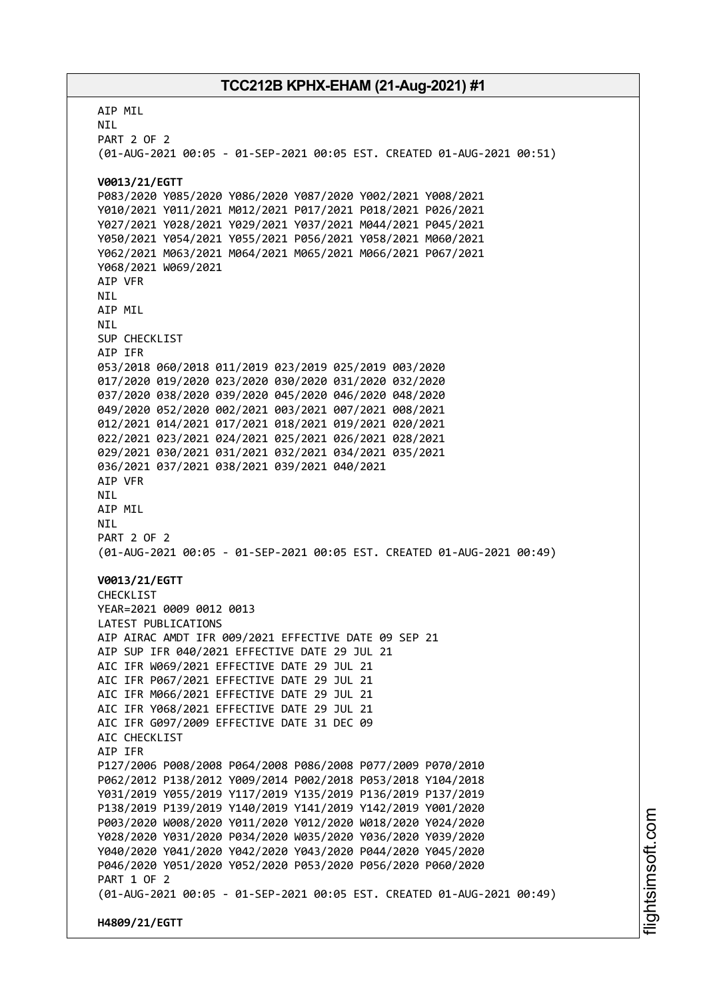AIP MIL NIL PART 2 OF 2 (01-AUG-2021 00:05 - 01-SEP-2021 00:05 EST. CREATED 01-AUG-2021 00:51) **V0013/21/EGTT** P083/2020 Y085/2020 Y086/2020 Y087/2020 Y002/2021 Y008/2021 Y010/2021 Y011/2021 M012/2021 P017/2021 P018/2021 P026/2021 Y027/2021 Y028/2021 Y029/2021 Y037/2021 M044/2021 P045/2021 Y050/2021 Y054/2021 Y055/2021 P056/2021 Y058/2021 M060/2021 Y062/2021 M063/2021 M064/2021 M065/2021 M066/2021 P067/2021 Y068/2021 W069/2021 AIP VFR NIL AIP MIL NIL SUP CHECKLIST AIP IFR 053/2018 060/2018 011/2019 023/2019 025/2019 003/2020 017/2020 019/2020 023/2020 030/2020 031/2020 032/2020 037/2020 038/2020 039/2020 045/2020 046/2020 048/2020 049/2020 052/2020 002/2021 003/2021 007/2021 008/2021 012/2021 014/2021 017/2021 018/2021 019/2021 020/2021 022/2021 023/2021 024/2021 025/2021 026/2021 028/2021 029/2021 030/2021 031/2021 032/2021 034/2021 035/2021 036/2021 037/2021 038/2021 039/2021 040/2021 AIP VFR NIL AIP MIL NIL PART 2 OF 2 (01-AUG-2021 00:05 - 01-SEP-2021 00:05 EST. CREATED 01-AUG-2021 00:49) **V0013/21/EGTT** CHECKLIST YEAR=2021 0009 0012 0013 LATEST PUBLICATIONS AIP AIRAC AMDT IFR 009/2021 EFFECTIVE DATE 09 SEP 21 AIP SUP IFR 040/2021 EFFECTIVE DATE 29 JUL 21 AIC IFR W069/2021 EFFECTIVE DATE 29 JUL 21 AIC IFR P067/2021 EFFECTIVE DATE 29 JUL 21 AIC IFR M066/2021 EFFECTIVE DATE 29 JUL 21 AIC IFR Y068/2021 EFFECTIVE DATE 29 JUL 21 AIC IFR G097/2009 EFFECTIVE DATE 31 DEC 09 ATC CHECKLIST AIP IFR P127/2006 P008/2008 P064/2008 P086/2008 P077/2009 P070/2010 P062/2012 P138/2012 Y009/2014 P002/2018 P053/2018 Y104/2018 Y031/2019 Y055/2019 Y117/2019 Y135/2019 P136/2019 P137/2019 P138/2019 P139/2019 Y140/2019 Y141/2019 Y142/2019 Y001/2020 P003/2020 W008/2020 Y011/2020 Y012/2020 W018/2020 Y024/2020 Y028/2020 Y031/2020 P034/2020 W035/2020 Y036/2020 Y039/2020 Y040/2020 Y041/2020 Y042/2020 Y043/2020 P044/2020 Y045/2020 P046/2020 Y051/2020 Y052/2020 P053/2020 P056/2020 P060/2020 PART 1 OF 2 (01-AUG-2021 00:05 - 01-SEP-2021 00:05 EST. CREATED 01-AUG-2021 00:49) **H4809/21/EGTT**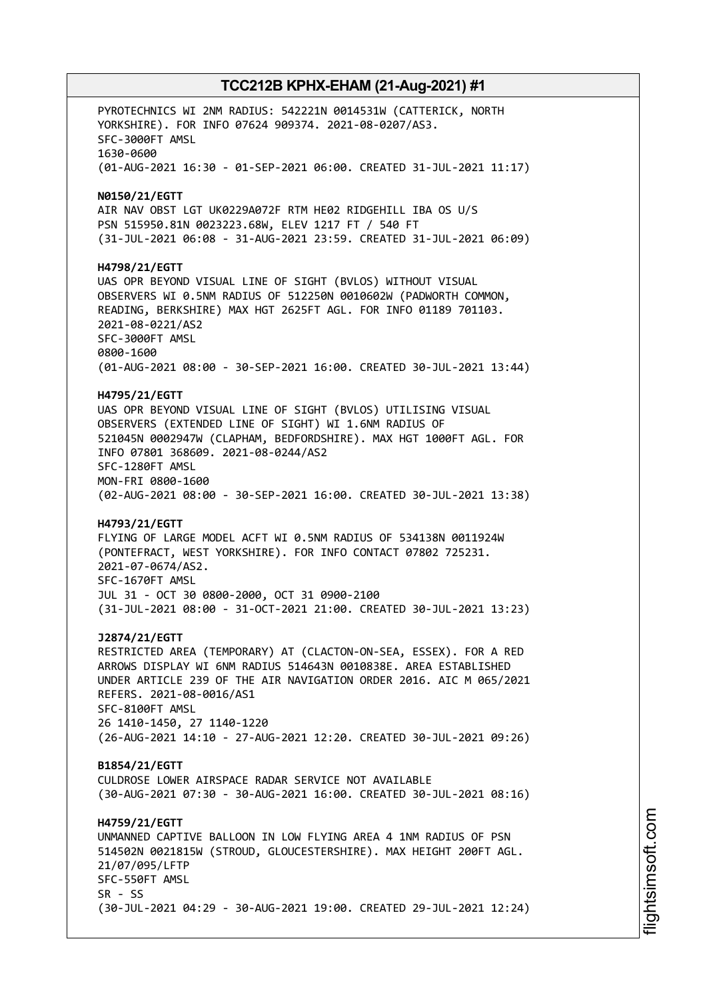PYROTECHNICS WI 2NM RADIUS: 542221N 0014531W (CATTERICK, NORTH YORKSHIRE). FOR INFO 07624 909374. 2021-08-0207/AS3. SFC-3000FT AMSL 1630-0600 (01-AUG-2021 16:30 - 01-SEP-2021 06:00. CREATED 31-JUL-2021 11:17) **N0150/21/EGTT** AIR NAV OBST LGT UK0229A072F RTM HE02 RIDGEHILL IBA OS U/S PSN 515950.81N 0023223.68W, ELEV 1217 FT / 540 FT (31-JUL-2021 06:08 - 31-AUG-2021 23:59. CREATED 31-JUL-2021 06:09) **H4798/21/EGTT** UAS OPR BEYOND VISUAL LINE OF SIGHT (BVLOS) WITHOUT VISUAL OBSERVERS WI 0.5NM RADIUS OF 512250N 0010602W (PADWORTH COMMON, READING, BERKSHIRE) MAX HGT 2625FT AGL. FOR INFO 01189 701103. 2021-08-0221/AS2 SFC-3000FT AMSL 0800-1600 (01-AUG-2021 08:00 - 30-SEP-2021 16:00. CREATED 30-JUL-2021 13:44) **H4795/21/EGTT** UAS OPR BEYOND VISUAL LINE OF SIGHT (BVLOS) UTILISING VISUAL OBSERVERS (EXTENDED LINE OF SIGHT) WI 1.6NM RADIUS OF 521045N 0002947W (CLAPHAM, BEDFORDSHIRE). MAX HGT 1000FT AGL. FOR INFO 07801 368609. 2021-08-0244/AS2 SFC-1280FT AMSL MON-FRI 0800-1600 (02-AUG-2021 08:00 - 30-SEP-2021 16:00. CREATED 30-JUL-2021 13:38) **H4793/21/EGTT** FLYING OF LARGE MODEL ACFT WI 0.5NM RADIUS OF 534138N 0011924W (PONTEFRACT, WEST YORKSHIRE). FOR INFO CONTACT 07802 725231. 2021-07-0674/AS2. SFC-1670FT AMSL JUL 31 - OCT 30 0800-2000, OCT 31 0900-2100 (31-JUL-2021 08:00 - 31-OCT-2021 21:00. CREATED 30-JUL-2021 13:23) **J2874/21/EGTT** RESTRICTED AREA (TEMPORARY) AT (CLACTON-ON-SEA, ESSEX). FOR A RED ARROWS DISPLAY WI 6NM RADIUS 514643N 0010838E. AREA ESTABLISHED UNDER ARTICLE 239 OF THE AIR NAVIGATION ORDER 2016. AIC M 065/2021 REFERS. 2021-08-0016/AS1 SFC-8100FT AMSL 26 1410-1450, 27 1140-1220 (26-AUG-2021 14:10 - 27-AUG-2021 12:20. CREATED 30-JUL-2021 09:26) **B1854/21/EGTT** CULDROSE LOWER AIRSPACE RADAR SERVICE NOT AVAILABLE (30-AUG-2021 07:30 - 30-AUG-2021 16:00. CREATED 30-JUL-2021 08:16) **H4759/21/EGTT** UNMANNED CAPTIVE BALLOON IN LOW FLYING AREA 4 1NM RADIUS OF PSN 514502N 0021815W (STROUD, GLOUCESTERSHIRE). MAX HEIGHT 200FT AGL. 21/07/095/LFTP SFC-550FT AMSL  $SR - SS$ (30-JUL-2021 04:29 - 30-AUG-2021 19:00. CREATED 29-JUL-2021 12:24)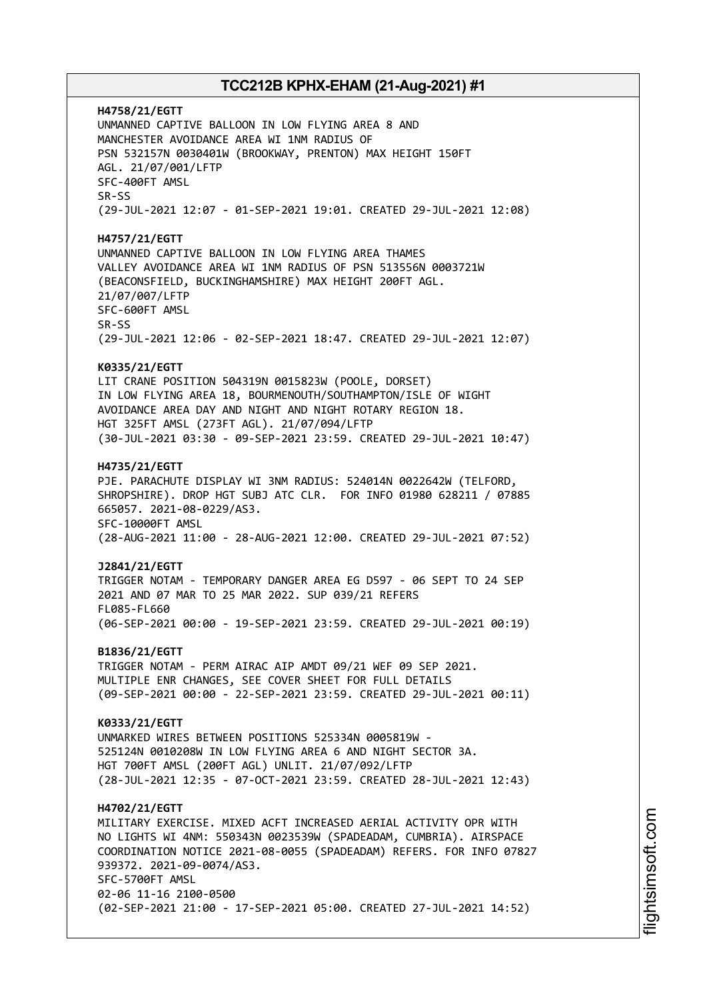**H4758/21/EGTT** UNMANNED CAPTIVE BALLOON IN LOW FLYING AREA 8 AND MANCHESTER AVOIDANCE AREA WI 1NM RADIUS OF PSN 532157N 0030401W (BROOKWAY, PRENTON) MAX HEIGHT 150FT AGL. 21/07/001/LFTP SFC-400FT AMSL SR-SS (29-JUL-2021 12:07 - 01-SEP-2021 19:01. CREATED 29-JUL-2021 12:08) **H4757/21/EGTT** UNMANNED CAPTIVE BALLOON IN LOW FLYING AREA THAMES VALLEY AVOIDANCE AREA WI 1NM RADIUS OF PSN 513556N 0003721W (BEACONSFIELD, BUCKINGHAMSHIRE) MAX HEIGHT 200FT AGL. 21/07/007/LFTP SFC-600FT AMSL SR-SS (29-JUL-2021 12:06 - 02-SEP-2021 18:47. CREATED 29-JUL-2021 12:07) **K0335/21/EGTT** LIT CRANE POSITION 504319N 0015823W (POOLE, DORSET) IN LOW FLYING AREA 18, BOURMENOUTH/SOUTHAMPTON/ISLE OF WIGHT AVOIDANCE AREA DAY AND NIGHT AND NIGHT ROTARY REGION 18. HGT 325FT AMSL (273FT AGL). 21/07/094/LFTP (30-JUL-2021 03:30 - 09-SEP-2021 23:59. CREATED 29-JUL-2021 10:47) **H4735/21/EGTT** PJE. PARACHUTE DISPLAY WI 3NM RADIUS: 524014N 0022642W (TELFORD, SHROPSHIRE). DROP HGT SUBJ ATC CLR. FOR INFO 01980 628211 / 07885 665057. 2021-08-0229/AS3. SFC-10000FT AMSL (28-AUG-2021 11:00 - 28-AUG-2021 12:00. CREATED 29-JUL-2021 07:52) **J2841/21/EGTT** TRIGGER NOTAM - TEMPORARY DANGER AREA EG D597 - 06 SEPT TO 24 SEP 2021 AND 07 MAR TO 25 MAR 2022. SUP 039/21 REFERS FL085-FL660 (06-SEP-2021 00:00 - 19-SEP-2021 23:59. CREATED 29-JUL-2021 00:19) **B1836/21/EGTT** TRIGGER NOTAM - PERM AIRAC AIP AMDT 09/21 WEF 09 SEP 2021. MULTIPLE ENR CHANGES, SEE COVER SHEET FOR FULL DETAILS (09-SEP-2021 00:00 - 22-SEP-2021 23:59. CREATED 29-JUL-2021 00:11) **K0333/21/EGTT** UNMARKED WIRES BETWEEN POSITIONS 525334N 0005819W - 525124N 0010208W IN LOW FLYING AREA 6 AND NIGHT SECTOR 3A. HGT 700FT AMSL (200FT AGL) UNLIT. 21/07/092/LFTP (28-JUL-2021 12:35 - 07-OCT-2021 23:59. CREATED 28-JUL-2021 12:43) **H4702/21/EGTT** MILITARY EXERCISE. MIXED ACFT INCREASED AERIAL ACTIVITY OPR WITH NO LIGHTS WI 4NM: 550343N 0023539W (SPADEADAM, CUMBRIA). AIRSPACE COORDINATION NOTICE 2021-08-0055 (SPADEADAM) REFERS. FOR INFO 07827 939372. 2021-09-0074/AS3. SFC-5700FT AMSL 02-06 11-16 2100-0500 (02-SEP-2021 21:00 - 17-SEP-2021 05:00. CREATED 27-JUL-2021 14:52)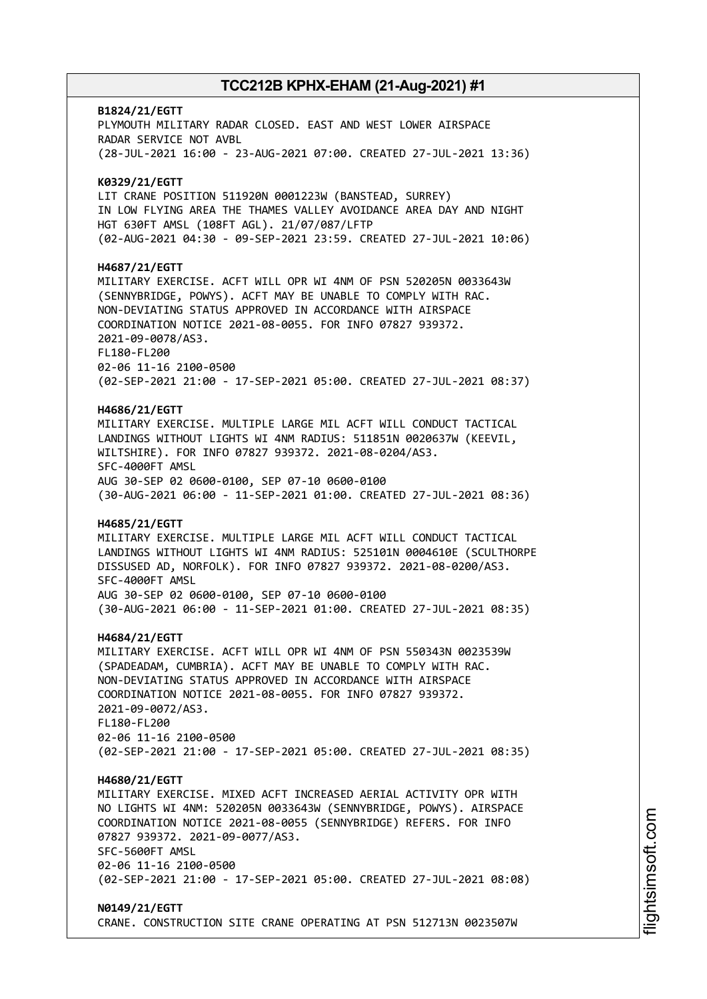# **B1824/21/EGTT** PLYMOUTH MILITARY RADAR CLOSED. EAST AND WEST LOWER AIRSPACE RADAR SERVICE NOT AVBL (28-JUL-2021 16:00 - 23-AUG-2021 07:00. CREATED 27-JUL-2021 13:36) **K0329/21/EGTT** LIT CRANE POSITION 511920N 0001223W (BANSTEAD, SURREY) IN LOW FLYING AREA THE THAMES VALLEY AVOIDANCE AREA DAY AND NIGHT HGT 630FT AMSL (108FT AGL). 21/07/087/LFTP (02-AUG-2021 04:30 - 09-SEP-2021 23:59. CREATED 27-JUL-2021 10:06) **H4687/21/EGTT** MILITARY EXERCISE. ACFT WILL OPR WI 4NM OF PSN 520205N 0033643W (SENNYBRIDGE, POWYS). ACFT MAY BE UNABLE TO COMPLY WITH RAC. NON-DEVIATING STATUS APPROVED IN ACCORDANCE WITH AIRSPACE COORDINATION NOTICE 2021-08-0055. FOR INFO 07827 939372. 2021-09-0078/AS3. FL180-FL200 02-06 11-16 2100-0500 (02-SEP-2021 21:00 - 17-SEP-2021 05:00. CREATED 27-JUL-2021 08:37) **H4686/21/EGTT** MILITARY EXERCISE. MULTIPLE LARGE MIL ACFT WILL CONDUCT TACTICAL LANDINGS WITHOUT LIGHTS WI 4NM RADIUS: 511851N 0020637W (KEEVIL, WILTSHIRE). FOR INFO 07827 939372. 2021-08-0204/AS3. SFC-4000FT AMSL AUG 30-SEP 02 0600-0100, SEP 07-10 0600-0100 (30-AUG-2021 06:00 - 11-SEP-2021 01:00. CREATED 27-JUL-2021 08:36) **H4685/21/EGTT** MILITARY EXERCISE. MULTIPLE LARGE MIL ACFT WILL CONDUCT TACTICAL LANDINGS WITHOUT LIGHTS WI 4NM RADIUS: 525101N 0004610E (SCULTHORPE DISSUSED AD, NORFOLK). FOR INFO 07827 939372. 2021-08-0200/AS3. SFC-4000FT AMSL AUG 30-SEP 02 0600-0100, SEP 07-10 0600-0100 (30-AUG-2021 06:00 - 11-SEP-2021 01:00. CREATED 27-JUL-2021 08:35) **H4684/21/EGTT** MILITARY EXERCISE. ACFT WILL OPR WI 4NM OF PSN 550343N 0023539W (SPADEADAM, CUMBRIA). ACFT MAY BE UNABLE TO COMPLY WITH RAC. NON-DEVIATING STATUS APPROVED IN ACCORDANCE WITH AIRSPACE COORDINATION NOTICE 2021-08-0055. FOR INFO 07827 939372. 2021-09-0072/AS3. FL180-FL200 02-06 11-16 2100-0500 (02-SEP-2021 21:00 - 17-SEP-2021 05:00. CREATED 27-JUL-2021 08:35) **H4680/21/EGTT** MILITARY EXERCISE. MIXED ACFT INCREASED AERIAL ACTIVITY OPR WITH NO LIGHTS WI 4NM: 520205N 0033643W (SENNYBRIDGE, POWYS). AIRSPACE COORDINATION NOTICE 2021-08-0055 (SENNYBRIDGE) REFERS. FOR INFO 07827 939372. 2021-09-0077/AS3. SFC-5600FT AMSL 02-06 11-16 2100-0500 (02-SEP-2021 21:00 - 17-SEP-2021 05:00. CREATED 27-JUL-2021 08:08) **N0149/21/EGTT**

CRANE. CONSTRUCTION SITE CRANE OPERATING AT PSN 512713N 0023507W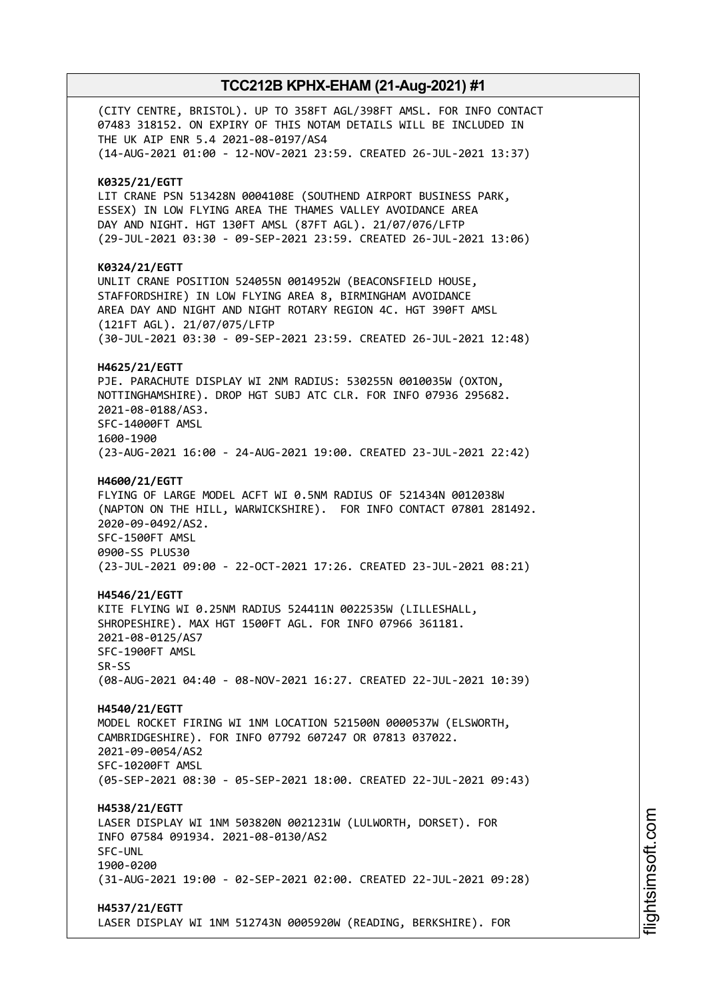(CITY CENTRE, BRISTOL). UP TO 358FT AGL/398FT AMSL. FOR INFO CONTACT 07483 318152. ON EXPIRY OF THIS NOTAM DETAILS WILL BE INCLUDED IN THE UK AIP ENR 5.4 2021-08-0197/AS4 (14-AUG-2021 01:00 - 12-NOV-2021 23:59. CREATED 26-JUL-2021 13:37) **K0325/21/EGTT** LIT CRANE PSN 513428N 0004108E (SOUTHEND AIRPORT BUSINESS PARK, ESSEX) IN LOW FLYING AREA THE THAMES VALLEY AVOIDANCE AREA DAY AND NIGHT. HGT 130FT AMSL (87FT AGL). 21/07/076/LFTP (29-JUL-2021 03:30 - 09-SEP-2021 23:59. CREATED 26-JUL-2021 13:06) **K0324/21/EGTT** UNLIT CRANE POSITION 524055N 0014952W (BEACONSFIELD HOUSE, STAFFORDSHIRE) IN LOW FLYING AREA 8, BIRMINGHAM AVOIDANCE AREA DAY AND NIGHT AND NIGHT ROTARY REGION 4C. HGT 390FT AMSL (121FT AGL). 21/07/075/LFTP (30-JUL-2021 03:30 - 09-SEP-2021 23:59. CREATED 26-JUL-2021 12:48) **H4625/21/EGTT** PJE. PARACHUTE DISPLAY WI 2NM RADIUS: 530255N 0010035W (OXTON, NOTTINGHAMSHIRE). DROP HGT SUBJ ATC CLR. FOR INFO 07936 295682. 2021-08-0188/AS3. SFC-14000FT AMSL 1600-1900 (23-AUG-2021 16:00 - 24-AUG-2021 19:00. CREATED 23-JUL-2021 22:42) **H4600/21/EGTT** FLYING OF LARGE MODEL ACFT WI 0.5NM RADIUS OF 521434N 0012038W (NAPTON ON THE HILL, WARWICKSHIRE). FOR INFO CONTACT 07801 281492. 2020-09-0492/AS2. SFC-1500FT AMSL 0900-SS PLUS30 (23-JUL-2021 09:00 - 22-OCT-2021 17:26. CREATED 23-JUL-2021 08:21) **H4546/21/EGTT** KITE FLYING WI 0.25NM RADIUS 524411N 0022535W (LILLESHALL, SHROPESHIRE). MAX HGT 1500FT AGL. FOR INFO 07966 361181. 2021-08-0125/AS7 SFC-1900FT AMSL SR-SS (08-AUG-2021 04:40 - 08-NOV-2021 16:27. CREATED 22-JUL-2021 10:39) **H4540/21/EGTT** MODEL ROCKET FIRING WI 1NM LOCATION 521500N 0000537W (ELSWORTH, CAMBRIDGESHIRE). FOR INFO 07792 607247 OR 07813 037022. 2021-09-0054/AS2 SFC-10200FT AMSL (05-SEP-2021 08:30 - 05-SEP-2021 18:00. CREATED 22-JUL-2021 09:43) **H4538/21/EGTT** LASER DISPLAY WI 1NM 503820N 0021231W (LULWORTH, DORSET). FOR INFO 07584 091934. 2021-08-0130/AS2 SFC-UNL 1900-0200 (31-AUG-2021 19:00 - 02-SEP-2021 02:00. CREATED 22-JUL-2021 09:28) **H4537/21/EGTT** LASER DISPLAY WI 1NM 512743N 0005920W (READING, BERKSHIRE). FOR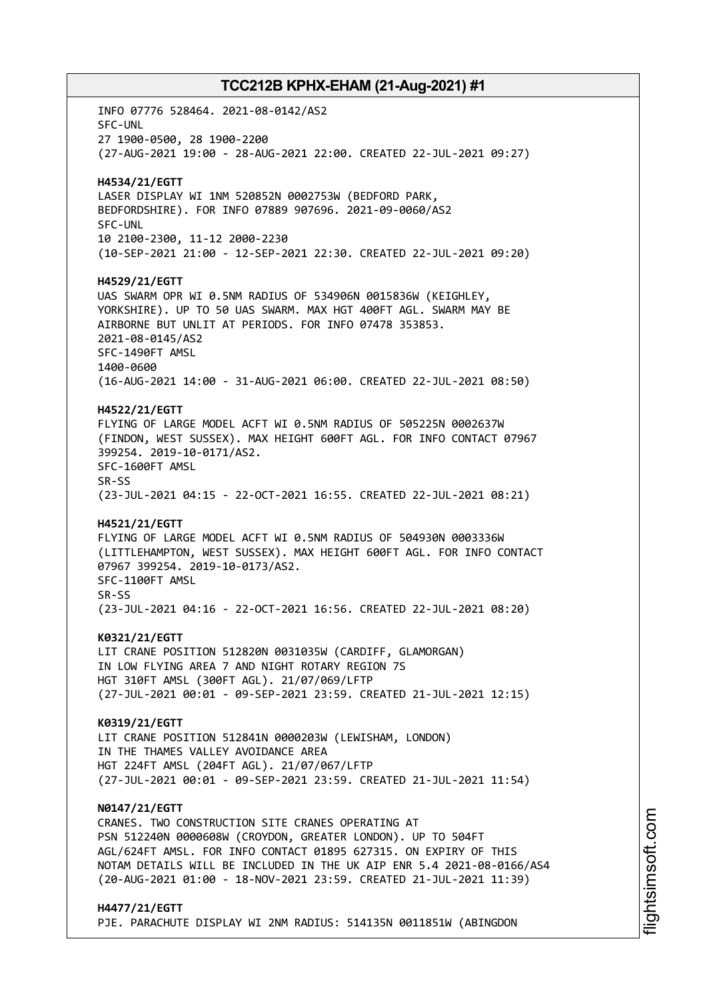INFO 07776 528464. 2021-08-0142/AS2 SFC-UNL 27 1900-0500, 28 1900-2200 (27-AUG-2021 19:00 - 28-AUG-2021 22:00. CREATED 22-JUL-2021 09:27) **H4534/21/EGTT** LASER DISPLAY WI 1NM 520852N 0002753W (BEDFORD PARK, BEDFORDSHIRE). FOR INFO 07889 907696. 2021-09-0060/AS2 SFC-UNL 10 2100-2300, 11-12 2000-2230 (10-SEP-2021 21:00 - 12-SEP-2021 22:30. CREATED 22-JUL-2021 09:20) **H4529/21/EGTT** UAS SWARM OPR WI 0.5NM RADIUS OF 534906N 0015836W (KEIGHLEY, YORKSHIRE). UP TO 50 UAS SWARM. MAX HGT 400FT AGL. SWARM MAY BE AIRBORNE BUT UNLIT AT PERIODS. FOR INFO 07478 353853. 2021-08-0145/AS2 SFC-1490FT AMSL 1400-0600 (16-AUG-2021 14:00 - 31-AUG-2021 06:00. CREATED 22-JUL-2021 08:50) **H4522/21/EGTT** FLYING OF LARGE MODEL ACFT WI 0.5NM RADIUS OF 505225N 0002637W (FINDON, WEST SUSSEX). MAX HEIGHT 600FT AGL. FOR INFO CONTACT 07967 399254. 2019-10-0171/AS2. SFC-1600FT AMSL SR-SS (23-JUL-2021 04:15 - 22-OCT-2021 16:55. CREATED 22-JUL-2021 08:21) **H4521/21/EGTT** FLYING OF LARGE MODEL ACFT WI 0.5NM RADIUS OF 504930N 0003336W (LITTLEHAMPTON, WEST SUSSEX). MAX HEIGHT 600FT AGL. FOR INFO CONTACT 07967 399254. 2019-10-0173/AS2. SFC-1100FT AMSL SR-SS (23-JUL-2021 04:16 - 22-OCT-2021 16:56. CREATED 22-JUL-2021 08:20) **K0321/21/EGTT** LIT CRANE POSITION 512820N 0031035W (CARDIFF, GLAMORGAN) IN LOW FLYING AREA 7 AND NIGHT ROTARY REGION 7S HGT 310FT AMSL (300FT AGL). 21/07/069/LFTP (27-JUL-2021 00:01 - 09-SEP-2021 23:59. CREATED 21-JUL-2021 12:15) **K0319/21/EGTT** LIT CRANE POSITION 512841N 0000203W (LEWISHAM, LONDON) IN THE THAMES VALLEY AVOIDANCE AREA HGT 224FT AMSL (204FT AGL). 21/07/067/LFTP (27-JUL-2021 00:01 - 09-SEP-2021 23:59. CREATED 21-JUL-2021 11:54) **N0147/21/EGTT** CRANES. TWO CONSTRUCTION SITE CRANES OPERATING AT PSN 512240N 0000608W (CROYDON, GREATER LONDON). UP TO 504FT AGL/624FT AMSL. FOR INFO CONTACT 01895 627315. ON EXPIRY OF THIS NOTAM DETAILS WILL BE INCLUDED IN THE UK AIP ENR 5.4 2021-08-0166/AS4 (20-AUG-2021 01:00 - 18-NOV-2021 23:59. CREATED 21-JUL-2021 11:39) **H4477/21/EGTT**

PJE. PARACHUTE DISPLAY WI 2NM RADIUS: 514135N 0011851W (ABINGDON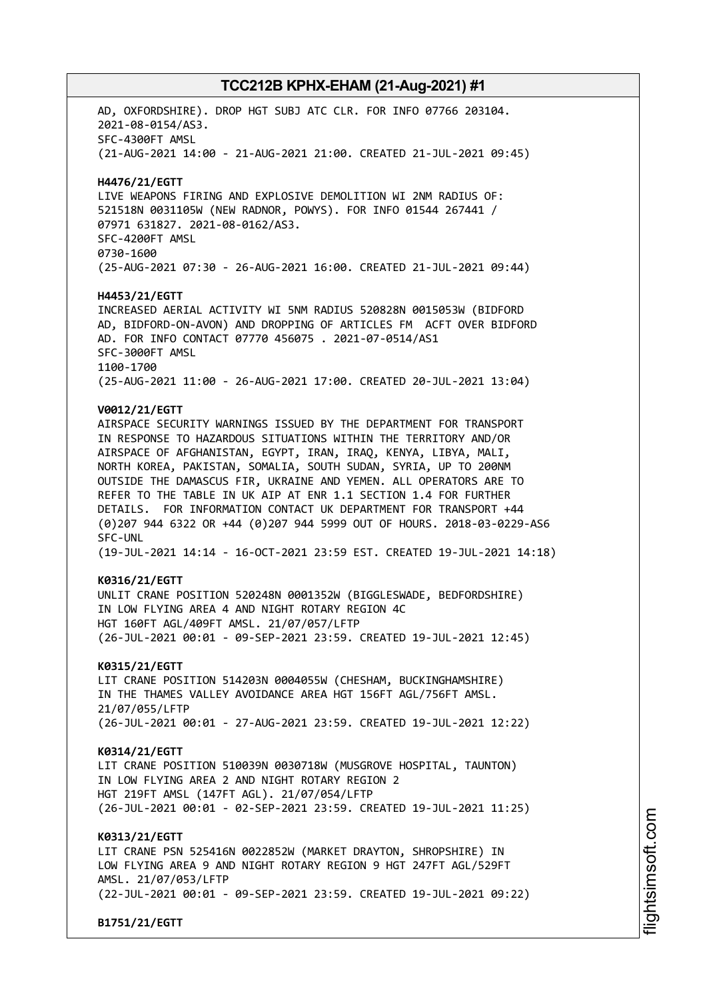AD, OXFORDSHIRE). DROP HGT SUBJ ATC CLR. FOR INFO 07766 203104. 2021-08-0154/AS3. SFC-4300FT AMSL (21-AUG-2021 14:00 - 21-AUG-2021 21:00. CREATED 21-JUL-2021 09:45) **H4476/21/EGTT** LIVE WEAPONS FIRING AND EXPLOSIVE DEMOLITION WI 2NM RADIUS OF: 521518N 0031105W (NEW RADNOR, POWYS). FOR INFO 01544 267441 / 07971 631827. 2021-08-0162/AS3. SFC-4200FT AMSL 0730-1600 (25-AUG-2021 07:30 - 26-AUG-2021 16:00. CREATED 21-JUL-2021 09:44) **H4453/21/EGTT** INCREASED AERIAL ACTIVITY WI 5NM RADIUS 520828N 0015053W (BIDFORD AD, BIDFORD-ON-AVON) AND DROPPING OF ARTICLES FM ACFT OVER BIDFORD AD. FOR INFO CONTACT 07770 456075 . 2021-07-0514/AS1 SFC-3000FT AMSL 1100-1700 (25-AUG-2021 11:00 - 26-AUG-2021 17:00. CREATED 20-JUL-2021 13:04) **V0012/21/EGTT** AIRSPACE SECURITY WARNINGS ISSUED BY THE DEPARTMENT FOR TRANSPORT IN RESPONSE TO HAZARDOUS SITUATIONS WITHIN THE TERRITORY AND/OR AIRSPACE OF AFGHANISTAN, EGYPT, IRAN, IRAQ, KENYA, LIBYA, MALI, NORTH KOREA, PAKISTAN, SOMALIA, SOUTH SUDAN, SYRIA, UP TO 200NM OUTSIDE THE DAMASCUS FIR, UKRAINE AND YEMEN. ALL OPERATORS ARE TO REFER TO THE TABLE IN UK AIP AT ENR 1.1 SECTION 1.4 FOR FURTHER DETAILS. FOR INFORMATION CONTACT UK DEPARTMENT FOR TRANSPORT +44 (0)207 944 6322 OR +44 (0)207 944 5999 OUT OF HOURS. 2018-03-0229-AS6 SFC-UNL (19-JUL-2021 14:14 - 16-OCT-2021 23:59 EST. CREATED 19-JUL-2021 14:18) **K0316/21/EGTT** UNLIT CRANE POSITION 520248N 0001352W (BIGGLESWADE, BEDFORDSHIRE) IN LOW FLYING AREA 4 AND NIGHT ROTARY REGION 4C HGT 160FT AGL/409FT AMSL. 21/07/057/LFTP (26-JUL-2021 00:01 - 09-SEP-2021 23:59. CREATED 19-JUL-2021 12:45) **K0315/21/EGTT** LIT CRANE POSITION 514203N 0004055W (CHESHAM, BUCKINGHAMSHIRE) IN THE THAMES VALLEY AVOIDANCE AREA HGT 156FT AGL/756FT AMSL. 21/07/055/LFTP (26-JUL-2021 00:01 - 27-AUG-2021 23:59. CREATED 19-JUL-2021 12:22) **K0314/21/EGTT** LIT CRANE POSITION 510039N 0030718W (MUSGROVE HOSPITAL, TAUNTON) IN LOW FLYING AREA 2 AND NIGHT ROTARY REGION 2 HGT 219FT AMSL (147FT AGL). 21/07/054/LFTP (26-JUL-2021 00:01 - 02-SEP-2021 23:59. CREATED 19-JUL-2021 11:25) **K0313/21/EGTT** LIT CRANE PSN 525416N 0022852W (MARKET DRAYTON, SHROPSHIRE) IN LOW FLYING AREA 9 AND NIGHT ROTARY REGION 9 HGT 247FT AGL/529FT AMSL. 21/07/053/LFTP (22-JUL-2021 00:01 - 09-SEP-2021 23:59. CREATED 19-JUL-2021 09:22)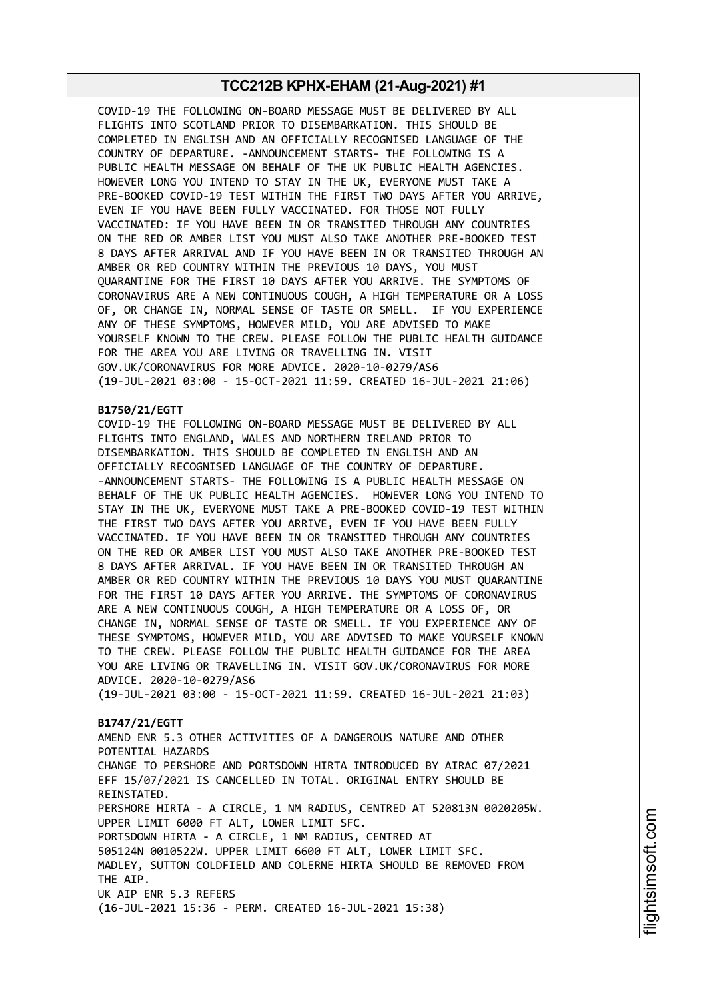COVID-19 THE FOLLOWING ON-BOARD MESSAGE MUST BE DELIVERED BY ALL FLIGHTS INTO SCOTLAND PRIOR TO DISEMBARKATION. THIS SHOULD BE COMPLETED IN ENGLISH AND AN OFFICIALLY RECOGNISED LANGUAGE OF THE COUNTRY OF DEPARTURE. -ANNOUNCEMENT STARTS- THE FOLLOWING IS A PUBLIC HEALTH MESSAGE ON BEHALF OF THE UK PUBLIC HEALTH AGENCIES. HOWEVER LONG YOU INTEND TO STAY IN THE UK, EVERYONE MUST TAKE A PRE-BOOKED COVID-19 TEST WITHIN THE FIRST TWO DAYS AFTER YOU ARRIVE, EVEN IF YOU HAVE BEEN FULLY VACCINATED. FOR THOSE NOT FULLY VACCINATED: IF YOU HAVE BEEN IN OR TRANSITED THROUGH ANY COUNTRIES ON THE RED OR AMBER LIST YOU MUST ALSO TAKE ANOTHER PRE-BOOKED TEST 8 DAYS AFTER ARRIVAL AND IF YOU HAVE BEEN IN OR TRANSITED THROUGH AN AMBER OR RED COUNTRY WITHIN THE PREVIOUS 10 DAYS, YOU MUST QUARANTINE FOR THE FIRST 10 DAYS AFTER YOU ARRIVE. THE SYMPTOMS OF CORONAVIRUS ARE A NEW CONTINUOUS COUGH, A HIGH TEMPERATURE OR A LOSS OF, OR CHANGE IN, NORMAL SENSE OF TASTE OR SMELL. IF YOU EXPERIENCE ANY OF THESE SYMPTOMS, HOWEVER MILD, YOU ARE ADVISED TO MAKE YOURSELF KNOWN TO THE CREW. PLEASE FOLLOW THE PUBLIC HEALTH GUIDANCE FOR THE AREA YOU ARE LIVING OR TRAVELLING IN. VISIT GOV.UK/CORONAVIRUS FOR MORE ADVICE. 2020-10-0279/AS6 (19-JUL-2021 03:00 - 15-OCT-2021 11:59. CREATED 16-JUL-2021 21:06)

### **B1750/21/EGTT**

COVID-19 THE FOLLOWING ON-BOARD MESSAGE MUST BE DELIVERED BY ALL FLIGHTS INTO ENGLAND, WALES AND NORTHERN IRELAND PRIOR TO DISEMBARKATION. THIS SHOULD BE COMPLETED IN ENGLISH AND AN OFFICIALLY RECOGNISED LANGUAGE OF THE COUNTRY OF DEPARTURE. -ANNOUNCEMENT STARTS- THE FOLLOWING IS A PUBLIC HEALTH MESSAGE ON BEHALF OF THE UK PUBLIC HEALTH AGENCIES. HOWEVER LONG YOU INTEND TO STAY IN THE UK, EVERYONE MUST TAKE A PRE-BOOKED COVID-19 TEST WITHIN THE FIRST TWO DAYS AFTER YOU ARRIVE, EVEN IF YOU HAVE BEEN FULLY VACCINATED. IF YOU HAVE BEEN IN OR TRANSITED THROUGH ANY COUNTRIES ON THE RED OR AMBER LIST YOU MUST ALSO TAKE ANOTHER PRE-BOOKED TEST 8 DAYS AFTER ARRIVAL. IF YOU HAVE BEEN IN OR TRANSITED THROUGH AN AMBER OR RED COUNTRY WITHIN THE PREVIOUS 10 DAYS YOU MUST QUARANTINE FOR THE FIRST 10 DAYS AFTER YOU ARRIVE. THE SYMPTOMS OF CORONAVIRUS ARE A NEW CONTINUOUS COUGH, A HIGH TEMPERATURE OR A LOSS OF, OR CHANGE IN, NORMAL SENSE OF TASTE OR SMELL. IF YOU EXPERIENCE ANY OF THESE SYMPTOMS, HOWEVER MILD, YOU ARE ADVISED TO MAKE YOURSELF KNOWN TO THE CREW. PLEASE FOLLOW THE PUBLIC HEALTH GUIDANCE FOR THE AREA YOU ARE LIVING OR TRAVELLING IN. VISIT GOV.UK/CORONAVIRUS FOR MORE ADVICE. 2020-10-0279/AS6

(19-JUL-2021 03:00 - 15-OCT-2021 11:59. CREATED 16-JUL-2021 21:03)

### **B1747/21/EGTT**

AMEND ENR 5.3 OTHER ACTIVITIES OF A DANGEROUS NATURE AND OTHER POTENTIAL HAZARDS CHANGE TO PERSHORE AND PORTSDOWN HIRTA INTRODUCED BY AIRAC 07/2021 EFF 15/07/2021 IS CANCELLED IN TOTAL. ORIGINAL ENTRY SHOULD BE REINSTATED. PERSHORE HIRTA - A CIRCLE, 1 NM RADIUS, CENTRED AT 520813N 0020205W. UPPER LIMIT 6000 FT ALT, LOWER LIMIT SFC. PORTSDOWN HIRTA - A CIRCLE, 1 NM RADIUS, CENTRED AT 505124N 0010522W. UPPER LIMIT 6600 FT ALT, LOWER LIMIT SFC. MADLEY, SUTTON COLDFIELD AND COLERNE HIRTA SHOULD BE REMOVED FROM THE AIP. UK AIP ENR 5.3 REFERS (16-JUL-2021 15:36 - PERM. CREATED 16-JUL-2021 15:38)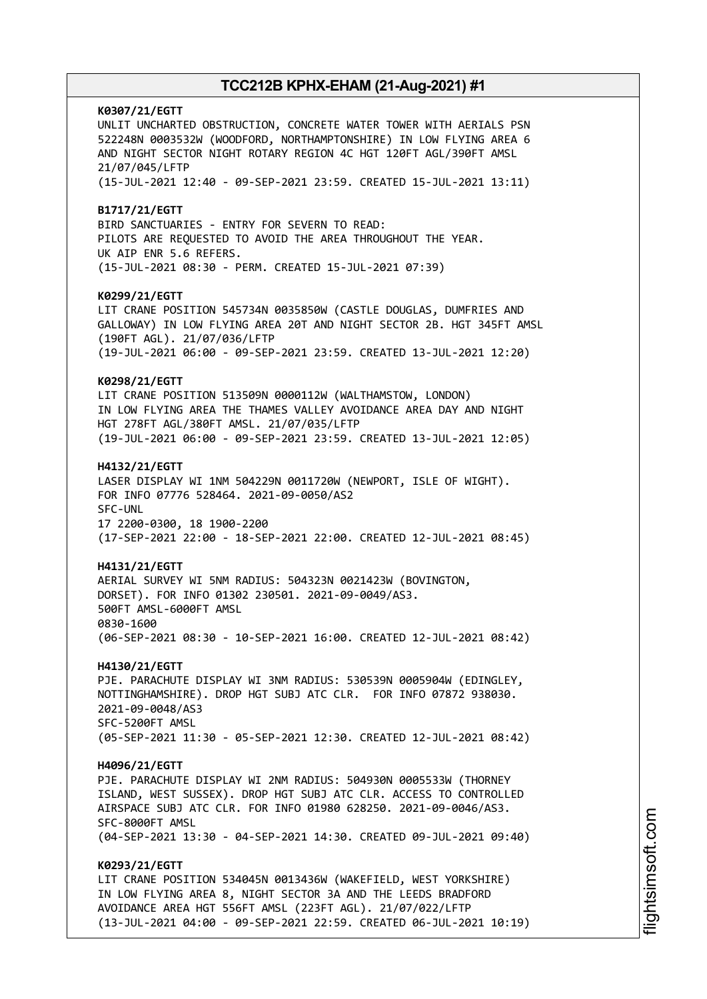**K0307/21/EGTT** UNLIT UNCHARTED OBSTRUCTION, CONCRETE WATER TOWER WITH AERIALS PSN 522248N 0003532W (WOODFORD, NORTHAMPTONSHIRE) IN LOW FLYING AREA 6 AND NIGHT SECTOR NIGHT ROTARY REGION 4C HGT 120FT AGL/390FT AMSL 21/07/045/LFTP (15-JUL-2021 12:40 - 09-SEP-2021 23:59. CREATED 15-JUL-2021 13:11) **B1717/21/EGTT** BIRD SANCTUARIES - ENTRY FOR SEVERN TO READ: PILOTS ARE REQUESTED TO AVOID THE AREA THROUGHOUT THE YEAR. UK AIP ENR 5.6 REFERS. (15-JUL-2021 08:30 - PERM. CREATED 15-JUL-2021 07:39) **K0299/21/EGTT** LIT CRANE POSITION 545734N 0035850W (CASTLE DOUGLAS, DUMFRIES AND GALLOWAY) IN LOW FLYING AREA 20T AND NIGHT SECTOR 2B. HGT 345FT AMSL (190FT AGL). 21/07/036/LFTP (19-JUL-2021 06:00 - 09-SEP-2021 23:59. CREATED 13-JUL-2021 12:20) **K0298/21/EGTT** LIT CRANE POSITION 513509N 0000112W (WALTHAMSTOW, LONDON) IN LOW FLYING AREA THE THAMES VALLEY AVOIDANCE AREA DAY AND NIGHT HGT 278FT AGL/380FT AMSL. 21/07/035/LFTP (19-JUL-2021 06:00 - 09-SEP-2021 23:59. CREATED 13-JUL-2021 12:05) **H4132/21/EGTT** LASER DISPLAY WI 1NM 504229N 0011720W (NEWPORT, ISLE OF WIGHT). FOR INFO 07776 528464. 2021-09-0050/AS2 SFC-UNL 17 2200-0300, 18 1900-2200 (17-SEP-2021 22:00 - 18-SEP-2021 22:00. CREATED 12-JUL-2021 08:45) **H4131/21/EGTT** AERIAL SURVEY WI 5NM RADIUS: 504323N 0021423W (BOVINGTON, DORSET). FOR INFO 01302 230501. 2021-09-0049/AS3. 500FT AMSL-6000FT AMSL 0830-1600 (06-SEP-2021 08:30 - 10-SEP-2021 16:00. CREATED 12-JUL-2021 08:42) **H4130/21/EGTT** PJE. PARACHUTE DISPLAY WI 3NM RADIUS: 530539N 0005904W (EDINGLEY, NOTTINGHAMSHIRE). DROP HGT SUBJ ATC CLR. FOR INFO 07872 938030. 2021-09-0048/AS3 SFC-5200FT AMSL (05-SEP-2021 11:30 - 05-SEP-2021 12:30. CREATED 12-JUL-2021 08:42) **H4096/21/EGTT** PJE. PARACHUTE DISPLAY WI 2NM RADIUS: 504930N 0005533W (THORNEY ISLAND, WEST SUSSEX). DROP HGT SUBJ ATC CLR. ACCESS TO CONTROLLED AIRSPACE SUBJ ATC CLR. FOR INFO 01980 628250. 2021-09-0046/AS3. SFC-8000FT AMSL (04-SEP-2021 13:30 - 04-SEP-2021 14:30. CREATED 09-JUL-2021 09:40) **K0293/21/EGTT** LIT CRANE POSITION 534045N 0013436W (WAKEFIELD, WEST YORKSHIRE) IN LOW FLYING AREA 8, NIGHT SECTOR 3A AND THE LEEDS BRADFORD AVOIDANCE AREA HGT 556FT AMSL (223FT AGL). 21/07/022/LFTP (13-JUL-2021 04:00 - 09-SEP-2021 22:59. CREATED 06-JUL-2021 10:19)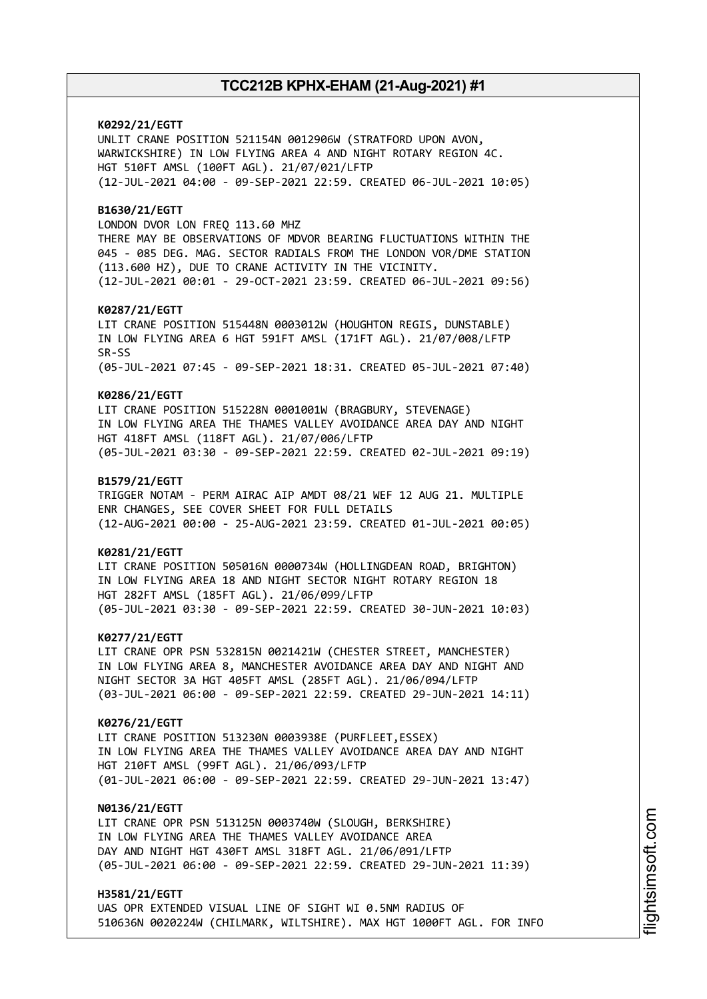**K0292/21/EGTT** UNLIT CRANE POSITION 521154N 0012906W (STRATFORD UPON AVON, WARWICKSHIRE) IN LOW FLYING AREA 4 AND NIGHT ROTARY REGION 4C. HGT 510FT AMSL (100FT AGL). 21/07/021/LFTP (12-JUL-2021 04:00 - 09-SEP-2021 22:59. CREATED 06-JUL-2021 10:05) **B1630/21/EGTT** LONDON DVOR LON FREQ 113.60 MHZ THERE MAY BE OBSERVATIONS OF MDVOR BEARING FLUCTUATIONS WITHIN THE 045 - 085 DEG. MAG. SECTOR RADIALS FROM THE LONDON VOR/DME STATION (113.600 HZ), DUE TO CRANE ACTIVITY IN THE VICINITY. (12-JUL-2021 00:01 - 29-OCT-2021 23:59. CREATED 06-JUL-2021 09:56) **K0287/21/EGTT** LIT CRANE POSITION 515448N 0003012W (HOUGHTON REGIS, DUNSTABLE) IN LOW FLYING AREA 6 HGT 591FT AMSL (171FT AGL). 21/07/008/LFTP SR-SS (05-JUL-2021 07:45 - 09-SEP-2021 18:31. CREATED 05-JUL-2021 07:40) **K0286/21/EGTT** LIT CRANE POSITION 515228N 0001001W (BRAGBURY, STEVENAGE) IN LOW FLYING AREA THE THAMES VALLEY AVOIDANCE AREA DAY AND NIGHT HGT 418FT AMSL (118FT AGL). 21/07/006/LFTP (05-JUL-2021 03:30 - 09-SEP-2021 22:59. CREATED 02-JUL-2021 09:19) **B1579/21/EGTT** TRIGGER NOTAM - PERM AIRAC AIP AMDT 08/21 WEF 12 AUG 21. MULTIPLE ENR CHANGES, SEE COVER SHEET FOR FULL DETAILS (12-AUG-2021 00:00 - 25-AUG-2021 23:59. CREATED 01-JUL-2021 00:05) **K0281/21/EGTT** LIT CRANE POSITION 505016N 0000734W (HOLLINGDEAN ROAD, BRIGHTON) IN LOW FLYING AREA 18 AND NIGHT SECTOR NIGHT ROTARY REGION 18 HGT 282FT AMSL (185FT AGL). 21/06/099/LFTP (05-JUL-2021 03:30 - 09-SEP-2021 22:59. CREATED 30-JUN-2021 10:03) **K0277/21/EGTT** LIT CRANE OPR PSN 532815N 0021421W (CHESTER STREET, MANCHESTER) IN LOW FLYING AREA 8, MANCHESTER AVOIDANCE AREA DAY AND NIGHT AND NIGHT SECTOR 3A HGT 405FT AMSL (285FT AGL). 21/06/094/LFTP (03-JUL-2021 06:00 - 09-SEP-2021 22:59. CREATED 29-JUN-2021 14:11) **K0276/21/EGTT** LIT CRANE POSITION 513230N 0003938E (PURFLEET,ESSEX) IN LOW FLYING AREA THE THAMES VALLEY AVOIDANCE AREA DAY AND NIGHT HGT 210FT AMSL (99FT AGL). 21/06/093/LFTP (01-JUL-2021 06:00 - 09-SEP-2021 22:59. CREATED 29-JUN-2021 13:47) **N0136/21/EGTT** LIT CRANE OPR PSN 513125N 0003740W (SLOUGH, BERKSHIRE) IN LOW FLYING AREA THE THAMES VALLEY AVOIDANCE AREA DAY AND NIGHT HGT 430FT AMSL 318FT AGL. 21/06/091/LFTP (05-JUL-2021 06:00 - 09-SEP-2021 22:59. CREATED 29-JUN-2021 11:39) **H3581/21/EGTT**

UAS OPR EXTENDED VISUAL LINE OF SIGHT WI 0.5NM RADIUS OF 510636N 0020224W (CHILMARK, WILTSHIRE). MAX HGT 1000FT AGL. FOR INFO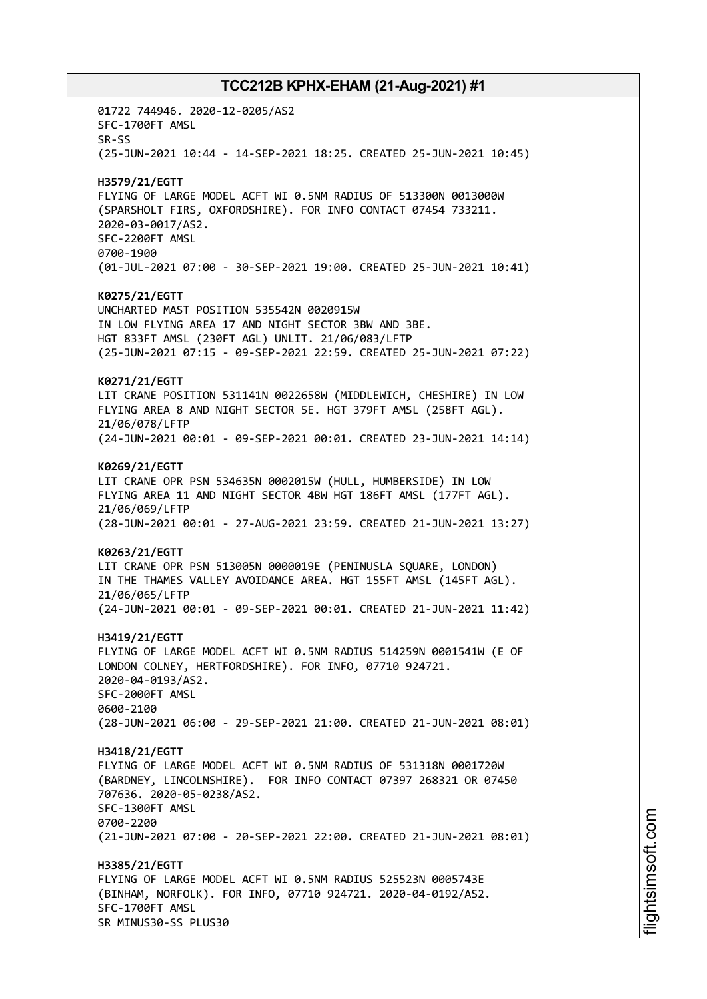01722 744946. 2020-12-0205/AS2 SFC-1700FT AMSL SR-SS (25-JUN-2021 10:44 - 14-SEP-2021 18:25. CREATED 25-JUN-2021 10:45) **H3579/21/EGTT** FLYING OF LARGE MODEL ACFT WI 0.5NM RADIUS OF 513300N 0013000W (SPARSHOLT FIRS, OXFORDSHIRE). FOR INFO CONTACT 07454 733211. 2020-03-0017/AS2. SFC-2200FT AMSL 0700-1900 (01-JUL-2021 07:00 - 30-SEP-2021 19:00. CREATED 25-JUN-2021 10:41) **K0275/21/EGTT** UNCHARTED MAST POSITION 535542N 0020915W IN LOW FLYING AREA 17 AND NIGHT SECTOR 3BW AND 3BE. HGT 833FT AMSL (230FT AGL) UNLIT. 21/06/083/LFTP (25-JUN-2021 07:15 - 09-SEP-2021 22:59. CREATED 25-JUN-2021 07:22) **K0271/21/EGTT** LIT CRANE POSITION 531141N 0022658W (MIDDLEWICH, CHESHIRE) IN LOW FLYING AREA 8 AND NIGHT SECTOR 5E. HGT 379FT AMSL (258FT AGL). 21/06/078/LFTP (24-JUN-2021 00:01 - 09-SEP-2021 00:01. CREATED 23-JUN-2021 14:14) **K0269/21/EGTT** LIT CRANE OPR PSN 534635N 0002015W (HULL, HUMBERSIDE) IN LOW FLYING AREA 11 AND NIGHT SECTOR 4BW HGT 186FT AMSL (177FT AGL). 21/06/069/LFTP (28-JUN-2021 00:01 - 27-AUG-2021 23:59. CREATED 21-JUN-2021 13:27) **K0263/21/EGTT** LIT CRANE OPR PSN 513005N 0000019E (PENINUSLA SQUARE, LONDON) IN THE THAMES VALLEY AVOIDANCE AREA. HGT 155FT AMSL (145FT AGL). 21/06/065/LFTP (24-JUN-2021 00:01 - 09-SEP-2021 00:01. CREATED 21-JUN-2021 11:42) **H3419/21/EGTT** FLYING OF LARGE MODEL ACFT WI 0.5NM RADIUS 514259N 0001541W (E OF LONDON COLNEY, HERTFORDSHIRE). FOR INFO, 07710 924721. 2020-04-0193/AS2. SFC-2000FT AMSL 0600-2100 (28-JUN-2021 06:00 - 29-SEP-2021 21:00. CREATED 21-JUN-2021 08:01) **H3418/21/EGTT** FLYING OF LARGE MODEL ACFT WI 0.5NM RADIUS OF 531318N 0001720W (BARDNEY, LINCOLNSHIRE). FOR INFO CONTACT 07397 268321 OR 07450 707636. 2020-05-0238/AS2. SFC-1300FT AMSL 0700-2200 (21-JUN-2021 07:00 - 20-SEP-2021 22:00. CREATED 21-JUN-2021 08:01) **H3385/21/EGTT** FLYING OF LARGE MODEL ACFT WI 0.5NM RADIUS 525523N 0005743E (BINHAM, NORFOLK). FOR INFO, 07710 924721. 2020-04-0192/AS2. SFC-1700FT AMSL SR MINUS30-SS PLUS30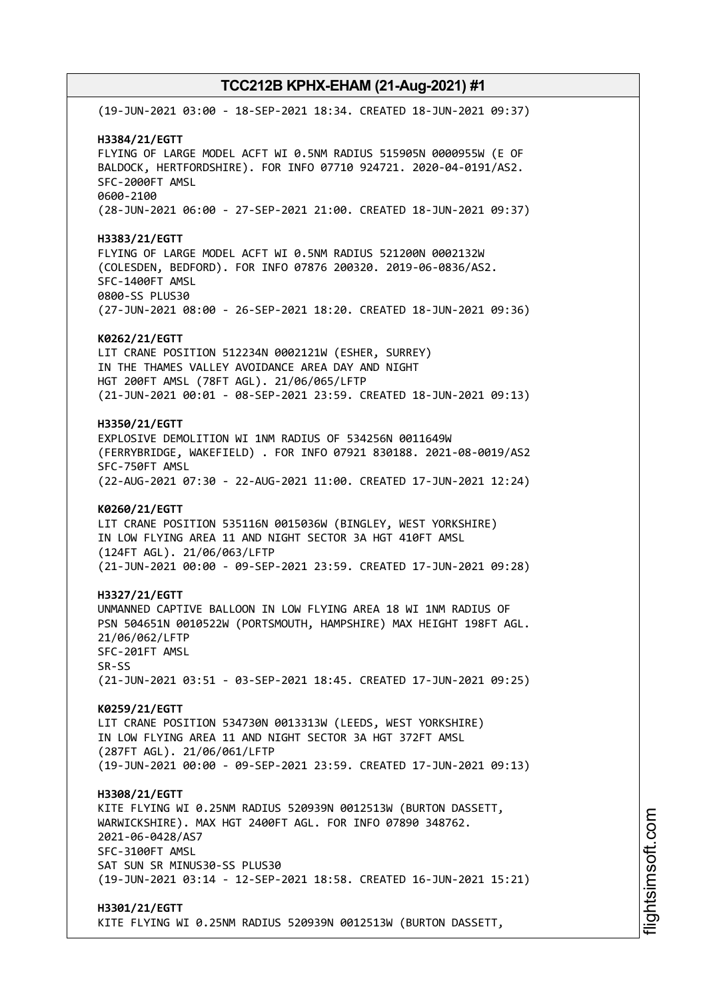(19-JUN-2021 03:00 - 18-SEP-2021 18:34. CREATED 18-JUN-2021 09:37) **H3384/21/EGTT** FLYING OF LARGE MODEL ACFT WI 0.5NM RADIUS 515905N 0000955W (E OF BALDOCK, HERTFORDSHIRE). FOR INFO 07710 924721. 2020-04-0191/AS2. SFC-2000FT AMSL 0600-2100 (28-JUN-2021 06:00 - 27-SEP-2021 21:00. CREATED 18-JUN-2021 09:37) **H3383/21/EGTT** FLYING OF LARGE MODEL ACFT WI 0.5NM RADIUS 521200N 0002132W (COLESDEN, BEDFORD). FOR INFO 07876 200320. 2019-06-0836/AS2. SFC-1400FT AMSL 0800-SS PLUS30 (27-JUN-2021 08:00 - 26-SEP-2021 18:20. CREATED 18-JUN-2021 09:36) **K0262/21/EGTT** LIT CRANE POSITION 512234N 0002121W (ESHER, SURREY) IN THE THAMES VALLEY AVOIDANCE AREA DAY AND NIGHT HGT 200FT AMSL (78FT AGL). 21/06/065/LFTP (21-JUN-2021 00:01 - 08-SEP-2021 23:59. CREATED 18-JUN-2021 09:13) **H3350/21/EGTT** EXPLOSIVE DEMOLITION WI 1NM RADIUS OF 534256N 0011649W (FERRYBRIDGE, WAKEFIELD) . FOR INFO 07921 830188. 2021-08-0019/AS2 SFC-750FT AMSL (22-AUG-2021 07:30 - 22-AUG-2021 11:00. CREATED 17-JUN-2021 12:24) **K0260/21/EGTT** LIT CRANE POSITION 535116N 0015036W (BINGLEY, WEST YORKSHIRE) IN LOW FLYING AREA 11 AND NIGHT SECTOR 3A HGT 410FT AMSL (124FT AGL). 21/06/063/LFTP (21-JUN-2021 00:00 - 09-SEP-2021 23:59. CREATED 17-JUN-2021 09:28) **H3327/21/EGTT** UNMANNED CAPTIVE BALLOON IN LOW FLYING AREA 18 WI 1NM RADIUS OF PSN 504651N 0010522W (PORTSMOUTH, HAMPSHIRE) MAX HEIGHT 198FT AGL. 21/06/062/LFTP SFC-201FT AMSL SR-SS (21-JUN-2021 03:51 - 03-SEP-2021 18:45. CREATED 17-JUN-2021 09:25) **K0259/21/EGTT** LIT CRANE POSITION 534730N 0013313W (LEEDS, WEST YORKSHIRE) IN LOW FLYING AREA 11 AND NIGHT SECTOR 3A HGT 372FT AMSL (287FT AGL). 21/06/061/LFTP (19-JUN-2021 00:00 - 09-SEP-2021 23:59. CREATED 17-JUN-2021 09:13) **H3308/21/EGTT** KITE FLYING WI 0.25NM RADIUS 520939N 0012513W (BURTON DASSETT, WARWICKSHIRE). MAX HGT 2400FT AGL. FOR INFO 07890 348762. 2021-06-0428/AS7 SFC-3100FT AMSL SAT SUN SR MINUS30-SS PLUS30 (19-JUN-2021 03:14 - 12-SEP-2021 18:58. CREATED 16-JUN-2021 15:21) **H3301/21/EGTT** KITE FLYING WI 0.25NM RADIUS 520939N 0012513W (BURTON DASSETT,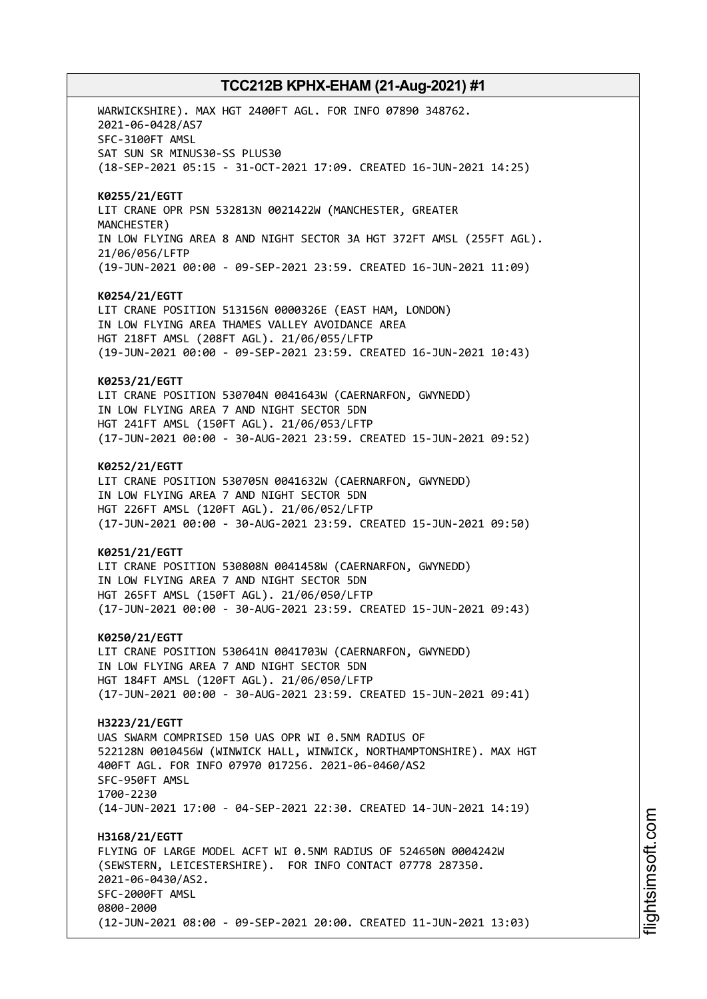WARWICKSHIRE). MAX HGT 2400FT AGL. FOR INFO 07890 348762. 2021-06-0428/AS7 SFC-3100FT AMSL SAT SUN SR MINUS30-SS PLUS30 (18-SEP-2021 05:15 - 31-OCT-2021 17:09. CREATED 16-JUN-2021 14:25) **K0255/21/EGTT** LIT CRANE OPR PSN 532813N 0021422W (MANCHESTER, GREATER MANCHESTER) IN LOW FLYING AREA 8 AND NIGHT SECTOR 3A HGT 372FT AMSL (255FT AGL). 21/06/056/LFTP (19-JUN-2021 00:00 - 09-SEP-2021 23:59. CREATED 16-JUN-2021 11:09) **K0254/21/EGTT** LIT CRANE POSITION 513156N 0000326E (EAST HAM, LONDON) IN LOW FLYING AREA THAMES VALLEY AVOIDANCE AREA HGT 218FT AMSL (208FT AGL). 21/06/055/LFTP (19-JUN-2021 00:00 - 09-SEP-2021 23:59. CREATED 16-JUN-2021 10:43) **K0253/21/EGTT** LIT CRANE POSITION 530704N 0041643W (CAERNARFON, GWYNEDD) IN LOW FLYING AREA 7 AND NIGHT SECTOR 5DN HGT 241FT AMSL (150FT AGL). 21/06/053/LFTP (17-JUN-2021 00:00 - 30-AUG-2021 23:59. CREATED 15-JUN-2021 09:52) **K0252/21/EGTT** LIT CRANE POSITION 530705N 0041632W (CAERNARFON, GWYNEDD) IN LOW FLYING AREA 7 AND NIGHT SECTOR 5DN HGT 226FT AMSL (120FT AGL). 21/06/052/LFTP (17-JUN-2021 00:00 - 30-AUG-2021 23:59. CREATED 15-JUN-2021 09:50) **K0251/21/EGTT** LIT CRANE POSITION 530808N 0041458W (CAERNARFON, GWYNEDD) IN LOW FLYING AREA 7 AND NIGHT SECTOR 5DN HGT 265FT AMSL (150FT AGL). 21/06/050/LFTP (17-JUN-2021 00:00 - 30-AUG-2021 23:59. CREATED 15-JUN-2021 09:43) **K0250/21/EGTT** LIT CRANE POSITION 530641N 0041703W (CAERNARFON, GWYNEDD) IN LOW FLYING AREA 7 AND NIGHT SECTOR 5DN HGT 184FT AMSL (120FT AGL). 21/06/050/LFTP (17-JUN-2021 00:00 - 30-AUG-2021 23:59. CREATED 15-JUN-2021 09:41) **H3223/21/EGTT** UAS SWARM COMPRISED 150 UAS OPR WI 0.5NM RADIUS OF 522128N 0010456W (WINWICK HALL, WINWICK, NORTHAMPTONSHIRE). MAX HGT 400FT AGL. FOR INFO 07970 017256. 2021-06-0460/AS2 SFC-950FT AMSL 1700-2230 (14-JUN-2021 17:00 - 04-SEP-2021 22:30. CREATED 14-JUN-2021 14:19) **H3168/21/EGTT** FLYING OF LARGE MODEL ACFT WI 0.5NM RADIUS OF 524650N 0004242W (SEWSTERN, LEICESTERSHIRE). FOR INFO CONTACT 07778 287350. 2021-06-0430/AS2. SFC-2000FT AMSL 0800-2000 (12-JUN-2021 08:00 - 09-SEP-2021 20:00. CREATED 11-JUN-2021 13:03)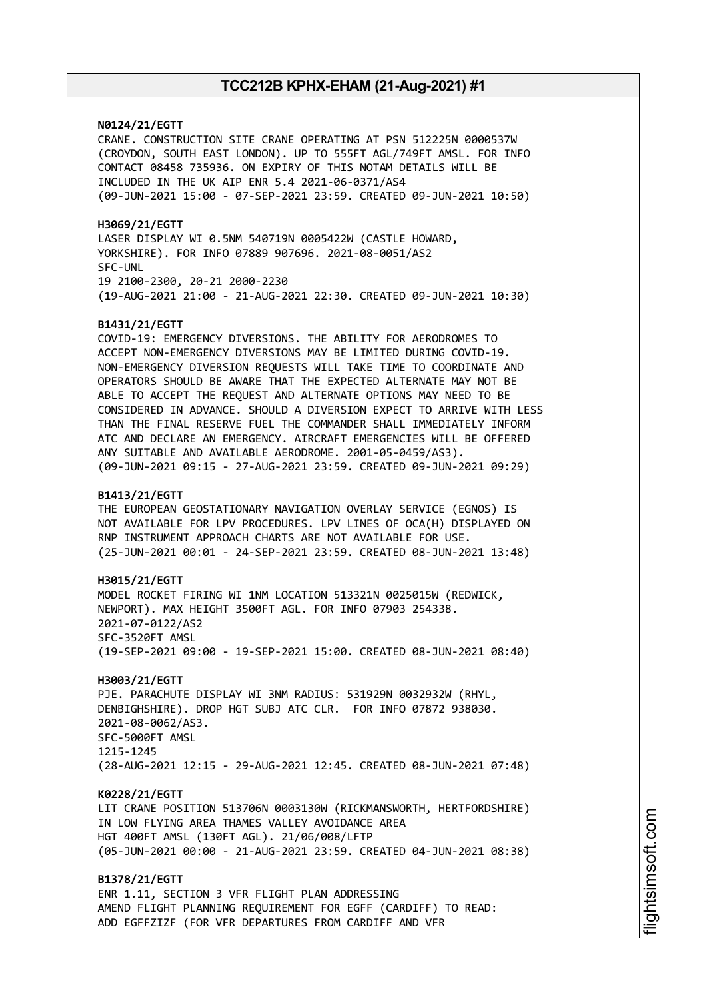**N0124/21/EGTT**

CRANE. CONSTRUCTION SITE CRANE OPERATING AT PSN 512225N 0000537W (CROYDON, SOUTH EAST LONDON). UP TO 555FT AGL/749FT AMSL. FOR INFO CONTACT 08458 735936. ON EXPIRY OF THIS NOTAM DETAILS WILL BE INCLUDED IN THE UK AIP ENR 5.4 2021-06-0371/AS4 (09-JUN-2021 15:00 - 07-SEP-2021 23:59. CREATED 09-JUN-2021 10:50)

**H3069/21/EGTT** LASER DISPLAY WI 0.5NM 540719N 0005422W (CASTLE HOWARD, YORKSHIRE). FOR INFO 07889 907696. 2021-08-0051/AS2 SFC-UNL 19 2100-2300, 20-21 2000-2230 (19-AUG-2021 21:00 - 21-AUG-2021 22:30. CREATED 09-JUN-2021 10:30)

### **B1431/21/EGTT**

COVID-19: EMERGENCY DIVERSIONS. THE ABILITY FOR AERODROMES TO ACCEPT NON-EMERGENCY DIVERSIONS MAY BE LIMITED DURING COVID-19. NON-EMERGENCY DIVERSION REQUESTS WILL TAKE TIME TO COORDINATE AND OPERATORS SHOULD BE AWARE THAT THE EXPECTED ALTERNATE MAY NOT BE ABLE TO ACCEPT THE REQUEST AND ALTERNATE OPTIONS MAY NEED TO BE CONSIDERED IN ADVANCE. SHOULD A DIVERSION EXPECT TO ARRIVE WITH LESS THAN THE FINAL RESERVE FUEL THE COMMANDER SHALL IMMEDIATELY INFORM ATC AND DECLARE AN EMERGENCY. AIRCRAFT EMERGENCIES WILL BE OFFERED ANY SUITABLE AND AVAILABLE AERODROME. 2001-05-0459/AS3). (09-JUN-2021 09:15 - 27-AUG-2021 23:59. CREATED 09-JUN-2021 09:29)

### **B1413/21/EGTT**

THE EUROPEAN GEOSTATIONARY NAVIGATION OVERLAY SERVICE (EGNOS) IS NOT AVAILABLE FOR LPV PROCEDURES. LPV LINES OF OCA(H) DISPLAYED ON RNP INSTRUMENT APPROACH CHARTS ARE NOT AVAILABLE FOR USE. (25-JUN-2021 00:01 - 24-SEP-2021 23:59. CREATED 08-JUN-2021 13:48)

**H3015/21/EGTT** MODEL ROCKET FIRING WI 1NM LOCATION 513321N 0025015W (REDWICK, NEWPORT). MAX HEIGHT 3500FT AGL. FOR INFO 07903 254338. 2021-07-0122/AS2 SFC-3520FT AMSL (19-SEP-2021 09:00 - 19-SEP-2021 15:00. CREATED 08-JUN-2021 08:40)

**H3003/21/EGTT** PJE. PARACHUTE DISPLAY WI 3NM RADIUS: 531929N 0032932W (RHYL, DENBIGHSHIRE). DROP HGT SUBJ ATC CLR. FOR INFO 07872 938030. 2021-08-0062/AS3. SFC-5000FT AMSL 1215-1245 (28-AUG-2021 12:15 - 29-AUG-2021 12:45. CREATED 08-JUN-2021 07:48)

**K0228/21/EGTT**

LIT CRANE POSITION 513706N 0003130W (RICKMANSWORTH, HERTFORDSHIRE) IN LOW FLYING AREA THAMES VALLEY AVOIDANCE AREA HGT 400FT AMSL (130FT AGL). 21/06/008/LFTP (05-JUN-2021 00:00 - 21-AUG-2021 23:59. CREATED 04-JUN-2021 08:38)

**B1378/21/EGTT** ENR 1.11, SECTION 3 VFR FLIGHT PLAN ADDRESSING AMEND FLIGHT PLANNING REQUIREMENT FOR EGFF (CARDIFF) TO READ: ADD EGFFZIZF (FOR VFR DEPARTURES FROM CARDIFF AND VFR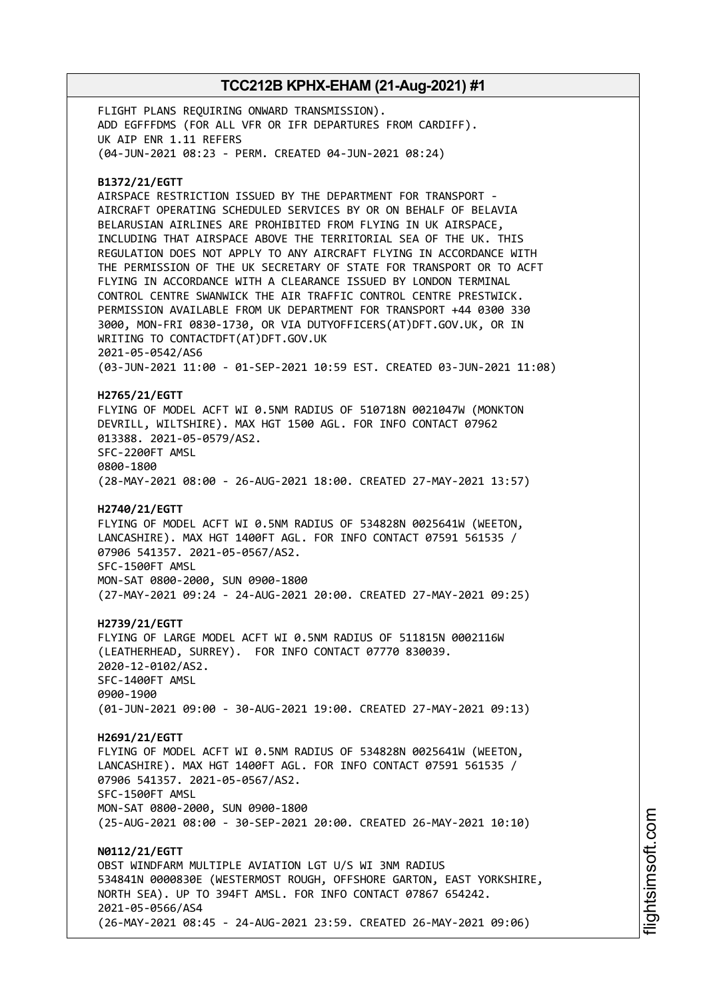FLIGHT PLANS REQUIRING ONWARD TRANSMISSION). ADD EGFFFDMS (FOR ALL VFR OR IFR DEPARTURES FROM CARDIFF). UK AIP ENR 1.11 REFERS (04-JUN-2021 08:23 - PERM. CREATED 04-JUN-2021 08:24)

#### **B1372/21/EGTT**

AIRSPACE RESTRICTION ISSUED BY THE DEPARTMENT FOR TRANSPORT - AIRCRAFT OPERATING SCHEDULED SERVICES BY OR ON BEHALF OF BELAVIA BELARUSIAN AIRLINES ARE PROHIBITED FROM FLYING IN UK AIRSPACE, INCLUDING THAT AIRSPACE ABOVE THE TERRITORIAL SEA OF THE UK. THIS REGULATION DOES NOT APPLY TO ANY AIRCRAFT FLYING IN ACCORDANCE WITH THE PERMISSION OF THE UK SECRETARY OF STATE FOR TRANSPORT OR TO ACFT FLYING IN ACCORDANCE WITH A CLEARANCE ISSUED BY LONDON TERMINAL CONTROL CENTRE SWANWICK THE AIR TRAFFIC CONTROL CENTRE PRESTWICK. PERMISSION AVAILABLE FROM UK DEPARTMENT FOR TRANSPORT +44 0300 330 3000, MON-FRI 0830-1730, OR VIA DUTYOFFICERS(AT)DFT.GOV.UK, OR IN WRITING TO CONTACTDFT(AT)DFT.GOV.UK 2021-05-0542/AS6 (03-JUN-2021 11:00 - 01-SEP-2021 10:59 EST. CREATED 03-JUN-2021 11:08)

# **H2765/21/EGTT**

FLYING OF MODEL ACFT WI 0.5NM RADIUS OF 510718N 0021047W (MONKTON DEVRILL, WILTSHIRE). MAX HGT 1500 AGL. FOR INFO CONTACT 07962 013388. 2021-05-0579/AS2. SFC-2200FT AMSL 0800-1800

(28-MAY-2021 08:00 - 26-AUG-2021 18:00. CREATED 27-MAY-2021 13:57)

### **H2740/21/EGTT**

FLYING OF MODEL ACFT WI 0.5NM RADIUS OF 534828N 0025641W (WEETON, LANCASHIRE). MAX HGT 1400FT AGL. FOR INFO CONTACT 07591 561535 / 07906 541357. 2021-05-0567/AS2. SFC-1500FT AMSL MON-SAT 0800-2000, SUN 0900-1800

(27-MAY-2021 09:24 - 24-AUG-2021 20:00. CREATED 27-MAY-2021 09:25)

### **H2739/21/EGTT**

FLYING OF LARGE MODEL ACFT WI 0.5NM RADIUS OF 511815N 0002116W (LEATHERHEAD, SURREY). FOR INFO CONTACT 07770 830039. 2020-12-0102/AS2. SFC-1400FT AMSL 0900-1900 (01-JUN-2021 09:00 - 30-AUG-2021 19:00. CREATED 27-MAY-2021 09:13)

### **H2691/21/EGTT**

FLYING OF MODEL ACFT WI 0.5NM RADIUS OF 534828N 0025641W (WEETON, LANCASHIRE). MAX HGT 1400FT AGL. FOR INFO CONTACT 07591 561535 / 07906 541357. 2021-05-0567/AS2. SFC-1500FT AMSL MON-SAT 0800-2000, SUN 0900-1800

(25-AUG-2021 08:00 - 30-SEP-2021 20:00. CREATED 26-MAY-2021 10:10)

**N0112/21/EGTT** OBST WINDFARM MULTIPLE AVIATION LGT U/S WI 3NM RADIUS 534841N 0000830E (WESTERMOST ROUGH, OFFSHORE GARTON, EAST YORKSHIRE, NORTH SEA). UP TO 394FT AMSL. FOR INFO CONTACT 07867 654242. 2021-05-0566/AS4 (26-MAY-2021 08:45 - 24-AUG-2021 23:59. CREATED 26-MAY-2021 09:06)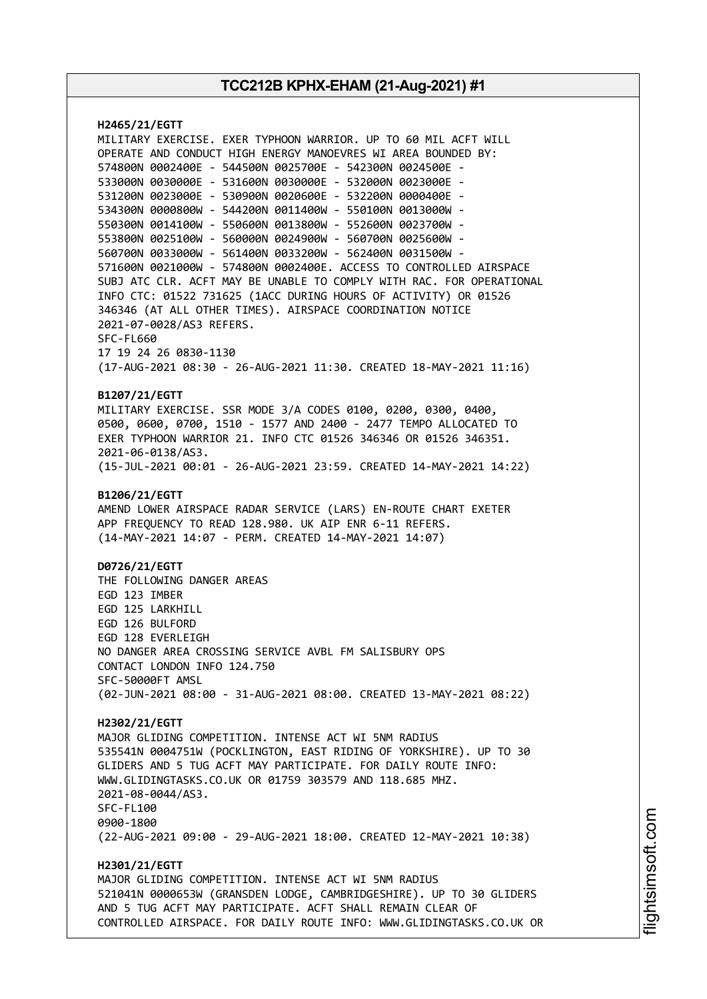**H2465/21/EGTT** MILITARY EXERCISE. EXER TYPHOON WARRIOR. UP TO 60 MIL ACFT WILL OPERATE AND CONDUCT HIGH ENERGY MANOEVRES WI AREA BOUNDED BY: 574800N 0002400E - 544500N 0025700E - 542300N 0024500E - 533000N 0030000E - 531600N 0030000E - 532000N 0023000E - 531200N 0023000E - 530900N 0020600E - 532200N 0000400E - 534300N 0000800W - 544200N 0011400W - 550100N 0013000W - 550300N 0014100W - 550600N 0013800W - 552600N 0023700W - 553800N 0025100W - 560000N 0024900W - 560700N 0025600W - 560700N 0033000W - 561400N 0033200W - 562400N 0031500W - 571600N 0021000W - 574800N 0002400E. ACCESS TO CONTROLLED AIRSPACE SUBJ ATC CLR. ACFT MAY BE UNABLE TO COMPLY WITH RAC. FOR OPERATIONAL INFO CTC: 01522 731625 (1ACC DURING HOURS OF ACTIVITY) OR 01526 346346 (AT ALL OTHER TIMES). AIRSPACE COORDINATION NOTICE 2021-07-0028/AS3 REFERS. SFC-FL660 17 19 24 26 0830-1130 (17-AUG-2021 08:30 - 26-AUG-2021 11:30. CREATED 18-MAY-2021 11:16) **B1207/21/EGTT** MILITARY EXERCISE. SSR MODE 3/A CODES 0100, 0200, 0300, 0400, 0500, 0600, 0700, 1510 - 1577 AND 2400 - 2477 TEMPO ALLOCATED TO EXER TYPHOON WARRIOR 21. INFO CTC 01526 346346 OR 01526 346351. 2021-06-0138/AS3. (15-JUL-2021 00:01 - 26-AUG-2021 23:59. CREATED 14-MAY-2021 14:22) **B1206/21/EGTT** AMEND LOWER AIRSPACE RADAR SERVICE (LARS) EN-ROUTE CHART EXETER APP FREQUENCY TO READ 128.980. UK AIP ENR 6-11 REFERS. (14-MAY-2021 14:07 - PERM. CREATED 14-MAY-2021 14:07) **D0726/21/EGTT** THE FOLLOWING DANGER AREAS EGD 123 IMBER EGD 125 LARKHILL EGD 126 BULFORD EGD 128 EVERLEIGH NO DANGER AREA CROSSING SERVICE AVBL FM SALISBURY OPS CONTACT LONDON INFO 124.750 SFC-50000FT AMSL (02-JUN-2021 08:00 - 31-AUG-2021 08:00. CREATED 13-MAY-2021 08:22) **H2302/21/EGTT** MAJOR GLIDING COMPETITION. INTENSE ACT WI 5NM RADIUS 535541N 0004751W (POCKLINGTON, EAST RIDING OF YORKSHIRE). UP TO 30 GLIDERS AND 5 TUG ACFT MAY PARTICIPATE. FOR DAILY ROUTE INFO: WWW.GLIDINGTASKS.CO.UK OR 01759 303579 AND 118.685 MHZ. 2021-08-0044/AS3. SFC-FL100 0900-1800 (22-AUG-2021 09:00 - 29-AUG-2021 18:00. CREATED 12-MAY-2021 10:38) **H2301/21/EGTT** MAJOR GLIDING COMPETITION. INTENSE ACT WI 5NM RADIUS 521041N 0000653W (GRANSDEN LODGE, CAMBRIDGESHIRE). UP TO 30 GLIDERS AND 5 TUG ACFT MAY PARTICIPATE. ACFT SHALL REMAIN CLEAR OF CONTROLLED AIRSPACE. FOR DAILY ROUTE INFO: WWW.GLIDINGTASKS.CO.UK OR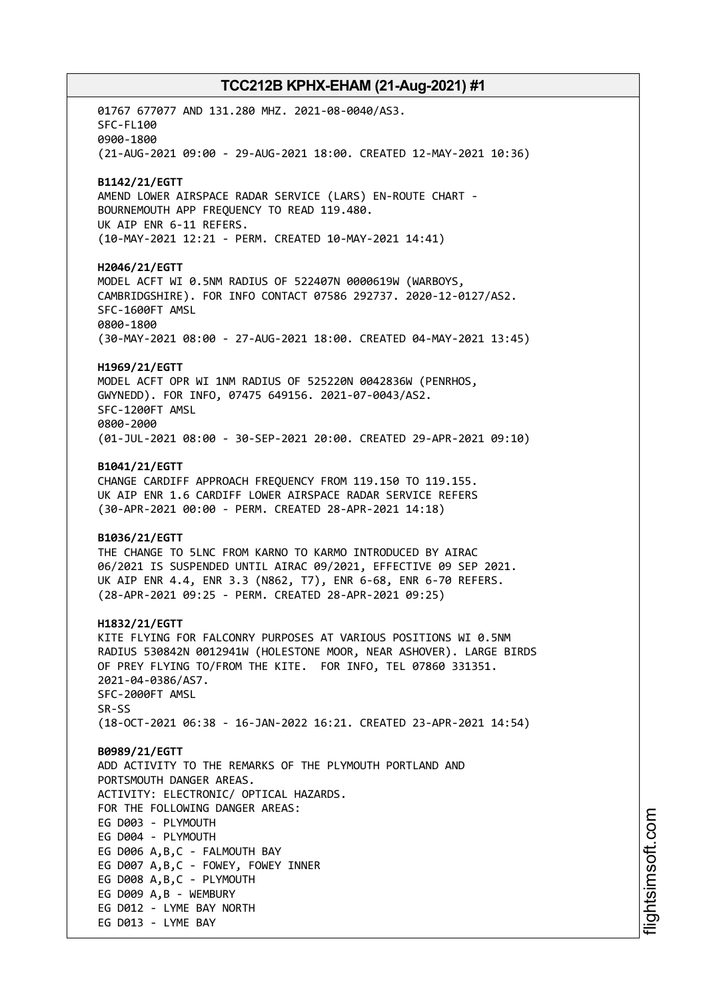01767 677077 AND 131.280 MHZ. 2021-08-0040/AS3. SFC-FL100 0900-1800 (21-AUG-2021 09:00 - 29-AUG-2021 18:00. CREATED 12-MAY-2021 10:36) **B1142/21/EGTT** AMEND LOWER AIRSPACE RADAR SERVICE (LARS) EN-ROUTE CHART - BOURNEMOUTH APP FREQUENCY TO READ 119.480. UK AIP ENR 6-11 REFERS. (10-MAY-2021 12:21 - PERM. CREATED 10-MAY-2021 14:41) **H2046/21/EGTT** MODEL ACFT WI 0.5NM RADIUS OF 522407N 0000619W (WARBOYS, CAMBRIDGSHIRE). FOR INFO CONTACT 07586 292737. 2020-12-0127/AS2. SFC-1600FT AMSL 0800-1800 (30-MAY-2021 08:00 - 27-AUG-2021 18:00. CREATED 04-MAY-2021 13:45) **H1969/21/EGTT** MODEL ACFT OPR WI 1NM RADIUS OF 525220N 0042836W (PENRHOS, GWYNEDD). FOR INFO, 07475 649156. 2021-07-0043/AS2. SFC-1200FT AMSL 0800-2000 (01-JUL-2021 08:00 - 30-SEP-2021 20:00. CREATED 29-APR-2021 09:10) **B1041/21/EGTT** CHANGE CARDIFF APPROACH FREQUENCY FROM 119.150 TO 119.155. UK AIP ENR 1.6 CARDIFF LOWER AIRSPACE RADAR SERVICE REFERS (30-APR-2021 00:00 - PERM. CREATED 28-APR-2021 14:18) **B1036/21/EGTT** THE CHANGE TO 5LNC FROM KARNO TO KARMO INTRODUCED BY AIRAC 06/2021 IS SUSPENDED UNTIL AIRAC 09/2021, EFFECTIVE 09 SEP 2021. UK AIP ENR 4.4, ENR 3.3 (N862, T7), ENR 6-68, ENR 6-70 REFERS. (28-APR-2021 09:25 - PERM. CREATED 28-APR-2021 09:25) **H1832/21/EGTT** KITE FLYING FOR FALCONRY PURPOSES AT VARIOUS POSITIONS WI 0.5NM RADIUS 530842N 0012941W (HOLESTONE MOOR, NEAR ASHOVER). LARGE BIRDS OF PREY FLYING TO/FROM THE KITE. FOR INFO, TEL 07860 331351. 2021-04-0386/AS7. SFC-2000FT AMSL SR-SS (18-OCT-2021 06:38 - 16-JAN-2022 16:21. CREATED 23-APR-2021 14:54) **B0989/21/EGTT** ADD ACTIVITY TO THE REMARKS OF THE PLYMOUTH PORTLAND AND PORTSMOUTH DANGER AREAS. ACTIVITY: ELECTRONIC/ OPTICAL HAZARDS. FOR THE FOLLOWING DANGER AREAS: EG D003 - PLYMOUTH EG D004 - PLYMOUTH EG D006 A,B,C - FALMOUTH BAY EG D007 A,B,C - FOWEY, FOWEY INNER EG D008 A,B,C - PLYMOUTH EG D009 A,B - WEMBURY EG D012 - LYME BAY NORTH EG D013 - LYME BAY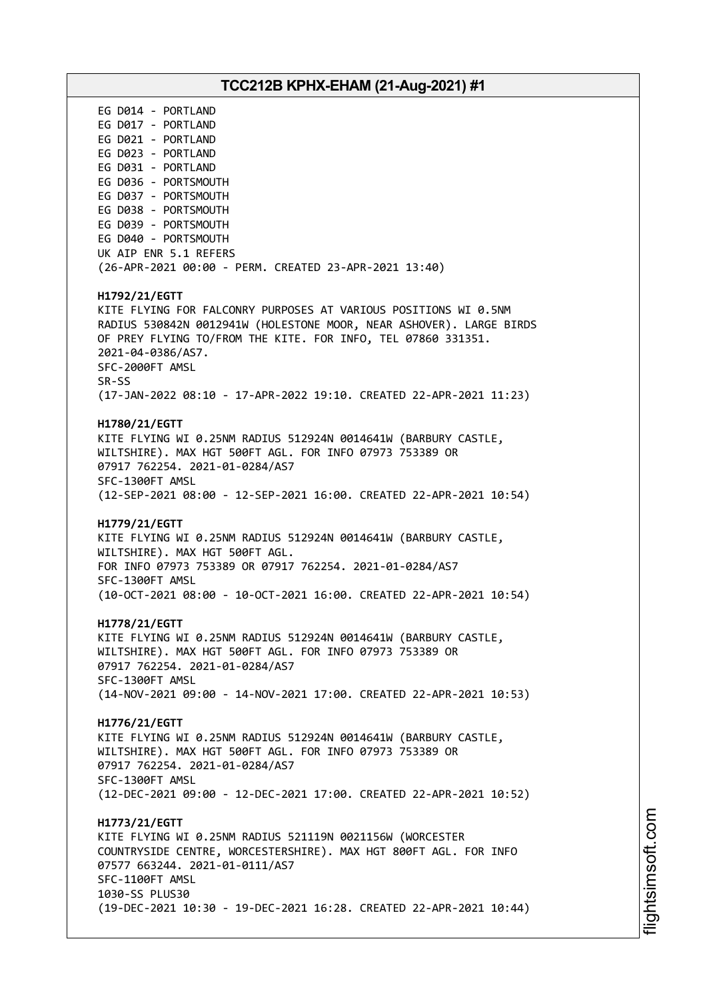# **TCC212B KPHX-EHAM (21-Aug-2021) #1** EG D014 - PORTLAND EG D017 - PORTLAND EG D021 - PORTLAND EG D023 - PORTLAND EG D031 - PORTLAND EG D036 - PORTSMOUTH EG D037 - PORTSMOUTH EG D038 - PORTSMOUTH EG D039 - PORTSMOUTH EG D040 - PORTSMOUTH UK AIP ENR 5.1 REFERS (26-APR-2021 00:00 - PERM. CREATED 23-APR-2021 13:40) **H1792/21/EGTT** KITE FLYING FOR FALCONRY PURPOSES AT VARIOUS POSITIONS WI 0.5NM RADIUS 530842N 0012941W (HOLESTONE MOOR, NEAR ASHOVER). LARGE BIRDS OF PREY FLYING TO/FROM THE KITE. FOR INFO, TEL 07860 331351. 2021-04-0386/AS7. SFC-2000FT AMSL SR-SS (17-JAN-2022 08:10 - 17-APR-2022 19:10. CREATED 22-APR-2021 11:23) **H1780/21/EGTT** KITE FLYING WI 0.25NM RADIUS 512924N 0014641W (BARBURY CASTLE, WILTSHIRE). MAX HGT 500FT AGL. FOR INFO 07973 753389 OR 07917 762254. 2021-01-0284/AS7 SFC-1300FT AMSL (12-SEP-2021 08:00 - 12-SEP-2021 16:00. CREATED 22-APR-2021 10:54) **H1779/21/EGTT** KITE FLYING WI 0.25NM RADIUS 512924N 0014641W (BARBURY CASTLE, WILTSHIRE). MAX HGT 500FT AGL. FOR INFO 07973 753389 OR 07917 762254. 2021-01-0284/AS7 SFC-1300FT AMSL (10-OCT-2021 08:00 - 10-OCT-2021 16:00. CREATED 22-APR-2021 10:54) **H1778/21/EGTT** KITE FLYING WI 0.25NM RADIUS 512924N 0014641W (BARBURY CASTLE, WILTSHIRE). MAX HGT 500FT AGL. FOR INFO 07973 753389 OR 07917 762254. 2021-01-0284/AS7 SFC-1300FT AMSL (14-NOV-2021 09:00 - 14-NOV-2021 17:00. CREATED 22-APR-2021 10:53) **H1776/21/EGTT** KITE FLYING WI 0.25NM RADIUS 512924N 0014641W (BARBURY CASTLE, WILTSHIRE). MAX HGT 500FT AGL. FOR INFO 07973 753389 OR 07917 762254. 2021-01-0284/AS7 SFC-1300FT AMSL (12-DEC-2021 09:00 - 12-DEC-2021 17:00. CREATED 22-APR-2021 10:52) **H1773/21/EGTT** KITE FLYING WI 0.25NM RADIUS 521119N 0021156W (WORCESTER COUNTRYSIDE CENTRE, WORCESTERSHIRE). MAX HGT 800FT AGL. FOR INFO 07577 663244. 2021-01-0111/AS7 SFC-1100FT AMSL 1030-SS PLUS30 (19-DEC-2021 10:30 - 19-DEC-2021 16:28. CREATED 22-APR-2021 10:44)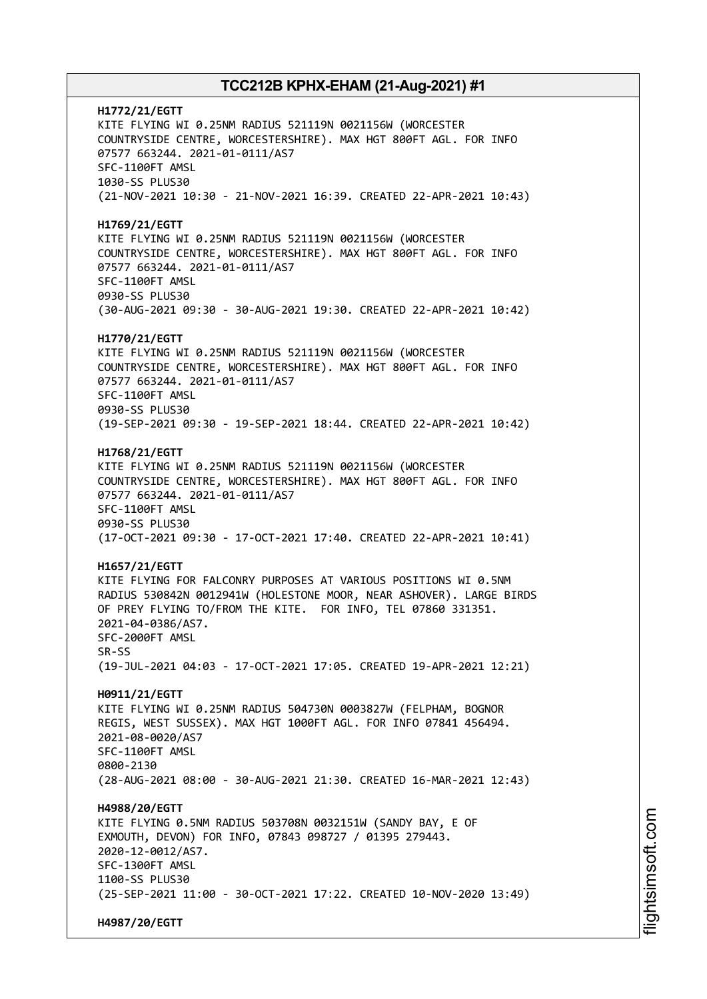**H1772/21/EGTT** KITE FLYING WI 0.25NM RADIUS 521119N 0021156W (WORCESTER COUNTRYSIDE CENTRE, WORCESTERSHIRE). MAX HGT 800FT AGL. FOR INFO 07577 663244. 2021-01-0111/AS7 SFC-1100FT AMSL 1030-SS PLUS30 (21-NOV-2021 10:30 - 21-NOV-2021 16:39. CREATED 22-APR-2021 10:43) **H1769/21/EGTT** KITE FLYING WI 0.25NM RADIUS 521119N 0021156W (WORCESTER COUNTRYSIDE CENTRE, WORCESTERSHIRE). MAX HGT 800FT AGL. FOR INFO 07577 663244. 2021-01-0111/AS7 SFC-1100FT AMSL 0930-SS PLUS30 (30-AUG-2021 09:30 - 30-AUG-2021 19:30. CREATED 22-APR-2021 10:42) **H1770/21/EGTT** KITE FLYING WI 0.25NM RADIUS 521119N 0021156W (WORCESTER COUNTRYSIDE CENTRE, WORCESTERSHIRE). MAX HGT 800FT AGL. FOR INFO 07577 663244. 2021-01-0111/AS7 SFC-1100FT AMSL 0930-SS PLUS30 (19-SEP-2021 09:30 - 19-SEP-2021 18:44. CREATED 22-APR-2021 10:42) **H1768/21/EGTT** KITE FLYING WI 0.25NM RADIUS 521119N 0021156W (WORCESTER COUNTRYSIDE CENTRE, WORCESTERSHIRE). MAX HGT 800FT AGL. FOR INFO 07577 663244. 2021-01-0111/AS7 SFC-1100FT AMSL 0930-SS PLUS30 (17-OCT-2021 09:30 - 17-OCT-2021 17:40. CREATED 22-APR-2021 10:41) **H1657/21/EGTT** KITE FLYING FOR FALCONRY PURPOSES AT VARIOUS POSITIONS WI 0.5NM RADIUS 530842N 0012941W (HOLESTONE MOOR, NEAR ASHOVER). LARGE BIRDS OF PREY FLYING TO/FROM THE KITE. FOR INFO, TEL 07860 331351. 2021-04-0386/AS7. SFC-2000FT AMSL SR-SS (19-JUL-2021 04:03 - 17-OCT-2021 17:05. CREATED 19-APR-2021 12:21) **H0911/21/EGTT** KITE FLYING WI 0.25NM RADIUS 504730N 0003827W (FELPHAM, BOGNOR REGIS, WEST SUSSEX). MAX HGT 1000FT AGL. FOR INFO 07841 456494. 2021-08-0020/AS7 SFC-1100FT AMSL 0800-2130 (28-AUG-2021 08:00 - 30-AUG-2021 21:30. CREATED 16-MAR-2021 12:43) **H4988/20/EGTT** KITE FLYING 0.5NM RADIUS 503708N 0032151W (SANDY BAY, E OF EXMOUTH, DEVON) FOR INFO, 07843 098727 / 01395 279443. 2020-12-0012/AS7. SFC-1300FT AMSL 1100-SS PLUS30 (25-SEP-2021 11:00 - 30-OCT-2021 17:22. CREATED 10-NOV-2020 13:49) **H4987/20/EGTT**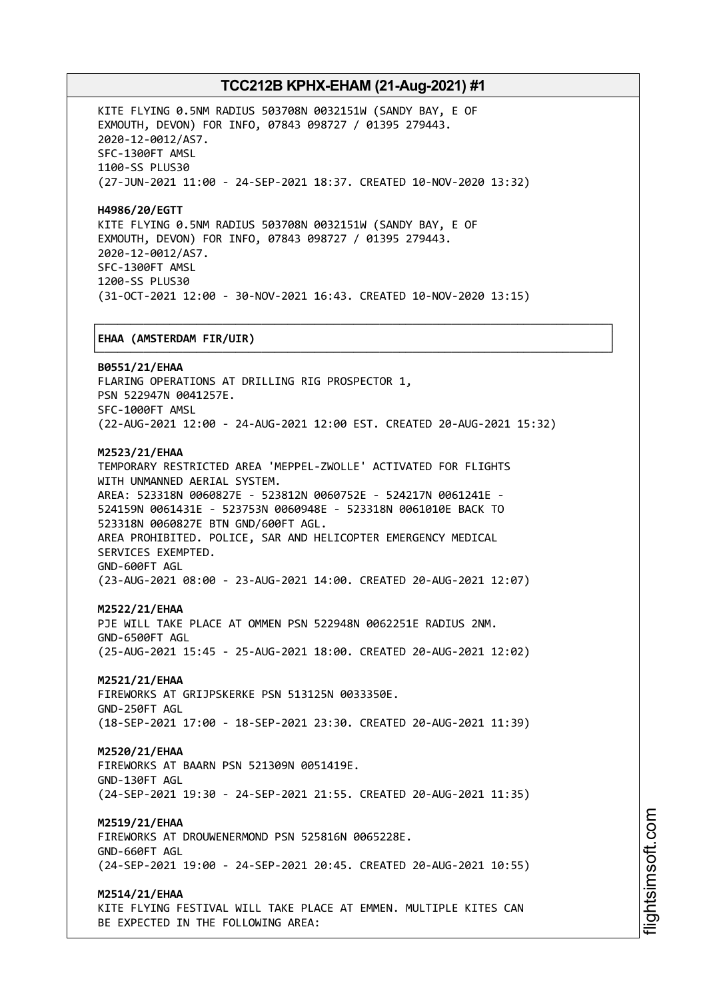┌──────────────────────────────────────────────────────────────────────────────┐

KITE FLYING 0.5NM RADIUS 503708N 0032151W (SANDY BAY, E OF EXMOUTH, DEVON) FOR INFO, 07843 098727 / 01395 279443. 2020-12-0012/AS7. SFC-1300FT AMSL 1100-SS PLUS30 (27-JUN-2021 11:00 - 24-SEP-2021 18:37. CREATED 10-NOV-2020 13:32)

**H4986/20/EGTT** KITE FLYING 0.5NM RADIUS 503708N 0032151W (SANDY BAY, E OF EXMOUTH, DEVON) FOR INFO, 07843 098727 / 01395 279443. 2020-12-0012/AS7. SFC-1300FT AMSL 1200-SS PLUS30 (31-OCT-2021 12:00 - 30-NOV-2021 16:43. CREATED 10-NOV-2020 13:15)

### │**EHAA (AMSTERDAM FIR/UIR)** │

└──────────────────────────────────────────────────────────────────────────────┘ **B0551/21/EHAA** FLARING OPERATIONS AT DRILLING RIG PROSPECTOR 1, PSN 522947N 0041257E. SFC-1000FT AMSL (22-AUG-2021 12:00 - 24-AUG-2021 12:00 EST. CREATED 20-AUG-2021 15:32) **M2523/21/EHAA** TEMPORARY RESTRICTED AREA 'MEPPEL-ZWOLLE' ACTIVATED FOR FLIGHTS WITH UNMANNED AERIAL SYSTEM. AREA: 523318N 0060827E - 523812N 0060752E - 524217N 0061241E - 524159N 0061431E - 523753N 0060948E - 523318N 0061010E BACK TO 523318N 0060827E BTN GND/600FT AGL. AREA PROHIBITED. POLICE, SAR AND HELICOPTER EMERGENCY MEDICAL SERVICES EXEMPTED. GND-600FT AGL

(23-AUG-2021 08:00 - 23-AUG-2021 14:00. CREATED 20-AUG-2021 12:07)

### **M2522/21/EHAA**

PJE WILL TAKE PLACE AT OMMEN PSN 522948N 0062251E RADIUS 2NM. GND-6500FT AGL (25-AUG-2021 15:45 - 25-AUG-2021 18:00. CREATED 20-AUG-2021 12:02)

## **M2521/21/EHAA**

FIREWORKS AT GRIJPSKERKE PSN 513125N 0033350E. GND-250FT AGL (18-SEP-2021 17:00 - 18-SEP-2021 23:30. CREATED 20-AUG-2021 11:39)

### **M2520/21/EHAA**

FIREWORKS AT BAARN PSN 521309N 0051419E. GND-130FT AGL (24-SEP-2021 19:30 - 24-SEP-2021 21:55. CREATED 20-AUG-2021 11:35)

### **M2519/21/EHAA**

FIREWORKS AT DROUWENERMOND PSN 525816N 0065228E. GND-660FT AGL (24-SEP-2021 19:00 - 24-SEP-2021 20:45. CREATED 20-AUG-2021 10:55)

### **M2514/21/EHAA**

KITE FLYING FESTIVAL WILL TAKE PLACE AT EMMEN. MULTIPLE KITES CAN BE EXPECTED IN THE FOLLOWING AREA: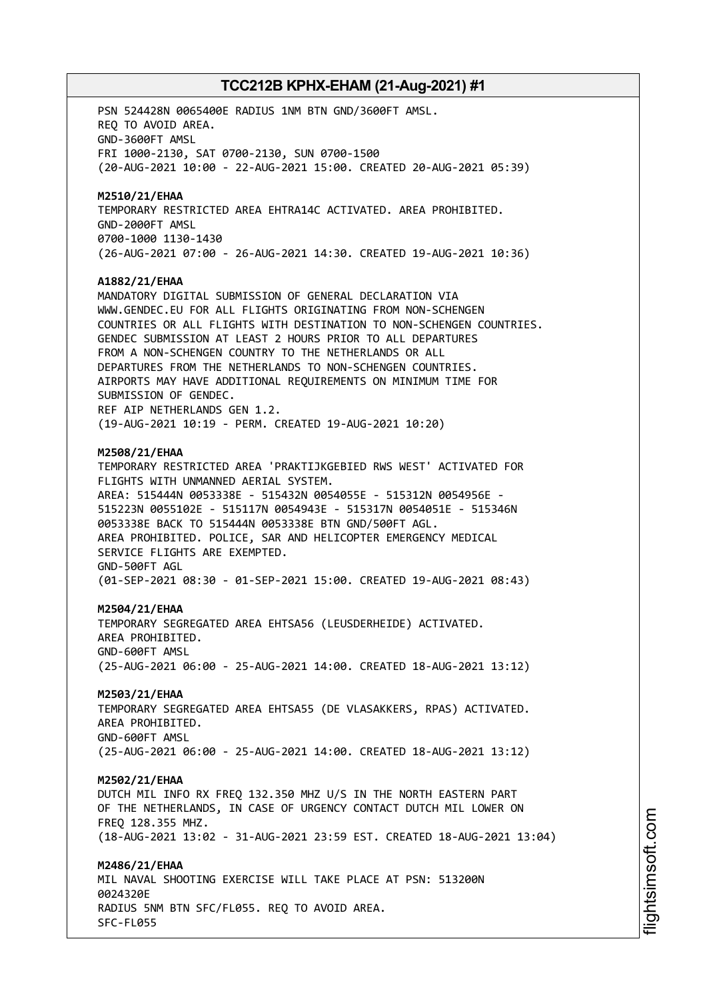PSN 524428N 0065400E RADIUS 1NM BTN GND/3600FT AMSL. REQ TO AVOID AREA. GND-3600FT AMSL FRI 1000-2130, SAT 0700-2130, SUN 0700-1500 (20-AUG-2021 10:00 - 22-AUG-2021 15:00. CREATED 20-AUG-2021 05:39) **M2510/21/EHAA** TEMPORARY RESTRICTED AREA EHTRA14C ACTIVATED. AREA PROHIBITED. GND-2000FT AMSL 0700-1000 1130-1430 (26-AUG-2021 07:00 - 26-AUG-2021 14:30. CREATED 19-AUG-2021 10:36) **A1882/21/EHAA** MANDATORY DIGITAL SUBMISSION OF GENERAL DECLARATION VIA WWW.GENDEC.EU FOR ALL FLIGHTS ORIGINATING FROM NON-SCHENGEN COUNTRIES OR ALL FLIGHTS WITH DESTINATION TO NON-SCHENGEN COUNTRIES. GENDEC SUBMISSION AT LEAST 2 HOURS PRIOR TO ALL DEPARTURES FROM A NON-SCHENGEN COUNTRY TO THE NETHERLANDS OR ALL DEPARTURES FROM THE NETHERLANDS TO NON-SCHENGEN COUNTRIES. AIRPORTS MAY HAVE ADDITIONAL REQUIREMENTS ON MINIMUM TIME FOR SUBMISSION OF GENDEC. REF AIP NETHERLANDS GEN 1.2. (19-AUG-2021 10:19 - PERM. CREATED 19-AUG-2021 10:20) **M2508/21/EHAA** TEMPORARY RESTRICTED AREA 'PRAKTIJKGEBIED RWS WEST' ACTIVATED FOR FLIGHTS WITH UNMANNED AERIAL SYSTEM. AREA: 515444N 0053338E - 515432N 0054055E - 515312N 0054956E - 515223N 0055102E - 515117N 0054943E - 515317N 0054051E - 515346N 0053338E BACK TO 515444N 0053338E BTN GND/500FT AGL. AREA PROHIBITED. POLICE, SAR AND HELICOPTER EMERGENCY MEDICAL SERVICE FLIGHTS ARE EXEMPTED. GND-500FT AGL (01-SEP-2021 08:30 - 01-SEP-2021 15:00. CREATED 19-AUG-2021 08:43) **M2504/21/EHAA** TEMPORARY SEGREGATED AREA EHTSA56 (LEUSDERHEIDE) ACTIVATED. AREA PROHIBITED. GND-600FT AMSL (25-AUG-2021 06:00 - 25-AUG-2021 14:00. CREATED 18-AUG-2021 13:12) **M2503/21/EHAA** TEMPORARY SEGREGATED AREA EHTSA55 (DE VLASAKKERS, RPAS) ACTIVATED. AREA PROHIBITED. GND-600FT AMSL (25-AUG-2021 06:00 - 25-AUG-2021 14:00. CREATED 18-AUG-2021 13:12) **M2502/21/EHAA** DUTCH MIL INFO RX FREQ 132.350 MHZ U/S IN THE NORTH EASTERN PART OF THE NETHERLANDS, IN CASE OF URGENCY CONTACT DUTCH MIL LOWER ON FREQ 128.355 MHZ. (18-AUG-2021 13:02 - 31-AUG-2021 23:59 EST. CREATED 18-AUG-2021 13:04) **M2486/21/EHAA** MIL NAVAL SHOOTING EXERCISE WILL TAKE PLACE AT PSN: 513200N 0024320E RADIUS 5NM BTN SFC/FL055. REQ TO AVOID AREA. SFC-FL055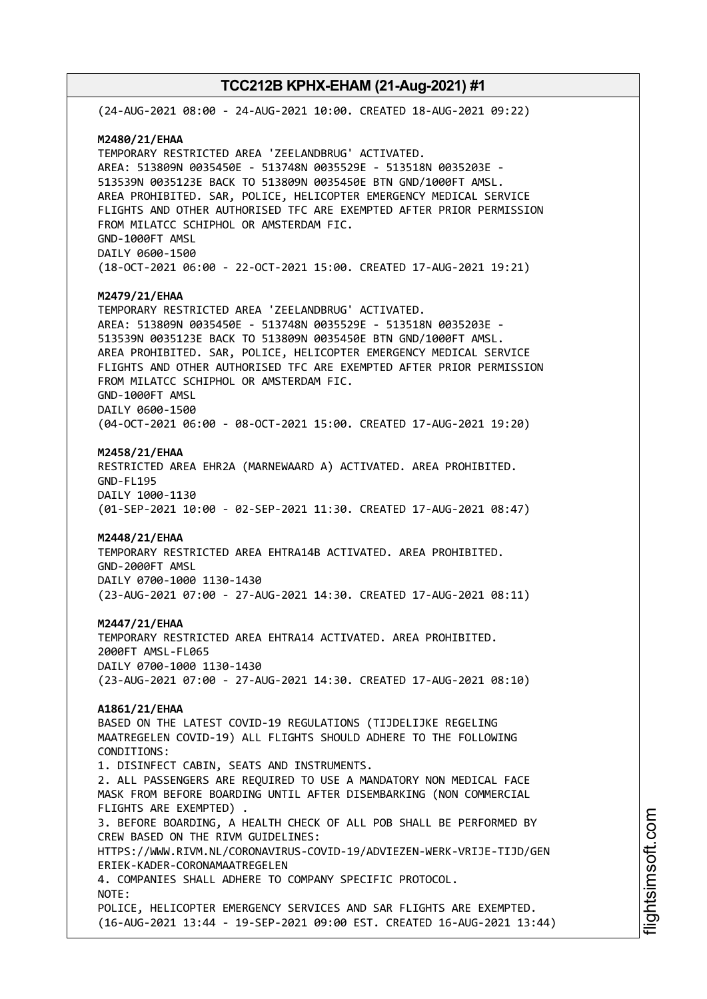(24-AUG-2021 08:00 - 24-AUG-2021 10:00. CREATED 18-AUG-2021 09:22) **M2480/21/EHAA** TEMPORARY RESTRICTED AREA 'ZEELANDBRUG' ACTIVATED. AREA: 513809N 0035450E - 513748N 0035529E - 513518N 0035203E - 513539N 0035123E BACK TO 513809N 0035450E BTN GND/1000FT AMSL. AREA PROHIBITED. SAR, POLICE, HELICOPTER EMERGENCY MEDICAL SERVICE FLIGHTS AND OTHER AUTHORISED TFC ARE EXEMPTED AFTER PRIOR PERMISSION FROM MILATCC SCHIPHOL OR AMSTERDAM FIC. GND-1000FT AMSL DAILY 0600-1500 (18-OCT-2021 06:00 - 22-OCT-2021 15:00. CREATED 17-AUG-2021 19:21) **M2479/21/EHAA** TEMPORARY RESTRICTED AREA 'ZEELANDBRUG' ACTIVATED. AREA: 513809N 0035450E - 513748N 0035529E - 513518N 0035203E - 513539N 0035123E BACK TO 513809N 0035450E BTN GND/1000FT AMSL. AREA PROHIBITED. SAR, POLICE, HELICOPTER EMERGENCY MEDICAL SERVICE FLIGHTS AND OTHER AUTHORISED TFC ARE EXEMPTED AFTER PRIOR PERMISSION FROM MILATCC SCHIPHOL OR AMSTERDAM FIC. GND-1000FT AMSL DAILY 0600-1500 (04-OCT-2021 06:00 - 08-OCT-2021 15:00. CREATED 17-AUG-2021 19:20) **M2458/21/EHAA** RESTRICTED AREA EHR2A (MARNEWAARD A) ACTIVATED. AREA PROHIBITED. GND-FL195 DAILY 1000-1130 (01-SEP-2021 10:00 - 02-SEP-2021 11:30. CREATED 17-AUG-2021 08:47) **M2448/21/EHAA** TEMPORARY RESTRICTED AREA EHTRA14B ACTIVATED. AREA PROHIBITED. GND-2000FT AMSL DAILY 0700-1000 1130-1430 (23-AUG-2021 07:00 - 27-AUG-2021 14:30. CREATED 17-AUG-2021 08:11) **M2447/21/EHAA** TEMPORARY RESTRICTED AREA EHTRA14 ACTIVATED. AREA PROHIBITED. 2000FT AMSL-FL065 DAILY 0700-1000 1130-1430 (23-AUG-2021 07:00 - 27-AUG-2021 14:30. CREATED 17-AUG-2021 08:10) **A1861/21/EHAA** BASED ON THE LATEST COVID-19 REGULATIONS (TIJDELIJKE REGELING MAATREGELEN COVID-19) ALL FLIGHTS SHOULD ADHERE TO THE FOLLOWING CONDITIONS: 1. DISINFECT CABIN, SEATS AND INSTRUMENTS. 2. ALL PASSENGERS ARE REQUIRED TO USE A MANDATORY NON MEDICAL FACE MASK FROM BEFORE BOARDING UNTIL AFTER DISEMBARKING (NON COMMERCIAL FLIGHTS ARE EXEMPTED) . 3. BEFORE BOARDING, A HEALTH CHECK OF ALL POB SHALL BE PERFORMED BY CREW BASED ON THE RIVM GUIDELINES: HTTPS://WWW.RIVM.NL/CORONAVIRUS-COVID-19/ADVIEZEN-WERK-VRIJE-TIJD/GEN ERIEK-KADER-CORONAMAATREGELEN 4. COMPANIES SHALL ADHERE TO COMPANY SPECIFIC PROTOCOL. NOTE: POLICE, HELICOPTER EMERGENCY SERVICES AND SAR FLIGHTS ARE EXEMPTED. (16-AUG-2021 13:44 - 19-SEP-2021 09:00 EST. CREATED 16-AUG-2021 13:44)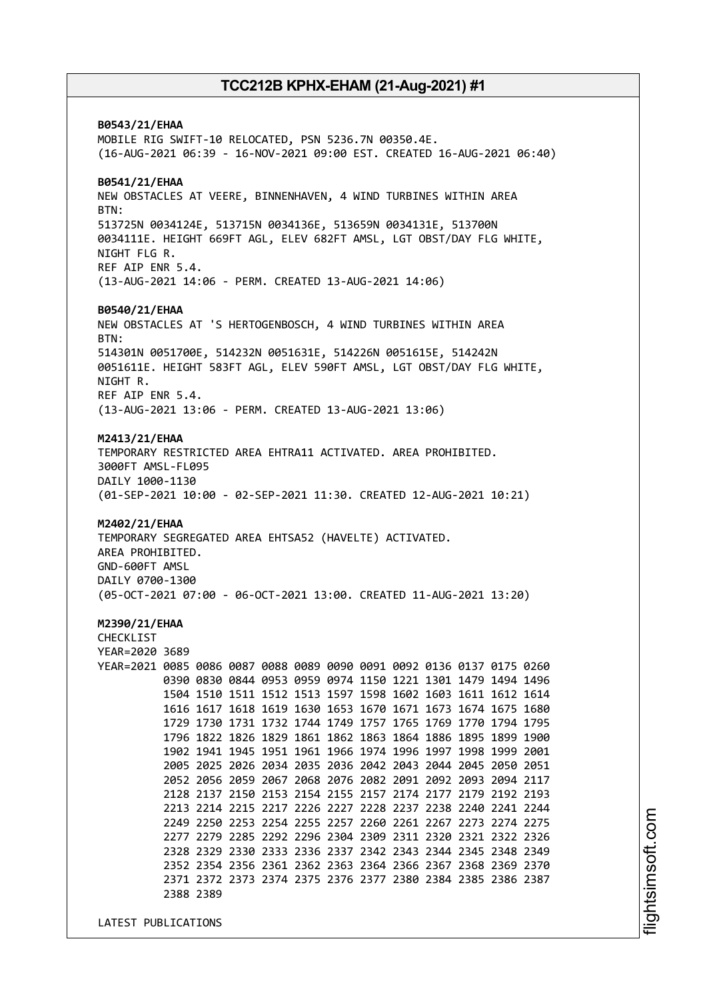**B0543/21/EHAA** MOBILE RIG SWIFT-10 RELOCATED, PSN 5236.7N 00350.4E. (16-AUG-2021 06:39 - 16-NOV-2021 09:00 EST. CREATED 16-AUG-2021 06:40) **B0541/21/EHAA** NEW OBSTACLES AT VEERE, BINNENHAVEN, 4 WIND TURBINES WITHIN AREA BTN: 513725N 0034124E, 513715N 0034136E, 513659N 0034131E, 513700N 0034111E. HEIGHT 669FT AGL, ELEV 682FT AMSL, LGT OBST/DAY FLG WHITE, NIGHT FLG R. REF AIP ENR 5.4. (13-AUG-2021 14:06 - PERM. CREATED 13-AUG-2021 14:06) **B0540/21/EHAA** NEW OBSTACLES AT 'S HERTOGENBOSCH, 4 WIND TURBINES WITHIN AREA BTN: 514301N 0051700E, 514232N 0051631E, 514226N 0051615E, 514242N 0051611E. HEIGHT 583FT AGL, ELEV 590FT AMSL, LGT OBST/DAY FLG WHITE, NIGHT R. REF AIP ENR 5.4. (13-AUG-2021 13:06 - PERM. CREATED 13-AUG-2021 13:06) **M2413/21/EHAA** TEMPORARY RESTRICTED AREA EHTRA11 ACTIVATED. AREA PROHIBITED. 3000FT AMSL-FL095 DAILY 1000-1130 (01-SEP-2021 10:00 - 02-SEP-2021 11:30. CREATED 12-AUG-2021 10:21) **M2402/21/EHAA** TEMPORARY SEGREGATED AREA EHTSA52 (HAVELTE) ACTIVATED. AREA PROHIBITED. GND-600FT AMSL DAILY 0700-1300 (05-OCT-2021 07:00 - 06-OCT-2021 13:00. CREATED 11-AUG-2021 13:20) **M2390/21/EHAA** CHECKLIST YEAR=2020 3689 YEAR=2021 0085 0086 0087 0088 0089 0090 0091 0092 0136 0137 0175 0260 0390 0830 0844 0953 0959 0974 1150 1221 1301 1479 1494 1496 1504 1510 1511 1512 1513 1597 1598 1602 1603 1611 1612 1614 1616 1617 1618 1619 1630 1653 1670 1671 1673 1674 1675 1680 1729 1730 1731 1732 1744 1749 1757 1765 1769 1770 1794 1795 1796 1822 1826 1829 1861 1862 1863 1864 1886 1895 1899 1900 1902 1941 1945 1951 1961 1966 1974 1996 1997 1998 1999 2001 2005 2025 2026 2034 2035 2036 2042 2043 2044 2045 2050 2051 2052 2056 2059 2067 2068 2076 2082 2091 2092 2093 2094 2117 2128 2137 2150 2153 2154 2155 2157 2174 2177 2179 2192 2193 2213 2214 2215 2217 2226 2227 2228 2237 2238 2240 2241 2244 2249 2250 2253 2254 2255 2257 2260 2261 2267 2273 2274 2275 2277 2279 2285 2292 2296 2304 2309 2311 2320 2321 2322 2326 2328 2329 2330 2333 2336 2337 2342 2343 2344 2345 2348 2349 2352 2354 2356 2361 2362 2363 2364 2366 2367 2368 2369 2370 2371 2372 2373 2374 2375 2376 2377 2380 2384 2385 2386 2387 2388 2389

LATEST PUBLICATIONS

i⊒<br>⊫ htsim soft.c om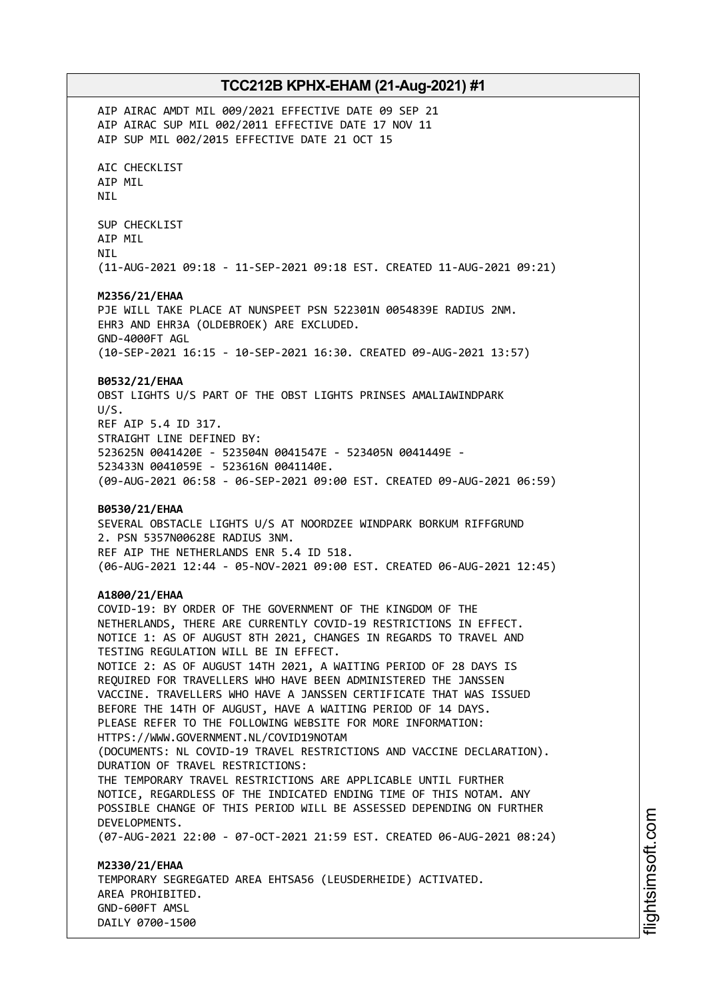AIP AIRAC AMDT MIL 009/2021 EFFECTIVE DATE 09 SEP 21 AIP AIRAC SUP MIL 002/2011 EFFECTIVE DATE 17 NOV 11 AIP SUP MIL 002/2015 EFFECTIVE DATE 21 OCT 15 AIC CHECKLIST AIP MIL NIL SUP CHECKLIST AIP MIL NIL (11-AUG-2021 09:18 - 11-SEP-2021 09:18 EST. CREATED 11-AUG-2021 09:21) **M2356/21/EHAA** PJE WILL TAKE PLACE AT NUNSPEET PSN 522301N 0054839E RADIUS 2NM. EHR3 AND EHR3A (OLDEBROEK) ARE EXCLUDED. GND-4000FT AGL (10-SEP-2021 16:15 - 10-SEP-2021 16:30. CREATED 09-AUG-2021 13:57) **B0532/21/EHAA** OBST LIGHTS U/S PART OF THE OBST LIGHTS PRINSES AMALIAWINDPARK U/S. REF AIP 5.4 ID 317. STRAIGHT LINE DEFINED BY: 523625N 0041420E - 523504N 0041547E - 523405N 0041449E - 523433N 0041059E - 523616N 0041140E. (09-AUG-2021 06:58 - 06-SEP-2021 09:00 EST. CREATED 09-AUG-2021 06:59) **B0530/21/EHAA** SEVERAL OBSTACLE LIGHTS U/S AT NOORDZEE WINDPARK BORKUM RIFFGRUND 2. PSN 5357N00628E RADIUS 3NM. REF AIP THE NETHERLANDS ENR 5.4 ID 518. (06-AUG-2021 12:44 - 05-NOV-2021 09:00 EST. CREATED 06-AUG-2021 12:45) **A1800/21/EHAA** COVID-19: BY ORDER OF THE GOVERNMENT OF THE KINGDOM OF THE NETHERLANDS, THERE ARE CURRENTLY COVID-19 RESTRICTIONS IN EFFECT. NOTICE 1: AS OF AUGUST 8TH 2021, CHANGES IN REGARDS TO TRAVEL AND TESTING REGULATION WILL BE IN EFFECT. NOTICE 2: AS OF AUGUST 14TH 2021, A WAITING PERIOD OF 28 DAYS IS REQUIRED FOR TRAVELLERS WHO HAVE BEEN ADMINISTERED THE JANSSEN VACCINE. TRAVELLERS WHO HAVE A JANSSEN CERTIFICATE THAT WAS ISSUED BEFORE THE 14TH OF AUGUST, HAVE A WAITING PERIOD OF 14 DAYS. PLEASE REFER TO THE FOLLOWING WEBSITE FOR MORE INFORMATION: HTTPS://WWW.GOVERNMENT.NL/COVID19NOTAM (DOCUMENTS: NL COVID-19 TRAVEL RESTRICTIONS AND VACCINE DECLARATION). DURATION OF TRAVEL RESTRICTIONS: THE TEMPORARY TRAVEL RESTRICTIONS ARE APPLICABLE UNTIL FURTHER NOTICE, REGARDLESS OF THE INDICATED ENDING TIME OF THIS NOTAM. ANY POSSIBLE CHANGE OF THIS PERIOD WILL BE ASSESSED DEPENDING ON FURTHER DEVELOPMENTS. (07-AUG-2021 22:00 - 07-OCT-2021 21:59 EST. CREATED 06-AUG-2021 08:24) **M2330/21/EHAA** TEMPORARY SEGREGATED AREA EHTSA56 (LEUSDERHEIDE) ACTIVATED. AREA PROHIBITED. GND-600FT AMSL

DAILY 0700-1500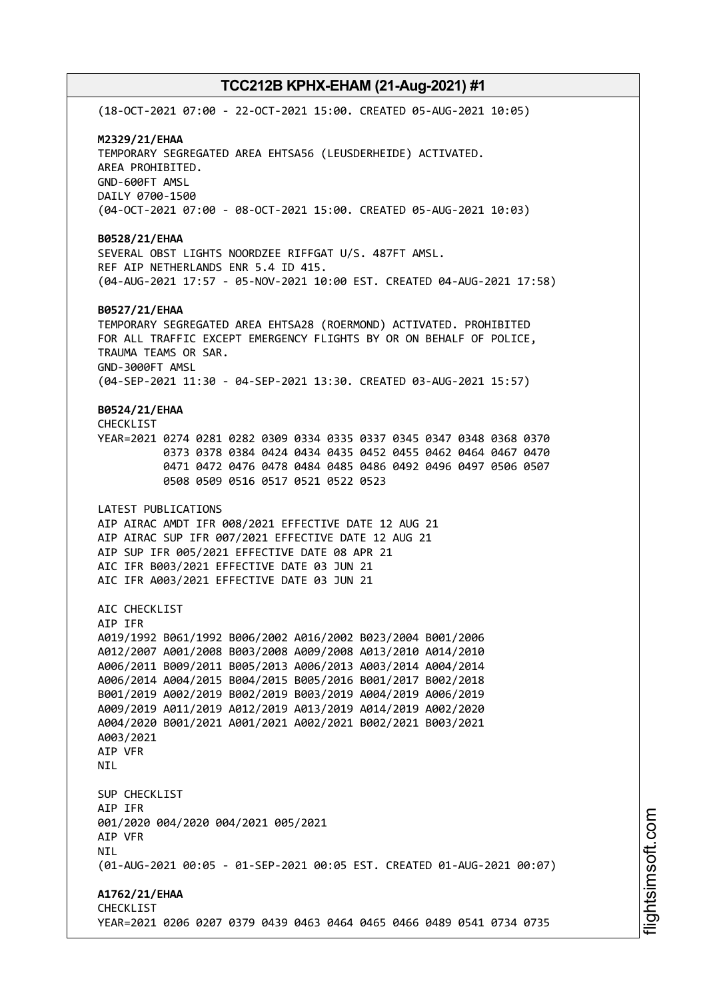(18-OCT-2021 07:00 - 22-OCT-2021 15:00. CREATED 05-AUG-2021 10:05) **M2329/21/EHAA** TEMPORARY SEGREGATED AREA EHTSA56 (LEUSDERHEIDE) ACTIVATED. AREA PROHIBITED. GND-600FT AMSL DAILY 0700-1500 (04-OCT-2021 07:00 - 08-OCT-2021 15:00. CREATED 05-AUG-2021 10:03) **B0528/21/EHAA** SEVERAL OBST LIGHTS NOORDZEE RIFFGAT U/S. 487FT AMSL. REF AIP NETHERLANDS ENR 5.4 ID 415. (04-AUG-2021 17:57 - 05-NOV-2021 10:00 EST. CREATED 04-AUG-2021 17:58) **B0527/21/EHAA** TEMPORARY SEGREGATED AREA EHTSA28 (ROERMOND) ACTIVATED. PROHIBITED FOR ALL TRAFFIC EXCEPT EMERGENCY FLIGHTS BY OR ON BEHALF OF POLICE, TRAUMA TEAMS OR SAR. GND-3000FT AMSL (04-SEP-2021 11:30 - 04-SEP-2021 13:30. CREATED 03-AUG-2021 15:57) **B0524/21/EHAA** CHECKLIST YEAR=2021 0274 0281 0282 0309 0334 0335 0337 0345 0347 0348 0368 0370 0373 0378 0384 0424 0434 0435 0452 0455 0462 0464 0467 0470 0471 0472 0476 0478 0484 0485 0486 0492 0496 0497 0506 0507 0508 0509 0516 0517 0521 0522 0523 LATEST PUBLICATIONS AIP AIRAC AMDT IFR 008/2021 EFFECTIVE DATE 12 AUG 21 AIP AIRAC SUP IFR 007/2021 EFFECTIVE DATE 12 AUG 21 AIP SUP IFR 005/2021 EFFECTIVE DATE 08 APR 21 AIC IFR B003/2021 EFFECTIVE DATE 03 JUN 21 AIC IFR A003/2021 EFFECTIVE DATE 03 JUN 21 ATC CHECKLIST AIP IFR A019/1992 B061/1992 B006/2002 A016/2002 B023/2004 B001/2006 A012/2007 A001/2008 B003/2008 A009/2008 A013/2010 A014/2010 A006/2011 B009/2011 B005/2013 A006/2013 A003/2014 A004/2014 A006/2014 A004/2015 B004/2015 B005/2016 B001/2017 B002/2018 B001/2019 A002/2019 B002/2019 B003/2019 A004/2019 A006/2019 A009/2019 A011/2019 A012/2019 A013/2019 A014/2019 A002/2020 A004/2020 B001/2021 A001/2021 A002/2021 B002/2021 B003/2021 A003/2021 AIP VFR **NTI** SUP CHECKLIST AIP IFR 001/2020 004/2020 004/2021 005/2021 AIP VFR NIL (01-AUG-2021 00:05 - 01-SEP-2021 00:05 EST. CREATED 01-AUG-2021 00:07) **A1762/21/EHAA** CHECKLIST YEAR=2021 0206 0207 0379 0439 0463 0464 0465 0466 0489 0541 0734 0735

i⊒<br>⊫ htsim soft.c om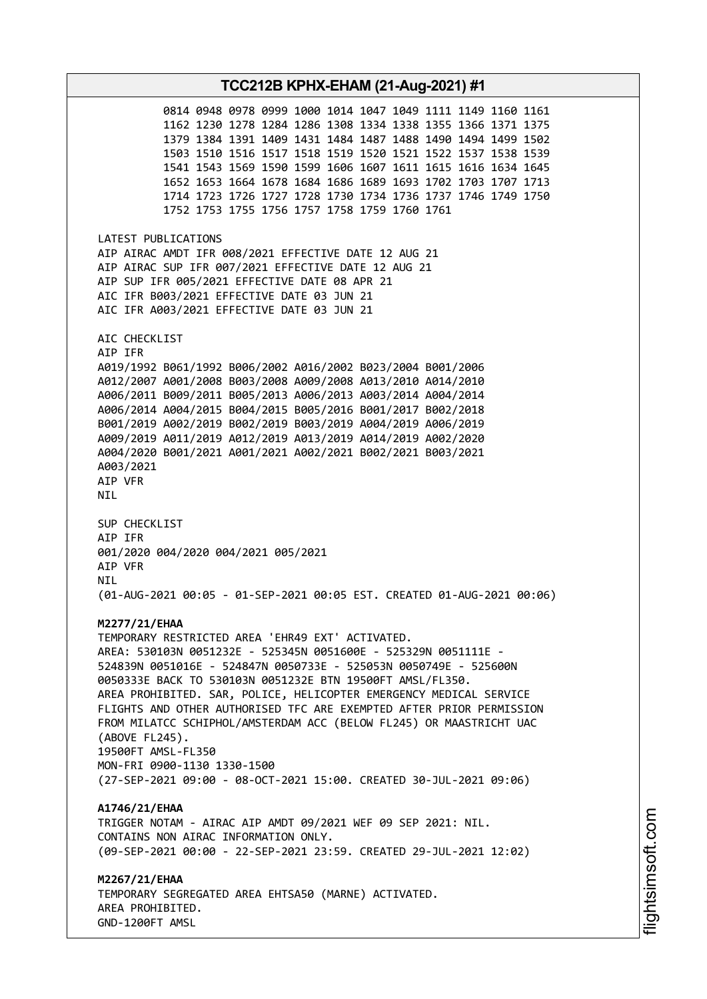**TCC212B KPHX-EHAM (21-Aug-2021) #1** 0814 0948 0978 0999 1000 1014 1047 1049 1111 1149 1160 1161 1162 1230 1278 1284 1286 1308 1334 1338 1355 1366 1371 1375 1379 1384 1391 1409 1431 1484 1487 1488 1490 1494 1499 1502 1503 1510 1516 1517 1518 1519 1520 1521 1522 1537 1538 1539 1541 1543 1569 1590 1599 1606 1607 1611 1615 1616 1634 1645 1652 1653 1664 1678 1684 1686 1689 1693 1702 1703 1707 1713 1714 1723 1726 1727 1728 1730 1734 1736 1737 1746 1749 1750 1752 1753 1755 1756 1757 1758 1759 1760 1761 LATEST PUBLICATIONS AIP AIRAC AMDT IFR 008/2021 EFFECTIVE DATE 12 AUG 21 AIP AIRAC SUP IFR 007/2021 EFFECTIVE DATE 12 AUG 21 AIP SUP IFR 005/2021 EFFECTIVE DATE 08 APR 21 AIC IFR B003/2021 EFFECTIVE DATE 03 JUN 21 AIC IFR A003/2021 EFFECTIVE DATE 03 JUN 21 AIC CHECKLIST AIP IFR A019/1992 B061/1992 B006/2002 A016/2002 B023/2004 B001/2006 A012/2007 A001/2008 B003/2008 A009/2008 A013/2010 A014/2010 A006/2011 B009/2011 B005/2013 A006/2013 A003/2014 A004/2014 A006/2014 A004/2015 B004/2015 B005/2016 B001/2017 B002/2018 B001/2019 A002/2019 B002/2019 B003/2019 A004/2019 A006/2019 A009/2019 A011/2019 A012/2019 A013/2019 A014/2019 A002/2020 A004/2020 B001/2021 A001/2021 A002/2021 B002/2021 B003/2021 A003/2021 AIP VFR NIL SUP CHECKLIST AIP IFR 001/2020 004/2020 004/2021 005/2021 AIP VFR **NTI** (01-AUG-2021 00:05 - 01-SEP-2021 00:05 EST. CREATED 01-AUG-2021 00:06) **M2277/21/EHAA** TEMPORARY RESTRICTED AREA 'EHR49 EXT' ACTIVATED. AREA: 530103N 0051232E - 525345N 0051600E - 525329N 0051111E - 524839N 0051016E - 524847N 0050733E - 525053N 0050749E - 525600N 0050333E BACK TO 530103N 0051232E BTN 19500FT AMSL/FL350. AREA PROHIBITED. SAR, POLICE, HELICOPTER EMERGENCY MEDICAL SERVICE FLIGHTS AND OTHER AUTHORISED TFC ARE EXEMPTED AFTER PRIOR PERMISSION FROM MILATCC SCHIPHOL/AMSTERDAM ACC (BELOW FL245) OR MAASTRICHT UAC (ABOVE FL245). 19500FT AMSL-FL350 MON-FRI 0900-1130 1330-1500 (27-SEP-2021 09:00 - 08-OCT-2021 15:00. CREATED 30-JUL-2021 09:06) **A1746/21/EHAA** TRIGGER NOTAM - AIRAC AIP AMDT 09/2021 WEF 09 SEP 2021: NIL. CONTAINS NON AIRAC INFORMATION ONLY. (09-SEP-2021 00:00 - 22-SEP-2021 23:59. CREATED 29-JUL-2021 12:02) **M2267/21/EHAA** TEMPORARY SEGREGATED AREA EHTSA50 (MARNE) ACTIVATED. AREA PROHIBITED. GND-1200FT AMSL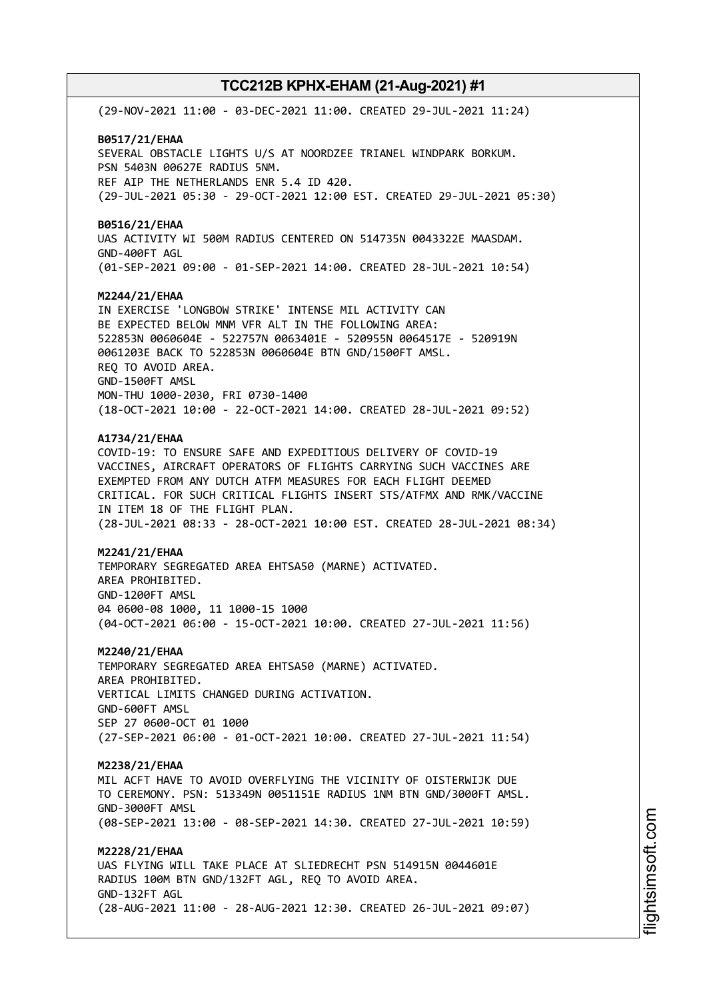(29-NOV-2021 11:00 - 03-DEC-2021 11:00. CREATED 29-JUL-2021 11:24) **B0517/21/EHAA** SEVERAL OBSTACLE LIGHTS U/S AT NOORDZEE TRIANEL WINDPARK BORKUM. PSN 5403N 00627E RADIUS 5NM. REF AIP THE NETHERLANDS ENR 5.4 ID 420. (29-JUL-2021 05:30 - 29-OCT-2021 12:00 EST. CREATED 29-JUL-2021 05:30) **B0516/21/EHAA** UAS ACTIVITY WI 500M RADIUS CENTERED ON 514735N 0043322E MAASDAM. GND-400FT AGL (01-SEP-2021 09:00 - 01-SEP-2021 14:00. CREATED 28-JUL-2021 10:54) **M2244/21/EHAA** IN EXERCISE 'LONGBOW STRIKE' INTENSE MIL ACTIVITY CAN BE EXPECTED BELOW MNM VFR ALT IN THE FOLLOWING AREA: 522853N 0060604E - 522757N 0063401E - 520955N 0064517E - 520919N 0061203E BACK TO 522853N 0060604E BTN GND/1500FT AMSL. REQ TO AVOID AREA. GND-1500FT AMSL MON-THU 1000-2030, FRI 0730-1400 (18-OCT-2021 10:00 - 22-OCT-2021 14:00. CREATED 28-JUL-2021 09:52) **A1734/21/EHAA** COVID-19: TO ENSURE SAFE AND EXPEDITIOUS DELIVERY OF COVID-19 VACCINES, AIRCRAFT OPERATORS OF FLIGHTS CARRYING SUCH VACCINES ARE EXEMPTED FROM ANY DUTCH ATFM MEASURES FOR EACH FLIGHT DEEMED CRITICAL. FOR SUCH CRITICAL FLIGHTS INSERT STS/ATFMX AND RMK/VACCINE IN ITEM 18 OF THE FLIGHT PLAN. (28-JUL-2021 08:33 - 28-OCT-2021 10:00 EST. CREATED 28-JUL-2021 08:34) **M2241/21/EHAA** TEMPORARY SEGREGATED AREA EHTSA50 (MARNE) ACTIVATED. AREA PROHIBITED. GND-1200FT AMSL 04 0600-08 1000, 11 1000-15 1000 (04-OCT-2021 06:00 - 15-OCT-2021 10:00. CREATED 27-JUL-2021 11:56) **M2240/21/EHAA** TEMPORARY SEGREGATED AREA EHTSA50 (MARNE) ACTIVATED. AREA PROHIBITED. VERTICAL LIMITS CHANGED DURING ACTIVATION. GND-600FT AMSL SEP 27 0600-OCT 01 1000 (27-SEP-2021 06:00 - 01-OCT-2021 10:00. CREATED 27-JUL-2021 11:54) **M2238/21/EHAA** MIL ACFT HAVE TO AVOID OVERFLYING THE VICINITY OF OISTERWIJK DUE TO CEREMONY. PSN: 513349N 0051151E RADIUS 1NM BTN GND/3000FT AMSL. GND-3000FT AMSL (08-SEP-2021 13:00 - 08-SEP-2021 14:30. CREATED 27-JUL-2021 10:59) **M2228/21/EHAA** UAS FLYING WILL TAKE PLACE AT SLIEDRECHT PSN 514915N 0044601E RADIUS 100M BTN GND/132FT AGL, REQ TO AVOID AREA. GND-132FT AGL (28-AUG-2021 11:00 - 28-AUG-2021 12:30. CREATED 26-JUL-2021 09:07)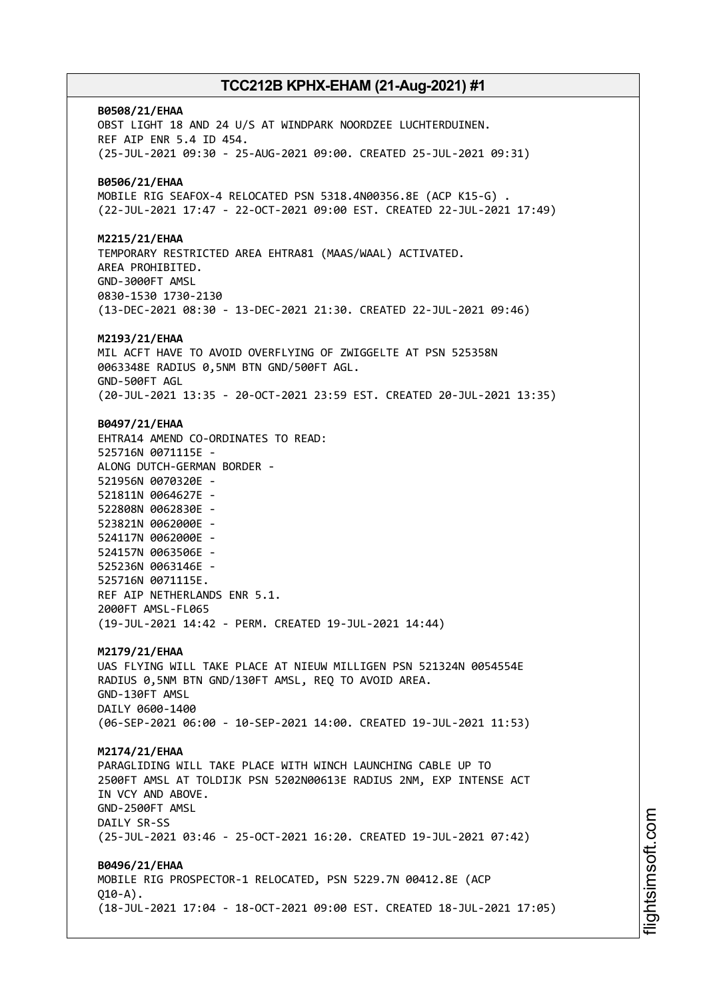**B0508/21/EHAA** OBST LIGHT 18 AND 24 U/S AT WINDPARK NOORDZEE LUCHTERDUINEN. REF AIP ENR 5.4 ID 454. (25-JUL-2021 09:30 - 25-AUG-2021 09:00. CREATED 25-JUL-2021 09:31) **B0506/21/EHAA** MOBILE RIG SEAFOX-4 RELOCATED PSN 5318.4N00356.8E (ACP K15-G) . (22-JUL-2021 17:47 - 22-OCT-2021 09:00 EST. CREATED 22-JUL-2021 17:49) **M2215/21/EHAA** TEMPORARY RESTRICTED AREA EHTRA81 (MAAS/WAAL) ACTIVATED. AREA PROHIBITED. GND-3000FT AMSL 0830-1530 1730-2130 (13-DEC-2021 08:30 - 13-DEC-2021 21:30. CREATED 22-JUL-2021 09:46) **M2193/21/EHAA** MIL ACFT HAVE TO AVOID OVERFLYING OF ZWIGGELTE AT PSN 525358N 0063348E RADIUS 0,5NM BTN GND/500FT AGL. GND-500FT AGL (20-JUL-2021 13:35 - 20-OCT-2021 23:59 EST. CREATED 20-JUL-2021 13:35) **B0497/21/EHAA** EHTRA14 AMEND CO-ORDINATES TO READ: 525716N 0071115E - ALONG DUTCH-GERMAN BORDER - 521956N 0070320E - 521811N 0064627E - 522808N 0062830E - 523821N 0062000E - 524117N 0062000E - 524157N 0063506E - 525236N 0063146E - 525716N 0071115E. REF AIP NETHERLANDS ENR 5.1. 2000FT AMSL-FL065 (19-JUL-2021 14:42 - PERM. CREATED 19-JUL-2021 14:44) **M2179/21/EHAA** UAS FLYING WILL TAKE PLACE AT NIEUW MILLIGEN PSN 521324N 0054554E RADIUS 0,5NM BTN GND/130FT AMSL, REQ TO AVOID AREA. GND-130FT AMSL DAILY 0600-1400 (06-SEP-2021 06:00 - 10-SEP-2021 14:00. CREATED 19-JUL-2021 11:53) **M2174/21/EHAA** PARAGLIDING WILL TAKE PLACE WITH WINCH LAUNCHING CABLE UP TO 2500FT AMSL AT TOLDIJK PSN 5202N00613E RADIUS 2NM, EXP INTENSE ACT IN VCY AND ABOVE. GND-2500FT AMSL DAILY SR-SS (25-JUL-2021 03:46 - 25-OCT-2021 16:20. CREATED 19-JUL-2021 07:42) **B0496/21/EHAA** MOBILE RIG PROSPECTOR-1 RELOCATED, PSN 5229.7N 00412.8E (ACP  $010 - A$ ). (18-JUL-2021 17:04 - 18-OCT-2021 09:00 EST. CREATED 18-JUL-2021 17:05)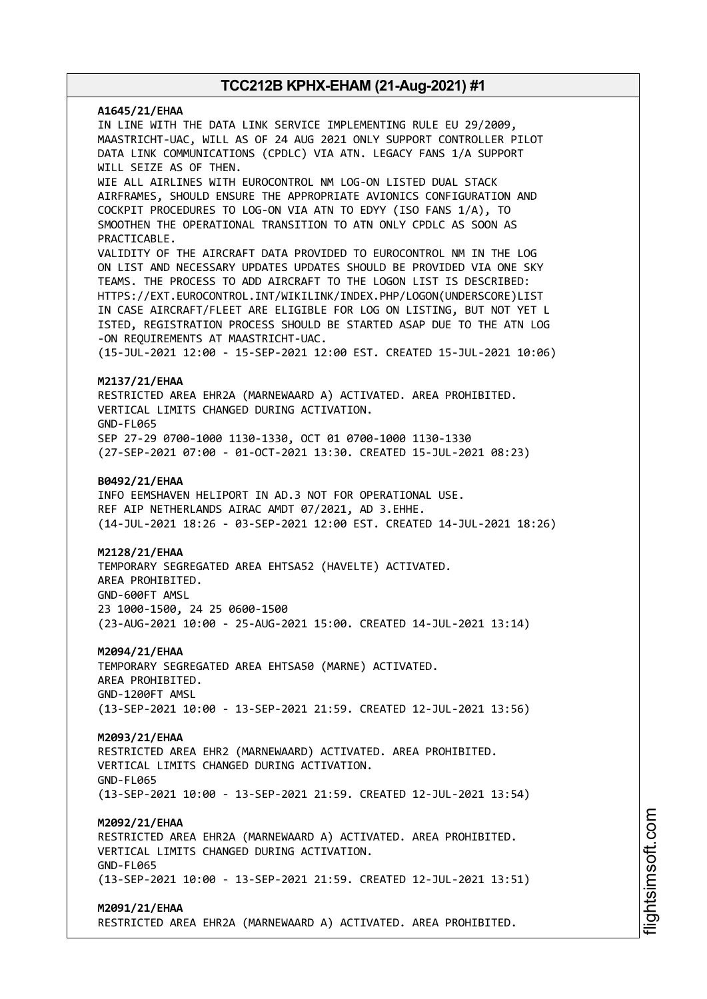# **A1645/21/EHAA** IN LINE WITH THE DATA LINK SERVICE IMPLEMENTING RULE EU 29/2009, MAASTRICHT-UAC, WILL AS OF 24 AUG 2021 ONLY SUPPORT CONTROLLER PILOT DATA LINK COMMUNICATIONS (CPDLC) VIA ATN. LEGACY FANS 1/A SUPPORT WILL SEIZE AS OF THEN. WIE ALL AIRLINES WITH EUROCONTROL NM LOG-ON LISTED DUAL STACK AIRFRAMES, SHOULD ENSURE THE APPROPRIATE AVIONICS CONFIGURATION AND COCKPIT PROCEDURES TO LOG-ON VIA ATN TO EDYY (ISO FANS 1/A), TO SMOOTHEN THE OPERATIONAL TRANSITION TO ATN ONLY CPDLC AS SOON AS PRACTICABLE. VALIDITY OF THE AIRCRAFT DATA PROVIDED TO EUROCONTROL NM IN THE LOG ON LIST AND NECESSARY UPDATES UPDATES SHOULD BE PROVIDED VIA ONE SKY TEAMS. THE PROCESS TO ADD AIRCRAFT TO THE LOGON LIST IS DESCRIBED: HTTPS://EXT.EUROCONTROL.INT/WIKILINK/INDEX.PHP/LOGON(UNDERSCORE)LIST IN CASE AIRCRAFT/FLEET ARE ELIGIBLE FOR LOG ON LISTING, BUT NOT YET L ISTED, REGISTRATION PROCESS SHOULD BE STARTED ASAP DUE TO THE ATN LOG -ON REQUIREMENTS AT MAASTRICHT-UAC. (15-JUL-2021 12:00 - 15-SEP-2021 12:00 EST. CREATED 15-JUL-2021 10:06) **M2137/21/EHAA** RESTRICTED AREA EHR2A (MARNEWAARD A) ACTIVATED. AREA PROHIBITED. VERTICAL LIMITS CHANGED DURING ACTIVATION. GND-FL065 SEP 27-29 0700-1000 1130-1330, OCT 01 0700-1000 1130-1330 (27-SEP-2021 07:00 - 01-OCT-2021 13:30. CREATED 15-JUL-2021 08:23) **B0492/21/EHAA** INFO EEMSHAVEN HELIPORT IN AD.3 NOT FOR OPERATIONAL USE. REF AIP NETHERLANDS AIRAC AMDT 07/2021, AD 3.EHHE. (14-JUL-2021 18:26 - 03-SEP-2021 12:00 EST. CREATED 14-JUL-2021 18:26) **M2128/21/EHAA** TEMPORARY SEGREGATED AREA EHTSA52 (HAVELTE) ACTIVATED. AREA PROHIBITED. GND-600FT AMSL 23 1000-1500, 24 25 0600-1500 (23-AUG-2021 10:00 - 25-AUG-2021 15:00. CREATED 14-JUL-2021 13:14) **M2094/21/EHAA** TEMPORARY SEGREGATED AREA EHTSA50 (MARNE) ACTIVATED. AREA PROHIBITED. GND-1200FT AMSL (13-SEP-2021 10:00 - 13-SEP-2021 21:59. CREATED 12-JUL-2021 13:56) **M2093/21/EHAA** RESTRICTED AREA EHR2 (MARNEWAARD) ACTIVATED. AREA PROHIBITED. VERTICAL LIMITS CHANGED DURING ACTIVATION. GND-FL065 (13-SEP-2021 10:00 - 13-SEP-2021 21:59. CREATED 12-JUL-2021 13:54) **M2092/21/EHAA** RESTRICTED AREA EHR2A (MARNEWAARD A) ACTIVATED. AREA PROHIBITED. VERTICAL LIMITS CHANGED DURING ACTIVATION. GND-FL065 (13-SEP-2021 10:00 - 13-SEP-2021 21:59. CREATED 12-JUL-2021 13:51) **M2091/21/EHAA**

RESTRICTED AREA EHR2A (MARNEWAARD A) ACTIVATED. AREA PROHIBITED.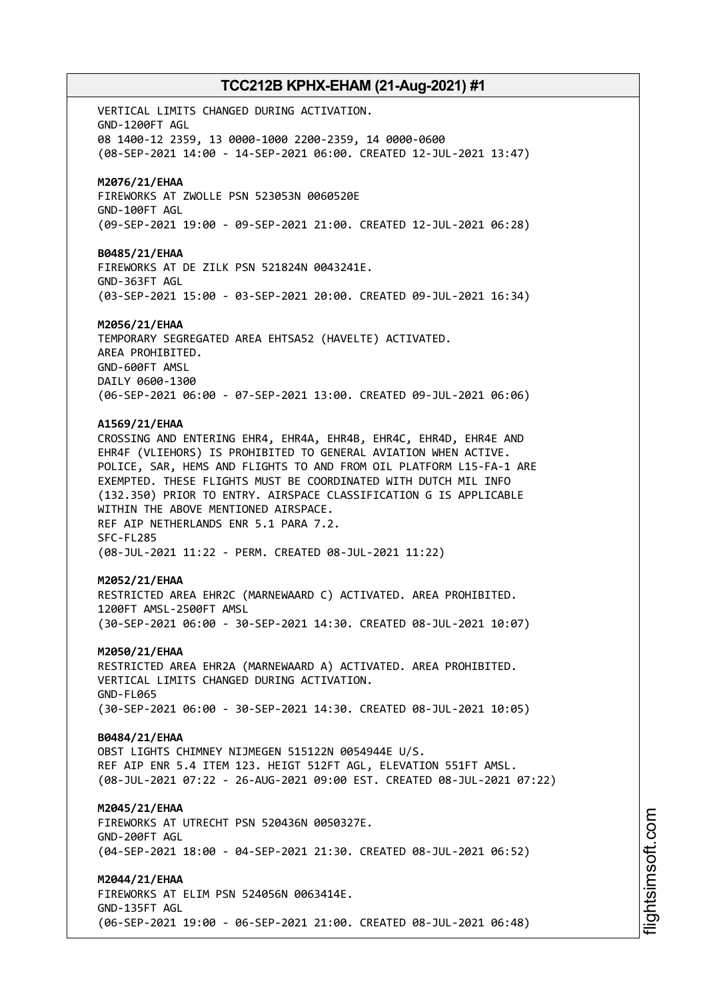VERTICAL LIMITS CHANGED DURING ACTIVATION. GND-1200FT AGL 08 1400-12 2359, 13 0000-1000 2200-2359, 14 0000-0600 (08-SEP-2021 14:00 - 14-SEP-2021 06:00. CREATED 12-JUL-2021 13:47) **M2076/21/EHAA** FIREWORKS AT ZWOLLE PSN 523053N 0060520E GND-100FT AGL (09-SEP-2021 19:00 - 09-SEP-2021 21:00. CREATED 12-JUL-2021 06:28) **B0485/21/EHAA** FIREWORKS AT DE ZILK PSN 521824N 0043241E. GND-363FT AGL (03-SEP-2021 15:00 - 03-SEP-2021 20:00. CREATED 09-JUL-2021 16:34) **M2056/21/EHAA** TEMPORARY SEGREGATED AREA EHTSA52 (HAVELTE) ACTIVATED. AREA PROHIBITED. GND-600FT AMSL DAILY 0600-1300 (06-SEP-2021 06:00 - 07-SEP-2021 13:00. CREATED 09-JUL-2021 06:06) **A1569/21/EHAA** CROSSING AND ENTERING EHR4, EHR4A, EHR4B, EHR4C, EHR4D, EHR4E AND EHR4F (VLIEHORS) IS PROHIBITED TO GENERAL AVIATION WHEN ACTIVE. POLICE, SAR, HEMS AND FLIGHTS TO AND FROM OIL PLATFORM L15-FA-1 ARE EXEMPTED. THESE FLIGHTS MUST BE COORDINATED WITH DUTCH MIL INFO (132.350) PRIOR TO ENTRY. AIRSPACE CLASSIFICATION G IS APPLICABLE WITHIN THE ABOVE MENTIONED AIRSPACE. REF AIP NETHERLANDS ENR 5.1 PARA 7.2. SFC-FL285 (08-JUL-2021 11:22 - PERM. CREATED 08-JUL-2021 11:22) **M2052/21/EHAA** RESTRICTED AREA EHR2C (MARNEWAARD C) ACTIVATED. AREA PROHIBITED. 1200FT AMSL-2500FT AMSL (30-SEP-2021 06:00 - 30-SEP-2021 14:30. CREATED 08-JUL-2021 10:07) **M2050/21/EHAA** RESTRICTED AREA EHR2A (MARNEWAARD A) ACTIVATED. AREA PROHIBITED. VERTICAL LIMITS CHANGED DURING ACTIVATION. GND-FL065 (30-SEP-2021 06:00 - 30-SEP-2021 14:30. CREATED 08-JUL-2021 10:05) **B0484/21/EHAA** OBST LIGHTS CHIMNEY NIJMEGEN 515122N 0054944E U/S. REF AIP ENR 5.4 ITEM 123. HEIGT 512FT AGL, ELEVATION 551FT AMSL. (08-JUL-2021 07:22 - 26-AUG-2021 09:00 EST. CREATED 08-JUL-2021 07:22) **M2045/21/EHAA** FIREWORKS AT UTRECHT PSN 520436N 0050327E. GND-200FT AGL (04-SEP-2021 18:00 - 04-SEP-2021 21:30. CREATED 08-JUL-2021 06:52) **M2044/21/EHAA** FIREWORKS AT ELIM PSN 524056N 0063414E. GND-135FT AGL (06-SEP-2021 19:00 - 06-SEP-2021 21:00. CREATED 08-JUL-2021 06:48)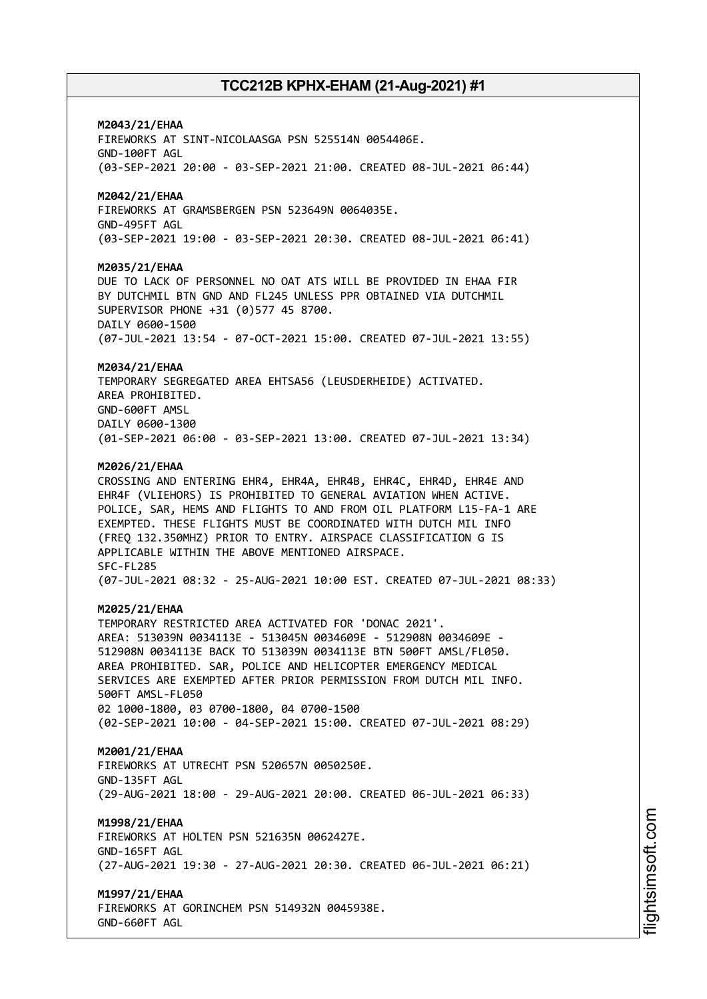### **M2043/21/EHAA**

FIREWORKS AT SINT-NICOLAASGA PSN 525514N 0054406E. GND-100FT AGL (03-SEP-2021 20:00 - 03-SEP-2021 21:00. CREATED 08-JUL-2021 06:44)

### **M2042/21/EHAA**

FIREWORKS AT GRAMSBERGEN PSN 523649N 0064035E. GND-495FT AGL (03-SEP-2021 19:00 - 03-SEP-2021 20:30. CREATED 08-JUL-2021 06:41)

#### **M2035/21/EHAA**

DUE TO LACK OF PERSONNEL NO OAT ATS WILL BE PROVIDED IN EHAA FIR BY DUTCHMIL BTN GND AND FL245 UNLESS PPR OBTAINED VIA DUTCHMIL SUPERVISOR PHONE +31 (0)577 45 8700. DAILY 0600-1500 (07-JUL-2021 13:54 - 07-OCT-2021 15:00. CREATED 07-JUL-2021 13:55)

#### **M2034/21/EHAA**

TEMPORARY SEGREGATED AREA EHTSA56 (LEUSDERHEIDE) ACTIVATED. AREA PROHIBITED. GND-600FT AMSL DAILY 0600-1300 (01-SEP-2021 06:00 - 03-SEP-2021 13:00. CREATED 07-JUL-2021 13:34)

### **M2026/21/EHAA**

CROSSING AND ENTERING EHR4, EHR4A, EHR4B, EHR4C, EHR4D, EHR4E AND EHR4F (VLIEHORS) IS PROHIBITED TO GENERAL AVIATION WHEN ACTIVE. POLICE, SAR, HEMS AND FLIGHTS TO AND FROM OIL PLATFORM L15-FA-1 ARE EXEMPTED. THESE FLIGHTS MUST BE COORDINATED WITH DUTCH MIL INFO (FREQ 132.350MHZ) PRIOR TO ENTRY. AIRSPACE CLASSIFICATION G IS APPLICABLE WITHIN THE ABOVE MENTIONED AIRSPACE. SFC-FL285 (07-JUL-2021 08:32 - 25-AUG-2021 10:00 EST. CREATED 07-JUL-2021 08:33)

#### **M2025/21/EHAA**

TEMPORARY RESTRICTED AREA ACTIVATED FOR 'DONAC 2021'. AREA: 513039N 0034113E - 513045N 0034609E - 512908N 0034609E - 512908N 0034113E BACK TO 513039N 0034113E BTN 500FT AMSL/FL050. AREA PROHIBITED. SAR, POLICE AND HELICOPTER EMERGENCY MEDICAL SERVICES ARE EXEMPTED AFTER PRIOR PERMISSION FROM DUTCH MIL INFO. 500FT AMSL-FL050 02 1000-1800, 03 0700-1800, 04 0700-1500 (02-SEP-2021 10:00 - 04-SEP-2021 15:00. CREATED 07-JUL-2021 08:29)

#### **M2001/21/EHAA**

FIREWORKS AT UTRECHT PSN 520657N 0050250E. GND-135FT AGL (29-AUG-2021 18:00 - 29-AUG-2021 20:00. CREATED 06-JUL-2021 06:33)

#### **M1998/21/EHAA**

FIREWORKS AT HOLTEN PSN 521635N 0062427E. GND-165FT AGL (27-AUG-2021 19:30 - 27-AUG-2021 20:30. CREATED 06-JUL-2021 06:21)

#### **M1997/21/EHAA**

FIREWORKS AT GORINCHEM PSN 514932N 0045938E. GND-660FT AGL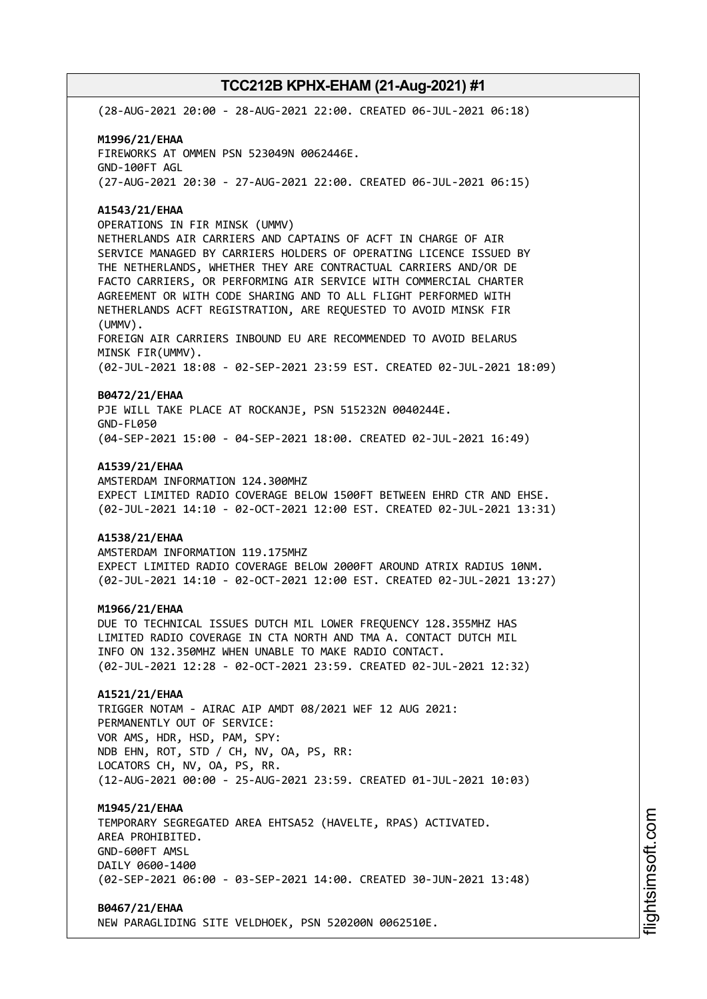(28-AUG-2021 20:00 - 28-AUG-2021 22:00. CREATED 06-JUL-2021 06:18)

## **M1996/21/EHAA** FIREWORKS AT OMMEN PSN 523049N 0062446E. GND-100FT AGL (27-AUG-2021 20:30 - 27-AUG-2021 22:00. CREATED 06-JUL-2021 06:15)

### **A1543/21/EHAA**

OPERATIONS IN FIR MINSK (UMMV) NETHERLANDS AIR CARRIERS AND CAPTAINS OF ACFT IN CHARGE OF AIR SERVICE MANAGED BY CARRIERS HOLDERS OF OPERATING LICENCE ISSUED BY THE NETHERLANDS, WHETHER THEY ARE CONTRACTUAL CARRIERS AND/OR DE FACTO CARRIERS, OR PERFORMING AIR SERVICE WITH COMMERCIAL CHARTER AGREEMENT OR WITH CODE SHARING AND TO ALL FLIGHT PERFORMED WITH NETHERLANDS ACFT REGISTRATION, ARE REQUESTED TO AVOID MINSK FIR (UMMV). FOREIGN AIR CARRIERS INBOUND EU ARE RECOMMENDED TO AVOID BELARUS MINSK FIR(UMMV). (02-JUL-2021 18:08 - 02-SEP-2021 23:59 EST. CREATED 02-JUL-2021 18:09)

### **B0472/21/EHAA**

PJE WILL TAKE PLACE AT ROCKANJE, PSN 515232N 0040244E. GND-FL050 (04-SEP-2021 15:00 - 04-SEP-2021 18:00. CREATED 02-JUL-2021 16:49)

#### **A1539/21/EHAA**

AMSTERDAM INFORMATION 124.300MHZ EXPECT LIMITED RADIO COVERAGE BELOW 1500FT BETWEEN EHRD CTR AND EHSE. (02-JUL-2021 14:10 - 02-OCT-2021 12:00 EST. CREATED 02-JUL-2021 13:31)

### **A1538/21/EHAA**

AMSTERDAM INFORMATION 119.175MHZ EXPECT LIMITED RADIO COVERAGE BELOW 2000FT AROUND ATRIX RADIUS 10NM. (02-JUL-2021 14:10 - 02-OCT-2021 12:00 EST. CREATED 02-JUL-2021 13:27)

### **M1966/21/EHAA**

DUE TO TECHNICAL ISSUES DUTCH MIL LOWER FREQUENCY 128.355MHZ HAS LIMITED RADIO COVERAGE IN CTA NORTH AND TMA A. CONTACT DUTCH MIL INFO ON 132.350MHZ WHEN UNABLE TO MAKE RADIO CONTACT. (02-JUL-2021 12:28 - 02-OCT-2021 23:59. CREATED 02-JUL-2021 12:32)

## **A1521/21/EHAA**

TRIGGER NOTAM - AIRAC AIP AMDT 08/2021 WEF 12 AUG 2021: PERMANENTLY OUT OF SERVICE: VOR AMS, HDR, HSD, PAM, SPY: NDB EHN, ROT, STD / CH, NV, OA, PS, RR: LOCATORS CH, NV, OA, PS, RR. (12-AUG-2021 00:00 - 25-AUG-2021 23:59. CREATED 01-JUL-2021 10:03)

### **M1945/21/EHAA**

TEMPORARY SEGREGATED AREA EHTSA52 (HAVELTE, RPAS) ACTIVATED. AREA PROHIBITED. GND-600FT AMSL DAILY 0600-1400 (02-SEP-2021 06:00 - 03-SEP-2021 14:00. CREATED 30-JUN-2021 13:48)

### **B0467/21/EHAA**

NEW PARAGLIDING SITE VELDHOEK, PSN 520200N 0062510E.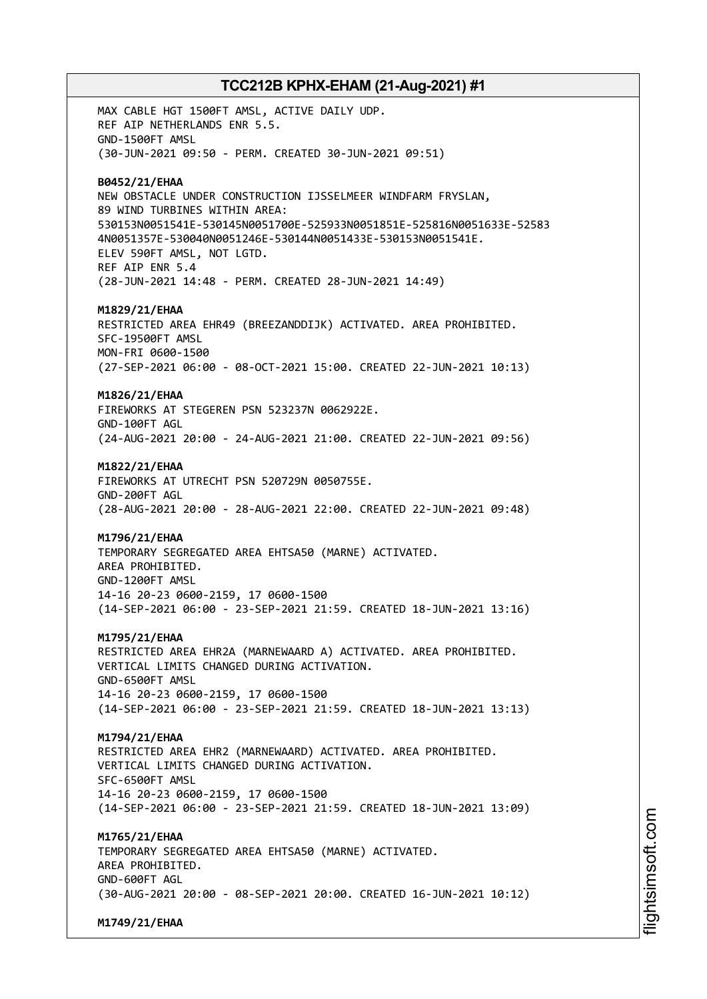MAX CABLE HGT 1500FT AMSL, ACTIVE DAILY UDP. REF AIP NETHERLANDS ENR 5.5. GND-1500FT AMSL (30-JUN-2021 09:50 - PERM. CREATED 30-JUN-2021 09:51) **B0452/21/EHAA** NEW OBSTACLE UNDER CONSTRUCTION IJSSELMEER WINDFARM FRYSLAN, 89 WIND TURBINES WITHIN AREA: 530153N0051541E-530145N0051700E-525933N0051851E-525816N0051633E-52583 4N0051357E-530040N0051246E-530144N0051433E-530153N0051541E. ELEV 590FT AMSL, NOT LGTD. REF AIP ENR 5.4 (28-JUN-2021 14:48 - PERM. CREATED 28-JUN-2021 14:49) **M1829/21/EHAA** RESTRICTED AREA EHR49 (BREEZANDDIJK) ACTIVATED. AREA PROHIBITED. SFC-19500FT AMSL MON-FRI 0600-1500 (27-SEP-2021 06:00 - 08-OCT-2021 15:00. CREATED 22-JUN-2021 10:13) **M1826/21/EHAA** FIREWORKS AT STEGEREN PSN 523237N 0062922E. GND-100FT AGL (24-AUG-2021 20:00 - 24-AUG-2021 21:00. CREATED 22-JUN-2021 09:56) **M1822/21/EHAA** FIREWORKS AT UTRECHT PSN 520729N 0050755E. GND-200FT AGL (28-AUG-2021 20:00 - 28-AUG-2021 22:00. CREATED 22-JUN-2021 09:48) **M1796/21/EHAA** TEMPORARY SEGREGATED AREA EHTSA50 (MARNE) ACTIVATED. AREA PROHIBITED. GND-1200FT AMSL 14-16 20-23 0600-2159, 17 0600-1500 (14-SEP-2021 06:00 - 23-SEP-2021 21:59. CREATED 18-JUN-2021 13:16) **M1795/21/EHAA** RESTRICTED AREA EHR2A (MARNEWAARD A) ACTIVATED. AREA PROHIBITED. VERTICAL LIMITS CHANGED DURING ACTIVATION. GND-6500FT AMSL 14-16 20-23 0600-2159, 17 0600-1500 (14-SEP-2021 06:00 - 23-SEP-2021 21:59. CREATED 18-JUN-2021 13:13) **M1794/21/EHAA** RESTRICTED AREA EHR2 (MARNEWAARD) ACTIVATED. AREA PROHIBITED. VERTICAL LIMITS CHANGED DURING ACTIVATION. SFC-6500FT AMSL 14-16 20-23 0600-2159, 17 0600-1500 (14-SEP-2021 06:00 - 23-SEP-2021 21:59. CREATED 18-JUN-2021 13:09) **M1765/21/EHAA** TEMPORARY SEGREGATED AREA EHTSA50 (MARNE) ACTIVATED. AREA PROHIBITED. GND-600FT AGL (30-AUG-2021 20:00 - 08-SEP-2021 20:00. CREATED 16-JUN-2021 10:12)

**M1749/21/EHAA**

i⊒<br>⊫ htsim soft.c om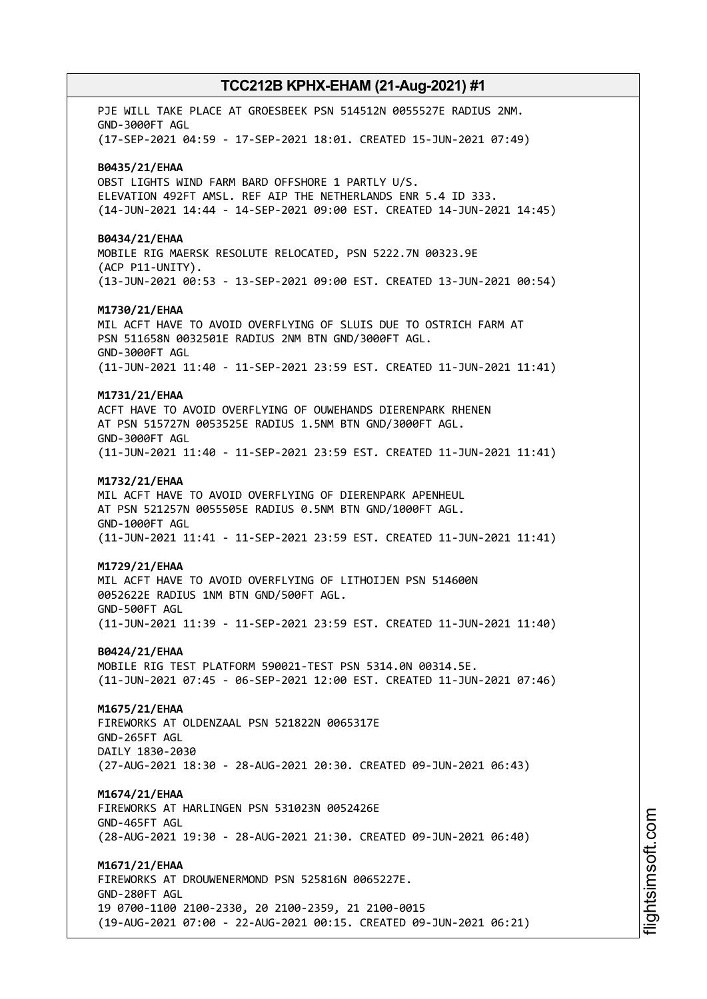PJE WILL TAKE PLACE AT GROESBEEK PSN 514512N 0055527E RADIUS 2NM. GND-3000FT AGL (17-SEP-2021 04:59 - 17-SEP-2021 18:01. CREATED 15-JUN-2021 07:49) **B0435/21/EHAA** OBST LIGHTS WIND FARM BARD OFFSHORE 1 PARTLY U/S. ELEVATION 492FT AMSL. REF AIP THE NETHERLANDS ENR 5.4 ID 333. (14-JUN-2021 14:44 - 14-SEP-2021 09:00 EST. CREATED 14-JUN-2021 14:45) **B0434/21/EHAA** MOBILE RIG MAERSK RESOLUTE RELOCATED, PSN 5222.7N 00323.9E (ACP P11-UNITY). (13-JUN-2021 00:53 - 13-SEP-2021 09:00 EST. CREATED 13-JUN-2021 00:54) **M1730/21/EHAA** MIL ACFT HAVE TO AVOID OVERFLYING OF SLUIS DUE TO OSTRICH FARM AT PSN 511658N 0032501E RADIUS 2NM BTN GND/3000FT AGL. GND-3000FT AGL (11-JUN-2021 11:40 - 11-SEP-2021 23:59 EST. CREATED 11-JUN-2021 11:41) **M1731/21/EHAA** ACFT HAVE TO AVOID OVERFLYING OF OUWEHANDS DIERENPARK RHENEN AT PSN 515727N 0053525E RADIUS 1.5NM BTN GND/3000FT AGL. GND-3000FT AGL (11-JUN-2021 11:40 - 11-SEP-2021 23:59 EST. CREATED 11-JUN-2021 11:41) **M1732/21/EHAA** MIL ACFT HAVE TO AVOID OVERFLYING OF DIERENPARK APENHEUL AT PSN 521257N 0055505E RADIUS 0.5NM BTN GND/1000FT AGL. GND-1000FT AGL (11-JUN-2021 11:41 - 11-SEP-2021 23:59 EST. CREATED 11-JUN-2021 11:41) **M1729/21/EHAA** MIL ACFT HAVE TO AVOID OVERFLYING OF LITHOIJEN PSN 514600N 0052622E RADIUS 1NM BTN GND/500FT AGL. GND-500FT AGL (11-JUN-2021 11:39 - 11-SEP-2021 23:59 EST. CREATED 11-JUN-2021 11:40) **B0424/21/EHAA** MOBILE RIG TEST PLATFORM 590021-TEST PSN 5314.0N 00314.5E. (11-JUN-2021 07:45 - 06-SEP-2021 12:00 EST. CREATED 11-JUN-2021 07:46) **M1675/21/EHAA** FIREWORKS AT OLDENZAAL PSN 521822N 0065317E GND-265FT AGL DAILY 1830-2030 (27-AUG-2021 18:30 - 28-AUG-2021 20:30. CREATED 09-JUN-2021 06:43) **M1674/21/EHAA** FIREWORKS AT HARLINGEN PSN 531023N 0052426E GND-465FT AGL (28-AUG-2021 19:30 - 28-AUG-2021 21:30. CREATED 09-JUN-2021 06:40) **M1671/21/EHAA** FIREWORKS AT DROUWENERMOND PSN 525816N 0065227E. GND-280FT AGL 19 0700-1100 2100-2330, 20 2100-2359, 21 2100-0015 (19-AUG-2021 07:00 - 22-AUG-2021 00:15. CREATED 09-JUN-2021 06:21)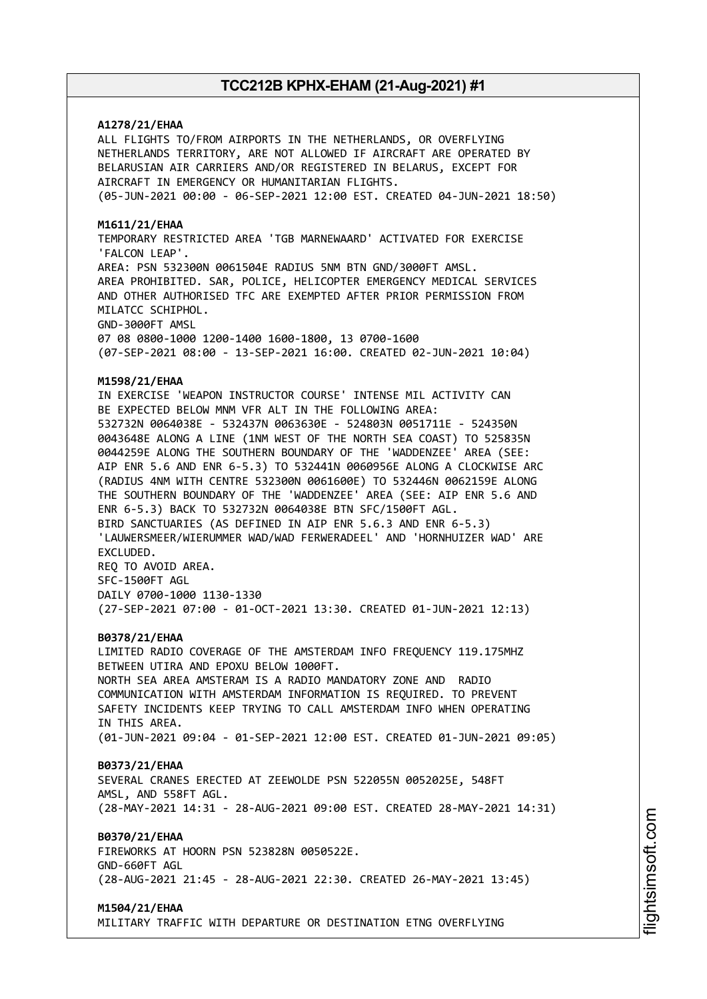### **A1278/21/EHAA**

ALL FLIGHTS TO/FROM AIRPORTS IN THE NETHERLANDS, OR OVERFLYING NETHERLANDS TERRITORY, ARE NOT ALLOWED IF AIRCRAFT ARE OPERATED BY BELARUSIAN AIR CARRIERS AND/OR REGISTERED IN BELARUS, EXCEPT FOR AIRCRAFT IN EMERGENCY OR HUMANITARIAN FLIGHTS. (05-JUN-2021 00:00 - 06-SEP-2021 12:00 EST. CREATED 04-JUN-2021 18:50)

### **M1611/21/EHAA**

TEMPORARY RESTRICTED AREA 'TGB MARNEWAARD' ACTIVATED FOR EXERCISE 'FALCON LEAP'. AREA: PSN 532300N 0061504E RADIUS 5NM BTN GND/3000FT AMSL. AREA PROHIBITED. SAR, POLICE, HELICOPTER EMERGENCY MEDICAL SERVICES AND OTHER AUTHORISED TFC ARE EXEMPTED AFTER PRIOR PERMISSION FROM MILATCC SCHIPHOL. GND-3000FT AMSL 07 08 0800-1000 1200-1400 1600-1800, 13 0700-1600

(07-SEP-2021 08:00 - 13-SEP-2021 16:00. CREATED 02-JUN-2021 10:04)

### **M1598/21/EHAA**

IN EXERCISE 'WEAPON INSTRUCTOR COURSE' INTENSE MIL ACTIVITY CAN BE EXPECTED BELOW MNM VFR ALT IN THE FOLLOWING AREA: 532732N 0064038E - 532437N 0063630E - 524803N 0051711E - 524350N 0043648E ALONG A LINE (1NM WEST OF THE NORTH SEA COAST) TO 525835N 0044259E ALONG THE SOUTHERN BOUNDARY OF THE 'WADDENZEE' AREA (SEE: AIP ENR 5.6 AND ENR 6-5.3) TO 532441N 0060956E ALONG A CLOCKWISE ARC (RADIUS 4NM WITH CENTRE 532300N 0061600E) TO 532446N 0062159E ALONG THE SOUTHERN BOUNDARY OF THE 'WADDENZEE' AREA (SEE: AIP ENR 5.6 AND ENR 6-5.3) BACK TO 532732N 0064038E BTN SFC/1500FT AGL. BIRD SANCTUARIES (AS DEFINED IN AIP ENR 5.6.3 AND ENR 6-5.3) 'LAUWERSMEER/WIERUMMER WAD/WAD FERWERADEEL' AND 'HORNHUIZER WAD' ARE EXCLUDED. REQ TO AVOID AREA. SFC-1500FT AGL DAILY 0700-1000 1130-1330

(27-SEP-2021 07:00 - 01-OCT-2021 13:30. CREATED 01-JUN-2021 12:13)

#### **B0378/21/EHAA**

LIMITED RADIO COVERAGE OF THE AMSTERDAM INFO FREQUENCY 119.175MHZ BETWEEN UTIRA AND EPOXU BELOW 1000FT. NORTH SEA AREA AMSTERAM IS A RADIO MANDATORY ZONE AND RADIO COMMUNICATION WITH AMSTERDAM INFORMATION IS REQUIRED. TO PREVENT SAFETY INCIDENTS KEEP TRYING TO CALL AMSTERDAM INFO WHEN OPERATING IN THIS AREA. (01-JUN-2021 09:04 - 01-SEP-2021 12:00 EST. CREATED 01-JUN-2021 09:05)

#### **B0373/21/EHAA**

SEVERAL CRANES ERECTED AT ZEEWOLDE PSN 522055N 0052025E, 548FT AMSL, AND 558FT AGL. (28-MAY-2021 14:31 - 28-AUG-2021 09:00 EST. CREATED 28-MAY-2021 14:31)

### **B0370/21/EHAA**

FIREWORKS AT HOORN PSN 523828N 0050522E. GND-660FT AGL (28-AUG-2021 21:45 - 28-AUG-2021 22:30. CREATED 26-MAY-2021 13:45)

#### **M1504/21/EHAA**

MILITARY TRAFFIC WITH DEPARTURE OR DESTINATION ETNG OVERFLYING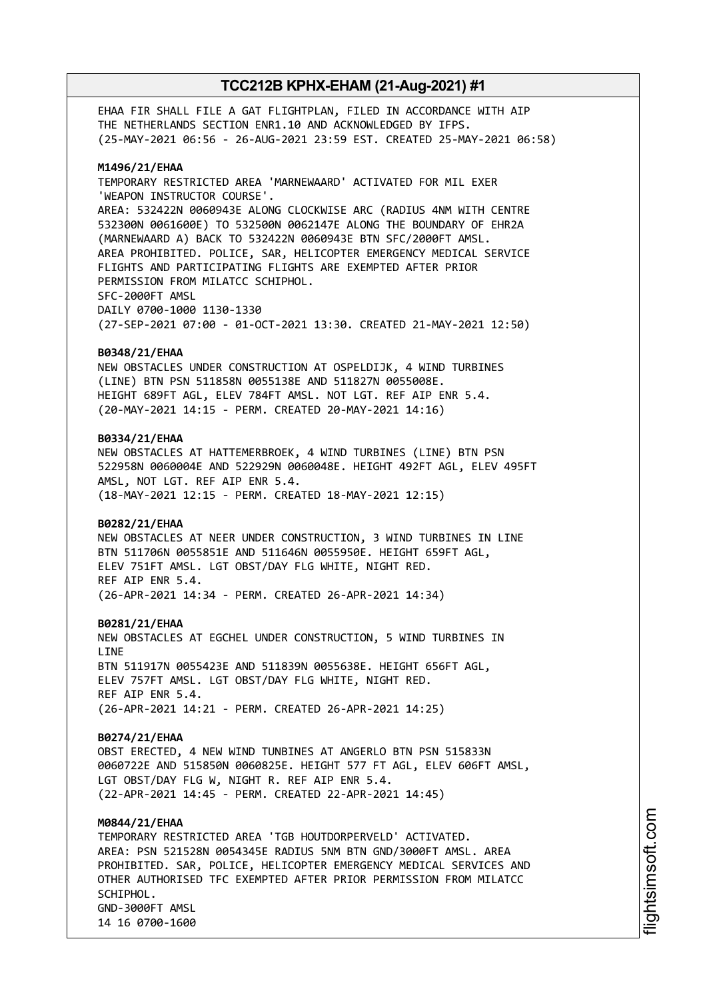EHAA FIR SHALL FILE A GAT FLIGHTPLAN, FILED IN ACCORDANCE WITH AIP THE NETHERLANDS SECTION ENR1.10 AND ACKNOWLEDGED BY IFPS. (25-MAY-2021 06:56 - 26-AUG-2021 23:59 EST. CREATED 25-MAY-2021 06:58)

### **M1496/21/EHAA**

TEMPORARY RESTRICTED AREA 'MARNEWAARD' ACTIVATED FOR MIL EXER 'WEAPON INSTRUCTOR COURSE'. AREA: 532422N 0060943E ALONG CLOCKWISE ARC (RADIUS 4NM WITH CENTRE 532300N 0061600E) TO 532500N 0062147E ALONG THE BOUNDARY OF EHR2A (MARNEWAARD A) BACK TO 532422N 0060943E BTN SFC/2000FT AMSL. AREA PROHIBITED. POLICE, SAR, HELICOPTER EMERGENCY MEDICAL SERVICE FLIGHTS AND PARTICIPATING FLIGHTS ARE EXEMPTED AFTER PRIOR PERMISSION FROM MILATCC SCHIPHOL. SFC-2000FT AMSL DAILY 0700-1000 1130-1330 (27-SEP-2021 07:00 - 01-OCT-2021 13:30. CREATED 21-MAY-2021 12:50)

#### **B0348/21/EHAA**

NEW OBSTACLES UNDER CONSTRUCTION AT OSPELDIJK, 4 WIND TURBINES (LINE) BTN PSN 511858N 0055138E AND 511827N 0055008E. HEIGHT 689FT AGL, ELEV 784FT AMSL. NOT LGT. REF AIP ENR 5.4. (20-MAY-2021 14:15 - PERM. CREATED 20-MAY-2021 14:16)

### **B0334/21/EHAA**

NEW OBSTACLES AT HATTEMERBROEK, 4 WIND TURBINES (LINE) BTN PSN 522958N 0060004E AND 522929N 0060048E. HEIGHT 492FT AGL, ELEV 495FT AMSL, NOT LGT. REF AIP ENR 5.4. (18-MAY-2021 12:15 - PERM. CREATED 18-MAY-2021 12:15)

#### **B0282/21/EHAA**

NEW OBSTACLES AT NEER UNDER CONSTRUCTION, 3 WIND TURBINES IN LINE BTN 511706N 0055851E AND 511646N 0055950E. HEIGHT 659FT AGL, ELEV 751FT AMSL. LGT OBST/DAY FLG WHITE, NIGHT RED. REF AIP ENR 5.4. (26-APR-2021 14:34 - PERM. CREATED 26-APR-2021 14:34)

#### **B0281/21/EHAA**

NEW OBSTACLES AT EGCHEL UNDER CONSTRUCTION, 5 WIND TURBINES IN LINE BTN 511917N 0055423E AND 511839N 0055638E. HEIGHT 656FT AGL, ELEV 757FT AMSL. LGT OBST/DAY FLG WHITE, NIGHT RED. REF AIP ENR 5.4. (26-APR-2021 14:21 - PERM. CREATED 26-APR-2021 14:25)

#### **B0274/21/EHAA**

OBST ERECTED, 4 NEW WIND TUNBINES AT ANGERLO BTN PSN 515833N 0060722E AND 515850N 0060825E. HEIGHT 577 FT AGL, ELEV 606FT AMSL, LGT OBST/DAY FLG W, NIGHT R. REF AIP ENR 5.4. (22-APR-2021 14:45 - PERM. CREATED 22-APR-2021 14:45)

### **M0844/21/EHAA**

TEMPORARY RESTRICTED AREA 'TGB HOUTDORPERVELD' ACTIVATED. AREA: PSN 521528N 0054345E RADIUS 5NM BTN GND/3000FT AMSL. AREA PROHIBITED. SAR, POLICE, HELICOPTER EMERGENCY MEDICAL SERVICES AND OTHER AUTHORISED TFC EXEMPTED AFTER PRIOR PERMISSION FROM MILATCC SCHIPHOL. GND-3000FT AMSL 14 16 0700-1600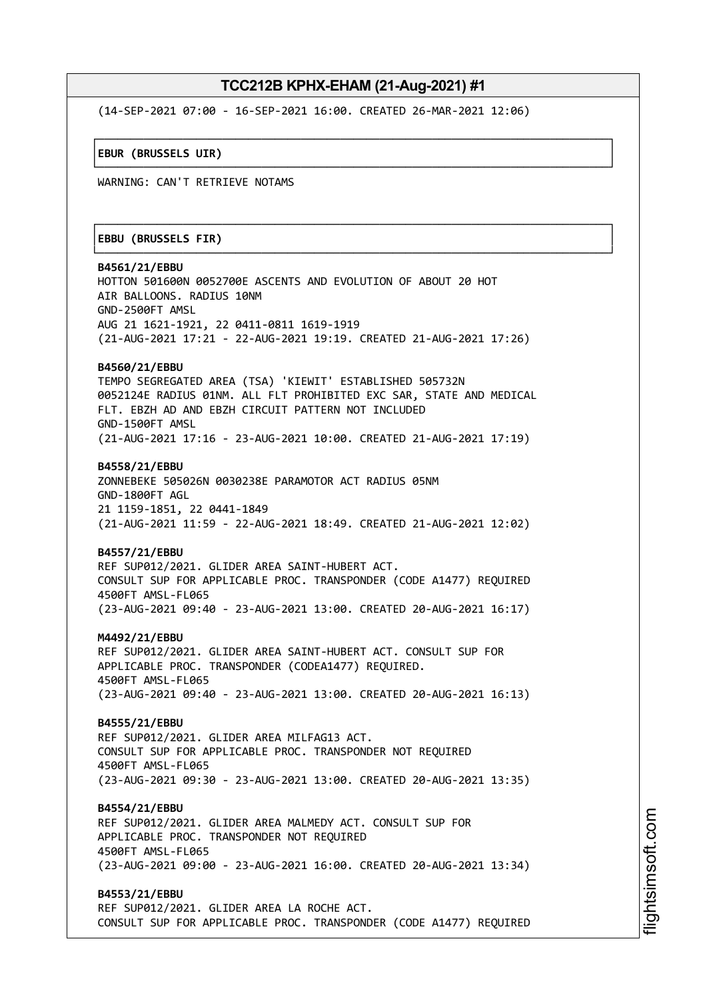┌──────────────────────────────────────────────────────────────────────────────┐

└──────────────────────────────────────────────────────────────────────────────┘

┌──────────────────────────────────────────────────────────────────────────────┐

└──────────────────────────────────────────────────────────────────────────────┘

(14-SEP-2021 07:00 - 16-SEP-2021 16:00. CREATED 26-MAR-2021 12:06)

│**EBUR (BRUSSELS UIR)** │

WARNING: CAN'T RETRIEVE NOTAMS

### │**EBBU (BRUSSELS FIR)** │

**B4561/21/EBBU** HOTTON 501600N 0052700E ASCENTS AND EVOLUTION OF ABOUT 20 HOT AIR BALLOONS. RADIUS 10NM GND-2500FT AMSL AUG 21 1621-1921, 22 0411-0811 1619-1919 (21-AUG-2021 17:21 - 22-AUG-2021 19:19. CREATED 21-AUG-2021 17:26) **B4560/21/EBBU** TEMPO SEGREGATED AREA (TSA) 'KIEWIT' ESTABLISHED 505732N 0052124E RADIUS 01NM. ALL FLT PROHIBITED EXC SAR, STATE AND MEDICAL FLT. EBZH AD AND EBZH CIRCUIT PATTERN NOT INCLUDED GND-1500FT AMSL (21-AUG-2021 17:16 - 23-AUG-2021 10:00. CREATED 21-AUG-2021 17:19) **B4558/21/EBBU** ZONNEBEKE 505026N 0030238E PARAMOTOR ACT RADIUS 05NM GND-1800FT AGL 21 1159-1851, 22 0441-1849

(21-AUG-2021 11:59 - 22-AUG-2021 18:49. CREATED 21-AUG-2021 12:02)

### **B4557/21/EBBU**

REF SUP012/2021. GLIDER AREA SAINT-HUBERT ACT. CONSULT SUP FOR APPLICABLE PROC. TRANSPONDER (CODE A1477) REQUIRED 4500FT AMSL-FL065 (23-AUG-2021 09:40 - 23-AUG-2021 13:00. CREATED 20-AUG-2021 16:17)

### **M4492/21/EBBU**

REF SUP012/2021. GLIDER AREA SAINT-HUBERT ACT. CONSULT SUP FOR APPLICABLE PROC. TRANSPONDER (CODEA1477) REQUIRED. 4500FT AMSL-FL065 (23-AUG-2021 09:40 - 23-AUG-2021 13:00. CREATED 20-AUG-2021 16:13)

**B4555/21/EBBU** REF SUP012/2021. GLIDER AREA MILFAG13 ACT. CONSULT SUP FOR APPLICABLE PROC. TRANSPONDER NOT REQUIRED 4500FT AMSL-FL065 (23-AUG-2021 09:30 - 23-AUG-2021 13:00. CREATED 20-AUG-2021 13:35)

**B4554/21/EBBU** REF SUP012/2021. GLIDER AREA MALMEDY ACT. CONSULT SUP FOR APPLICABLE PROC. TRANSPONDER NOT REQUIRED 4500FT AMSL-FL065 (23-AUG-2021 09:00 - 23-AUG-2021 16:00. CREATED 20-AUG-2021 13:34)

**B4553/21/EBBU** REF SUP012/2021. GLIDER AREA LA ROCHE ACT. CONSULT SUP FOR APPLICABLE PROC. TRANSPONDER (CODE A1477) REQUIRED i⊒<br>⊫ htsim soft.c om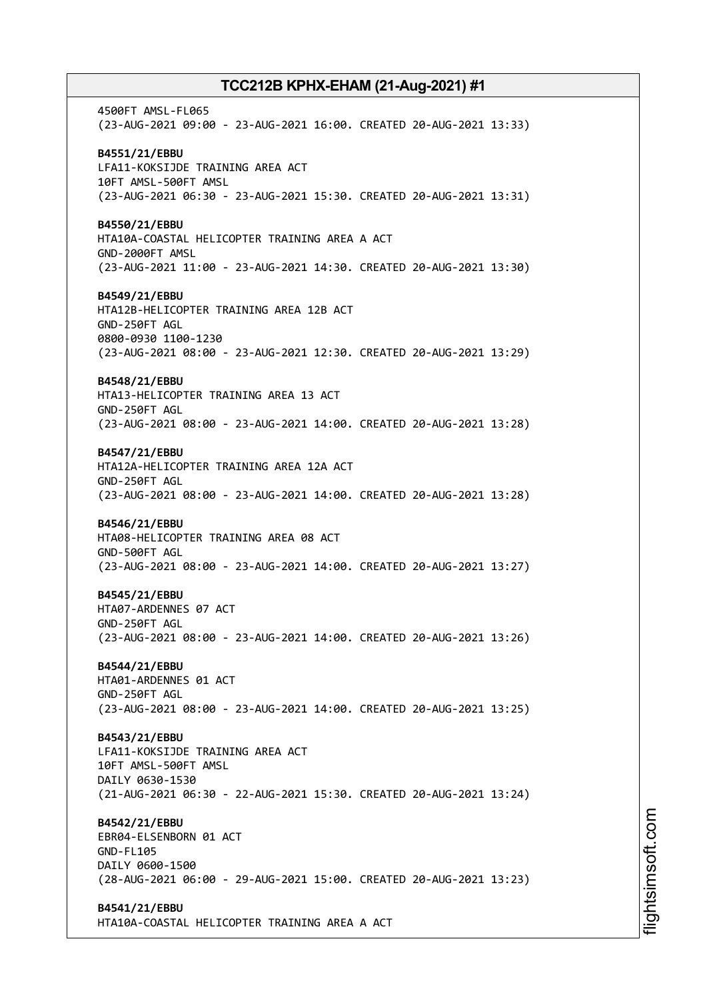4500FT AMSL-FL065 (23-AUG-2021 09:00 - 23-AUG-2021 16:00. CREATED 20-AUG-2021 13:33) **B4551/21/EBBU** LFA11-KOKSIJDE TRAINING AREA ACT 10FT AMSL-500FT AMSL (23-AUG-2021 06:30 - 23-AUG-2021 15:30. CREATED 20-AUG-2021 13:31) **B4550/21/EBBU** HTA10A-COASTAL HELICOPTER TRAINING AREA A ACT GND-2000FT AMSL (23-AUG-2021 11:00 - 23-AUG-2021 14:30. CREATED 20-AUG-2021 13:30) **B4549/21/EBBU** HTA12B-HELICOPTER TRAINING AREA 12B ACT GND-250FT AGL 0800-0930 1100-1230 (23-AUG-2021 08:00 - 23-AUG-2021 12:30. CREATED 20-AUG-2021 13:29) **B4548/21/EBBU** HTA13-HELICOPTER TRAINING AREA 13 ACT GND-250FT AGL (23-AUG-2021 08:00 - 23-AUG-2021 14:00. CREATED 20-AUG-2021 13:28) **B4547/21/EBBU** HTA12A-HELICOPTER TRAINING AREA 12A ACT GND-250FT AGL (23-AUG-2021 08:00 - 23-AUG-2021 14:00. CREATED 20-AUG-2021 13:28) **B4546/21/EBBU** HTA08-HELICOPTER TRAINING AREA 08 ACT GND-500FT AGL (23-AUG-2021 08:00 - 23-AUG-2021 14:00. CREATED 20-AUG-2021 13:27) **B4545/21/EBBU** HTA07-ARDENNES 07 ACT GND-250FT AGL (23-AUG-2021 08:00 - 23-AUG-2021 14:00. CREATED 20-AUG-2021 13:26) **B4544/21/EBBU** HTA01-ARDENNES 01 ACT GND-250FT AGL (23-AUG-2021 08:00 - 23-AUG-2021 14:00. CREATED 20-AUG-2021 13:25) **B4543/21/EBBU** LFA11-KOKSIJDE TRAINING AREA ACT 10FT AMSL-500FT AMSL DAILY 0630-1530 (21-AUG-2021 06:30 - 22-AUG-2021 15:30. CREATED 20-AUG-2021 13:24) **B4542/21/EBBU** EBR04-ELSENBORN 01 ACT GND-FL105 DAILY 0600-1500 (28-AUG-2021 06:00 - 29-AUG-2021 15:00. CREATED 20-AUG-2021 13:23) **B4541/21/EBBU** HTA10A-COASTAL HELICOPTER TRAINING AREA A ACT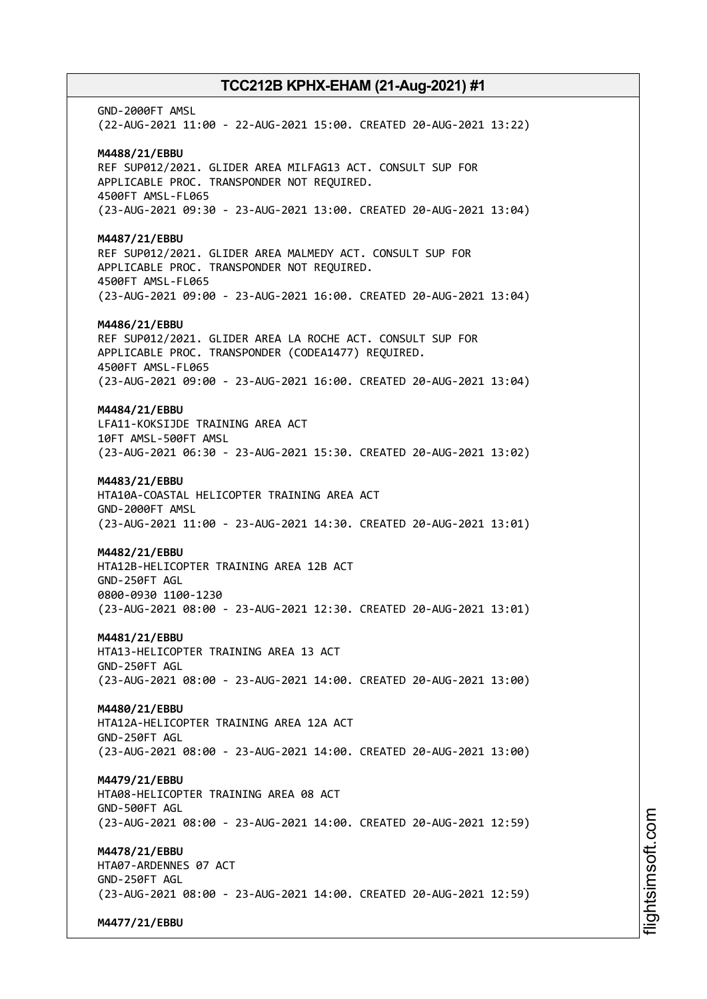GND-2000FT AMSL (22-AUG-2021 11:00 - 22-AUG-2021 15:00. CREATED 20-AUG-2021 13:22) **M4488/21/EBBU** REF SUP012/2021. GLIDER AREA MILFAG13 ACT. CONSULT SUP FOR APPLICABLE PROC. TRANSPONDER NOT REQUIRED. 4500FT AMSL-FL065 (23-AUG-2021 09:30 - 23-AUG-2021 13:00. CREATED 20-AUG-2021 13:04) **M4487/21/EBBU** REF SUP012/2021. GLIDER AREA MALMEDY ACT. CONSULT SUP FOR APPLICABLE PROC. TRANSPONDER NOT REQUIRED. 4500FT AMSL-FL065 (23-AUG-2021 09:00 - 23-AUG-2021 16:00. CREATED 20-AUG-2021 13:04) **M4486/21/EBBU** REF SUP012/2021. GLIDER AREA LA ROCHE ACT. CONSULT SUP FOR APPLICABLE PROC. TRANSPONDER (CODEA1477) REQUIRED. 4500FT AMSL-FL065 (23-AUG-2021 09:00 - 23-AUG-2021 16:00. CREATED 20-AUG-2021 13:04) **M4484/21/EBBU** LFA11-KOKSIJDE TRAINING AREA ACT 10FT AMSL-500FT AMSL (23-AUG-2021 06:30 - 23-AUG-2021 15:30. CREATED 20-AUG-2021 13:02) **M4483/21/EBBU** HTA10A-COASTAL HELICOPTER TRAINING AREA ACT GND-2000FT AMSL (23-AUG-2021 11:00 - 23-AUG-2021 14:30. CREATED 20-AUG-2021 13:01) **M4482/21/EBBU** HTA12B-HELICOPTER TRAINING AREA 12B ACT GND-250FT AGL 0800-0930 1100-1230 (23-AUG-2021 08:00 - 23-AUG-2021 12:30. CREATED 20-AUG-2021 13:01) **M4481/21/EBBU** HTA13-HELICOPTER TRAINING AREA 13 ACT GND-250FT AGL (23-AUG-2021 08:00 - 23-AUG-2021 14:00. CREATED 20-AUG-2021 13:00) **M4480/21/EBBU** HTA12A-HELICOPTER TRAINING AREA 12A ACT GND-250FT AGL (23-AUG-2021 08:00 - 23-AUG-2021 14:00. CREATED 20-AUG-2021 13:00) **M4479/21/EBBU** HTA08-HELICOPTER TRAINING AREA 08 ACT GND-500FT AGL (23-AUG-2021 08:00 - 23-AUG-2021 14:00. CREATED 20-AUG-2021 12:59) **M4478/21/EBBU** HTA07-ARDENNES 07 ACT GND-250FT AGL (23-AUG-2021 08:00 - 23-AUG-2021 14:00. CREATED 20-AUG-2021 12:59) **M4477/21/EBBU**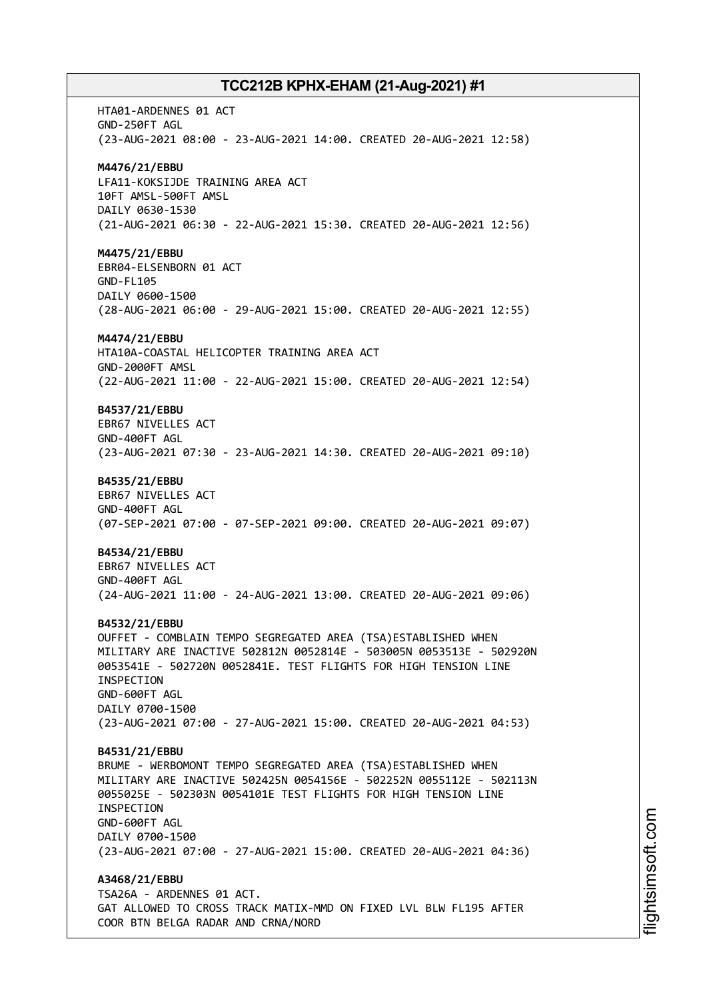HTA01-ARDENNES 01 ACT GND-250FT AGL (23-AUG-2021 08:00 - 23-AUG-2021 14:00. CREATED 20-AUG-2021 12:58) **M4476/21/EBBU** LFA11-KOKSIJDE TRAINING AREA ACT 10FT AMSL-500FT AMSL DAILY 0630-1530 (21-AUG-2021 06:30 - 22-AUG-2021 15:30. CREATED 20-AUG-2021 12:56) **M4475/21/EBBU** EBR04-ELSENBORN 01 ACT GND-FL105 DAILY 0600-1500 (28-AUG-2021 06:00 - 29-AUG-2021 15:00. CREATED 20-AUG-2021 12:55) **M4474/21/EBBU** HTA10A-COASTAL HELICOPTER TRAINING AREA ACT GND-2000FT AMSL (22-AUG-2021 11:00 - 22-AUG-2021 15:00. CREATED 20-AUG-2021 12:54) **B4537/21/EBBU** EBR67 NIVELLES ACT GND-400FT AGL (23-AUG-2021 07:30 - 23-AUG-2021 14:30. CREATED 20-AUG-2021 09:10) **B4535/21/EBBU** EBR67 NIVELLES ACT GND-400FT AGL (07-SEP-2021 07:00 - 07-SEP-2021 09:00. CREATED 20-AUG-2021 09:07) **B4534/21/EBBU** EBR67 NIVELLES ACT GND-400FT AGL (24-AUG-2021 11:00 - 24-AUG-2021 13:00. CREATED 20-AUG-2021 09:06) **B4532/21/EBBU** OUFFET - COMBLAIN TEMPO SEGREGATED AREA (TSA)ESTABLISHED WHEN MILITARY ARE INACTIVE 502812N 0052814E - 503005N 0053513E - 502920N 0053541E - 502720N 0052841E. TEST FLIGHTS FOR HIGH TENSION LINE INSPECTION GND-600FT AGL DAILY 0700-1500 (23-AUG-2021 07:00 - 27-AUG-2021 15:00. CREATED 20-AUG-2021 04:53) **B4531/21/EBBU** BRUME - WERBOMONT TEMPO SEGREGATED AREA (TSA)ESTABLISHED WHEN MILITARY ARE INACTIVE 502425N 0054156E - 502252N 0055112E - 502113N 0055025E - 502303N 0054101E TEST FLIGHTS FOR HIGH TENSION LINE INSPECTION GND-600FT AGL DAILY 0700-1500 (23-AUG-2021 07:00 - 27-AUG-2021 15:00. CREATED 20-AUG-2021 04:36) **A3468/21/EBBU** TSA26A - ARDENNES 01 ACT. GAT ALLOWED TO CROSS TRACK MATIX-MMD ON FIXED LVL BLW FL195 AFTER COOR BTN BELGA RADAR AND CRNA/NORD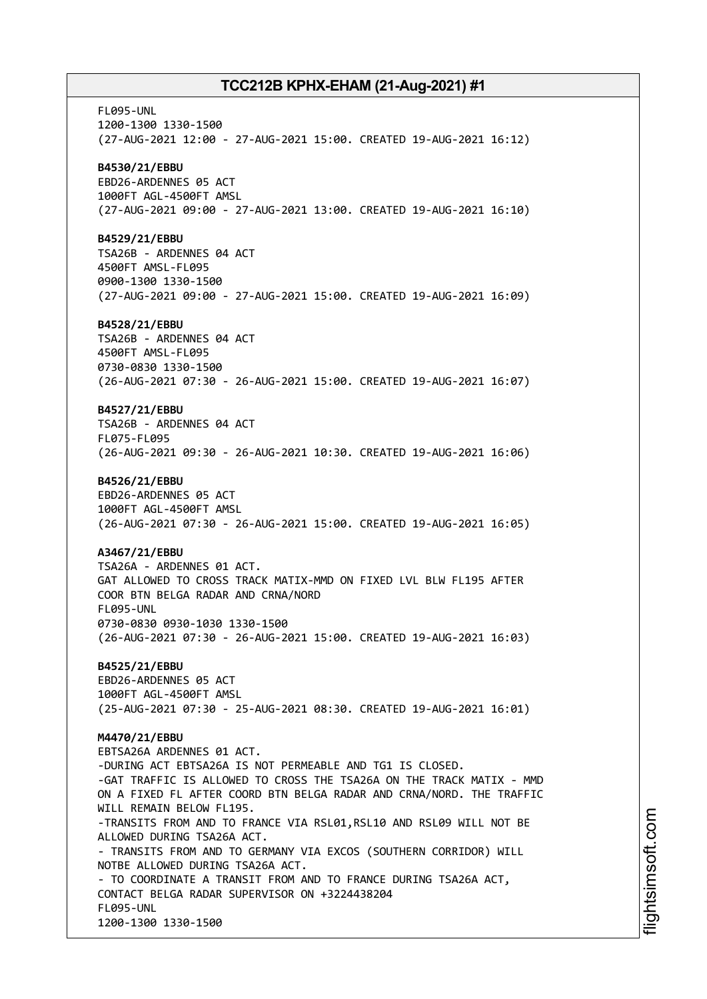FL095-UNL 1200-1300 1330-1500 (27-AUG-2021 12:00 - 27-AUG-2021 15:00. CREATED 19-AUG-2021 16:12) **B4530/21/EBBU** EBD26-ARDENNES 05 ACT 1000FT AGL-4500FT AMSL (27-AUG-2021 09:00 - 27-AUG-2021 13:00. CREATED 19-AUG-2021 16:10) **B4529/21/EBBU** TSA26B - ARDENNES 04 ACT 4500FT AMSL-FL095 0900-1300 1330-1500 (27-AUG-2021 09:00 - 27-AUG-2021 15:00. CREATED 19-AUG-2021 16:09) **B4528/21/EBBU** TSA26B - ARDENNES 04 ACT 4500FT AMSL-FL095 0730-0830 1330-1500 (26-AUG-2021 07:30 - 26-AUG-2021 15:00. CREATED 19-AUG-2021 16:07) **B4527/21/EBBU** TSA26B - ARDENNES 04 ACT FL075-FL095 (26-AUG-2021 09:30 - 26-AUG-2021 10:30. CREATED 19-AUG-2021 16:06) **B4526/21/EBBU** EBD26-ARDENNES 05 ACT 1000FT AGL-4500FT AMSL (26-AUG-2021 07:30 - 26-AUG-2021 15:00. CREATED 19-AUG-2021 16:05) **A3467/21/EBBU** TSA26A - ARDENNES 01 ACT. GAT ALLOWED TO CROSS TRACK MATIX-MMD ON FIXED LVL BLW FL195 AFTER COOR BTN BELGA RADAR AND CRNA/NORD FL095-UNL 0730-0830 0930-1030 1330-1500 (26-AUG-2021 07:30 - 26-AUG-2021 15:00. CREATED 19-AUG-2021 16:03) **B4525/21/EBBU** EBD26-ARDENNES 05 ACT 1000FT AGL-4500FT AMSL (25-AUG-2021 07:30 - 25-AUG-2021 08:30. CREATED 19-AUG-2021 16:01) **M4470/21/EBBU** EBTSA26A ARDENNES 01 ACT. -DURING ACT EBTSA26A IS NOT PERMEABLE AND TG1 IS CLOSED. -GAT TRAFFIC IS ALLOWED TO CROSS THE TSA26A ON THE TRACK MATIX - MMD ON A FIXED FL AFTER COORD BTN BELGA RADAR AND CRNA/NORD. THE TRAFFIC WILL REMAIN BELOW FL195. -TRANSITS FROM AND TO FRANCE VIA RSL01, RSL10 AND RSL09 WILL NOT BE ALLOWED DURING TSA26A ACT. - TRANSITS FROM AND TO GERMANY VIA EXCOS (SOUTHERN CORRIDOR) WILL NOTBE ALLOWED DURING TSA26A ACT. - TO COORDINATE A TRANSIT FROM AND TO FRANCE DURING TSA26A ACT, CONTACT BELGA RADAR SUPERVISOR ON +3224438204 FL095-UNL 1200-1300 1330-1500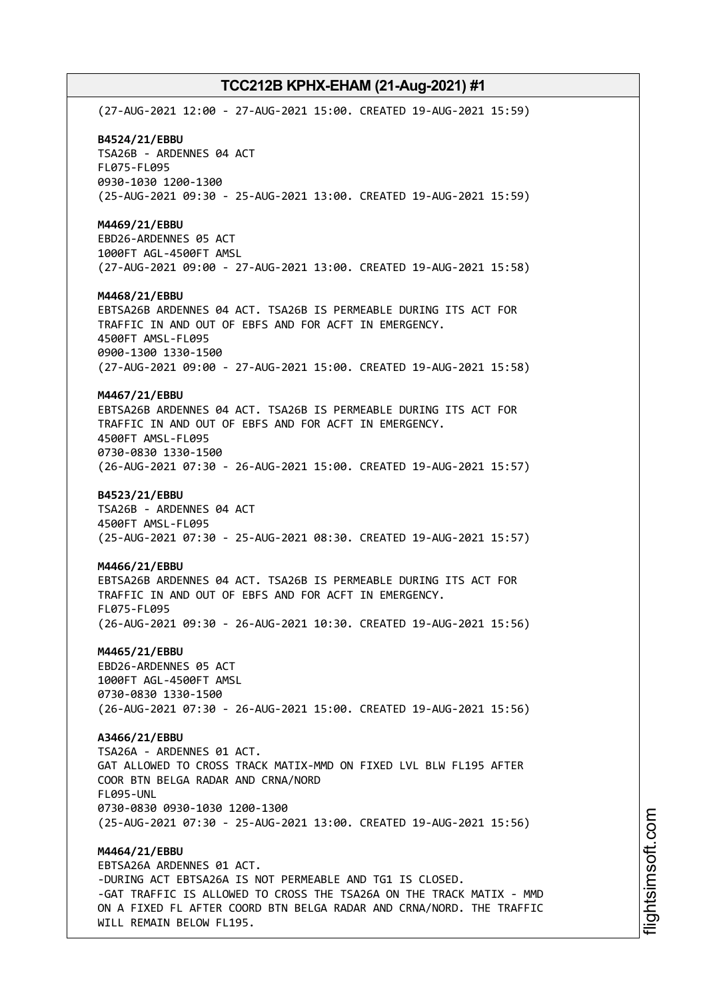(27-AUG-2021 12:00 - 27-AUG-2021 15:00. CREATED 19-AUG-2021 15:59) **B4524/21/EBBU** TSA26B - ARDENNES 04 ACT FL075-FL095 0930-1030 1200-1300 (25-AUG-2021 09:30 - 25-AUG-2021 13:00. CREATED 19-AUG-2021 15:59) **M4469/21/EBBU** EBD26-ARDENNES 05 ACT 1000FT AGL-4500FT AMSL (27-AUG-2021 09:00 - 27-AUG-2021 13:00. CREATED 19-AUG-2021 15:58) **M4468/21/EBBU** EBTSA26B ARDENNES 04 ACT. TSA26B IS PERMEABLE DURING ITS ACT FOR TRAFFIC IN AND OUT OF EBFS AND FOR ACFT IN EMERGENCY. 4500FT AMSL-FL095 0900-1300 1330-1500 (27-AUG-2021 09:00 - 27-AUG-2021 15:00. CREATED 19-AUG-2021 15:58) **M4467/21/EBBU** EBTSA26B ARDENNES 04 ACT. TSA26B IS PERMEABLE DURING ITS ACT FOR TRAFFIC IN AND OUT OF EBFS AND FOR ACFT IN EMERGENCY. 4500FT AMSL-FL095 0730-0830 1330-1500 (26-AUG-2021 07:30 - 26-AUG-2021 15:00. CREATED 19-AUG-2021 15:57) **B4523/21/EBBU** TSA26B - ARDENNES 04 ACT 4500FT AMSL-FL095 (25-AUG-2021 07:30 - 25-AUG-2021 08:30. CREATED 19-AUG-2021 15:57) **M4466/21/EBBU** EBTSA26B ARDENNES 04 ACT. TSA26B IS PERMEABLE DURING ITS ACT FOR TRAFFIC IN AND OUT OF EBFS AND FOR ACFT IN EMERGENCY. FL075-FL095 (26-AUG-2021 09:30 - 26-AUG-2021 10:30. CREATED 19-AUG-2021 15:56) **M4465/21/EBBU** EBD26-ARDENNES 05 ACT 1000FT AGL-4500FT AMSL 0730-0830 1330-1500 (26-AUG-2021 07:30 - 26-AUG-2021 15:00. CREATED 19-AUG-2021 15:56) **A3466/21/EBBU** TSA26A - ARDENNES 01 ACT. GAT ALLOWED TO CROSS TRACK MATIX-MMD ON FIXED LVL BLW FL195 AFTER COOR BTN BELGA RADAR AND CRNA/NORD FL095-UNL 0730-0830 0930-1030 1200-1300 (25-AUG-2021 07:30 - 25-AUG-2021 13:00. CREATED 19-AUG-2021 15:56) **M4464/21/EBBU** EBTSA26A ARDENNES 01 ACT. -DURING ACT EBTSA26A IS NOT PERMEABLE AND TG1 IS CLOSED. -GAT TRAFFIC IS ALLOWED TO CROSS THE TSA26A ON THE TRACK MATIX - MMD ON A FIXED FL AFTER COORD BTN BELGA RADAR AND CRNA/NORD. THE TRAFFIC

WILL REMAIN BELOW FL195.

i⊒<br>⊫ htsim soft.c om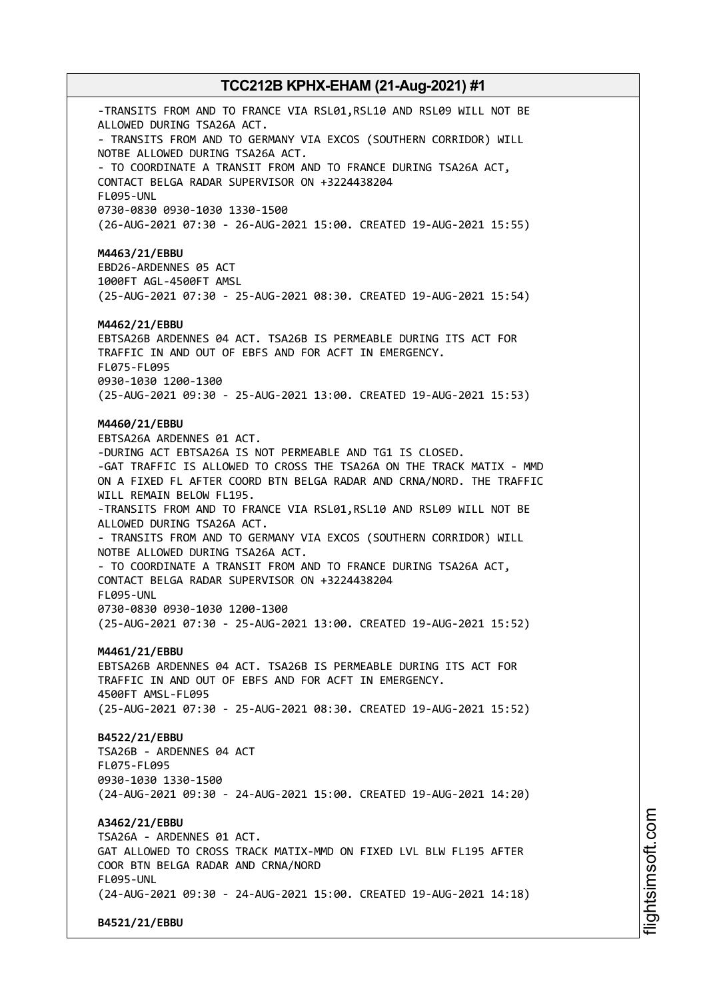-TRANSITS FROM AND TO FRANCE VIA RSL01, RSL10 AND RSL09 WILL NOT BE ALLOWED DURING TSA26A ACT. - TRANSITS FROM AND TO GERMANY VIA EXCOS (SOUTHERN CORRIDOR) WILL NOTBE ALLOWED DURING TSA26A ACT. - TO COORDINATE A TRANSIT FROM AND TO FRANCE DURING TSA26A ACT, CONTACT BELGA RADAR SUPERVISOR ON +3224438204 FL095-UNL 0730-0830 0930-1030 1330-1500 (26-AUG-2021 07:30 - 26-AUG-2021 15:00. CREATED 19-AUG-2021 15:55) **M4463/21/EBBU** EBD26-ARDENNES 05 ACT 1000FT AGL-4500FT AMSL (25-AUG-2021 07:30 - 25-AUG-2021 08:30. CREATED 19-AUG-2021 15:54) **M4462/21/EBBU** EBTSA26B ARDENNES 04 ACT. TSA26B IS PERMEABLE DURING ITS ACT FOR TRAFFIC IN AND OUT OF EBFS AND FOR ACFT IN EMERGENCY. FL075-FL095 0930-1030 1200-1300 (25-AUG-2021 09:30 - 25-AUG-2021 13:00. CREATED 19-AUG-2021 15:53) **M4460/21/EBBU** EBTSA26A ARDENNES 01 ACT. -DURING ACT EBTSA26A IS NOT PERMEABLE AND TG1 IS CLOSED. -GAT TRAFFIC IS ALLOWED TO CROSS THE TSA26A ON THE TRACK MATIX - MMD ON A FIXED FL AFTER COORD BTN BELGA RADAR AND CRNA/NORD. THE TRAFFIC WILL REMAIN BELOW FL195. -TRANSITS FROM AND TO FRANCE VIA RSL01, RSL10 AND RSL09 WILL NOT BE ALLOWED DURING TSA26A ACT. - TRANSITS FROM AND TO GERMANY VIA EXCOS (SOUTHERN CORRIDOR) WILL NOTBE ALLOWED DURING TSA26A ACT. - TO COORDINATE A TRANSIT FROM AND TO FRANCE DURING TSA26A ACT, CONTACT BELGA RADAR SUPERVISOR ON +3224438204 FL095-UNL 0730-0830 0930-1030 1200-1300 (25-AUG-2021 07:30 - 25-AUG-2021 13:00. CREATED 19-AUG-2021 15:52) **M4461/21/EBBU** EBTSA26B ARDENNES 04 ACT. TSA26B IS PERMEABLE DURING ITS ACT FOR TRAFFIC IN AND OUT OF EBFS AND FOR ACFT IN EMERGENCY. 4500FT AMSL-FL095 (25-AUG-2021 07:30 - 25-AUG-2021 08:30. CREATED 19-AUG-2021 15:52) **B4522/21/EBBU** TSA26B - ARDENNES 04 ACT FL075-FL095 0930-1030 1330-1500 (24-AUG-2021 09:30 - 24-AUG-2021 15:00. CREATED 19-AUG-2021 14:20) **A3462/21/EBBU** TSA26A - ARDENNES 01 ACT. GAT ALLOWED TO CROSS TRACK MATIX-MMD ON FIXED LVL BLW FL195 AFTER COOR BTN BELGA RADAR AND CRNA/NORD FL095-UNL (24-AUG-2021 09:30 - 24-AUG-2021 15:00. CREATED 19-AUG-2021 14:18) **B4521/21/EBBU**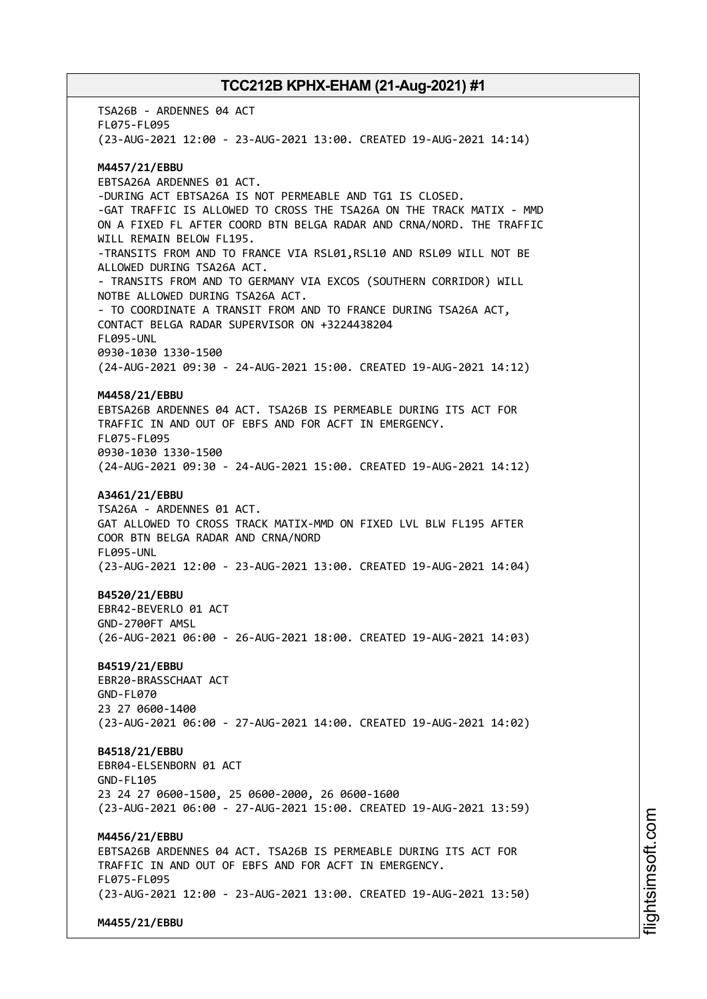TSA26B - ARDENNES 04 ACT FL075-FL095 (23-AUG-2021 12:00 - 23-AUG-2021 13:00. CREATED 19-AUG-2021 14:14) **M4457/21/EBBU** EBTSA26A ARDENNES 01 ACT. -DURING ACT EBTSA26A IS NOT PERMEABLE AND TG1 IS CLOSED. -GAT TRAFFIC IS ALLOWED TO CROSS THE TSA26A ON THE TRACK MATIX - MMD ON A FIXED FL AFTER COORD BTN BELGA RADAR AND CRNA/NORD. THE TRAFFIC WILL REMAIN BELOW FL195. -TRANSITS FROM AND TO FRANCE VIA RSL01,RSL10 AND RSL09 WILL NOT BE ALLOWED DURING TSA26A ACT. - TRANSITS FROM AND TO GERMANY VIA EXCOS (SOUTHERN CORRIDOR) WILL NOTBE ALLOWED DURING TSA26A ACT. - TO COORDINATE A TRANSIT FROM AND TO FRANCE DURING TSA26A ACT, CONTACT BELGA RADAR SUPERVISOR ON +3224438204 FL095-UNL 0930-1030 1330-1500 (24-AUG-2021 09:30 - 24-AUG-2021 15:00. CREATED 19-AUG-2021 14:12) **M4458/21/EBBU** EBTSA26B ARDENNES 04 ACT. TSA26B IS PERMEABLE DURING ITS ACT FOR TRAFFIC IN AND OUT OF EBFS AND FOR ACFT IN EMERGENCY. FL075-FL095 0930-1030 1330-1500 (24-AUG-2021 09:30 - 24-AUG-2021 15:00. CREATED 19-AUG-2021 14:12) **A3461/21/EBBU** TSA26A - ARDENNES 01 ACT. GAT ALLOWED TO CROSS TRACK MATIX-MMD ON FIXED LVL BLW FL195 AFTER COOR BTN BELGA RADAR AND CRNA/NORD FL095-UNL (23-AUG-2021 12:00 - 23-AUG-2021 13:00. CREATED 19-AUG-2021 14:04) **B4520/21/EBBU** EBR42-BEVERLO 01 ACT GND-2700FT AMSL (26-AUG-2021 06:00 - 26-AUG-2021 18:00. CREATED 19-AUG-2021 14:03) **B4519/21/EBBU** EBR20-BRASSCHAAT ACT GND-FL070 23 27 0600-1400 (23-AUG-2021 06:00 - 27-AUG-2021 14:00. CREATED 19-AUG-2021 14:02) **B4518/21/EBBU** EBR04-ELSENBORN 01 ACT GND-FL105 23 24 27 0600-1500, 25 0600-2000, 26 0600-1600 (23-AUG-2021 06:00 - 27-AUG-2021 15:00. CREATED 19-AUG-2021 13:59) **M4456/21/EBBU** EBTSA26B ARDENNES 04 ACT. TSA26B IS PERMEABLE DURING ITS ACT FOR TRAFFIC IN AND OUT OF EBFS AND FOR ACFT IN EMERGENCY. FL075-FL095 (23-AUG-2021 12:00 - 23-AUG-2021 13:00. CREATED 19-AUG-2021 13:50) **M4455/21/EBBU**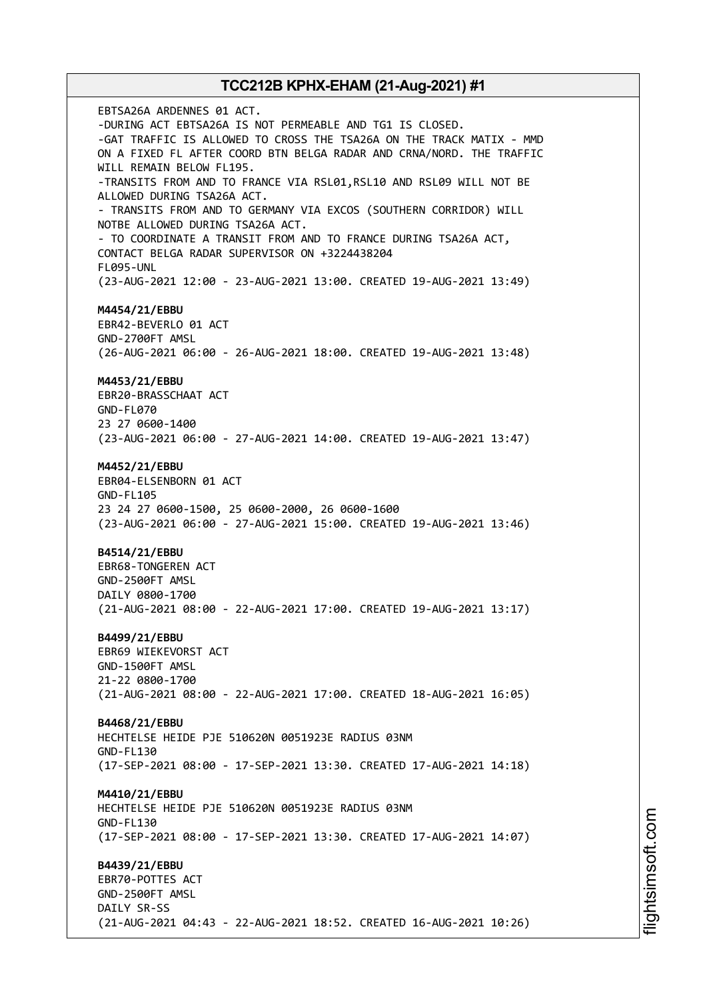EBTSA26A ARDENNES 01 ACT. -DURING ACT EBTSA26A IS NOT PERMEABLE AND TG1 IS CLOSED. -GAT TRAFFIC IS ALLOWED TO CROSS THE TSA26A ON THE TRACK MATIX - MMD ON A FIXED FL AFTER COORD BTN BELGA RADAR AND CRNA/NORD. THE TRAFFIC WILL REMAIN BELOW FL195. -TRANSITS FROM AND TO FRANCE VIA RSL01,RSL10 AND RSL09 WILL NOT BE ALLOWED DURING TSA26A ACT. - TRANSITS FROM AND TO GERMANY VIA EXCOS (SOUTHERN CORRIDOR) WILL NOTBE ALLOWED DURING TSA26A ACT. - TO COORDINATE A TRANSIT FROM AND TO FRANCE DURING TSA26A ACT, CONTACT BELGA RADAR SUPERVISOR ON +3224438204 FL095-UNL (23-AUG-2021 12:00 - 23-AUG-2021 13:00. CREATED 19-AUG-2021 13:49) **M4454/21/EBBU** EBR42-BEVERLO 01 ACT GND-2700FT AMSL (26-AUG-2021 06:00 - 26-AUG-2021 18:00. CREATED 19-AUG-2021 13:48) **M4453/21/EBBU** EBR20-BRASSCHAAT ACT GND-FL070 23 27 0600-1400 (23-AUG-2021 06:00 - 27-AUG-2021 14:00. CREATED 19-AUG-2021 13:47) **M4452/21/EBBU** EBR04-ELSENBORN 01 ACT GND-FL105 23 24 27 0600-1500, 25 0600-2000, 26 0600-1600 (23-AUG-2021 06:00 - 27-AUG-2021 15:00. CREATED 19-AUG-2021 13:46) **B4514/21/EBBU** EBR68-TONGEREN ACT GND-2500FT AMSL DAILY 0800-1700 (21-AUG-2021 08:00 - 22-AUG-2021 17:00. CREATED 19-AUG-2021 13:17) **B4499/21/EBBU** EBR69 WIEKEVORST ACT GND-1500FT AMSL 21-22 0800-1700 (21-AUG-2021 08:00 - 22-AUG-2021 17:00. CREATED 18-AUG-2021 16:05) **B4468/21/EBBU** HECHTELSE HEIDE PJE 510620N 0051923E RADIUS 03NM GND-FL130 (17-SEP-2021 08:00 - 17-SEP-2021 13:30. CREATED 17-AUG-2021 14:18) **M4410/21/EBBU** HECHTELSE HEIDE PJE 510620N 0051923E RADIUS 03NM GND-FL130 (17-SEP-2021 08:00 - 17-SEP-2021 13:30. CREATED 17-AUG-2021 14:07) **B4439/21/EBBU** EBR70-POTTES ACT GND-2500FT AMSL DAILY SR-SS (21-AUG-2021 04:43 - 22-AUG-2021 18:52. CREATED 16-AUG-2021 10:26)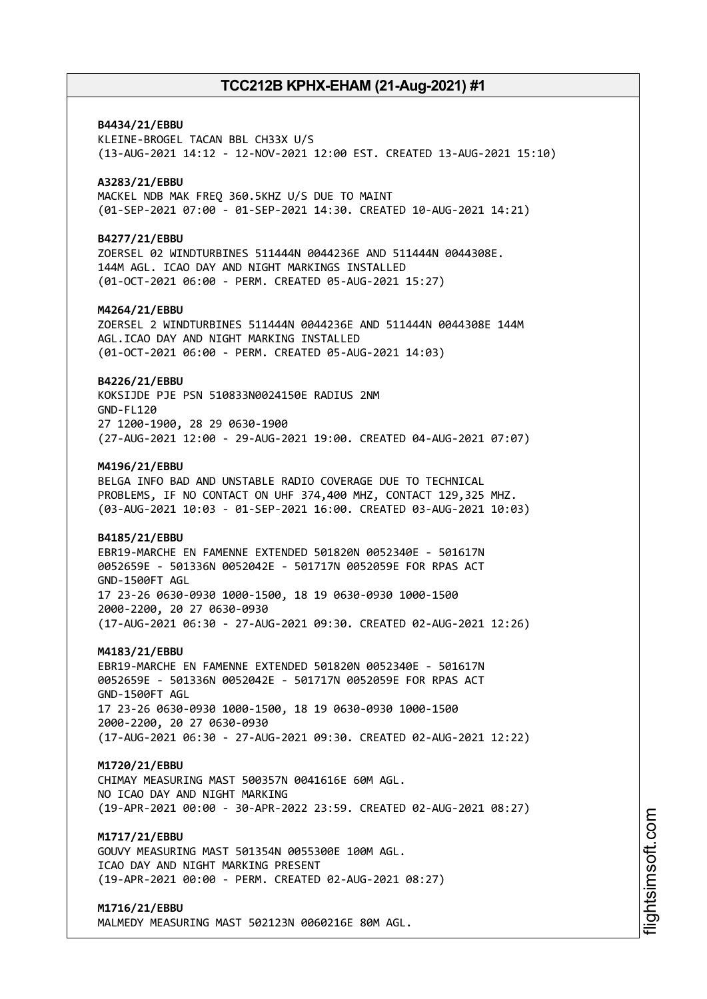# **B4434/21/EBBU** KLEINE-BROGEL TACAN BBL CH33X U/S (13-AUG-2021 14:12 - 12-NOV-2021 12:00 EST. CREATED 13-AUG-2021 15:10) **A3283/21/EBBU** MACKEL NDB MAK FREQ 360.5KHZ U/S DUE TO MAINT (01-SEP-2021 07:00 - 01-SEP-2021 14:30. CREATED 10-AUG-2021 14:21) **B4277/21/EBBU** ZOERSEL 02 WINDTURBINES 511444N 0044236E AND 511444N 0044308E. 144M AGL. ICAO DAY AND NIGHT MARKINGS INSTALLED (01-OCT-2021 06:00 - PERM. CREATED 05-AUG-2021 15:27) **M4264/21/EBBU** ZOERSEL 2 WINDTURBINES 511444N 0044236E AND 511444N 0044308E 144M AGL.ICAO DAY AND NIGHT MARKING INSTALLED (01-OCT-2021 06:00 - PERM. CREATED 05-AUG-2021 14:03) **B4226/21/EBBU** KOKSIJDE PJE PSN 510833N0024150E RADIUS 2NM GND-FL120 27 1200-1900, 28 29 0630-1900 (27-AUG-2021 12:00 - 29-AUG-2021 19:00. CREATED 04-AUG-2021 07:07) **M4196/21/EBBU** BELGA INFO BAD AND UNSTABLE RADIO COVERAGE DUE TO TECHNICAL PROBLEMS, IF NO CONTACT ON UHF 374,400 MHZ, CONTACT 129,325 MHZ. (03-AUG-2021 10:03 - 01-SEP-2021 16:00. CREATED 03-AUG-2021 10:03) **B4185/21/EBBU** EBR19-MARCHE EN FAMENNE EXTENDED 501820N 0052340E - 501617N 0052659E - 501336N 0052042E - 501717N 0052059E FOR RPAS ACT GND-1500FT AGL 17 23-26 0630-0930 1000-1500, 18 19 0630-0930 1000-1500 2000-2200, 20 27 0630-0930 (17-AUG-2021 06:30 - 27-AUG-2021 09:30. CREATED 02-AUG-2021 12:26) **M4183/21/EBBU** EBR19-MARCHE EN FAMENNE EXTENDED 501820N 0052340E - 501617N 0052659E - 501336N 0052042E - 501717N 0052059E FOR RPAS ACT GND-1500FT AGL 17 23-26 0630-0930 1000-1500, 18 19 0630-0930 1000-1500 2000-2200, 20 27 0630-0930 (17-AUG-2021 06:30 - 27-AUG-2021 09:30. CREATED 02-AUG-2021 12:22) **M1720/21/EBBU** CHIMAY MEASURING MAST 500357N 0041616E 60M AGL. NO ICAO DAY AND NIGHT MARKING (19-APR-2021 00:00 - 30-APR-2022 23:59. CREATED 02-AUG-2021 08:27) **M1717/21/EBBU** GOUVY MEASURING MAST 501354N 0055300E 100M AGL. ICAO DAY AND NIGHT MARKING PRESENT (19-APR-2021 00:00 - PERM. CREATED 02-AUG-2021 08:27) **M1716/21/EBBU**

MALMEDY MEASURING MAST 502123N 0060216E 80M AGL.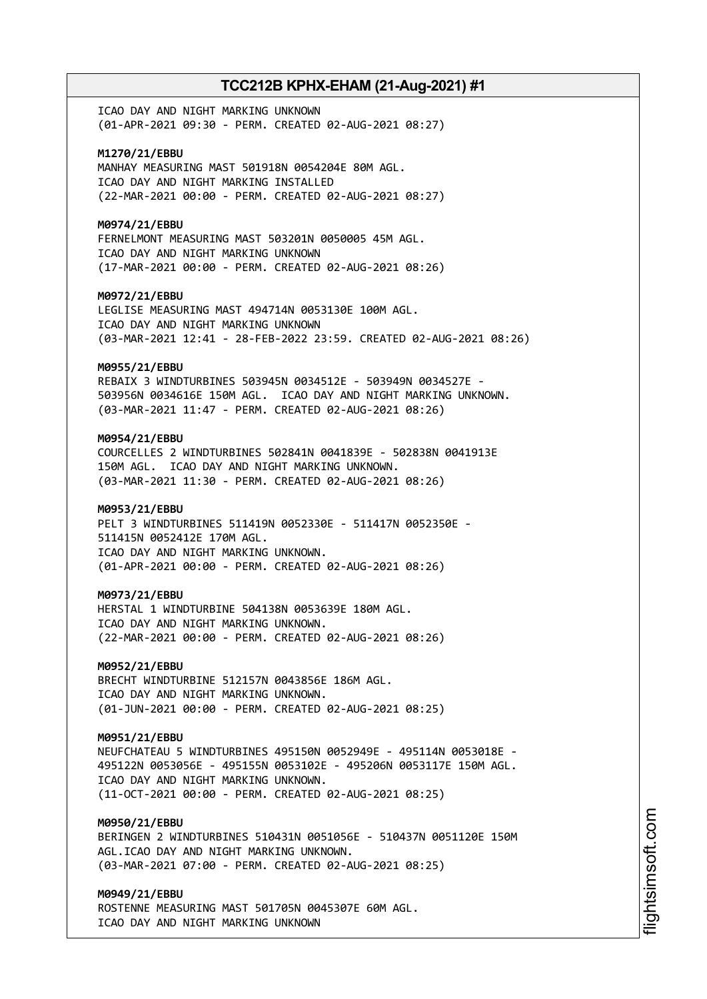ICAO DAY AND NIGHT MARKING UNKNOWN (01-APR-2021 09:30 - PERM. CREATED 02-AUG-2021 08:27)

**M1270/21/EBBU** MANHAY MEASURING MAST 501918N 0054204E 80M AGL. ICAO DAY AND NIGHT MARKING INSTALLED (22-MAR-2021 00:00 - PERM. CREATED 02-AUG-2021 08:27)

**M0974/21/EBBU** FERNELMONT MEASURING MAST 503201N 0050005 45M AGL.

ICAO DAY AND NIGHT MARKING UNKNOWN (17-MAR-2021 00:00 - PERM. CREATED 02-AUG-2021 08:26)

**M0972/21/EBBU**

LEGLISE MEASURING MAST 494714N 0053130E 100M AGL. ICAO DAY AND NIGHT MARKING UNKNOWN (03-MAR-2021 12:41 - 28-FEB-2022 23:59. CREATED 02-AUG-2021 08:26)

### **M0955/21/EBBU**

REBAIX 3 WINDTURBINES 503945N 0034512E - 503949N 0034527E - 503956N 0034616E 150M AGL. ICAO DAY AND NIGHT MARKING UNKNOWN. (03-MAR-2021 11:47 - PERM. CREATED 02-AUG-2021 08:26)

### **M0954/21/EBBU**

COURCELLES 2 WINDTURBINES 502841N 0041839E - 502838N 0041913E 150M AGL. ICAO DAY AND NIGHT MARKING UNKNOWN. (03-MAR-2021 11:30 - PERM. CREATED 02-AUG-2021 08:26)

### **M0953/21/EBBU**

PELT 3 WINDTURBINES 511419N 0052330E - 511417N 0052350E - 511415N 0052412E 170M AGL. ICAO DAY AND NIGHT MARKING UNKNOWN. (01-APR-2021 00:00 - PERM. CREATED 02-AUG-2021 08:26)

#### **M0973/21/EBBU**

HERSTAL 1 WINDTURBINE 504138N 0053639E 180M AGL. ICAO DAY AND NIGHT MARKING UNKNOWN. (22-MAR-2021 00:00 - PERM. CREATED 02-AUG-2021 08:26)

### **M0952/21/EBBU**

BRECHT WINDTURBINE 512157N 0043856E 186M AGL. ICAO DAY AND NIGHT MARKING UNKNOWN. (01-JUN-2021 00:00 - PERM. CREATED 02-AUG-2021 08:25)

### **M0951/21/EBBU**

NEUFCHATEAU 5 WINDTURBINES 495150N 0052949E - 495114N 0053018E - 495122N 0053056E - 495155N 0053102E - 495206N 0053117E 150M AGL. ICAO DAY AND NIGHT MARKING UNKNOWN. (11-OCT-2021 00:00 - PERM. CREATED 02-AUG-2021 08:25)

### **M0950/21/EBBU**

BERINGEN 2 WINDTURBINES 510431N 0051056E - 510437N 0051120E 150M AGL.ICAO DAY AND NIGHT MARKING UNKNOWN. (03-MAR-2021 07:00 - PERM. CREATED 02-AUG-2021 08:25)

### **M0949/21/EBBU**

ROSTENNE MEASURING MAST 501705N 0045307E 60M AGL. ICAO DAY AND NIGHT MARKING UNKNOWN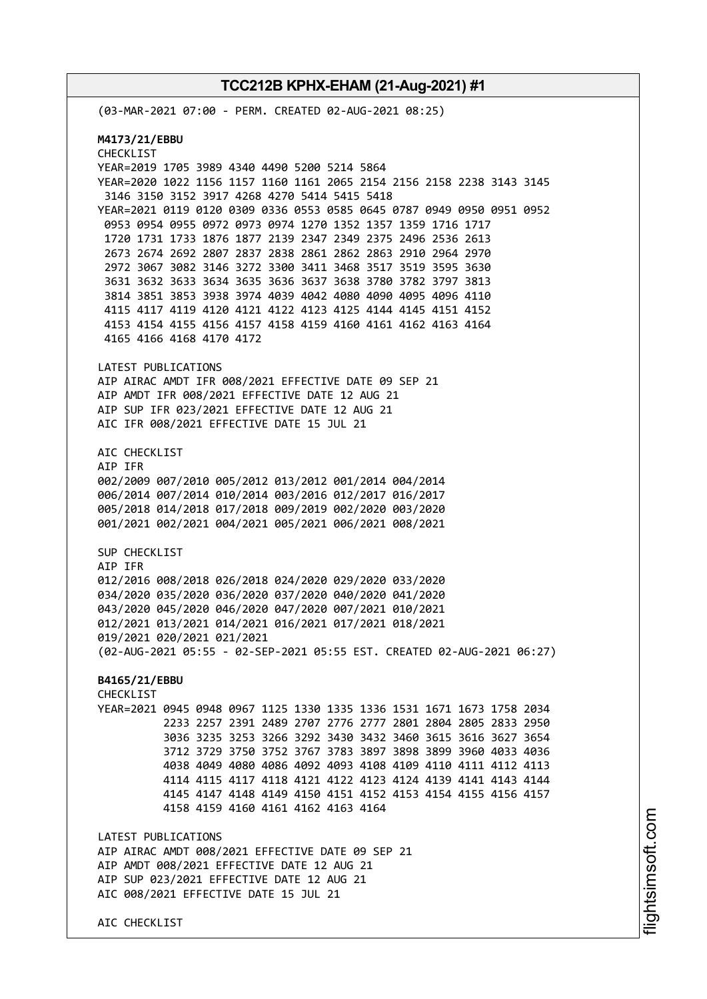AIC CHECKLIST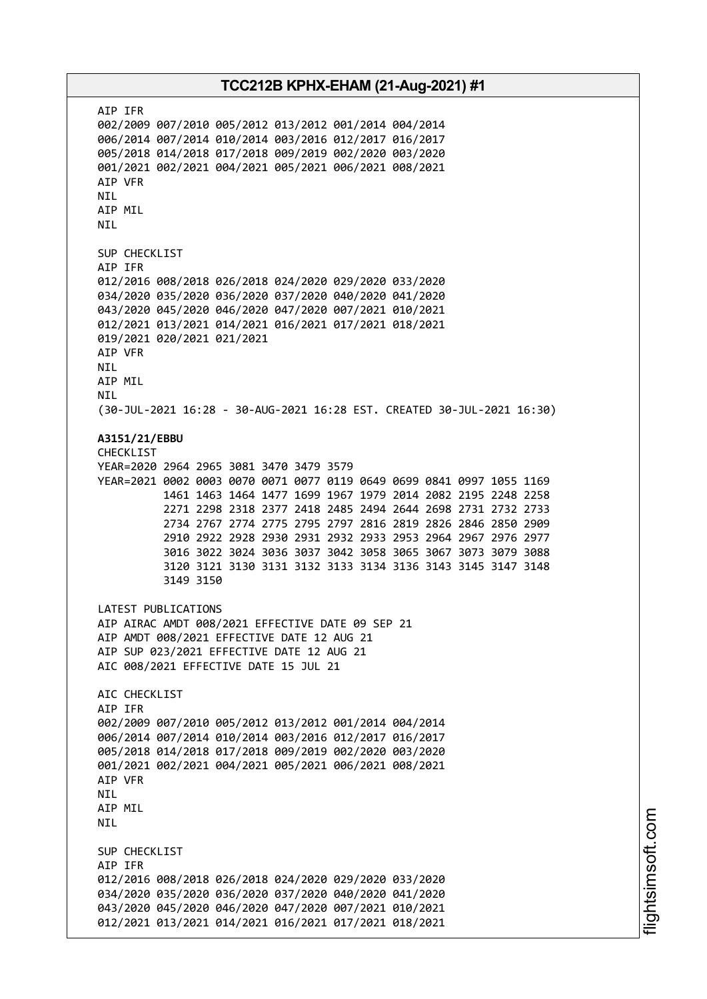AIP IFR 002/2009 007/2010 005/2012 013/2012 001/2014 004/2014 006/2014 007/2014 010/2014 003/2016 012/2017 016/2017 005/2018 014/2018 017/2018 009/2019 002/2020 003/2020 001/2021 002/2021 004/2021 005/2021 006/2021 008/2021 AIP VFR NIL AIP MIL NIL SUP CHECKLIST AIP IFR 012/2016 008/2018 026/2018 024/2020 029/2020 033/2020 034/2020 035/2020 036/2020 037/2020 040/2020 041/2020 043/2020 045/2020 046/2020 047/2020 007/2021 010/2021 012/2021 013/2021 014/2021 016/2021 017/2021 018/2021 019/2021 020/2021 021/2021 AIP VFR NIL AIP MIL NIL (30-JUL-2021 16:28 - 30-AUG-2021 16:28 EST. CREATED 30-JUL-2021 16:30) **A3151/21/EBBU** CHECKLIST YEAR=2020 2964 2965 3081 3470 3479 3579 YEAR=2021 0002 0003 0070 0071 0077 0119 0649 0699 0841 0997 1055 1169 1461 1463 1464 1477 1699 1967 1979 2014 2082 2195 2248 2258 2271 2298 2318 2377 2418 2485 2494 2644 2698 2731 2732 2733 2734 2767 2774 2775 2795 2797 2816 2819 2826 2846 2850 2909 2910 2922 2928 2930 2931 2932 2933 2953 2964 2967 2976 2977 3016 3022 3024 3036 3037 3042 3058 3065 3067 3073 3079 3088 3120 3121 3130 3131 3132 3133 3134 3136 3143 3145 3147 3148 3149 3150 LATEST PUBLICATIONS AIP AIRAC AMDT 008/2021 EFFECTIVE DATE 09 SEP 21 AIP AMDT 008/2021 EFFECTIVE DATE 12 AUG 21 AIP SUP 023/2021 EFFECTIVE DATE 12 AUG 21 AIC 008/2021 EFFECTIVE DATE 15 JUL 21 AIC CHECKLIST AIP IFR 002/2009 007/2010 005/2012 013/2012 001/2014 004/2014 006/2014 007/2014 010/2014 003/2016 012/2017 016/2017 005/2018 014/2018 017/2018 009/2019 002/2020 003/2020 001/2021 002/2021 004/2021 005/2021 006/2021 008/2021 AIP VFR NIL AIP MIL NIL SUP CHECKLIST AIP IFR 012/2016 008/2018 026/2018 024/2020 029/2020 033/2020 034/2020 035/2020 036/2020 037/2020 040/2020 041/2020 043/2020 045/2020 046/2020 047/2020 007/2021 010/2021 012/2021 013/2021 014/2021 016/2021 017/2021 018/2021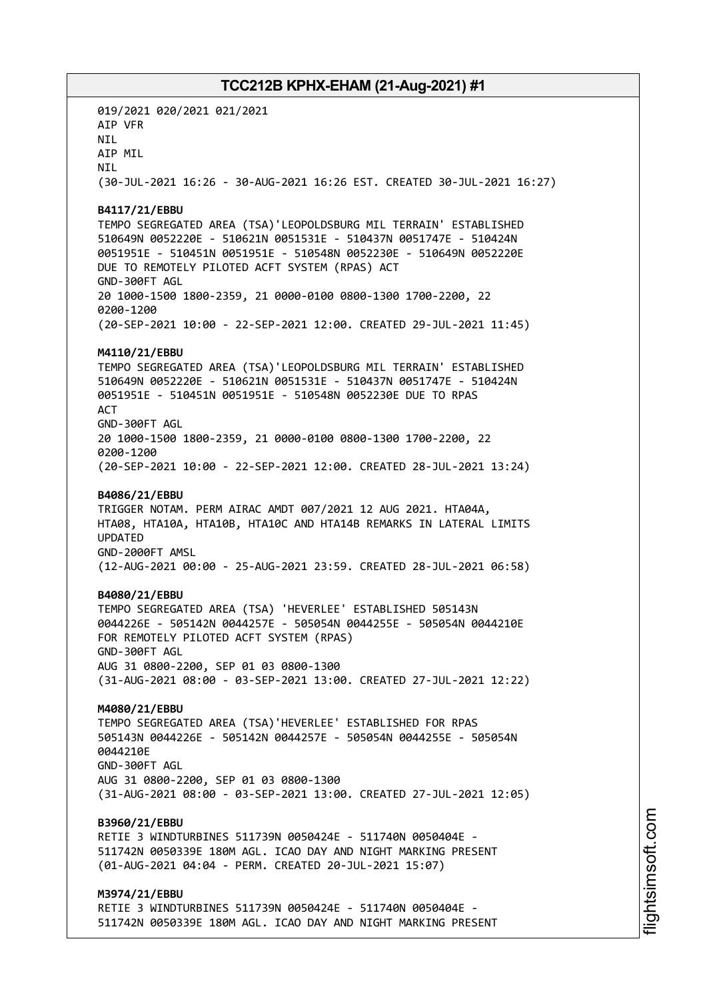019/2021 020/2021 021/2021 AIP VFR NIL AIP MIL **NTI** (30-JUL-2021 16:26 - 30-AUG-2021 16:26 EST. CREATED 30-JUL-2021 16:27) **B4117/21/EBBU** TEMPO SEGREGATED AREA (TSA)'LEOPOLDSBURG MIL TERRAIN' ESTABLISHED 510649N 0052220E - 510621N 0051531E - 510437N 0051747E - 510424N 0051951E - 510451N 0051951E - 510548N 0052230E - 510649N 0052220E DUE TO REMOTELY PILOTED ACFT SYSTEM (RPAS) ACT GND-300FT AGL 20 1000-1500 1800-2359, 21 0000-0100 0800-1300 1700-2200, 22 0200-1200 (20-SEP-2021 10:00 - 22-SEP-2021 12:00. CREATED 29-JUL-2021 11:45) **M4110/21/EBBU** TEMPO SEGREGATED AREA (TSA)'LEOPOLDSBURG MIL TERRAIN' ESTABLISHED 510649N 0052220E - 510621N 0051531E - 510437N 0051747E - 510424N 0051951E - 510451N 0051951E - 510548N 0052230E DUE TO RPAS **ACT** GND-300FT AGL 20 1000-1500 1800-2359, 21 0000-0100 0800-1300 1700-2200, 22 0200-1200 (20-SEP-2021 10:00 - 22-SEP-2021 12:00. CREATED 28-JUL-2021 13:24) **B4086/21/EBBU** TRIGGER NOTAM. PERM AIRAC AMDT 007/2021 12 AUG 2021. HTA04A, HTA08, HTA10A, HTA10B, HTA10C AND HTA14B REMARKS IN LATERAL LIMITS UPDATED GND-2000FT AMSL (12-AUG-2021 00:00 - 25-AUG-2021 23:59. CREATED 28-JUL-2021 06:58) **B4080/21/EBBU** TEMPO SEGREGATED AREA (TSA) 'HEVERLEE' ESTABLISHED 505143N 0044226E - 505142N 0044257E - 505054N 0044255E - 505054N 0044210E FOR REMOTELY PILOTED ACFT SYSTEM (RPAS) GND-300FT AGL AUG 31 0800-2200, SEP 01 03 0800-1300 (31-AUG-2021 08:00 - 03-SEP-2021 13:00. CREATED 27-JUL-2021 12:22) **M4080/21/EBBU** TEMPO SEGREGATED AREA (TSA)'HEVERLEE' ESTABLISHED FOR RPAS 505143N 0044226E - 505142N 0044257E - 505054N 0044255E - 505054N 0044210E GND-300FT AGL AUG 31 0800-2200, SEP 01 03 0800-1300 (31-AUG-2021 08:00 - 03-SEP-2021 13:00. CREATED 27-JUL-2021 12:05) **B3960/21/EBBU** RETIE 3 WINDTURBINES 511739N 0050424E - 511740N 0050404E - 511742N 0050339E 180M AGL. ICAO DAY AND NIGHT MARKING PRESENT (01-AUG-2021 04:04 - PERM. CREATED 20-JUL-2021 15:07) **M3974/21/EBBU** RETIE 3 WINDTURBINES 511739N 0050424E - 511740N 0050404E - 511742N 0050339E 180M AGL. ICAO DAY AND NIGHT MARKING PRESENT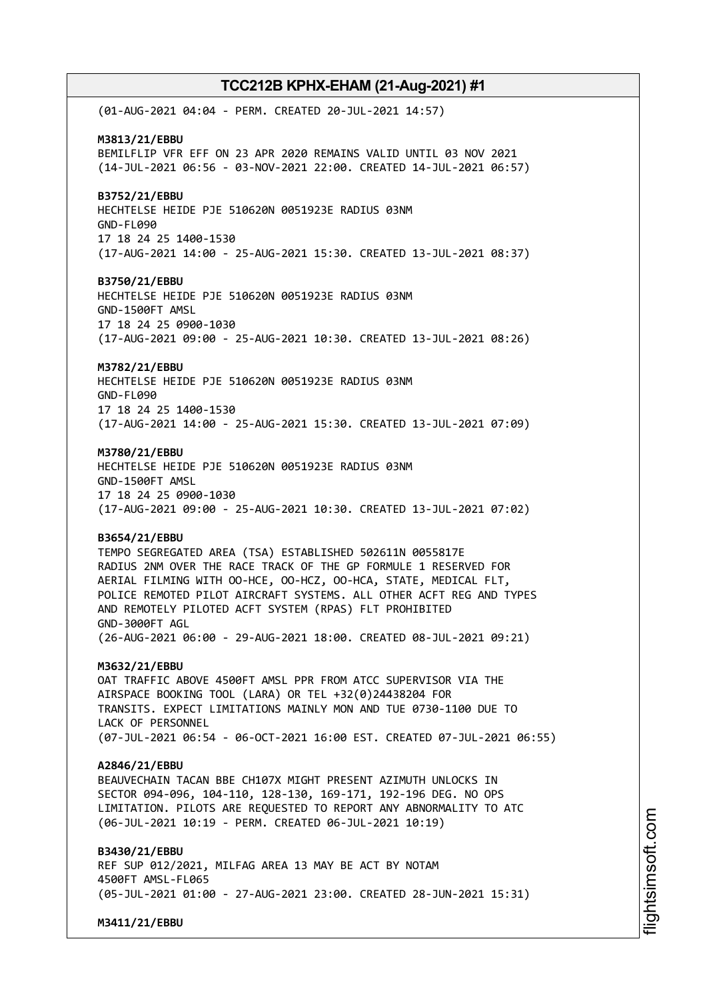(01-AUG-2021 04:04 - PERM. CREATED 20-JUL-2021 14:57) **M3813/21/EBBU** BEMILFLIP VFR EFF ON 23 APR 2020 REMAINS VALID UNTIL 03 NOV 2021 (14-JUL-2021 06:56 - 03-NOV-2021 22:00. CREATED 14-JUL-2021 06:57) **B3752/21/EBBU** HECHTELSE HEIDE PJE 510620N 0051923E RADIUS 03NM GND-FL090 17 18 24 25 1400-1530 (17-AUG-2021 14:00 - 25-AUG-2021 15:30. CREATED 13-JUL-2021 08:37) **B3750/21/EBBU** HECHTELSE HEIDE PJE 510620N 0051923E RADIUS 03NM GND-1500FT AMSL 17 18 24 25 0900-1030 (17-AUG-2021 09:00 - 25-AUG-2021 10:30. CREATED 13-JUL-2021 08:26) **M3782/21/EBBU** HECHTELSE HEIDE PJE 510620N 0051923E RADIUS 03NM GND-FL090 17 18 24 25 1400-1530 (17-AUG-2021 14:00 - 25-AUG-2021 15:30. CREATED 13-JUL-2021 07:09) **M3780/21/EBBU** HECHTELSE HEIDE PJE 510620N 0051923E RADIUS 03NM GND-1500FT AMSL 17 18 24 25 0900-1030 (17-AUG-2021 09:00 - 25-AUG-2021 10:30. CREATED 13-JUL-2021 07:02) **B3654/21/EBBU** TEMPO SEGREGATED AREA (TSA) ESTABLISHED 502611N 0055817E RADIUS 2NM OVER THE RACE TRACK OF THE GP FORMULE 1 RESERVED FOR AERIAL FILMING WITH OO-HCE, OO-HCZ, OO-HCA, STATE, MEDICAL FLT, POLICE REMOTED PILOT AIRCRAFT SYSTEMS. ALL OTHER ACFT REG AND TYPES AND REMOTELY PILOTED ACFT SYSTEM (RPAS) FLT PROHIBITED GND-3000FT AGL (26-AUG-2021 06:00 - 29-AUG-2021 18:00. CREATED 08-JUL-2021 09:21) **M3632/21/EBBU** OAT TRAFFIC ABOVE 4500FT AMSL PPR FROM ATCC SUPERVISOR VIA THE AIRSPACE BOOKING TOOL (LARA) OR TEL +32(0)24438204 FOR TRANSITS. EXPECT LIMITATIONS MAINLY MON AND TUE 0730-1100 DUE TO LACK OF PERSONNEL (07-JUL-2021 06:54 - 06-OCT-2021 16:00 EST. CREATED 07-JUL-2021 06:55) **A2846/21/EBBU** BEAUVECHAIN TACAN BBE CH107X MIGHT PRESENT AZIMUTH UNLOCKS IN SECTOR 094-096, 104-110, 128-130, 169-171, 192-196 DEG. NO OPS LIMITATION. PILOTS ARE REQUESTED TO REPORT ANY ABNORMALITY TO ATC (06-JUL-2021 10:19 - PERM. CREATED 06-JUL-2021 10:19) **B3430/21/EBBU** REF SUP 012/2021, MILFAG AREA 13 MAY BE ACT BY NOTAM 4500FT AMSL-FL065 (05-JUL-2021 01:00 - 27-AUG-2021 23:00. CREATED 28-JUN-2021 15:31) **M3411/21/EBBU**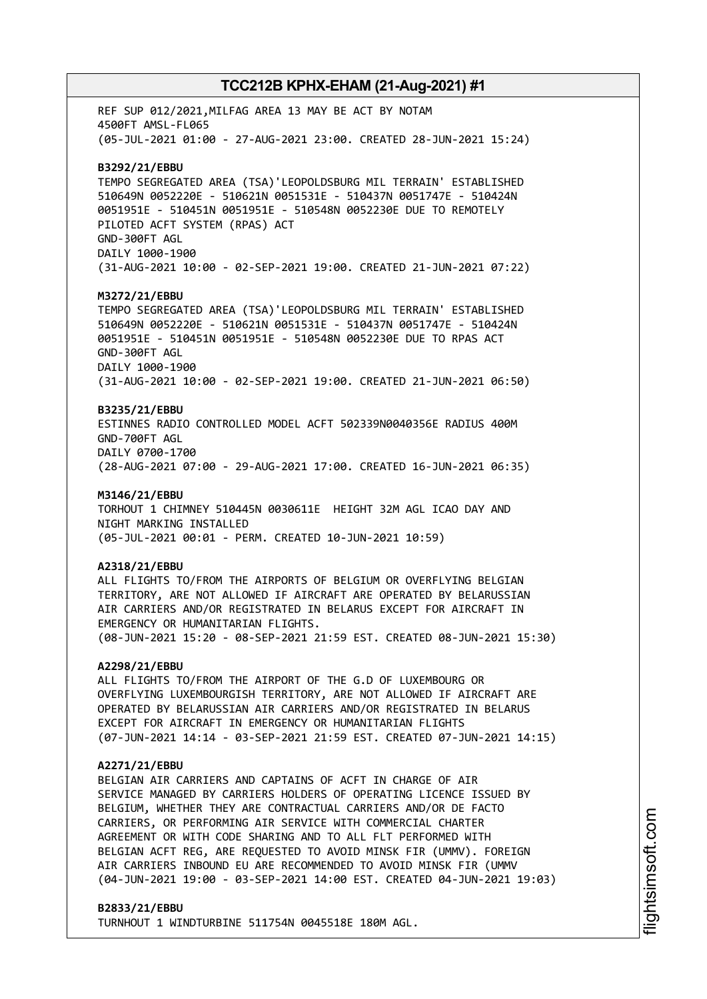REF SUP 012/2021,MILFAG AREA 13 MAY BE ACT BY NOTAM 4500FT AMSL-FL065 (05-JUL-2021 01:00 - 27-AUG-2021 23:00. CREATED 28-JUN-2021 15:24) **B3292/21/EBBU** TEMPO SEGREGATED AREA (TSA)'LEOPOLDSBURG MIL TERRAIN' ESTABLISHED 510649N 0052220E - 510621N 0051531E - 510437N 0051747E - 510424N 0051951E - 510451N 0051951E - 510548N 0052230E DUE TO REMOTELY PILOTED ACFT SYSTEM (RPAS) ACT GND-300FT AGL DAILY 1000-1900 (31-AUG-2021 10:00 - 02-SEP-2021 19:00. CREATED 21-JUN-2021 07:22) **M3272/21/EBBU** TEMPO SEGREGATED AREA (TSA)'LEOPOLDSBURG MIL TERRAIN' ESTABLISHED 510649N 0052220E - 510621N 0051531E - 510437N 0051747E - 510424N 0051951E - 510451N 0051951E - 510548N 0052230E DUE TO RPAS ACT GND-300FT AGL DAILY 1000-1900 (31-AUG-2021 10:00 - 02-SEP-2021 19:00. CREATED 21-JUN-2021 06:50) **B3235/21/EBBU** ESTINNES RADIO CONTROLLED MODEL ACFT 502339N0040356E RADIUS 400M GND-700FT AGL DAILY 0700-1700 (28-AUG-2021 07:00 - 29-AUG-2021 17:00. CREATED 16-JUN-2021 06:35) **M3146/21/EBBU** TORHOUT 1 CHIMNEY 510445N 0030611E HEIGHT 32M AGL ICAO DAY AND NIGHT MARKING INSTALLED (05-JUL-2021 00:01 - PERM. CREATED 10-JUN-2021 10:59) **A2318/21/EBBU** ALL FLIGHTS TO/FROM THE AIRPORTS OF BELGIUM OR OVERFLYING BELGIAN TERRITORY, ARE NOT ALLOWED IF AIRCRAFT ARE OPERATED BY BELARUSSIAN AIR CARRIERS AND/OR REGISTRATED IN BELARUS EXCEPT FOR AIRCRAFT IN EMERGENCY OR HUMANITARIAN FLIGHTS. (08-JUN-2021 15:20 - 08-SEP-2021 21:59 EST. CREATED 08-JUN-2021 15:30) **A2298/21/EBBU** ALL FLIGHTS TO/FROM THE AIRPORT OF THE G.D OF LUXEMBOURG OR OVERFLYING LUXEMBOURGISH TERRITORY, ARE NOT ALLOWED IF AIRCRAFT ARE OPERATED BY BELARUSSIAN AIR CARRIERS AND/OR REGISTRATED IN BELARUS

#### **A2271/21/EBBU**

BELGIAN AIR CARRIERS AND CAPTAINS OF ACFT IN CHARGE OF AIR SERVICE MANAGED BY CARRIERS HOLDERS OF OPERATING LICENCE ISSUED BY BELGIUM, WHETHER THEY ARE CONTRACTUAL CARRIERS AND/OR DE FACTO CARRIERS, OR PERFORMING AIR SERVICE WITH COMMERCIAL CHARTER AGREEMENT OR WITH CODE SHARING AND TO ALL FLT PERFORMED WITH BELGIAN ACFT REG, ARE REQUESTED TO AVOID MINSK FIR (UMMV). FOREIGN AIR CARRIERS INBOUND EU ARE RECOMMENDED TO AVOID MINSK FIR (UMMV (04-JUN-2021 19:00 - 03-SEP-2021 14:00 EST. CREATED 04-JUN-2021 19:03)

(07-JUN-2021 14:14 - 03-SEP-2021 21:59 EST. CREATED 07-JUN-2021 14:15)

### **B2833/21/EBBU**

TURNHOUT 1 WINDTURBINE 511754N 0045518E 180M AGL.

EXCEPT FOR AIRCRAFT IN EMERGENCY OR HUMANITARIAN FLIGHTS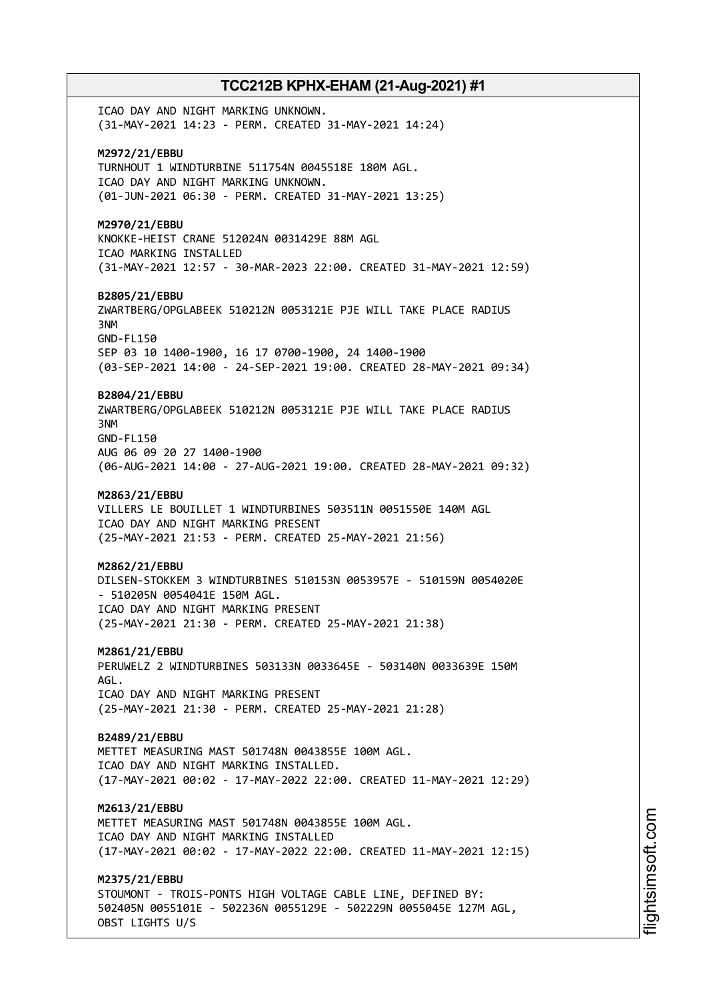ICAO DAY AND NIGHT MARKING UNKNOWN. (31-MAY-2021 14:23 - PERM. CREATED 31-MAY-2021 14:24) **M2972/21/EBBU** TURNHOUT 1 WINDTURBINE 511754N 0045518E 180M AGL. ICAO DAY AND NIGHT MARKING UNKNOWN. (01-JUN-2021 06:30 - PERM. CREATED 31-MAY-2021 13:25) **M2970/21/EBBU** KNOKKE-HEIST CRANE 512024N 0031429E 88M AGL ICAO MARKING INSTALLED (31-MAY-2021 12:57 - 30-MAR-2023 22:00. CREATED 31-MAY-2021 12:59) **B2805/21/EBBU** ZWARTBERG/OPGLABEEK 510212N 0053121E PJE WILL TAKE PLACE RADIUS 3NM GND-FL150 SEP 03 10 1400-1900, 16 17 0700-1900, 24 1400-1900 (03-SEP-2021 14:00 - 24-SEP-2021 19:00. CREATED 28-MAY-2021 09:34) **B2804/21/EBBU** ZWARTBERG/OPGLABEEK 510212N 0053121E PJE WILL TAKE PLACE RADIUS 3NM GND-FL150 AUG 06 09 20 27 1400-1900 (06-AUG-2021 14:00 - 27-AUG-2021 19:00. CREATED 28-MAY-2021 09:32) **M2863/21/EBBU** VILLERS LE BOUILLET 1 WINDTURBINES 503511N 0051550E 140M AGL ICAO DAY AND NIGHT MARKING PRESENT (25-MAY-2021 21:53 - PERM. CREATED 25-MAY-2021 21:56) **M2862/21/EBBU** DILSEN-STOKKEM 3 WINDTURBINES 510153N 0053957E - 510159N 0054020E - 510205N 0054041E 150M AGL. ICAO DAY AND NIGHT MARKING PRESENT (25-MAY-2021 21:30 - PERM. CREATED 25-MAY-2021 21:38) **M2861/21/EBBU** PERUWELZ 2 WINDTURBINES 503133N 0033645E - 503140N 0033639E 150M AGL. ICAO DAY AND NIGHT MARKING PRESENT (25-MAY-2021 21:30 - PERM. CREATED 25-MAY-2021 21:28) **B2489/21/EBBU** METTET MEASURING MAST 501748N 0043855E 100M AGL. ICAO DAY AND NIGHT MARKING INSTALLED. (17-MAY-2021 00:02 - 17-MAY-2022 22:00. CREATED 11-MAY-2021 12:29) **M2613/21/EBBU** METTET MEASURING MAST 501748N 0043855E 100M AGL. ICAO DAY AND NIGHT MARKING INSTALLED (17-MAY-2021 00:02 - 17-MAY-2022 22:00. CREATED 11-MAY-2021 12:15) **M2375/21/EBBU** STOUMONT - TROIS-PONTS HIGH VOLTAGE CABLE LINE, DEFINED BY: 502405N 0055101E - 502236N 0055129E - 502229N 0055045E 127M AGL,

OBST LIGHTS U/S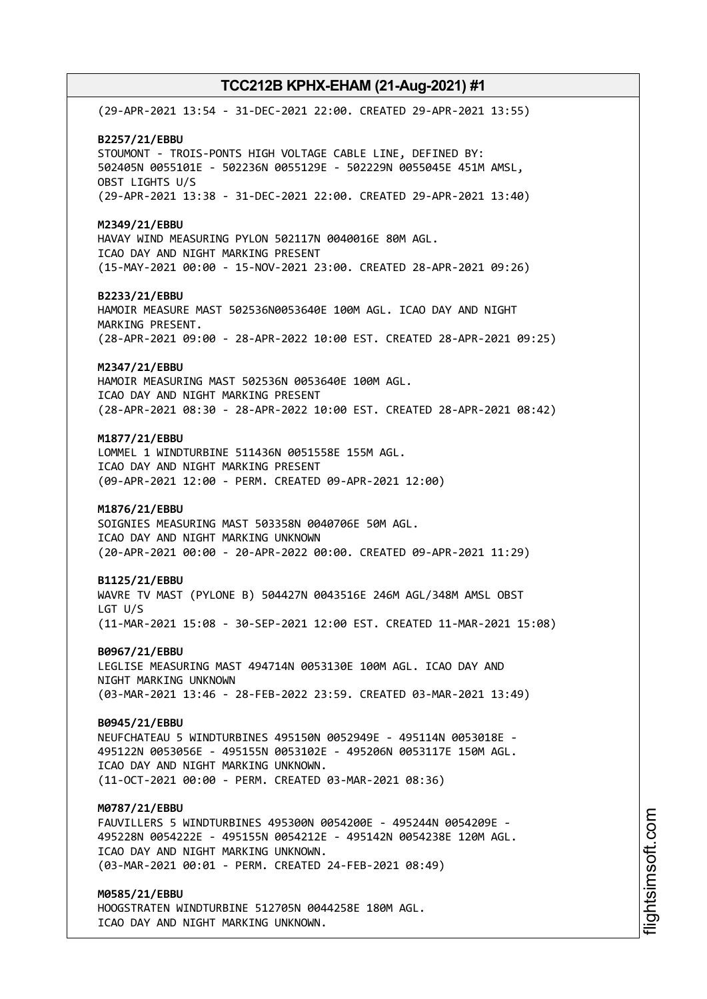(29-APR-2021 13:54 - 31-DEC-2021 22:00. CREATED 29-APR-2021 13:55) **B2257/21/EBBU** STOUMONT - TROIS-PONTS HIGH VOLTAGE CABLE LINE, DEFINED BY: 502405N 0055101E - 502236N 0055129E - 502229N 0055045E 451M AMSL, OBST LIGHTS U/S (29-APR-2021 13:38 - 31-DEC-2021 22:00. CREATED 29-APR-2021 13:40) **M2349/21/EBBU** HAVAY WIND MEASURING PYLON 502117N 0040016E 80M AGL. ICAO DAY AND NIGHT MARKING PRESENT (15-MAY-2021 00:00 - 15-NOV-2021 23:00. CREATED 28-APR-2021 09:26) **B2233/21/EBBU** HAMOIR MEASURE MAST 502536N0053640E 100M AGL. ICAO DAY AND NIGHT MARKING PRESENT. (28-APR-2021 09:00 - 28-APR-2022 10:00 EST. CREATED 28-APR-2021 09:25) **M2347/21/EBBU** HAMOIR MEASURING MAST 502536N 0053640E 100M AGL. ICAO DAY AND NIGHT MARKING PRESENT (28-APR-2021 08:30 - 28-APR-2022 10:00 EST. CREATED 28-APR-2021 08:42) **M1877/21/EBBU** LOMMEL 1 WINDTURBINE 511436N 0051558E 155M AGL. ICAO DAY AND NIGHT MARKING PRESENT (09-APR-2021 12:00 - PERM. CREATED 09-APR-2021 12:00) **M1876/21/EBBU** SOIGNIES MEASURING MAST 503358N 0040706E 50M AGL. ICAO DAY AND NIGHT MARKING UNKNOWN (20-APR-2021 00:00 - 20-APR-2022 00:00. CREATED 09-APR-2021 11:29) **B1125/21/EBBU** WAVRE TV MAST (PYLONE B) 504427N 0043516E 246M AGL/348M AMSL OBST LGT U/S (11-MAR-2021 15:08 - 30-SEP-2021 12:00 EST. CREATED 11-MAR-2021 15:08) **B0967/21/EBBU** LEGLISE MEASURING MAST 494714N 0053130E 100M AGL. ICAO DAY AND NIGHT MARKING UNKNOWN (03-MAR-2021 13:46 - 28-FEB-2022 23:59. CREATED 03-MAR-2021 13:49) **B0945/21/EBBU** NEUFCHATEAU 5 WINDTURBINES 495150N 0052949E - 495114N 0053018E - 495122N 0053056E - 495155N 0053102E - 495206N 0053117E 150M AGL. ICAO DAY AND NIGHT MARKING UNKNOWN. (11-OCT-2021 00:00 - PERM. CREATED 03-MAR-2021 08:36) **M0787/21/EBBU** FAUVILLERS 5 WINDTURBINES 495300N 0054200E - 495244N 0054209E - 495228N 0054222E - 495155N 0054212E - 495142N 0054238E 120M AGL. ICAO DAY AND NIGHT MARKING UNKNOWN. (03-MAR-2021 00:01 - PERM. CREATED 24-FEB-2021 08:49) **M0585/21/EBBU** HOOGSTRATEN WINDTURBINE 512705N 0044258E 180M AGL. ICAO DAY AND NIGHT MARKING UNKNOWN.